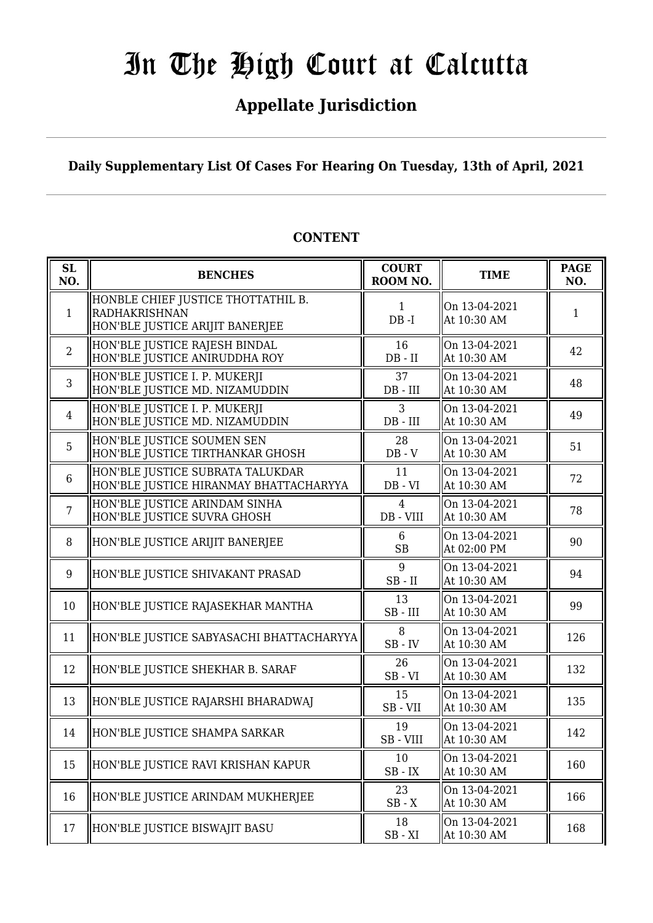# In The High Court at Calcutta

### **Appellate Jurisdiction**

**Daily Supplementary List Of Cases For Hearing On Tuesday, 13th of April, 2021**

| <b>SL</b><br>NO. | <b>BENCHES</b>                                                                                | <b>COURT</b><br>ROOM NO.    | <b>TIME</b>                  | <b>PAGE</b><br>NO. |
|------------------|-----------------------------------------------------------------------------------------------|-----------------------------|------------------------------|--------------------|
| $\mathbf{1}$     | HONBLE CHIEF JUSTICE THOTTATHIL B.<br><b>RADHAKRISHNAN</b><br>HON'BLE JUSTICE ARIJIT BANERJEE | $\mathbf{1}$<br>$DB - I$    | On 13-04-2021<br>At 10:30 AM | 1                  |
| $\overline{2}$   | HON'BLE JUSTICE RAJESH BINDAL<br>HON'BLE JUSTICE ANIRUDDHA ROY                                | 16<br>$DB$ - $II$           | On 13-04-2021<br>At 10:30 AM | 42                 |
| $\overline{3}$   | HON'BLE JUSTICE I. P. MUKERJI<br>HON'BLE JUSTICE MD. NIZAMUDDIN                               | 37<br>$DB$ - $III$          | On 13-04-2021<br>At 10:30 AM | 48                 |
| $\overline{4}$   | HON'BLE JUSTICE I. P. MUKERJI<br>HON'BLE JUSTICE MD. NIZAMUDDIN                               | 3<br>$DB$ - $III$           | On 13-04-2021<br>At 10:30 AM | 49                 |
| 5                | HON'BLE JUSTICE SOUMEN SEN<br>HON'BLE JUSTICE TIRTHANKAR GHOSH                                | 28<br>$DB - V$              | On 13-04-2021<br>At 10:30 AM | 51                 |
| 6                | HON'BLE JUSTICE SUBRATA TALUKDAR<br>HON'BLE JUSTICE HIRANMAY BHATTACHARYYA                    | 11<br>$DB - VI$             | On 13-04-2021<br>At 10:30 AM | 72                 |
| $\overline{7}$   | HON'BLE JUSTICE ARINDAM SINHA<br>HON'BLE JUSTICE SUVRA GHOSH                                  | $\overline{4}$<br>DB - VIII | On 13-04-2021<br>At 10:30 AM | 78                 |
| 8                | HON'BLE JUSTICE ARIJIT BANERJEE                                                               | 6<br>SB                     | On 13-04-2021<br>At 02:00 PM | 90                 |
| 9                | HON'BLE JUSTICE SHIVAKANT PRASAD                                                              | 9<br>$SB$ - $II$            | On 13-04-2021<br>At 10:30 AM | 94                 |
| 10               | HON'BLE JUSTICE RAJASEKHAR MANTHA                                                             | 13<br>$SB$ - $III$          | On 13-04-2021<br>At 10:30 AM | 99                 |
| 11               | HON'BLE JUSTICE SABYASACHI BHATTACHARYYA                                                      | 8<br>$SB$ - $IV$            | On 13-04-2021<br>At 10:30 AM | 126                |
| 12               | HON'BLE JUSTICE SHEKHAR B. SARAF                                                              | 26<br>$SB - VI$             | On 13-04-2021<br>At 10:30 AM | 132                |
| 13               | HON'BLE JUSTICE RAJARSHI BHARADWAJ                                                            | 15<br>SB-VII                | On 13-04-2021<br>At 10:30 AM | 135                |
| 14               | HON'BLE JUSTICE SHAMPA SARKAR                                                                 | 19<br>SB-VIII               | On 13-04-2021<br>At 10:30 AM | 142                |
| 15               | HON'BLE JUSTICE RAVI KRISHAN KAPUR                                                            | 10<br>$SB$ - $IX$           | On 13-04-2021<br>At 10:30 AM | 160                |
| 16               | HON'BLE JUSTICE ARINDAM MUKHERJEE                                                             | 23<br>$SB - X$              | On 13-04-2021<br>At 10:30 AM | 166                |
| 17               | HON'BLE JUSTICE BISWAJIT BASU                                                                 | 18<br>$SB - XI$             | On 13-04-2021<br>At 10:30 AM | 168                |

#### **CONTENT**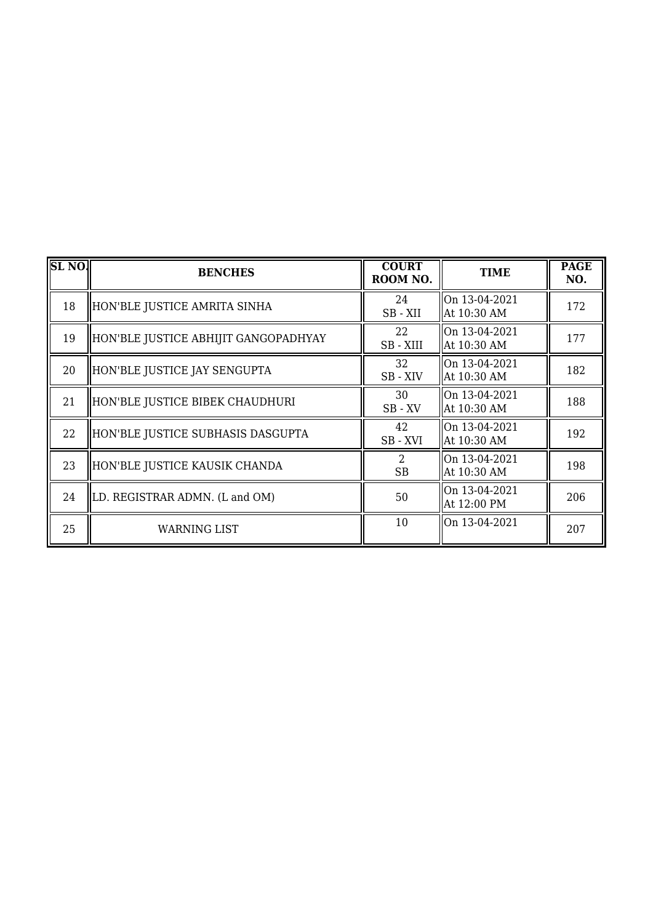| SL <sub>NO</sub> . | <b>BENCHES</b>                       | <b>COURT</b><br>ROOM NO. | <b>TIME</b>                  | <b>PAGE</b><br>NO. |
|--------------------|--------------------------------------|--------------------------|------------------------------|--------------------|
| 18                 | HON'BLE JUSTICE AMRITA SINHA         | 24<br>SB-XII             | On 13-04-2021<br>At 10:30 AM | 172                |
| 19                 | HON'BLE JUSTICE ABHIJIT GANGOPADHYAY | 22<br>SB - XIII          | On 13-04-2021<br>At 10:30 AM | 177                |
| 20                 | HON'BLE JUSTICE JAY SENGUPTA         | 32<br>SB-XIV             | On 13-04-2021<br>At 10:30 AM | 182                |
| 21                 | HON'BLE JUSTICE BIBEK CHAUDHURI      | 30<br>$SB$ - $XV$        | On 13-04-2021<br>At 10:30 AM | 188                |
| 22                 | HON'BLE JUSTICE SUBHASIS DASGUPTA    | 42<br>SB-XVI             | On 13-04-2021<br>At 10:30 AM | 192                |
| 23                 | HON'BLE JUSTICE KAUSIK CHANDA        | 2<br><b>SB</b>           | On 13-04-2021<br>At 10:30 AM | 198                |
| 24                 | LD. REGISTRAR ADMN. (L and OM)       | 50                       | On 13-04-2021<br>At 12:00 PM | 206                |
| 25                 | WARNING LIST                         | 10                       | On 13-04-2021                | 207                |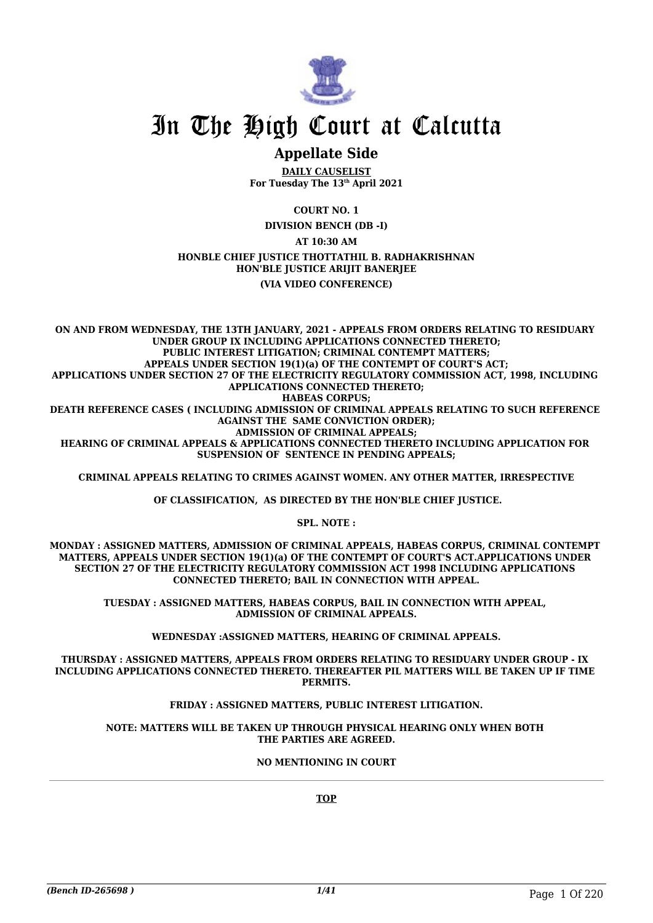

## In The High Court at Calcutta

#### **Appellate Side**

**DAILY CAUSELIST For Tuesday The 13th April 2021**

**COURT NO. 1**

**DIVISION BENCH (DB -I)**

**AT 10:30 AM**

**HONBLE CHIEF JUSTICE THOTTATHIL B. RADHAKRISHNAN HON'BLE JUSTICE ARIJIT BANERJEE**

**(VIA VIDEO CONFERENCE)**

**ON AND FROM WEDNESDAY, THE 13TH JANUARY, 2021 - APPEALS FROM ORDERS RELATING TO RESIDUARY UNDER GROUP IX INCLUDING APPLICATIONS CONNECTED THERETO; PUBLIC INTEREST LITIGATION; CRIMINAL CONTEMPT MATTERS; APPEALS UNDER SECTION 19(1)(a) OF THE CONTEMPT OF COURT'S ACT; APPLICATIONS UNDER SECTION 27 OF THE ELECTRICITY REGULATORY COMMISSION ACT, 1998, INCLUDING APPLICATIONS CONNECTED THERETO; HABEAS CORPUS; DEATH REFERENCE CASES ( INCLUDING ADMISSION OF CRIMINAL APPEALS RELATING TO SUCH REFERENCE AGAINST THE SAME CONVICTION ORDER); ADMISSION OF CRIMINAL APPEALS; HEARING OF CRIMINAL APPEALS & APPLICATIONS CONNECTED THERETO INCLUDING APPLICATION FOR SUSPENSION OF SENTENCE IN PENDING APPEALS;**

**CRIMINAL APPEALS RELATING TO CRIMES AGAINST WOMEN. ANY OTHER MATTER, IRRESPECTIVE**

 **OF CLASSIFICATION, AS DIRECTED BY THE HON'BLE CHIEF JUSTICE.**

**SPL. NOTE :**

**MONDAY : ASSIGNED MATTERS, ADMISSION OF CRIMINAL APPEALS, HABEAS CORPUS, CRIMINAL CONTEMPT MATTERS, APPEALS UNDER SECTION 19(1)(a) OF THE CONTEMPT OF COURT'S ACT.APPLICATIONS UNDER SECTION 27 OF THE ELECTRICITY REGULATORY COMMISSION ACT 1998 INCLUDING APPLICATIONS CONNECTED THERETO; BAIL IN CONNECTION WITH APPEAL.**

**TUESDAY : ASSIGNED MATTERS, HABEAS CORPUS, BAIL IN CONNECTION WITH APPEAL, ADMISSION OF CRIMINAL APPEALS.**

**WEDNESDAY :ASSIGNED MATTERS, HEARING OF CRIMINAL APPEALS.**

**THURSDAY : ASSIGNED MATTERS, APPEALS FROM ORDERS RELATING TO RESIDUARY UNDER GROUP - IX INCLUDING APPLICATIONS CONNECTED THERETO. THEREAFTER PIL MATTERS WILL BE TAKEN UP IF TIME PERMITS.**

#### **FRIDAY : ASSIGNED MATTERS, PUBLIC INTEREST LITIGATION.**

**NOTE: MATTERS WILL BE TAKEN UP THROUGH PHYSICAL HEARING ONLY WHEN BOTH THE PARTIES ARE AGREED.**

**NO MENTIONING IN COURT**

**TOP**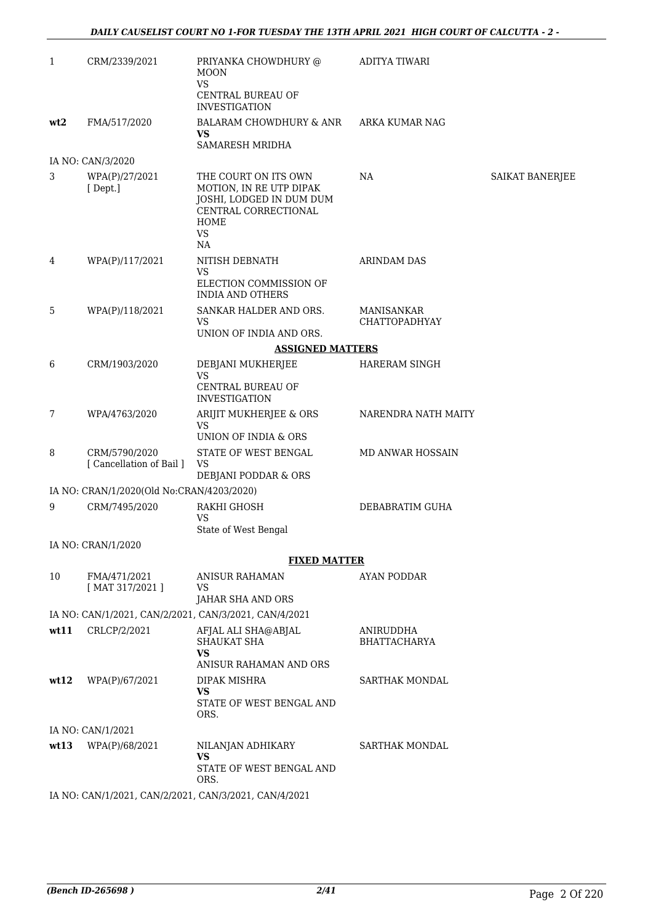| $\mathbf{1}$ | CRM/2339/2021                             | PRIYANKA CHOWDHURY @<br>MOON<br><b>VS</b>                                                                                             | <b>ADITYA TIWARI</b>                      |                 |
|--------------|-------------------------------------------|---------------------------------------------------------------------------------------------------------------------------------------|-------------------------------------------|-----------------|
|              |                                           | CENTRAL BUREAU OF<br><b>INVESTIGATION</b>                                                                                             |                                           |                 |
| wt2          | FMA/517/2020                              | BALARAM CHOWDHURY & ANR<br><b>VS</b>                                                                                                  | ARKA KUMAR NAG                            |                 |
|              |                                           | SAMARESH MRIDHA                                                                                                                       |                                           |                 |
|              | IA NO: CAN/3/2020                         |                                                                                                                                       |                                           |                 |
| 3            | WPA(P)/27/2021<br>[Dept.]                 | THE COURT ON ITS OWN<br>MOTION, IN RE UTP DIPAK<br>JOSHI, LODGED IN DUM DUM<br>CENTRAL CORRECTIONAL<br><b>HOME</b><br><b>VS</b><br>NA | NA                                        | SAIKAT BANERJEE |
| 4            | WPA(P)/117/2021                           | NITISH DEBNATH                                                                                                                        | <b>ARINDAM DAS</b>                        |                 |
|              |                                           | <b>VS</b><br>ELECTION COMMISSION OF<br><b>INDIA AND OTHERS</b>                                                                        |                                           |                 |
| 5            | WPA(P)/118/2021                           | SANKAR HALDER AND ORS.<br><b>VS</b>                                                                                                   | <b>MANISANKAR</b><br><b>CHATTOPADHYAY</b> |                 |
|              |                                           | UNION OF INDIA AND ORS.                                                                                                               |                                           |                 |
|              |                                           | <b>ASSIGNED MATTERS</b>                                                                                                               |                                           |                 |
| 6            | CRM/1903/2020                             | DEBJANI MUKHERJEE<br><b>VS</b>                                                                                                        | HARERAM SINGH                             |                 |
|              |                                           | CENTRAL BUREAU OF<br><b>INVESTIGATION</b>                                                                                             |                                           |                 |
| 7            | WPA/4763/2020                             | ARIJIT MUKHERJEE & ORS<br><b>VS</b>                                                                                                   | NARENDRA NATH MAITY                       |                 |
|              |                                           | UNION OF INDIA & ORS                                                                                                                  |                                           |                 |
| 8            | CRM/5790/2020<br>[ Cancellation of Bail ] | STATE OF WEST BENGAL<br>VS                                                                                                            | MD ANWAR HOSSAIN                          |                 |
|              | IA NO: CRAN/1/2020(Old No:CRAN/4203/2020) | DEBJANI PODDAR & ORS                                                                                                                  |                                           |                 |
| 9            | CRM/7495/2020                             | RAKHI GHOSH                                                                                                                           | DEBABRATIM GUHA                           |                 |
|              |                                           | <b>VS</b><br>State of West Bengal                                                                                                     |                                           |                 |
|              | IA NO: CRAN/1/2020                        |                                                                                                                                       |                                           |                 |
|              |                                           | <b>FIXED MATTER</b>                                                                                                                   |                                           |                 |
| 10           | FMA/471/2021                              | <b>ANISUR RAHAMAN</b>                                                                                                                 | <b>AYAN PODDAR</b>                        |                 |
|              | [MAT 317/2021]                            | VS<br>JAHAR SHA AND ORS                                                                                                               |                                           |                 |
|              |                                           | IA NO: CAN/1/2021, CAN/2/2021, CAN/3/2021, CAN/4/2021                                                                                 |                                           |                 |
| wt11         | CRLCP/2/2021                              | AFJAL ALI SHA@ABJAL<br>SHAUKAT SHA                                                                                                    | ANIRUDDHA<br><b>BHATTACHARYA</b>          |                 |
|              |                                           | <b>VS</b><br>ANISUR RAHAMAN AND ORS                                                                                                   |                                           |                 |
| wt12         | WPA(P)/67/2021                            | DIPAK MISHRA<br><b>VS</b><br>STATE OF WEST BENGAL AND<br>ORS.                                                                         | <b>SARTHAK MONDAL</b>                     |                 |
|              | IA NO: CAN/1/2021                         |                                                                                                                                       |                                           |                 |
| wt13         | WPA(P)/68/2021                            | NILANJAN ADHIKARY<br><b>VS</b><br>STATE OF WEST BENGAL AND                                                                            | <b>SARTHAK MONDAL</b>                     |                 |
|              |                                           | ORS.<br>IA NO: CAN/1/2021, CAN/2/2021, CAN/3/2021, CAN/4/2021                                                                         |                                           |                 |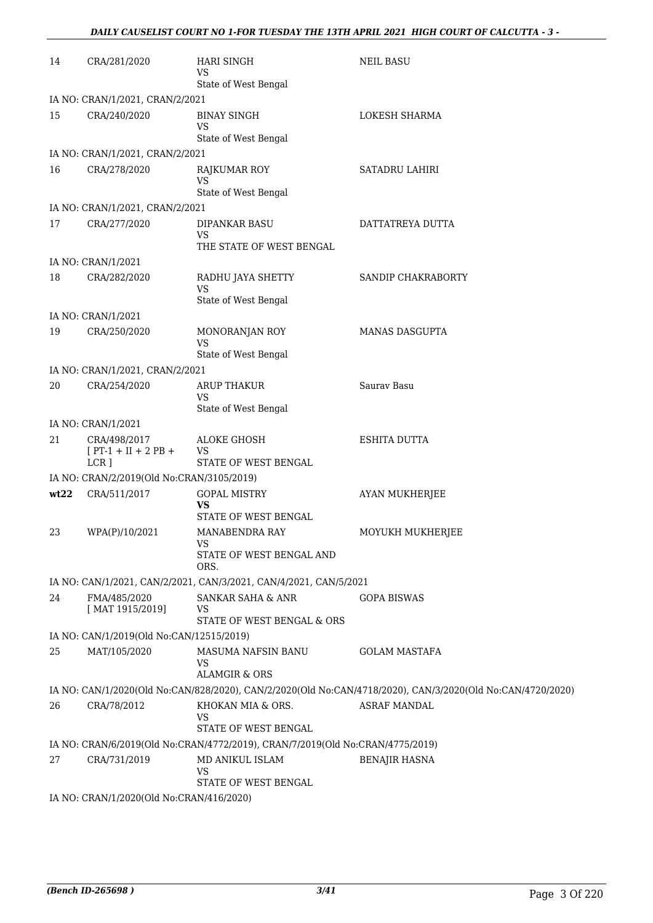| 14   | CRA/281/2020                                     | <b>HARI SINGH</b><br>VS<br>State of West Bengal                               | <b>NEIL BASU</b>                                                                                           |
|------|--------------------------------------------------|-------------------------------------------------------------------------------|------------------------------------------------------------------------------------------------------------|
|      | IA NO: CRAN/1/2021, CRAN/2/2021                  |                                                                               |                                                                                                            |
| 15   | CRA/240/2020                                     | <b>BINAY SINGH</b><br><b>VS</b>                                               | LOKESH SHARMA                                                                                              |
|      |                                                  | State of West Bengal                                                          |                                                                                                            |
|      | IA NO: CRAN/1/2021, CRAN/2/2021                  |                                                                               |                                                                                                            |
| 16   | CRA/278/2020                                     | <b>RAJKUMAR ROY</b><br><b>VS</b><br>State of West Bengal                      | <b>SATADRU LAHIRI</b>                                                                                      |
|      | IA NO: CRAN/1/2021, CRAN/2/2021                  |                                                                               |                                                                                                            |
| 17   | CRA/277/2020                                     | DIPANKAR BASU<br><b>VS</b><br>THE STATE OF WEST BENGAL                        | DATTATREYA DUTTA                                                                                           |
|      | IA NO: CRAN/1/2021                               |                                                                               |                                                                                                            |
| 18   | CRA/282/2020                                     | RADHU JAYA SHETTY                                                             | SANDIP CHAKRABORTY                                                                                         |
|      |                                                  | <b>VS</b><br>State of West Bengal                                             |                                                                                                            |
|      | IA NO: CRAN/1/2021                               |                                                                               |                                                                                                            |
| 19   | CRA/250/2020                                     | MONORANJAN ROY<br><b>VS</b>                                                   | <b>MANAS DASGUPTA</b>                                                                                      |
|      |                                                  | State of West Bengal                                                          |                                                                                                            |
|      | IA NO: CRAN/1/2021, CRAN/2/2021                  |                                                                               |                                                                                                            |
| 20   | CRA/254/2020                                     | ARUP THAKUR<br>VS                                                             | Sauray Basu                                                                                                |
|      |                                                  | State of West Bengal                                                          |                                                                                                            |
|      | IA NO: CRAN/1/2021                               |                                                                               |                                                                                                            |
| 21   | CRA/498/2017<br>$[PT-1 + II + 2 PB +$<br>$LCR$ ] | ALOKE GHOSH<br>VS<br>STATE OF WEST BENGAL                                     | <b>ESHITA DUTTA</b>                                                                                        |
|      | IA NO: CRAN/2/2019(Old No:CRAN/3105/2019)        |                                                                               |                                                                                                            |
| wt22 | CRA/511/2017                                     | <b>GOPAL MISTRY</b>                                                           | AYAN MUKHERJEE                                                                                             |
|      |                                                  | VS<br>STATE OF WEST BENGAL                                                    |                                                                                                            |
| 23   | WPA(P)/10/2021                                   | <b>MANABENDRA RAY</b><br>VS.                                                  | MOYUKH MUKHERJEE                                                                                           |
|      |                                                  | STATE OF WEST BENGAL AND<br>ORS.                                              |                                                                                                            |
|      |                                                  | IA NO: CAN/1/2021, CAN/2/2021, CAN/3/2021, CAN/4/2021, CAN/5/2021             |                                                                                                            |
| 24   | FMA/485/2020<br>[MAT 1915/2019]                  | SANKAR SAHA & ANR<br>VS                                                       | <b>GOPA BISWAS</b>                                                                                         |
|      |                                                  | STATE OF WEST BENGAL & ORS                                                    |                                                                                                            |
|      | IA NO: CAN/1/2019(Old No:CAN/12515/2019)         |                                                                               |                                                                                                            |
| 25   | MAT/105/2020                                     | MASUMA NAFSIN BANU<br>VS<br><b>ALAMGIR &amp; ORS</b>                          | <b>GOLAM MASTAFA</b>                                                                                       |
|      |                                                  |                                                                               | IA NO: CAN/1/2020(Old No:CAN/828/2020), CAN/2/2020(Old No:CAN/4718/2020), CAN/3/2020(Old No:CAN/4720/2020) |
| 26   | CRA/78/2012                                      | KHOKAN MIA & ORS.                                                             | <b>ASRAF MANDAL</b>                                                                                        |
|      |                                                  | VS<br>STATE OF WEST BENGAL                                                    |                                                                                                            |
|      |                                                  | IA NO: CRAN/6/2019(Old No:CRAN/4772/2019), CRAN/7/2019(Old No:CRAN/4775/2019) |                                                                                                            |
| 27   | CRA/731/2019                                     | MD ANIKUL ISLAM<br>VS                                                         | <b>BENAJIR HASNA</b>                                                                                       |
|      | IA NO: CRAN/1/2020(Old No:CRAN/416/2020)         | STATE OF WEST BENGAL                                                          |                                                                                                            |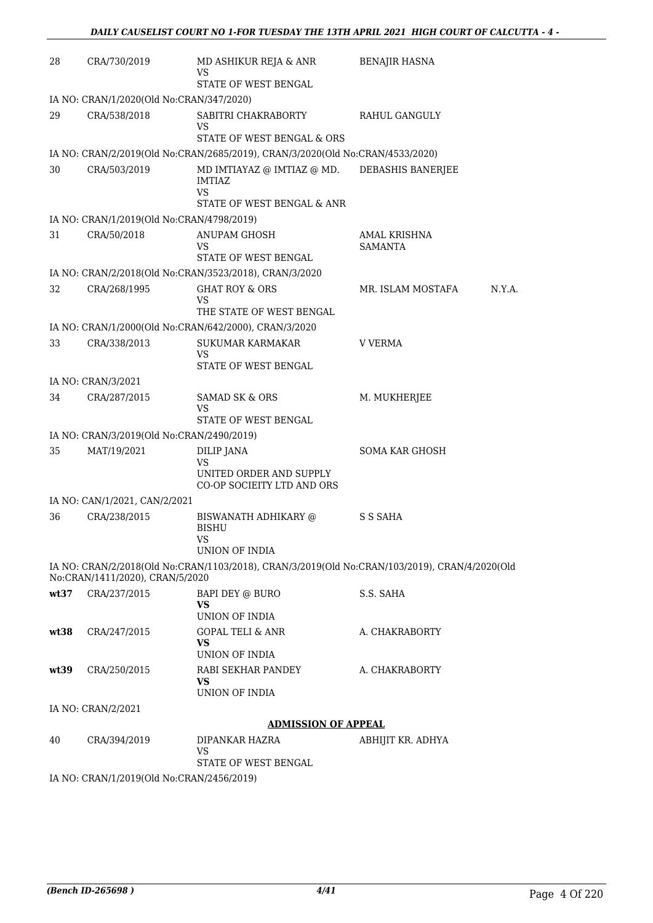| 28   | CRA/730/2019                              | MD ASHIKUR REJA & ANR<br>VS<br>STATE OF WEST BENGAL                                           | <b>BENAJIR HASNA</b>           |
|------|-------------------------------------------|-----------------------------------------------------------------------------------------------|--------------------------------|
|      | IA NO: CRAN/1/2020(Old No:CRAN/347/2020)  |                                                                                               |                                |
| 29   | CRA/538/2018                              | SABITRI CHAKRABORTY<br>VS<br>STATE OF WEST BENGAL & ORS                                       | RAHUL GANGULY                  |
|      |                                           | IA NO: CRAN/2/2019(Old No:CRAN/2685/2019), CRAN/3/2020(Old No:CRAN/4533/2020)                 |                                |
| 30   | CRA/503/2019                              | MD IMTIAYAZ @ IMTIAZ @ MD.<br><b>IMTIAZ</b><br><b>VS</b>                                      | DEBASHIS BANERJEE              |
|      |                                           | STATE OF WEST BENGAL & ANR                                                                    |                                |
|      | IA NO: CRAN/1/2019(Old No:CRAN/4798/2019) |                                                                                               |                                |
| 31   | CRA/50/2018                               | ANUPAM GHOSH<br>VS<br>STATE OF WEST BENGAL                                                    | AMAL KRISHNA<br><b>SAMANTA</b> |
|      |                                           | IA NO: CRAN/2/2018(Old No:CRAN/3523/2018), CRAN/3/2020                                        |                                |
| 32   | CRA/268/1995                              | <b>GHAT ROY &amp; ORS</b><br>VS<br>THE STATE OF WEST BENGAL                                   | MR. ISLAM MOSTAFA<br>N.Y.A.    |
|      |                                           | IA NO: CRAN/1/2000(Old No:CRAN/642/2000), CRAN/3/2020                                         |                                |
| 33   | CRA/338/2013                              | SUKUMAR KARMAKAR<br>VS                                                                        | <b>V VERMA</b>                 |
|      | IA NO: CRAN/3/2021                        | STATE OF WEST BENGAL                                                                          |                                |
| 34   | CRA/287/2015                              | <b>SAMAD SK &amp; ORS</b>                                                                     | M. MUKHERJEE                   |
|      |                                           | VS<br>STATE OF WEST BENGAL                                                                    |                                |
|      | IA NO: CRAN/3/2019(Old No:CRAN/2490/2019) |                                                                                               |                                |
| 35   | MAT/19/2021                               | <b>DILIP JANA</b><br>VS                                                                       | SOMA KAR GHOSH                 |
|      |                                           | UNITED ORDER AND SUPPLY<br>CO-OP SOCIEITY LTD AND ORS                                         |                                |
|      | IA NO: CAN/1/2021, CAN/2/2021             |                                                                                               |                                |
| 36   | CRA/238/2015                              | <b>BISWANATH ADHIKARY @</b><br><b>BISHU</b><br><b>VS</b>                                      | S S SAHA                       |
|      |                                           | <b>UNION OF INDIA</b>                                                                         |                                |
|      | No:CRAN/1411/2020), CRAN/5/2020           | IA NO: CRAN/2/2018(Old No:CRAN/1103/2018), CRAN/3/2019(Old No:CRAN/103/2019), CRAN/4/2020(Old |                                |
| wt37 | CRA/237/2015                              | BAPI DEY @ BURO<br><b>VS</b><br>UNION OF INDIA                                                | S.S. SAHA                      |
| wt38 | CRA/247/2015                              | GOPAL TELI & ANR<br>VS<br>UNION OF INDIA                                                      | A. CHAKRABORTY                 |
| wt39 | CRA/250/2015                              | RABI SEKHAR PANDEY<br>VS<br>UNION OF INDIA                                                    | A. CHAKRABORTY                 |
|      | IA NO: CRAN/2/2021                        |                                                                                               |                                |
|      |                                           | ADMISSION OF APPEAL                                                                           |                                |
| 40   | CRA/394/2019                              | DIPANKAR HAZRA<br>VS                                                                          | ABHIJIT KR. ADHYA              |
|      |                                           | STATE OF WEST BENGAL                                                                          |                                |
|      | IA NO: CRAN/1/2019(Old No:CRAN/2456/2019) |                                                                                               |                                |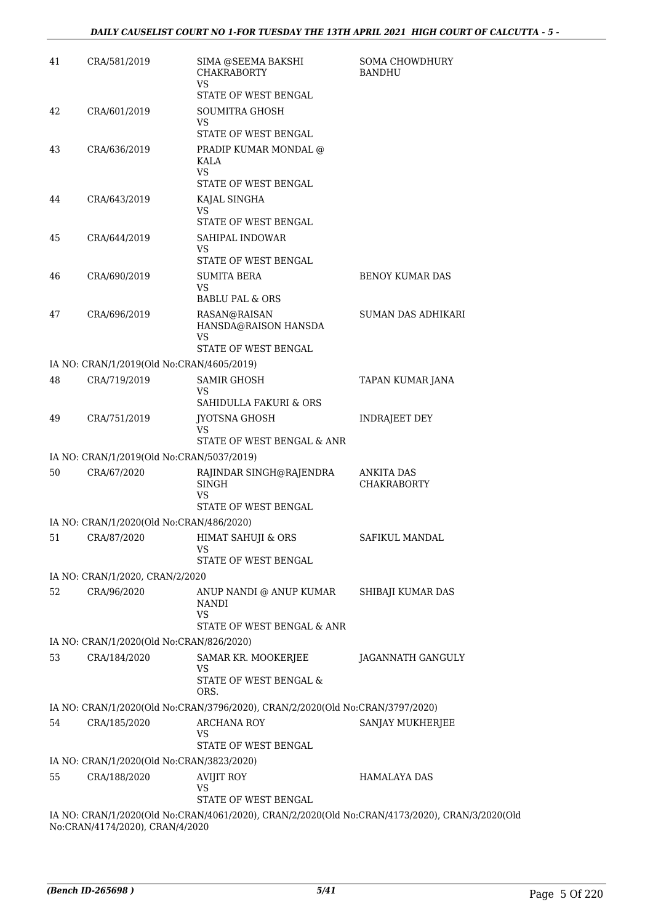| 41 | CRA/581/2019                              | SIMA @SEEMA BAKSHI<br><b>CHAKRABORTY</b><br>VS                                                 | <b>SOMA CHOWDHURY</b><br><b>BANDHU</b>  |
|----|-------------------------------------------|------------------------------------------------------------------------------------------------|-----------------------------------------|
|    |                                           | STATE OF WEST BENGAL                                                                           |                                         |
| 42 | CRA/601/2019                              | <b>SOUMITRA GHOSH</b><br>VS                                                                    |                                         |
|    |                                           | <b>STATE OF WEST BENGAL</b>                                                                    |                                         |
| 43 | CRA/636/2019                              | PRADIP KUMAR MONDAL @<br>KALA<br>VS<br>STATE OF WEST BENGAL                                    |                                         |
| 44 | CRA/643/2019                              | KAJAL SINGHA<br>VS                                                                             |                                         |
|    |                                           | STATE OF WEST BENGAL                                                                           |                                         |
| 45 | CRA/644/2019                              | SAHIPAL INDOWAR<br><b>VS</b><br>STATE OF WEST BENGAL                                           |                                         |
| 46 | CRA/690/2019                              | SUMITA BERA<br>VS<br><b>BABLU PAL &amp; ORS</b>                                                | <b>BENOY KUMAR DAS</b>                  |
| 47 | CRA/696/2019                              | RASAN@RAISAN<br>HANSDA@RAISON HANSDA<br>VS<br><b>STATE OF WEST BENGAL</b>                      | <b>SUMAN DAS ADHIKARI</b>               |
|    | IA NO: CRAN/1/2019(Old No:CRAN/4605/2019) |                                                                                                |                                         |
| 48 | CRA/719/2019                              | <b>SAMIR GHOSH</b><br>VS                                                                       | TAPAN KUMAR JANA                        |
|    |                                           | SAHIDULLA FAKURI & ORS                                                                         |                                         |
| 49 | CRA/751/2019                              | <b>JYOTSNA GHOSH</b><br>VS<br>STATE OF WEST BENGAL & ANR                                       | <b>INDRAJEET DEY</b>                    |
|    | IA NO: CRAN/1/2019(Old No:CRAN/5037/2019) |                                                                                                |                                         |
| 50 | CRA/67/2020                               | RAJINDAR SINGH@RAJENDRA<br>SINGH<br>VS                                                         | <b>ANKITA DAS</b><br><b>CHAKRABORTY</b> |
|    | IA NO: CRAN/1/2020(Old No:CRAN/486/2020)  | STATE OF WEST BENGAL                                                                           |                                         |
| 51 | CRA/87/2020                               | <b>HIMAT SAHUJI &amp; ORS</b>                                                                  | SAFIKUL MANDAL                          |
|    |                                           | VS<br>STATE OF WEST BENGAL                                                                     |                                         |
|    | IA NO: CRAN/1/2020, CRAN/2/2020           |                                                                                                |                                         |
| 52 | CRA/96/2020                               | ANUP NANDI @ ANUP KUMAR<br><b>NANDI</b><br>VS<br>STATE OF WEST BENGAL & ANR                    | SHIBAJI KUMAR DAS                       |
|    | IA NO: CRAN/1/2020(Old No:CRAN/826/2020)  |                                                                                                |                                         |
| 53 | CRA/184/2020                              | SAMAR KR. MOOKERJEE<br>VS                                                                      | JAGANNATH GANGULY                       |
|    |                                           | STATE OF WEST BENGAL &<br>ORS.                                                                 |                                         |
|    |                                           | IA NO: CRAN/1/2020(Old No:CRAN/3796/2020), CRAN/2/2020(Old No:CRAN/3797/2020)                  |                                         |
| 54 | CRA/185/2020                              | <b>ARCHANA ROY</b><br>VS<br>STATE OF WEST BENGAL                                               | SANJAY MUKHERJEE                        |
|    | IA NO: CRAN/1/2020(Old No:CRAN/3823/2020) |                                                                                                |                                         |
| 55 | CRA/188/2020                              | <b>AVIJIT ROY</b>                                                                              | <b>HAMALAYA DAS</b>                     |
|    |                                           | <b>VS</b><br><b>STATE OF WEST BENGAL</b>                                                       |                                         |
|    | No:CRAN/4174/2020), CRAN/4/2020           | IA NO: CRAN/1/2020(Old No:CRAN/4061/2020), CRAN/2/2020(Old No:CRAN/4173/2020), CRAN/3/2020(Old |                                         |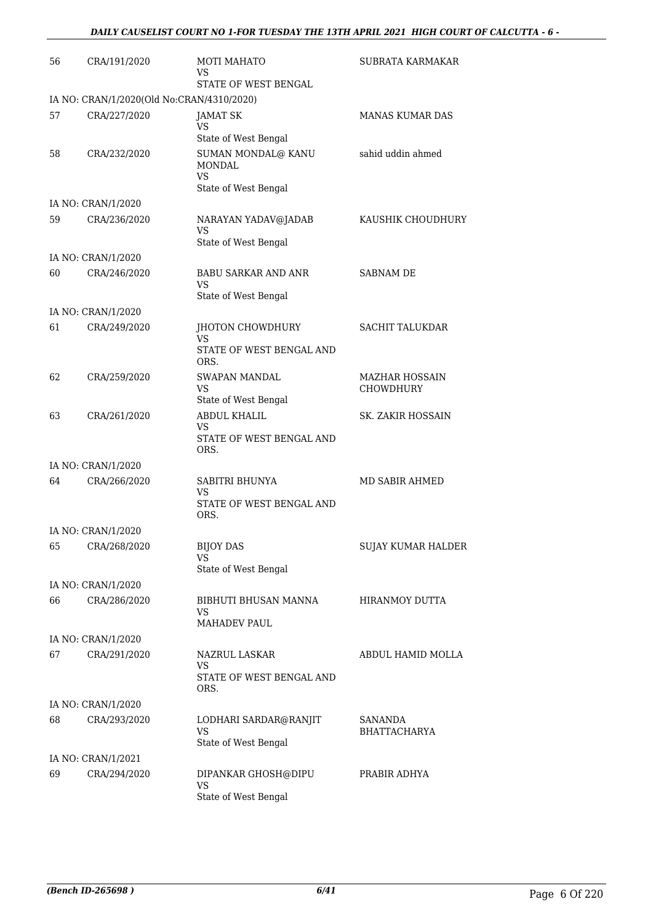| 56 | CRA/191/2020                              | <b>MOTI MAHATO</b><br>VS.<br>STATE OF WEST BENGAL          | SUBRATA KARMAKAR                          |
|----|-------------------------------------------|------------------------------------------------------------|-------------------------------------------|
|    | IA NO: CRAN/1/2020(Old No:CRAN/4310/2020) |                                                            |                                           |
| 57 | CRA/227/2020                              | JAMAT SK<br>VS.                                            | <b>MANAS KUMAR DAS</b>                    |
|    |                                           | State of West Bengal                                       |                                           |
| 58 | CRA/232/2020                              | SUMAN MONDAL@ KANU<br>MONDAL<br><b>VS</b>                  | sahid uddin ahmed                         |
|    |                                           | State of West Bengal                                       |                                           |
|    | IA NO: CRAN/1/2020                        |                                                            |                                           |
| 59 | CRA/236/2020                              | NARAYAN YADAV@JADAB<br>VS<br>State of West Bengal          | KAUSHIK CHOUDHURY                         |
|    | IA NO: CRAN/1/2020                        |                                                            |                                           |
| 60 | CRA/246/2020                              | BABU SARKAR AND ANR<br>VS                                  | <b>SABNAM DE</b>                          |
|    |                                           | State of West Bengal                                       |                                           |
|    | IA NO: CRAN/1/2020                        |                                                            |                                           |
| 61 | CRA/249/2020                              | JHOTON CHOWDHURY<br>VS                                     | <b>SACHIT TALUKDAR</b>                    |
|    |                                           | STATE OF WEST BENGAL AND<br>ORS.                           |                                           |
| 62 | CRA/259/2020                              | <b>SWAPAN MANDAL</b><br>VS                                 | <b>MAZHAR HOSSAIN</b><br><b>CHOWDHURY</b> |
|    |                                           | State of West Bengal                                       |                                           |
| 63 | CRA/261/2020                              | <b>ABDUL KHALIL</b><br>VS<br>STATE OF WEST BENGAL AND      | SK. ZAKIR HOSSAIN                         |
|    |                                           | ORS.                                                       |                                           |
|    | IA NO: CRAN/1/2020                        |                                                            |                                           |
| 64 | CRA/266/2020                              | SABITRI BHUNYA<br>VS<br>STATE OF WEST BENGAL AND<br>ORS.   | MD SABIR AHMED                            |
|    | IA NO: CRAN/1/2020                        |                                                            |                                           |
| 65 | CRA/268/2020                              | <b>BIJOY DAS</b><br>VS<br>State of West Bengal             | <b>SUJAY KUMAR HALDER</b>                 |
|    | IA NO: CRAN/1/2020                        |                                                            |                                           |
| 66 | CRA/286/2020                              | BIBHUTI BHUSAN MANNA<br>VS                                 | HIRANMOY DUTTA                            |
|    |                                           | MAHADEV PAUL                                               |                                           |
|    | IA NO: CRAN/1/2020                        |                                                            |                                           |
| 67 | CRA/291/2020                              | NAZRUL LASKAR<br>VS<br>STATE OF WEST BENGAL AND            | ABDUL HAMID MOLLA                         |
|    |                                           | ORS.                                                       |                                           |
|    | IA NO: CRAN/1/2020                        |                                                            |                                           |
| 68 | CRA/293/2020                              | LODHARI SARDAR@RANJIT<br><b>VS</b><br>State of West Bengal | <b>SANANDA</b><br>BHATTACHARYA            |
|    | IA NO: CRAN/1/2021                        |                                                            |                                           |
| 69 | CRA/294/2020                              | DIPANKAR GHOSH@DIPU                                        | PRABIR ADHYA                              |
|    |                                           | <b>VS</b><br>State of West Bengal                          |                                           |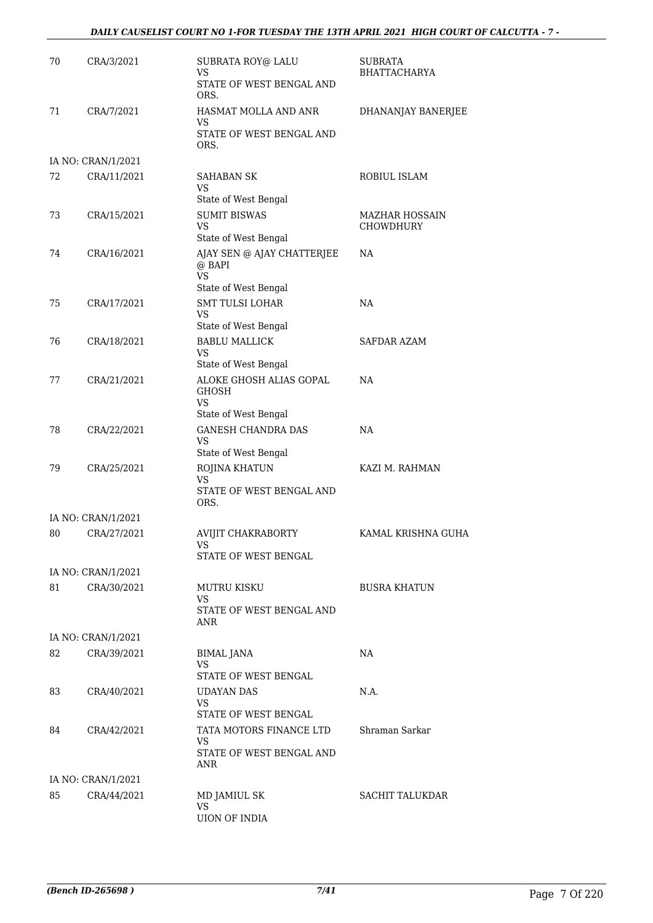#### *DAILY CAUSELIST COURT NO 1-FOR TUESDAY THE 13TH APRIL 2021 HIGH COURT OF CALCUTTA - 7 -*

| 70 | CRA/3/2021                        | SUBRATA ROY@ LALU<br>VS<br>STATE OF WEST BENGAL AND            | <b>SUBRATA</b><br><b>BHATTACHARYA</b> |
|----|-----------------------------------|----------------------------------------------------------------|---------------------------------------|
|    |                                   | ORS.                                                           |                                       |
| 71 | CRA/7/2021                        | HASMAT MOLLA AND ANR<br>VS                                     | DHANANJAY BANERJEE                    |
|    |                                   | STATE OF WEST BENGAL AND<br>ORS.                               |                                       |
|    | IA NO: CRAN/1/2021                |                                                                |                                       |
| 72 | CRA/11/2021                       | <b>SAHABAN SK</b><br>VS                                        | ROBIUL ISLAM                          |
|    |                                   | State of West Bengal                                           |                                       |
| 73 | CRA/15/2021                       | <b>SUMIT BISWAS</b><br><b>VS</b>                               | MAZHAR HOSSAIN<br><b>CHOWDHURY</b>    |
|    |                                   | State of West Bengal                                           |                                       |
| 74 | CRA/16/2021                       | AJAY SEN @ AJAY CHATTERJEE<br>@ BAPI<br><b>VS</b>              | NA                                    |
|    |                                   | State of West Bengal                                           |                                       |
| 75 | CRA/17/2021                       | <b>SMT TULSI LOHAR</b><br><b>VS</b><br>State of West Bengal    | NA                                    |
| 76 | CRA/18/2021                       | <b>BABLU MALLICK</b>                                           | SAFDAR AZAM                           |
|    |                                   | VS                                                             |                                       |
|    |                                   | State of West Bengal                                           |                                       |
| 77 | CRA/21/2021                       | ALOKE GHOSH ALIAS GOPAL<br><b>GHOSH</b><br>VS                  | NA                                    |
|    |                                   | State of West Bengal                                           |                                       |
| 78 | CRA/22/2021                       | <b>GANESH CHANDRA DAS</b><br><b>VS</b><br>State of West Bengal | NA                                    |
| 79 | CRA/25/2021                       | ROJINA KHATUN                                                  | KAZI M. RAHMAN                        |
|    |                                   | <b>VS</b><br>STATE OF WEST BENGAL AND                          |                                       |
|    |                                   | ORS.                                                           |                                       |
|    | IA NO: CRAN/1/2021                |                                                                |                                       |
| 80 | CRA/27/2021                       | AVIJIT CHAKRABORTY<br>vs                                       | KAMAL KRISHNA GUHA                    |
|    |                                   | STATE OF WEST BENGAL                                           |                                       |
| 81 | IA NO: CRAN/1/2021<br>CRA/30/2021 | MUTRU KISKU                                                    | <b>BUSRA KHATUN</b>                   |
|    |                                   | VS<br>STATE OF WEST BENGAL AND                                 |                                       |
|    |                                   | ANR                                                            |                                       |
|    | IA NO: CRAN/1/2021                |                                                                |                                       |
| 82 | CRA/39/2021                       | <b>BIMAL JANA</b><br>VS<br>STATE OF WEST BENGAL                | NA                                    |
| 83 | CRA/40/2021                       | <b>UDAYAN DAS</b>                                              | N.A.                                  |
|    |                                   | VS<br>STATE OF WEST BENGAL                                     |                                       |
| 84 | CRA/42/2021                       | TATA MOTORS FINANCE LTD                                        | Shraman Sarkar                        |
|    |                                   | VS<br>STATE OF WEST BENGAL AND<br>ANR                          |                                       |
|    | IA NO: CRAN/1/2021                |                                                                |                                       |
| 85 | CRA/44/2021                       | MD JAMIUL SK                                                   | <b>SACHIT TALUKDAR</b>                |
|    |                                   | <b>VS</b><br><b>UION OF INDIA</b>                              |                                       |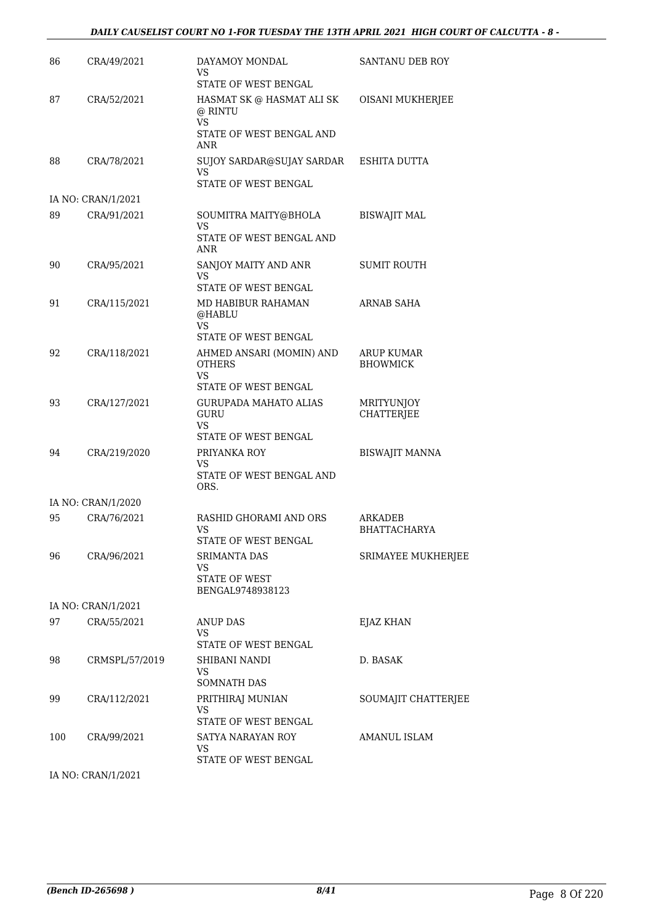| 86  | CRA/49/2021        | DAYAMOY MONDAL<br>VS<br>STATE OF WEST BENGAL                          | SANTANU DEB ROY                |
|-----|--------------------|-----------------------------------------------------------------------|--------------------------------|
| 87  | CRA/52/2021        | HASMAT SK @ HASMAT ALI SK<br>@ RINTU<br><b>VS</b>                     | OISANI MUKHERJEE               |
|     |                    | STATE OF WEST BENGAL AND<br>ANR                                       |                                |
| 88  | CRA/78/2021        | SUJOY SARDAR@SUJAY SARDAR ESHITA DUTTA<br>VS.<br>STATE OF WEST BENGAL |                                |
|     | IA NO: CRAN/1/2021 |                                                                       |                                |
| 89  | CRA/91/2021        | SOUMITRA MAITY@BHOLA<br>VS                                            | <b>BISWAJIT MAL</b>            |
|     |                    | STATE OF WEST BENGAL AND<br>ANR                                       |                                |
| 90  | CRA/95/2021        | SANJOY MAITY AND ANR<br>VS<br>STATE OF WEST BENGAL                    | <b>SUMIT ROUTH</b>             |
| 91  | CRA/115/2021       | MD HABIBUR RAHAMAN<br>@HABLU                                          | <b>ARNAB SAHA</b>              |
|     |                    | VS.<br>STATE OF WEST BENGAL                                           |                                |
| 92  | CRA/118/2021       | AHMED ANSARI (MOMIN) AND                                              | <b>ARUP KUMAR</b>              |
|     |                    | <b>OTHERS</b><br>VS<br>STATE OF WEST BENGAL                           | <b>BHOWMICK</b>                |
| 93  | CRA/127/2021       | <b>GURUPADA MAHATO ALIAS</b>                                          | <b>MRITYUNJOY</b>              |
|     |                    | GURU<br>VS.                                                           | <b>CHATTERJEE</b>              |
| 94  | CRA/219/2020       | STATE OF WEST BENGAL<br>PRIYANKA ROY                                  | <b>BISWAJIT MANNA</b>          |
|     |                    | VS<br>STATE OF WEST BENGAL AND<br>ORS.                                |                                |
|     | IA NO: CRAN/1/2020 |                                                                       |                                |
| 95  | CRA/76/2021        | RASHID GHORAMI AND ORS<br><b>VS</b>                                   | ARKADEB<br><b>BHATTACHARYA</b> |
| 96  | CRA/96/2021        | STATE OF WEST BENGAL<br>SRIMANTA DAS                                  | SRIMAYEE MUKHERJEE             |
|     |                    | VS                                                                    |                                |
|     |                    | <b>STATE OF WEST</b><br>BENGAL9748938123                              |                                |
|     | IA NO: CRAN/1/2021 |                                                                       |                                |
| 97  | CRA/55/2021        | <b>ANUP DAS</b><br>VS.                                                | EJAZ KHAN                      |
| 98  | CRMSPL/57/2019     | STATE OF WEST BENGAL<br>SHIBANI NANDI                                 | D. BASAK                       |
|     |                    | VS.<br><b>SOMNATH DAS</b>                                             |                                |
| 99  | CRA/112/2021       | PRITHIRAJ MUNIAN<br>VS                                                | SOUMAJIT CHATTERJEE            |
|     |                    | STATE OF WEST BENGAL                                                  |                                |
| 100 | CRA/99/2021        | SATYA NARAYAN ROY<br>VS<br>STATE OF WEST BENGAL                       | AMANUL ISLAM                   |

IA NO: CRAN/1/2021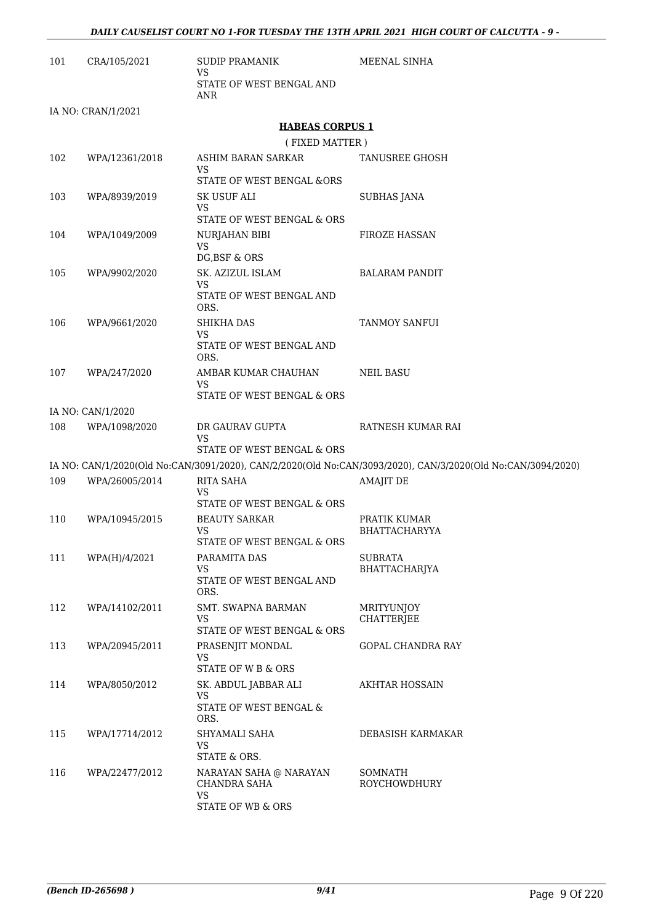| 101 | CRA/105/2021       | <b>SUDIP PRAMANIK</b><br>VS                                         | MEENAL SINHA                                                                                                                    |
|-----|--------------------|---------------------------------------------------------------------|---------------------------------------------------------------------------------------------------------------------------------|
|     |                    | STATE OF WEST BENGAL AND<br><b>ANR</b>                              |                                                                                                                                 |
|     | IA NO: CRAN/1/2021 |                                                                     |                                                                                                                                 |
|     |                    | <b>HABEAS CORPUS 1</b>                                              |                                                                                                                                 |
|     |                    | (FIXED MATTER)                                                      |                                                                                                                                 |
| 102 | WPA/12361/2018     | ASHIM BARAN SARKAR<br>VS<br>STATE OF WEST BENGAL &ORS               | <b>TANUSREE GHOSH</b>                                                                                                           |
| 103 | WPA/8939/2019      | <b>SK USUF ALI</b><br><b>VS</b>                                     | <b>SUBHAS JANA</b>                                                                                                              |
|     |                    | STATE OF WEST BENGAL & ORS                                          |                                                                                                                                 |
| 104 | WPA/1049/2009      | NURJAHAN BIBI<br><b>VS</b><br>DG, BSF & ORS                         | <b>FIROZE HASSAN</b>                                                                                                            |
| 105 | WPA/9902/2020      | SK. AZIZUL ISLAM                                                    | <b>BALARAM PANDIT</b>                                                                                                           |
|     |                    | VS                                                                  |                                                                                                                                 |
|     |                    | STATE OF WEST BENGAL AND<br>ORS.                                    |                                                                                                                                 |
| 106 | WPA/9661/2020      | SHIKHA DAS                                                          | <b>TANMOY SANFUI</b>                                                                                                            |
|     |                    | VS<br>STATE OF WEST BENGAL AND<br>ORS.                              |                                                                                                                                 |
| 107 | WPA/247/2020       | AMBAR KUMAR CHAUHAN<br>VS                                           | NEIL BASU                                                                                                                       |
|     |                    | STATE OF WEST BENGAL & ORS                                          |                                                                                                                                 |
|     | IA NO: CAN/1/2020  |                                                                     |                                                                                                                                 |
| 108 | WPA/1098/2020      | DR GAURAV GUPTA<br>VS                                               | RATNESH KUMAR RAI                                                                                                               |
|     |                    | STATE OF WEST BENGAL & ORS                                          |                                                                                                                                 |
| 109 | WPA/26005/2014     | <b>RITA SAHA</b>                                                    | IA NO: CAN/1/2020(Old No:CAN/3091/2020), CAN/2/2020(Old No:CAN/3093/2020), CAN/3/2020(Old No:CAN/3094/2020)<br><b>AMAJIT DE</b> |
|     |                    | VS<br>STATE OF WEST BENGAL & ORS                                    |                                                                                                                                 |
| 110 | WPA/10945/2015     | <b>BEAUTY SARKAR</b>                                                | PRATIK KUMAR                                                                                                                    |
|     |                    | VS<br>STATE OF WEST BENGAL & ORS                                    | <b>BHATTACHARYYA</b>                                                                                                            |
| 111 | WPA(H)/4/2021      | PARAMITA DAS                                                        | <b>SUBRATA</b>                                                                                                                  |
|     |                    | <b>VS</b><br>STATE OF WEST BENGAL AND<br>ORS.                       | BHATTACHARJYA                                                                                                                   |
| 112 | WPA/14102/2011     | SMT. SWAPNA BARMAN<br>VS                                            | <b>MRITYUNJOY</b><br>CHATTERJEE                                                                                                 |
|     |                    | STATE OF WEST BENGAL & ORS                                          |                                                                                                                                 |
| 113 | WPA/20945/2011     | PRASENJIT MONDAL<br>VS<br>STATE OF W B & ORS                        | GOPAL CHANDRA RAY                                                                                                               |
| 114 | WPA/8050/2012      | SK. ABDUL JABBAR ALI<br><b>VS</b><br>STATE OF WEST BENGAL &<br>ORS. | AKHTAR HOSSAIN                                                                                                                  |
| 115 | WPA/17714/2012     | SHYAMALI SAHA<br><b>VS</b>                                          | DEBASISH KARMAKAR                                                                                                               |
| 116 | WPA/22477/2012     | STATE & ORS.<br>NARAYAN SAHA @ NARAYAN                              | SOMNATH                                                                                                                         |
|     |                    | CHANDRA SAHA<br>VS<br>STATE OF WB & ORS                             | ROYCHOWDHURY                                                                                                                    |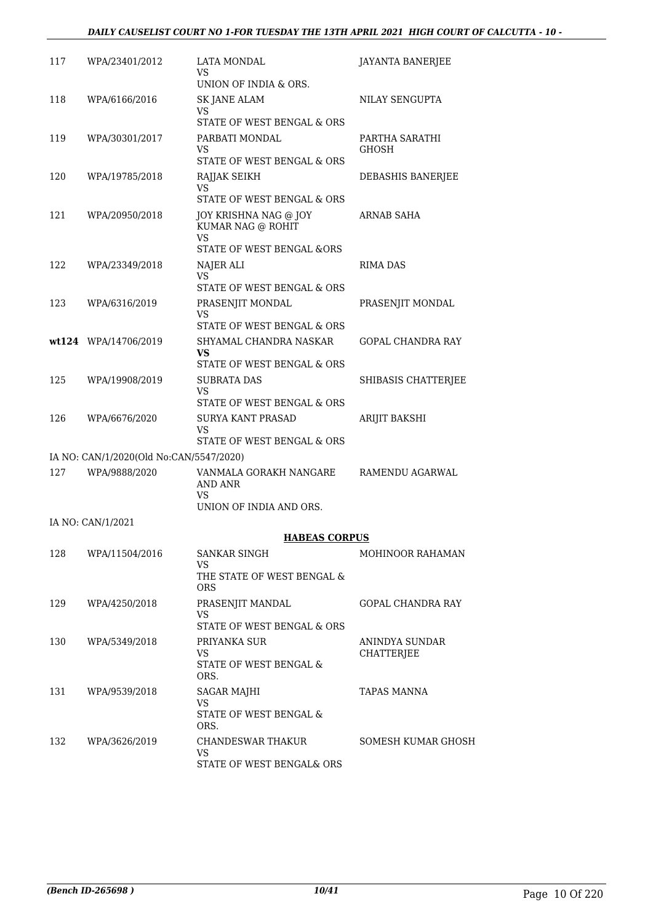#### *DAILY CAUSELIST COURT NO 1-FOR TUESDAY THE 13TH APRIL 2021 HIGH COURT OF CALCUTTA - 10 -*

| 117 | WPA/23401/2012                          | LATA MONDAL<br>VS<br>UNION OF INDIA & ORS.                                                      | <b>JAYANTA BANERJEE</b>        |
|-----|-----------------------------------------|-------------------------------------------------------------------------------------------------|--------------------------------|
| 118 | WPA/6166/2016                           | SK JANE ALAM<br>VS.                                                                             | NILAY SENGUPTA                 |
|     |                                         | STATE OF WEST BENGAL & ORS                                                                      |                                |
| 119 | WPA/30301/2017                          | PARBATI MONDAL<br>VS<br>STATE OF WEST BENGAL & ORS                                              | PARTHA SARATHI<br><b>GHOSH</b> |
| 120 | WPA/19785/2018                          | RAJJAK SEIKH                                                                                    | DEBASHIS BANERJEE              |
|     |                                         | VS<br>STATE OF WEST BENGAL & ORS                                                                |                                |
| 121 | WPA/20950/2018                          | JOY KRISHNA NAG @ JOY<br>KUMAR NAG @ ROHIT<br><b>VS</b><br><b>STATE OF WEST BENGAL &amp;ORS</b> | ARNAB SAHA                     |
| 122 | WPA/23349/2018                          | NAJER ALI                                                                                       | RIMA DAS                       |
|     |                                         | VS.<br>STATE OF WEST BENGAL & ORS                                                               |                                |
| 123 | WPA/6316/2019                           | PRASENJIT MONDAL<br>VS                                                                          | PRASENJIT MONDAL               |
|     |                                         | STATE OF WEST BENGAL & ORS                                                                      |                                |
|     | wt124 WPA/14706/2019                    | SHYAMAL CHANDRA NASKAR<br>VS.<br>STATE OF WEST BENGAL & ORS                                     | <b>GOPAL CHANDRA RAY</b>       |
| 125 | WPA/19908/2019                          | <b>SUBRATA DAS</b>                                                                              | SHIBASIS CHATTERJEE            |
|     |                                         | VS<br>STATE OF WEST BENGAL & ORS                                                                |                                |
| 126 | WPA/6676/2020                           | <b>SURYA KANT PRASAD</b><br>VS                                                                  | ARIJIT BAKSHI                  |
|     |                                         | STATE OF WEST BENGAL & ORS                                                                      |                                |
|     | IA NO: CAN/1/2020(Old No:CAN/5547/2020) |                                                                                                 |                                |
| 127 | WPA/9888/2020                           | VANMALA GORAKH NANGARE<br>AND ANR<br>VS                                                         | RAMENDU AGARWAL                |
|     |                                         | UNION OF INDIA AND ORS.                                                                         |                                |
|     | IA NO: CAN/1/2021                       |                                                                                                 |                                |
|     |                                         | <b>HABEAS CORPUS</b>                                                                            |                                |
| 128 | WPA/11504/2016                          | SANKAR SINGH<br>VS.<br>THE STATE OF WEST BENGAL &                                               | MOHINOOR RAHAMAN               |
|     |                                         | ORS.                                                                                            |                                |
| 129 | WPA/4250/2018                           | PRASENJIT MANDAL<br><b>VS</b>                                                                   | GOPAL CHANDRA RAY              |
|     |                                         | STATE OF WEST BENGAL & ORS                                                                      |                                |
| 130 | WPA/5349/2018                           | PRIYANKA SUR<br><b>VS</b><br>STATE OF WEST BENGAL &<br>ORS.                                     | ANINDYA SUNDAR<br>CHATTERJEE   |
| 131 | WPA/9539/2018                           | <b>SAGAR MAJHI</b>                                                                              | TAPAS MANNA                    |
|     |                                         | VS<br>STATE OF WEST BENGAL &<br>ORS.                                                            |                                |
| 132 | WPA/3626/2019                           | CHANDESWAR THAKUR<br>VS                                                                         | <b>SOMESH KUMAR GHOSH</b>      |
|     |                                         | STATE OF WEST BENGAL& ORS                                                                       |                                |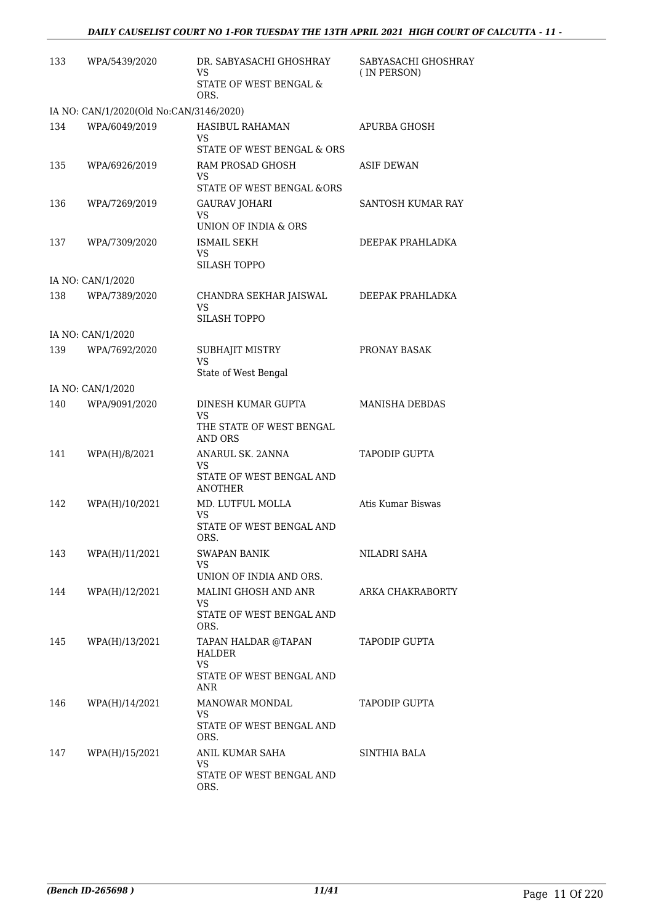| 133 | WPA/5439/2020                           | DR. SABYASACHI GHOSHRAY<br>VS.<br>STATE OF WEST BENGAL &<br>ORS.                     | SABYASACHI GHOSHRAY<br>(IN PERSON) |
|-----|-----------------------------------------|--------------------------------------------------------------------------------------|------------------------------------|
|     | IA NO: CAN/1/2020(Old No:CAN/3146/2020) |                                                                                      |                                    |
| 134 | WPA/6049/2019                           | HASIBUL RAHAMAN<br>VS.<br>STATE OF WEST BENGAL & ORS                                 | APURBA GHOSH                       |
| 135 | WPA/6926/2019                           | RAM PROSAD GHOSH<br>VS                                                               | ASIF DEWAN                         |
| 136 | WPA/7269/2019                           | <b>STATE OF WEST BENGAL &amp;ORS</b><br>GAURAV JOHARI<br>VS.<br>UNION OF INDIA & ORS | SANTOSH KUMAR RAY                  |
| 137 | WPA/7309/2020                           | ISMAIL SEKH<br><b>VS</b><br>SILASH TOPPO                                             | DEEPAK PRAHLADKA                   |
|     | IA NO: CAN/1/2020                       |                                                                                      |                                    |
| 138 | WPA/7389/2020                           | CHANDRA SEKHAR JAISWAL<br><b>VS</b><br><b>SILASH TOPPO</b>                           | DEEPAK PRAHLADKA                   |
|     | IA NO: CAN/1/2020                       |                                                                                      |                                    |
| 139 | WPA/7692/2020                           | SUBHAJIT MISTRY<br><b>VS</b>                                                         | PRONAY BASAK                       |
|     | IA NO: CAN/1/2020                       | State of West Bengal                                                                 |                                    |
| 140 | WPA/9091/2020                           | DINESH KUMAR GUPTA                                                                   | <b>MANISHA DEBDAS</b>              |
|     |                                         | VS<br>THE STATE OF WEST BENGAL<br><b>AND ORS</b>                                     |                                    |
| 141 | WPA(H)/8/2021                           | ANARUL SK. 2ANNA<br>VS.<br>STATE OF WEST BENGAL AND<br><b>ANOTHER</b>                | <b>TAPODIP GUPTA</b>               |
| 142 | WPA(H)/10/2021                          | MD. LUTFUL MOLLA<br><b>VS</b><br>STATE OF WEST BENGAL AND                            | Atis Kumar Biswas                  |
|     |                                         | ORS.                                                                                 |                                    |
| 143 | WPA(H)/11/2021                          | <b>SWAPAN BANIK</b><br>VS<br>UNION OF INDIA AND ORS.                                 | NILADRI SAHA                       |
| 144 | WPA(H)/12/2021                          | MALINI GHOSH AND ANR<br><b>VS</b><br>STATE OF WEST BENGAL AND<br>ORS.                | ARKA CHAKRABORTY                   |
| 145 | WPA(H)/13/2021                          | TAPAN HALDAR @TAPAN<br>HALDER<br>VS<br>STATE OF WEST BENGAL AND<br>ANR               | <b>TAPODIP GUPTA</b>               |
| 146 | WPA(H)/14/2021                          | <b>MANOWAR MONDAL</b><br>VS.<br>STATE OF WEST BENGAL AND<br>ORS.                     | <b>TAPODIP GUPTA</b>               |
| 147 | WPA(H)/15/2021                          | ANIL KUMAR SAHA<br><b>VS</b><br>STATE OF WEST BENGAL AND<br>ORS.                     | SINTHIA BALA                       |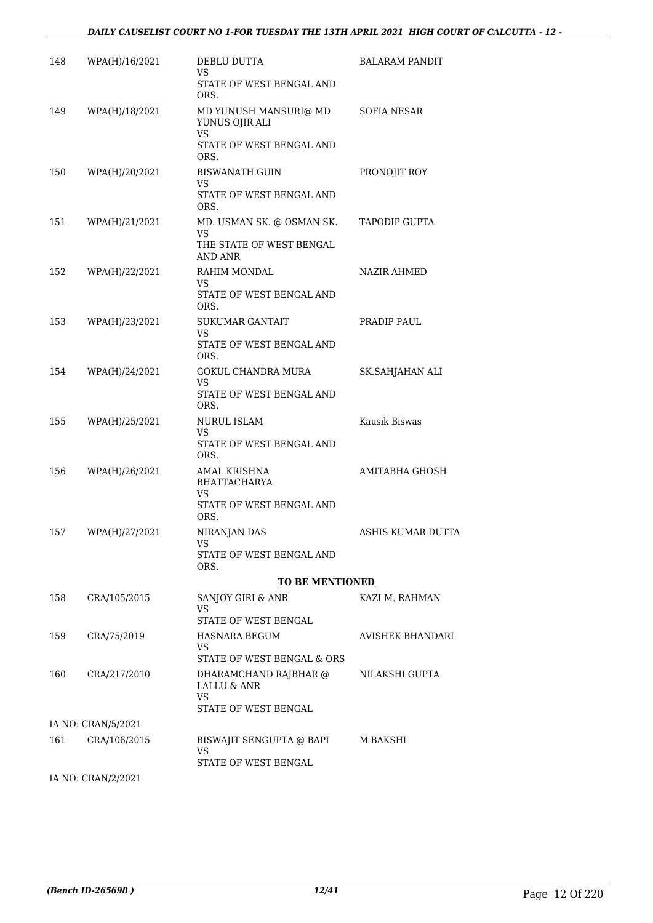| 148 | WPA(H)/16/2021     | DEBLU DUTTA<br>VS.<br>STATE OF WEST BENGAL AND             | <b>BALARAM PANDIT</b>    |
|-----|--------------------|------------------------------------------------------------|--------------------------|
|     |                    | ORS.                                                       |                          |
| 149 | WPA(H)/18/2021     | MD YUNUSH MANSURI@ MD<br>YUNUS OJIR ALI<br>VS              | <b>SOFIA NESAR</b>       |
|     |                    | STATE OF WEST BENGAL AND<br>ORS.                           |                          |
| 150 | WPA(H)/20/2021     | <b>BISWANATH GUIN</b><br><b>VS</b>                         | PRONOJIT ROY             |
|     |                    | STATE OF WEST BENGAL AND<br>ORS.                           |                          |
| 151 | WPA(H)/21/2021     | MD. USMAN SK. @ OSMAN SK.                                  | <b>TAPODIP GUPTA</b>     |
|     |                    | VS<br>THE STATE OF WEST BENGAL<br>AND ANR                  |                          |
| 152 | WPA(H)/22/2021     | RAHIM MONDAL<br>VS.                                        | <b>NAZIR AHMED</b>       |
|     |                    | STATE OF WEST BENGAL AND<br>ORS.                           |                          |
| 153 | WPA(H)/23/2021     | <b>SUKUMAR GANTAIT</b><br>VS.                              | PRADIP PAUL              |
|     |                    | STATE OF WEST BENGAL AND<br>ORS.                           |                          |
| 154 | WPA(H)/24/2021     | GOKUL CHANDRA MURA<br>VS.                                  | SK.SAHJAHAN ALI          |
|     |                    | STATE OF WEST BENGAL AND<br>ORS.                           |                          |
| 155 | WPA(H)/25/2021     | <b>NURUL ISLAM</b><br>VS.                                  | Kausik Biswas            |
|     |                    | STATE OF WEST BENGAL AND<br>ORS.                           |                          |
| 156 | WPA(H)/26/2021     | AMAL KRISHNA<br><b>BHATTACHARYA</b><br>VS                  | AMITABHA GHOSH           |
|     |                    | STATE OF WEST BENGAL AND<br>ORS.                           |                          |
| 157 | WPA(H)/27/2021     | NIRANJAN DAS                                               | <b>ASHIS KUMAR DUTTA</b> |
|     |                    | STATE OF WEST BENGAL AND<br>ORS.                           |                          |
|     |                    | <b>TO BE MENTIONED</b>                                     |                          |
| 158 | CRA/105/2015       | <b>SANJOY GIRI &amp; ANR</b><br>VS<br>STATE OF WEST BENGAL | KAZI M. RAHMAN           |
| 159 | CRA/75/2019        | HASNARA BEGUM                                              | AVISHEK BHANDARI         |
|     |                    | VS.<br>STATE OF WEST BENGAL & ORS                          |                          |
| 160 | CRA/217/2010       | DHARAMCHAND RAJBHAR @<br>LALLU & ANR                       | NILAKSHI GUPTA           |
|     |                    | <b>VS</b><br>STATE OF WEST BENGAL                          |                          |
|     | IA NO: CRAN/5/2021 |                                                            |                          |
| 161 | CRA/106/2015       | BISWAJIT SENGUPTA @ BAPI<br>VS.                            | M BAKSHI                 |
|     |                    | STATE OF WEST BENGAL                                       |                          |

IA NO: CRAN/2/2021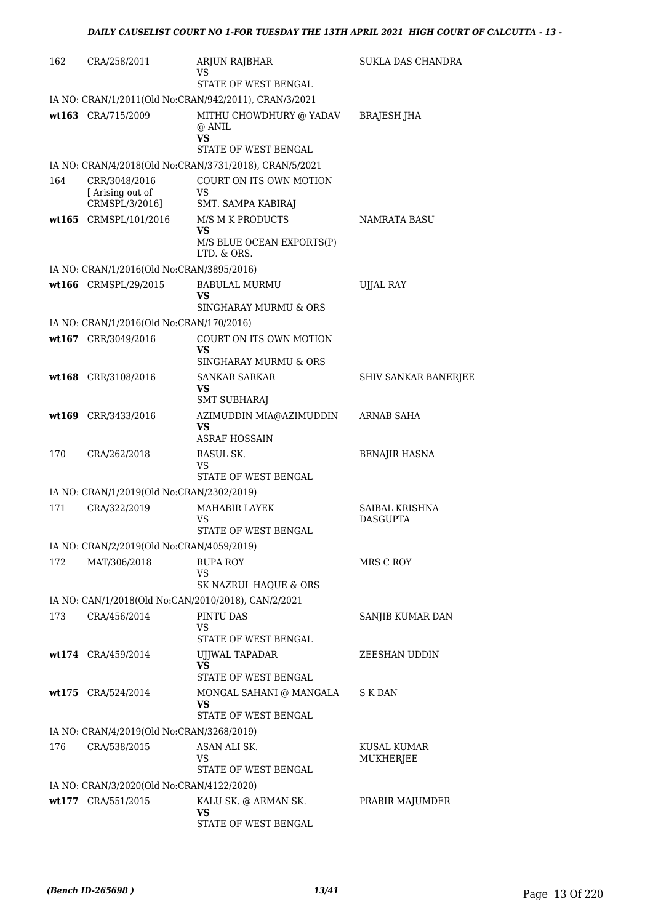| 162 | CRA/258/2011                                              | <b>ARJUN RAJBHAR</b>                                                              | <b>SUKLA DAS CHANDRA</b>    |
|-----|-----------------------------------------------------------|-----------------------------------------------------------------------------------|-----------------------------|
|     |                                                           | VS<br>STATE OF WEST BENGAL                                                        |                             |
|     |                                                           | IA NO: CRAN/1/2011(Old No:CRAN/942/2011), CRAN/3/2021                             |                             |
|     | wt163 CRA/715/2009                                        | MITHU CHOWDHURY @ YADAV                                                           | BRAJESH JHA                 |
|     |                                                           | @ ANIL<br>VS                                                                      |                             |
|     |                                                           | STATE OF WEST BENGAL                                                              |                             |
| 164 | CRR/3048/2016                                             | IA NO: CRAN/4/2018(Old No:CRAN/3731/2018), CRAN/5/2021<br>COURT ON ITS OWN MOTION |                             |
|     | [Arising out of                                           | <b>VS</b>                                                                         |                             |
|     | CRMSPL/3/2016]                                            | SMT. SAMPA KABIRAJ                                                                |                             |
|     | wt165 CRMSPL/101/2016                                     | M/S M K PRODUCTS<br><b>VS</b>                                                     | NAMRATA BASU                |
|     |                                                           | M/S BLUE OCEAN EXPORTS(P)<br>LTD. & ORS.                                          |                             |
|     | IA NO: CRAN/1/2016(Old No:CRAN/3895/2016)                 |                                                                                   |                             |
|     | wt166 CRMSPL/29/2015                                      | <b>BABULAL MURMU</b><br>VS                                                        | <b>UJJAL RAY</b>            |
|     |                                                           | SINGHARAY MURMU & ORS                                                             |                             |
|     | IA NO: CRAN/1/2016(Old No:CRAN/170/2016)                  |                                                                                   |                             |
|     | wt167 CRR/3049/2016                                       | COURT ON ITS OWN MOTION                                                           |                             |
|     |                                                           | VS<br>SINGHARAY MURMU & ORS                                                       |                             |
|     | wt168 CRR/3108/2016                                       | <b>SANKAR SARKAR</b>                                                              | <b>SHIV SANKAR BANERJEE</b> |
|     |                                                           | <b>VS</b>                                                                         |                             |
|     |                                                           | <b>SMT SUBHARAJ</b>                                                               |                             |
|     | wt169 CRR/3433/2016                                       | AZIMUDDIN MIA@AZIMUDDIN<br><b>VS</b><br><b>ASRAF HOSSAIN</b>                      | <b>ARNAB SAHA</b>           |
| 170 | CRA/262/2018                                              | RASUL SK.                                                                         | <b>BENAJIR HASNA</b>        |
|     |                                                           | VS<br>STATE OF WEST BENGAL                                                        |                             |
|     | IA NO: CRAN/1/2019(Old No:CRAN/2302/2019)                 |                                                                                   |                             |
| 171 | CRA/322/2019                                              | <b>MAHABIR LAYEK</b>                                                              | SAIBAL KRISHNA              |
|     |                                                           | VS                                                                                | <b>DASGUPTA</b>             |
|     |                                                           | STATE OF WEST BENGAL                                                              |                             |
|     | IA NO: CRAN/2/2019(Old No:CRAN/4059/2019)                 |                                                                                   |                             |
| 172 | MAT/306/2018                                              | <b>RUPA ROY</b><br>VS                                                             | MRS C ROY                   |
|     |                                                           | SK NAZRUL HAQUE & ORS                                                             |                             |
|     |                                                           | IA NO: CAN/1/2018(Old No:CAN/2010/2018), CAN/2/2021                               |                             |
| 173 | CRA/456/2014                                              | PINTU DAS                                                                         | SANJIB KUMAR DAN            |
|     |                                                           | VS<br>STATE OF WEST BENGAL                                                        |                             |
|     | wt174 CRA/459/2014                                        | UJJWAL TAPADAR                                                                    | <b>ZEESHAN UDDIN</b>        |
|     |                                                           | <b>VS</b><br>STATE OF WEST BENGAL                                                 |                             |
|     | wt175 CRA/524/2014                                        | MONGAL SAHANI @ MANGALA                                                           | S K DAN                     |
|     |                                                           | VS                                                                                |                             |
|     |                                                           | STATE OF WEST BENGAL                                                              |                             |
| 176 | IA NO: CRAN/4/2019(Old No:CRAN/3268/2019)<br>CRA/538/2015 | ASAN ALI SK.                                                                      | <b>KUSAL KUMAR</b>          |
|     |                                                           | VS                                                                                | MUKHERJEE                   |
|     |                                                           | STATE OF WEST BENGAL                                                              |                             |
|     | IA NO: CRAN/3/2020(Old No:CRAN/4122/2020)                 |                                                                                   |                             |
|     | wt177 CRA/551/2015                                        | KALU SK. @ ARMAN SK.<br><b>VS</b>                                                 | PRABIR MAJUMDER             |
|     |                                                           | STATE OF WEST BENGAL                                                              |                             |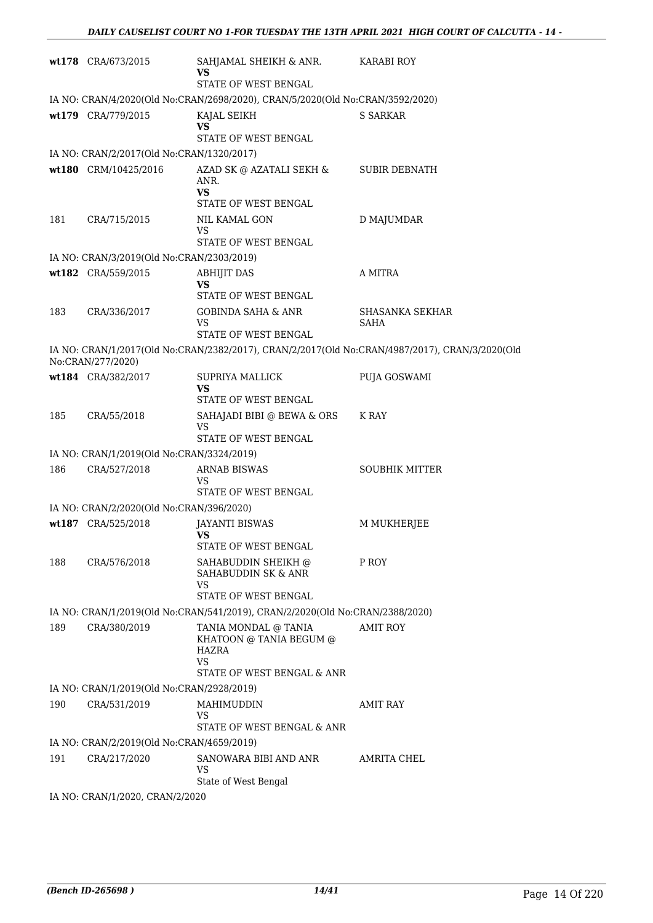|     | wt178 CRA/673/2015                        | SAHJAMAL SHEIKH & ANR.<br>VS<br><b>STATE OF WEST BENGAL</b>                   | KARABI ROY                                                                                     |
|-----|-------------------------------------------|-------------------------------------------------------------------------------|------------------------------------------------------------------------------------------------|
|     |                                           | IA NO: CRAN/4/2020(Old No:CRAN/2698/2020), CRAN/5/2020(Old No:CRAN/3592/2020) |                                                                                                |
|     | wt179 CRA/779/2015                        | KAJAL SEIKH<br>VS<br>STATE OF WEST BENGAL                                     | <b>S SARKAR</b>                                                                                |
|     | IA NO: CRAN/2/2017(Old No:CRAN/1320/2017) |                                                                               |                                                                                                |
|     | wt180 CRM/10425/2016                      | AZAD SK @ AZATALI SEKH &<br>ANR.<br><b>VS</b>                                 | <b>SUBIR DEBNATH</b>                                                                           |
|     |                                           | STATE OF WEST BENGAL                                                          |                                                                                                |
| 181 | CRA/715/2015                              | NIL KAMAL GON<br>VS<br>STATE OF WEST BENGAL                                   | D MAJUMDAR                                                                                     |
|     | IA NO: CRAN/3/2019(Old No:CRAN/2303/2019) |                                                                               |                                                                                                |
|     | wt182 CRA/559/2015                        | <b>ABHIJIT DAS</b><br>VS                                                      | A MITRA                                                                                        |
|     |                                           | STATE OF WEST BENGAL                                                          |                                                                                                |
| 183 | CRA/336/2017                              | <b>GOBINDA SAHA &amp; ANR</b><br>VS<br>STATE OF WEST BENGAL                   | SHASANKA SEKHAR<br><b>SAHA</b>                                                                 |
|     | No:CRAN/277/2020)                         |                                                                               | IA NO: CRAN/1/2017(Old No:CRAN/2382/2017), CRAN/2/2017(Old No:CRAN/4987/2017), CRAN/3/2020(Old |
|     | wt184 CRA/382/2017                        | SUPRIYA MALLICK<br>VS<br>STATE OF WEST BENGAL                                 | PUJA GOSWAMI                                                                                   |
| 185 | CRA/55/2018                               | SAHAJADI BIBI @ BEWA & ORS<br>VS<br>STATE OF WEST BENGAL                      | K RAY                                                                                          |
|     | IA NO: CRAN/1/2019(Old No:CRAN/3324/2019) |                                                                               |                                                                                                |
| 186 | CRA/527/2018                              | <b>ARNAB BISWAS</b><br>VS                                                     | <b>SOUBHIK MITTER</b>                                                                          |
|     | IA NO: CRAN/2/2020(Old No:CRAN/396/2020)  | STATE OF WEST BENGAL                                                          |                                                                                                |
|     | wt187 CRA/525/2018                        | <b>JAYANTI BISWAS</b>                                                         | M MUKHERJEE                                                                                    |
|     |                                           | VS<br>STATE OF WEST BENGAL                                                    |                                                                                                |
| 188 | CRA/576/2018                              | SAHABUDDIN SHEIKH @<br>SAHABUDDIN SK & ANR<br>VS                              | P ROY                                                                                          |
|     |                                           | STATE OF WEST BENGAL                                                          |                                                                                                |
|     |                                           | IA NO: CRAN/1/2019(Old No:CRAN/541/2019), CRAN/2/2020(Old No:CRAN/2388/2020)  |                                                                                                |
| 189 | CRA/380/2019                              | TANIA MONDAL @ TANIA<br>KHATOON @ TANIA BEGUM @<br>HAZRA<br>VS                | <b>AMIT ROY</b>                                                                                |
|     |                                           | STATE OF WEST BENGAL & ANR                                                    |                                                                                                |
|     | IA NO: CRAN/1/2019(Old No:CRAN/2928/2019) |                                                                               |                                                                                                |
| 190 | CRA/531/2019                              | MAHIMUDDIN<br>VS<br>STATE OF WEST BENGAL & ANR                                | AMIT RAY                                                                                       |
|     | IA NO: CRAN/2/2019(Old No:CRAN/4659/2019) |                                                                               |                                                                                                |
| 191 | CRA/217/2020                              | SANOWARA BIBI AND ANR<br>VS<br>State of West Bengal                           | AMRITA CHEL                                                                                    |
|     | IA NO: CRAN/1/2020, CRAN/2/2020           |                                                                               |                                                                                                |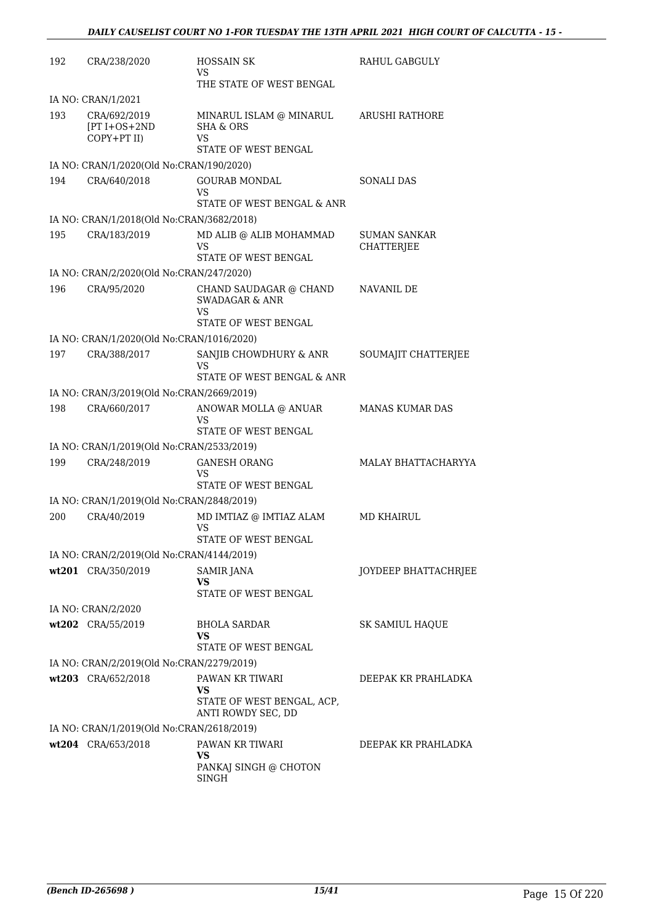| 192 | CRA/238/2020                                       | <b>HOSSAIN SK</b><br>VS                                    | RAHUL GABGULY                            |
|-----|----------------------------------------------------|------------------------------------------------------------|------------------------------------------|
|     |                                                    | THE STATE OF WEST BENGAL                                   |                                          |
|     | IA NO: CRAN/1/2021                                 |                                                            |                                          |
| 193 | CRA/692/2019<br>$[PT I + OS + 2ND]$<br>COPY+PT II) | MINARUL ISLAM @ MINARUL<br><b>SHA &amp; ORS</b><br>VS      | <b>ARUSHI RATHORE</b>                    |
|     |                                                    | STATE OF WEST BENGAL                                       |                                          |
|     | IA NO: CRAN/1/2020(Old No:CRAN/190/2020)           |                                                            |                                          |
| 194 | CRA/640/2018                                       | <b>GOURAB MONDAL</b><br>VS<br>STATE OF WEST BENGAL & ANR   | <b>SONALI DAS</b>                        |
|     | IA NO: CRAN/1/2018(Old No:CRAN/3682/2018)          |                                                            |                                          |
| 195 | CRA/183/2019                                       | MD ALIB @ ALIB MOHAMMAD<br>VS<br>STATE OF WEST BENGAL      | <b>SUMAN SANKAR</b><br><b>CHATTERJEE</b> |
|     | IA NO: CRAN/2/2020(Old No:CRAN/247/2020)           |                                                            |                                          |
| 196 | CRA/95/2020                                        | CHAND SAUDAGAR @ CHAND<br><b>SWADAGAR &amp; ANR</b><br>VS  | NAVANIL DE                               |
|     |                                                    | STATE OF WEST BENGAL                                       |                                          |
|     | IA NO: CRAN/1/2020(Old No:CRAN/1016/2020)          |                                                            |                                          |
| 197 | CRA/388/2017                                       | SANJIB CHOWDHURY & ANR<br>VS<br>STATE OF WEST BENGAL & ANR | SOUMAJIT CHATTERJEE                      |
|     | IA NO: CRAN/3/2019(Old No:CRAN/2669/2019)          |                                                            |                                          |
| 198 | CRA/660/2017                                       | ANOWAR MOLLA @ ANUAR                                       | <b>MANAS KUMAR DAS</b>                   |
|     |                                                    | VS<br>STATE OF WEST BENGAL                                 |                                          |
|     | IA NO: CRAN/1/2019(Old No:CRAN/2533/2019)          |                                                            |                                          |
| 199 | CRA/248/2019                                       | <b>GANESH ORANG</b><br>VS<br>STATE OF WEST BENGAL          | MALAY BHATTACHARYYA                      |
|     | IA NO: CRAN/1/2019(Old No:CRAN/2848/2019)          |                                                            |                                          |
| 200 | CRA/40/2019                                        | MD IMTIAZ @ IMTIAZ ALAM                                    | <b>MD KHAIRUL</b>                        |
|     |                                                    | <b>VS</b><br>STATE OF WEST BENGAL                          |                                          |
|     | IA NO: CRAN/2/2019(Old No:CRAN/4144/2019)          |                                                            |                                          |
|     | wt201 CRA/350/2019                                 | SAMIR JANA<br>VS<br>STATE OF WEST BENGAL                   | JOYDEEP BHATTACHRJEE                     |
|     |                                                    |                                                            |                                          |
|     | IA NO: CRAN/2/2020                                 |                                                            |                                          |
|     | wt202 CRA/55/2019                                  | BHOLA SARDAR<br>VS<br>STATE OF WEST BENGAL                 | SK SAMIUL HAQUE                          |
|     | IA NO: CRAN/2/2019(Old No:CRAN/2279/2019)          |                                                            |                                          |
|     | wt203 CRA/652/2018                                 | PAWAN KR TIWARI<br>VS                                      | DEEPAK KR PRAHLADKA                      |
|     |                                                    | STATE OF WEST BENGAL, ACP,<br>ANTI ROWDY SEC, DD           |                                          |
|     | IA NO: CRAN/1/2019(Old No:CRAN/2618/2019)          |                                                            |                                          |
|     | wt204 CRA/653/2018                                 | PAWAN KR TIWARI<br>VS                                      | DEEPAK KR PRAHLADKA                      |
|     |                                                    | PANKAJ SINGH @ CHOTON<br>SINGH                             |                                          |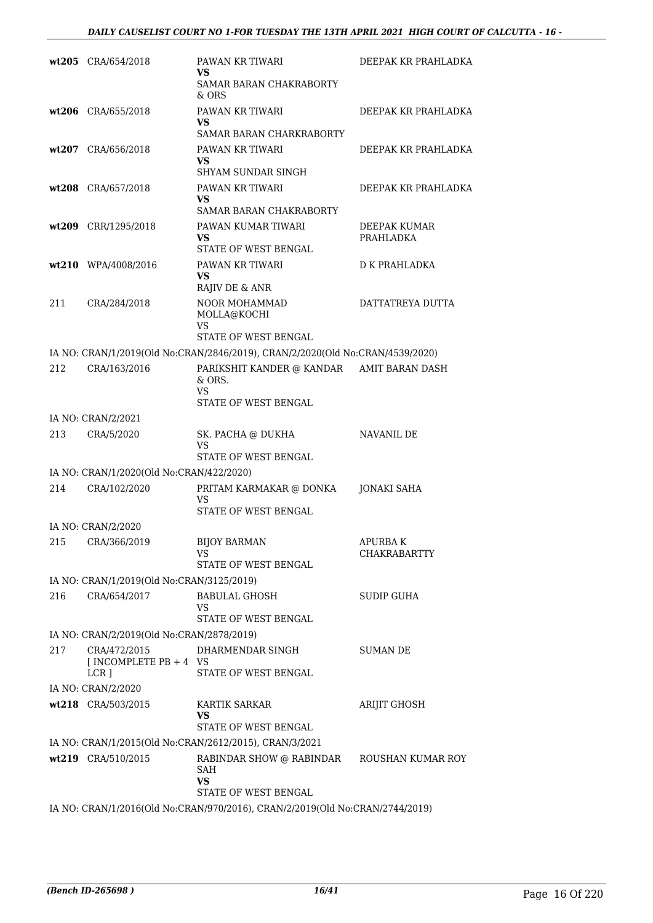|     | wt205 CRA/654/2018                                         | PAWAN KR TIWARI<br>VS<br>SAMAR BARAN CHAKRABORTY<br>& ORS                                            | DEEPAK KR PRAHLADKA            |
|-----|------------------------------------------------------------|------------------------------------------------------------------------------------------------------|--------------------------------|
|     | wt206 CRA/655/2018                                         | PAWAN KR TIWARI<br>VS<br>SAMAR BARAN CHARKRABORTY                                                    | DEEPAK KR PRAHLADKA            |
|     | wt207 CRA/656/2018                                         | PAWAN KR TIWARI<br>VS<br>SHYAM SUNDAR SINGH                                                          | DEEPAK KR PRAHLADKA            |
|     | wt208 CRA/657/2018                                         | PAWAN KR TIWARI<br>VS.<br>SAMAR BARAN CHAKRABORTY                                                    | DEEPAK KR PRAHLADKA            |
|     | wt209 CRR/1295/2018                                        | PAWAN KUMAR TIWARI<br>VS<br>STATE OF WEST BENGAL                                                     | DEEPAK KUMAR<br>PRAHLADKA      |
|     | wt210 WPA/4008/2016                                        | PAWAN KR TIWARI<br>VS<br>RAJIV DE & ANR                                                              | <b>D K PRAHLADKA</b>           |
| 211 | CRA/284/2018                                               | NOOR MOHAMMAD<br>MOLLA@KOCHI<br><b>VS</b><br>STATE OF WEST BENGAL                                    | DATTATREYA DUTTA               |
|     |                                                            | IA NO: CRAN/1/2019(Old No:CRAN/2846/2019), CRAN/2/2020(Old No:CRAN/4539/2020)                        |                                |
| 212 | CRA/163/2016                                               | PARIKSHIT KANDER @ KANDAR AMIT BARAN DASH<br>& ORS.<br>VS.<br>STATE OF WEST BENGAL                   |                                |
|     | IA NO: CRAN/2/2021                                         |                                                                                                      |                                |
| 213 | CRA/5/2020                                                 | SK. PACHA @ DUKHA<br>VS<br>STATE OF WEST BENGAL                                                      | <b>NAVANIL DE</b>              |
|     | IA NO: CRAN/1/2020(Old No:CRAN/422/2020)                   |                                                                                                      |                                |
| 214 | CRA/102/2020                                               | PRITAM KARMAKAR @ DONKA<br>VS<br>STATE OF WEST BENGAL                                                | JONAKI SAHA                    |
|     | IA NO: CRAN/2/2020                                         |                                                                                                      |                                |
|     | 215 CRA/366/2019                                           | <b>BIJOY BARMAN</b><br>VS<br>STATE OF WEST BENGAL                                                    | <b>APURBAK</b><br>CHAKRABARTTY |
|     | IA NO: CRAN/1/2019(Old No:CRAN/3125/2019)                  |                                                                                                      |                                |
| 216 | CRA/654/2017                                               | <b>BABULAL GHOSH</b><br>VS<br>STATE OF WEST BENGAL                                                   | SUDIP GUHA                     |
|     | IA NO: CRAN/2/2019(Old No:CRAN/2878/2019)                  |                                                                                                      |                                |
| 217 | CRA/472/2015<br>$INCOMPLETE PB + 4 VS$<br>LCR <sub>1</sub> | DHARMENDAR SINGH<br>STATE OF WEST BENGAL                                                             | <b>SUMAN DE</b>                |
|     | IA NO: CRAN/2/2020                                         |                                                                                                      |                                |
|     | wt218 CRA/503/2015                                         | <b>KARTIK SARKAR</b><br>VS<br>STATE OF WEST BENGAL                                                   | ARIJIT GHOSH                   |
|     |                                                            | IA NO: CRAN/1/2015(Old No:CRAN/2612/2015), CRAN/3/2021                                               |                                |
|     | wt219 CRA/510/2015                                         | RABINDAR SHOW @ RABINDAR ROUSHAN KUMAR ROY<br>SAH<br>VS                                              |                                |
|     |                                                            | STATE OF WEST BENGAL<br>IA NO: CRAN/1/2016(Old No:CRAN/970/2016), CRAN/2/2019(Old No:CRAN/2744/2019) |                                |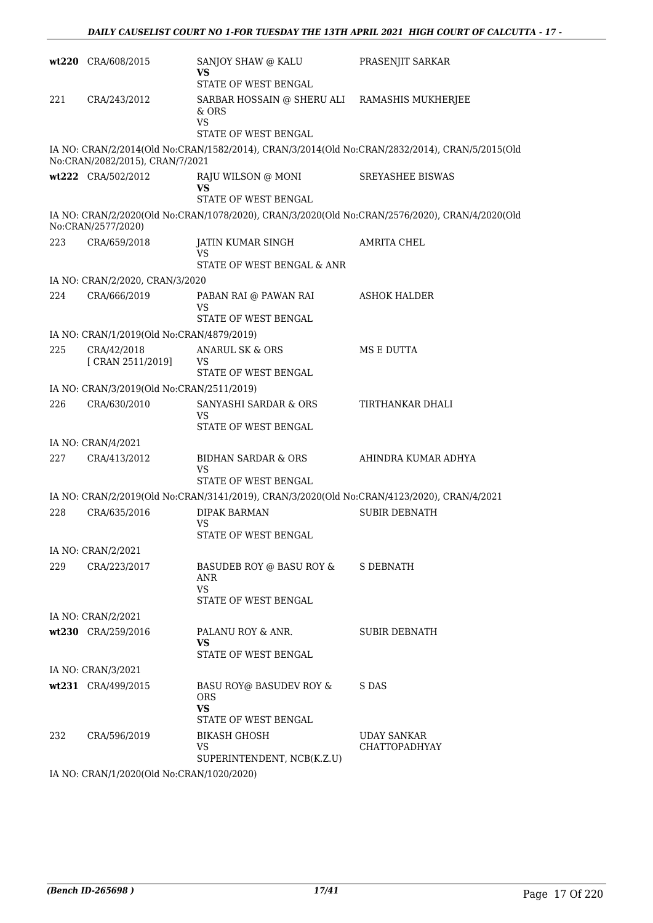|     | wt220 CRA/608/2015                        | SANJOY SHAW @ KALU<br>VS                                                                   | PRASENJIT SARKAR                                                                               |
|-----|-------------------------------------------|--------------------------------------------------------------------------------------------|------------------------------------------------------------------------------------------------|
| 221 | CRA/243/2012                              | STATE OF WEST BENGAL<br>SARBAR HOSSAIN @ SHERU ALI RAMASHIS MUKHERJEE                      |                                                                                                |
|     |                                           | & ORS<br><b>VS</b>                                                                         |                                                                                                |
|     |                                           | STATE OF WEST BENGAL                                                                       |                                                                                                |
|     | No:CRAN/2082/2015), CRAN/7/2021           |                                                                                            | IA NO: CRAN/2/2014(Old No:CRAN/1582/2014), CRAN/3/2014(Old No:CRAN/2832/2014), CRAN/5/2015(Old |
|     | wt222 CRA/502/2012                        | RAJU WILSON @ MONI<br>VS.                                                                  | <b>SREYASHEE BISWAS</b>                                                                        |
|     |                                           | <b>STATE OF WEST BENGAL</b>                                                                |                                                                                                |
|     | No:CRAN/2577/2020)                        |                                                                                            | IA NO: CRAN/2/2020(Old No:CRAN/1078/2020), CRAN/3/2020(Old No:CRAN/2576/2020), CRAN/4/2020(Old |
| 223 | CRA/659/2018                              | JATIN KUMAR SINGH<br><b>VS</b>                                                             | AMRITA CHEL                                                                                    |
|     |                                           | STATE OF WEST BENGAL & ANR                                                                 |                                                                                                |
|     | IA NO: CRAN/2/2020, CRAN/3/2020           |                                                                                            |                                                                                                |
| 224 | CRA/666/2019                              | PABAN RAI @ PAWAN RAI<br>VS                                                                | <b>ASHOK HALDER</b>                                                                            |
|     |                                           | STATE OF WEST BENGAL                                                                       |                                                                                                |
|     | IA NO: CRAN/1/2019(Old No:CRAN/4879/2019) |                                                                                            |                                                                                                |
| 225 | CRA/42/2018<br>[ CRAN 2511/2019]          | ANARUL SK & ORS<br>VS                                                                      | MS E DUTTA                                                                                     |
|     |                                           | STATE OF WEST BENGAL                                                                       |                                                                                                |
|     | IA NO: CRAN/3/2019(Old No:CRAN/2511/2019) |                                                                                            |                                                                                                |
| 226 | CRA/630/2010                              | SANYASHI SARDAR & ORS<br>VS<br>STATE OF WEST BENGAL                                        | TIRTHANKAR DHALI                                                                               |
|     | IA NO: CRAN/4/2021                        |                                                                                            |                                                                                                |
| 227 | CRA/413/2012                              | BIDHAN SARDAR & ORS                                                                        | AHINDRA KUMAR ADHYA                                                                            |
|     |                                           | VS<br>STATE OF WEST BENGAL                                                                 |                                                                                                |
|     |                                           | IA NO: CRAN/2/2019(Old No:CRAN/3141/2019), CRAN/3/2020(Old No:CRAN/4123/2020), CRAN/4/2021 |                                                                                                |
| 228 | CRA/635/2016                              | <b>DIPAK BARMAN</b>                                                                        | <b>SUBIR DEBNATH</b>                                                                           |
|     |                                           | VS<br>STATE OF WEST BENGAL                                                                 |                                                                                                |
|     | IA NO: CRAN/2/2021                        |                                                                                            |                                                                                                |
| 229 | CRA/223/2017                              | BASUDEB ROY @ BASU ROY &<br>ANR<br><b>VS</b><br>STATE OF WEST BENGAL                       | S DEBNATH                                                                                      |
|     | IA NO: CRAN/2/2021                        |                                                                                            |                                                                                                |
|     | wt230 CRA/259/2016                        | PALANU ROY & ANR.                                                                          | <b>SUBIR DEBNATH</b>                                                                           |
|     |                                           | VS.<br>STATE OF WEST BENGAL                                                                |                                                                                                |
|     | IA NO: CRAN/3/2021                        |                                                                                            |                                                                                                |
|     | wt231 CRA/499/2015                        | BASU ROY@ BASUDEV ROY &<br><b>ORS</b><br><b>VS</b>                                         | S DAS                                                                                          |
|     |                                           | STATE OF WEST BENGAL                                                                       |                                                                                                |
| 232 | CRA/596/2019                              | <b>BIKASH GHOSH</b><br>VS                                                                  | UDAY SANKAR<br><b>CHATTOPADHYAY</b>                                                            |
|     | IA NO: CRANI1/2020(Old No:CRANI1020/2020) | SUPERINTENDENT, NCB(K.Z.U)                                                                 |                                                                                                |

IA NO: CRAN/1/2020(Old No:CRAN/1020/2020)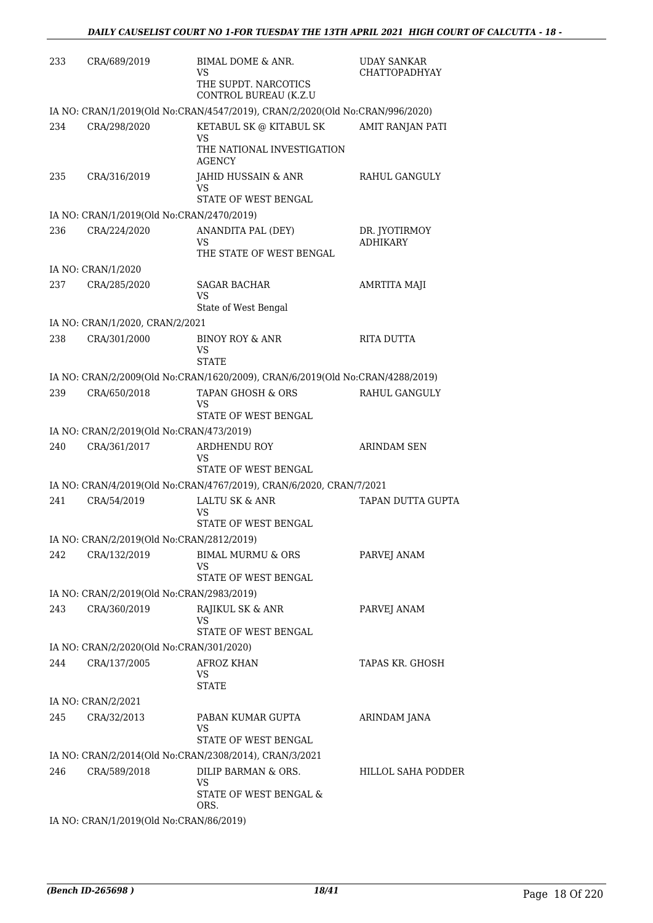| 233 | CRA/689/2019                              | BIMAL DOME & ANR.<br>VS<br>THE SUPDT. NARCOTICS<br>CONTROL BUREAU (K.Z.U      | <b>UDAY SANKAR</b><br><b>CHATTOPADHYAY</b> |
|-----|-------------------------------------------|-------------------------------------------------------------------------------|--------------------------------------------|
|     |                                           | IA NO: CRAN/1/2019(Old No:CRAN/4547/2019), CRAN/2/2020(Old No:CRAN/996/2020)  |                                            |
| 234 | CRA/298/2020                              | KETABUL SK @ KITABUL SK<br>VS<br>THE NATIONAL INVESTIGATION                   | AMIT RANJAN PATI                           |
| 235 | CRA/316/2019                              | <b>AGENCY</b><br>JAHID HUSSAIN & ANR<br>VS.<br>STATE OF WEST BENGAL           | RAHUL GANGULY                              |
|     | IA NO: CRAN/1/2019(Old No:CRAN/2470/2019) |                                                                               |                                            |
| 236 | CRA/224/2020                              | ANANDITA PAL (DEY)<br>VS<br>THE STATE OF WEST BENGAL                          | DR. JYOTIRMOY<br><b>ADHIKARY</b>           |
|     | IA NO: CRAN/1/2020                        |                                                                               |                                            |
| 237 | CRA/285/2020                              | <b>SAGAR BACHAR</b><br>VS<br>State of West Bengal                             | AMRTITA MAJI                               |
|     | IA NO: CRAN/1/2020, CRAN/2/2021           |                                                                               |                                            |
| 238 | CRA/301/2000                              | <b>BINOY ROY &amp; ANR</b><br>VS<br><b>STATE</b>                              | RITA DUTTA                                 |
|     |                                           | IA NO: CRAN/2/2009(Old No:CRAN/1620/2009), CRAN/6/2019(Old No:CRAN/4288/2019) |                                            |
| 239 | CRA/650/2018                              | TAPAN GHOSH & ORS<br>VS<br>STATE OF WEST BENGAL                               | RAHUL GANGULY                              |
|     | IA NO: CRAN/2/2019(Old No:CRAN/473/2019)  |                                                                               |                                            |
| 240 | CRA/361/2017                              | ARDHENDU ROY<br>VS<br>STATE OF WEST BENGAL                                    | <b>ARINDAM SEN</b>                         |
|     |                                           | IA NO: CRAN/4/2019(Old No:CRAN/4767/2019), CRAN/6/2020, CRAN/7/2021           |                                            |
| 241 | CRA/54/2019                               | LALTU SK & ANR<br>VS<br>STATE OF WEST BENGAL                                  | TAPAN DUTTA GUPTA                          |
|     | IA NO: CRAN/2/2019(Old No:CRAN/2812/2019) |                                                                               |                                            |
| 242 | CRA/132/2019                              | <b>BIMAL MURMU &amp; ORS</b><br>VS<br>STATE OF WEST BENGAL                    | PARVEJ ANAM                                |
|     | IA NO: CRAN/2/2019(Old No:CRAN/2983/2019) |                                                                               |                                            |
| 243 | CRA/360/2019                              | RAJIKUL SK & ANR<br>VS<br>STATE OF WEST BENGAL                                | PARVEJ ANAM                                |
|     | IA NO: CRAN/2/2020(Old No:CRAN/301/2020)  |                                                                               |                                            |
| 244 | CRA/137/2005                              | <b>AFROZ KHAN</b><br>VS.<br><b>STATE</b>                                      | TAPAS KR. GHOSH                            |
|     | IA NO: CRAN/2/2021                        |                                                                               |                                            |
| 245 | CRA/32/2013                               | PABAN KUMAR GUPTA<br>VS<br>STATE OF WEST BENGAL                               | ARINDAM JANA                               |
|     |                                           | IA NO: CRAN/2/2014(Old No:CRAN/2308/2014), CRAN/3/2021                        |                                            |
| 246 | CRA/589/2018                              | DILIP BARMAN & ORS.<br>VS<br>STATE OF WEST BENGAL &<br>ORS.                   | <b>HILLOL SAHA PODDER</b>                  |
|     | IA NO: CRAN/1/2019(Old No:CRAN/86/2019)   |                                                                               |                                            |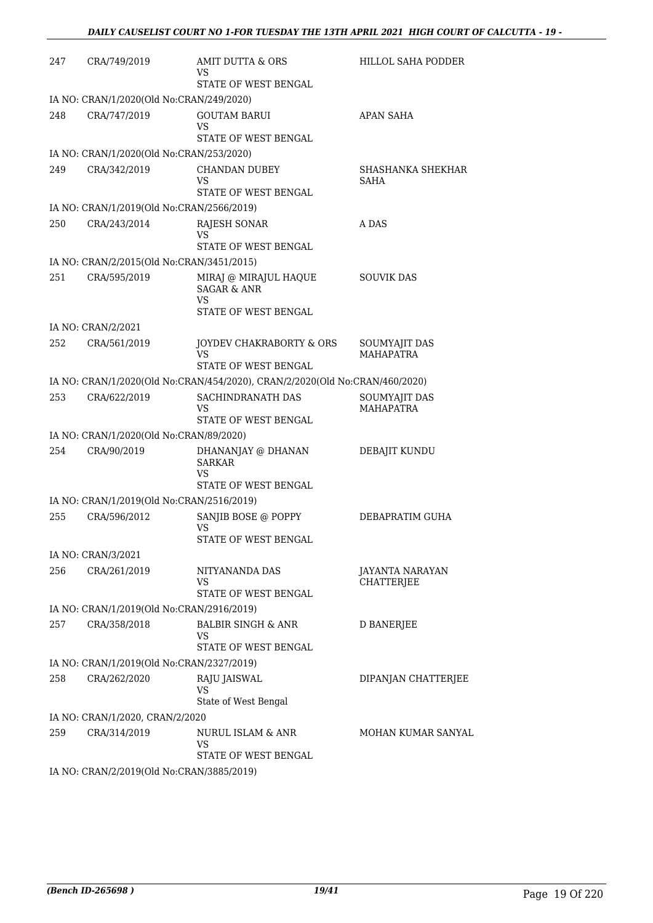| 247 | CRA/749/2019                                    | AMIT DUTTA & ORS<br>VS                                                         | HILLOL SAHA PODDER                   |
|-----|-------------------------------------------------|--------------------------------------------------------------------------------|--------------------------------------|
|     |                                                 | STATE OF WEST BENGAL                                                           |                                      |
|     | IA NO: CRAN/1/2020(Old No:CRAN/249/2020)        |                                                                                |                                      |
| 248 | CRA/747/2019                                    | <b>GOUTAM BARUI</b><br>VS.<br>STATE OF WEST BENGAL                             | <b>APAN SAHA</b>                     |
|     | IA NO: CRAN/1/2020(Old No:CRAN/253/2020)        |                                                                                |                                      |
| 249 | CRA/342/2019                                    | <b>CHANDAN DUBEY</b><br>VS<br>STATE OF WEST BENGAL                             | SHASHANKA SHEKHAR<br>SAHA            |
|     | IA NO: CRAN/1/2019(Old No:CRAN/2566/2019)       |                                                                                |                                      |
| 250 | CRA/243/2014                                    | RAJESH SONAR                                                                   | A DAS                                |
|     |                                                 | VS<br>STATE OF WEST BENGAL                                                     |                                      |
|     | IA NO: CRAN/2/2015(Old No:CRAN/3451/2015)       |                                                                                |                                      |
| 251 | CRA/595/2019                                    | MIRAJ @ MIRAJUL HAQUE<br><b>SAGAR &amp; ANR</b><br>VS.<br>STATE OF WEST BENGAL | <b>SOUVIK DAS</b>                    |
|     | IA NO: CRAN/2/2021                              |                                                                                |                                      |
| 252 | CRA/561/2019                                    | JOYDEV CHAKRABORTY & ORS<br>VS<br>STATE OF WEST BENGAL                         | SOUMYAJIT DAS<br><b>MAHAPATRA</b>    |
|     |                                                 | IA NO: CRAN/1/2020(Old No:CRAN/454/2020), CRAN/2/2020(Old No:CRAN/460/2020)    |                                      |
| 253 | CRA/622/2019                                    | SACHINDRANATH DAS<br>VS<br>STATE OF WEST BENGAL                                | SOUMYAJIT DAS<br><b>MAHAPATRA</b>    |
|     | IA NO: CRAN/1/2020(Old No:CRAN/89/2020)         |                                                                                |                                      |
| 254 | CRA/90/2019                                     | DHANANJAY @ DHANAN                                                             | DEBAJIT KUNDU                        |
|     |                                                 | <b>SARKAR</b><br>VS                                                            |                                      |
|     |                                                 | STATE OF WEST BENGAL                                                           |                                      |
|     | IA NO: CRAN/1/2019(Old No:CRAN/2516/2019)       |                                                                                |                                      |
| 255 | CRA/596/2012                                    | SANJIB BOSE @ POPPY<br>VS.<br>STATE OF WEST BENGAL                             | DEBAPRATIM GUHA                      |
|     | IA NO: CRAN/3/2021                              |                                                                                |                                      |
| 256 | CRA/261/2019                                    | NITYANANDA DAS<br>VS<br>STATE OF WEST BENGAL                                   | <b>JAYANTA NARAYAN</b><br>CHATTERJEE |
|     | IA NO: CRAN/1/2019(Old No:CRAN/2916/2019)       |                                                                                |                                      |
| 257 | CRA/358/2018                                    | <b>BALBIR SINGH &amp; ANR</b>                                                  | D BANERJEE                           |
|     |                                                 | VS<br>STATE OF WEST BENGAL                                                     |                                      |
|     | IA NO: CRAN/1/2019(Old No:CRAN/2327/2019)       |                                                                                |                                      |
| 258 | CRA/262/2020                                    | RAJU JAISWAL<br>VS                                                             | DIPANJAN CHATTERJEE                  |
|     |                                                 | State of West Bengal                                                           |                                      |
| 259 | IA NO: CRAN/1/2020, CRAN/2/2020<br>CRA/314/2019 | NURUL ISLAM & ANR<br>VS                                                        | MOHAN KUMAR SANYAL                   |
|     |                                                 | STATE OF WEST BENGAL                                                           |                                      |
|     | IA NO: CRAN/2/2019(Old No:CRAN/3885/2019)       |                                                                                |                                      |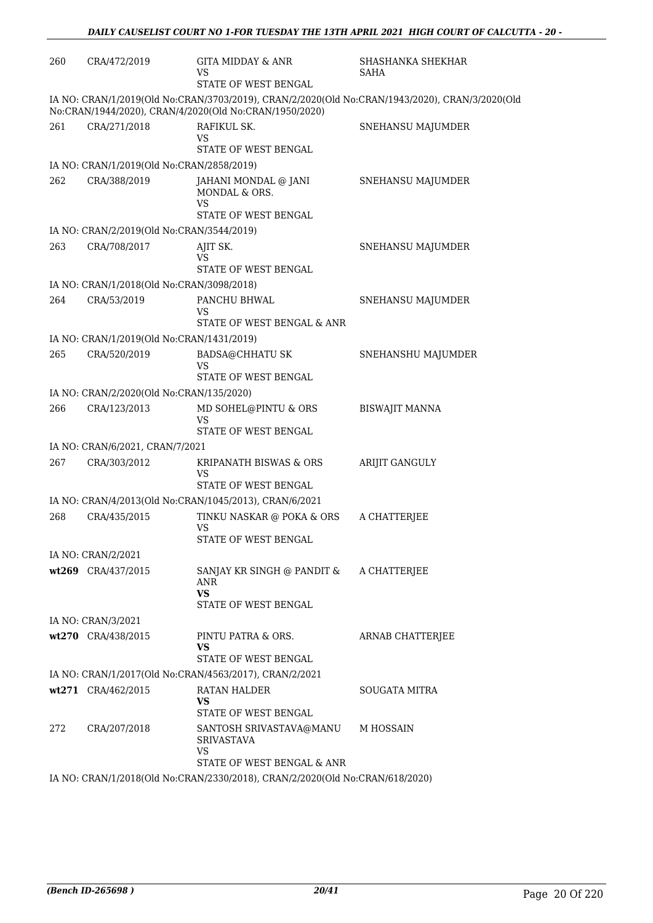| 260 | CRA/472/2019                                                                 | <b>GITA MIDDAY &amp; ANR</b><br>VS<br>STATE OF WEST BENGAL                       | SHASHANKA SHEKHAR<br>SAHA                                                                      |  |  |
|-----|------------------------------------------------------------------------------|----------------------------------------------------------------------------------|------------------------------------------------------------------------------------------------|--|--|
|     |                                                                              | No:CRAN/1944/2020), CRAN/4/2020(Old No:CRAN/1950/2020)                           | IA NO: CRAN/1/2019(Old No:CRAN/3703/2019), CRAN/2/2020(Old No:CRAN/1943/2020), CRAN/3/2020(Old |  |  |
| 261 | CRA/271/2018                                                                 | RAFIKUL SK.<br>VS<br>STATE OF WEST BENGAL                                        | SNEHANSU MAJUMDER                                                                              |  |  |
|     | IA NO: CRAN/1/2019(Old No:CRAN/2858/2019)                                    |                                                                                  |                                                                                                |  |  |
| 262 | CRA/388/2019                                                                 | JAHANI MONDAL @ JANI<br>MONDAL & ORS.<br><b>VS</b>                               | SNEHANSU MAJUMDER                                                                              |  |  |
|     |                                                                              | STATE OF WEST BENGAL                                                             |                                                                                                |  |  |
|     | IA NO: CRAN/2/2019(Old No:CRAN/3544/2019)                                    |                                                                                  |                                                                                                |  |  |
| 263 | CRA/708/2017                                                                 | AJIT SK.<br>VS<br>STATE OF WEST BENGAL                                           | SNEHANSU MAJUMDER                                                                              |  |  |
|     | IA NO: CRAN/1/2018(Old No:CRAN/3098/2018)                                    |                                                                                  |                                                                                                |  |  |
| 264 | CRA/53/2019                                                                  | PANCHU BHWAL                                                                     | SNEHANSU MAJUMDER                                                                              |  |  |
|     |                                                                              | VS<br>STATE OF WEST BENGAL & ANR                                                 |                                                                                                |  |  |
|     | IA NO: CRAN/1/2019(Old No:CRAN/1431/2019)                                    |                                                                                  |                                                                                                |  |  |
| 265 | CRA/520/2019                                                                 | <b>BADSA@CHHATU SK</b><br>VS<br>STATE OF WEST BENGAL                             | SNEHANSHU MAJUMDER                                                                             |  |  |
|     | IA NO: CRAN/2/2020(Old No:CRAN/135/2020)                                     |                                                                                  |                                                                                                |  |  |
| 266 | CRA/123/2013                                                                 | MD SOHEL@PINTU & ORS<br><b>VS</b>                                                | <b>BISWAJIT MANNA</b>                                                                          |  |  |
|     |                                                                              | STATE OF WEST BENGAL                                                             |                                                                                                |  |  |
| 267 | IA NO: CRAN/6/2021, CRAN/7/2021<br>CRA/303/2012                              | KRIPANATH BISWAS & ORS                                                           | ARIJIT GANGULY                                                                                 |  |  |
|     |                                                                              | VS<br>STATE OF WEST BENGAL                                                       |                                                                                                |  |  |
|     |                                                                              | IA NO: CRAN/4/2013(Old No:CRAN/1045/2013), CRAN/6/2021                           |                                                                                                |  |  |
| 268 | CRA/435/2015                                                                 | TINKU NASKAR @ POKA & ORS<br>VS<br>STATE OF WEST BENGAL                          | A CHATTERJEE                                                                                   |  |  |
|     | IA NO: CRAN/2/2021                                                           |                                                                                  |                                                                                                |  |  |
|     | wt269 CRA/437/2015                                                           | SANJAY KR SINGH @ PANDIT & A CHATTERJEE<br>ANR<br>VS<br>STATE OF WEST BENGAL     |                                                                                                |  |  |
|     | IA NO: CRAN/3/2021                                                           |                                                                                  |                                                                                                |  |  |
|     | wt270 CRA/438/2015                                                           | PINTU PATRA & ORS.<br>VS<br>STATE OF WEST BENGAL                                 | ARNAB CHATTERJEE                                                                               |  |  |
|     |                                                                              | IA NO: CRAN/1/2017(Old No:CRAN/4563/2017), CRAN/2/2021                           |                                                                                                |  |  |
|     | wt271 CRA/462/2015                                                           | RATAN HALDER                                                                     | SOUGATA MITRA                                                                                  |  |  |
|     |                                                                              | VS<br>STATE OF WEST BENGAL                                                       |                                                                                                |  |  |
| 272 | CRA/207/2018                                                                 | SANTOSH SRIVASTAVA@MANU<br><b>SRIVASTAVA</b><br>VS<br>STATE OF WEST BENGAL & ANR | M HOSSAIN                                                                                      |  |  |
|     | IA NO: CRAN/1/2018(Old No:CRAN/2330/2018), CRAN/2/2020(Old No:CRAN/618/2020) |                                                                                  |                                                                                                |  |  |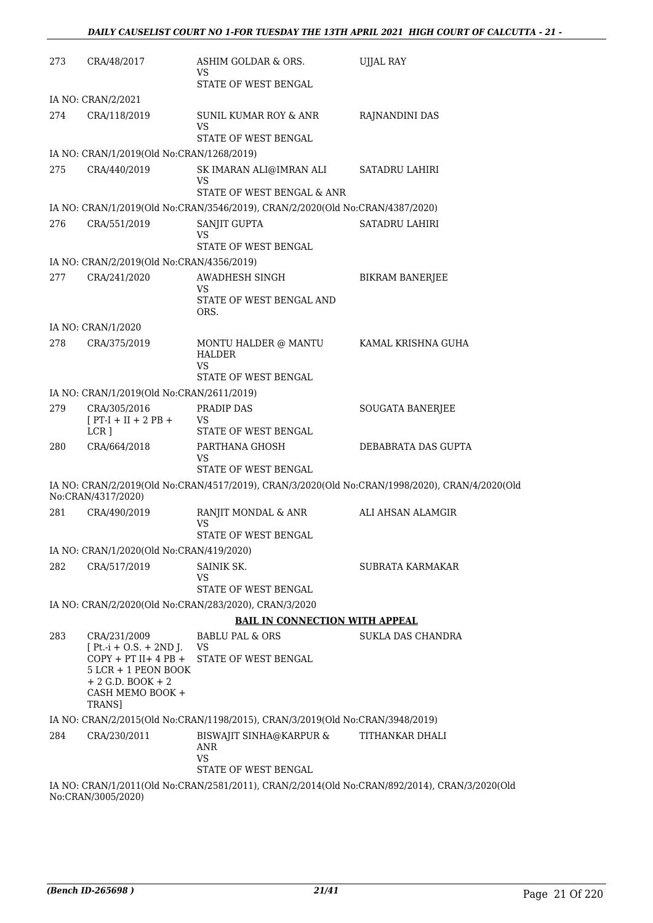| 273 | CRA/48/2017                                                                                                                                         | ASHIM GOLDAR & ORS.<br>VS                                                     | UJJAL RAY                                                                                      |
|-----|-----------------------------------------------------------------------------------------------------------------------------------------------------|-------------------------------------------------------------------------------|------------------------------------------------------------------------------------------------|
|     |                                                                                                                                                     | STATE OF WEST BENGAL                                                          |                                                                                                |
|     | IA NO: CRAN/2/2021                                                                                                                                  |                                                                               |                                                                                                |
| 274 | CRA/118/2019                                                                                                                                        | SUNIL KUMAR ROY & ANR<br>VS<br>STATE OF WEST BENGAL                           | RAJNANDINI DAS                                                                                 |
|     | IA NO: CRAN/1/2019(Old No:CRAN/1268/2019)                                                                                                           |                                                                               |                                                                                                |
| 275 | CRA/440/2019                                                                                                                                        |                                                                               | SATADRU LAHIRI                                                                                 |
|     |                                                                                                                                                     | SK IMARAN ALI@IMRAN ALI<br>VS<br>STATE OF WEST BENGAL & ANR                   |                                                                                                |
|     |                                                                                                                                                     | IA NO: CRAN/1/2019(Old No:CRAN/3546/2019), CRAN/2/2020(Old No:CRAN/4387/2020) |                                                                                                |
| 276 | CRA/551/2019                                                                                                                                        | SANJIT GUPTA                                                                  | <b>SATADRU LAHIRI</b>                                                                          |
|     |                                                                                                                                                     | VS                                                                            |                                                                                                |
|     |                                                                                                                                                     | STATE OF WEST BENGAL                                                          |                                                                                                |
|     | IA NO: CRAN/2/2019(Old No:CRAN/4356/2019)                                                                                                           |                                                                               |                                                                                                |
| 277 | CRA/241/2020                                                                                                                                        | AWADHESH SINGH<br><b>VS</b><br>STATE OF WEST BENGAL AND                       | <b>BIKRAM BANERJEE</b>                                                                         |
|     |                                                                                                                                                     | ORS.                                                                          |                                                                                                |
|     | IA NO: CRAN/1/2020                                                                                                                                  |                                                                               |                                                                                                |
| 278 | CRA/375/2019                                                                                                                                        | MONTU HALDER @ MANTU<br><b>HALDER</b>                                         | KAMAL KRISHNA GUHA                                                                             |
|     |                                                                                                                                                     | VS<br>STATE OF WEST BENGAL                                                    |                                                                                                |
|     | IA NO: CRAN/1/2019(Old No:CRAN/2611/2019)                                                                                                           |                                                                               |                                                                                                |
| 279 | CRA/305/2016                                                                                                                                        | PRADIP DAS                                                                    | SOUGATA BANERJEE                                                                               |
|     | $[PT-I + II + 2 PB +$<br>LCR <sub>1</sub>                                                                                                           | VS<br>STATE OF WEST BENGAL                                                    |                                                                                                |
| 280 | CRA/664/2018                                                                                                                                        | PARTHANA GHOSH<br>VS                                                          | DEBABRATA DAS GUPTA                                                                            |
|     |                                                                                                                                                     | STATE OF WEST BENGAL                                                          |                                                                                                |
|     | No:CRAN/4317/2020)                                                                                                                                  |                                                                               | IA NO: CRAN/2/2019(Old No:CRAN/4517/2019), CRAN/3/2020(Old No:CRAN/1998/2020), CRAN/4/2020(Old |
| 281 | CRA/490/2019                                                                                                                                        | RANJIT MONDAL & ANR<br>VS                                                     | ALI AHSAN ALAMGIR                                                                              |
|     |                                                                                                                                                     | STATE OF WEST BENGAL                                                          |                                                                                                |
|     | IA NO: CRAN/1/2020(Old No:CRAN/419/2020)                                                                                                            |                                                                               |                                                                                                |
| 282 | CRA/517/2019                                                                                                                                        | SAINIK SK.<br>VS                                                              | SUBRATA KARMAKAR                                                                               |
|     |                                                                                                                                                     | STATE OF WEST BENGAL                                                          |                                                                                                |
|     |                                                                                                                                                     | IA NO: CRAN/2/2020(Old No:CRAN/283/2020), CRAN/3/2020                         |                                                                                                |
|     |                                                                                                                                                     | <b>BAIL IN CONNECTION WITH APPEAL</b>                                         |                                                                                                |
| 283 | CRA/231/2009<br>$[Pt.-i + O.S. + 2ND J.$<br>$COPY + PT II + 4 PB +$<br>$5$ LCR + 1 PEON BOOK<br>$+ 2$ G.D. BOOK $+ 2$<br>CASH MEMO BOOK +<br>TRANS] | <b>BABLU PAL &amp; ORS</b><br>VS<br>STATE OF WEST BENGAL                      | SUKLA DAS CHANDRA                                                                              |
|     |                                                                                                                                                     | IA NO: CRAN/2/2015(Old No:CRAN/1198/2015), CRAN/3/2019(Old No:CRAN/3948/2019) |                                                                                                |
| 284 | CRA/230/2011                                                                                                                                        | <b>BISWAJIT SINHA@KARPUR &amp;</b><br>ANR                                     | TITHANKAR DHALI                                                                                |
|     |                                                                                                                                                     | <b>VS</b><br>STATE OF WEST BENGAL                                             |                                                                                                |
|     | No:CRAN/3005/2020)                                                                                                                                  |                                                                               | IA NO: CRAN/1/2011(Old No:CRAN/2581/2011), CRAN/2/2014(Old No:CRAN/892/2014), CRAN/3/2020(Old  |
|     |                                                                                                                                                     |                                                                               |                                                                                                |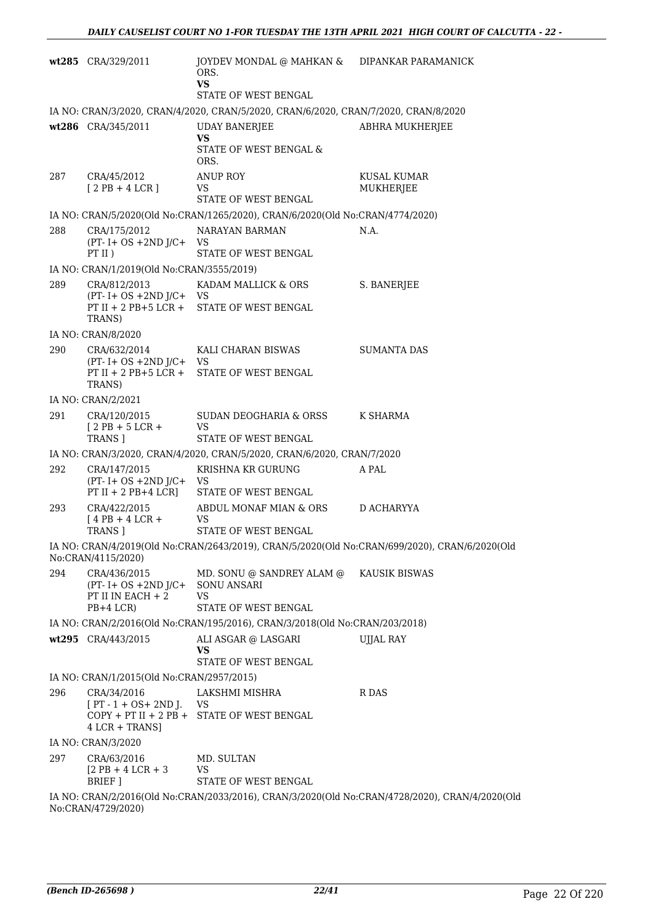|     | wt285 CRA/329/2011                                                                  | JOYDEV MONDAL @ MAHKAN & DIPANKAR PARAMANICK<br>ORS.<br><b>VS</b>             |                                                                                                |  |  |
|-----|-------------------------------------------------------------------------------------|-------------------------------------------------------------------------------|------------------------------------------------------------------------------------------------|--|--|
|     |                                                                                     | STATE OF WEST BENGAL                                                          |                                                                                                |  |  |
|     | IA NO: CRAN/3/2020, CRAN/4/2020, CRAN/5/2020, CRAN/6/2020, CRAN/7/2020, CRAN/8/2020 |                                                                               |                                                                                                |  |  |
|     | wt286 CRA/345/2011                                                                  | <b>UDAY BANERJEE</b><br><b>VS</b>                                             | ABHRA MUKHERJEE                                                                                |  |  |
|     |                                                                                     | STATE OF WEST BENGAL &<br>ORS.                                                |                                                                                                |  |  |
| 287 | CRA/45/2012<br>$[2PB+4LCR]$                                                         | <b>ANUP ROY</b><br><b>VS</b><br>STATE OF WEST BENGAL                          | KUSAL KUMAR<br>MUKHERJEE                                                                       |  |  |
|     |                                                                                     | IA NO: CRAN/5/2020(Old No:CRAN/1265/2020), CRAN/6/2020(Old No:CRAN/4774/2020) |                                                                                                |  |  |
| 288 | CRA/175/2012<br>$(PT - I + OS + 2ND J/C + VS)$                                      | NARAYAN BARMAN                                                                | N.A.                                                                                           |  |  |
|     | PT II)<br>IA NO: CRAN/1/2019(Old No:CRAN/3555/2019)                                 | STATE OF WEST BENGAL                                                          |                                                                                                |  |  |
| 289 | CRA/812/2013                                                                        | KADAM MALLICK & ORS                                                           | S. BANERJEE                                                                                    |  |  |
|     | $(PT - I + OS + 2ND J/C + VS)$                                                      | PT II + 2 PB+5 LCR + STATE OF WEST BENGAL                                     |                                                                                                |  |  |
|     | TRANS)                                                                              |                                                                               |                                                                                                |  |  |
| 290 | IA NO: CRAN/8/2020<br>CRA/632/2014                                                  | KALI CHARAN BISWAS                                                            | <b>SUMANTA DAS</b>                                                                             |  |  |
|     | $(PT - I + OS + 2ND J/C + VS)$<br>PT II + 2 PB+5 LCR +<br>TRANS)                    | STATE OF WEST BENGAL                                                          |                                                                                                |  |  |
|     | IA NO: CRAN/2/2021                                                                  |                                                                               |                                                                                                |  |  |
| 291 | CRA/120/2015                                                                        | SUDAN DEOGHARIA & ORSS                                                        | K SHARMA                                                                                       |  |  |
|     | $[2PB+5LCR+$<br>TRANS ]                                                             | <b>VS</b><br>STATE OF WEST BENGAL                                             |                                                                                                |  |  |
|     |                                                                                     | IA NO: CRAN/3/2020, CRAN/4/2020, CRAN/5/2020, CRAN/6/2020, CRAN/7/2020        |                                                                                                |  |  |
| 292 | CRA/147/2015<br>$(PT - I + OS + 2ND J/C +$<br>$PT II + 2 PB + 4 LCR$                | KRISHNA KR GURUNG<br>VS<br>STATE OF WEST BENGAL                               | A PAL                                                                                          |  |  |
| 293 | CRA/422/2015<br>$[4PB + 4LCR +$                                                     | ABDUL MONAF MIAN & ORS<br>VS                                                  | D ACHARYYA                                                                                     |  |  |
|     | TRANS 1                                                                             | STATE OF WEST BENGAL                                                          |                                                                                                |  |  |
|     | No:CRAN/4115/2020)                                                                  |                                                                               | IA NO: CRAN/4/2019(Old No:CRAN/2643/2019), CRAN/5/2020(Old No:CRAN/699/2020), CRAN/6/2020(Old  |  |  |
| 294 | CRA/436/2015<br>$(PT - I + OS + 2ND J/C +$<br>PT II IN EACH $+2$<br>$PB+4$ LCR)     | MD. SONU @ SANDREY ALAM @<br><b>SONU ANSARI</b><br>VS<br>STATE OF WEST BENGAL | <b>KAUSIK BISWAS</b>                                                                           |  |  |
|     |                                                                                     | IA NO: CRAN/2/2016(Old No:CRAN/195/2016), CRAN/3/2018(Old No:CRAN/203/2018)   |                                                                                                |  |  |
|     | wt295 CRA/443/2015                                                                  | ALI ASGAR @ LASGARI<br>VS<br>STATE OF WEST BENGAL                             | <b>UJJAL RAY</b>                                                                               |  |  |
|     | IA NO: CRAN/1/2015(Old No:CRAN/2957/2015)                                           |                                                                               |                                                                                                |  |  |
| 296 | CRA/34/2016                                                                         | LAKSHMI MISHRA                                                                | R DAS                                                                                          |  |  |
|     | $[PT - 1 + OS + 2ND$ J.<br>$4$ LCR + TRANS]                                         | VS<br>COPY + PT II + 2 PB + STATE OF WEST BENGAL                              |                                                                                                |  |  |
|     | IA NO: CRAN/3/2020                                                                  |                                                                               |                                                                                                |  |  |
| 297 | CRA/63/2016<br>$[2$ PB + 4 LCR + 3                                                  | MD. SULTAN<br>VS<br>STATE OF WEST BENGAL                                      |                                                                                                |  |  |
|     | BRIEF ]                                                                             |                                                                               | IA NO: CRAN/2/2016(Old No:CRAN/2033/2016), CRAN/3/2020(Old No:CRAN/4728/2020), CRAN/4/2020(Old |  |  |
|     | No:CRAN/4729/2020)                                                                  |                                                                               |                                                                                                |  |  |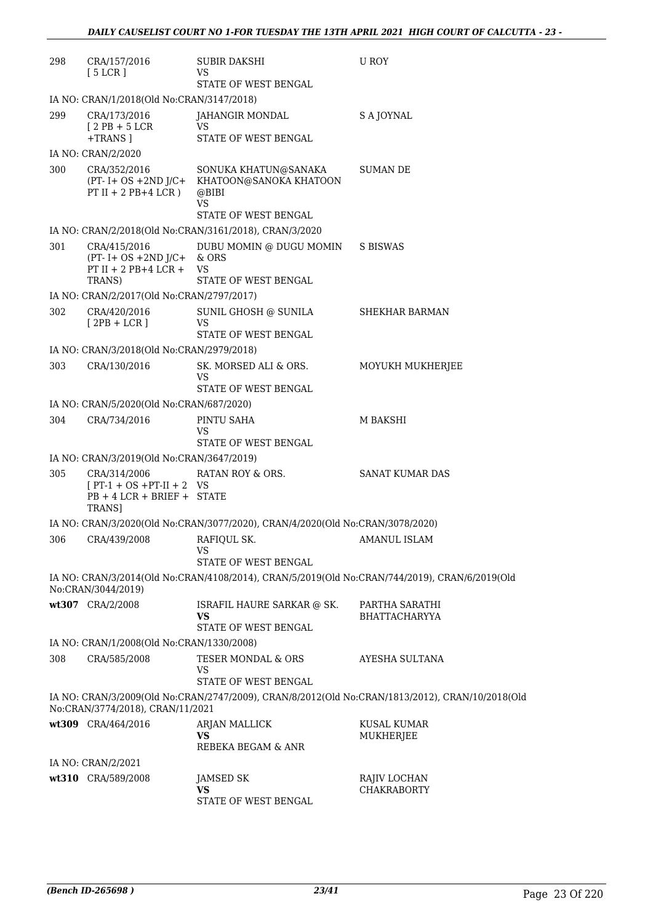| 298 | CRA/157/2016<br>[5 LCR]                                                               | <b>SUBIR DAKSHI</b><br>VS                                                                                         | U ROY                                                                                           |
|-----|---------------------------------------------------------------------------------------|-------------------------------------------------------------------------------------------------------------------|-------------------------------------------------------------------------------------------------|
|     |                                                                                       | STATE OF WEST BENGAL                                                                                              |                                                                                                 |
|     | IA NO: CRAN/1/2018(Old No:CRAN/3147/2018)                                             |                                                                                                                   |                                                                                                 |
| 299 | CRA/173/2016<br>$[2PB+5LCR]$<br>+TRANS 1                                              | <b>JAHANGIR MONDAL</b><br>VS<br>STATE OF WEST BENGAL                                                              | S A JOYNAL                                                                                      |
|     | IA NO: CRAN/2/2020                                                                    |                                                                                                                   |                                                                                                 |
| 300 | CRA/352/2016<br>PT II + 2 PB+4 LCR)                                                   | SONUKA KHATUN@SANAKA<br>(PT- I+ OS +2ND J/C+ KHATOON@SANOKA KHATOON<br>@BIBI<br><b>VS</b><br>STATE OF WEST BENGAL | <b>SUMAN DE</b>                                                                                 |
|     |                                                                                       | IA NO: CRAN/2/2018(Old No:CRAN/3161/2018), CRAN/3/2020                                                            |                                                                                                 |
| 301 | CRA/415/2016<br>$(PT - I + OS + 2ND J/C + \& ORS)$<br>$PT II + 2 PB + 4 LCR +$        | DUBU MOMIN @ DUGU MOMIN<br>VS                                                                                     | <b>S BISWAS</b>                                                                                 |
|     | TRANS)                                                                                | <b>STATE OF WEST BENGAL</b>                                                                                       |                                                                                                 |
|     | IA NO: CRAN/2/2017(Old No:CRAN/2797/2017)                                             |                                                                                                                   |                                                                                                 |
| 302 | CRA/420/2016<br>$[2PB + LCR]$                                                         | SUNIL GHOSH @ SUNILA<br>VS<br>STATE OF WEST BENGAL                                                                | SHEKHAR BARMAN                                                                                  |
|     | IA NO: CRAN/3/2018(Old No:CRAN/2979/2018)                                             |                                                                                                                   |                                                                                                 |
| 303 | CRA/130/2016                                                                          | SK. MORSED ALI & ORS.<br>VS<br>STATE OF WEST BENGAL                                                               | MOYUKH MUKHERJEE                                                                                |
|     | IA NO: CRAN/5/2020(Old No:CRAN/687/2020)                                              |                                                                                                                   |                                                                                                 |
| 304 | CRA/734/2016                                                                          | PINTU SAHA<br>VS                                                                                                  | M BAKSHI                                                                                        |
|     |                                                                                       | STATE OF WEST BENGAL                                                                                              |                                                                                                 |
| 305 | IA NO: CRAN/3/2019(Old No:CRAN/3647/2019)                                             | RATAN ROY & ORS.                                                                                                  | SANAT KUMAR DAS                                                                                 |
|     | CRA/314/2006<br>$[PT-1 + OS + PT-II + 2 VS$<br>$PB + 4 LCR + BRIEF + STATE$<br>TRANS] |                                                                                                                   |                                                                                                 |
|     |                                                                                       | IA NO: CRAN/3/2020(Old No:CRAN/3077/2020), CRAN/4/2020(Old No:CRAN/3078/2020)                                     |                                                                                                 |
| 306 | CRA/439/2008                                                                          | RAFIQUL SK.<br>VS<br>STATE OF WEST BENGAL                                                                         | <b>AMANUL ISLAM</b>                                                                             |
|     | No:CRAN/3044/2019)                                                                    |                                                                                                                   | IA NO: CRAN/3/2014(Old No:CRAN/4108/2014), CRAN/5/2019(Old No:CRAN/744/2019), CRAN/6/2019(Old   |
|     | wt307 CRA/2/2008                                                                      | ISRAFIL HAURE SARKAR @ SK.<br>VS<br>STATE OF WEST BENGAL                                                          | PARTHA SARATHI<br><b>BHATTACHARYYA</b>                                                          |
|     | IA NO: CRAN/1/2008(Old No:CRAN/1330/2008)                                             |                                                                                                                   |                                                                                                 |
| 308 | CRA/585/2008                                                                          | TESER MONDAL & ORS<br>VS<br>STATE OF WEST BENGAL                                                                  | AYESHA SULTANA                                                                                  |
|     | No:CRAN/3774/2018), CRAN/11/2021                                                      |                                                                                                                   | IA NO: CRAN/3/2009(Old No:CRAN/2747/2009), CRAN/8/2012(Old No:CRAN/1813/2012), CRAN/10/2018(Old |
|     | wt309 CRA/464/2016                                                                    | ARJAN MALLICK<br><b>VS</b><br>REBEKA BEGAM & ANR                                                                  | <b>KUSAL KUMAR</b><br>MUKHERJEE                                                                 |
|     | IA NO: CRAN/2/2021                                                                    |                                                                                                                   |                                                                                                 |
|     | wt310 CRA/589/2008                                                                    | <b>JAMSED SK</b>                                                                                                  | RAJIV LOCHAN                                                                                    |
|     |                                                                                       | VS<br>STATE OF WEST BENGAL                                                                                        | CHAKRABORTY                                                                                     |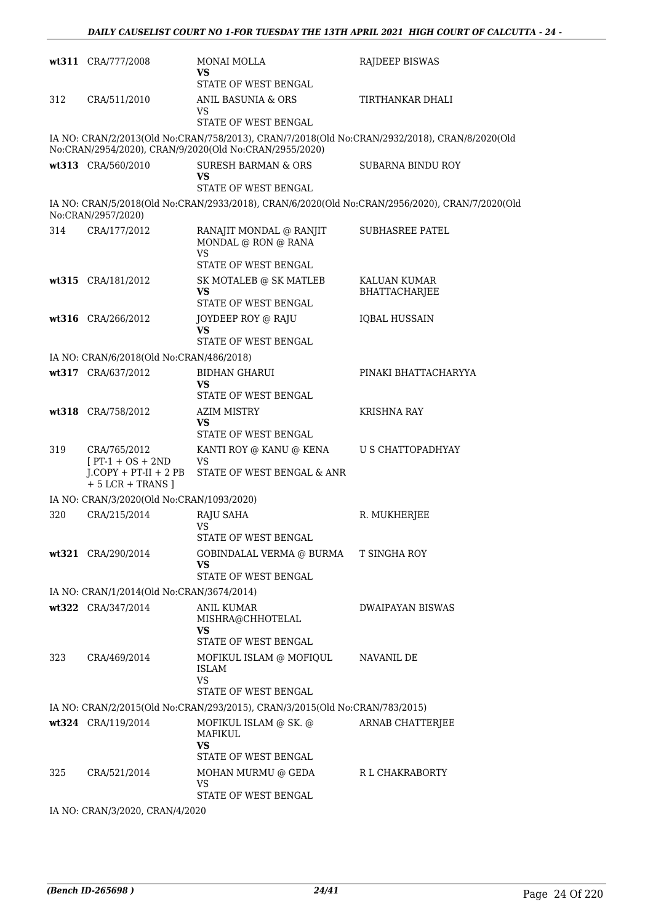|     | wt311 CRA/777/2008                              | <b>MONAI MOLLA</b><br>VS<br>STATE OF WEST BENGAL                            | <b>RAJDEEP BISWAS</b>                                                                          |
|-----|-------------------------------------------------|-----------------------------------------------------------------------------|------------------------------------------------------------------------------------------------|
| 312 | CRA/511/2010                                    | ANIL BASUNIA & ORS<br>VS<br><b>STATE OF WEST BENGAL</b>                     | TIRTHANKAR DHALI                                                                               |
|     |                                                 | No:CRAN/2954/2020), CRAN/9/2020(Old No:CRAN/2955/2020)                      | IA NO: CRAN/2/2013(Old No:CRAN/758/2013), CRAN/7/2018(Old No:CRAN/2932/2018), CRAN/8/2020(Old  |
|     | wt313 CRA/560/2010                              | <b>SURESH BARMAN &amp; ORS</b><br>VS                                        | SUBARNA BINDU ROY                                                                              |
|     |                                                 | STATE OF WEST BENGAL                                                        |                                                                                                |
|     | No:CRAN/2957/2020)                              |                                                                             | IA NO: CRAN/5/2018(Old No:CRAN/2933/2018), CRAN/6/2020(Old No:CRAN/2956/2020), CRAN/7/2020(Old |
| 314 | CRA/177/2012                                    | RANAJIT MONDAL @ RANJIT<br>MONDAL @ RON @ RANA<br><b>VS</b>                 | <b>SUBHASREE PATEL</b>                                                                         |
|     |                                                 | STATE OF WEST BENGAL                                                        |                                                                                                |
|     | wt315 CRA/181/2012                              | SK MOTALEB @ SK MATLEB<br><b>VS</b><br>STATE OF WEST BENGAL                 | KALUAN KUMAR<br>BHATTACHARJEE                                                                  |
|     | wt316 CRA/266/2012                              | JOYDEEP ROY @ RAJU<br><b>VS</b><br><b>STATE OF WEST BENGAL</b>              | <b>IQBAL HUSSAIN</b>                                                                           |
|     | IA NO: CRAN/6/2018(Old No:CRAN/486/2018)        |                                                                             |                                                                                                |
|     | wt317 CRA/637/2012                              | <b>BIDHAN GHARUI</b><br><b>VS</b><br>STATE OF WEST BENGAL                   | PINAKI BHATTACHARYYA                                                                           |
|     | wt318 CRA/758/2012                              | <b>AZIM MISTRY</b><br><b>VS</b><br>STATE OF WEST BENGAL                     | KRISHNA RAY                                                                                    |
| 319 | CRA/765/2012<br>$[PT-1 + OS + 2ND$              | KANTI ROY @ KANU @ KENA<br><b>VS</b>                                        | U S CHATTOPADHYAY                                                                              |
|     | $J$ .COPY + PT-II + 2 PB<br>$+ 5$ LCR + TRANS ] | STATE OF WEST BENGAL & ANR                                                  |                                                                                                |
|     | IA NO: CRAN/3/2020(Old No:CRAN/1093/2020)       |                                                                             |                                                                                                |
| 320 | CRA/215/2014                                    | RAJU SAHA<br><b>VS</b>                                                      | R. MUKHERJEE                                                                                   |
|     | wt321 CRA/290/2014                              | STATE OF WEST BENGAL<br>GOBINDALAL VERMA @ BURMA T SINGHA ROY               |                                                                                                |
|     |                                                 | VS<br>STATE OF WEST BENGAL                                                  |                                                                                                |
|     | IA NO: CRAN/1/2014(Old No:CRAN/3674/2014)       |                                                                             |                                                                                                |
|     | wt322 CRA/347/2014                              | ANIL KUMAR<br>MISHRA@CHHOTELAL<br>VS<br>STATE OF WEST BENGAL                | <b>DWAIPAYAN BISWAS</b>                                                                        |
| 323 | CRA/469/2014                                    | MOFIKUL ISLAM @ MOFIQUL<br><b>ISLAM</b><br>VS                               | NAVANIL DE                                                                                     |
|     |                                                 | STATE OF WEST BENGAL                                                        |                                                                                                |
|     |                                                 | IA NO: CRAN/2/2015(Old No:CRAN/293/2015), CRAN/3/2015(Old No:CRAN/783/2015) |                                                                                                |
|     | wt324 CRA/119/2014                              | MOFIKUL ISLAM @ SK. @<br>MAFIKUL<br>VS                                      | ARNAB CHATTERJEE                                                                               |
|     |                                                 | STATE OF WEST BENGAL                                                        |                                                                                                |
| 325 | CRA/521/2014                                    | MOHAN MURMU @ GEDA<br>VS<br>STATE OF WEST BENGAL                            | R L CHAKRABORTY                                                                                |
|     | LA NIO, CRANICOOO CRANILLOODO                   |                                                                             |                                                                                                |

IA NO: CRAN/3/2020, CRAN/4/2020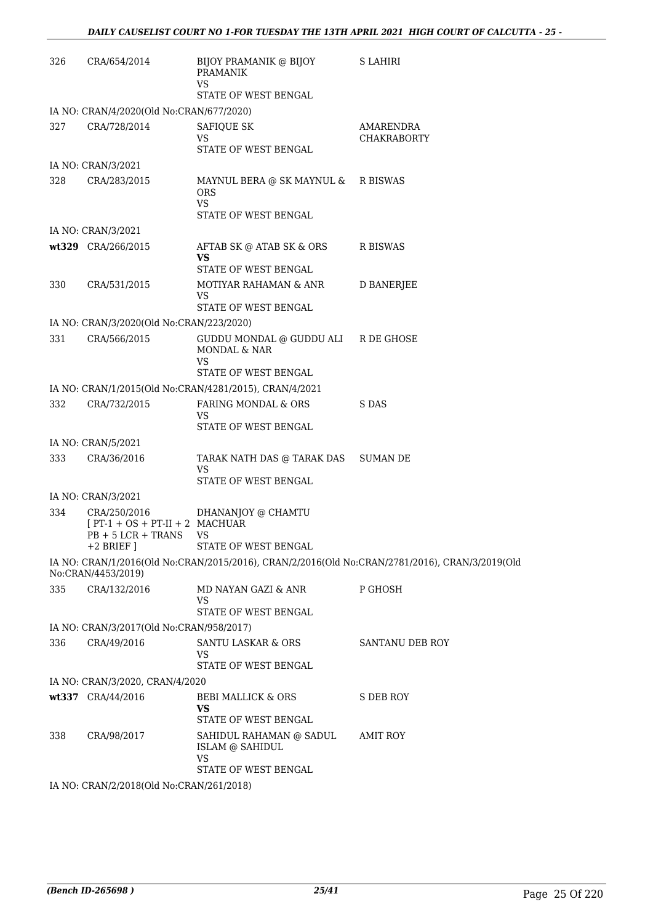| 326 | CRA/654/2014                                                            | BIJOY PRAMANIK @ BIJOY<br><b>PRAMANIK</b><br>VS.              | <b>S LAHIRI</b>                                                                                |
|-----|-------------------------------------------------------------------------|---------------------------------------------------------------|------------------------------------------------------------------------------------------------|
|     |                                                                         | STATE OF WEST BENGAL                                          |                                                                                                |
|     | IA NO: CRAN/4/2020(Old No:CRAN/677/2020)                                |                                                               |                                                                                                |
| 327 | CRA/728/2014                                                            | <b>SAFIQUE SK</b><br>VS<br>STATE OF WEST BENGAL               | AMARENDRA<br><b>CHAKRABORTY</b>                                                                |
|     | IA NO: CRAN/3/2021                                                      |                                                               |                                                                                                |
| 328 | CRA/283/2015                                                            | MAYNUL BERA @ SK MAYNUL & R BISWAS<br><b>ORS</b><br><b>VS</b> |                                                                                                |
|     | IA NO: CRAN/3/2021                                                      | STATE OF WEST BENGAL                                          |                                                                                                |
|     |                                                                         |                                                               |                                                                                                |
|     | wt329 CRA/266/2015                                                      | AFTAB SK @ ATAB SK & ORS<br>VS<br>STATE OF WEST BENGAL        | R BISWAS                                                                                       |
| 330 | CRA/531/2015                                                            | MOTIYAR RAHAMAN & ANR<br>VS                                   | <b>D BANERJEE</b>                                                                              |
|     |                                                                         | STATE OF WEST BENGAL                                          |                                                                                                |
|     | IA NO: CRAN/3/2020(Old No:CRAN/223/2020)                                |                                                               |                                                                                                |
| 331 | CRA/566/2015                                                            | GUDDU MONDAL @ GUDDU ALI R DE GHOSE<br>MONDAL & NAR<br>VS     |                                                                                                |
|     |                                                                         | STATE OF WEST BENGAL                                          |                                                                                                |
|     |                                                                         | IA NO: CRAN/1/2015(Old No:CRAN/4281/2015), CRAN/4/2021        |                                                                                                |
| 332 | CRA/732/2015                                                            | FARING MONDAL & ORS<br>VS<br>STATE OF WEST BENGAL             | S DAS                                                                                          |
|     | IA NO: CRAN/5/2021                                                      |                                                               |                                                                                                |
| 333 | CRA/36/2016                                                             | TARAK NATH DAS @ TARAK DAS                                    | SUMAN DE                                                                                       |
|     |                                                                         | VS<br>STATE OF WEST BENGAL                                    |                                                                                                |
|     | IA NO: CRAN/3/2021                                                      |                                                               |                                                                                                |
| 334 | $[PT-1 + OS + PT-II + 2 MACHUAR]$<br>$PB + 5 LCR + TRANS$<br>+2 BRIEF I | CRA/250/2016 DHANANJOY @ CHAMTU<br>VS<br>STATE OF WEST BENGAL |                                                                                                |
|     | No:CRAN/4453/2019)                                                      |                                                               | IA NO: CRAN/1/2016(Old No:CRAN/2015/2016), CRAN/2/2016(Old No:CRAN/2781/2016), CRAN/3/2019(Old |
| 335 | CRA/132/2016                                                            | MD NAYAN GAZI & ANR<br>VS                                     | P GHOSH                                                                                        |
|     |                                                                         | STATE OF WEST BENGAL                                          |                                                                                                |
|     | IA NO: CRAN/3/2017(Old No:CRAN/958/2017)                                |                                                               |                                                                                                |
| 336 | CRA/49/2016                                                             | <b>SANTU LASKAR &amp; ORS</b><br>VS<br>STATE OF WEST BENGAL   | <b>SANTANU DEB ROY</b>                                                                         |
|     | IA NO: CRAN/3/2020, CRAN/4/2020                                         |                                                               |                                                                                                |
|     | wt337 CRA/44/2016                                                       | <b>BEBI MALLICK &amp; ORS</b>                                 | S DEB ROY                                                                                      |
|     |                                                                         | VS<br>STATE OF WEST BENGAL                                    |                                                                                                |
| 338 | CRA/98/2017                                                             | SAHIDUL RAHAMAN @ SADUL<br>ISLAM @ SAHIDUL<br>VS              | AMIT ROY                                                                                       |
|     |                                                                         | STATE OF WEST BENGAL                                          |                                                                                                |
|     | IA NO: CRAN/2/2018(Old No:CRAN/261/2018)                                |                                                               |                                                                                                |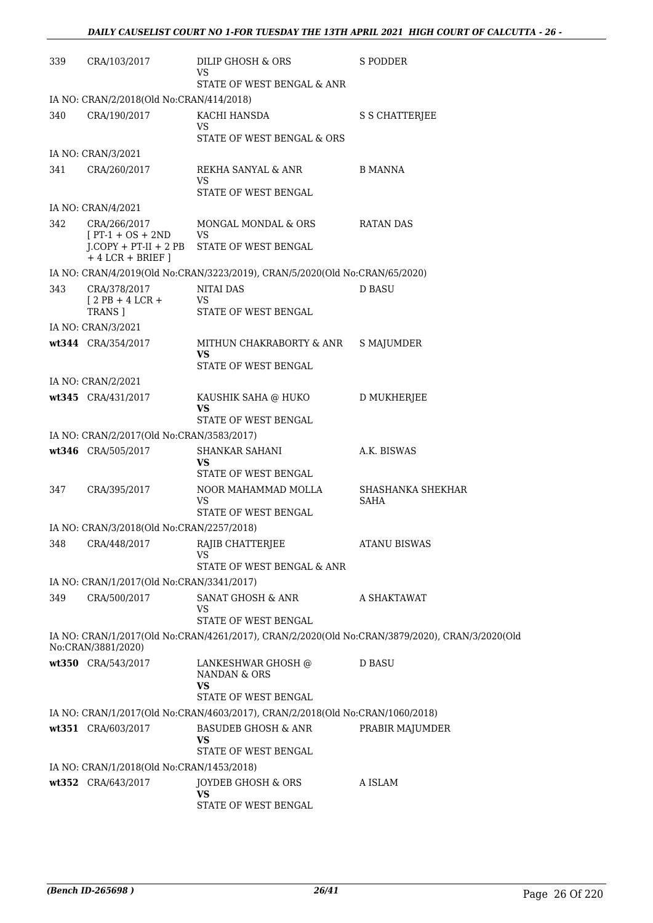| 339 | CRA/103/2017                                                    | DILIP GHOSH & ORS<br>VS                                                       | S PODDER                                                                                       |
|-----|-----------------------------------------------------------------|-------------------------------------------------------------------------------|------------------------------------------------------------------------------------------------|
|     |                                                                 | STATE OF WEST BENGAL & ANR                                                    |                                                                                                |
|     | IA NO: CRAN/2/2018(Old No:CRAN/414/2018)                        |                                                                               |                                                                                                |
| 340 | CRA/190/2017                                                    | KACHI HANSDA<br>VS                                                            | S S CHATTERJEE                                                                                 |
|     |                                                                 | STATE OF WEST BENGAL & ORS                                                    |                                                                                                |
|     | IA NO: CRAN/3/2021                                              |                                                                               |                                                                                                |
| 341 | CRA/260/2017                                                    | REKHA SANYAL & ANR<br>VS<br>STATE OF WEST BENGAL                              | B MANNA                                                                                        |
|     | IA NO: CRAN/4/2021                                              |                                                                               |                                                                                                |
| 342 | CRA/266/2017<br>$[PT-1 + OS + 2ND]$<br>$J$ .COPY + PT-II + 2 PB | MONGAL MONDAL & ORS<br>VS<br>STATE OF WEST BENGAL                             | RATAN DAS                                                                                      |
|     | $+4$ LCR + BRIEF ]                                              |                                                                               |                                                                                                |
|     |                                                                 | IA NO: CRAN/4/2019(Old No:CRAN/3223/2019), CRAN/5/2020(Old No:CRAN/65/2020)   |                                                                                                |
| 343 | CRA/378/2017<br>$[2PB+4LCR+$<br>TRANS ]                         | <b>NITAI DAS</b><br>VS<br>STATE OF WEST BENGAL                                | <b>D BASU</b>                                                                                  |
|     | IA NO: CRAN/3/2021                                              |                                                                               |                                                                                                |
|     | wt344 CRA/354/2017                                              | MITHUN CHAKRABORTY & ANR<br>VS                                                | <b>S MAJUMDER</b>                                                                              |
|     |                                                                 | STATE OF WEST BENGAL                                                          |                                                                                                |
|     | IA NO: CRAN/2/2021                                              |                                                                               |                                                                                                |
|     | wt345 CRA/431/2017                                              | KAUSHIK SAHA @ HUKO<br>VS<br>STATE OF WEST BENGAL                             | D MUKHERJEE                                                                                    |
|     | IA NO: CRAN/2/2017(Old No:CRAN/3583/2017)                       |                                                                               |                                                                                                |
|     | wt346 CRA/505/2017                                              | SHANKAR SAHANI                                                                | A.K. BISWAS                                                                                    |
|     |                                                                 | VS<br>STATE OF WEST BENGAL                                                    |                                                                                                |
| 347 | CRA/395/2017                                                    | NOOR MAHAMMAD MOLLA<br>VS<br>STATE OF WEST BENGAL                             | SHASHANKA SHEKHAR<br>SAHA                                                                      |
|     | IA NO: CRAN/3/2018(Old No:CRAN/2257/2018)                       |                                                                               |                                                                                                |
|     | 348 CRA/448/2017 RAJIB CHATTERJEE                               | VS                                                                            | <b>ATANU BISWAS</b>                                                                            |
|     |                                                                 | STATE OF WEST BENGAL & ANR                                                    |                                                                                                |
|     | IA NO: CRAN/1/2017(Old No:CRAN/3341/2017)                       |                                                                               |                                                                                                |
| 349 | CRA/500/2017                                                    | SANAT GHOSH & ANR<br>VS<br>STATE OF WEST BENGAL                               | A SHAKTAWAT                                                                                    |
|     | No:CRAN/3881/2020)                                              |                                                                               | IA NO: CRAN/1/2017(Old No:CRAN/4261/2017), CRAN/2/2020(Old No:CRAN/3879/2020), CRAN/3/2020(Old |
|     | wt350 CRA/543/2017                                              | LANKESHWAR GHOSH @<br>NANDAN & ORS<br>VS                                      | <b>D BASU</b>                                                                                  |
|     |                                                                 | STATE OF WEST BENGAL                                                          |                                                                                                |
|     |                                                                 | IA NO: CRAN/1/2017(Old No:CRAN/4603/2017), CRAN/2/2018(Old No:CRAN/1060/2018) |                                                                                                |
|     | wt351 CRA/603/2017                                              | BASUDEB GHOSH & ANR<br>VS<br>STATE OF WEST BENGAL                             | PRABIR MAJUMDER                                                                                |
|     | IA NO: CRAN/1/2018(Old No:CRAN/1453/2018)                       |                                                                               |                                                                                                |
|     | wt352 CRA/643/2017                                              | JOYDEB GHOSH & ORS                                                            | A ISLAM                                                                                        |
|     |                                                                 | VS<br>STATE OF WEST BENGAL                                                    |                                                                                                |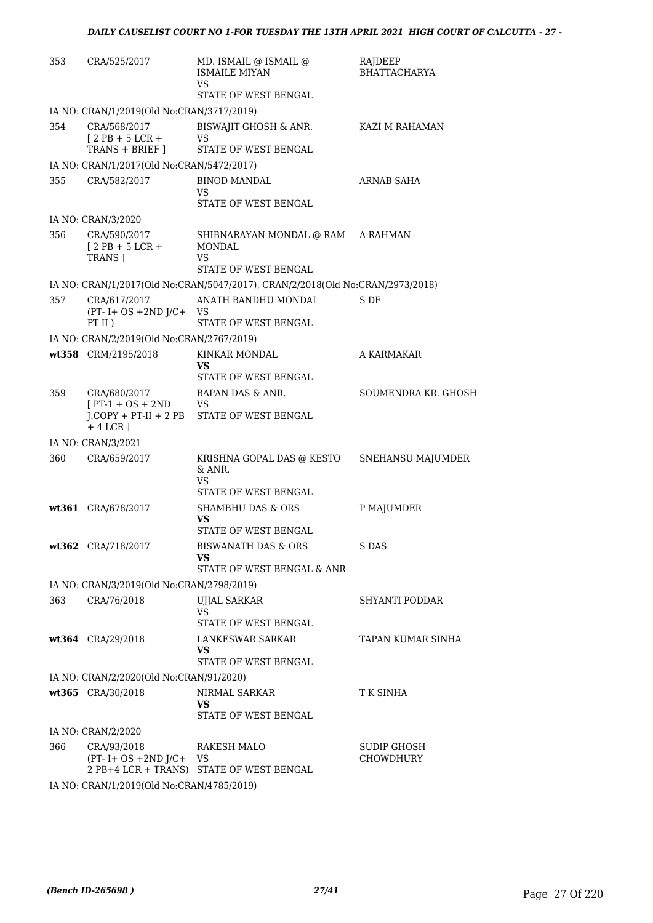| 353 | CRA/525/2017                                           | MD. ISMAIL @ ISMAIL @<br><b>ISMAILE MIYAN</b><br>VS.                          | RAJDEEP<br><b>BHATTACHARYA</b> |
|-----|--------------------------------------------------------|-------------------------------------------------------------------------------|--------------------------------|
|     |                                                        | STATE OF WEST BENGAL                                                          |                                |
|     | IA NO: CRAN/1/2019(Old No:CRAN/3717/2019)              |                                                                               |                                |
| 354 | CRA/568/2017<br>$[2PB + 5LCR +$<br>TRANS + BRIEF ]     | <b>BISWAJIT GHOSH &amp; ANR.</b><br><b>VS</b><br>STATE OF WEST BENGAL         | KAZI M RAHAMAN                 |
|     | IA NO: CRAN/1/2017(Old No:CRAN/5472/2017)              |                                                                               |                                |
| 355 | CRA/582/2017                                           | <b>BINOD MANDAL</b><br>VS.                                                    | <b>ARNAB SAHA</b>              |
|     |                                                        | STATE OF WEST BENGAL                                                          |                                |
|     | IA NO: CRAN/3/2020                                     |                                                                               |                                |
| 356 | CRA/590/2017<br>$[2PB+5LCR+$<br>TRANS ]                | SHIBNARAYAN MONDAL @ RAM A RAHMAN<br>MONDAL<br>VS.                            |                                |
|     |                                                        | STATE OF WEST BENGAL                                                          |                                |
|     |                                                        | IA NO: CRAN/1/2017(Old No:CRAN/5047/2017), CRAN/2/2018(Old No:CRAN/2973/2018) |                                |
| 357 | CRA/617/2017<br>$(PT - I + OS + 2ND J/C +$<br>$PT$ II) | ANATH BANDHU MONDAL<br>VS                                                     | S DE                           |
|     | IA NO: CRAN/2/2019(Old No:CRAN/2767/2019)              | STATE OF WEST BENGAL                                                          |                                |
|     | wt358 CRM/2195/2018                                    | <b>KINKAR MONDAL</b>                                                          | A KARMAKAR                     |
|     |                                                        | VS<br>STATE OF WEST BENGAL                                                    |                                |
| 359 | CRA/680/2017                                           | BAPAN DAS & ANR.                                                              | SOUMENDRA KR. GHOSH            |
|     | $[PT-1 + OS + 2ND]$<br><b>VS</b><br>$+4$ LCR ]         | J.COPY + PT-II + 2 PB STATE OF WEST BENGAL                                    |                                |
|     | IA NO: CRAN/3/2021                                     |                                                                               |                                |
| 360 | CRA/659/2017                                           | KRISHNA GOPAL DAS @ KESTO<br>& ANR.<br>VS.                                    | SNEHANSU MAJUMDER              |
|     |                                                        | STATE OF WEST BENGAL                                                          |                                |
|     | wt361 CRA/678/2017                                     | <b>SHAMBHU DAS &amp; ORS</b><br>VS                                            | P MAJUMDER                     |
|     |                                                        | STATE OF WEST BENGAL                                                          |                                |
|     | wt362 CRA/718/2017                                     | <b>BISWANATH DAS &amp; ORS</b><br>VS<br>STATE OF WEST BENGAL & ANR            | S DAS                          |
|     | IA NO: CRAN/3/2019(Old No:CRAN/2798/2019)              |                                                                               |                                |
| 363 | CRA/76/2018                                            | <b>UJJAL SARKAR</b>                                                           | SHYANTI PODDAR                 |
|     |                                                        | <b>VS</b><br>STATE OF WEST BENGAL                                             |                                |
|     | wt364 CRA/29/2018                                      | LANKESWAR SARKAR                                                              | TAPAN KUMAR SINHA              |
|     |                                                        | VS.<br>STATE OF WEST BENGAL                                                   |                                |
|     | IA NO: CRAN/2/2020(Old No:CRAN/91/2020)                |                                                                               |                                |
|     | wt365 CRA/30/2018                                      | NIRMAL SARKAR                                                                 | T K SINHA                      |
|     |                                                        | VS.                                                                           |                                |
|     |                                                        | STATE OF WEST BENGAL                                                          |                                |
| 366 | IA NO: CRAN/2/2020<br>CRA/93/2018                      | RAKESH MALO                                                                   | SUDIP GHOSH                    |
|     | $(PT - I + OS + 2ND J/C + VS)$                         | 2 PB+4 LCR + TRANS) STATE OF WEST BENGAL                                      | <b>CHOWDHURY</b>               |
|     | IA NO: CRAN/1/2019(Old No:CRAN/4785/2019)              |                                                                               |                                |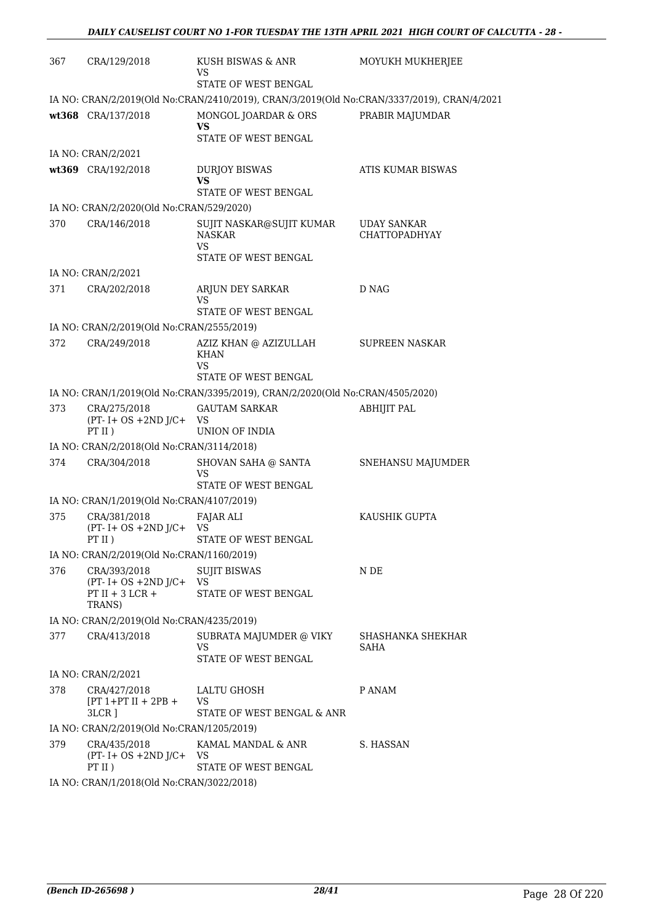| 367 | CRA/129/2018                                                  | KUSH BISWAS & ANR<br>VS                                                                    | MOYUKH MUKHERJEE                           |
|-----|---------------------------------------------------------------|--------------------------------------------------------------------------------------------|--------------------------------------------|
|     |                                                               | STATE OF WEST BENGAL                                                                       |                                            |
|     |                                                               | IA NO: CRAN/2/2019(Old No:CRAN/2410/2019), CRAN/3/2019(Old No:CRAN/3337/2019), CRAN/4/2021 |                                            |
|     | wt368 CRA/137/2018                                            | MONGOL JOARDAR & ORS<br>VS                                                                 | PRABIR MAJUMDAR                            |
|     |                                                               | STATE OF WEST BENGAL                                                                       |                                            |
|     | IA NO: CRAN/2/2021                                            |                                                                                            |                                            |
|     | wt369 CRA/192/2018                                            | <b>DURJOY BISWAS</b><br>VS<br>STATE OF WEST BENGAL                                         | ATIS KUMAR BISWAS                          |
|     | IA NO: CRAN/2/2020(Old No:CRAN/529/2020)                      |                                                                                            |                                            |
| 370 | CRA/146/2018                                                  | SUJIT NASKAR@SUJIT KUMAR<br><b>NASKAR</b><br><b>VS</b>                                     | <b>UDAY SANKAR</b><br><b>CHATTOPADHYAY</b> |
|     |                                                               | STATE OF WEST BENGAL                                                                       |                                            |
|     | IA NO: CRAN/2/2021                                            |                                                                                            |                                            |
| 371 | CRA/202/2018                                                  | ARJUN DEY SARKAR<br>VS                                                                     | D NAG                                      |
|     |                                                               | STATE OF WEST BENGAL                                                                       |                                            |
|     | IA NO: CRAN/2/2019(Old No:CRAN/2555/2019)                     |                                                                                            |                                            |
| 372 | CRA/249/2018                                                  | AZIZ KHAN @ AZIZULLAH<br><b>KHAN</b><br><b>VS</b>                                          | <b>SUPREEN NASKAR</b>                      |
|     |                                                               | STATE OF WEST BENGAL                                                                       |                                            |
|     |                                                               | IA NO: CRAN/1/2019(Old No:CRAN/3395/2019), CRAN/2/2020(Old No:CRAN/4505/2020)              |                                            |
| 373 | CRA/275/2018<br>$(PT - I + OS + 2ND J/C + VS)$<br>PT II)      | <b>GAUTAM SARKAR</b><br>UNION OF INDIA                                                     | <b>ABHIJIT PAL</b>                         |
|     | IA NO: CRAN/2/2018(Old No:CRAN/3114/2018)                     |                                                                                            |                                            |
| 374 | CRA/304/2018                                                  | SHOVAN SAHA @ SANTA<br>VS                                                                  | SNEHANSU MAJUMDER                          |
|     |                                                               | <b>STATE OF WEST BENGAL</b>                                                                |                                            |
|     | IA NO: CRAN/1/2019(Old No:CRAN/4107/2019)                     |                                                                                            |                                            |
| 375 | CRA/381/2018<br>$(PT - I + OS + 2ND J/C +$<br>PT II)          | FAJAR ALI<br>VS<br>STATE OF WEST BENGAL                                                    | KAUSHIK GUPTA                              |
|     | IA NO: CRAN/2/2019(Old No:CRAN/1160/2019)                     |                                                                                            |                                            |
| 376 | CRA/393/2018                                                  | <b>SUJIT BISWAS</b>                                                                        | N DE                                       |
|     | $(PT - I + OS + 2ND J/C + VS)$<br>$PT II + 3 LCR +$<br>TRANS) | STATE OF WEST BENGAL                                                                       |                                            |
|     | IA NO: CRAN/2/2019(Old No:CRAN/4235/2019)                     |                                                                                            |                                            |
| 377 | CRA/413/2018                                                  | SUBRATA MAJUMDER @ VIKY                                                                    | SHASHANKA SHEKHAR                          |
|     |                                                               | VS<br>STATE OF WEST BENGAL                                                                 | SAHA                                       |
|     | IA NO: CRAN/2/2021                                            |                                                                                            |                                            |
| 378 | CRA/427/2018<br>$[PT 1+PT II + 2PB +$<br>3LCR ]               | LALTU GHOSH<br>VS<br>STATE OF WEST BENGAL & ANR                                            | P ANAM                                     |
|     | IA NO: CRAN/2/2019(Old No:CRAN/1205/2019)                     |                                                                                            |                                            |
| 379 | CRA/435/2018<br>$(PT - I + OS + 2ND J/C + VS)$<br>PT II)      | KAMAL MANDAL & ANR<br>STATE OF WEST BENGAL                                                 | S. HASSAN                                  |
|     | IA NO. CRANILIZO19(OIA No.CRANIZO22/2019)                     |                                                                                            |                                            |

IA NO: CRAN/1/2018(Old No:CRAN/3022/2018)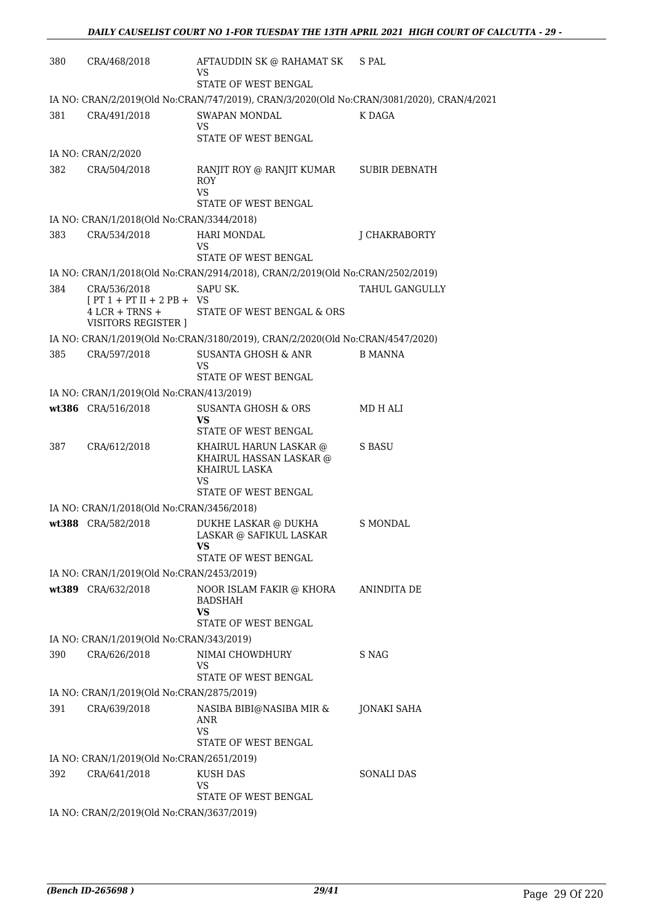| 380 | CRA/468/2018                                                                           | AFTAUDDIN SK @ RAHAMAT SK<br>VS<br>STATE OF WEST BENGAL                                   | S PAL                |
|-----|----------------------------------------------------------------------------------------|-------------------------------------------------------------------------------------------|----------------------|
|     |                                                                                        | IA NO: CRAN/2/2019(Old No:CRAN/747/2019), CRAN/3/2020(Old No:CRAN/3081/2020), CRAN/4/2021 |                      |
| 381 | CRA/491/2018                                                                           | <b>SWAPAN MONDAL</b><br><b>VS</b><br>STATE OF WEST BENGAL                                 | K DAGA               |
|     | IA NO: CRAN/2/2020                                                                     |                                                                                           |                      |
| 382 | CRA/504/2018                                                                           | RANJIT ROY @ RANJIT KUMAR<br>ROY<br><b>VS</b><br>STATE OF WEST BENGAL                     | <b>SUBIR DEBNATH</b> |
|     | IA NO: CRAN/1/2018(Old No:CRAN/3344/2018)                                              |                                                                                           |                      |
| 383 | CRA/534/2018                                                                           | <b>HARI MONDAL</b><br>VS                                                                  | J CHAKRABORTY        |
|     |                                                                                        | STATE OF WEST BENGAL                                                                      |                      |
|     |                                                                                        | IA NO: CRAN/1/2018(Old No:CRAN/2914/2018), CRAN/2/2019(Old No:CRAN/2502/2019)             |                      |
| 384 | CRA/536/2018<br>$[PT 1 + PT II + 2 PB + VS$<br>$4$ LCR + TRNS +<br>VISITORS REGISTER ] | SAPU SK.<br>STATE OF WEST BENGAL & ORS                                                    | TAHUL GANGULLY       |
|     |                                                                                        | IA NO: CRAN/1/2019(Old No:CRAN/3180/2019), CRAN/2/2020(Old No:CRAN/4547/2020)             |                      |
| 385 | CRA/597/2018                                                                           | <b>SUSANTA GHOSH &amp; ANR</b><br>VS<br>STATE OF WEST BENGAL                              | <b>B MANNA</b>       |
|     | IA NO: CRAN/1/2019(Old No:CRAN/413/2019)                                               |                                                                                           |                      |
|     | wt386 CRA/516/2018                                                                     | SUSANTA GHOSH & ORS<br>VS                                                                 | MD H ALI             |
|     |                                                                                        | STATE OF WEST BENGAL                                                                      |                      |
| 387 | CRA/612/2018                                                                           | KHAIRUL HARUN LASKAR @<br>KHAIRUL HASSAN LASKAR @<br>KHAIRUL LASKA<br>VS                  | S BASU               |
|     |                                                                                        | STATE OF WEST BENGAL                                                                      |                      |
|     | IA NO: CRAN/1/2018(Old No:CRAN/3456/2018)                                              |                                                                                           |                      |
|     | wt388 CRA/582/2018                                                                     | DUKHE LASKAR @ DUKHA<br>LASKAR @ SAFIKUL LASKAR<br>VS.<br>STATE OF WEST BENGAL            | S MONDAL             |
|     | IA NO: CRAN/1/2019(Old No:CRAN/2453/2019)                                              |                                                                                           |                      |
|     | wt389 CRA/632/2018                                                                     | NOOR ISLAM FAKIR @ KHORA<br><b>BADSHAH</b><br>VS<br>STATE OF WEST BENGAL                  | ANINDITA DE          |
|     | IA NO: CRAN/1/2019(Old No:CRAN/343/2019)                                               |                                                                                           |                      |
| 390 | CRA/626/2018                                                                           | NIMAI CHOWDHURY<br>VS<br>STATE OF WEST BENGAL                                             | S NAG                |
|     | IA NO: CRAN/1/2019(Old No:CRAN/2875/2019)                                              |                                                                                           |                      |
| 391 | CRA/639/2018                                                                           | NASIBA BIBI@NASIBA MIR &                                                                  | JONAKI SAHA          |
|     |                                                                                        | ANR<br>VS<br>STATE OF WEST BENGAL                                                         |                      |
|     | IA NO: CRAN/1/2019(Old No:CRAN/2651/2019)                                              |                                                                                           |                      |
| 392 | CRA/641/2018                                                                           | <b>KUSH DAS</b><br>VS                                                                     | <b>SONALI DAS</b>    |
|     | IA NO: CRAN/2/2019(Old No:CRAN/3637/2019)                                              | STATE OF WEST BENGAL                                                                      |                      |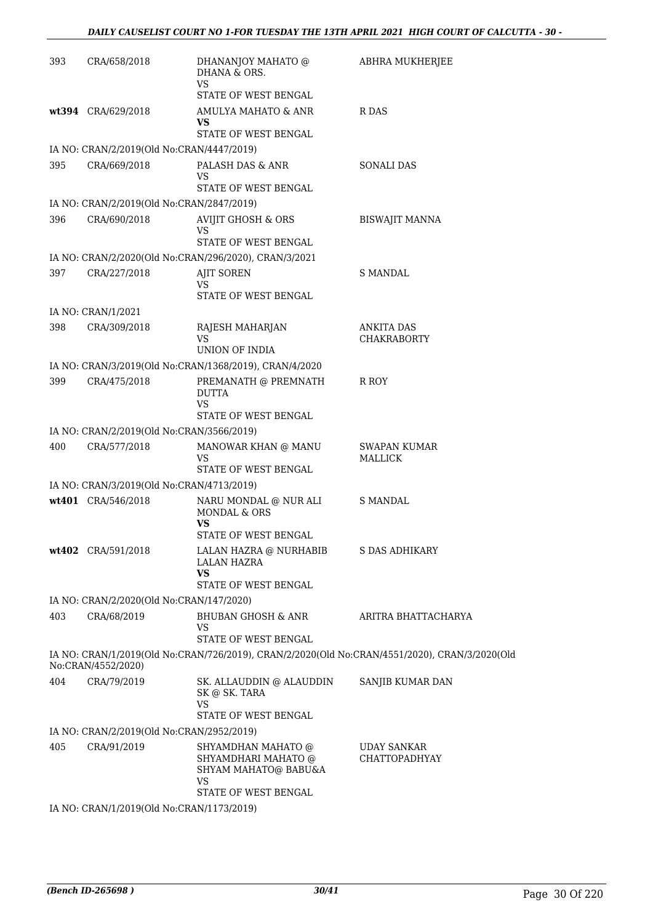| 393 | CRA/658/2018                              | DHANANJOY MAHATO @<br>DHANA & ORS.<br><b>VS</b>                                | ABHRA MUKHERJEE                                                                               |
|-----|-------------------------------------------|--------------------------------------------------------------------------------|-----------------------------------------------------------------------------------------------|
|     |                                           | STATE OF WEST BENGAL                                                           |                                                                                               |
|     | wt394 CRA/629/2018                        | AMULYA MAHATO & ANR<br>VS<br>STATE OF WEST BENGAL                              | R DAS                                                                                         |
|     | IA NO: CRAN/2/2019(Old No:CRAN/4447/2019) |                                                                                |                                                                                               |
| 395 | CRA/669/2018                              | PALASH DAS & ANR<br>VS                                                         | <b>SONALI DAS</b>                                                                             |
|     |                                           | STATE OF WEST BENGAL                                                           |                                                                                               |
|     | IA NO: CRAN/2/2019(Old No:CRAN/2847/2019) |                                                                                |                                                                                               |
| 396 | CRA/690/2018                              | <b>AVIJIT GHOSH &amp; ORS</b><br>VS<br>STATE OF WEST BENGAL                    | BISWAJIT MANNA                                                                                |
|     |                                           | IA NO: CRAN/2/2020(Old No:CRAN/296/2020), CRAN/3/2021                          |                                                                                               |
| 397 | CRA/227/2018                              | <b>AJIT SOREN</b><br>VS<br>STATE OF WEST BENGAL                                | S MANDAL                                                                                      |
|     | IA NO: CRAN/1/2021                        |                                                                                |                                                                                               |
| 398 | CRA/309/2018                              | RAJESH MAHARJAN                                                                | ANKITA DAS                                                                                    |
|     |                                           | <b>VS</b>                                                                      | <b>CHAKRABORTY</b>                                                                            |
|     |                                           | UNION OF INDIA                                                                 |                                                                                               |
|     |                                           | IA NO: CRAN/3/2019(Old No:CRAN/1368/2019), CRAN/4/2020                         |                                                                                               |
| 399 | CRA/475/2018                              | PREMANATH @ PREMNATH<br><b>DUTTA</b><br>VS<br>STATE OF WEST BENGAL             | R ROY                                                                                         |
|     | IA NO: CRAN/2/2019(Old No:CRAN/3566/2019) |                                                                                |                                                                                               |
| 400 | CRA/577/2018                              | MANOWAR KHAN @ MANU<br>VS                                                      | SWAPAN KUMAR<br><b>MALLICK</b>                                                                |
|     |                                           | STATE OF WEST BENGAL                                                           |                                                                                               |
|     | IA NO: CRAN/3/2019(Old No:CRAN/4713/2019) |                                                                                |                                                                                               |
|     | wt401 CRA/546/2018                        | NARU MONDAL @ NUR ALI<br>MONDAL & ORS<br>VS                                    | <b>S MANDAL</b>                                                                               |
|     |                                           | STATE OF WEST BENGAL                                                           |                                                                                               |
|     | wt402 CRA/591/2018                        | LALAN HAZRA @ NURHABIB<br><b>LALAN HAZRA</b><br><b>VS</b>                      | S DAS ADHIKARY                                                                                |
|     |                                           | STATE OF WEST BENGAL                                                           |                                                                                               |
|     | IA NO: CRAN/2/2020(Old No:CRAN/147/2020)  |                                                                                |                                                                                               |
| 403 | CRA/68/2019                               | BHUBAN GHOSH & ANR<br>VS<br><b>STATE OF WEST BENGAL</b>                        | ARITRA BHATTACHARYA                                                                           |
|     | No:CRAN/4552/2020)                        |                                                                                | IA NO: CRAN/1/2019(Old No:CRAN/726/2019), CRAN/2/2020(Old No:CRAN/4551/2020), CRAN/3/2020(Old |
| 404 | CRA/79/2019                               | SK. ALLAUDDIN @ ALAUDDIN<br>SK @ SK. TARA                                      | SANJIB KUMAR DAN                                                                              |
|     |                                           | VS<br>STATE OF WEST BENGAL                                                     |                                                                                               |
|     | IA NO: CRAN/2/2019(Old No:CRAN/2952/2019) |                                                                                |                                                                                               |
| 405 | CRA/91/2019                               | SHYAMDHAN MAHATO @<br>SHYAMDHARI MAHATO @<br>SHYAM MAHATO@ BABU&A<br><b>VS</b> | <b>UDAY SANKAR</b><br><b>CHATTOPADHYAY</b>                                                    |
|     |                                           | STATE OF WEST BENGAL                                                           |                                                                                               |
|     | IA NO: CRAN/1/2019(Old No:CRAN/1173/2019) |                                                                                |                                                                                               |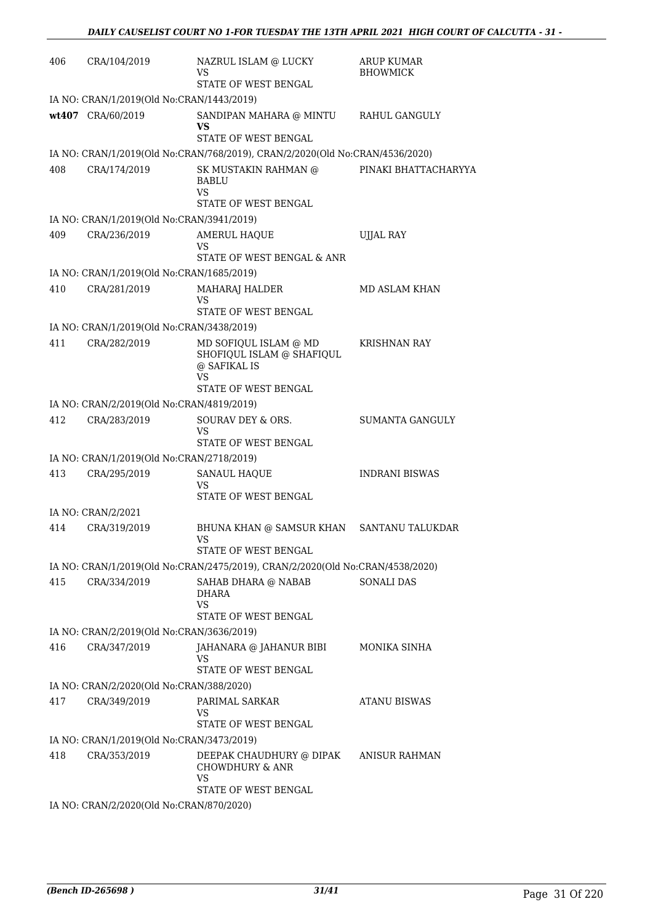| 406 | CRA/104/2019                              | NAZRUL ISLAM @ LUCKY<br>VS<br>STATE OF WEST BENGAL                            | <b>ARUP KUMAR</b><br><b>BHOWMICK</b> |
|-----|-------------------------------------------|-------------------------------------------------------------------------------|--------------------------------------|
|     | IA NO: CRAN/1/2019(Old No:CRAN/1443/2019) |                                                                               |                                      |
|     | wt407 CRA/60/2019                         | SANDIPAN MAHARA @ MINTU<br>VS                                                 | RAHUL GANGULY                        |
|     |                                           | STATE OF WEST BENGAL                                                          |                                      |
|     |                                           | IA NO: CRAN/1/2019(Old No:CRAN/768/2019), CRAN/2/2020(Old No:CRAN/4536/2020)  |                                      |
| 408 | CRA/174/2019                              | SK MUSTAKIN RAHMAN @<br><b>BABLU</b><br>VS                                    | PINAKI BHATTACHARYYA                 |
|     |                                           | STATE OF WEST BENGAL                                                          |                                      |
|     | IA NO: CRAN/1/2019(Old No:CRAN/3941/2019) |                                                                               |                                      |
| 409 | CRA/236/2019                              | <b>AMERUL HAQUE</b><br>VS<br>STATE OF WEST BENGAL & ANR                       | <b>UJJAL RAY</b>                     |
|     |                                           |                                                                               |                                      |
|     | IA NO: CRAN/1/2019(Old No:CRAN/1685/2019) |                                                                               |                                      |
| 410 | CRA/281/2019                              | <b>MAHARAJ HALDER</b><br>VS<br>STATE OF WEST BENGAL                           | MD ASLAM KHAN                        |
|     | IA NO: CRAN/1/2019(Old No:CRAN/3438/2019) |                                                                               |                                      |
| 411 | CRA/282/2019                              | MD SOFIQUL ISLAM @ MD<br>SHOFIQUL ISLAM @ SHAFIQUL<br>@ SAFIKAL IS<br>VS      | <b>KRISHNAN RAY</b>                  |
|     |                                           | STATE OF WEST BENGAL                                                          |                                      |
|     | IA NO: CRAN/2/2019(Old No:CRAN/4819/2019) |                                                                               |                                      |
| 412 | CRA/283/2019                              | SOURAV DEY & ORS.<br>VS<br>STATE OF WEST BENGAL                               | SUMANTA GANGULY                      |
|     | IA NO: CRAN/1/2019(Old No:CRAN/2718/2019) |                                                                               |                                      |
| 413 | CRA/295/2019                              | <b>SANAUL HAQUE</b><br>VS                                                     | <b>INDRANI BISWAS</b>                |
|     |                                           | STATE OF WEST BENGAL                                                          |                                      |
|     | IA NO: CRAN/2/2021                        |                                                                               |                                      |
| 414 | CRA/319/2019                              | BHUNA KHAN @ SAMSUR KHAN SANTANU TALUKDAR<br><b>VS</b>                        |                                      |
|     |                                           | STATE OF WEST BENGAL                                                          |                                      |
|     |                                           | IA NO: CRAN/1/2019(Old No:CRAN/2475/2019), CRAN/2/2020(Old No:CRAN/4538/2020) |                                      |
| 415 | CRA/334/2019                              | SAHAB DHARA @ NABAB<br><b>DHARA</b><br><b>VS</b>                              | <b>SONALI DAS</b>                    |
|     |                                           | STATE OF WEST BENGAL                                                          |                                      |
|     | IA NO: CRAN/2/2019(Old No:CRAN/3636/2019) |                                                                               |                                      |
| 416 | CRA/347/2019                              | JAHANARA @ JAHANUR BIBI<br>VS                                                 | MONIKA SINHA                         |
|     |                                           | STATE OF WEST BENGAL                                                          |                                      |
|     | IA NO: CRAN/2/2020(Old No:CRAN/388/2020)  |                                                                               |                                      |
| 417 | CRA/349/2019                              | PARIMAL SARKAR<br>VS<br>STATE OF WEST BENGAL                                  | ATANU BISWAS                         |
|     | IA NO: CRAN/1/2019(Old No:CRAN/3473/2019) |                                                                               |                                      |
| 418 | CRA/353/2019                              | DEEPAK CHAUDHURY @ DIPAK<br><b>CHOWDHURY &amp; ANR</b><br>VS                  | ANISUR RAHMAN                        |
|     |                                           | STATE OF WEST BENGAL                                                          |                                      |
|     | IA NO: CRAN/2/2020(Old No:CRAN/870/2020)  |                                                                               |                                      |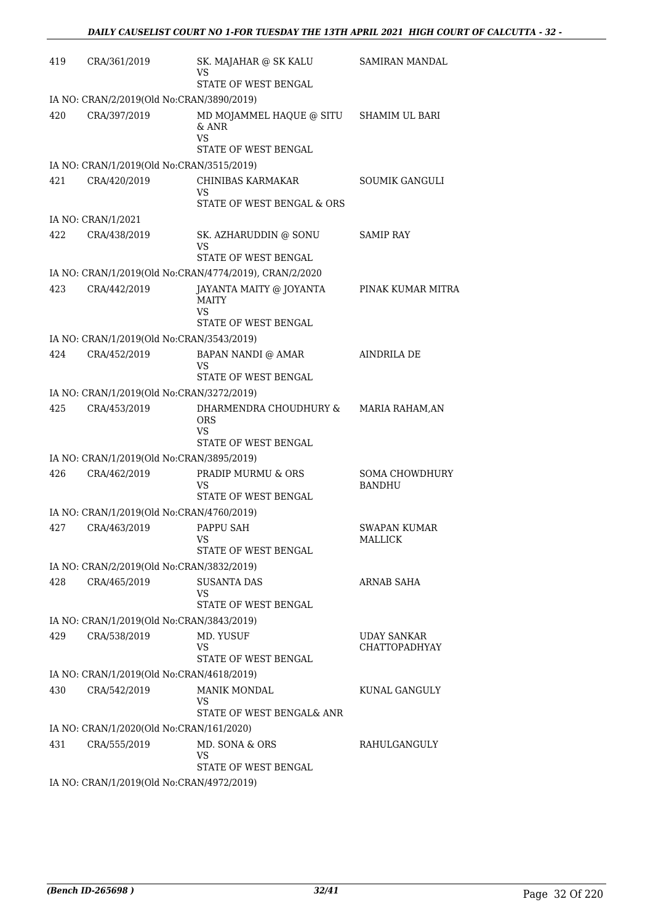| 419 | CRA/361/2019                              | SK. MAJAHAR @ SK KALU<br>VS<br>STATE OF WEST BENGAL                      | <b>SAMIRAN MANDAL</b>                      |
|-----|-------------------------------------------|--------------------------------------------------------------------------|--------------------------------------------|
|     | IA NO: CRAN/2/2019(Old No:CRAN/3890/2019) |                                                                          |                                            |
| 420 | CRA/397/2019                              | MD MOJAMMEL HAQUE @ SITU<br>$&$ ANR<br><b>VS</b><br>STATE OF WEST BENGAL | SHAMIM UL BARI                             |
|     | IA NO: CRAN/1/2019(Old No:CRAN/3515/2019) |                                                                          |                                            |
| 421 | CRA/420/2019                              | CHINIBAS KARMAKAR<br>VS<br>STATE OF WEST BENGAL & ORS                    | <b>SOUMIK GANGULI</b>                      |
|     | IA NO: CRAN/1/2021                        |                                                                          |                                            |
| 422 | CRA/438/2019                              | SK. AZHARUDDIN @ SONU<br>VS<br>STATE OF WEST BENGAL                      | <b>SAMIP RAY</b>                           |
|     |                                           | IA NO: CRAN/1/2019(Old No:CRAN/4774/2019), CRAN/2/2020                   |                                            |
| 423 | CRA/442/2019                              | JAYANTA MAITY @ JOYANTA<br>MAITY<br>VS                                   | PINAK KUMAR MITRA                          |
|     |                                           | STATE OF WEST BENGAL                                                     |                                            |
|     | IA NO: CRAN/1/2019(Old No:CRAN/3543/2019) |                                                                          |                                            |
| 424 | CRA/452/2019                              | BAPAN NANDI @ AMAR<br>VS<br>STATE OF WEST BENGAL                         | AINDRILA DE                                |
|     | IA NO: CRAN/1/2019(Old No:CRAN/3272/2019) |                                                                          |                                            |
| 425 | CRA/453/2019                              | DHARMENDRA CHOUDHURY &<br><b>ORS</b><br>VS<br>STATE OF WEST BENGAL       | MARIA RAHAM, AN                            |
|     | IA NO: CRAN/1/2019(Old No:CRAN/3895/2019) |                                                                          |                                            |
| 426 | CRA/462/2019                              | PRADIP MURMU & ORS<br>VS<br>STATE OF WEST BENGAL                         | <b>SOMA CHOWDHURY</b><br><b>BANDHU</b>     |
|     | IA NO: CRAN/1/2019(Old No:CRAN/4760/2019) |                                                                          |                                            |
| 427 | CRA/463/2019                              | PAPPU SAH<br><b>VS</b><br>STATE OF WEST BENGAL                           | <b>SWAPAN KUMAR</b><br><b>MALLICK</b>      |
|     | IA NO: CRAN/2/2019(Old No:CRAN/3832/2019) |                                                                          |                                            |
| 428 | CRA/465/2019                              | <b>SUSANTA DAS</b><br>VS<br>STATE OF WEST BENGAL                         | ARNAB SAHA                                 |
|     | IA NO: CRAN/1/2019(Old No:CRAN/3843/2019) |                                                                          |                                            |
| 429 | CRA/538/2019                              | MD. YUSUF<br>VS<br>STATE OF WEST BENGAL                                  | <b>UDAY SANKAR</b><br><b>CHATTOPADHYAY</b> |
|     | IA NO: CRAN/1/2019(Old No:CRAN/4618/2019) |                                                                          |                                            |
| 430 | CRA/542/2019                              | MANIK MONDAL<br>VS<br>STATE OF WEST BENGAL& ANR                          | KUNAL GANGULY                              |
|     | IA NO: CRAN/1/2020(Old No:CRAN/161/2020)  |                                                                          |                                            |
| 431 | CRA/555/2019                              | MD. SONA & ORS<br>VS<br>STATE OF WEST BENGAL                             | RAHULGANGULY                               |
|     | IA NO: CRAN/1/2019(Old No:CRAN/4972/2019) |                                                                          |                                            |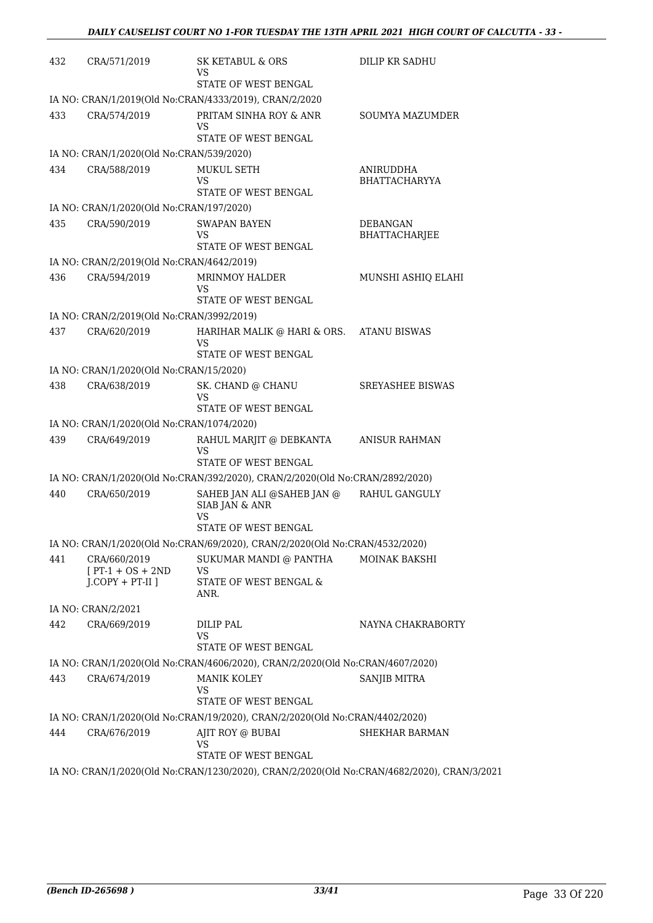| 432 | CRA/571/2019                                                 | SK KETABUL & ORS<br>VS<br>STATE OF WEST BENGAL                                                                     | DILIP KR SADHU                          |
|-----|--------------------------------------------------------------|--------------------------------------------------------------------------------------------------------------------|-----------------------------------------|
|     |                                                              | IA NO: CRAN/1/2019(Old No:CRAN/4333/2019), CRAN/2/2020                                                             |                                         |
| 433 | CRA/574/2019                                                 | PRITAM SINHA ROY & ANR<br>VS<br>STATE OF WEST BENGAL                                                               | SOUMYA MAZUMDER                         |
|     | IA NO: CRAN/1/2020(Old No:CRAN/539/2020)                     |                                                                                                                    |                                         |
| 434 | CRA/588/2019                                                 | MUKUL SETH<br>VS<br><b>STATE OF WEST BENGAL</b>                                                                    | ANIRUDDHA<br><b>BHATTACHARYYA</b>       |
|     | IA NO: CRAN/1/2020(Old No:CRAN/197/2020)                     |                                                                                                                    |                                         |
| 435 | CRA/590/2019                                                 | <b>SWAPAN BAYEN</b><br>VS<br>STATE OF WEST BENGAL                                                                  | <b>DEBANGAN</b><br><b>BHATTACHARJEE</b> |
|     | IA NO: CRAN/2/2019(Old No:CRAN/4642/2019)                    |                                                                                                                    |                                         |
| 436 | CRA/594/2019                                                 | MRINMOY HALDER<br>VS<br><b>STATE OF WEST BENGAL</b>                                                                | MUNSHI ASHIQ ELAHI                      |
|     | IA NO: CRAN/2/2019(Old No:CRAN/3992/2019)                    |                                                                                                                    |                                         |
| 437 | CRA/620/2019                                                 | HARIHAR MALIK @ HARI & ORS. ATANU BISWAS<br>VS<br><b>STATE OF WEST BENGAL</b>                                      |                                         |
|     | IA NO: CRAN/1/2020(Old No:CRAN/15/2020)                      |                                                                                                                    |                                         |
| 438 | CRA/638/2019                                                 | SK. CHAND @ CHANU<br>VS                                                                                            | <b>SREYASHEE BISWAS</b>                 |
|     |                                                              | STATE OF WEST BENGAL                                                                                               |                                         |
|     | IA NO: CRAN/1/2020(Old No:CRAN/1074/2020)                    |                                                                                                                    |                                         |
| 439 | CRA/649/2019                                                 | RAHUL MARJIT @ DEBKANTA<br>VS<br>STATE OF WEST BENGAL                                                              | <b>ANISUR RAHMAN</b>                    |
|     |                                                              | IA NO: CRAN/1/2020(Old No:CRAN/392/2020), CRAN/2/2020(Old No:CRAN/2892/2020)                                       |                                         |
| 440 | CRA/650/2019                                                 | SAHEB JAN ALI @SAHEB JAN @<br>SIAB JAN & ANR<br>VS<br>STATE OF WEST BENGAL                                         | RAHUL GANGULY                           |
|     |                                                              | IA NO: CRAN/1/2020(Old No:CRAN/69/2020), CRAN/2/2020(Old No:CRAN/4532/2020)                                        |                                         |
| 441 | CRA/660/2019<br>$[PT-1 + OS + 2ND]$<br>$J$ .COPY + PT-II $J$ | SUKUMAR MANDI @ PANTHA<br>VS<br>STATE OF WEST BENGAL &<br>ANR.                                                     | <b>MOINAK BAKSHI</b>                    |
|     | IA NO: CRAN/2/2021                                           |                                                                                                                    |                                         |
| 442 | CRA/669/2019                                                 | DILIP PAL<br>VS<br>STATE OF WEST BENGAL                                                                            | NAYNA CHAKRABORTY                       |
|     |                                                              | IA NO: CRAN/1/2020(Old No:CRAN/4606/2020), CRAN/2/2020(Old No:CRAN/4607/2020)                                      |                                         |
| 443 | CRA/674/2019                                                 | MANIK KOLEY<br>VS<br>STATE OF WEST BENGAL                                                                          | <b>SANJIB MITRA</b>                     |
|     |                                                              | IA NO: CRAN/1/2020(Old No:CRAN/19/2020), CRAN/2/2020(Old No:CRAN/4402/2020)                                        |                                         |
| 444 | CRA/676/2019                                                 | AJIT ROY @ BUBAI<br>VS                                                                                             | SHEKHAR BARMAN                          |
|     |                                                              | STATE OF WEST BENGAL<br>IA NO: CRAN/1/2020(Old No:CRAN/1230/2020), CRAN/2/2020(Old No:CRAN/4682/2020), CRAN/3/2021 |                                         |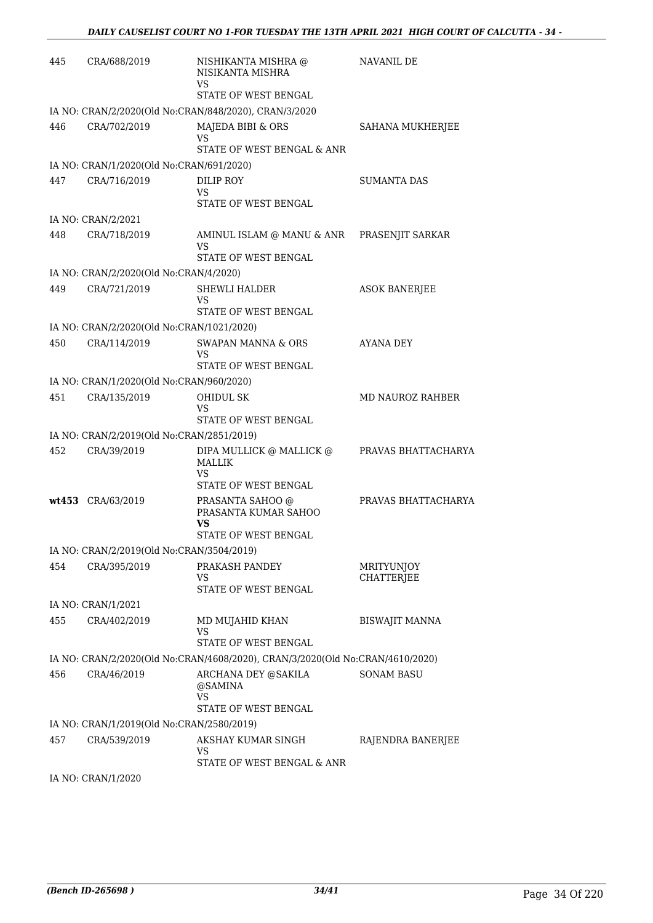| 445 | CRA/688/2019                              | NISHIKANTA MISHRA @<br>NISIKANTA MISHRA<br>VS                                 | <b>NAVANIL DE</b>        |
|-----|-------------------------------------------|-------------------------------------------------------------------------------|--------------------------|
|     |                                           | STATE OF WEST BENGAL                                                          |                          |
|     |                                           | IA NO: CRAN/2/2020(Old No:CRAN/848/2020), CRAN/3/2020                         |                          |
| 446 | CRA/702/2019                              | MAJEDA BIBI & ORS<br>VS<br>STATE OF WEST BENGAL & ANR                         | SAHANA MUKHERJEE         |
|     | IA NO: CRAN/1/2020(Old No:CRAN/691/2020)  |                                                                               |                          |
| 447 | CRA/716/2019                              | DILIP ROY<br>VS<br>STATE OF WEST BENGAL                                       | <b>SUMANTA DAS</b>       |
|     | IA NO: CRAN/2/2021                        |                                                                               |                          |
| 448 | CRA/718/2019                              | AMINUL ISLAM @ MANU & ANR    PRASENJIT SARKAR<br>VS<br>STATE OF WEST BENGAL   |                          |
|     | IA NO: CRAN/2/2020(Old No:CRAN/4/2020)    |                                                                               |                          |
| 449 | CRA/721/2019                              | <b>SHEWLI HALDER</b><br>VS                                                    | <b>ASOK BANERJEE</b>     |
|     |                                           | STATE OF WEST BENGAL                                                          |                          |
|     | IA NO: CRAN/2/2020(Old No:CRAN/1021/2020) |                                                                               |                          |
| 450 | CRA/114/2019                              | <b>SWAPAN MANNA &amp; ORS</b><br>VS<br>STATE OF WEST BENGAL                   | AYANA DEY                |
|     | IA NO: CRAN/1/2020(Old No:CRAN/960/2020)  |                                                                               |                          |
| 451 | CRA/135/2019                              | OHIDUL SK<br>VS<br>STATE OF WEST BENGAL                                       | <b>MD NAUROZ RAHBER</b>  |
|     | IA NO: CRAN/2/2019(Old No:CRAN/2851/2019) |                                                                               |                          |
| 452 | CRA/39/2019                               | DIPA MULLICK @ MALLICK @<br><b>MALLIK</b><br>VS<br>STATE OF WEST BENGAL       | PRAVAS BHATTACHARYA      |
|     | wt453 CRA/63/2019                         | PRASANTA SAHOO @<br>PRASANTA KUMAR SAHOO<br>VS                                | PRAVAS BHATTACHARYA      |
|     |                                           | <b>STATE OF WEST BENGAL</b>                                                   |                          |
|     | IA NO: CRAN/2/2019(Old No:CRAN/3504/2019) |                                                                               |                          |
| 454 | CRA/395/2019                              | PRAKASH PANDEY<br>VS<br>STATE OF WEST BENGAL                                  | MRITYUNJOY<br>CHATTERJEE |
|     | IA NO: CRAN/1/2021                        |                                                                               |                          |
| 455 | CRA/402/2019                              | MD MUJAHID KHAN<br><b>VS</b>                                                  | <b>BISWAJIT MANNA</b>    |
|     |                                           | STATE OF WEST BENGAL                                                          |                          |
|     |                                           | IA NO: CRAN/2/2020(Old No:CRAN/4608/2020), CRAN/3/2020(Old No:CRAN/4610/2020) |                          |
| 456 | CRA/46/2019                               | ARCHANA DEY @SAKILA<br>@SAMINA<br>VS<br>STATE OF WEST BENGAL                  | <b>SONAM BASU</b>        |
|     | IA NO: CRAN/1/2019(Old No:CRAN/2580/2019) |                                                                               |                          |
| 457 | CRA/539/2019                              | AKSHAY KUMAR SINGH<br>VS<br>STATE OF WEST BENGAL & ANR                        | RAJENDRA BANERJEE        |
|     | IA NO: CRAN/1/2020                        |                                                                               |                          |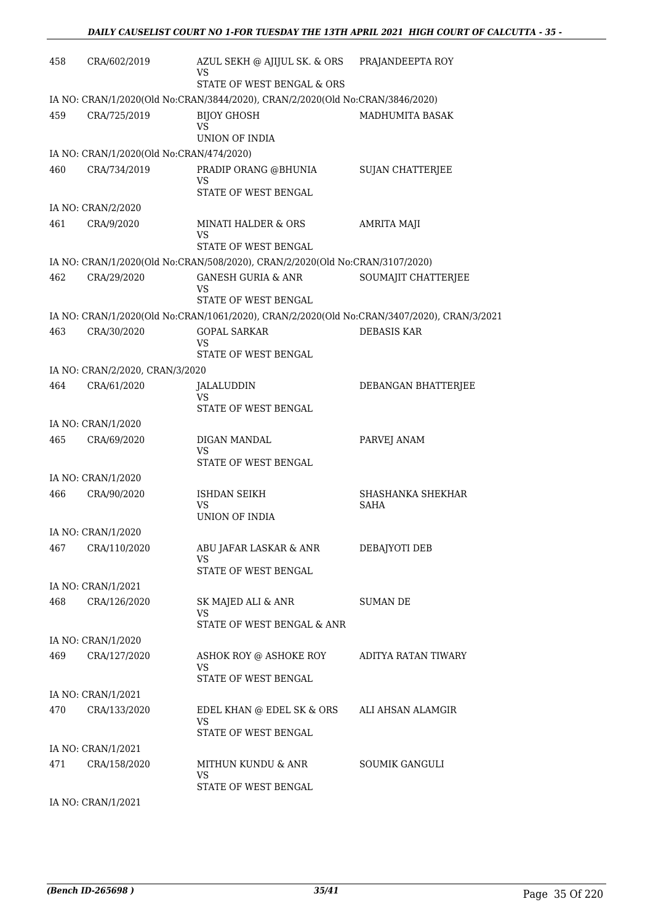| 458 | CRA/602/2019                             | AZUL SEKH @ AJIJUL SK. & ORS<br>VS                                                         | PRAJANDEEPTA ROY        |
|-----|------------------------------------------|--------------------------------------------------------------------------------------------|-------------------------|
|     |                                          | STATE OF WEST BENGAL & ORS                                                                 |                         |
|     |                                          | IA NO: CRAN/1/2020(Old No:CRAN/3844/2020), CRAN/2/2020(Old No:CRAN/3846/2020)              |                         |
| 459 | CRA/725/2019                             | <b>BIJOY GHOSH</b><br>VS<br>UNION OF INDIA                                                 | MADHUMITA BASAK         |
|     | IA NO: CRAN/1/2020(Old No:CRAN/474/2020) |                                                                                            |                         |
| 460 | CRA/734/2019                             | PRADIP ORANG @BHUNIA                                                                       | <b>SUJAN CHATTERJEE</b> |
|     |                                          | VS<br>STATE OF WEST BENGAL                                                                 |                         |
|     | IA NO: CRAN/2/2020                       |                                                                                            |                         |
| 461 | CRA/9/2020                               | MINATI HALDER & ORS<br>VS<br>STATE OF WEST BENGAL                                          | AMRITA MAJI             |
|     |                                          | IA NO: CRAN/1/2020(Old No:CRAN/508/2020), CRAN/2/2020(Old No:CRAN/3107/2020)               |                         |
| 462 | CRA/29/2020                              | <b>GANESH GURIA &amp; ANR</b>                                                              | SOUMAJIT CHATTERJEE     |
|     |                                          | VS                                                                                         |                         |
|     |                                          | STATE OF WEST BENGAL                                                                       |                         |
|     |                                          | IA NO: CRAN/1/2020(Old No:CRAN/1061/2020), CRAN/2/2020(Old No:CRAN/3407/2020), CRAN/3/2021 |                         |
| 463 | CRA/30/2020                              | <b>GOPAL SARKAR</b><br>VS                                                                  | <b>DEBASIS KAR</b>      |
|     |                                          | STATE OF WEST BENGAL                                                                       |                         |
|     | IA NO: CRAN/2/2020, CRAN/3/2020          |                                                                                            |                         |
| 464 | CRA/61/2020                              | JALALUDDIN                                                                                 | DEBANGAN BHATTERJEE     |
|     |                                          | VS<br>STATE OF WEST BENGAL                                                                 |                         |
|     | IA NO: CRAN/1/2020                       |                                                                                            |                         |
| 465 | CRA/69/2020                              | DIGAN MANDAL                                                                               | PARVEJ ANAM             |
|     |                                          | VS<br>STATE OF WEST BENGAL                                                                 |                         |
|     | IA NO: CRAN/1/2020                       |                                                                                            |                         |
| 466 | CRA/90/2020                              | ISHDAN SEIKH                                                                               | SHASHANKA SHEKHAR       |
|     |                                          | VS<br>UNION OF INDIA                                                                       | <b>SAHA</b>             |
|     | IA NO: CRAN/1/2020                       |                                                                                            |                         |
| 467 | CRA/110/2020                             | ABU JAFAR LASKAR & ANR                                                                     | DEBAJYOTI DEB           |
|     |                                          | VS.                                                                                        |                         |
|     |                                          | STATE OF WEST BENGAL                                                                       |                         |
|     | IA NO: CRAN/1/2021                       |                                                                                            |                         |
| 468 | CRA/126/2020                             | SK MAJED ALI & ANR<br>VS<br>STATE OF WEST BENGAL & ANR                                     | <b>SUMAN DE</b>         |
|     | IA NO: CRAN/1/2020                       |                                                                                            |                         |
| 469 | CRA/127/2020                             | ASHOK ROY @ ASHOKE ROY<br>VS                                                               | ADITYA RATAN TIWARY     |
|     |                                          | STATE OF WEST BENGAL                                                                       |                         |
|     | IA NO: CRAN/1/2021                       |                                                                                            |                         |
| 470 | CRA/133/2020                             | EDEL KHAN @ EDEL SK & ORS<br>VS.                                                           | ALI AHSAN ALAMGIR       |
|     |                                          | STATE OF WEST BENGAL                                                                       |                         |
|     | IA NO: CRAN/1/2021                       |                                                                                            |                         |
| 471 | CRA/158/2020                             | MITHUN KUNDU & ANR<br>VS.<br>STATE OF WEST BENGAL                                          | SOUMIK GANGULI          |
|     | IA NO: CRAN/1/2021                       |                                                                                            |                         |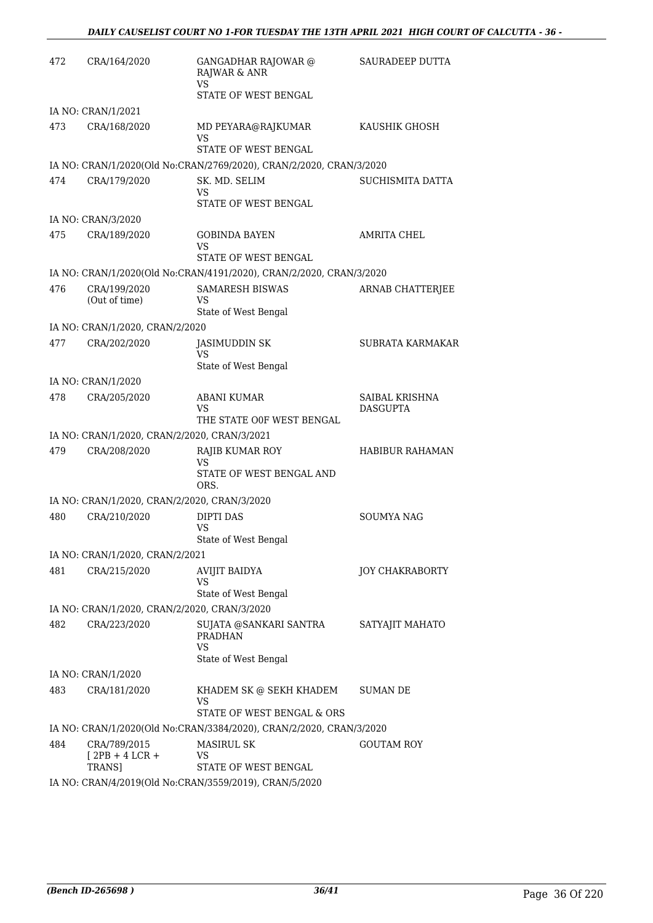| 472 | CRA/164/2020                                                 | <b>GANGADHAR RAJOWAR</b> @<br>RAJWAR & ANR<br><b>VS</b><br><b>STATE OF WEST BENGAL</b> | <b>SAURADEEP DUTTA</b> |
|-----|--------------------------------------------------------------|----------------------------------------------------------------------------------------|------------------------|
|     | IA NO: CRAN/1/2021                                           |                                                                                        |                        |
| 473 | CRA/168/2020                                                 | MD PEYARA@RAJKUMAR<br>VS<br>STATE OF WEST BENGAL                                       | KAUSHIK GHOSH          |
|     |                                                              | IA NO: CRAN/1/2020(Old No:CRAN/2769/2020), CRAN/2/2020, CRAN/3/2020                    |                        |
| 474 | CRA/179/2020                                                 | SK. MD. SELIM<br>VS<br>STATE OF WEST BENGAL                                            | SUCHISMITA DATTA       |
|     | IA NO: CRAN/3/2020                                           |                                                                                        |                        |
| 475 | CRA/189/2020                                                 | GOBINDA BAYEN<br>VS<br>STATE OF WEST BENGAL                                            | <b>AMRITA CHEL</b>     |
|     |                                                              | IA NO: CRAN/1/2020(Old No:CRAN/4191/2020), CRAN/2/2020, CRAN/3/2020                    |                        |
| 476 | CRA/199/2020<br>(Out of time)                                | <b>SAMARESH BISWAS</b><br>VS                                                           | ARNAB CHATTERJEE       |
|     | IA NO: CRAN/1/2020, CRAN/2/2020                              | State of West Bengal                                                                   |                        |
| 477 | CRA/202/2020                                                 | <b>JASIMUDDIN SK</b><br>VS                                                             | SUBRATA KARMAKAR       |
|     | IA NO: CRAN/1/2020                                           | State of West Bengal                                                                   |                        |
| 478 | CRA/205/2020                                                 | <b>ABANI KUMAR</b>                                                                     | SAIBAL KRISHNA         |
|     |                                                              | VS<br>THE STATE OOF WEST BENGAL                                                        | <b>DASGUPTA</b>        |
|     | IA NO: CRAN/1/2020, CRAN/2/2020, CRAN/3/2021                 |                                                                                        |                        |
| 479 | CRA/208/2020                                                 | RAJIB KUMAR ROY<br>VS<br>STATE OF WEST BENGAL AND<br>ORS.                              | <b>HABIBUR RAHAMAN</b> |
|     | IA NO: CRAN/1/2020, CRAN/2/2020, CRAN/3/2020                 |                                                                                        |                        |
| 480 | CRA/210/2020                                                 | <b>DIPTI DAS</b><br><b>VS</b><br>State of West Bengal                                  | SOUMYA NAG             |
|     | IA NO: CRAN/1/2020, CRAN/2/2021                              |                                                                                        |                        |
| 481 | CRA/215/2020                                                 | AVIJIT BAIDYA<br><b>VS</b>                                                             | JOY CHAKRABORTY        |
|     |                                                              | State of West Bengal                                                                   |                        |
| 482 | IA NO: CRAN/1/2020, CRAN/2/2020, CRAN/3/2020<br>CRA/223/2020 |                                                                                        | SATYAJIT MAHATO        |
|     |                                                              | SUJATA @SANKARI SANTRA<br>PRADHAN<br>VS<br>State of West Bengal                        |                        |
|     | IA NO: CRAN/1/2020                                           |                                                                                        |                        |
| 483 | CRA/181/2020                                                 | KHADEM SK @ SEKH KHADEM<br>VS<br>STATE OF WEST BENGAL & ORS                            | SUMAN DE               |
|     |                                                              | IA NO: CRAN/1/2020(Old No:CRAN/3384/2020), CRAN/2/2020, CRAN/3/2020                    |                        |
| 484 | CRA/789/2015<br>$[2PB + 4 LCR +$                             | <b>MASIRUL SK</b><br>VS<br>STATE OF WEST BENGAL                                        | GOUTAM ROY             |
|     | TRANS]                                                       | IA NO: CRAN/4/2019(Old No:CRAN/3559/2019), CRAN/5/2020                                 |                        |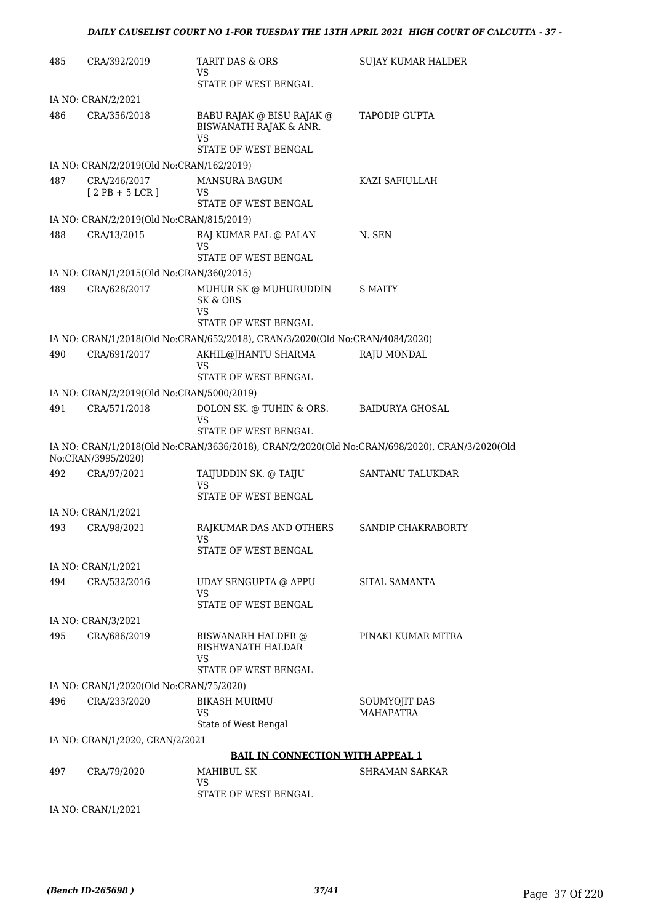| 485 | CRA/392/2019                              | TARIT DAS & ORS<br>VS                                                                    | <b>SUJAY KUMAR HALDER</b>                                                                     |
|-----|-------------------------------------------|------------------------------------------------------------------------------------------|-----------------------------------------------------------------------------------------------|
|     |                                           | STATE OF WEST BENGAL                                                                     |                                                                                               |
|     | IA NO: CRAN/2/2021                        |                                                                                          |                                                                                               |
| 486 | CRA/356/2018                              | BABU RAJAK @ BISU RAJAK @<br>BISWANATH RAJAK & ANR.<br><b>VS</b><br>STATE OF WEST BENGAL | <b>TAPODIP GUPTA</b>                                                                          |
|     | IA NO: CRAN/2/2019(Old No:CRAN/162/2019)  |                                                                                          |                                                                                               |
| 487 | CRA/246/2017                              | <b>MANSURA BAGUM</b>                                                                     | KAZI SAFIULLAH                                                                                |
|     | $[2PB + 5LCR]$                            | VS<br>STATE OF WEST BENGAL                                                               |                                                                                               |
|     | IA NO: CRAN/2/2019(Old No:CRAN/815/2019)  |                                                                                          |                                                                                               |
| 488 | CRA/13/2015                               | RAJ KUMAR PAL @ PALAN                                                                    | N. SEN                                                                                        |
|     |                                           | VS<br>STATE OF WEST BENGAL                                                               |                                                                                               |
|     | IA NO: CRAN/1/2015(Old No:CRAN/360/2015)  |                                                                                          |                                                                                               |
| 489 | CRA/628/2017                              | MUHUR SK @ MUHURUDDIN<br>SK & ORS<br>VS<br>STATE OF WEST BENGAL                          | <b>S MAITY</b>                                                                                |
|     |                                           | IA NO: CRAN/1/2018(Old No:CRAN/652/2018), CRAN/3/2020(Old No:CRAN/4084/2020)             |                                                                                               |
| 490 |                                           | AKHIL@JHANTU SHARMA                                                                      |                                                                                               |
|     | CRA/691/2017                              | <b>VS</b><br>STATE OF WEST BENGAL                                                        | RAJU MONDAL                                                                                   |
|     | IA NO: CRAN/2/2019(Old No:CRAN/5000/2019) |                                                                                          |                                                                                               |
| 491 | CRA/571/2018                              | DOLON SK. @ TUHIN & ORS.                                                                 | <b>BAIDURYA GHOSAL</b>                                                                        |
|     |                                           | <b>VS</b><br>STATE OF WEST BENGAL                                                        |                                                                                               |
|     | No:CRAN/3995/2020)                        |                                                                                          | IA NO: CRAN/1/2018(Old No:CRAN/3636/2018), CRAN/2/2020(Old No:CRAN/698/2020), CRAN/3/2020(Old |
| 492 | CRA/97/2021                               | TAIJUDDIN SK. @ TAIJU<br>VS                                                              | SANTANU TALUKDAR                                                                              |
|     |                                           | STATE OF WEST BENGAL                                                                     |                                                                                               |
|     | IA NO: CRAN/1/2021                        |                                                                                          |                                                                                               |
| 493 | CRA/98/2021                               | RAJKUMAR DAS AND OTHERS<br><b>VS</b>                                                     | SANDIP CHAKRABORTY                                                                            |
|     |                                           | <b>STATE OF WEST BENGAL</b>                                                              |                                                                                               |
|     | IA NO: CRAN/1/2021                        |                                                                                          |                                                                                               |
| 494 | CRA/532/2016                              | UDAY SENGUPTA @ APPU<br>VS                                                               | SITAL SAMANTA                                                                                 |
|     |                                           | STATE OF WEST BENGAL                                                                     |                                                                                               |
|     | IA NO: CRAN/3/2021                        |                                                                                          |                                                                                               |
| 495 | CRA/686/2019                              | <b>BISWANARH HALDER @</b><br><b>BISHWANATH HALDAR</b>                                    | PINAKI KUMAR MITRA                                                                            |
|     |                                           | VS<br>STATE OF WEST BENGAL                                                               |                                                                                               |
|     | IA NO: CRAN/1/2020(Old No:CRAN/75/2020)   |                                                                                          |                                                                                               |
| 496 |                                           |                                                                                          |                                                                                               |
|     | CRA/233/2020                              | <b>BIKASH MURMU</b><br>VS<br>State of West Bengal                                        | SOUMYOJIT DAS<br><b>MAHAPATRA</b>                                                             |
|     | IA NO: CRAN/1/2020, CRAN/2/2021           |                                                                                          |                                                                                               |
|     |                                           | <b>BAIL IN CONNECTION WITH APPEAL 1</b>                                                  |                                                                                               |
| 497 | CRA/79/2020                               | MAHIBUL SK                                                                               | SHRAMAN SARKAR                                                                                |
|     |                                           | <b>VS</b>                                                                                |                                                                                               |
|     |                                           | STATE OF WEST BENGAL                                                                     |                                                                                               |
|     | IA NO: CRAN/1/2021                        |                                                                                          |                                                                                               |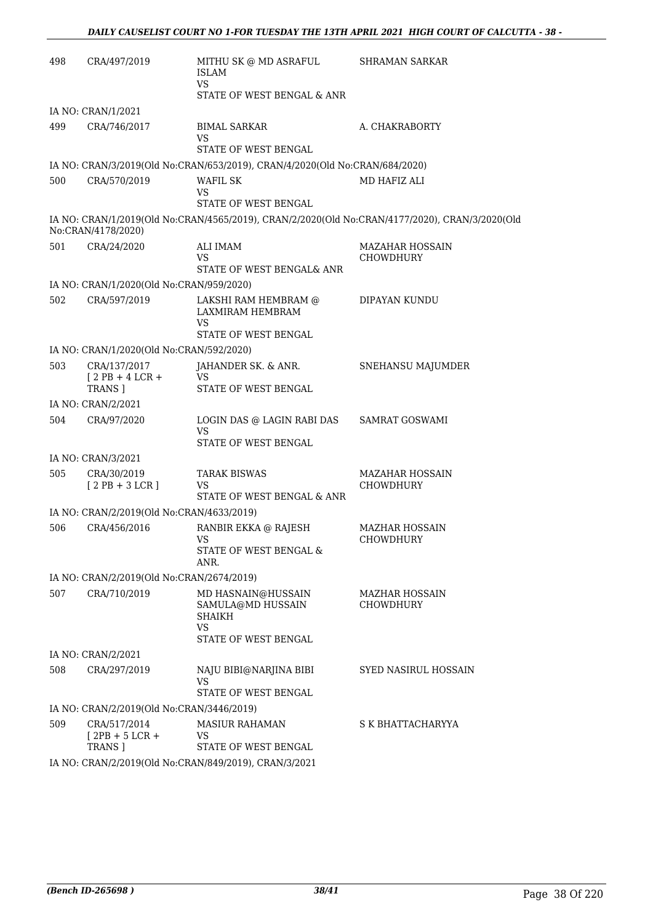| 498 | CRA/497/2019                                             | MITHU SK @ MD ASRAFUL<br><b>ISLAM</b><br><b>VS</b>                                     | <b>SHRAMAN SARKAR</b>                                                                          |
|-----|----------------------------------------------------------|----------------------------------------------------------------------------------------|------------------------------------------------------------------------------------------------|
|     | IA NO: CRAN/1/2021                                       | STATE OF WEST BENGAL & ANR                                                             |                                                                                                |
| 499 | CRA/746/2017                                             | <b>BIMAL SARKAR</b><br>VS<br>STATE OF WEST BENGAL                                      | A. CHAKRABORTY                                                                                 |
|     |                                                          | IA NO: CRAN/3/2019(Old No:CRAN/653/2019), CRAN/4/2020(Old No:CRAN/684/2020)            |                                                                                                |
| 500 | CRA/570/2019                                             | WAFIL SK<br>VS<br>STATE OF WEST BENGAL                                                 | MD HAFIZ ALI                                                                                   |
|     | No:CRAN/4178/2020)                                       |                                                                                        | IA NO: CRAN/1/2019(Old No:CRAN/4565/2019), CRAN/2/2020(Old No:CRAN/4177/2020), CRAN/3/2020(Old |
| 501 | CRA/24/2020                                              | ALI IMAM<br>VS<br>STATE OF WEST BENGAL& ANR                                            | <b>MAZAHAR HOSSAIN</b><br><b>CHOWDHURY</b>                                                     |
|     | IA NO: CRAN/1/2020(Old No:CRAN/959/2020)                 |                                                                                        |                                                                                                |
| 502 | CRA/597/2019                                             | LAKSHI RAM HEMBRAM @<br>LAXMIRAM HEMBRAM<br>VS                                         | DIPAYAN KUNDU                                                                                  |
|     |                                                          | STATE OF WEST BENGAL                                                                   |                                                                                                |
| 503 | IA NO: CRAN/1/2020(Old No:CRAN/592/2020)<br>CRA/137/2017 | JAHANDER SK. & ANR.                                                                    | SNEHANSU MAJUMDER                                                                              |
|     | $12$ PB + 4 LCR +<br><b>TRANS</b> ]                      | VS<br>STATE OF WEST BENGAL                                                             |                                                                                                |
|     | IA NO: CRAN/2/2021                                       |                                                                                        |                                                                                                |
| 504 | CRA/97/2020                                              | LOGIN DAS @ LAGIN RABI DAS<br><b>VS</b><br>STATE OF WEST BENGAL                        | <b>SAMRAT GOSWAMI</b>                                                                          |
|     | IA NO: CRAN/3/2021                                       |                                                                                        |                                                                                                |
| 505 | CRA/30/2019                                              | <b>TARAK BISWAS</b>                                                                    | <b>MAZAHAR HOSSAIN</b>                                                                         |
|     | $[2PB+3LCR]$                                             | VS<br>STATE OF WEST BENGAL & ANR                                                       | <b>CHOWDHURY</b>                                                                               |
|     | IA NO: CRAN/2/2019(Old No:CRAN/4633/2019)                |                                                                                        |                                                                                                |
| 506 | CRA/456/2016                                             | RANBIR EKKA @ RAJESH<br><b>VS</b><br>STATE OF WEST BENGAL &<br>ANR.                    | <b>MAZHAR HOSSAIN</b><br>CHOWDHURY                                                             |
|     | IA NO: CRAN/2/2019(Old No:CRAN/2674/2019)                |                                                                                        |                                                                                                |
| 507 | CRA/710/2019                                             | MD HASNAIN@HUSSAIN<br>SAMULA@MD HUSSAIN<br><b>SHAIKH</b><br>VS<br>STATE OF WEST BENGAL | MAZHAR HOSSAIN<br>CHOWDHURY                                                                    |
|     | IA NO: CRAN/2/2021                                       |                                                                                        |                                                                                                |
| 508 | CRA/297/2019                                             | NAJU BIBI@NARJINA BIBI<br><b>VS</b><br>STATE OF WEST BENGAL                            | SYED NASIRUL HOSSAIN                                                                           |
|     | IA NO: CRAN/2/2019(Old No:CRAN/3446/2019)                |                                                                                        |                                                                                                |
| 509 | CRA/517/2014<br>$[2PB + 5 LCR +$<br>TRANS ]              | <b>MASIUR RAHAMAN</b><br><b>VS</b><br>STATE OF WEST BENGAL                             | S K BHATTACHARYYA                                                                              |
|     |                                                          | IA NO: CRAN/2/2019(Old No:CRAN/849/2019), CRAN/3/2021                                  |                                                                                                |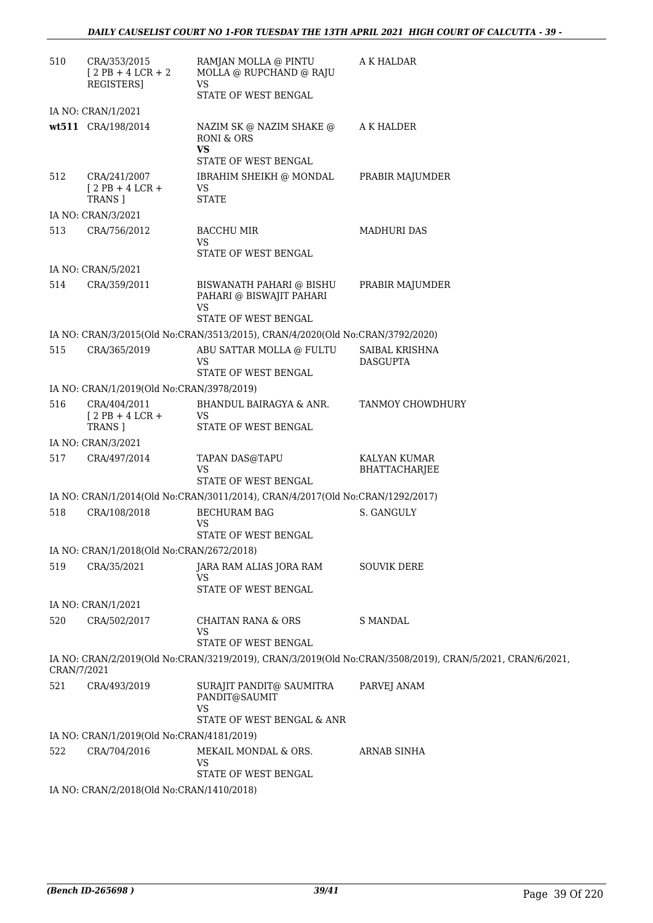| 510         | CRA/353/2015<br>$[2PB + 4LCR + 2]$<br><b>REGISTERS1</b> | RAMJAN MOLLA @ PINTU<br>MOLLA @ RUPCHAND @ RAJU<br><b>VS</b>                                     | A K HALDAR                                                                                               |
|-------------|---------------------------------------------------------|--------------------------------------------------------------------------------------------------|----------------------------------------------------------------------------------------------------------|
|             |                                                         | STATE OF WEST BENGAL                                                                             |                                                                                                          |
|             | IA NO: CRAN/1/2021                                      |                                                                                                  |                                                                                                          |
|             | wt511 CRA/198/2014                                      | NAZIM SK @ NAZIM SHAKE @<br><b>RONI &amp; ORS</b><br><b>VS</b><br><b>STATE OF WEST BENGAL</b>    | A K HALDER                                                                                               |
| 512         | CRA/241/2007<br>$[2PB+4LCR+$<br><b>TRANS 1</b>          | IBRAHIM SHEIKH @ MONDAL<br><b>VS</b><br><b>STATE</b>                                             | PRABIR MAJUMDER                                                                                          |
|             | IA NO: CRAN/3/2021                                      |                                                                                                  |                                                                                                          |
| 513         | CRA/756/2012                                            | BACCHU MIR<br>VS<br>STATE OF WEST BENGAL                                                         | <b>MADHURI DAS</b>                                                                                       |
|             | IA NO: CRAN/5/2021                                      |                                                                                                  |                                                                                                          |
| 514         | CRA/359/2011                                            | BISWANATH PAHARI @ BISHU<br>PAHARI @ BISWAJIT PAHARI<br><b>VS</b><br><b>STATE OF WEST BENGAL</b> | PRABIR MAJUMDER                                                                                          |
|             |                                                         | IA NO: CRAN/3/2015(Old No:CRAN/3513/2015), CRAN/4/2020(Old No:CRAN/3792/2020)                    |                                                                                                          |
| 515         | CRA/365/2019                                            | ABU SATTAR MOLLA @ FULTU<br>VS<br>STATE OF WEST BENGAL                                           | SAIBAL KRISHNA<br><b>DASGUPTA</b>                                                                        |
|             | IA NO: CRAN/1/2019(Old No:CRAN/3978/2019)               |                                                                                                  |                                                                                                          |
| 516         | CRA/404/2011                                            | BHANDUL BAIRAGYA & ANR.                                                                          | TANMOY CHOWDHURY                                                                                         |
|             | $[2PB + 4LCR +$<br><b>TRANS</b> ]                       | <b>VS</b><br>STATE OF WEST BENGAL                                                                |                                                                                                          |
|             | IA NO: CRAN/3/2021                                      |                                                                                                  |                                                                                                          |
| 517         | CRA/497/2014                                            | TAPAN DAS@TAPU<br>VS<br><b>STATE OF WEST BENGAL</b>                                              | KALYAN KUMAR<br><b>BHATTACHARJEE</b>                                                                     |
|             |                                                         | IA NO: CRAN/1/2014(Old No:CRAN/3011/2014), CRAN/4/2017(Old No:CRAN/1292/2017)                    |                                                                                                          |
| 518         | CRA/108/2018                                            | <b>BECHURAM BAG</b>                                                                              | S. GANGULY                                                                                               |
|             |                                                         | <b>VS</b><br><b>STATE OF WEST BENGAL</b>                                                         |                                                                                                          |
|             | IA NO: CRAN/1/2018(Old No:CRAN/2672/2018)               |                                                                                                  |                                                                                                          |
| 519         | CRA/35/2021                                             | JARA RAM ALIAS JORA RAM<br><b>VS</b>                                                             | <b>SOUVIK DERE</b>                                                                                       |
|             |                                                         | STATE OF WEST BENGAL                                                                             |                                                                                                          |
|             | IA NO: CRAN/1/2021                                      |                                                                                                  |                                                                                                          |
| 520         | CRA/502/2017                                            | <b>CHAITAN RANA &amp; ORS</b><br><b>VS</b><br>STATE OF WEST BENGAL                               | <b>S MANDAL</b>                                                                                          |
| CRAN/7/2021 |                                                         |                                                                                                  | IA NO: CRAN/2/2019(Old No:CRAN/3219/2019), CRAN/3/2019(Old No:CRAN/3508/2019), CRAN/5/2021, CRAN/6/2021, |
| 521         | CRA/493/2019                                            | SURAJIT PANDIT@ SAUMITRA<br>PANDIT@SAUMIT<br><b>VS</b><br>STATE OF WEST BENGAL & ANR             | PARVEJ ANAM                                                                                              |
|             | IA NO: CRAN/1/2019(Old No:CRAN/4181/2019)               |                                                                                                  |                                                                                                          |
| 522         | CRA/704/2016                                            | MEKAIL MONDAL & ORS.<br><b>VS</b><br>STATE OF WEST BENGAL                                        | <b>ARNAB SINHA</b>                                                                                       |
|             | IA NO: CRAN/2/2018(Old No:CRAN/1410/2018)               |                                                                                                  |                                                                                                          |
|             |                                                         |                                                                                                  |                                                                                                          |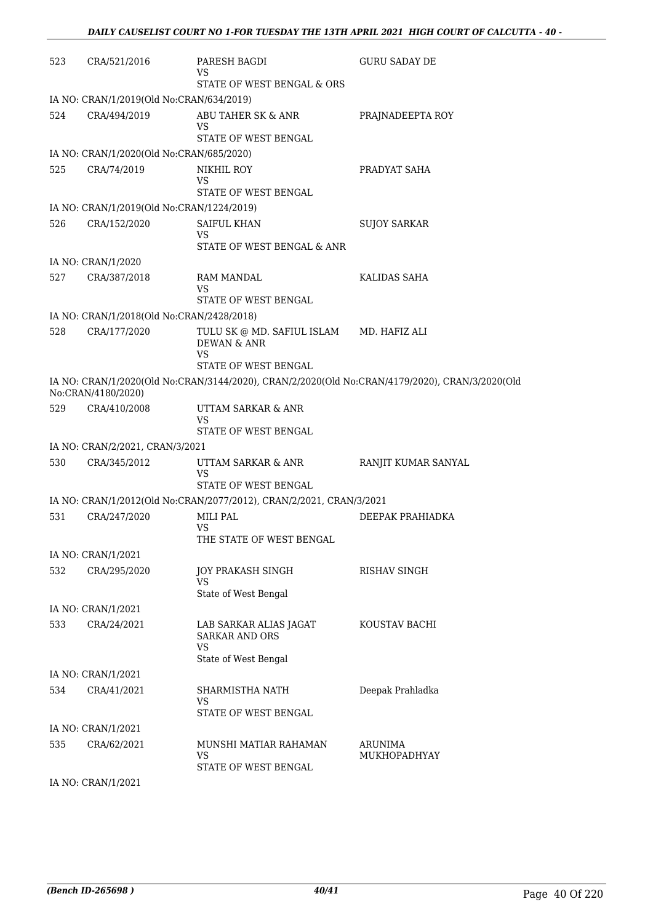| 523 | CRA/521/2016                              | PARESH BAGDI<br>VS                                                  | <b>GURU SADAY DE</b>                                                                           |
|-----|-------------------------------------------|---------------------------------------------------------------------|------------------------------------------------------------------------------------------------|
|     |                                           | STATE OF WEST BENGAL & ORS                                          |                                                                                                |
|     | IA NO: CRAN/1/2019(Old No:CRAN/634/2019)  |                                                                     |                                                                                                |
| 524 | CRA/494/2019                              | ABU TAHER SK & ANR<br>VS                                            | PRAJNADEEPTA ROY                                                                               |
|     |                                           | STATE OF WEST BENGAL                                                |                                                                                                |
|     | IA NO: CRAN/1/2020(Old No:CRAN/685/2020)  |                                                                     |                                                                                                |
| 525 | CRA/74/2019                               | NIKHIL ROY<br>VS<br>STATE OF WEST BENGAL                            | PRADYAT SAHA                                                                                   |
|     | IA NO: CRAN/1/2019(Old No:CRAN/1224/2019) |                                                                     |                                                                                                |
| 526 | CRA/152/2020                              | <b>SAIFUL KHAN</b>                                                  | <b>SUJOY SARKAR</b>                                                                            |
|     |                                           | VS<br>STATE OF WEST BENGAL & ANR                                    |                                                                                                |
|     | IA NO: CRAN/1/2020                        |                                                                     |                                                                                                |
| 527 | CRA/387/2018                              | <b>RAM MANDAL</b><br>VS<br>STATE OF WEST BENGAL                     | KALIDAS SAHA                                                                                   |
|     | IA NO: CRAN/1/2018(Old No:CRAN/2428/2018) |                                                                     |                                                                                                |
| 528 | CRA/177/2020                              | TULU SK @ MD. SAFIUL ISLAM MD. HAFIZ ALI<br><b>DEWAN &amp; ANR</b>  |                                                                                                |
|     |                                           | VS<br>STATE OF WEST BENGAL                                          |                                                                                                |
|     | No:CRAN/4180/2020)                        |                                                                     | IA NO: CRAN/1/2020(Old No:CRAN/3144/2020), CRAN/2/2020(Old No:CRAN/4179/2020), CRAN/3/2020(Old |
| 529 | CRA/410/2008                              | UTTAM SARKAR & ANR<br>VS<br>STATE OF WEST BENGAL                    |                                                                                                |
|     | IA NO: CRAN/2/2021, CRAN/3/2021           |                                                                     |                                                                                                |
| 530 | CRA/345/2012                              | UTTAM SARKAR & ANR                                                  | RANJIT KUMAR SANYAL                                                                            |
|     |                                           | VS<br>STATE OF WEST BENGAL                                          |                                                                                                |
|     |                                           | IA NO: CRAN/1/2012(Old No:CRAN/2077/2012), CRAN/2/2021, CRAN/3/2021 |                                                                                                |
| 531 | CRA/247/2020                              | MILI PAL<br>VS                                                      | DEEPAK PRAHIADKA                                                                               |
|     |                                           | THE STATE OF WEST BENGAL                                            |                                                                                                |
|     | IA NO: CRAN/1/2021                        |                                                                     |                                                                                                |
| 532 | CRA/295/2020                              | JOY PRAKASH SINGH<br>VS                                             | RISHAV SINGH                                                                                   |
|     |                                           | State of West Bengal                                                |                                                                                                |
|     | IA NO: CRAN/1/2021                        |                                                                     |                                                                                                |
| 533 | CRA/24/2021                               | LAB SARKAR ALIAS JAGAT<br><b>SARKAR AND ORS</b><br><b>VS</b>        | KOUSTAV BACHI                                                                                  |
|     |                                           | State of West Bengal                                                |                                                                                                |
|     | IA NO: CRAN/1/2021                        |                                                                     |                                                                                                |
| 534 | CRA/41/2021                               | SHARMISTHA NATH<br>VS<br>STATE OF WEST BENGAL                       | Deepak Prahladka                                                                               |
|     | IA NO: CRAN/1/2021                        |                                                                     |                                                                                                |
| 535 | CRA/62/2021                               | MUNSHI MATIAR RAHAMAN<br>VS                                         | <b>ARUNIMA</b><br>MUKHOPADHYAY                                                                 |
|     |                                           | STATE OF WEST BENGAL                                                |                                                                                                |

IA NO: CRAN/1/2021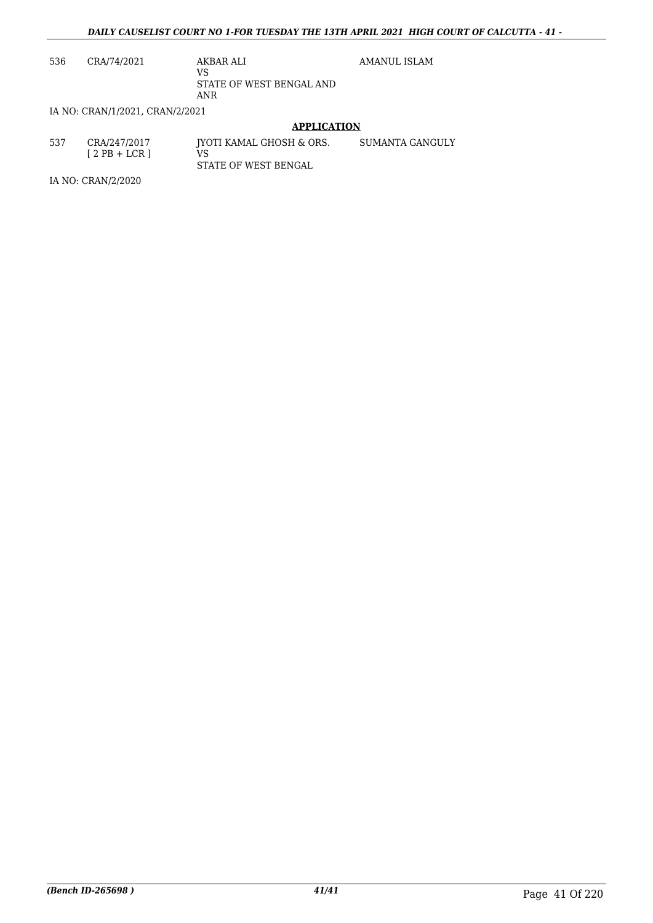AMANUL ISLAM

536 CRA/74/2021 AKBAR ALI

VS STATE OF WEST BENGAL AND ANR

IA NO: CRAN/1/2021, CRAN/2/2021

### **APPLICATION**

537 CRA/247/2017  $[2PB + LCR]$ JYOTI KAMAL GHOSH & ORS. VS STATE OF WEST BENGAL SUMANTA GANGULY

IA NO: CRAN/2/2020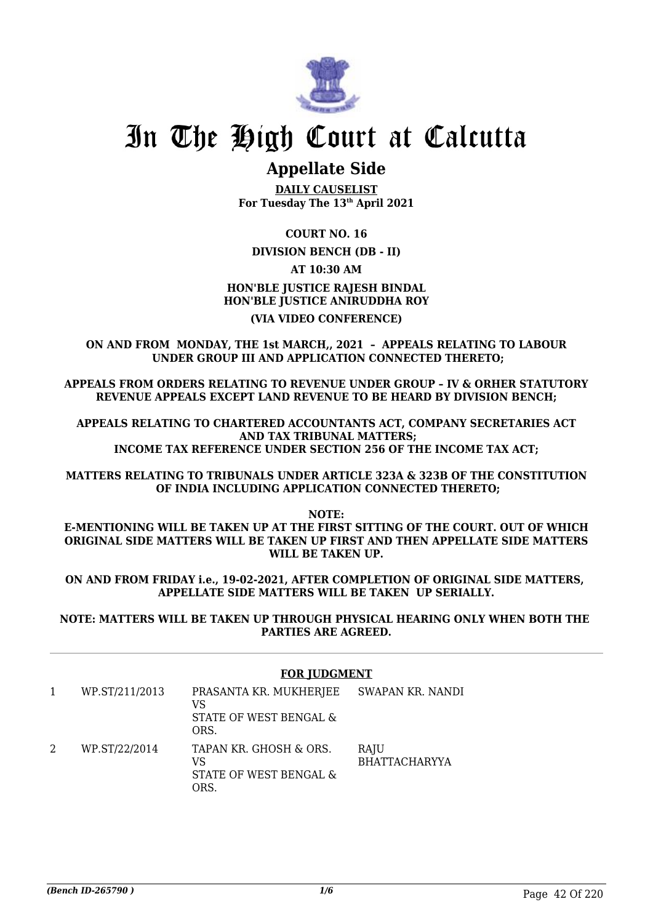

### **Appellate Side**

**DAILY CAUSELIST For Tuesday The 13th April 2021**

**COURT NO. 16**

**DIVISION BENCH (DB - II)**

**AT 10:30 AM**

### **HON'BLE JUSTICE RAJESH BINDAL HON'BLE JUSTICE ANIRUDDHA ROY (VIA VIDEO CONFERENCE)**

**ON AND FROM MONDAY, THE 1st MARCH,, 2021 – APPEALS RELATING TO LABOUR UNDER GROUP III AND APPLICATION CONNECTED THERETO;**

**APPEALS FROM ORDERS RELATING TO REVENUE UNDER GROUP – IV & ORHER STATUTORY REVENUE APPEALS EXCEPT LAND REVENUE TO BE HEARD BY DIVISION BENCH;**

**APPEALS RELATING TO CHARTERED ACCOUNTANTS ACT, COMPANY SECRETARIES ACT AND TAX TRIBUNAL MATTERS; INCOME TAX REFERENCE UNDER SECTION 256 OF THE INCOME TAX ACT;**

**MATTERS RELATING TO TRIBUNALS UNDER ARTICLE 323A & 323B OF THE CONSTITUTION OF INDIA INCLUDING APPLICATION CONNECTED THERETO;**

**NOTE:**

**E-MENTIONING WILL BE TAKEN UP AT THE FIRST SITTING OF THE COURT. OUT OF WHICH ORIGINAL SIDE MATTERS WILL BE TAKEN UP FIRST AND THEN APPELLATE SIDE MATTERS WILL BE TAKEN UP.**

**ON AND FROM FRIDAY i.e., 19-02-2021, AFTER COMPLETION OF ORIGINAL SIDE MATTERS, APPELLATE SIDE MATTERS WILL BE TAKEN UP SERIALLY.**

**NOTE: MATTERS WILL BE TAKEN UP THROUGH PHYSICAL HEARING ONLY WHEN BOTH THE PARTIES ARE AGREED.**

### **FOR JUDGMENT**

1 WP.ST/211/2013 PRASANTA KR. MUKHERJEE VS STATE OF WEST BENGAL & ORS. SWAPAN KR. NANDI 2 WP.ST/22/2014 TAPAN KR. GHOSH & ORS. VS STATE OF WEST BENGAL & ORS. RAJU BHATTACHARYYA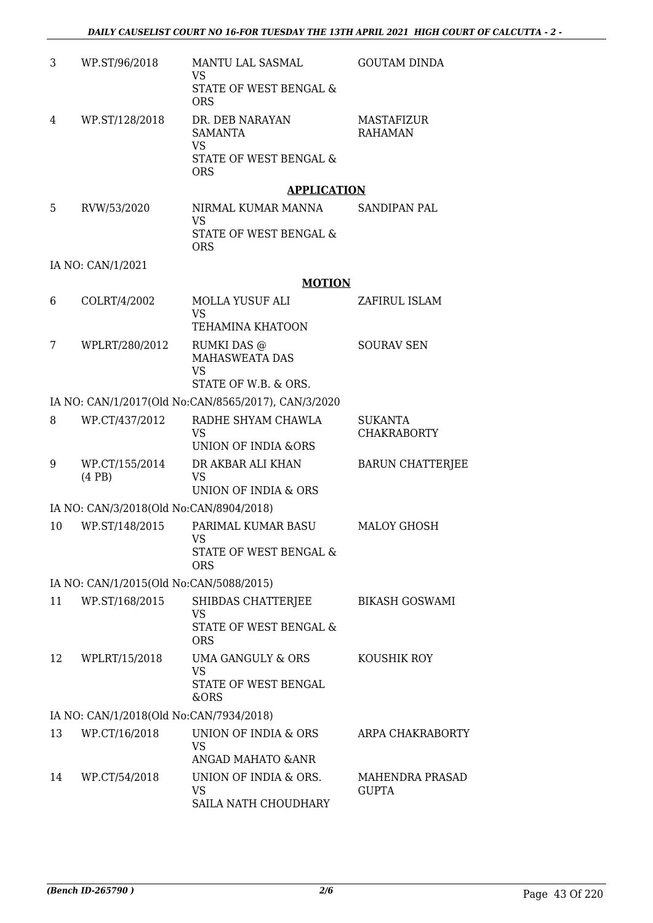| 3  | WP.ST/96/2018                                             | MANTU LAL SASMAL<br><b>VS</b>                                             | <b>GOUTAM DINDA</b>          |
|----|-----------------------------------------------------------|---------------------------------------------------------------------------|------------------------------|
|    |                                                           | STATE OF WEST BENGAL &<br><b>ORS</b>                                      |                              |
| 4  | WP.ST/128/2018                                            | DR. DEB NARAYAN<br><b>SAMANTA</b>                                         | MASTAFIZUR<br><b>RAHAMAN</b> |
|    |                                                           | <b>VS</b><br><b>STATE OF WEST BENGAL &amp;</b><br><b>ORS</b>              |                              |
|    |                                                           | <b>APPLICATION</b>                                                        |                              |
| 5  | RVW/53/2020                                               | NIRMAL KUMAR MANNA<br><b>VS</b>                                           | SANDIPAN PAL                 |
|    |                                                           | STATE OF WEST BENGAL &<br><b>ORS</b>                                      |                              |
|    | IA NO: CAN/1/2021                                         |                                                                           |                              |
|    |                                                           | <b>MOTION</b>                                                             |                              |
| 6  | COLRT/4/2002                                              | <b>MOLLA YUSUF ALI</b><br><b>VS</b>                                       | ZAFIRUL ISLAM                |
|    |                                                           | <b>TEHAMINA KHATOON</b>                                                   |                              |
| 7  | WPLRT/280/2012                                            | RUMKI DAS @<br><b>MAHASWEATA DAS</b><br><b>VS</b><br>STATE OF W.B. & ORS. | <b>SOURAV SEN</b>            |
|    |                                                           | IA NO: CAN/1/2017(Old No:CAN/8565/2017), CAN/3/2020                       |                              |
| 8  | WP.CT/437/2012                                            | RADHE SHYAM CHAWLA                                                        | <b>SUKANTA</b>               |
|    |                                                           | <b>VS</b><br><b>UNION OF INDIA &amp;ORS</b>                               | <b>CHAKRABORTY</b>           |
| 9  | WP.CT/155/2014<br>(4PB)                                   | DR AKBAR ALI KHAN<br><b>VS</b><br>UNION OF INDIA & ORS                    | <b>BARUN CHATTERIEE</b>      |
|    | IA NO: CAN/3/2018(Old No:CAN/8904/2018)                   |                                                                           |                              |
| 10 | WP.ST/148/2015                                            | PARIMAL KUMAR BASU                                                        | <b>MALOY GHOSH</b>           |
|    |                                                           | VS.<br>STATE OF WEST BENGAL &                                             |                              |
|    |                                                           | <b>ORS</b>                                                                |                              |
| 11 | IA NO: CAN/1/2015(Old No:CAN/5088/2015)<br>WP.ST/168/2015 |                                                                           | <b>BIKASH GOSWAMI</b>        |
|    |                                                           | SHIBDAS CHATTERJEE<br><b>VS</b>                                           |                              |
|    |                                                           | STATE OF WEST BENGAL &<br><b>ORS</b>                                      |                              |
| 12 | WPLRT/15/2018                                             | UMA GANGULY & ORS<br><b>VS</b>                                            | KOUSHIK ROY                  |
|    |                                                           | STATE OF WEST BENGAL<br>&ORS                                              |                              |
|    | IA NO: CAN/1/2018(Old No:CAN/7934/2018)                   |                                                                           |                              |
| 13 | WP.CT/16/2018                                             | UNION OF INDIA & ORS<br><b>VS</b><br>ANGAD MAHATO & ANR                   | ARPA CHAKRABORTY             |
| 14 | WP.CT/54/2018                                             | UNION OF INDIA & ORS.                                                     | MAHENDRA PRASAD              |
|    |                                                           | <b>VS</b><br>SAILA NATH CHOUDHARY                                         | <b>GUPTA</b>                 |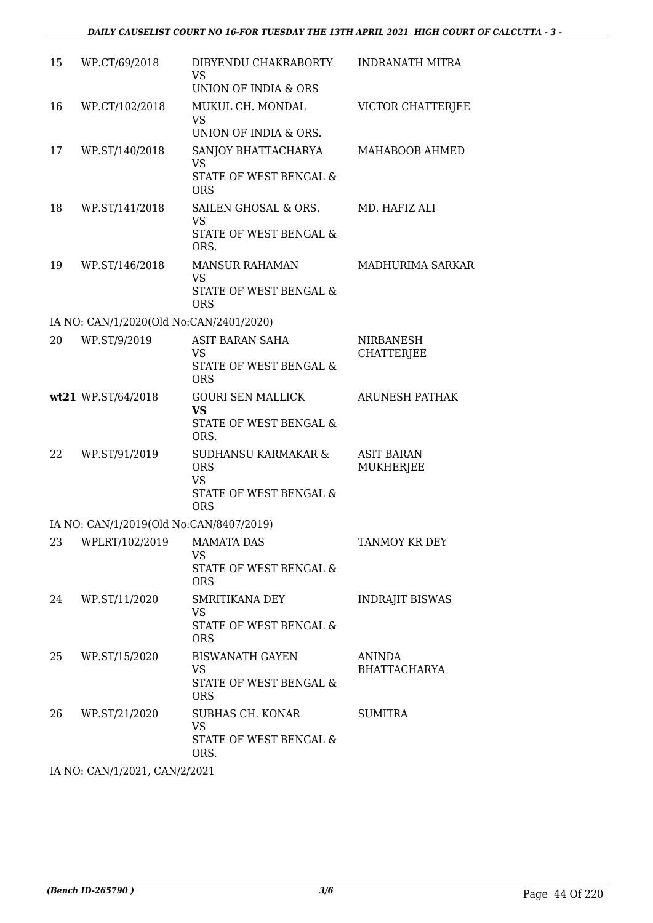| 15 | WP.CT/69/2018                           | DIBYENDU CHAKRABORTY<br><b>VS</b>                            | <b>INDRANATH MITRA</b>                |
|----|-----------------------------------------|--------------------------------------------------------------|---------------------------------------|
|    |                                         | UNION OF INDIA & ORS                                         |                                       |
| 16 | WP.CT/102/2018                          | MUKUL CH. MONDAL<br><b>VS</b>                                | VICTOR CHATTERJEE                     |
|    |                                         | UNION OF INDIA & ORS.                                        |                                       |
| 17 | WP.ST/140/2018                          | SANJOY BHATTACHARYA<br><b>VS</b>                             | MAHABOOB AHMED                        |
|    |                                         | STATE OF WEST BENGAL &<br><b>ORS</b>                         |                                       |
| 18 | WP.ST/141/2018                          | SAILEN GHOSAL & ORS.<br><b>VS</b>                            | MD. HAFIZ ALI                         |
|    |                                         | STATE OF WEST BENGAL &<br>ORS.                               |                                       |
| 19 | WP.ST/146/2018                          | <b>MANSUR RAHAMAN</b><br><b>VS</b>                           | MADHURIMA SARKAR                      |
|    |                                         | STATE OF WEST BENGAL &<br><b>ORS</b>                         |                                       |
|    | IA NO: CAN/1/2020(Old No:CAN/2401/2020) |                                                              |                                       |
| 20 | WP.ST/9/2019                            | <b>ASIT BARAN SAHA</b>                                       | <b>NIRBANESH</b>                      |
|    |                                         | <b>VS</b><br><b>STATE OF WEST BENGAL &amp;</b><br><b>ORS</b> | <b>CHATTERJEE</b>                     |
|    | wt21 WP.ST/64/2018                      | <b>GOURI SEN MALLICK</b>                                     | <b>ARUNESH PATHAK</b>                 |
|    |                                         | <b>VS</b><br>STATE OF WEST BENGAL &<br>ORS.                  |                                       |
| 22 | WP.ST/91/2019                           | SUDHANSU KARMAKAR &<br><b>ORS</b><br><b>VS</b>               | <b>ASIT BARAN</b><br><b>MUKHERJEE</b> |
|    |                                         | STATE OF WEST BENGAL &<br><b>ORS</b>                         |                                       |
|    | IA NO: CAN/1/2019(Old No:CAN/8407/2019) |                                                              |                                       |
|    | 23 WPLRT/102/2019 MAMATA DAS            | VS                                                           | TANMOY KR DEY                         |
|    |                                         | STATE OF WEST BENGAL &<br><b>ORS</b>                         |                                       |
| 24 | WP.ST/11/2020                           | SMRITIKANA DEY<br><b>VS</b>                                  | <b>INDRAJIT BISWAS</b>                |
|    |                                         | STATE OF WEST BENGAL &<br><b>ORS</b>                         |                                       |
| 25 | WP.ST/15/2020                           | <b>BISWANATH GAYEN</b><br><b>VS</b>                          | <b>ANINDA</b><br><b>BHATTACHARYA</b>  |
|    |                                         | STATE OF WEST BENGAL &<br><b>ORS</b>                         |                                       |
| 26 | WP.ST/21/2020                           | SUBHAS CH. KONAR<br><b>VS</b>                                | <b>SUMITRA</b>                        |
|    |                                         | STATE OF WEST BENGAL &<br>ORS.                               |                                       |
|    |                                         |                                                              |                                       |

IA NO: CAN/1/2021, CAN/2/2021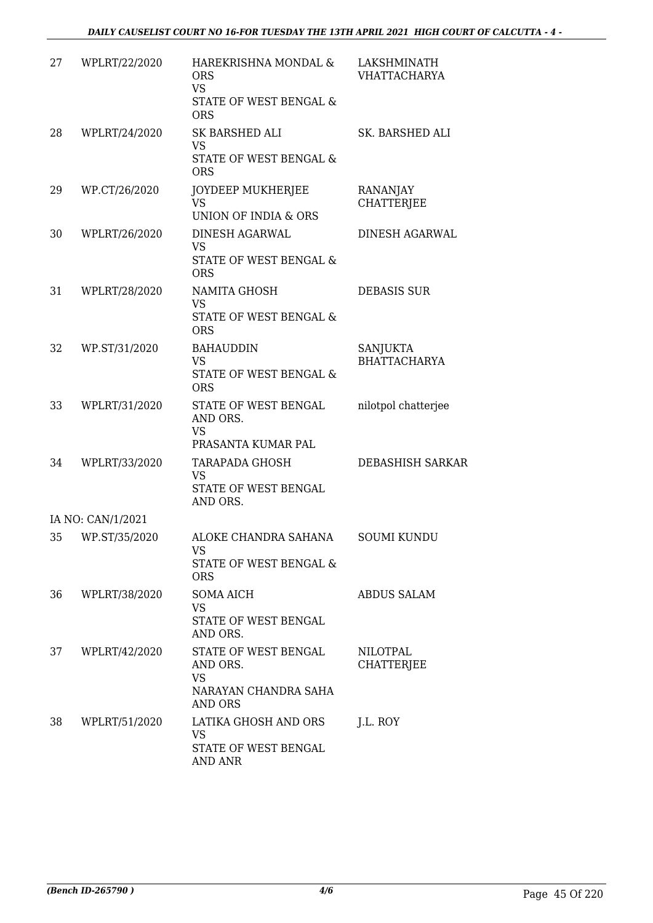| 27 | WPLRT/22/2020     | HAREKRISHNA MONDAL &<br><b>ORS</b><br><b>VS</b><br>STATE OF WEST BENGAL &<br><b>ORS</b> | LAKSHMINATH<br><b>VHATTACHARYA</b> |
|----|-------------------|-----------------------------------------------------------------------------------------|------------------------------------|
| 28 | WPLRT/24/2020     | SK BARSHED ALI<br><b>VS</b><br>STATE OF WEST BENGAL &<br><b>ORS</b>                     | SK. BARSHED ALI                    |
| 29 | WP.CT/26/2020     | JOYDEEP MUKHERJEE<br><b>VS</b><br>UNION OF INDIA & ORS                                  | RANANJAY<br><b>CHATTERJEE</b>      |
| 30 | WPLRT/26/2020     | <b>DINESH AGARWAL</b><br><b>VS</b><br>STATE OF WEST BENGAL &<br><b>ORS</b>              | DINESH AGARWAL                     |
| 31 | WPLRT/28/2020     | NAMITA GHOSH<br><b>VS</b><br>STATE OF WEST BENGAL &<br><b>ORS</b>                       | <b>DEBASIS SUR</b>                 |
| 32 | WP.ST/31/2020     | <b>BAHAUDDIN</b><br><b>VS</b><br>STATE OF WEST BENGAL &<br><b>ORS</b>                   | SANJUKTA<br><b>BHATTACHARYA</b>    |
| 33 | WPLRT/31/2020     | STATE OF WEST BENGAL<br>AND ORS.<br><b>VS</b><br>PRASANTA KUMAR PAL                     | nilotpol chatterjee                |
| 34 | WPLRT/33/2020     | TARAPADA GHOSH<br><b>VS</b><br><b>STATE OF WEST BENGAL</b><br>AND ORS.                  | <b>DEBASHISH SARKAR</b>            |
|    | IA NO: CAN/1/2021 |                                                                                         |                                    |
| 35 | WP.ST/35/2020     | ALOKE CHANDRA SAHANA<br>VS<br>STATE OF WEST BENGAL &<br><b>ORS</b>                      | <b>SOUMI KUNDU</b>                 |
| 36 | WPLRT/38/2020     | <b>SOMA AICH</b><br><b>VS</b><br>STATE OF WEST BENGAL<br>AND ORS.                       | <b>ABDUS SALAM</b>                 |
| 37 | WPLRT/42/2020     | STATE OF WEST BENGAL<br>AND ORS.<br><b>VS</b><br>NARAYAN CHANDRA SAHA<br><b>AND ORS</b> | NILOTPAL<br><b>CHATTERJEE</b>      |
| 38 | WPLRT/51/2020     | LATIKA GHOSH AND ORS<br><b>VS</b><br>STATE OF WEST BENGAL<br><b>AND ANR</b>             | J.L. ROY                           |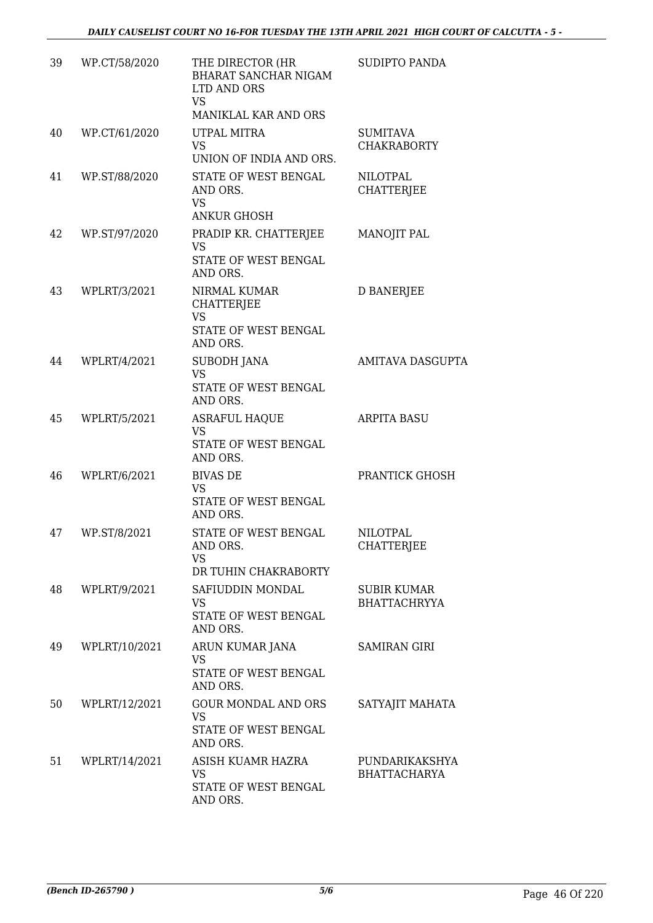| 39 | WP.CT/58/2020 | THE DIRECTOR (HR<br><b>BHARAT SANCHAR NIGAM</b><br>LTD AND ORS<br><b>VS</b><br>MANIKLAL KAR AND ORS | SUDIPTO PANDA                             |
|----|---------------|-----------------------------------------------------------------------------------------------------|-------------------------------------------|
| 40 | WP.CT/61/2020 | UTPAL MITRA<br><b>VS</b><br>UNION OF INDIA AND ORS.                                                 | <b>SUMITAVA</b><br><b>CHAKRABORTY</b>     |
| 41 | WP.ST/88/2020 | STATE OF WEST BENGAL<br>AND ORS.<br><b>VS</b><br><b>ANKUR GHOSH</b>                                 | <b>NILOTPAL</b><br><b>CHATTERJEE</b>      |
| 42 | WP.ST/97/2020 | PRADIP KR. CHATTERJEE<br>VS<br>STATE OF WEST BENGAL<br>AND ORS.                                     | <b>MANOJIT PAL</b>                        |
| 43 | WPLRT/3/2021  | NIRMAL KUMAR<br><b>CHATTERJEE</b><br><b>VS</b><br>STATE OF WEST BENGAL<br>AND ORS.                  | <b>D BANERJEE</b>                         |
| 44 | WPLRT/4/2021  | <b>SUBODH JANA</b><br><b>VS</b><br>STATE OF WEST BENGAL<br>AND ORS.                                 | <b>AMITAVA DASGUPTA</b>                   |
| 45 | WPLRT/5/2021  | <b>ASRAFUL HAQUE</b><br>VS<br>STATE OF WEST BENGAL<br>AND ORS.                                      | <b>ARPITA BASU</b>                        |
| 46 | WPLRT/6/2021  | <b>BIVAS DE</b><br><b>VS</b><br>STATE OF WEST BENGAL<br>AND ORS.                                    | PRANTICK GHOSH                            |
| 47 | WP.ST/8/2021  | STATE OF WEST BENGAL<br>AND ORS.<br><b>VS</b><br>DR TUHIN CHAKRABORTY                               | <b>NILOTPAL</b><br><b>CHATTERJEE</b>      |
| 48 | WPLRT/9/2021  | SAFIUDDIN MONDAL<br>VS<br>STATE OF WEST BENGAL<br>AND ORS.                                          | <b>SUBIR KUMAR</b><br><b>BHATTACHRYYA</b> |
| 49 | WPLRT/10/2021 | ARUN KUMAR JANA<br><b>VS</b><br>STATE OF WEST BENGAL<br>AND ORS.                                    | <b>SAMIRAN GIRI</b>                       |
| 50 | WPLRT/12/2021 | <b>GOUR MONDAL AND ORS</b><br><b>VS</b><br>STATE OF WEST BENGAL<br>AND ORS.                         | SATYAJIT MAHATA                           |
| 51 | WPLRT/14/2021 | ASISH KUAMR HAZRA<br><b>VS</b><br>STATE OF WEST BENGAL<br>AND ORS.                                  | PUNDARIKAKSHYA<br><b>BHATTACHARYA</b>     |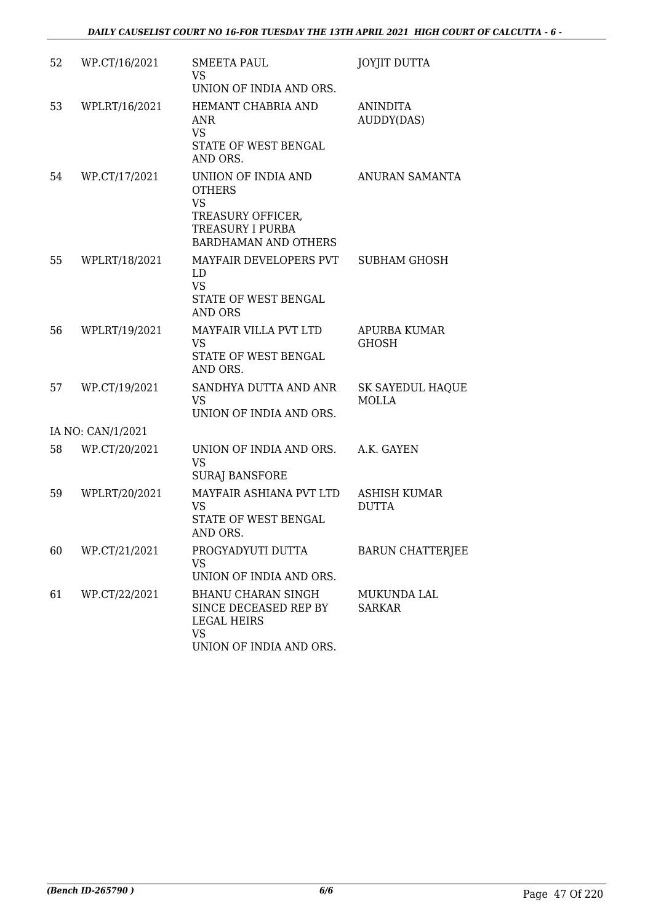| 52 | WP.CT/16/2021     | <b>SMEETA PAUL</b><br>VS.<br>UNION OF INDIA AND ORS.                                                                             | <b>JOYJIT DUTTA</b>                     |
|----|-------------------|----------------------------------------------------------------------------------------------------------------------------------|-----------------------------------------|
| 53 | WPLRT/16/2021     | HEMANT CHABRIA AND<br><b>ANR</b><br><b>VS</b><br>STATE OF WEST BENGAL<br>AND ORS.                                                | <b>ANINDITA</b><br>AUDDY(DAS)           |
| 54 | WP.CT/17/2021     | UNIION OF INDIA AND<br><b>OTHERS</b><br><b>VS</b><br>TREASURY OFFICER,<br><b>TREASURY I PURBA</b><br><b>BARDHAMAN AND OTHERS</b> | ANURAN SAMANTA                          |
| 55 | WPLRT/18/2021     | MAYFAIR DEVELOPERS PVT<br>LD<br><b>VS</b><br>STATE OF WEST BENGAL<br>AND ORS                                                     | SUBHAM GHOSH                            |
| 56 | WPLRT/19/2021     | MAYFAIR VILLA PVT LTD<br><b>VS</b><br>STATE OF WEST BENGAL<br>AND ORS.                                                           | <b>APURBA KUMAR</b><br><b>GHOSH</b>     |
| 57 | WP.CT/19/2021     | SANDHYA DUTTA AND ANR<br><b>VS</b><br>UNION OF INDIA AND ORS.                                                                    | <b>SK SAYEDUL HAQUE</b><br><b>MOLLA</b> |
|    | IA NO: CAN/1/2021 |                                                                                                                                  |                                         |
| 58 | WP.CT/20/2021     | UNION OF INDIA AND ORS.<br><b>VS</b><br><b>SURAJ BANSFORE</b>                                                                    | A.K. GAYEN                              |
| 59 | WPLRT/20/2021     | MAYFAIR ASHIANA PVT LTD<br>VS<br>STATE OF WEST BENGAL<br>AND ORS.                                                                | ASHISH KUMAR<br><b>DUTTA</b>            |
| 60 | WP.CT/21/2021     | PROGYADYUTI DUTTA<br><b>VS</b><br>UNION OF INDIA AND ORS.                                                                        | <b>BARUN CHATTERJEE</b>                 |
| 61 | WP.CT/22/2021     | BHANU CHARAN SINGH<br>SINCE DECEASED REP BY<br><b>LEGAL HEIRS</b><br><b>VS</b><br>UNION OF INDIA AND ORS.                        | MUKUNDA LAL<br><b>SARKAR</b>            |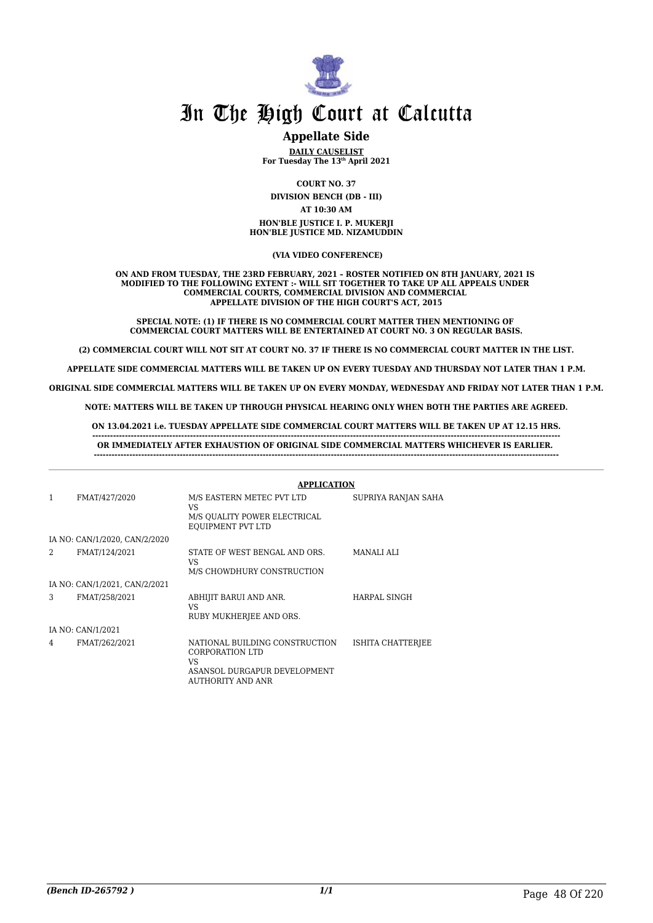

### **Appellate Side**

**DAILY CAUSELIST For Tuesday The 13th April 2021**

**COURT NO. 37 DIVISION BENCH (DB - III) AT 10:30 AM HON'BLE JUSTICE I. P. MUKERJI HON'BLE JUSTICE MD. NIZAMUDDIN**

#### **(VIA VIDEO CONFERENCE)**

#### **ON AND FROM TUESDAY, THE 23RD FEBRUARY, 2021 – ROSTER NOTIFIED ON 8TH JANUARY, 2021 IS MODIFIED TO THE FOLLOWING EXTENT :- WILL SIT TOGETHER TO TAKE UP ALL APPEALS UNDER COMMERCIAL COURTS, COMMERCIAL DIVISION AND COMMERCIAL APPELLATE DIVISION OF THE HIGH COURT'S ACT, 2015**

**SPECIAL NOTE: (1) IF THERE IS NO COMMERCIAL COURT MATTER THEN MENTIONING OF COMMERCIAL COURT MATTERS WILL BE ENTERTAINED AT COURT NO. 3 ON REGULAR BASIS.**

**(2) COMMERCIAL COURT WILL NOT SIT AT COURT NO. 37 IF THERE IS NO COMMERCIAL COURT MATTER IN THE LIST.**

**APPELLATE SIDE COMMERCIAL MATTERS WILL BE TAKEN UP ON EVERY TUESDAY AND THURSDAY NOT LATER THAN 1 P.M.**

**ORIGINAL SIDE COMMERCIAL MATTERS WILL BE TAKEN UP ON EVERY MONDAY, WEDNESDAY AND FRIDAY NOT LATER THAN 1 P.M.**

**NOTE: MATTERS WILL BE TAKEN UP THROUGH PHYSICAL HEARING ONLY WHEN BOTH THE PARTIES ARE AGREED.**

**ON 13.04.2021 i.e. TUESDAY APPELLATE SIDE COMMERCIAL COURT MATTERS WILL BE TAKEN UP AT 12.15 HRS.**

**-------------------------------------------------------------------------------------------------------------------------------------------------------------- OR IMMEDIATELY AFTER EXHAUSTION OF ORIGINAL SIDE COMMERCIAL MATTERS WHICHEVER IS EARLIER. -------------------------------------------------------------------------------------------------------------------------------------------------------------**

|                |                               | <b>APPLICATION</b>                                                                                            |                     |
|----------------|-------------------------------|---------------------------------------------------------------------------------------------------------------|---------------------|
| 1              | FMAT/427/2020                 | M/S EASTERN METEC PVT LTD<br>VS.<br>M/S QUALITY POWER ELECTRICAL<br>EOUIPMENT PVT LTD                         | SUPRIYA RANJAN SAHA |
|                | IA NO: CAN/1/2020, CAN/2/2020 |                                                                                                               |                     |
| $\mathfrak{D}$ | FMAT/124/2021                 | STATE OF WEST BENGAL AND ORS.<br>VS<br>M/S CHOWDHURY CONSTRUCTION                                             | <b>MANALI ALI</b>   |
|                | IA NO: CAN/1/2021, CAN/2/2021 |                                                                                                               |                     |
| 3              | FMAT/258/2021                 | ABHIJIT BARUI AND ANR.<br>VS.<br>RUBY MUKHERJEE AND ORS.                                                      | HARPAL SINGH        |
|                | IA NO: CAN/1/2021             |                                                                                                               |                     |
| 4              | FMAT/262/2021                 | NATIONAL BUILDING CONSTRUCTION<br>CORPORATION LTD<br>VS.<br>ASANSOL DURGAPUR DEVELOPMENT<br>AUTHORITY AND ANR | ISHITA CHATTERJEE   |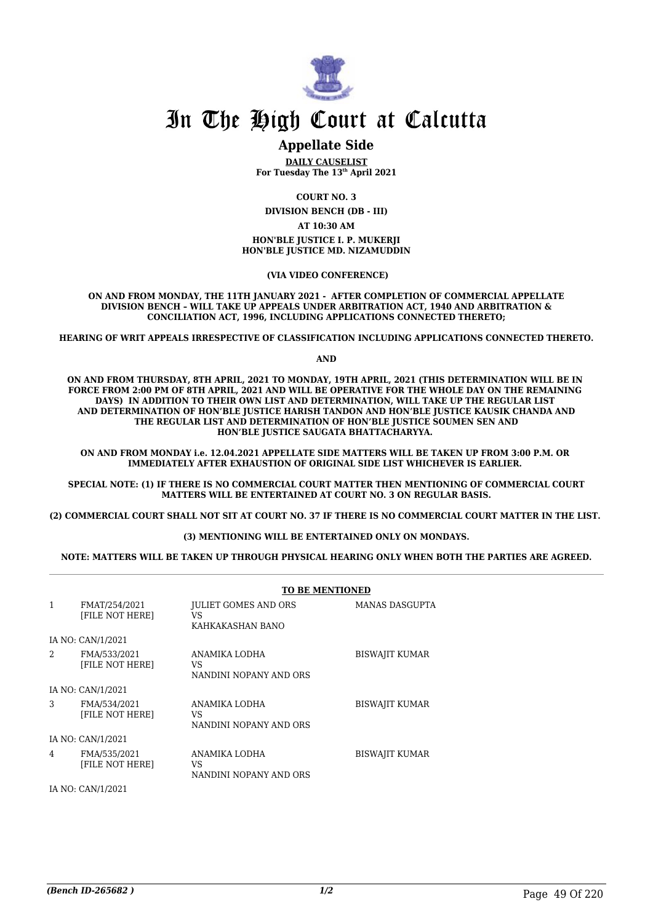

### **Appellate Side**

**DAILY CAUSELIST For Tuesday The 13th April 2021**

**COURT NO. 3**

**DIVISION BENCH (DB - III)**

**AT 10:30 AM**

**HON'BLE JUSTICE I. P. MUKERJI HON'BLE JUSTICE MD. NIZAMUDDIN**

 **(VIA VIDEO CONFERENCE)**

**ON AND FROM MONDAY, THE 11TH JANUARY 2021 - AFTER COMPLETION OF COMMERCIAL APPELLATE DIVISION BENCH – WILL TAKE UP APPEALS UNDER ARBITRATION ACT, 1940 AND ARBITRATION & CONCILIATION ACT, 1996, INCLUDING APPLICATIONS CONNECTED THERETO;**

**HEARING OF WRIT APPEALS IRRESPECTIVE OF CLASSIFICATION INCLUDING APPLICATIONS CONNECTED THERETO.**

**AND**

**ON AND FROM THURSDAY, 8TH APRIL, 2021 TO MONDAY, 19TH APRIL, 2021 (THIS DETERMINATION WILL BE IN FORCE FROM 2:00 PM OF 8TH APRIL, 2021 AND WILL BE OPERATIVE FOR THE WHOLE DAY ON THE REMAINING DAYS) IN ADDITION TO THEIR OWN LIST AND DETERMINATION, WILL TAKE UP THE REGULAR LIST AND DETERMINATION OF HON'BLE JUSTICE HARISH TANDON AND HON'BLE JUSTICE KAUSIK CHANDA AND THE REGULAR LIST AND DETERMINATION OF HON'BLE JUSTICE SOUMEN SEN AND HON'BLE JUSTICE SAUGATA BHATTACHARYYA.** 

**ON AND FROM MONDAY i.e. 12.04.2021 APPELLATE SIDE MATTERS WILL BE TAKEN UP FROM 3:00 P.M. OR IMMEDIATELY AFTER EXHAUSTION OF ORIGINAL SIDE LIST WHICHEVER IS EARLIER.** 

**SPECIAL NOTE: (1) IF THERE IS NO COMMERCIAL COURT MATTER THEN MENTIONING OF COMMERCIAL COURT MATTERS WILL BE ENTERTAINED AT COURT NO. 3 ON REGULAR BASIS.**

**(2) COMMERCIAL COURT SHALL NOT SIT AT COURT NO. 37 IF THERE IS NO COMMERCIAL COURT MATTER IN THE LIST.** 

### **(3) MENTIONING WILL BE ENTERTAINED ONLY ON MONDAYS.**

**NOTE: MATTERS WILL BE TAKEN UP THROUGH PHYSICAL HEARING ONLY WHEN BOTH THE PARTIES ARE AGREED.**

|                |                                         | <b>TO BE MENTIONED</b>                                |                       |
|----------------|-----------------------------------------|-------------------------------------------------------|-----------------------|
| 1              | FMAT/254/2021<br><b>IFILE NOT HEREI</b> | <b>JULIET GOMES AND ORS</b><br>VS<br>KAHKAKASHAN BANO | MANAS DASGUPTA        |
|                | IA NO: CAN/1/2021                       |                                                       |                       |
| $\mathfrak{D}$ | FMA/533/2021<br><b>IFILE NOT HEREI</b>  | ANAMIKA LODHA<br>VS<br>NANDINI NOPANY AND ORS         | <b>BISWAJIT KUMAR</b> |
|                | IA NO: CAN/1/2021                       |                                                       |                       |
| 3              | FMA/534/2021<br>[FILE NOT HERE]         | ANAMIKA LODHA<br>VS<br>NANDINI NOPANY AND ORS         | <b>BISWAJIT KUMAR</b> |
|                | IA NO: CAN/1/2021                       |                                                       |                       |
| 4              | FMA/535/2021<br>[FILE NOT HERE]         | ANAMIKA LODHA<br>VS<br>NANDINI NOPANY AND ORS         | <b>BISWAJIT KUMAR</b> |

IA NO: CAN/1/2021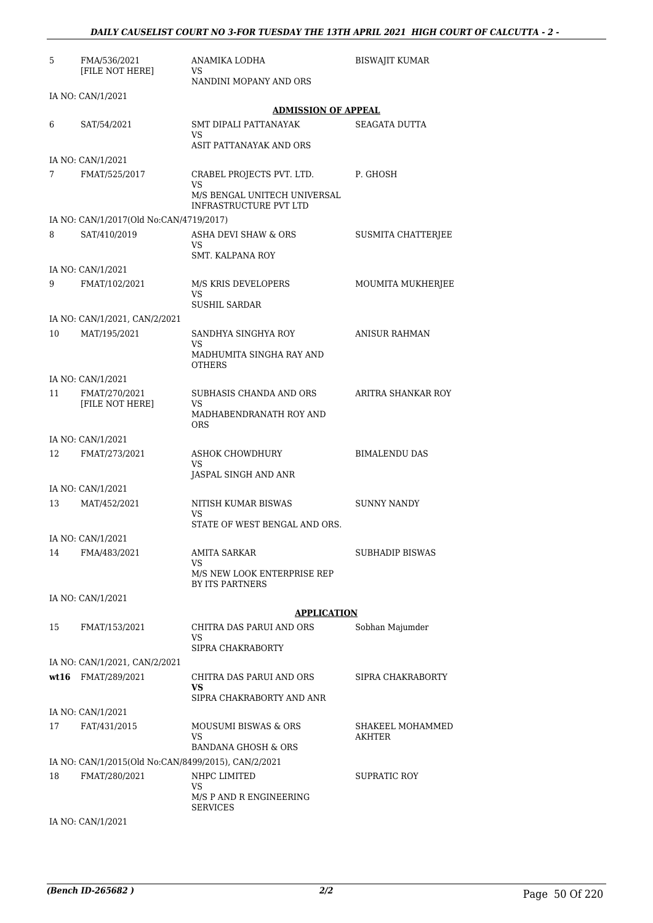| 5  | FMA/536/2021<br>[FILE NOT HERE]                     | ANAMIKA LODHA<br>VS                                           | <b>BISWAJIT KUMAR</b>      |
|----|-----------------------------------------------------|---------------------------------------------------------------|----------------------------|
|    |                                                     | NANDINI MOPANY AND ORS                                        |                            |
|    | IA NO: CAN/1/2021                                   |                                                               |                            |
|    |                                                     | <b>ADMISSION OF APPEAL</b>                                    |                            |
| 6  | SAT/54/2021                                         | SMT DIPALI PATTANAYAK<br><b>VS</b><br>ASIT PATTANAYAK AND ORS | SEAGATA DUTTA              |
|    | IA NO: CAN/1/2021                                   |                                                               |                            |
| 7  | FMAT/525/2017                                       | CRABEL PROJECTS PVT. LTD.                                     | P. GHOSH                   |
|    |                                                     | <b>VS</b><br>M/S BENGAL UNITECH UNIVERSAL                     |                            |
|    |                                                     | INFRASTRUCTURE PVT LTD                                        |                            |
|    | IA NO: CAN/1/2017(Old No:CAN/4719/2017)             |                                                               |                            |
| 8  | SAT/410/2019                                        | ASHA DEVI SHAW & ORS<br>VS.                                   | SUSMITA CHATTERJEE         |
|    |                                                     | SMT. KALPANA ROY                                              |                            |
|    | IA NO: CAN/1/2021                                   |                                                               |                            |
| 9  | FMAT/102/2021                                       | M/S KRIS DEVELOPERS<br>VS                                     | MOUMITA MUKHERJEE          |
|    |                                                     | <b>SUSHIL SARDAR</b>                                          |                            |
|    | IA NO: CAN/1/2021, CAN/2/2021<br>MAT/195/2021       |                                                               |                            |
| 10 |                                                     | SANDHYA SINGHYA ROY<br>VS                                     | <b>ANISUR RAHMAN</b>       |
|    |                                                     | MADHUMITA SINGHA RAY AND<br><b>OTHERS</b>                     |                            |
|    | IA NO: CAN/1/2021                                   |                                                               |                            |
| 11 | FMAT/270/2021<br>[FILE NOT HERE]                    | SUBHASIS CHANDA AND ORS<br>VS                                 | ARITRA SHANKAR ROY         |
|    |                                                     | MADHABENDRANATH ROY AND<br><b>ORS</b>                         |                            |
|    | IA NO: CAN/1/2021                                   |                                                               |                            |
| 12 | FMAT/273/2021                                       | ASHOK CHOWDHURY<br>VS                                         | <b>BIMALENDU DAS</b>       |
|    |                                                     | JASPAL SINGH AND ANR                                          |                            |
|    | IA NO: CAN/1/2021                                   |                                                               |                            |
| 13 | MAT/452/2021                                        | NITISH KUMAR BISWAS                                           | <b>SUNNY NANDY</b>         |
|    |                                                     | VS<br>STATE OF WEST BENGAL AND ORS.                           |                            |
|    | IA NO: CAN/1/2021                                   |                                                               |                            |
| 14 | FMA/483/2021                                        | AMITA SARKAR                                                  | <b>SUBHADIP BISWAS</b>     |
|    |                                                     | VS<br>M/S NEW LOOK ENTERPRISE REP<br>BY ITS PARTNERS          |                            |
|    | IA NO: CAN/1/2021                                   |                                                               |                            |
|    |                                                     | <b>APPLICATION</b>                                            |                            |
| 15 | FMAT/153/2021                                       | CHITRA DAS PARUI AND ORS                                      | Sobhan Majumder            |
|    |                                                     | VS                                                            |                            |
|    |                                                     | SIPRA CHAKRABORTY                                             |                            |
|    | IA NO: CAN/1/2021, CAN/2/2021                       |                                                               |                            |
|    | wt16 FMAT/289/2021                                  | CHITRA DAS PARUI AND ORS<br>VS.                               | SIPRA CHAKRABORTY          |
|    |                                                     | SIPRA CHAKRABORTY AND ANR                                     |                            |
|    | IA NO: CAN/1/2021                                   |                                                               |                            |
| 17 | FAT/431/2015                                        | MOUSUMI BISWAS & ORS<br>VS.                                   | SHAKEEL MOHAMMED<br>AKHTER |
|    |                                                     | BANDANA GHOSH & ORS                                           |                            |
|    | IA NO: CAN/1/2015(Old No:CAN/8499/2015), CAN/2/2021 |                                                               |                            |
| 18 | FMAT/280/2021                                       | NHPC LIMITED<br>VS.                                           | SUPRATIC ROY               |
|    |                                                     | M/S P AND R ENGINEERING<br><b>SERVICES</b>                    |                            |
|    |                                                     |                                                               |                            |

IA NO: CAN/1/2021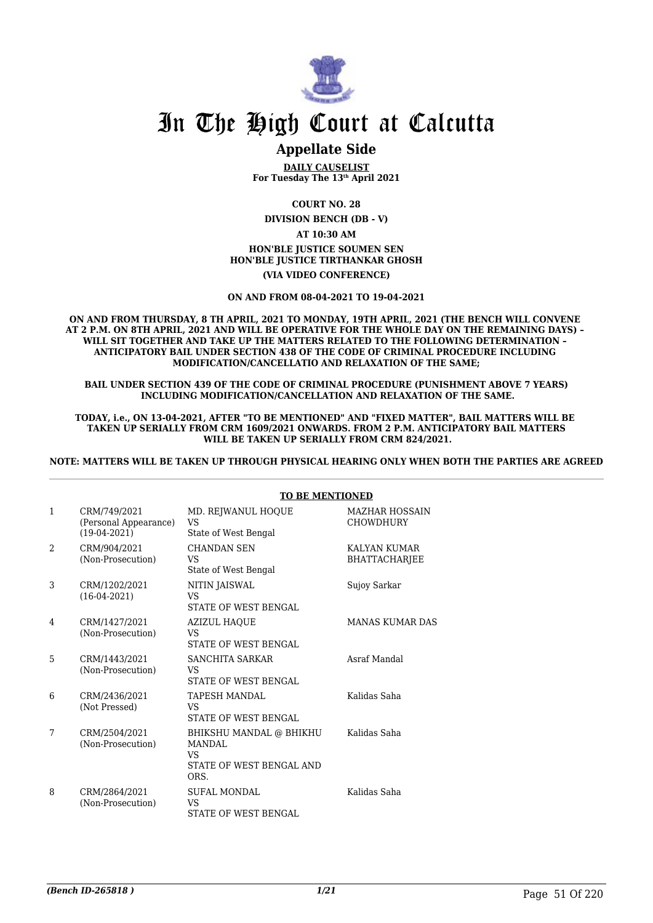

### **Appellate Side**

**DAILY CAUSELIST For Tuesday The 13th April 2021**

**COURT NO. 28**

**DIVISION BENCH (DB - V)**

### **AT 10:30 AM HON'BLE JUSTICE SOUMEN SEN HON'BLE JUSTICE TIRTHANKAR GHOSH (VIA VIDEO CONFERENCE)**

#### **ON AND FROM 08-04-2021 TO 19-04-2021**

**ON AND FROM THURSDAY, 8 TH APRIL, 2021 TO MONDAY, 19TH APRIL, 2021 (THE BENCH WILL CONVENE AT 2 P.M. ON 8TH APRIL, 2021 AND WILL BE OPERATIVE FOR THE WHOLE DAY ON THE REMAINING DAYS) – WILL SIT TOGETHER AND TAKE UP THE MATTERS RELATED TO THE FOLLOWING DETERMINATION – ANTICIPATORY BAIL UNDER SECTION 438 OF THE CODE OF CRIMINAL PROCEDURE INCLUDING MODIFICATION/CANCELLATIO AND RELAXATION OF THE SAME;**

**BAIL UNDER SECTION 439 OF THE CODE OF CRIMINAL PROCEDURE (PUNISHMENT ABOVE 7 YEARS) INCLUDING MODIFICATION/CANCELLATION AND RELAXATION OF THE SAME.**

**TODAY, i.e., ON 13-04-2021, AFTER "TO BE MENTIONED" AND "FIXED MATTER", BAIL MATTERS WILL BE TAKEN UP SERIALLY FROM CRM 1609/2021 ONWARDS. FROM 2 P.M. ANTICIPATORY BAIL MATTERS WILL BE TAKEN UP SERIALLY FROM CRM 824/2021.**

**NOTE: MATTERS WILL BE TAKEN UP THROUGH PHYSICAL HEARING ONLY WHEN BOTH THE PARTIES ARE AGREED**

|                |                                                         | <u>TO DE MENTIONED</u>                                                                    |                                           |
|----------------|---------------------------------------------------------|-------------------------------------------------------------------------------------------|-------------------------------------------|
| $\mathbf{1}$   | CRM/749/2021<br>(Personal Appearance)<br>$(19-04-2021)$ | MD. REJWANUL HOQUE<br><b>VS</b><br>State of West Bengal                                   | <b>MAZHAR HOSSAIN</b><br><b>CHOWDHURY</b> |
| $\mathfrak{D}$ | CRM/904/2021<br>(Non-Prosecution)                       | <b>CHANDAN SEN</b><br>VS<br>State of West Bengal                                          | KALYAN KUMAR<br><b>BHATTACHARJEE</b>      |
| 3              | CRM/1202/2021<br>$(16-04-2021)$                         | NITIN JAISWAL<br><b>VS</b><br><b>STATE OF WEST BENGAL</b>                                 | Sujoy Sarkar                              |
| 4              | CRM/1427/2021<br>(Non-Prosecution)                      | <b>AZIZUL HAOUE</b><br>VS<br>STATE OF WEST BENGAL                                         | <b>MANAS KUMAR DAS</b>                    |
| 5              | CRM/1443/2021<br>(Non-Prosecution)                      | <b>SANCHITA SARKAR</b><br>VS<br><b>STATE OF WEST BENGAL</b>                               | Asraf Mandal                              |
| 6              | CRM/2436/2021<br>(Not Pressed)                          | <b>TAPESH MANDAL</b><br>VS<br><b>STATE OF WEST BENGAL</b>                                 | Kalidas Saha                              |
| 7              | CRM/2504/2021<br>(Non-Prosecution)                      | BHIKSHU MANDAL @ BHIKHU<br><b>MANDAL</b><br><b>VS</b><br>STATE OF WEST BENGAL AND<br>ORS. | Kalidas Saha                              |
| 8              | CRM/2864/2021<br>(Non-Prosecution)                      | <b>SUFAL MONDAL</b><br>VS<br>STATE OF WEST BENGAL                                         | Kalidas Saha                              |

### **TO BE MENTIONED**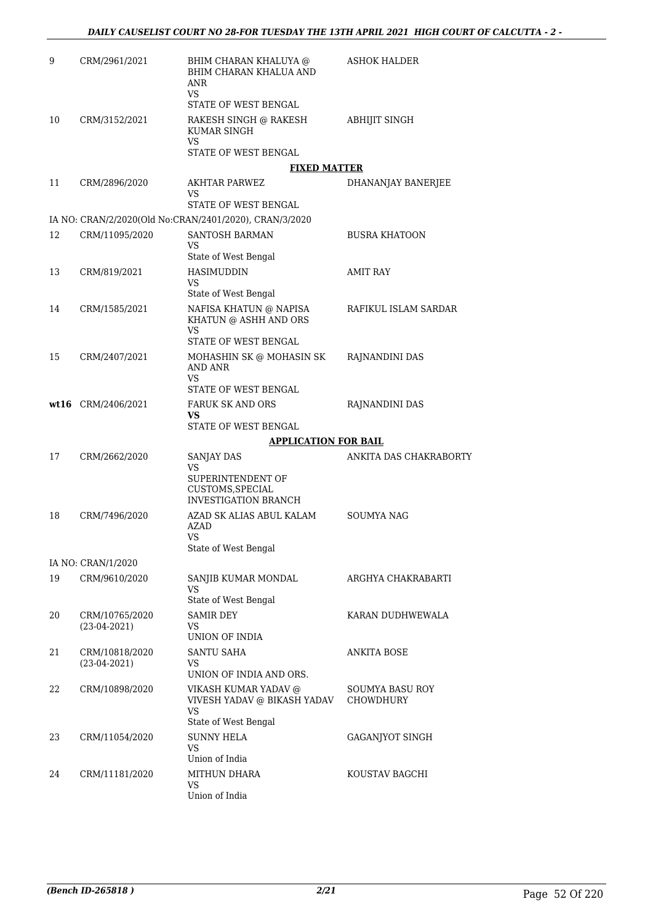| 9  | CRM/2961/2021        | BHIM CHARAN KHALUYA @<br>BHIM CHARAN KHALUA AND<br>ANR<br>VS.<br>STATE OF WEST BENGAL | ASHOK HALDER                        |
|----|----------------------|---------------------------------------------------------------------------------------|-------------------------------------|
| 10 | CRM/3152/2021        | RAKESH SINGH @ RAKESH<br>KUMAR SINGH<br>VS.<br>STATE OF WEST BENGAL                   | <b>ABHIJIT SINGH</b>                |
|    |                      | <b>FIXED MATTER</b>                                                                   |                                     |
| 11 | CRM/2896/2020        | AKHTAR PARWEZ<br>VS                                                                   | DHANANJAY BANERJEE                  |
|    |                      | STATE OF WEST BENGAL                                                                  |                                     |
|    |                      | IA NO: CRAN/2/2020(Old No:CRAN/2401/2020), CRAN/3/2020                                |                                     |
| 12 | CRM/11095/2020       | SANTOSH BARMAN<br>VS<br>State of West Bengal                                          | <b>BUSRA KHATOON</b>                |
| 13 | CRM/819/2021         | <b>HASIMUDDIN</b><br>VS                                                               | <b>AMIT RAY</b>                     |
|    |                      | State of West Bengal                                                                  |                                     |
| 14 | CRM/1585/2021        | NAFISA KHATUN @ NAPISA<br>KHATUN @ ASHH AND ORS<br>VS                                 | RAFIKUL ISLAM SARDAR                |
|    |                      | STATE OF WEST BENGAL                                                                  |                                     |
| 15 | CRM/2407/2021        | MOHASHIN SK @ MOHASIN SK<br><b>AND ANR</b><br>VS.                                     | RAJNANDINI DAS                      |
|    |                      | STATE OF WEST BENGAL                                                                  |                                     |
|    | $wt16$ CRM/2406/2021 | FARUK SK AND ORS<br>VS                                                                | RAJNANDINI DAS                      |
|    |                      | STATE OF WEST BENGAL                                                                  |                                     |
|    |                      |                                                                                       |                                     |
|    |                      | <b>APPLICATION FOR BAIL</b>                                                           |                                     |
| 17 | CRM/2662/2020        | SANJAY DAS<br>VS                                                                      | ANKITA DAS CHAKRABORTY              |
|    |                      | SUPERINTENDENT OF<br>CUSTOMS, SPECIAL<br><b>INVESTIGATION BRANCH</b>                  |                                     |
| 18 | CRM/7496/2020        | AZAD SK ALIAS ABUL KALAM<br>AZAD                                                      | SOUMYA NAG                          |
|    |                      | <b>VS</b>                                                                             |                                     |
|    | IA NO: CRAN/1/2020   | State of West Bengal                                                                  |                                     |
| 19 | CRM/9610/2020        | SANJIB KUMAR MONDAL<br>VS                                                             | ARGHYA CHAKRABARTI                  |
|    |                      | State of West Bengal                                                                  |                                     |
| 20 | CRM/10765/2020       | <b>SAMIR DEY</b>                                                                      | KARAN DUDHWEWALA                    |
|    | $(23-04-2021)$       | VS<br>UNION OF INDIA                                                                  |                                     |
| 21 | CRM/10818/2020       | <b>SANTU SAHA</b>                                                                     | ANKITA BOSE                         |
|    | $(23-04-2021)$       | VS<br>UNION OF INDIA AND ORS.                                                         |                                     |
| 22 | CRM/10898/2020       | VIKASH KUMAR YADAV @<br>VIVESH YADAV @ BIKASH YADAV<br><b>VS</b>                      | SOUMYA BASU ROY<br><b>CHOWDHURY</b> |
| 23 | CRM/11054/2020       | State of West Bengal<br><b>SUNNY HELA</b><br><b>VS</b>                                | GAGANJYOT SINGH                     |
| 24 | CRM/11181/2020       | Union of India<br>MITHUN DHARA                                                        | KOUSTAV BAGCHI                      |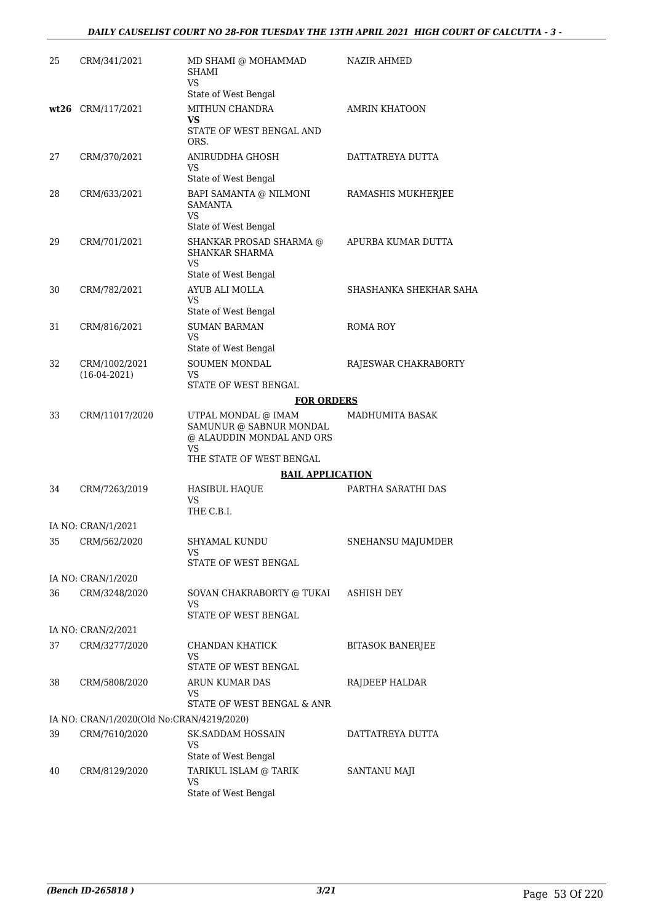### *DAILY CAUSELIST COURT NO 28-FOR TUESDAY THE 13TH APRIL 2021 HIGH COURT OF CALCUTTA - 3 -*

| 25 | CRM/341/2021                              | MD SHAMI @ MOHAMMAD<br><b>SHAMI</b><br><b>VS</b>                                                              | NAZIR AHMED             |
|----|-------------------------------------------|---------------------------------------------------------------------------------------------------------------|-------------------------|
|    |                                           | State of West Bengal                                                                                          |                         |
|    | wt26 CRM/117/2021                         | MITHUN CHANDRA<br>VS.<br>STATE OF WEST BENGAL AND                                                             | <b>AMRIN KHATOON</b>    |
|    |                                           | ORS.                                                                                                          |                         |
| 27 | CRM/370/2021                              | ANIRUDDHA GHOSH<br>VS                                                                                         | DATTATREYA DUTTA        |
|    |                                           | State of West Bengal                                                                                          |                         |
| 28 | CRM/633/2021                              | BAPI SAMANTA @ NILMONI<br>SAMANTA<br>VS                                                                       | RAMASHIS MUKHERJEE      |
|    |                                           | State of West Bengal                                                                                          |                         |
| 29 | CRM/701/2021                              | SHANKAR PROSAD SHARMA @<br><b>SHANKAR SHARMA</b><br><b>VS</b>                                                 | APURBA KUMAR DUTTA      |
|    |                                           | State of West Bengal                                                                                          |                         |
| 30 | CRM/782/2021                              | AYUB ALI MOLLA                                                                                                | SHASHANKA SHEKHAR SAHA  |
|    |                                           | VS<br>State of West Bengal                                                                                    |                         |
| 31 | CRM/816/2021                              | <b>SUMAN BARMAN</b><br>VS                                                                                     | ROMA ROY                |
|    |                                           | State of West Bengal                                                                                          |                         |
| 32 | CRM/1002/2021<br>$(16-04-2021)$           | SOUMEN MONDAL<br>VS                                                                                           | RAJESWAR CHAKRABORTY    |
|    |                                           | STATE OF WEST BENGAL                                                                                          |                         |
|    |                                           | <b>FOR ORDERS</b>                                                                                             |                         |
| 33 | CRM/11017/2020                            | UTPAL MONDAL @ IMAM<br>SAMUNUR @ SABNUR MONDAL<br>@ ALAUDDIN MONDAL AND ORS<br>VS<br>THE STATE OF WEST BENGAL | MADHUMITA BASAK         |
|    |                                           |                                                                                                               |                         |
|    |                                           | <b>BAIL APPLICATION</b>                                                                                       |                         |
| 34 | CRM/7263/2019                             | HASIBUL HAQUE<br>VS<br>THE C.B.I.                                                                             | PARTHA SARATHI DAS      |
|    | IA NO: CRAN/1/2021                        |                                                                                                               |                         |
|    |                                           | SHYAMAL KUNDU                                                                                                 | SNEHANSU MAJUMDER       |
|    | 35 CRM/562/2020                           | VS<br>STATE OF WEST BENGAL                                                                                    |                         |
|    | IA NO: CRAN/1/2020                        |                                                                                                               |                         |
| 36 | CRM/3248/2020                             | SOVAN CHAKRABORTY @ TUKAI<br>VS.                                                                              | ASHISH DEY              |
|    |                                           | STATE OF WEST BENGAL                                                                                          |                         |
|    | IA NO: CRAN/2/2021                        |                                                                                                               |                         |
| 37 | CRM/3277/2020                             | CHANDAN KHATICK                                                                                               | <b>BITASOK BANERJEE</b> |
|    |                                           | VS                                                                                                            |                         |
|    |                                           | STATE OF WEST BENGAL                                                                                          |                         |
| 38 | CRM/5808/2020                             | ARUN KUMAR DAS<br>VS.                                                                                         | RAJDEEP HALDAR          |
|    |                                           | STATE OF WEST BENGAL & ANR                                                                                    |                         |
|    | IA NO: CRAN/1/2020(Old No:CRAN/4219/2020) |                                                                                                               |                         |
| 39 | CRM/7610/2020                             | <b>SK.SADDAM HOSSAIN</b><br><b>VS</b><br>State of West Bengal                                                 | DATTATREYA DUTTA        |
| 40 | CRM/8129/2020                             | TARIKUL ISLAM @ TARIK                                                                                         | SANTANU MAJI            |
|    |                                           | VS<br>State of West Bengal                                                                                    |                         |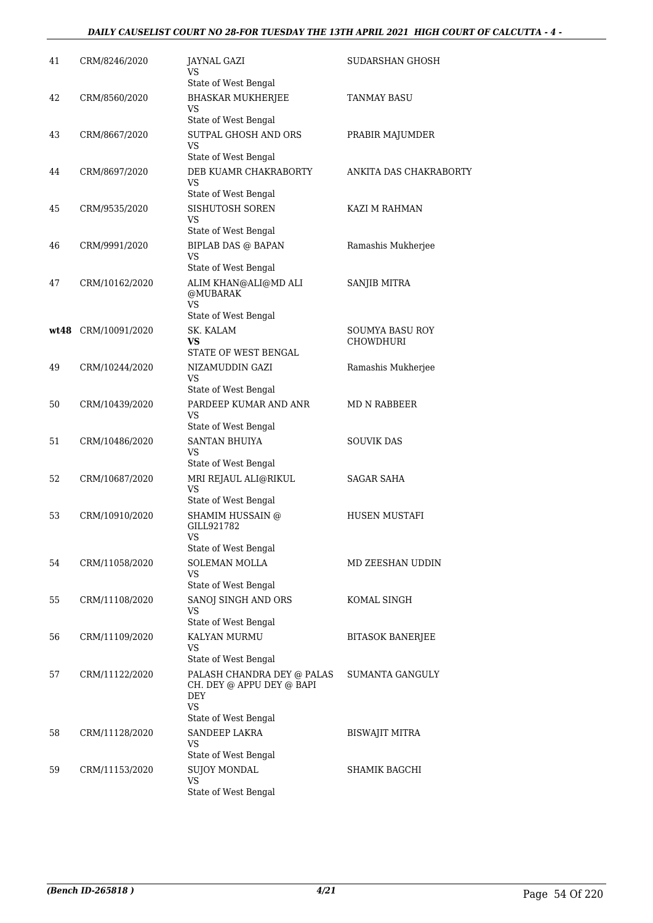### *DAILY CAUSELIST COURT NO 28-FOR TUESDAY THE 13TH APRIL 2021 HIGH COURT OF CALCUTTA - 4 -*

| 41 | CRM/8246/2020       | JAYNAL GAZI<br>VS<br>State of West Bengal                                                           | SUDARSHAN GHOSH                            |
|----|---------------------|-----------------------------------------------------------------------------------------------------|--------------------------------------------|
| 42 | CRM/8560/2020       | <b>BHASKAR MUKHERJEE</b><br>VS<br>State of West Bengal                                              | TANMAY BASU                                |
| 43 | CRM/8667/2020       | SUTPAL GHOSH AND ORS<br>VS<br>State of West Bengal                                                  | PRABIR MAJUMDER                            |
| 44 | CRM/8697/2020       | DEB KUAMR CHAKRABORTY<br>VS<br>State of West Bengal                                                 | ANKITA DAS CHAKRABORTY                     |
| 45 | CRM/9535/2020       | SISHUTOSH SOREN<br>VS<br>State of West Bengal                                                       | KAZI M RAHMAN                              |
| 46 | CRM/9991/2020       | <b>BIPLAB DAS @ BAPAN</b><br><b>VS</b><br>State of West Bengal                                      | Ramashis Mukherjee                         |
| 47 | CRM/10162/2020      | ALIM KHAN@ALI@MD ALI<br>@MUBARAK<br>VS.<br>State of West Bengal                                     | SANJIB MITRA                               |
|    | wt48 CRM/10091/2020 | SK. KALAM<br>VS.<br>STATE OF WEST BENGAL                                                            | <b>SOUMYA BASU ROY</b><br><b>CHOWDHURI</b> |
| 49 | CRM/10244/2020      | NIZAMUDDIN GAZI<br>VS<br>State of West Bengal                                                       | Ramashis Mukherjee                         |
| 50 | CRM/10439/2020      | PARDEEP KUMAR AND ANR<br>VS<br>State of West Bengal                                                 | MD N RABBEER                               |
| 51 | CRM/10486/2020      | <b>SANTAN BHUIYA</b><br>VS<br>State of West Bengal                                                  | <b>SOUVIK DAS</b>                          |
| 52 | CRM/10687/2020      | MRI REJAUL ALI@RIKUL<br>VS.<br>State of West Bengal                                                 | <b>SAGAR SAHA</b>                          |
| 53 | CRM/10910/2020      | SHAMIM HUSSAIN @<br>GILL921782<br>VS<br>State of West Bengal                                        | <b>HUSEN MUSTAFI</b>                       |
| 54 | CRM/11058/2020      | SOLEMAN MOLLA<br>VS<br>State of West Bengal                                                         | MD ZEESHAN UDDIN                           |
| 55 | CRM/11108/2020      | SANOJ SINGH AND ORS<br>VS<br>State of West Bengal                                                   | KOMAL SINGH                                |
| 56 | CRM/11109/2020      | KALYAN MURMU<br>VS<br>State of West Bengal                                                          | <b>BITASOK BANERJEE</b>                    |
| 57 | CRM/11122/2020      | PALASH CHANDRA DEY @ PALAS<br>CH. DEY @ APPU DEY @ BAPI<br>DEY<br><b>VS</b><br>State of West Bengal | SUMANTA GANGULY                            |
| 58 | CRM/11128/2020      | <b>SANDEEP LAKRA</b><br>VS<br>State of West Bengal                                                  | BISWAJIT MITRA                             |
| 59 | CRM/11153/2020      | <b>SUJOY MONDAL</b><br>VS<br>State of West Bengal                                                   | SHAMIK BAGCHI                              |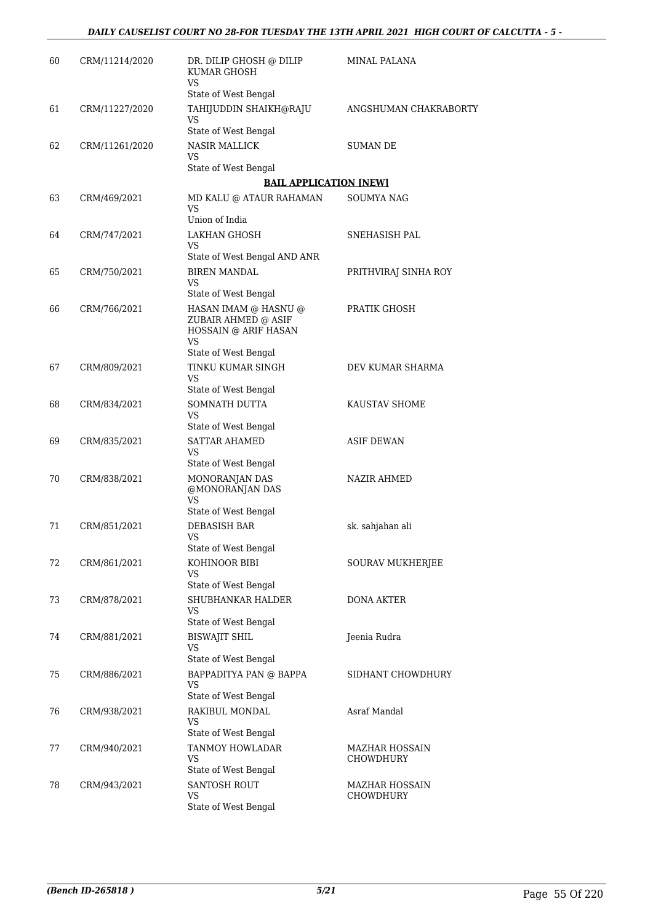| 60 | CRM/11214/2020 | DR. DILIP GHOSH @ DILIP<br>KUMAR GHOSH<br>VS       | MINAL PALANA                       |
|----|----------------|----------------------------------------------------|------------------------------------|
|    |                | State of West Bengal                               |                                    |
| 61 | CRM/11227/2020 | TAHIJUDDIN SHAIKH@RAJU<br>VS                       | ANGSHUMAN CHAKRABORTY              |
|    |                | State of West Bengal                               |                                    |
| 62 | CRM/11261/2020 | <b>NASIR MALLICK</b><br>VS                         | <b>SUMAN DE</b>                    |
|    |                | State of West Bengal                               |                                    |
|    |                | <b>BAIL APPLICATION [NEW]</b>                      |                                    |
| 63 | CRM/469/2021   | MD KALU @ ATAUR RAHAMAN<br>VS.                     | SOUMYA NAG                         |
|    |                | Union of India                                     |                                    |
| 64 | CRM/747/2021   | LAKHAN GHOSH<br>VS<br>State of West Bengal AND ANR | SNEHASISH PAL                      |
|    |                |                                                    |                                    |
| 65 | CRM/750/2021   | <b>BIREN MANDAL</b><br>VS<br>State of West Bengal  | PRITHVIRAJ SINHA ROY               |
| 66 | CRM/766/2021   | HASAN IMAM @ HASNU @                               | PRATIK GHOSH                       |
|    |                | ZUBAIR AHMED @ ASIF<br>HOSSAIN @ ARIF HASAN<br>VS  |                                    |
|    |                | State of West Bengal                               |                                    |
| 67 | CRM/809/2021   | TINKU KUMAR SINGH<br>VS                            | DEV KUMAR SHARMA                   |
|    |                | State of West Bengal                               |                                    |
| 68 | CRM/834/2021   | SOMNATH DUTTA<br>VS<br>State of West Bengal        | KAUSTAV SHOME                      |
| 69 | CRM/835/2021   | <b>SATTAR AHAMED</b><br>VS                         | <b>ASIF DEWAN</b>                  |
|    |                | State of West Bengal                               |                                    |
| 70 | CRM/838/2021   | MONORANJAN DAS<br>@MONORANJAN DAS<br>VS            | NAZIR AHMED                        |
|    |                | State of West Bengal                               |                                    |
| 71 | CRM/851/2021   | DEBASISH BAR<br><b>VS</b><br>State of West Bengal  | sk. sahjahan ali                   |
|    |                |                                                    |                                    |
| 72 | CRM/861/2021   | KOHINOOR BIBI<br>VS<br>State of West Bengal        | SOURAV MUKHERJEE                   |
| 73 | CRM/878/2021   | SHUBHANKAR HALDER                                  | <b>DONA AKTER</b>                  |
|    |                | VS<br>State of West Bengal                         |                                    |
| 74 | CRM/881/2021   | <b>BISWAJIT SHIL</b><br>VS                         | Jeenia Rudra                       |
|    |                | State of West Bengal                               |                                    |
| 75 | CRM/886/2021   | BAPPADITYA PAN @ BAPPA<br>VS                       | SIDHANT CHOWDHURY                  |
|    |                | State of West Bengal                               |                                    |
| 76 | CRM/938/2021   | RAKIBUL MONDAL<br>VS                               | Asraf Mandal                       |
|    |                | State of West Bengal                               |                                    |
| 77 | CRM/940/2021   | TANMOY HOWLADAR<br>VS<br>State of West Bengal      | MAZHAR HOSSAIN<br><b>CHOWDHURY</b> |
| 78 | CRM/943/2021   | <b>SANTOSH ROUT</b>                                | MAZHAR HOSSAIN                     |
|    |                | VS<br>State of West Bengal                         | <b>CHOWDHURY</b>                   |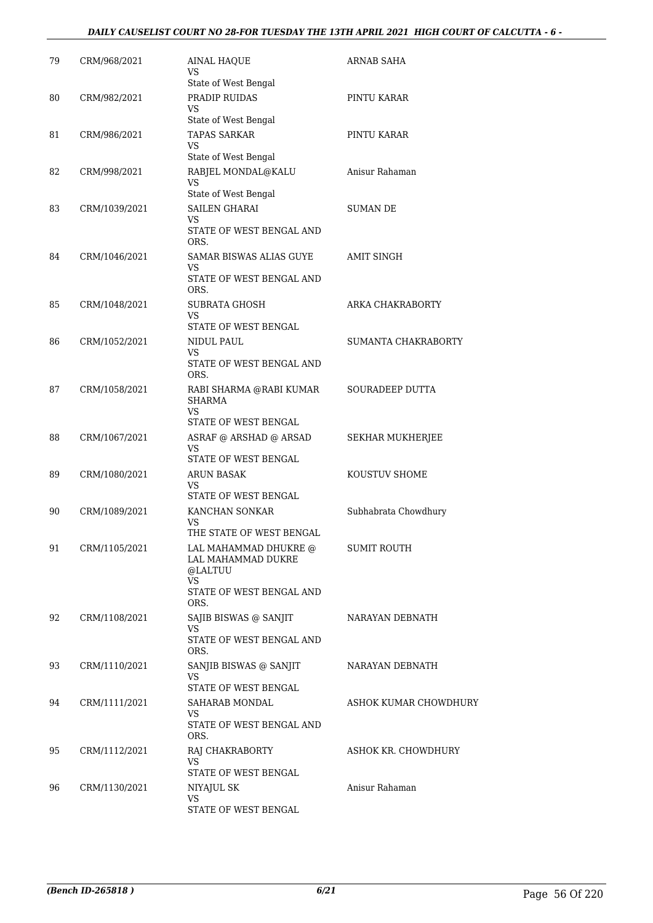### *DAILY CAUSELIST COURT NO 28-FOR TUESDAY THE 13TH APRIL 2021 HIGH COURT OF CALCUTTA - 6 -*

| 79 | CRM/968/2021  | AINAL HAQUE<br>VS<br>State of West Bengal                                                         | ARNAB SAHA            |
|----|---------------|---------------------------------------------------------------------------------------------------|-----------------------|
| 80 | CRM/982/2021  | PRADIP RUIDAS<br>VS<br>State of West Bengal                                                       | PINTU KARAR           |
| 81 | CRM/986/2021  | TAPAS SARKAR<br>VS                                                                                | PINTU KARAR           |
| 82 | CRM/998/2021  | State of West Bengal<br>RABJEL MONDAL@KALU<br>VS                                                  | Anisur Rahaman        |
| 83 | CRM/1039/2021 | State of West Bengal<br>SAILEN GHARAI<br>VS<br>STATE OF WEST BENGAL AND                           | SUMAN DE              |
| 84 | CRM/1046/2021 | ORS.<br>SAMAR BISWAS ALIAS GUYE<br>VS<br>STATE OF WEST BENGAL AND<br>ORS.                         | <b>AMIT SINGH</b>     |
| 85 | CRM/1048/2021 | <b>SUBRATA GHOSH</b><br>VS                                                                        | ARKA CHAKRABORTY      |
| 86 | CRM/1052/2021 | STATE OF WEST BENGAL<br>NIDUL PAUL<br>VS.<br>STATE OF WEST BENGAL AND                             | SUMANTA CHAKRABORTY   |
| 87 | CRM/1058/2021 | ORS.<br>RABI SHARMA @RABI KUMAR<br><b>SHARMA</b><br>VS                                            | SOURADEEP DUTTA       |
| 88 | CRM/1067/2021 | STATE OF WEST BENGAL<br>ASRAF @ ARSHAD @ ARSAD<br>VS                                              | SEKHAR MUKHERJEE      |
| 89 | CRM/1080/2021 | STATE OF WEST BENGAL<br><b>ARUN BASAK</b><br>VS                                                   | KOUSTUV SHOME         |
| 90 | CRM/1089/2021 | STATE OF WEST BENGAL<br>KANCHAN SONKAR<br>VS<br>THE STATE OF WEST BENGAL                          | Subhabrata Chowdhury  |
| 91 | CRM/1105/2021 | LAL MAHAMMAD DHUKRE @<br>LAL MAHAMMAD DUKRE<br>@LALTUU<br>VS.<br>STATE OF WEST BENGAL AND<br>ORS. | <b>SUMIT ROUTH</b>    |
| 92 | CRM/1108/2021 | SAJIB BISWAS @ SANJIT<br>VS<br>STATE OF WEST BENGAL AND<br>ORS.                                   | NARAYAN DEBNATH       |
| 93 | CRM/1110/2021 | SANJIB BISWAS @ SANJIT<br>VS<br>STATE OF WEST BENGAL                                              | NARAYAN DEBNATH       |
| 94 | CRM/1111/2021 | SAHARAB MONDAL<br>VS<br>STATE OF WEST BENGAL AND<br>ORS.                                          | ASHOK KUMAR CHOWDHURY |
| 95 | CRM/1112/2021 | RAJ CHAKRABORTY<br>VS.<br>STATE OF WEST BENGAL                                                    | ASHOK KR. CHOWDHURY   |
| 96 | CRM/1130/2021 | NIYAJUL SK<br>VS<br>STATE OF WEST BENGAL                                                          | Anisur Rahaman        |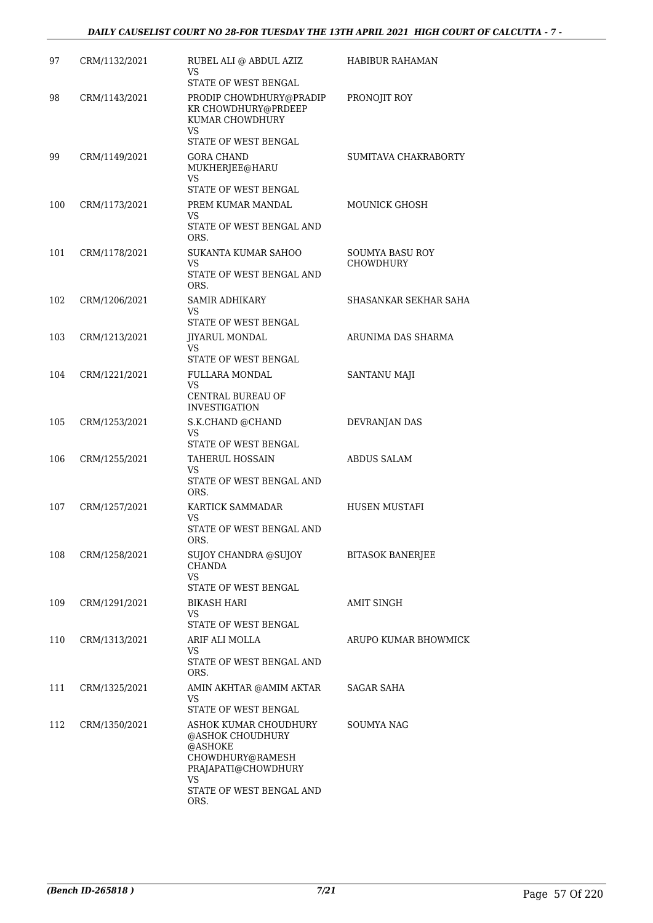| 97  | CRM/1132/2021 | RUBEL ALI @ ABDUL AZIZ<br>VS.<br><b>STATE OF WEST BENGAL</b>                                                                              | HABIBUR RAHAMAN                     |
|-----|---------------|-------------------------------------------------------------------------------------------------------------------------------------------|-------------------------------------|
| 98  | CRM/1143/2021 | PRODIP CHOWDHURY@PRADIP<br>KR CHOWDHURY@PRDEEP<br>KUMAR CHOWDHURY<br>VS.                                                                  | PRONOJIT ROY                        |
|     |               | STATE OF WEST BENGAL                                                                                                                      |                                     |
| 99  | CRM/1149/2021 | <b>GORA CHAND</b><br>MUKHERJEE@HARU<br>VS                                                                                                 | SUMITAVA CHAKRABORTY                |
| 100 | CRM/1173/2021 | STATE OF WEST BENGAL<br>PREM KUMAR MANDAL<br>VS<br>STATE OF WEST BENGAL AND<br>ORS.                                                       | <b>MOUNICK GHOSH</b>                |
| 101 | CRM/1178/2021 | SUKANTA KUMAR SAHOO<br>VS<br>STATE OF WEST BENGAL AND<br>ORS.                                                                             | SOUMYA BASU ROY<br><b>CHOWDHURY</b> |
| 102 | CRM/1206/2021 | SAMIR ADHIKARY<br>VS.<br>STATE OF WEST BENGAL                                                                                             | SHASANKAR SEKHAR SAHA               |
| 103 | CRM/1213/2021 | JIYARUL MONDAL<br>VS                                                                                                                      | ARUNIMA DAS SHARMA                  |
| 104 | CRM/1221/2021 | STATE OF WEST BENGAL<br>FULLARA MONDAL<br>VS.<br>CENTRAL BUREAU OF<br><b>INVESTIGATION</b>                                                | SANTANU MAJI                        |
| 105 | CRM/1253/2021 | S.K.CHAND @CHAND<br>VS.<br>STATE OF WEST BENGAL                                                                                           | DEVRANJAN DAS                       |
| 106 | CRM/1255/2021 | <b>TAHERUL HOSSAIN</b><br>VS<br>STATE OF WEST BENGAL AND<br>ORS.                                                                          | ABDUS SALAM                         |
| 107 | CRM/1257/2021 | KARTICK SAMMADAR<br>VS<br>STATE OF WEST BENGAL AND<br>ORS.                                                                                | <b>HUSEN MUSTAFI</b>                |
| 108 | CRM/1258/2021 | SUJOY CHANDRA @SUJOY<br><b>CHANDA</b><br><b>VS</b><br>STATE OF WEST BENGAL                                                                | <b>BITASOK BANERJEE</b>             |
| 109 | CRM/1291/2021 | <b>BIKASH HARI</b><br>VS<br>STATE OF WEST BENGAL                                                                                          | AMIT SINGH                          |
| 110 | CRM/1313/2021 | ARIF ALI MOLLA<br>VS<br>STATE OF WEST BENGAL AND<br>ORS.                                                                                  | ARUPO KUMAR BHOWMICK                |
| 111 | CRM/1325/2021 | AMIN AKHTAR @AMIM AKTAR<br>VS<br>STATE OF WEST BENGAL                                                                                     | SAGAR SAHA                          |
| 112 | CRM/1350/2021 | ASHOK KUMAR CHOUDHURY<br>@ASHOK CHOUDHURY<br>@ASHOKE<br>CHOWDHURY@RAMESH<br>PRAJAPATI@CHOWDHURY<br>VS<br>STATE OF WEST BENGAL AND<br>ORS. | SOUMYA NAG                          |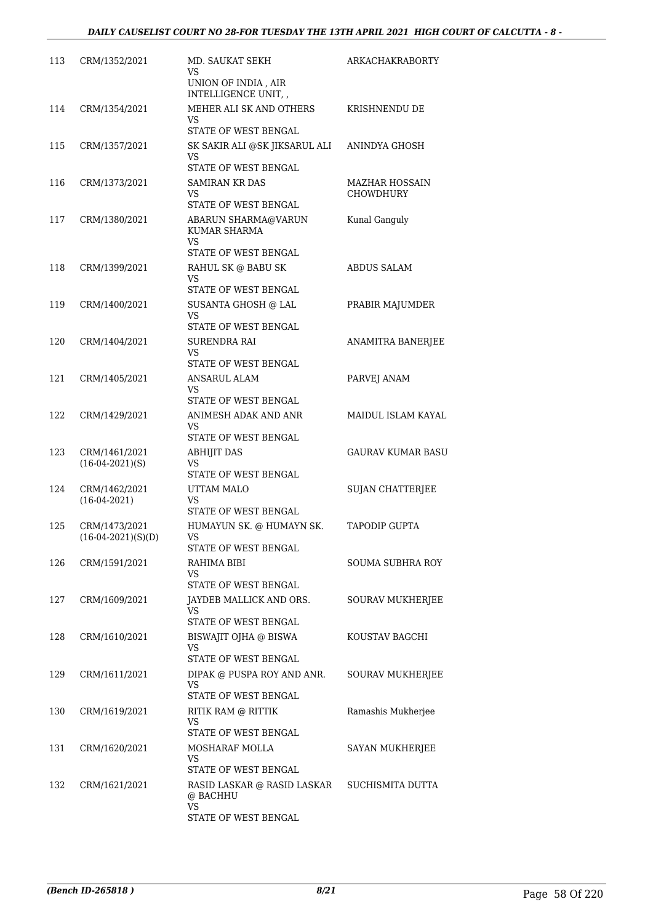| 113 | CRM/1352/2021                         | MD. SAUKAT SEKH<br>VS<br>UNION OF INDIA, AIR<br>INTELLIGENCE UNIT, ,       | <b>ARKACHAKRABORTY</b>             |
|-----|---------------------------------------|----------------------------------------------------------------------------|------------------------------------|
| 114 | CRM/1354/2021                         | MEHER ALI SK AND OTHERS<br>VS<br>STATE OF WEST BENGAL                      | KRISHNENDU DE                      |
| 115 | CRM/1357/2021                         | SK SAKIR ALI @SK JIKSARUL ALI<br>VS<br>STATE OF WEST BENGAL                | ANINDYA GHOSH                      |
| 116 | CRM/1373/2021                         | <b>SAMIRAN KR DAS</b><br>VS<br>STATE OF WEST BENGAL                        | MAZHAR HOSSAIN<br><b>CHOWDHURY</b> |
| 117 | CRM/1380/2021                         | ABARUN SHARMA@VARUN<br>KUMAR SHARMA<br>VS.                                 | Kunal Ganguly                      |
| 118 | CRM/1399/2021                         | STATE OF WEST BENGAL<br>RAHUL SK @ BABU SK<br><b>VS</b>                    | <b>ABDUS SALAM</b>                 |
| 119 | CRM/1400/2021                         | STATE OF WEST BENGAL<br>SUSANTA GHOSH @ LAL<br>VS.                         | PRABIR MAJUMDER                    |
| 120 | CRM/1404/2021                         | STATE OF WEST BENGAL<br><b>SURENDRA RAI</b><br>VS                          | ANAMITRA BANERJEE                  |
| 121 | CRM/1405/2021                         | STATE OF WEST BENGAL<br>ANSARUL ALAM<br>VS                                 | PARVEJ ANAM                        |
| 122 | CRM/1429/2021                         | STATE OF WEST BENGAL<br>ANIMESH ADAK AND ANR<br>VS<br>STATE OF WEST BENGAL | MAIDUL ISLAM KAYAL                 |
| 123 | CRM/1461/2021<br>$(16-04-2021)(S)$    | <b>ABHIJIT DAS</b><br><b>VS</b><br>STATE OF WEST BENGAL                    | <b>GAURAV KUMAR BASU</b>           |
| 124 | CRM/1462/2021<br>$(16-04-2021)$       | UTTAM MALO<br>VS<br>STATE OF WEST BENGAL                                   | <b>SUJAN CHATTERJEE</b>            |
| 125 | CRM/1473/2021<br>$(16-04-2021)(S)(D)$ | HUMAYUN SK. @ HUMAYN SK.<br>VS<br>STATE OF WEST BENGAL                     | <b>TAPODIP GUPTA</b>               |
| 126 | CRM/1591/2021                         | RAHIMA BIBI<br>VS<br>STATE OF WEST BENGAL                                  | SOUMA SUBHRA ROY                   |
| 127 | CRM/1609/2021                         | JAYDEB MALLICK AND ORS.<br>VS<br>STATE OF WEST BENGAL                      | SOURAV MUKHERJEE                   |
| 128 | CRM/1610/2021                         | BISWAJIT OJHA @ BISWA<br>VS<br>STATE OF WEST BENGAL                        | KOUSTAV BAGCHI                     |
| 129 | CRM/1611/2021                         | DIPAK @ PUSPA ROY AND ANR.<br>VS<br>STATE OF WEST BENGAL                   | SOURAV MUKHERJEE                   |
| 130 | CRM/1619/2021                         | RITIK RAM @ RITTIK<br>VS<br>STATE OF WEST BENGAL                           | Ramashis Mukherjee                 |
| 131 | CRM/1620/2021                         | MOSHARAF MOLLA<br>VS<br>STATE OF WEST BENGAL                               | SAYAN MUKHERJEE                    |
| 132 | CRM/1621/2021                         | RASID LASKAR @ RASID LASKAR<br>@ BACHHU<br>VS.<br>STATE OF WEST BENGAL     | SUCHISMITA DUTTA                   |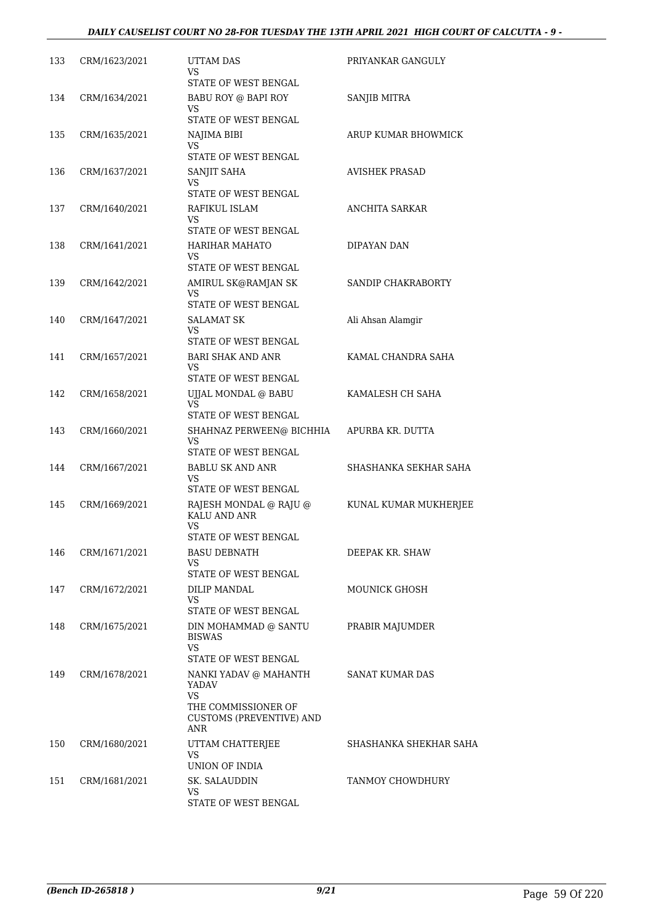| 133 | CRM/1623/2021 | <b>UTTAM DAS</b><br>VS                                                     | PRIYANKAR GANGULY      |
|-----|---------------|----------------------------------------------------------------------------|------------------------|
|     |               | STATE OF WEST BENGAL                                                       |                        |
| 134 | CRM/1634/2021 | BABU ROY @ BAPI ROY<br>VS                                                  | SANJIB MITRA           |
|     |               | STATE OF WEST BENGAL                                                       |                        |
| 135 | CRM/1635/2021 | NAJIMA BIBI<br>VS.                                                         | ARUP KUMAR BHOWMICK    |
|     |               | STATE OF WEST BENGAL                                                       |                        |
| 136 | CRM/1637/2021 | SANJIT SAHA<br>VS.                                                         | <b>AVISHEK PRASAD</b>  |
|     |               | STATE OF WEST BENGAL                                                       |                        |
| 137 | CRM/1640/2021 | RAFIKUL ISLAM<br>VS                                                        | ANCHITA SARKAR         |
|     |               | STATE OF WEST BENGAL                                                       |                        |
| 138 | CRM/1641/2021 | HARIHAR MAHATO<br>VS                                                       | DIPAYAN DAN            |
|     |               | STATE OF WEST BENGAL                                                       |                        |
| 139 | CRM/1642/2021 | AMIRUL SK@RAMJAN SK<br>VS.                                                 | SANDIP CHAKRABORTY     |
|     |               | STATE OF WEST BENGAL                                                       |                        |
| 140 | CRM/1647/2021 | SALAMAT SK<br>VS                                                           | Ali Ahsan Alamgir      |
|     |               | STATE OF WEST BENGAL                                                       |                        |
| 141 | CRM/1657/2021 | <b>BARI SHAK AND ANR</b>                                                   | KAMAL CHANDRA SAHA     |
|     |               | VS<br>STATE OF WEST BENGAL                                                 |                        |
| 142 | CRM/1658/2021 | UJJAL MONDAL @ BABU                                                        | KAMALESH CH SAHA       |
|     |               | VS                                                                         |                        |
|     |               | STATE OF WEST BENGAL                                                       |                        |
| 143 | CRM/1660/2021 | SHAHNAZ PERWEEN@ BICHHIA<br>VS                                             | APURBA KR. DUTTA       |
|     |               | STATE OF WEST BENGAL                                                       |                        |
| 144 | CRM/1667/2021 | <b>BABLU SK AND ANR</b><br>VS                                              | SHASHANKA SEKHAR SAHA  |
|     |               | STATE OF WEST BENGAL                                                       |                        |
| 145 | CRM/1669/2021 | RAJESH MONDAL @ RAJU @<br>KALU AND ANR                                     | KUNAL KUMAR MUKHERJEE  |
|     |               | VS                                                                         |                        |
|     |               | STATE OF WEST BENGAL                                                       |                        |
| 146 | CRM/1671/2021 | <b>BASU DEBNATH</b><br>VS<br>STATE OF WEST BENGAL                          | DEEPAK KR. SHAW        |
| 147 | CRM/1672/2021 | <b>DILIP MANDAL</b>                                                        | MOUNICK GHOSH          |
|     |               | VS.                                                                        |                        |
|     |               | STATE OF WEST BENGAL                                                       |                        |
| 148 | CRM/1675/2021 | DIN MOHAMMAD @ SANTU<br><b>BISWAS</b><br>VS.                               | PRABIR MAJUMDER        |
|     |               | STATE OF WEST BENGAL                                                       |                        |
| 149 | CRM/1678/2021 | NANKI YADAV @ MAHANTH<br>YADAV                                             | SANAT KUMAR DAS        |
|     |               | <b>VS</b><br>THE COMMISSIONER OF<br><b>CUSTOMS (PREVENTIVE) AND</b><br>ANR |                        |
| 150 | CRM/1680/2021 | UTTAM CHATTERJEE                                                           | SHASHANKA SHEKHAR SAHA |
|     |               | VS                                                                         |                        |
|     |               | UNION OF INDIA                                                             |                        |
| 151 | CRM/1681/2021 | SK. SALAUDDIN<br>VS                                                        | TANMOY CHOWDHURY       |
|     |               | STATE OF WEST BENGAL                                                       |                        |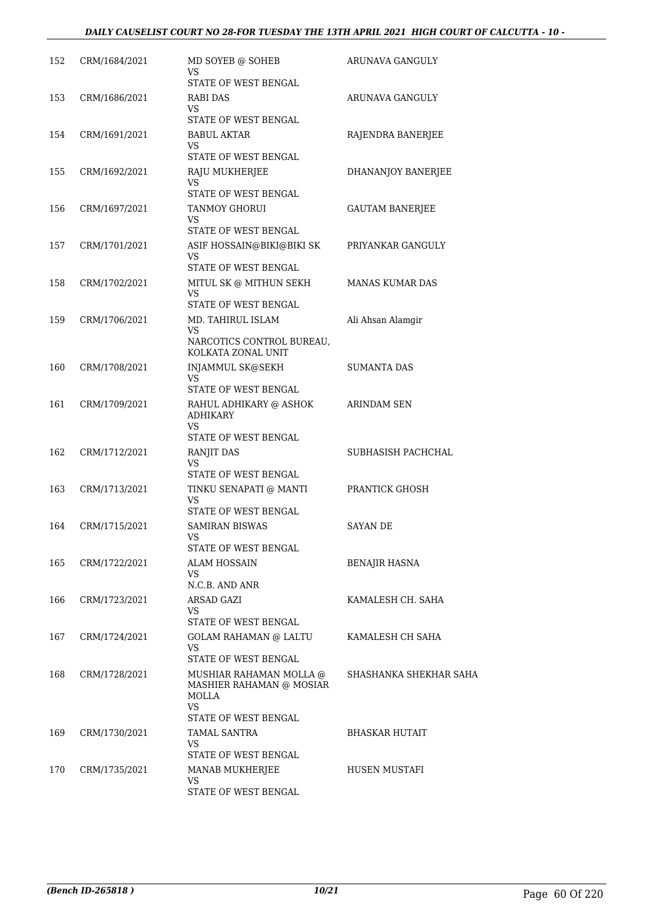| 152 | CRM/1684/2021 | MD SOYEB @ SOHEB<br>VS                                              | ARUNAVA GANGULY        |
|-----|---------------|---------------------------------------------------------------------|------------------------|
|     |               | STATE OF WEST BENGAL                                                |                        |
| 153 | CRM/1686/2021 | RABI DAS<br>VS.                                                     | ARUNAVA GANGULY        |
|     |               | STATE OF WEST BENGAL                                                |                        |
| 154 | CRM/1691/2021 | <b>BABUL AKTAR</b><br>VS                                            | RAJENDRA BANERJEE      |
|     |               | STATE OF WEST BENGAL                                                |                        |
| 155 | CRM/1692/2021 | RAJU MUKHERJEE<br>VS.<br>STATE OF WEST BENGAL                       | DHANANJOY BANERJEE     |
|     |               |                                                                     |                        |
| 156 | CRM/1697/2021 | TANMOY GHORUI<br>VS<br>STATE OF WEST BENGAL                         | <b>GAUTAM BANERJEE</b> |
| 157 | CRM/1701/2021 | ASIF HOSSAIN@BIKI@BIKI SK                                           | PRIYANKAR GANGULY      |
|     |               | VS<br>STATE OF WEST BENGAL                                          |                        |
| 158 | CRM/1702/2021 | MITUL SK @ MITHUN SEKH<br>VS                                        | <b>MANAS KUMAR DAS</b> |
|     |               | STATE OF WEST BENGAL                                                |                        |
| 159 | CRM/1706/2021 | MD. TAHIRUL ISLAM<br>VS.                                            | Ali Ahsan Alamgir      |
|     |               | NARCOTICS CONTROL BUREAU,<br>KOLKATA ZONAL UNIT                     |                        |
| 160 | CRM/1708/2021 | <b>INJAMMUL SK@SEKH</b><br>VS.                                      | <b>SUMANTA DAS</b>     |
|     |               | STATE OF WEST BENGAL                                                |                        |
| 161 | CRM/1709/2021 | RAHUL ADHIKARY @ ASHOK<br><b>ADHIKARY</b>                           | ARINDAM SEN            |
|     |               | VS.<br>STATE OF WEST BENGAL                                         |                        |
| 162 | CRM/1712/2021 | RANJIT DAS<br>VS                                                    | SUBHASISH PACHCHAL     |
|     |               | STATE OF WEST BENGAL                                                |                        |
| 163 | CRM/1713/2021 | TINKU SENAPATI @ MANTI<br><b>VS</b>                                 | PRANTICK GHOSH         |
|     |               | STATE OF WEST BENGAL                                                |                        |
| 164 | CRM/1715/2021 | <b>SAMIRAN BISWAS</b><br>VS<br>STATE OF WEST BENGAL                 | <b>SAYAN DE</b>        |
| 165 | CRM/1722/2021 | <b>ALAM HOSSAIN</b>                                                 | BENAJIR HASNA          |
|     |               | VS<br>N.C.B. AND ANR                                                |                        |
| 166 | CRM/1723/2021 | ARSAD GAZI                                                          | KAMALESH CH. SAHA      |
|     |               | VS.<br>STATE OF WEST BENGAL                                         |                        |
| 167 | CRM/1724/2021 | <b>GOLAM RAHAMAN @ LALTU</b><br>VS                                  | KAMALESH CH SAHA       |
|     |               | STATE OF WEST BENGAL                                                |                        |
| 168 | CRM/1728/2021 | MUSHIAR RAHAMAN MOLLA @<br>MASHIER RAHAMAN @ MOSIAR<br>MOLLA<br>VS. | SHASHANKA SHEKHAR SAHA |
|     |               | STATE OF WEST BENGAL                                                |                        |
| 169 | CRM/1730/2021 | TAMAL SANTRA<br>VS<br>STATE OF WEST BENGAL                          | <b>BHASKAR HUTAIT</b>  |
|     |               |                                                                     |                        |
| 170 | CRM/1735/2021 | MANAB MUKHERJEE<br>VS.<br>STATE OF WEST BENGAL                      | HUSEN MUSTAFI          |
|     |               |                                                                     |                        |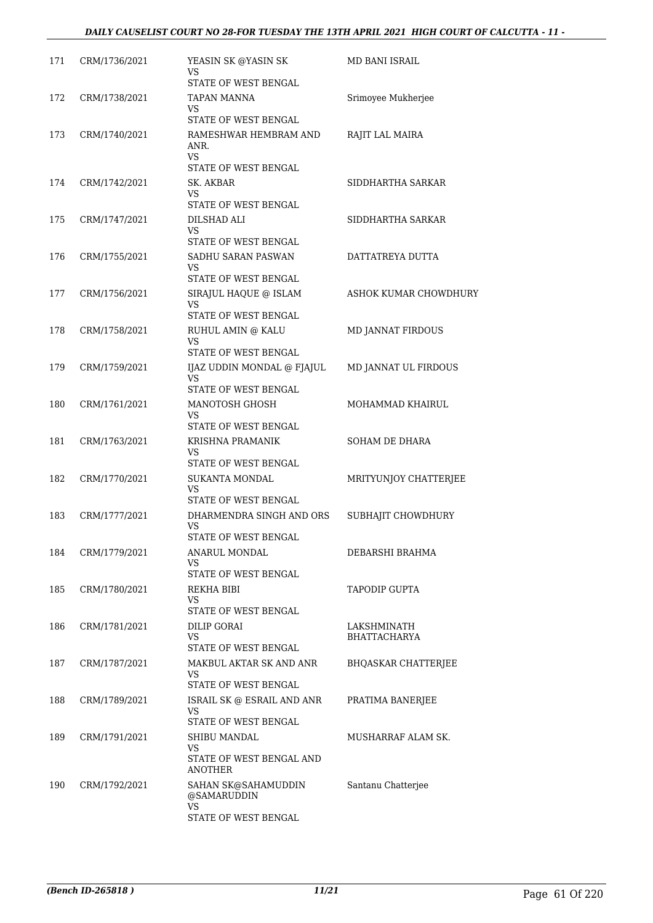| 171 | CRM/1736/2021 | YEASIN SK @YASIN SK<br>VS                                | <b>MD BANI ISRAIL</b>              |
|-----|---------------|----------------------------------------------------------|------------------------------------|
| 172 | CRM/1738/2021 | STATE OF WEST BENGAL<br><b>TAPAN MANNA</b><br>VS         | Srimoyee Mukherjee                 |
| 173 | CRM/1740/2021 | STATE OF WEST BENGAL<br>RAMESHWAR HEMBRAM AND<br>ANR.    | RAJIT LAL MAIRA                    |
|     |               | VS.<br>STATE OF WEST BENGAL                              |                                    |
| 174 | CRM/1742/2021 | SK. AKBAR                                                | SIDDHARTHA SARKAR                  |
|     |               | VS<br>STATE OF WEST BENGAL                               |                                    |
| 175 | CRM/1747/2021 | DILSHAD ALI                                              | SIDDHARTHA SARKAR                  |
|     |               | VS<br>STATE OF WEST BENGAL                               |                                    |
| 176 | CRM/1755/2021 | SADHU SARAN PASWAN<br>VS.<br>STATE OF WEST BENGAL        | DATTATREYA DUTTA                   |
| 177 | CRM/1756/2021 | SIRAJUL HAQUE @ ISLAM<br>VS                              | ASHOK KUMAR CHOWDHURY              |
|     |               | STATE OF WEST BENGAL                                     |                                    |
| 178 | CRM/1758/2021 | RUHUL AMIN @ KALU<br>VS<br>STATE OF WEST BENGAL          | MD JANNAT FIRDOUS                  |
| 179 | CRM/1759/2021 | IJAZ UDDIN MONDAL @ FJAJUL<br>VS                         | MD JANNAT UL FIRDOUS               |
| 180 | CRM/1761/2021 | STATE OF WEST BENGAL<br>MANOTOSH GHOSH<br>VS             | MOHAMMAD KHAIRUL                   |
|     |               | STATE OF WEST BENGAL                                     |                                    |
| 181 | CRM/1763/2021 | KRISHNA PRAMANIK<br>VS                                   | SOHAM DE DHARA                     |
|     |               | STATE OF WEST BENGAL                                     |                                    |
| 182 | CRM/1770/2021 | SUKANTA MONDAL<br>VS<br>STATE OF WEST BENGAL             | MRITYUNJOY CHATTERJEE              |
| 183 | CRM/1777/2021 | DHARMENDRA SINGH AND ORS<br>VS                           | SUBHAJIT CHOWDHURY                 |
|     |               | STATE OF WEST BENGAL                                     |                                    |
| 184 | CRM/1779/2021 | <b>ANARUL MONDAL</b><br>VS<br>STATE OF WEST BENGAL       | DEBARSHI BRAHMA                    |
| 185 | CRM/1780/2021 | REKHA BIBI                                               | TAPODIP GUPTA                      |
|     |               | VS<br>STATE OF WEST BENGAL                               |                                    |
| 186 | CRM/1781/2021 | <b>DILIP GORAI</b><br>VS<br>STATE OF WEST BENGAL         | LAKSHMINATH<br><b>BHATTACHARYA</b> |
| 187 | CRM/1787/2021 | MAKBUL AKTAR SK AND ANR<br>VS                            | BHQASKAR CHATTERJEE                |
|     |               | STATE OF WEST BENGAL                                     |                                    |
| 188 | CRM/1789/2021 | ISRAIL SK @ ESRAIL AND ANR<br>VS<br>STATE OF WEST BENGAL | PRATIMA BANERJEE                   |
| 189 | CRM/1791/2021 | SHIBU MANDAL                                             | MUSHARRAF ALAM SK.                 |
|     |               | VS<br>STATE OF WEST BENGAL AND<br>ANOTHER                |                                    |
| 190 | CRM/1792/2021 | SAHAN SK@SAHAMUDDIN<br>@SAMARUDDIN<br>VS                 | Santanu Chatterjee                 |
|     |               | STATE OF WEST BENGAL                                     |                                    |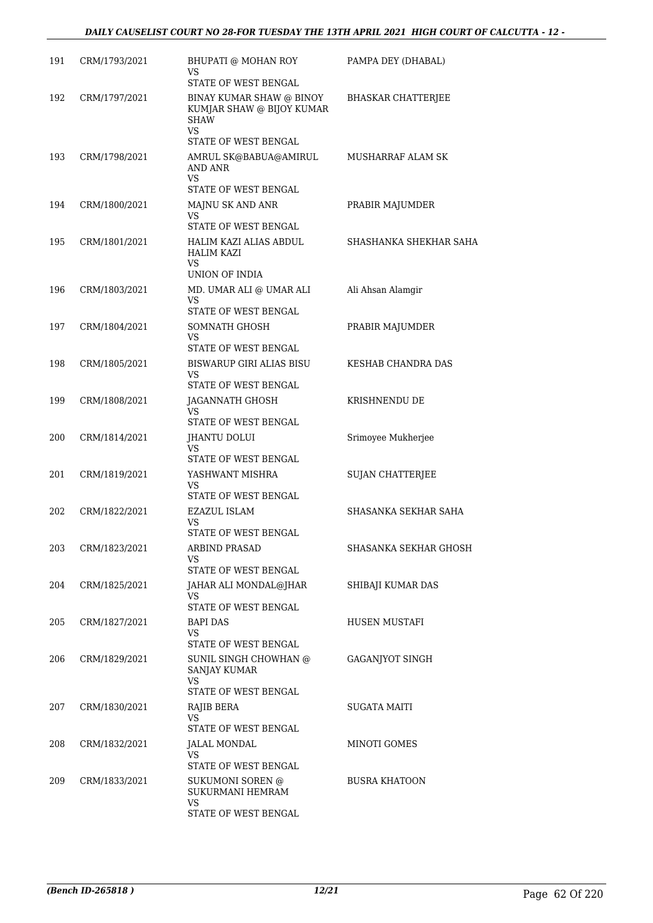| 191 | CRM/1793/2021 | BHUPATI @ MOHAN ROY<br>VS<br>STATE OF WEST BENGAL                          | PAMPA DEY (DHABAL)       |
|-----|---------------|----------------------------------------------------------------------------|--------------------------|
| 192 | CRM/1797/2021 | BINAY KUMAR SHAW @ BINOY<br>KUMJAR SHAW @ BIJOY KUMAR<br><b>SHAW</b>       | BHASKAR CHATTERJEE       |
|     |               | <b>VS</b><br>STATE OF WEST BENGAL                                          |                          |
| 193 | CRM/1798/2021 | AMRUL SK@BABUA@AMIRUL<br>AND ANR<br>VS                                     | <b>MUSHARRAF ALAM SK</b> |
|     |               | STATE OF WEST BENGAL                                                       |                          |
| 194 | CRM/1800/2021 | MAJNU SK AND ANR<br>VS<br>STATE OF WEST BENGAL                             | PRABIR MAJUMDER          |
| 195 | CRM/1801/2021 | HALIM KAZI ALIAS ABDUL<br><b>HALIM KAZI</b><br><b>VS</b><br>UNION OF INDIA | SHASHANKA SHEKHAR SAHA   |
| 196 | CRM/1803/2021 | MD. UMAR ALI @ UMAR ALI<br>VS<br>STATE OF WEST BENGAL                      | Ali Ahsan Alamgir        |
| 197 | CRM/1804/2021 | SOMNATH GHOSH                                                              | PRABIR MAJUMDER          |
|     |               | VS                                                                         |                          |
| 198 | CRM/1805/2021 | STATE OF WEST BENGAL<br><b>BISWARUP GIRI ALIAS BISU</b>                    | KESHAB CHANDRA DAS       |
|     |               | VS<br>STATE OF WEST BENGAL                                                 |                          |
| 199 | CRM/1808/2021 | JAGANNATH GHOSH<br>VS<br>STATE OF WEST BENGAL                              | KRISHNENDU DE            |
| 200 | CRM/1814/2021 | <b>JHANTU DOLUI</b>                                                        | Srimoyee Mukherjee       |
|     |               | VS<br>STATE OF WEST BENGAL                                                 |                          |
| 201 | CRM/1819/2021 | YASHWANT MISHRA<br>VS<br>STATE OF WEST BENGAL                              | <b>SUJAN CHATTERJEE</b>  |
| 202 | CRM/1822/2021 | <b>EZAZUL ISLAM</b><br>VS                                                  | SHASANKA SEKHAR SAHA     |
|     |               | STATE OF WEST BENGAL                                                       |                          |
| 203 | CRM/1823/2021 | <b>ARBIND PRASAD</b><br>VS                                                 | SHASANKA SEKHAR GHOSH    |
|     |               | STATE OF WEST BENGAL                                                       |                          |
| 204 | CRM/1825/2021 | JAHAR ALI MONDAL@JHAR<br>VS<br>STATE OF WEST BENGAL                        | SHIBAJI KUMAR DAS        |
| 205 | CRM/1827/2021 | BAPI DAS                                                                   | HUSEN MUSTAFI            |
|     |               | VS<br>STATE OF WEST BENGAL                                                 |                          |
| 206 | CRM/1829/2021 | SUNIL SINGH CHOWHAN @<br><b>SANJAY KUMAR</b><br>VS.                        | GAGANJYOT SINGH          |
|     |               | STATE OF WEST BENGAL                                                       |                          |
| 207 | CRM/1830/2021 | RAJIB BERA<br>VS                                                           | SUGATA MAITI             |
|     |               | STATE OF WEST BENGAL                                                       |                          |
| 208 | CRM/1832/2021 | JALAL MONDAL<br>VS.                                                        | MINOTI GOMES             |
|     |               | STATE OF WEST BENGAL                                                       |                          |
| 209 | CRM/1833/2021 | SUKUMONI SOREN @<br>SUKURMANI HEMRAM<br><b>VS</b>                          | <b>BUSRA KHATOON</b>     |
|     |               | STATE OF WEST BENGAL                                                       |                          |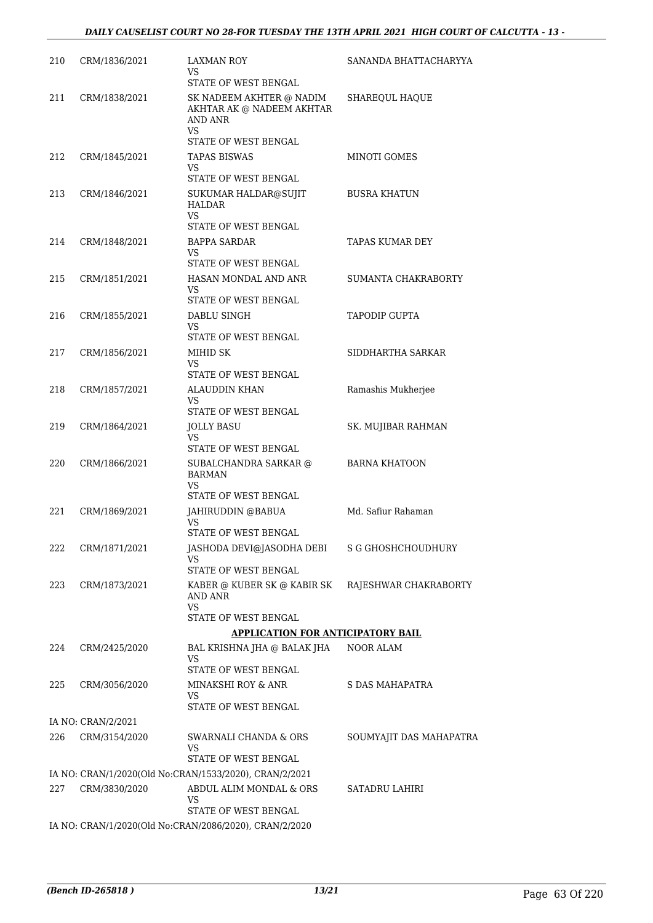| 210 | CRM/1836/2021      | <b>LAXMAN ROY</b><br>VS                                                                         | SANANDA BHATTACHARYYA   |
|-----|--------------------|-------------------------------------------------------------------------------------------------|-------------------------|
| 211 | CRM/1838/2021      | STATE OF WEST BENGAL<br>SK NADEEM AKHTER @ NADIM<br>AKHTAR AK @ NADEEM AKHTAR<br><b>AND ANR</b> | SHAREQUL HAQUE          |
|     |                    | VS<br>STATE OF WEST BENGAL                                                                      |                         |
| 212 | CRM/1845/2021      | TAPAS BISWAS                                                                                    | MINOTI GOMES            |
|     |                    | VS.<br>STATE OF WEST BENGAL                                                                     |                         |
| 213 | CRM/1846/2021      | SUKUMAR HALDAR@SUJIT<br>HALDAR                                                                  | <b>BUSRA KHATUN</b>     |
|     |                    | VS.<br>STATE OF WEST BENGAL                                                                     |                         |
| 214 | CRM/1848/2021      | <b>BAPPA SARDAR</b><br>VS.<br>STATE OF WEST BENGAL                                              | TAPAS KUMAR DEY         |
| 215 | CRM/1851/2021      | HASAN MONDAL AND ANR                                                                            | SUMANTA CHAKRABORTY     |
|     |                    | VS                                                                                              |                         |
|     |                    | STATE OF WEST BENGAL                                                                            |                         |
| 216 | CRM/1855/2021      | DABLU SINGH<br>VS.                                                                              | <b>TAPODIP GUPTA</b>    |
|     |                    | STATE OF WEST BENGAL                                                                            |                         |
| 217 | CRM/1856/2021      | MIHID SK                                                                                        | SIDDHARTHA SARKAR       |
|     |                    | VS<br>STATE OF WEST BENGAL                                                                      |                         |
| 218 | CRM/1857/2021      | <b>ALAUDDIN KHAN</b><br>VS                                                                      | Ramashis Mukherjee      |
|     |                    | STATE OF WEST BENGAL                                                                            |                         |
| 219 | CRM/1864/2021      | JOLLY BASU<br>VS                                                                                | SK. MUJIBAR RAHMAN      |
|     |                    | STATE OF WEST BENGAL                                                                            |                         |
| 220 | CRM/1866/2021      | SUBALCHANDRA SARKAR @<br><b>BARMAN</b><br>VS                                                    | <b>BARNA KHATOON</b>    |
|     |                    | STATE OF WEST BENGAL                                                                            |                         |
| 221 | CRM/1869/2021      | JAHIRUDDIN @BABUA<br>VS                                                                         | Md. Safiur Rahaman      |
|     |                    | STATE OF WEST BENGAL                                                                            |                         |
| 222 | CRM/1871/2021      | JASHODA DEVI@JASODHA DEBI<br>VS                                                                 | S G GHOSHCHOUDHURY      |
| 223 | CRM/1873/2021      | STATE OF WEST BENGAL<br>KABER @ KUBER SK @ KABIR SK                                             | RAJESHWAR CHAKRABORTY   |
|     |                    | AND ANR<br>VS<br>STATE OF WEST BENGAL                                                           |                         |
|     |                    | <b>APPLICATION FOR ANTICIPATORY BAIL</b>                                                        |                         |
| 224 | CRM/2425/2020      | BAL KRISHNA JHA @ BALAK JHA<br>VS                                                               | <b>NOOR ALAM</b>        |
|     |                    | STATE OF WEST BENGAL                                                                            |                         |
| 225 | CRM/3056/2020      | MINAKSHI ROY & ANR<br>VS<br>STATE OF WEST BENGAL                                                | S DAS MAHAPATRA         |
|     | IA NO: CRAN/2/2021 |                                                                                                 |                         |
| 226 | CRM/3154/2020      | SWARNALI CHANDA & ORS                                                                           | SOUMYAJIT DAS MAHAPATRA |
|     |                    | VS.<br>STATE OF WEST BENGAL                                                                     |                         |
|     |                    | IA NO: CRAN/1/2020(Old No:CRAN/1533/2020), CRAN/2/2021                                          |                         |
| 227 | CRM/3830/2020      | ABDUL ALIM MONDAL & ORS<br>VS                                                                   | SATADRU LAHIRI          |
|     |                    | STATE OF WEST BENGAL                                                                            |                         |
|     |                    | IA NO: CRAN/1/2020(Old No:CRAN/2086/2020), CRAN/2/2020                                          |                         |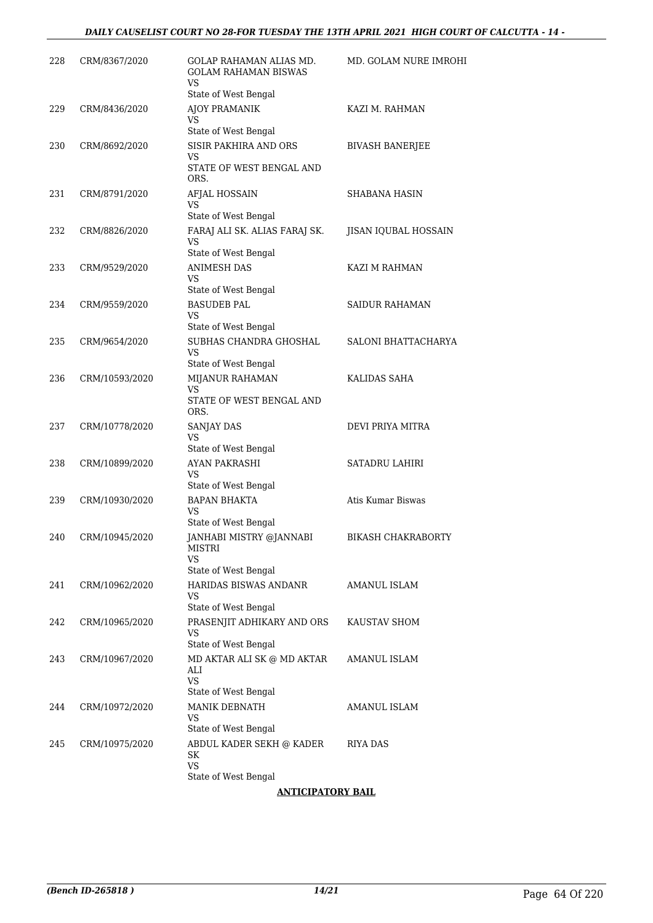| 228 | CRM/8367/2020  | GOLAP RAHAMAN ALIAS MD.                                                | MD. GOLAM NURE IMROHI  |
|-----|----------------|------------------------------------------------------------------------|------------------------|
|     |                | <b>GOLAM RAHAMAN BISWAS</b><br><b>VS</b><br>State of West Bengal       |                        |
| 229 | CRM/8436/2020  | AJOY PRAMANIK<br>VS                                                    | KAZI M. RAHMAN         |
| 230 | CRM/8692/2020  | State of West Bengal<br>SISIR PAKHIRA AND ORS                          | <b>BIVASH BANERJEE</b> |
|     |                | VS<br>STATE OF WEST BENGAL AND<br>ORS.                                 |                        |
| 231 | CRM/8791/2020  | AFJAL HOSSAIN<br>VS                                                    | SHABANA HASIN          |
| 232 | CRM/8826/2020  | State of West Bengal<br>FARAJ ALI SK. ALIAS FARAJ SK.<br>VS            | JISAN IQUBAL HOSSAIN   |
| 233 | CRM/9529/2020  | State of West Bengal<br><b>ANIMESH DAS</b><br><b>VS</b>                | KAZI M RAHMAN          |
| 234 | CRM/9559/2020  | State of West Bengal<br><b>BASUDEB PAL</b><br>VS                       | <b>SAIDUR RAHAMAN</b>  |
| 235 | CRM/9654/2020  | State of West Bengal<br>SUBHAS CHANDRA GHOSHAL<br>VS                   | SALONI BHATTACHARYA    |
| 236 | CRM/10593/2020 | State of West Bengal<br>MIJANUR RAHAMAN<br>VS.                         | KALIDAS SAHA           |
|     |                | STATE OF WEST BENGAL AND<br>ORS.                                       |                        |
| 237 | CRM/10778/2020 | SANJAY DAS<br>VS<br>State of West Bengal                               | DEVI PRIYA MITRA       |
| 238 | CRM/10899/2020 | AYAN PAKRASHI<br><b>VS</b>                                             | <b>SATADRU LAHIRI</b>  |
| 239 | CRM/10930/2020 | State of West Bengal<br><b>BAPAN BHAKTA</b><br>VS                      | Atis Kumar Biswas      |
| 240 | CRM/10945/2020 | State of West Bengal<br>JANHABI MISTRY @JANNABI<br><b>MISTRI</b><br>VS | BIKASH CHAKRABORTY     |
|     |                | State of West Bengal                                                   |                        |
| 241 | CRM/10962/2020 | HARIDAS BISWAS ANDANR<br>VS<br>State of West Bengal                    | AMANUL ISLAM           |
| 242 | CRM/10965/2020 | PRASENJIT ADHIKARY AND ORS<br>VS<br>State of West Bengal               | KAUSTAV SHOM           |
| 243 | CRM/10967/2020 | MD AKTAR ALI SK @ MD AKTAR<br>ALI<br>VS                                | AMANUL ISLAM           |
| 244 | CRM/10972/2020 | State of West Bengal<br>MANIK DEBNATH                                  | AMANUL ISLAM           |
|     |                | VS<br>State of West Bengal                                             |                        |
| 245 | CRM/10975/2020 | ABDUL KADER SEKH @ KADER<br>SK<br>VS<br>State of West Bengal           | RIYA DAS               |
|     |                |                                                                        |                        |

### **ANTICIPATORY BAIL**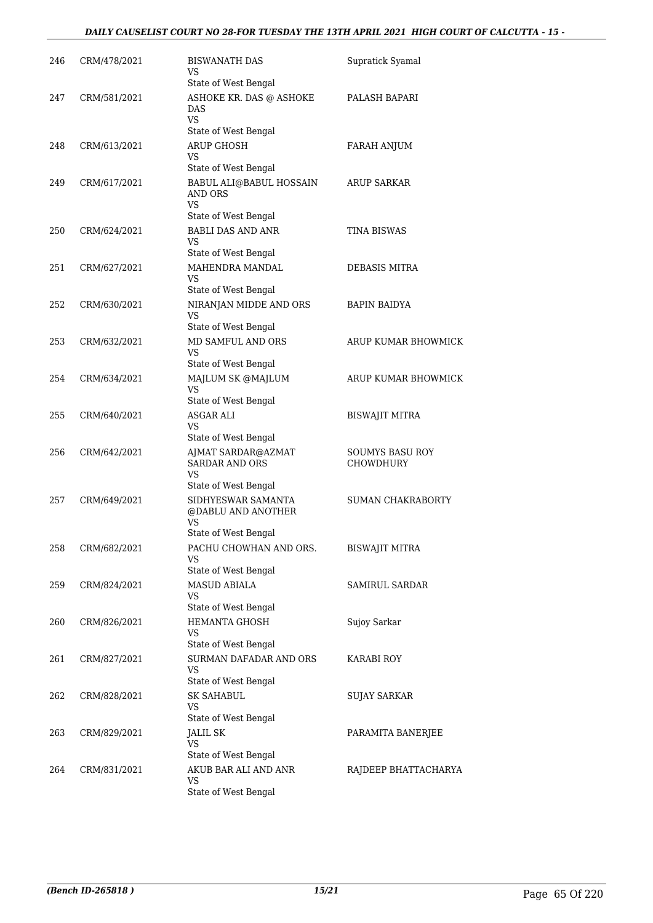### *DAILY CAUSELIST COURT NO 28-FOR TUESDAY THE 13TH APRIL 2021 HIGH COURT OF CALCUTTA - 15 -*

| 246 | CRM/478/2021 | <b>BISWANATH DAS</b><br>VS<br>State of West Bengal                        | Supratick Syamal                    |
|-----|--------------|---------------------------------------------------------------------------|-------------------------------------|
| 247 | CRM/581/2021 | ASHOKE KR. DAS @ ASHOKE<br>DAS<br><b>VS</b>                               | PALASH BAPARI                       |
|     |              | State of West Bengal                                                      |                                     |
| 248 | CRM/613/2021 | ARUP GHOSH<br>VS<br>State of West Bengal                                  | FARAH ANJUM                         |
| 249 | CRM/617/2021 | BABUL ALI@BABUL HOSSAIN<br>AND ORS<br>VS                                  | ARUP SARKAR                         |
| 250 | CRM/624/2021 | State of West Bengal<br><b>BABLI DAS AND ANR</b><br>VS                    | TINA BISWAS                         |
| 251 | CRM/627/2021 | State of West Bengal<br>MAHENDRA MANDAL<br>VS                             | DEBASIS MITRA                       |
| 252 | CRM/630/2021 | State of West Bengal<br>NIRANJAN MIDDE AND ORS<br><b>VS</b>               | <b>BAPIN BAIDYA</b>                 |
| 253 | CRM/632/2021 | State of West Bengal<br>MD SAMFUL AND ORS<br>VS<br>State of West Bengal   | ARUP KUMAR BHOWMICK                 |
| 254 | CRM/634/2021 | MAJLUM SK @MAJLUM<br><b>VS</b>                                            | ARUP KUMAR BHOWMICK                 |
| 255 | CRM/640/2021 | State of West Bengal<br>ASGAR ALI<br>VS<br>State of West Bengal           | BISWAJIT MITRA                      |
| 256 | CRM/642/2021 | AJMAT SARDAR@AZMAT<br><b>SARDAR AND ORS</b><br>VS<br>State of West Bengal | SOUMYS BASU ROY<br><b>CHOWDHURY</b> |
| 257 | CRM/649/2021 | SIDHYESWAR SAMANTA<br>@DABLU AND ANOTHER<br>VS<br>State of West Bengal    | <b>SUMAN CHAKRABORTY</b>            |
| 258 | CRM/682/2021 | PACHU CHOWHAN AND ORS.<br>VS<br>State of West Bengal                      | <b>BISWAJIT MITRA</b>               |
| 259 | CRM/824/2021 | <b>MASUD ABIALA</b><br>VS<br>State of West Bengal                         | <b>SAMIRUL SARDAR</b>               |
| 260 | CRM/826/2021 | <b>HEMANTA GHOSH</b><br>VS<br>State of West Bengal                        | Sujoy Sarkar                        |
| 261 | CRM/827/2021 | SURMAN DAFADAR AND ORS<br>VS<br>State of West Bengal                      | KARABI ROY                          |
| 262 | CRM/828/2021 | <b>SK SAHABUL</b><br>VS<br>State of West Bengal                           | <b>SUJAY SARKAR</b>                 |
| 263 | CRM/829/2021 | JALIL SK<br>VS<br>State of West Bengal                                    | PARAMITA BANERJEE                   |
| 264 | CRM/831/2021 | AKUB BAR ALI AND ANR<br>VS<br>State of West Bengal                        | RAJDEEP BHATTACHARYA                |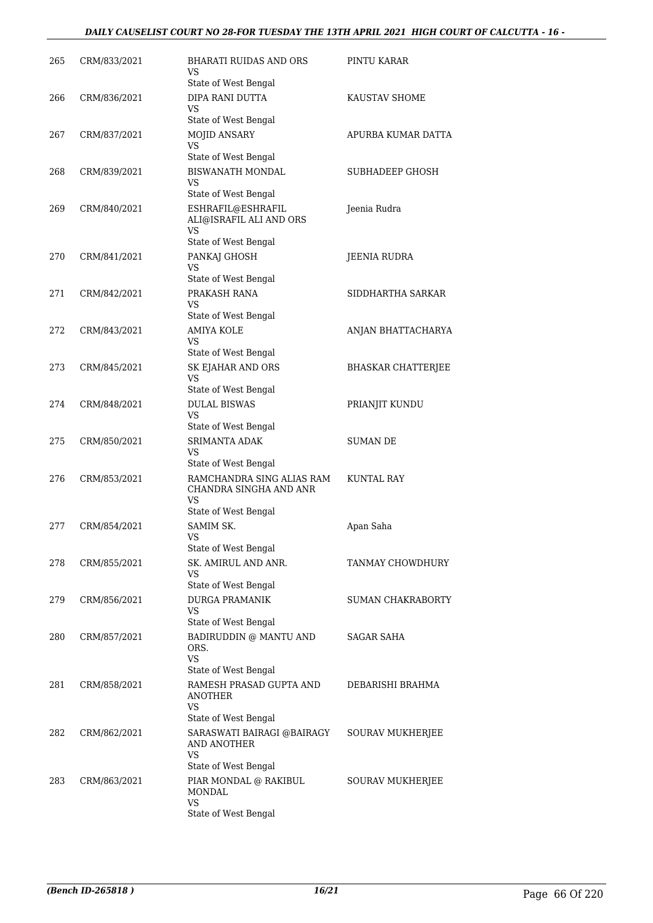### *DAILY CAUSELIST COURT NO 28-FOR TUESDAY THE 13TH APRIL 2021 HIGH COURT OF CALCUTTA - 16 -*

| 265 | CRM/833/2021 | BHARATI RUIDAS AND ORS<br>VS.                                                                | PINTU KARAR               |
|-----|--------------|----------------------------------------------------------------------------------------------|---------------------------|
| 266 | CRM/836/2021 | State of West Bengal<br>DIPA RANI DUTTA<br>VS.                                               | KAUSTAV SHOME             |
| 267 | CRM/837/2021 | State of West Bengal<br>MOJID ANSARY<br><b>VS</b>                                            | APURBA KUMAR DATTA        |
| 268 | CRM/839/2021 | State of West Bengal<br><b>BISWANATH MONDAL</b><br>VS                                        | <b>SUBHADEEP GHOSH</b>    |
| 269 | CRM/840/2021 | State of West Bengal<br>ESHRAFIL@ESHRAFIL<br>ALI@ISRAFIL ALI AND ORS<br>VS                   | Jeenia Rudra              |
| 270 | CRM/841/2021 | State of West Bengal<br>PANKAJ GHOSH<br>VS<br>State of West Bengal                           | JEENIA RUDRA              |
| 271 | CRM/842/2021 | PRAKASH RANA<br>VS                                                                           | SIDDHARTHA SARKAR         |
| 272 | CRM/843/2021 | State of West Bengal<br><b>AMIYA KOLE</b><br>VS                                              | ANJAN BHATTACHARYA        |
| 273 | CRM/845/2021 | State of West Bengal<br>SK EJAHAR AND ORS<br>VS                                              | <b>BHASKAR CHATTERJEE</b> |
| 274 | CRM/848/2021 | State of West Bengal<br><b>DULAL BISWAS</b><br>VS                                            | PRIANJIT KUNDU            |
| 275 | CRM/850/2021 | State of West Bengal<br><b>SRIMANTA ADAK</b><br>VS                                           | SUMAN DE                  |
| 276 | CRM/853/2021 | State of West Bengal<br>RAMCHANDRA SING ALIAS RAM<br>CHANDRA SINGHA AND ANR<br><b>VS</b>     | <b>KUNTAL RAY</b>         |
| 277 | CRM/854/2021 | State of West Bengal<br>SAMIM SK.<br><b>VS</b><br>State of West Bengal                       | Apan Saha                 |
| 278 | CRM/855/2021 | SK. AMIRUL AND ANR.<br>VS<br>State of West Bengal                                            | TANMAY CHOWDHURY          |
| 279 | CRM/856/2021 | <b>DURGA PRAMANIK</b><br>VS<br>State of West Bengal                                          | SUMAN CHAKRABORTY         |
| 280 | CRM/857/2021 | BADIRUDDIN @ MANTU AND<br>ORS.<br><b>VS</b>                                                  | SAGAR SAHA                |
| 281 | CRM/858/2021 | State of West Bengal<br>RAMESH PRASAD GUPTA AND<br>ANOTHER<br><b>VS</b>                      | DEBARISHI BRAHMA          |
| 282 | CRM/862/2021 | State of West Bengal<br>SARASWATI BAIRAGI @BAIRAGY<br>AND ANOTHER<br>VS                      | SOURAV MUKHERJEE          |
| 283 | CRM/863/2021 | State of West Bengal<br>PIAR MONDAL @ RAKIBUL<br>MONDAL<br><b>VS</b><br>State of West Bengal | SOURAV MUKHERJEE          |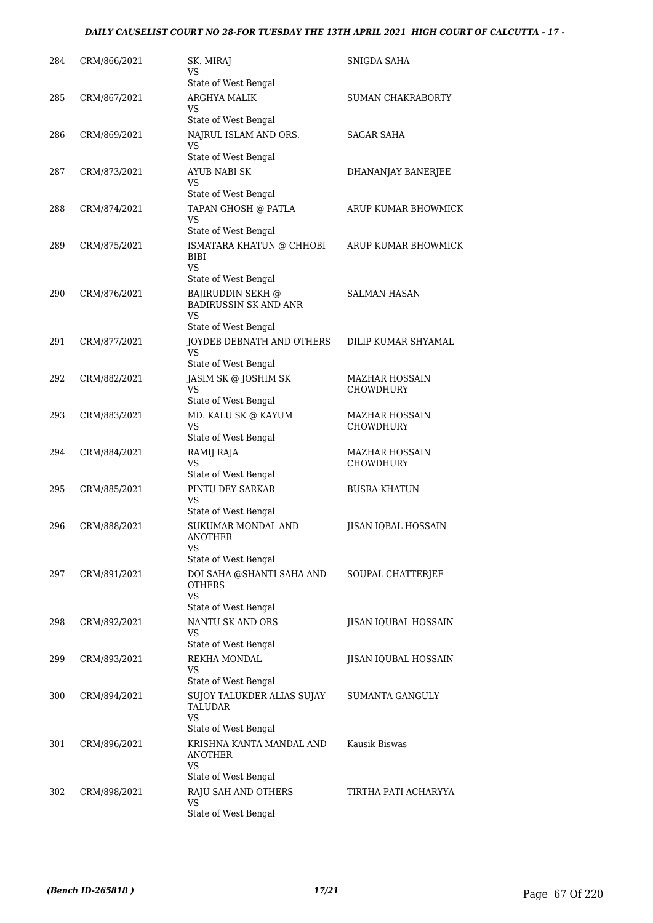### *DAILY CAUSELIST COURT NO 28-FOR TUESDAY THE 13TH APRIL 2021 HIGH COURT OF CALCUTTA - 17 -*

| 284 | CRM/866/2021 | SK. MIRAJ<br>VS<br>State of West Bengal                                                            | SNIGDA SAHA                        |
|-----|--------------|----------------------------------------------------------------------------------------------------|------------------------------------|
| 285 | CRM/867/2021 | ARGHYA MALIK<br>VS                                                                                 | SUMAN CHAKRABORTY                  |
| 286 | CRM/869/2021 | State of West Bengal<br>NAJRUL ISLAM AND ORS.<br>VS                                                | <b>SAGAR SAHA</b>                  |
| 287 | CRM/873/2021 | State of West Bengal<br>AYUB NABI SK<br>VS                                                         | DHANANJAY BANERJEE                 |
| 288 | CRM/874/2021 | State of West Bengal<br>TAPAN GHOSH @ PATLA<br>VS                                                  | ARUP KUMAR BHOWMICK                |
| 289 | CRM/875/2021 | State of West Bengal<br>ISMATARA KHATUN @ CHHOBI<br>BIBI<br>VS                                     | ARUP KUMAR BHOWMICK                |
| 290 | CRM/876/2021 | State of West Bengal<br><b>BAJIRUDDIN SEKH @</b><br><b>BADIRUSSIN SK AND ANR</b><br><b>VS</b>      | <b>SALMAN HASAN</b>                |
| 291 | CRM/877/2021 | State of West Bengal<br>JOYDEB DEBNATH AND OTHERS<br>VS                                            | DILIP KUMAR SHYAMAL                |
| 292 | CRM/882/2021 | State of West Bengal<br>JASIM SK @ JOSHIM SK<br>VS<br>State of West Bengal                         | MAZHAR HOSSAIN<br>CHOWDHURY        |
| 293 | CRM/883/2021 | MD. KALU SK @ KAYUM<br><b>VS</b><br>State of West Bengal                                           | MAZHAR HOSSAIN<br><b>CHOWDHURY</b> |
| 294 | CRM/884/2021 | RAMIJ RAJA<br>VS<br>State of West Bengal                                                           | MAZHAR HOSSAIN<br>CHOWDHURY        |
| 295 | CRM/885/2021 | PINTU DEY SARKAR<br>VS<br>State of West Bengal                                                     | <b>BUSRA KHATUN</b>                |
| 296 | CRM/888/2021 | SUKUMAR MONDAL AND<br>ANOTHER<br><b>VS</b>                                                         | <b>JISAN IQBAL HOSSAIN</b>         |
| 297 | CRM/891/2021 | State of West Bengal<br>DOI SAHA @SHANTI SAHA AND<br><b>OTHERS</b><br><b>VS</b>                    | SOUPAL CHATTERJEE                  |
| 298 | CRM/892/2021 | State of West Bengal<br><b>NANTU SK AND ORS</b><br>VS                                              | JISAN IQUBAL HOSSAIN               |
| 299 | CRM/893/2021 | State of West Bengal<br>REKHA MONDAL<br>VS                                                         | JISAN IQUBAL HOSSAIN               |
| 300 | CRM/894/2021 | State of West Bengal<br>SUJOY TALUKDER ALIAS SUJAY<br>TALUDAR<br><b>VS</b><br>State of West Bengal | SUMANTA GANGULY                    |
| 301 | CRM/896/2021 | KRISHNA KANTA MANDAL AND<br>ANOTHER<br>VS<br>State of West Bengal                                  | Kausik Biswas                      |
| 302 | CRM/898/2021 | RAJU SAH AND OTHERS<br>VS<br>State of West Bengal                                                  | TIRTHA PATI ACHARYYA               |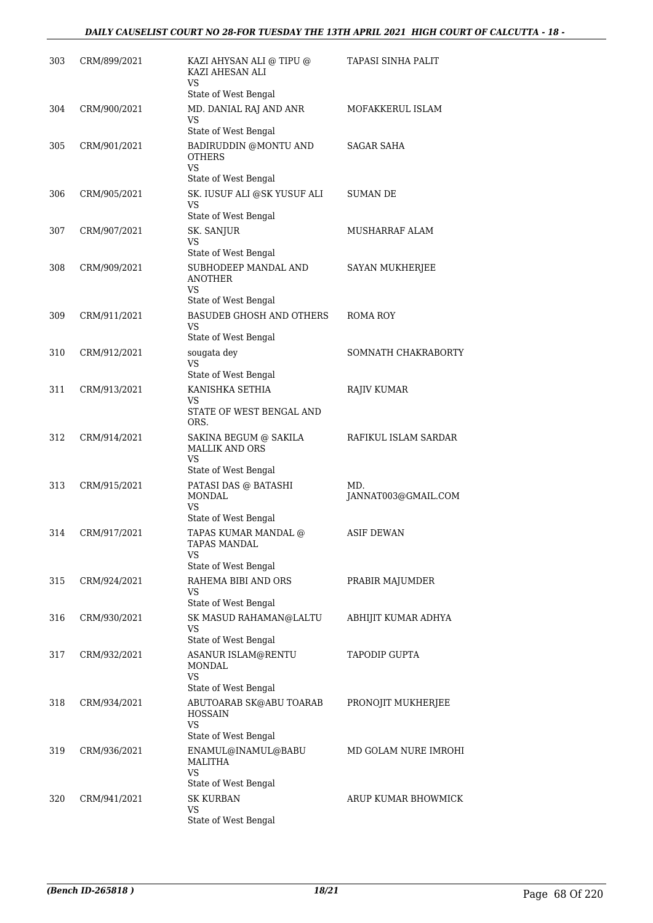| 303 | CRM/899/2021 | KAZI AHYSAN ALI @ TIPU @<br>KAZI AHESAN ALI<br><b>VS</b> | TAPASI SINHA PALIT         |
|-----|--------------|----------------------------------------------------------|----------------------------|
|     |              | State of West Bengal                                     |                            |
| 304 | CRM/900/2021 | MD. DANIAL RAJ AND ANR<br>VS<br>State of West Bengal     | MOFAKKERUL ISLAM           |
| 305 | CRM/901/2021 | BADIRUDDIN @MONTU AND                                    | SAGAR SAHA                 |
|     |              | <b>OTHERS</b><br>VS.<br>State of West Bengal             |                            |
| 306 | CRM/905/2021 | SK. IUSUF ALI @SK YUSUF ALI                              | SUMAN DE                   |
|     |              | <b>VS</b><br>State of West Bengal                        |                            |
| 307 | CRM/907/2021 | SK. SANJUR                                               | MUSHARRAF ALAM             |
|     |              | VS<br>State of West Bengal                               |                            |
| 308 | CRM/909/2021 | SUBHODEEP MANDAL AND<br><b>ANOTHER</b><br>VS             | <b>SAYAN MUKHERJEE</b>     |
|     |              | State of West Bengal                                     |                            |
| 309 | CRM/911/2021 | <b>BASUDEB GHOSH AND OTHERS</b><br>VS                    | ROMA ROY                   |
|     |              | State of West Bengal                                     |                            |
| 310 | CRM/912/2021 | sougata dey<br><b>VS</b><br>State of West Bengal         | SOMNATH CHAKRABORTY        |
| 311 | CRM/913/2021 | KANISHKA SETHIA                                          | <b>RAJIV KUMAR</b>         |
|     |              | VS<br>STATE OF WEST BENGAL AND<br>ORS.                   |                            |
| 312 | CRM/914/2021 | SAKINA BEGUM @ SAKILA<br><b>MALLIK AND ORS</b><br>VS     | RAFIKUL ISLAM SARDAR       |
|     |              | State of West Bengal                                     |                            |
| 313 | CRM/915/2021 | PATASI DAS @ BATASHI<br>MONDAL<br><b>VS</b>              | MD.<br>JANNAT003@GMAIL.COM |
|     |              | State of West Bengal                                     |                            |
| 314 | CRM/917/2021 | TAPAS KUMAR MANDAL @<br>IAPAS MANDAL<br>VS               | <b>ASIF DEWAN</b>          |
|     |              | State of West Bengal                                     |                            |
| 315 | CRM/924/2021 | RAHEMA BIBI AND ORS<br>VS<br>State of West Bengal        | PRABIR MAJUMDER            |
| 316 | CRM/930/2021 | SK MASUD RAHAMAN@LALTU                                   | ABHIJIT KUMAR ADHYA        |
|     |              | VS<br>State of West Bengal                               |                            |
| 317 | CRM/932/2021 | ASANUR ISLAM@RENTU<br><b>MONDAL</b><br>VS                | TAPODIP GUPTA              |
|     |              | State of West Bengal                                     |                            |
| 318 | CRM/934/2021 | ABUTOARAB SK@ABU TOARAB<br><b>HOSSAIN</b><br>VS          | PRONOJIT MUKHERJEE         |
|     |              | State of West Bengal                                     |                            |
| 319 | CRM/936/2021 | ENAMUL@INAMUL@BABU<br>MALITHA<br>VS                      | MD GOLAM NURE IMROHI       |
|     |              | State of West Bengal                                     |                            |
| 320 | CRM/941/2021 | <b>SK KURBAN</b><br>VS<br>State of West Bengal           | ARUP KUMAR BHOWMICK        |
|     |              |                                                          |                            |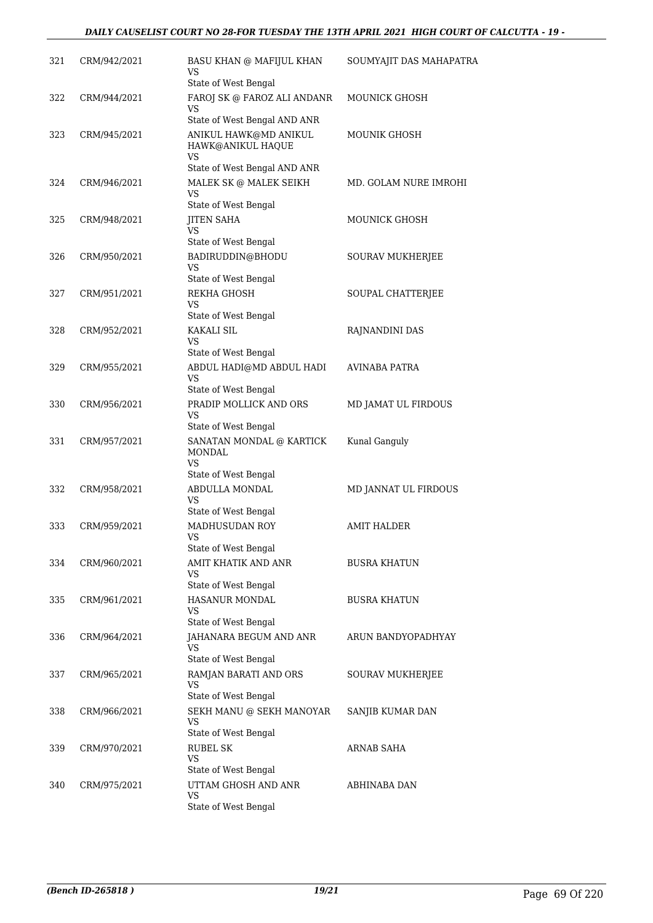| 321 | CRM/942/2021 | <b>BASU KHAN @ MAFIJUL KHAN</b><br>VS                                            | SOUMYAJIT DAS MAHAPATRA |
|-----|--------------|----------------------------------------------------------------------------------|-------------------------|
| 322 | CRM/944/2021 | State of West Bengal<br>FAROJ SK @ FAROZ ALI ANDANR<br>VS                        | MOUNICK GHOSH           |
| 323 | CRM/945/2021 | State of West Bengal AND ANR<br>ANIKUL HAWK@MD ANIKUL<br>HAWK@ANIKUL HAQUE<br>VS | <b>MOUNIK GHOSH</b>     |
| 324 | CRM/946/2021 | State of West Bengal AND ANR<br>MALEK SK @ MALEK SEIKH                           | MD. GOLAM NURE IMROHI   |
|     |              | VS<br>State of West Bengal                                                       |                         |
| 325 | CRM/948/2021 | <b>JITEN SAHA</b><br><b>VS</b><br>State of West Bengal                           | MOUNICK GHOSH           |
| 326 | CRM/950/2021 | BADIRUDDIN@BHODU<br><b>VS</b>                                                    | SOURAV MUKHERJEE        |
| 327 | CRM/951/2021 | State of West Bengal<br>REKHA GHOSH<br><b>VS</b>                                 | SOUPAL CHATTERJEE       |
|     |              | State of West Bengal                                                             |                         |
| 328 | CRM/952/2021 | <b>KAKALI SIL</b><br>VS<br>State of West Bengal                                  | RAJNANDINI DAS          |
| 329 | CRM/955/2021 | ABDUL HADI@MD ABDUL HADI<br>VS                                                   | <b>AVINABA PATRA</b>    |
| 330 | CRM/956/2021 | State of West Bengal<br>PRADIP MOLLICK AND ORS<br>VS                             | MD JAMAT UL FIRDOUS     |
| 331 | CRM/957/2021 | State of West Bengal<br>SANATAN MONDAL @ KARTICK<br>MONDAL<br>VS                 | Kunal Ganguly           |
|     |              | State of West Bengal                                                             |                         |
| 332 | CRM/958/2021 | ABDULLA MONDAL<br><b>VS</b><br>State of West Bengal                              | MD JANNAT UL FIRDOUS    |
| 333 | CRM/959/2021 | MADHUSUDAN ROY<br>VS                                                             | <b>AMIT HALDER</b>      |
| 334 | CRM/960/2021 | State of West Bengal<br>AMIT KHATIK AND ANR<br>VS                                | <b>BUSRA KHATUN</b>     |
| 335 | CRM/961/2021 | State of West Bengal<br>HASANUR MONDAL<br>VS                                     | <b>BUSRA KHATUN</b>     |
| 336 | CRM/964/2021 | State of West Bengal<br>JAHANARA BEGUM AND ANR<br>VS                             | ARUN BANDYOPADHYAY      |
| 337 | CRM/965/2021 | State of West Bengal<br>RAMJAN BARATI AND ORS<br>VS                              | SOURAV MUKHERJEE        |
| 338 | CRM/966/2021 | State of West Bengal<br>SEKH MANU @ SEKH MANOYAR<br>VS                           | SANJIB KUMAR DAN        |
| 339 | CRM/970/2021 | State of West Bengal<br><b>RUBEL SK</b><br>VS                                    | <b>ARNAB SAHA</b>       |
| 340 | CRM/975/2021 | State of West Bengal<br>UTTAM GHOSH AND ANR<br>VS<br>State of West Bengal        | ABHINABA DAN            |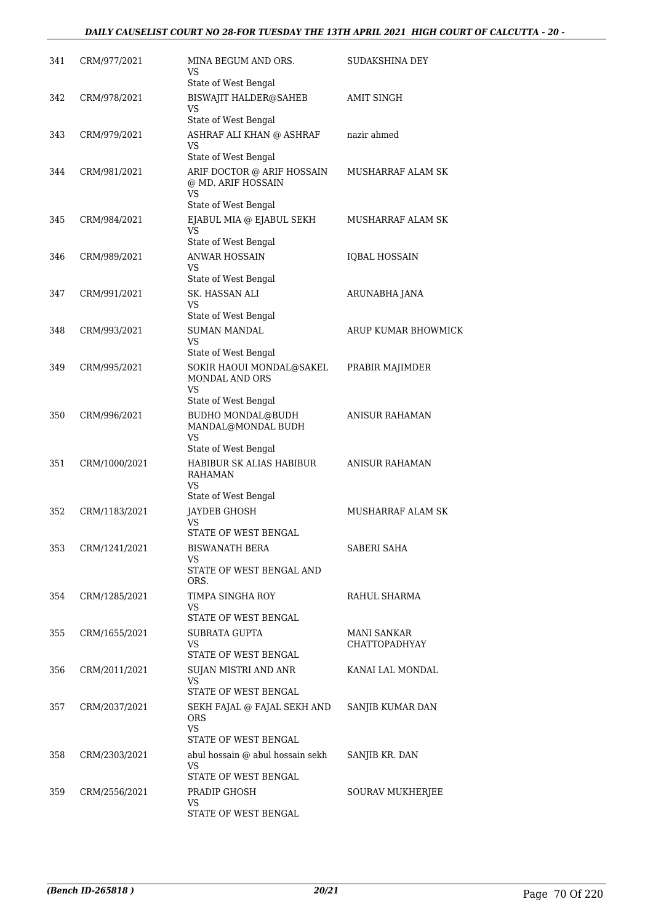| 341 | CRM/977/2021  | MINA BEGUM AND ORS.<br>VS<br>State of West Bengal                              | <b>SUDAKSHINA DEY</b>               |
|-----|---------------|--------------------------------------------------------------------------------|-------------------------------------|
| 342 | CRM/978/2021  | <b>BISWAJIT HALDER@SAHEB</b><br>VS                                             | AMIT SINGH                          |
| 343 | CRM/979/2021  | State of West Bengal<br>ASHRAF ALI KHAN @ ASHRAF<br>VS<br>State of West Bengal | nazir ahmed                         |
| 344 | CRM/981/2021  | ARIF DOCTOR @ ARIF HOSSAIN<br>@ MD. ARIF HOSSAIN<br>VS                         | MUSHARRAF ALAM SK                   |
| 345 | CRM/984/2021  | State of West Bengal<br>EJABUL MIA @ EJABUL SEKH<br>VS<br>State of West Bengal | MUSHARRAF ALAM SK                   |
| 346 | CRM/989/2021  | <b>ANWAR HOSSAIN</b><br>VS<br>State of West Bengal                             | <b>IQBAL HOSSAIN</b>                |
| 347 | CRM/991/2021  | SK. HASSAN ALI<br>VS                                                           | ARUNABHA JANA                       |
| 348 | CRM/993/2021  | State of West Bengal<br><b>SUMAN MANDAL</b><br>VS                              | ARUP KUMAR BHOWMICK                 |
| 349 | CRM/995/2021  | State of West Bengal<br>SOKIR HAOUI MONDAL@SAKEL<br>MONDAL AND ORS<br>VS       | PRABIR MAJIMDER                     |
| 350 | CRM/996/2021  | State of West Bengal<br><b>BUDHO MONDAL@BUDH</b><br>MANDAL@MONDAL BUDH<br>VS   | ANISUR RAHAMAN                      |
| 351 | CRM/1000/2021 | State of West Bengal<br>HABIBUR SK ALIAS HABIBUR<br>RAHAMAN<br>VS              | <b>ANISUR RAHAMAN</b>               |
| 352 | CRM/1183/2021 | State of West Bengal<br><b>JAYDEB GHOSH</b><br>VS<br>STATE OF WEST BENGAL      | MUSHARRAF ALAM SK                   |
| 353 | CRM/1241/2021 | <b>BISWANATH BERA</b><br>VS<br>STATE OF WEST BENGAL AND<br>ORS.                | SABERI SAHA                         |
| 354 | CRM/1285/2021 | TIMPA SINGHA ROY<br>VS<br>STATE OF WEST BENGAL                                 | RAHUL SHARMA                        |
| 355 | CRM/1655/2021 | SUBRATA GUPTA<br>VS<br>STATE OF WEST BENGAL                                    | MANI SANKAR<br><b>CHATTOPADHYAY</b> |
| 356 | CRM/2011/2021 | SUJAN MISTRI AND ANR<br>VS<br>STATE OF WEST BENGAL                             | KANAI LAL MONDAL                    |
| 357 | CRM/2037/2021 | SEKH FAJAL @ FAJAL SEKH AND<br>ORS<br><b>VS</b><br>STATE OF WEST BENGAL        | SANJIB KUMAR DAN                    |
| 358 | CRM/2303/2021 | abul hossain @ abul hossain sekh<br>VS<br>STATE OF WEST BENGAL                 | SANJIB KR. DAN                      |
| 359 | CRM/2556/2021 | PRADIP GHOSH<br>VS<br>STATE OF WEST BENGAL                                     | SOURAV MUKHERJEE                    |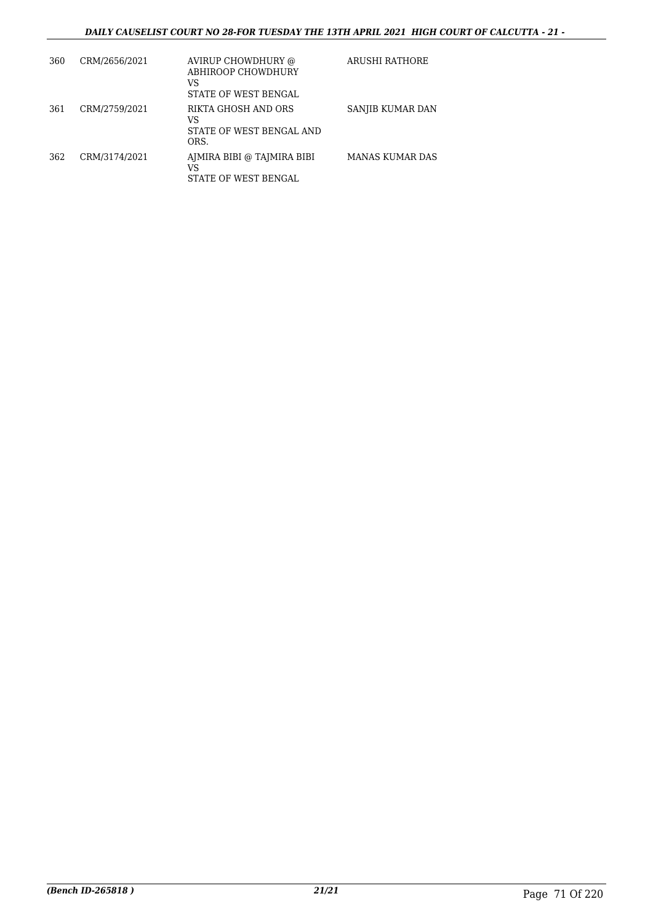| 360 | CRM/2656/2021 | AVIRUP CHOWDHURY @<br>ABHIROOP CHOWDHURY<br>VS<br>STATE OF WEST BENGAL | ARUSHI RATHORE   |
|-----|---------------|------------------------------------------------------------------------|------------------|
| 361 | CRM/2759/2021 | RIKTA GHOSH AND ORS<br>VS<br>STATE OF WEST BENGAL AND<br>ORS.          | SANJIB KUMAR DAN |
| 362 | CRM/3174/2021 | AJMIRA BIBI @ TAJMIRA BIBI<br>VS<br><b>STATE OF WEST BENGAL</b>        | MANAS KUMAR DAS  |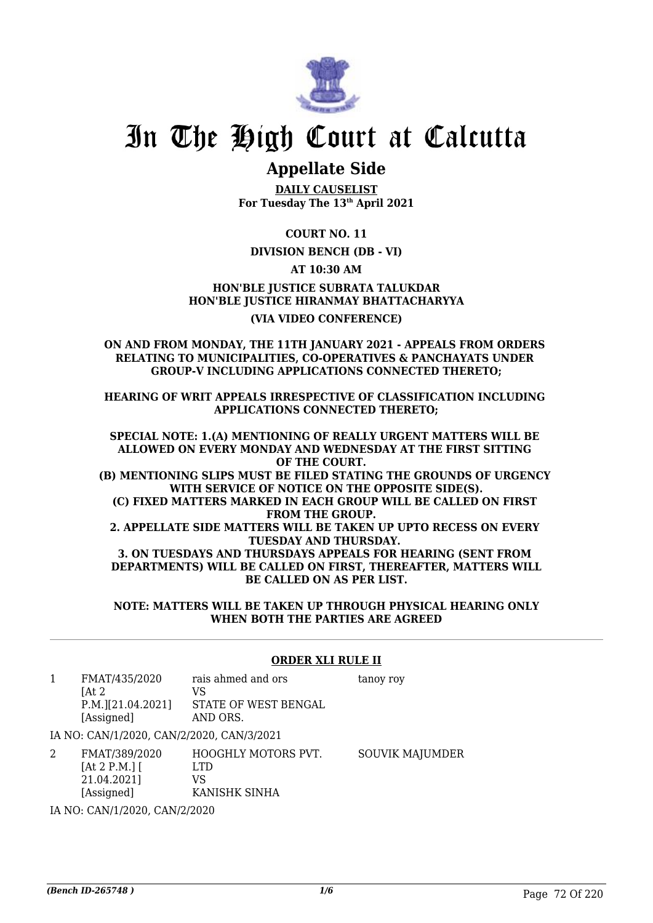

# **Appellate Side**

**DAILY CAUSELIST For Tuesday The 13th April 2021**

**COURT NO. 11**

## **DIVISION BENCH (DB - VI)**

**AT 10:30 AM**

**HON'BLE JUSTICE SUBRATA TALUKDAR HON'BLE JUSTICE HIRANMAY BHATTACHARYYA (VIA VIDEO CONFERENCE)**

#### **ON AND FROM MONDAY, THE 11TH JANUARY 2021 - APPEALS FROM ORDERS RELATING TO MUNICIPALITIES, CO-OPERATIVES & PANCHAYATS UNDER GROUP-V INCLUDING APPLICATIONS CONNECTED THERETO;**

**HEARING OF WRIT APPEALS IRRESPECTIVE OF CLASSIFICATION INCLUDING APPLICATIONS CONNECTED THERETO;**

**SPECIAL NOTE: 1.(A) MENTIONING OF REALLY URGENT MATTERS WILL BE ALLOWED ON EVERY MONDAY AND WEDNESDAY AT THE FIRST SITTING OF THE COURT. (B) MENTIONING SLIPS MUST BE FILED STATING THE GROUNDS OF URGENCY WITH SERVICE OF NOTICE ON THE OPPOSITE SIDE(S). (C) FIXED MATTERS MARKED IN EACH GROUP WILL BE CALLED ON FIRST FROM THE GROUP. 2. APPELLATE SIDE MATTERS WILL BE TAKEN UP UPTO RECESS ON EVERY TUESDAY AND THURSDAY. 3. ON TUESDAYS AND THURSDAYS APPEALS FOR HEARING (SENT FROM DEPARTMENTS) WILL BE CALLED ON FIRST, THEREAFTER, MATTERS WILL BE CALLED ON AS PER LIST.**

**NOTE: MATTERS WILL BE TAKEN UP THROUGH PHYSICAL HEARING ONLY WHEN BOTH THE PARTIES ARE AGREED**

### **ORDER XLI RULE II**

- 1 FMAT/435/2020  $[At 2]$ P.M.][21.04.2021] [Assigned] rais ahmed and ors VS STATE OF WEST BENGAL AND ORS. tanoy roy IA NO: CAN/1/2020, CAN/2/2020, CAN/3/2021 2 FMAT/389/2020 HOOGHLY MOTORS PVT. SOUVIK MAJUMDER
- $[At 2 P.M.]$ 21.04.2021] [Assigned] LTD VS KANISHK SINHA

IA NO: CAN/1/2020, CAN/2/2020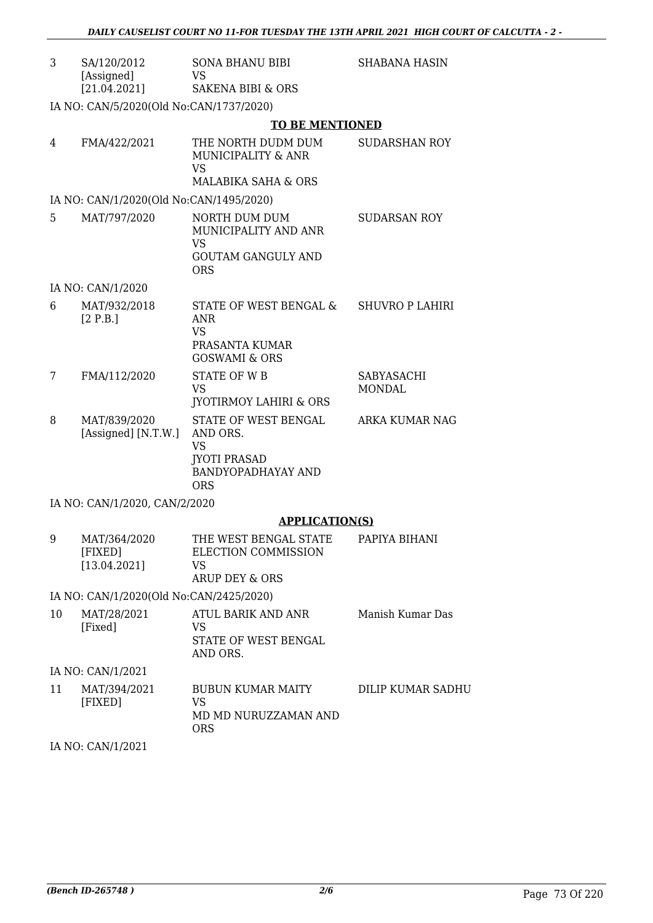| 3  | SA/120/2012<br>[Assigned]<br>[21.04.2021] | SONA BHANU BIBI<br>VS<br><b>SAKENA BIBI &amp; ORS</b>                                                    | SHABANA HASIN               |
|----|-------------------------------------------|----------------------------------------------------------------------------------------------------------|-----------------------------|
|    |                                           |                                                                                                          |                             |
|    | IA NO: CAN/5/2020(Old No:CAN/1737/2020)   |                                                                                                          |                             |
|    |                                           | <b>TO BE MENTIONED</b>                                                                                   |                             |
| 4  | FMA/422/2021                              | THE NORTH DUDM DUM<br>MUNICIPALITY & ANR<br>VS<br><b>MALABIKA SAHA &amp; ORS</b>                         | <b>SUDARSHAN ROY</b>        |
|    | IA NO: CAN/1/2020(Old No:CAN/1495/2020)   |                                                                                                          |                             |
| 5  | MAT/797/2020                              | NORTH DUM DUM<br>MUNICIPALITY AND ANR<br><b>VS</b><br><b>GOUTAM GANGULY AND</b><br><b>ORS</b>            | <b>SUDARSAN ROY</b>         |
|    | IA NO: CAN/1/2020                         |                                                                                                          |                             |
| 6  | MAT/932/2018<br>[2 P.B.]                  | STATE OF WEST BENGAL &<br><b>ANR</b><br><b>VS</b><br>PRASANTA KUMAR<br><b>GOSWAMI &amp; ORS</b>          | SHUVRO P LAHIRI             |
| 7  | FMA/112/2020                              | <b>STATE OF WB</b><br><b>VS</b><br><b>JYOTIRMOY LAHIRI &amp; ORS</b>                                     | SABYASACHI<br><b>MONDAL</b> |
| 8  | MAT/839/2020<br>[Assigned] [N.T.W.]       | STATE OF WEST BENGAL<br>AND ORS.<br><b>VS</b><br><b>JYOTI PRASAD</b><br>BANDYOPADHAYAY AND<br><b>ORS</b> | <b>ARKA KUMAR NAG</b>       |
|    | IA NO: CAN/1/2020, CAN/2/2020             |                                                                                                          |                             |
|    |                                           | <b>APPLICATION(S)</b>                                                                                    |                             |
| 9  | MAT/364/2020<br>[FIXED]<br>[13.04.2021]   | THE WEST BENGAL STATE<br>ELECTION COMMISSION<br><b>VS</b><br><b>ARUP DEY &amp; ORS</b>                   | PAPIYA BIHANI               |
|    | IA NO: CAN/1/2020(Old No:CAN/2425/2020)   |                                                                                                          |                             |
| 10 | MAT/28/2021<br>[Fixed]                    | ATUL BARIK AND ANR<br>VS<br>STATE OF WEST BENGAL                                                         | Manish Kumar Das            |

IA NO: CAN/1/2021

| 11 | MAT/394/2021 | <b>BUBUN KUMAR MAITY</b> | DILIP KUMAR SADHU |
|----|--------------|--------------------------|-------------------|
|    | [FIXED]      | VS.                      |                   |
|    |              | MD MD NURUZZAMAN AND     |                   |
|    |              | ORS                      |                   |

AND ORS.

IA NO: CAN/1/2021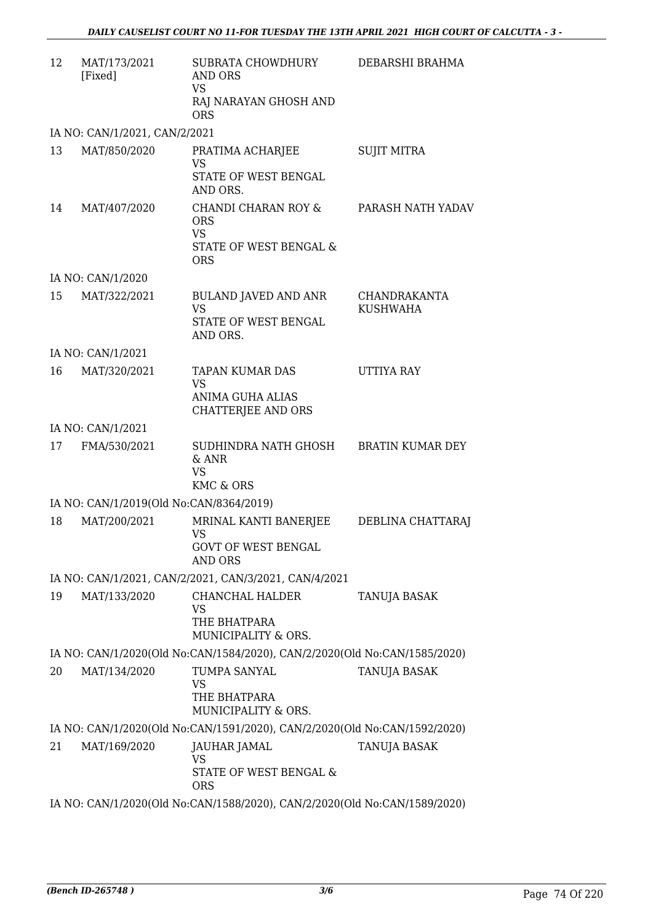| 12 | MAT/173/2021<br>[Fixed]                                                   | SUBRATA CHOWDHURY<br>AND ORS<br><b>VS</b><br>RAJ NARAYAN GHOSH AND<br><b>ORS</b>       | DEBARSHI BRAHMA                        |  |
|----|---------------------------------------------------------------------------|----------------------------------------------------------------------------------------|----------------------------------------|--|
|    | IA NO: CAN/1/2021, CAN/2/2021                                             |                                                                                        |                                        |  |
| 13 | MAT/850/2020                                                              | PRATIMA ACHARJEE<br><b>VS</b><br>STATE OF WEST BENGAL<br>AND ORS.                      | <b>SUJIT MITRA</b>                     |  |
| 14 | MAT/407/2020                                                              | CHANDI CHARAN ROY &<br><b>ORS</b><br><b>VS</b><br>STATE OF WEST BENGAL &<br><b>ORS</b> | PARASH NATH YADAV                      |  |
|    | IA NO: CAN/1/2020                                                         |                                                                                        |                                        |  |
| 15 | MAT/322/2021                                                              | <b>BULAND JAVED AND ANR</b><br><b>VS</b><br>STATE OF WEST BENGAL<br>AND ORS.           | <b>CHANDRAKANTA</b><br><b>KUSHWAHA</b> |  |
|    | IA NO: CAN/1/2021                                                         |                                                                                        |                                        |  |
| 16 | MAT/320/2021                                                              | <b>TAPAN KUMAR DAS</b><br><b>VS</b><br><b>ANIMA GUHA ALIAS</b><br>CHATTERJEE AND ORS   | <b>UTTIYA RAY</b>                      |  |
|    | IA NO: CAN/1/2021                                                         |                                                                                        |                                        |  |
| 17 | FMA/530/2021                                                              | SUDHINDRA NATH GHOSH<br>& ANR<br><b>VS</b><br><b>KMC &amp; ORS</b>                     | <b>BRATIN KUMAR DEY</b>                |  |
|    | IA NO: CAN/1/2019(Old No:CAN/8364/2019)                                   |                                                                                        |                                        |  |
| 18 | MAT/200/2021                                                              | MRINAL KANTI BANERJEE<br><b>VS</b><br><b>GOVT OF WEST BENGAL</b><br><b>AND ORS</b>     | DEBLINA CHATTARAJ                      |  |
|    |                                                                           | IA NO: CAN/1/2021, CAN/2/2021, CAN/3/2021, CAN/4/2021                                  |                                        |  |
| 19 | MAT/133/2020                                                              | CHANCHAL HALDER<br>VS<br>THE BHATPARA<br>MUNICIPALITY & ORS.                           | TANUJA BASAK                           |  |
|    |                                                                           | IA NO: CAN/1/2020(Old No:CAN/1584/2020), CAN/2/2020(Old No:CAN/1585/2020)              |                                        |  |
| 20 | MAT/134/2020                                                              | TUMPA SANYAL<br>VS<br>THE BHATPARA<br>MUNICIPALITY & ORS.                              | TANUJA BASAK                           |  |
|    |                                                                           | IA NO: CAN/1/2020(Old No:CAN/1591/2020), CAN/2/2020(Old No:CAN/1592/2020)              |                                        |  |
| 21 | MAT/169/2020                                                              | JAUHAR JAMAL<br><b>VS</b><br>STATE OF WEST BENGAL &<br><b>ORS</b>                      | TANUJA BASAK                           |  |
|    | IA NO: CAN/1/2020(Old No:CAN/1588/2020), CAN/2/2020(Old No:CAN/1589/2020) |                                                                                        |                                        |  |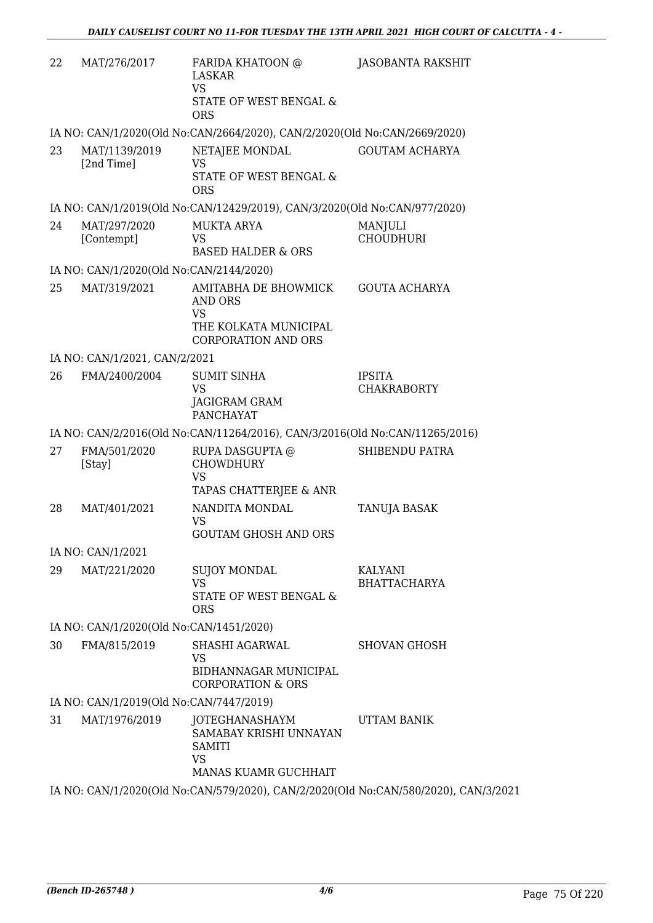| 22 | MAT/276/2017                            | FARIDA KHATOON @<br><b>LASKAR</b><br><b>VS</b><br>STATE OF WEST BENGAL &<br><b>ORS</b>                     | <b>JASOBANTA RAKSHIT</b>            |
|----|-----------------------------------------|------------------------------------------------------------------------------------------------------------|-------------------------------------|
|    |                                         | IA NO: CAN/1/2020(Old No:CAN/2664/2020), CAN/2/2020(Old No:CAN/2669/2020)                                  |                                     |
| 23 | MAT/1139/2019<br>[2nd Time]             | NETAJEE MONDAL<br><b>VS</b><br>STATE OF WEST BENGAL &<br><b>ORS</b>                                        | <b>GOUTAM ACHARYA</b>               |
|    |                                         | IA NO: CAN/1/2019(Old No:CAN/12429/2019), CAN/3/2020(Old No:CAN/977/2020)                                  |                                     |
| 24 | MAT/297/2020<br>[Contempt]              | <b>MUKTA ARYA</b><br>VS<br><b>BASED HALDER &amp; ORS</b>                                                   | <b>MANJULI</b><br><b>CHOUDHURI</b>  |
|    | IA NO: CAN/1/2020(Old No:CAN/2144/2020) |                                                                                                            |                                     |
| 25 | MAT/319/2021                            | AMITABHA DE BHOWMICK<br><b>AND ORS</b><br><b>VS</b><br>THE KOLKATA MUNICIPAL<br><b>CORPORATION AND ORS</b> | <b>GOUTA ACHARYA</b>                |
|    | IA NO: CAN/1/2021, CAN/2/2021           |                                                                                                            |                                     |
| 26 | FMA/2400/2004                           | <b>SUMIT SINHA</b><br><b>VS</b><br>JAGIGRAM GRAM<br><b>PANCHAYAT</b>                                       | <b>IPSITA</b><br><b>CHAKRABORTY</b> |
|    |                                         | IA NO: CAN/2/2016(Old No:CAN/11264/2016), CAN/3/2016(Old No:CAN/11265/2016)                                |                                     |
| 27 | FMA/501/2020<br>[Stay]                  | RUPA DASGUPTA @<br><b>CHOWDHURY</b><br><b>VS</b><br>TAPAS CHATTERJEE & ANR                                 | <b>SHIBENDU PATRA</b>               |
| 28 | MAT/401/2021                            | NANDITA MONDAL<br>VS<br><b>GOUTAM GHOSH AND ORS</b>                                                        | TANUJA BASAK                        |
|    | IA NO: CAN/1/2021                       |                                                                                                            |                                     |
| 29 | MAT/221/2020                            | <b>SUJOY MONDAL</b><br><b>VS</b><br>STATE OF WEST BENGAL &<br><b>ORS</b>                                   | KALYANI<br><b>BHATTACHARYA</b>      |
|    | IA NO: CAN/1/2020(Old No:CAN/1451/2020) |                                                                                                            |                                     |
| 30 | FMA/815/2019                            | SHASHI AGARWAL<br><b>VS</b><br><b>BIDHANNAGAR MUNICIPAL</b>                                                | <b>SHOVAN GHOSH</b>                 |
|    |                                         | <b>CORPORATION &amp; ORS</b>                                                                               |                                     |
|    | IA NO: CAN/1/2019(Old No:CAN/7447/2019) |                                                                                                            |                                     |
| 31 | MAT/1976/2019                           | JOTEGHANASHAYM<br>SAMABAY KRISHI UNNAYAN<br><b>SAMITI</b><br><b>VS</b><br>MANAS KUAMR GUCHHAIT             | <b>UTTAM BANIK</b>                  |
|    |                                         | IA NO: CAN/1/2020(Old No:CAN/579/2020), CAN/2/2020(Old No:CAN/580/2020), CAN/3/2021                        |                                     |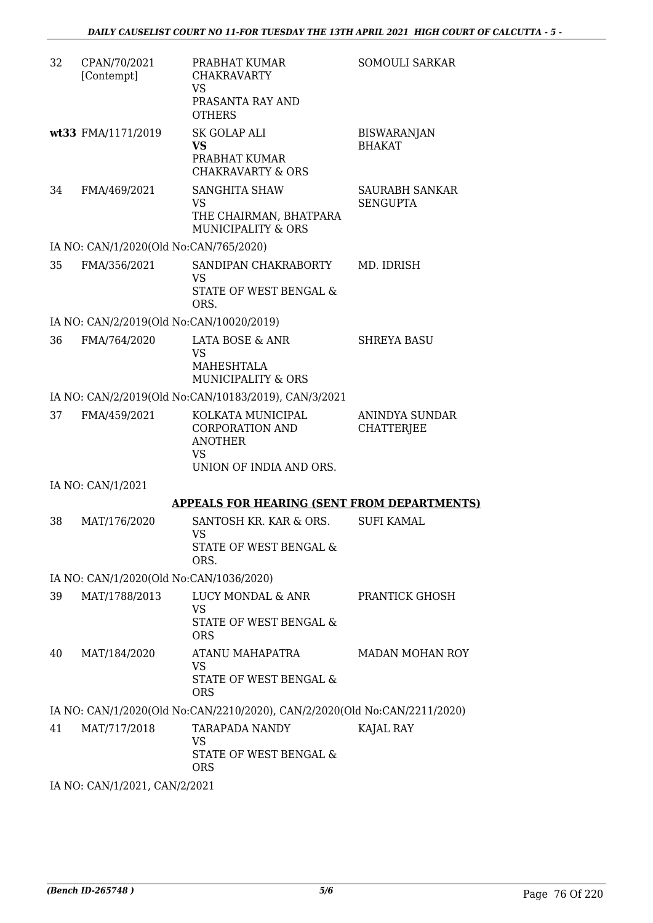| 32 | CPAN/70/2021<br>[Contempt]               | PRABHAT KUMAR<br><b>CHAKRAVARTY</b><br><b>VS</b><br>PRASANTA RAY AND<br><b>OTHERS</b>        | <b>SOMOULI SARKAR</b>               |  |  |
|----|------------------------------------------|----------------------------------------------------------------------------------------------|-------------------------------------|--|--|
|    | wt33 FMA/1171/2019                       | <b>SK GOLAP ALI</b><br><b>VS</b><br>PRABHAT KUMAR<br><b>CHAKRAVARTY &amp; ORS</b>            | <b>BISWARANJAN</b><br><b>BHAKAT</b> |  |  |
| 34 | FMA/469/2021                             | <b>SANGHITA SHAW</b><br><b>VS</b><br>THE CHAIRMAN, BHATPARA<br><b>MUNICIPALITY &amp; ORS</b> | SAURABH SANKAR<br><b>SENGUPTA</b>   |  |  |
|    | IA NO: CAN/1/2020(Old No:CAN/765/2020)   |                                                                                              |                                     |  |  |
| 35 | FMA/356/2021                             | SANDIPAN CHAKRABORTY<br><b>VS</b><br>STATE OF WEST BENGAL &<br>ORS.                          | MD. IDRISH                          |  |  |
|    | IA NO: CAN/2/2019(Old No:CAN/10020/2019) |                                                                                              |                                     |  |  |
| 36 | FMA/764/2020                             | LATA BOSE & ANR<br><b>VS</b><br>MAHESHTALA<br><b>MUNICIPALITY &amp; ORS</b>                  | <b>SHREYA BASU</b>                  |  |  |
|    |                                          | IA NO: CAN/2/2019(Old No:CAN/10183/2019), CAN/3/2021                                         |                                     |  |  |
| 37 | FMA/459/2021                             | KOLKATA MUNICIPAL<br><b>CORPORATION AND</b><br><b>ANOTHER</b><br><b>VS</b>                   | ANINDYA SUNDAR<br><b>CHATTERJEE</b> |  |  |
|    |                                          | UNION OF INDIA AND ORS.                                                                      |                                     |  |  |
|    | IA NO: CAN/1/2021                        |                                                                                              |                                     |  |  |
|    |                                          | <b>APPEALS FOR HEARING (SENT FROM DEPARTMENTS)</b>                                           |                                     |  |  |
| 38 | MAT/176/2020                             | SANTOSH KR. KAR & ORS.<br>VS<br>STATE OF WEST BENGAL &<br>ORS.                               | <b>SUFI KAMAL</b>                   |  |  |
|    | IA NO: CAN/1/2020(Old No:CAN/1036/2020)  |                                                                                              |                                     |  |  |
| 39 | MAT/1788/2013                            | LUCY MONDAL & ANR<br><b>VS</b><br>STATE OF WEST BENGAL &<br><b>ORS</b>                       | PRANTICK GHOSH                      |  |  |
| 40 | MAT/184/2020                             | ATANU MAHAPATRA<br><b>VS</b><br>STATE OF WEST BENGAL &<br><b>ORS</b>                         | MADAN MOHAN ROY                     |  |  |
|    |                                          | IA NO: CAN/1/2020(Old No:CAN/2210/2020), CAN/2/2020(Old No:CAN/2211/2020)                    |                                     |  |  |
| 41 | MAT/717/2018                             | TARAPADA NANDY<br>VS<br>STATE OF WEST BENGAL &<br><b>ORS</b>                                 | KAJAL RAY                           |  |  |
|    | IA NO: CAN/1/2021, CAN/2/2021            |                                                                                              |                                     |  |  |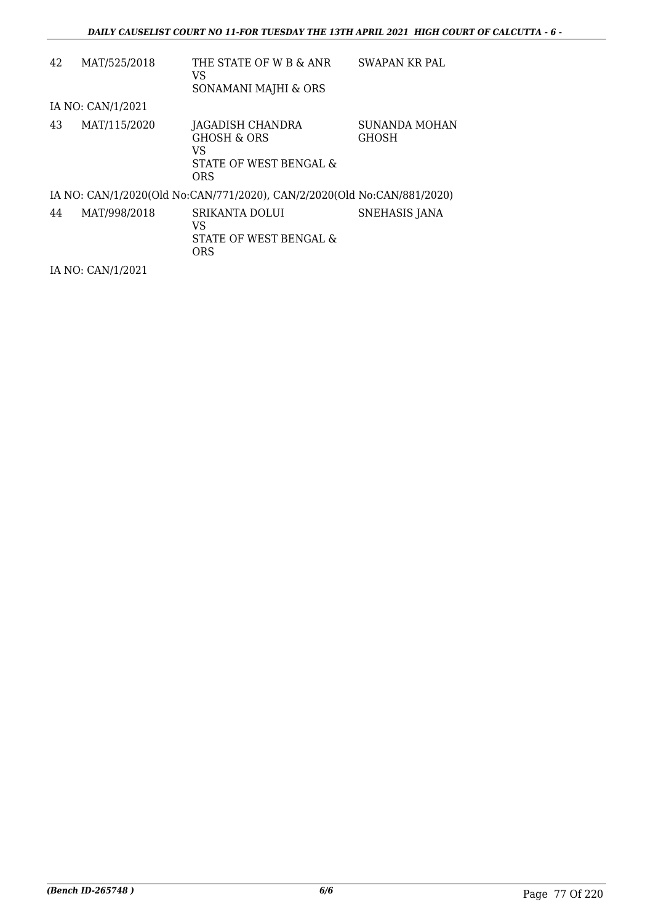| 42 | MAT/525/2018      | THE STATE OF W B & ANR<br>VS<br>SONAMANI MAJHI & ORS                                      | SWAPAN KR PAL                 |
|----|-------------------|-------------------------------------------------------------------------------------------|-------------------------------|
|    | IA NO: CAN/1/2021 |                                                                                           |                               |
| 43 | MAT/115/2020      | JAGADISH CHANDRA<br><b>GHOSH &amp; ORS</b><br>VS.<br>STATE OF WEST BENGAL &<br><b>ORS</b> | SUNANDA MOHAN<br><b>GHOSH</b> |
|    |                   | IA NO: CAN/1/2020(Old No:CAN/771/2020), CAN/2/2020(Old No:CAN/881/2020)                   |                               |
| 44 | MAT/998/2018      | <b>SRIKANTA DOLUI</b><br>VS.<br>STATE OF WEST BENGAL &<br><b>ORS</b>                      | <b>SNEHASIS JANA</b>          |

IA NO: CAN/1/2021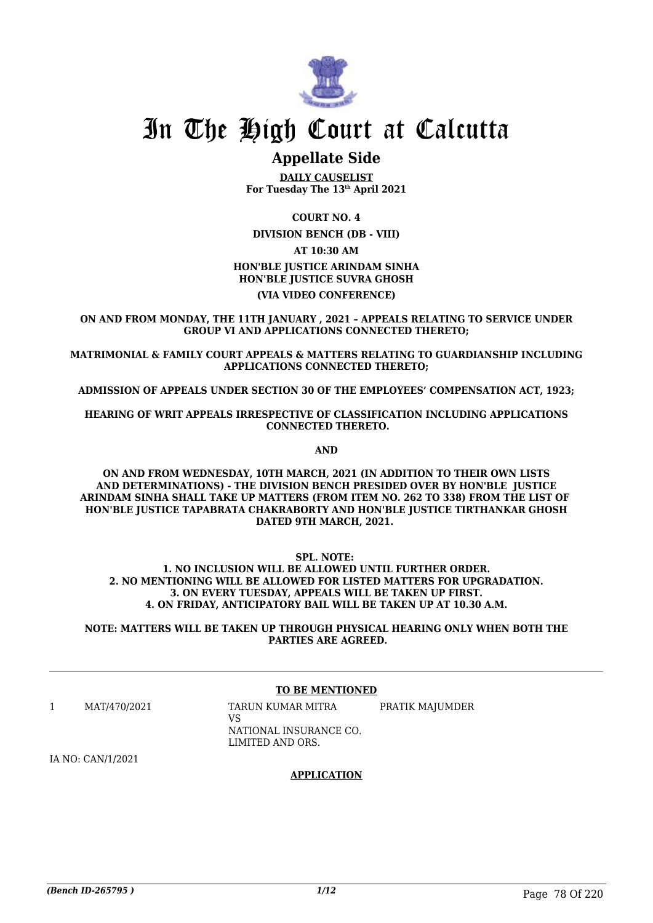

## **Appellate Side**

**DAILY CAUSELIST For Tuesday The 13th April 2021**

**COURT NO. 4 DIVISION BENCH (DB - VIII) AT 10:30 AM HON'BLE JUSTICE ARINDAM SINHA HON'BLE JUSTICE SUVRA GHOSH (VIA VIDEO CONFERENCE)**

**ON AND FROM MONDAY, THE 11TH JANUARY , 2021 – APPEALS RELATING TO SERVICE UNDER GROUP VI AND APPLICATIONS CONNECTED THERETO;**

**MATRIMONIAL & FAMILY COURT APPEALS & MATTERS RELATING TO GUARDIANSHIP INCLUDING APPLICATIONS CONNECTED THERETO;**

**ADMISSION OF APPEALS UNDER SECTION 30 OF THE EMPLOYEES' COMPENSATION ACT, 1923;**

**HEARING OF WRIT APPEALS IRRESPECTIVE OF CLASSIFICATION INCLUDING APPLICATIONS CONNECTED THERETO.**

**AND**

**ON AND FROM WEDNESDAY, 10TH MARCH, 2021 (IN ADDITION TO THEIR OWN LISTS AND DETERMINATIONS) - THE DIVISION BENCH PRESIDED OVER BY HON'BLE JUSTICE ARINDAM SINHA SHALL TAKE UP MATTERS (FROM ITEM NO. 262 TO 338) FROM THE LIST OF HON'BLE JUSTICE TAPABRATA CHAKRABORTY AND HON'BLE JUSTICE TIRTHANKAR GHOSH DATED 9TH MARCH, 2021.** 

**SPL. NOTE:** 

**1. NO INCLUSION WILL BE ALLOWED UNTIL FURTHER ORDER. 2. NO MENTIONING WILL BE ALLOWED FOR LISTED MATTERS FOR UPGRADATION. 3. ON EVERY TUESDAY, APPEALS WILL BE TAKEN UP FIRST. 4. ON FRIDAY, ANTICIPATORY BAIL WILL BE TAKEN UP AT 10.30 A.M.**

**NOTE: MATTERS WILL BE TAKEN UP THROUGH PHYSICAL HEARING ONLY WHEN BOTH THE PARTIES ARE AGREED.**

### **TO BE MENTIONED**

1 MAT/470/2021 TARUN KUMAR MITRA  $V<sup>Q</sup>$ NATIONAL INSURANCE CO. LIMITED AND ORS. PRATIK MAJUMDER

IA NO: CAN/1/2021

### **APPLICATION**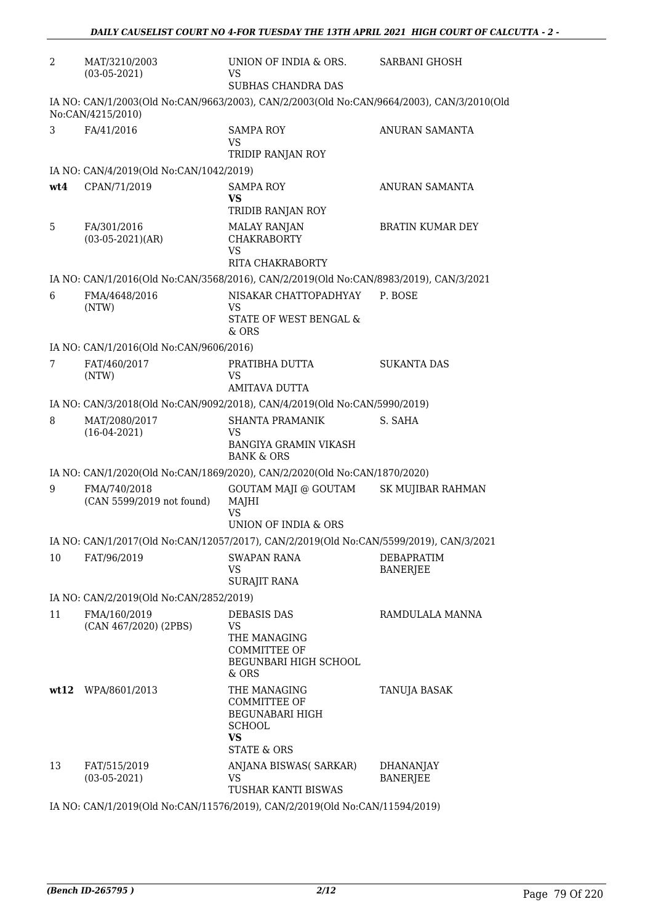| $\overline{2}$ | MAT/3210/2003<br>$(03-05-2021)$                                             | UNION OF INDIA & ORS.<br>VS.<br>SUBHAS CHANDRA DAS                                                      | <b>SARBANI GHOSH</b>                |  |
|----------------|-----------------------------------------------------------------------------|---------------------------------------------------------------------------------------------------------|-------------------------------------|--|
|                | No:CAN/4215/2010)                                                           | IA NO: CAN/1/2003(Old No:CAN/9663/2003), CAN/2/2003(Old No:CAN/9664/2003), CAN/3/2010(Old               |                                     |  |
| 3              | FA/41/2016                                                                  | <b>SAMPA ROY</b><br>VS<br>TRIDIP RANJAN ROY                                                             | ANURAN SAMANTA                      |  |
|                | IA NO: CAN/4/2019(Old No:CAN/1042/2019)                                     |                                                                                                         |                                     |  |
| wt4            | CPAN/71/2019                                                                | <b>SAMPA ROY</b><br><b>VS</b><br>TRIDIB RANJAN ROY                                                      | <b>ANURAN SAMANTA</b>               |  |
| 5              | FA/301/2016<br>$(03-05-2021)(AR)$                                           | <b>MALAY RANJAN</b><br><b>CHAKRABORTY</b><br><b>VS</b><br><b>RITA CHAKRABORTY</b>                       | <b>BRATIN KUMAR DEY</b>             |  |
|                |                                                                             | IA NO: CAN/1/2016(Old No:CAN/3568/2016), CAN/2/2019(Old No:CAN/8983/2019), CAN/3/2021                   |                                     |  |
| 6              | FMA/4648/2016                                                               | NISAKAR CHATTOPADHYAY                                                                                   | P. BOSE                             |  |
|                | (NTW)                                                                       | <b>VS</b><br>STATE OF WEST BENGAL $\&$<br>$&$ ORS                                                       |                                     |  |
|                | IA NO: CAN/1/2016(Old No:CAN/9606/2016)                                     |                                                                                                         |                                     |  |
| 7              | FAT/460/2017<br>(NTW)                                                       | PRATIBHA DUTTA<br>VS.<br><b>AMITAVA DUTTA</b>                                                           | <b>SUKANTA DAS</b>                  |  |
|                |                                                                             | IA NO: CAN/3/2018(Old No:CAN/9092/2018), CAN/4/2019(Old No:CAN/5990/2019)                               |                                     |  |
| 8              | MAT/2080/2017<br>$(16-04-2021)$                                             | <b>SHANTA PRAMANIK</b><br><b>VS</b>                                                                     | S. SAHA                             |  |
|                |                                                                             | <b>BANGIYA GRAMIN VIKASH</b><br><b>BANK &amp; ORS</b>                                                   |                                     |  |
|                |                                                                             | IA NO: CAN/1/2020(Old No:CAN/1869/2020), CAN/2/2020(Old No:CAN/1870/2020)                               |                                     |  |
| 9              | FMA/740/2018<br>(CAN 5599/2019 not found)                                   | GOUTAM MAJI @ GOUTAM<br>MAJHI<br><b>VS</b>                                                              | <b>SK MUJIBAR RAHMAN</b>            |  |
|                |                                                                             | UNION OF INDIA & ORS                                                                                    |                                     |  |
|                |                                                                             | IA NO: CAN/1/2017(Old No:CAN/12057/2017), CAN/2/2019(Old No:CAN/5599/2019), CAN/3/2021                  |                                     |  |
| 10             | FAT/96/2019                                                                 | SWAPAN RANA<br>VS.<br><b>SURAJIT RANA</b>                                                               | DEBAPRATIM<br><b>BANERJEE</b>       |  |
|                | IA NO: CAN/2/2019(Old No:CAN/2852/2019)                                     |                                                                                                         |                                     |  |
| 11             | FMA/160/2019<br>(CAN 467/2020) (2PBS)                                       | <b>DEBASIS DAS</b><br><b>VS</b><br>THE MANAGING<br>COMMITTEE OF<br>BEGUNBARI HIGH SCHOOL<br>$&$ ORS     | RAMDULALA MANNA                     |  |
|                | wt12 WPA/8601/2013                                                          | THE MANAGING<br>COMMITTEE OF<br>BEGUNABARI HIGH<br><b>SCHOOL</b><br><b>VS</b><br><b>STATE &amp; ORS</b> | TANUJA BASAK                        |  |
| 13             | FAT/515/2019<br>$(03-05-2021)$                                              | ANJANA BISWAS(SARKAR)<br><b>VS</b><br><b>TUSHAR KANTI BISWAS</b>                                        | <b>DHANANJAY</b><br><b>BANERJEE</b> |  |
|                | IA NO: CAN/1/2019(Old No:CAN/11576/2019), CAN/2/2019(Old No:CAN/11594/2019) |                                                                                                         |                                     |  |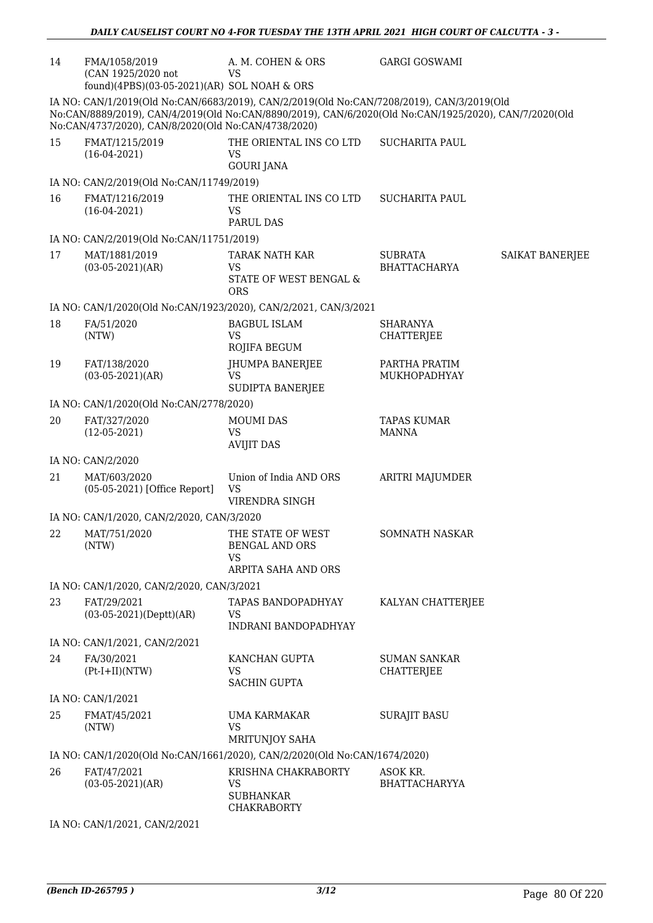| 14 | FMA/1058/2019<br>(CAN 1925/2020 not<br>found)(4PBS)(03-05-2021)(AR) SOL NOAH & ORS                                                                                                                                                                        | A. M. COHEN & ORS<br><b>VS</b>                                             | <b>GARGI GOSWAMI</b>                     |                 |  |
|----|-----------------------------------------------------------------------------------------------------------------------------------------------------------------------------------------------------------------------------------------------------------|----------------------------------------------------------------------------|------------------------------------------|-----------------|--|
|    | IA NO: CAN/1/2019(Old No:CAN/6683/2019), CAN/2/2019(Old No:CAN/7208/2019), CAN/3/2019(Old<br>No:CAN/8889/2019), CAN/4/2019(Old No:CAN/8890/2019), CAN/6/2020(Old No:CAN/1925/2020), CAN/7/2020(Old<br>No:CAN/4737/2020), CAN/8/2020(Old No:CAN/4738/2020) |                                                                            |                                          |                 |  |
| 15 | FMAT/1215/2019<br>$(16-04-2021)$                                                                                                                                                                                                                          | THE ORIENTAL INS CO LTD<br>VS<br><b>GOURI JANA</b>                         | <b>SUCHARITA PAUL</b>                    |                 |  |
|    | IA NO: CAN/2/2019(Old No:CAN/11749/2019)                                                                                                                                                                                                                  |                                                                            |                                          |                 |  |
| 16 | FMAT/1216/2019<br>$(16-04-2021)$                                                                                                                                                                                                                          | THE ORIENTAL INS CO LTD<br><b>VS</b><br><b>PARUL DAS</b>                   | <b>SUCHARITA PAUL</b>                    |                 |  |
|    | IA NO: CAN/2/2019(Old No:CAN/11751/2019)                                                                                                                                                                                                                  |                                                                            |                                          |                 |  |
| 17 | MAT/1881/2019<br>$(03-05-2021)(AR)$                                                                                                                                                                                                                       | <b>TARAK NATH KAR</b><br><b>VS</b><br>STATE OF WEST BENGAL &<br><b>ORS</b> | <b>SUBRATA</b><br><b>BHATTACHARYA</b>    | SAIKAT BANERJEE |  |
|    |                                                                                                                                                                                                                                                           | IA NO: CAN/1/2020(Old No:CAN/1923/2020), CAN/2/2021, CAN/3/2021            |                                          |                 |  |
| 18 | FA/51/2020<br>(NTW)                                                                                                                                                                                                                                       | <b>BAGBUL ISLAM</b><br><b>VS</b><br>ROJIFA BEGUM                           | <b>SHARANYA</b><br><b>CHATTERJEE</b>     |                 |  |
| 19 | FAT/138/2020<br>$(03-05-2021)(AR)$                                                                                                                                                                                                                        | JHUMPA BANERJEE<br><b>VS</b><br><b>SUDIPTA BANERJEE</b>                    | PARTHA PRATIM<br>MUKHOPADHYAY            |                 |  |
|    | IA NO: CAN/1/2020(Old No:CAN/2778/2020)                                                                                                                                                                                                                   |                                                                            |                                          |                 |  |
| 20 | FAT/327/2020<br>$(12-05-2021)$                                                                                                                                                                                                                            | <b>MOUMI DAS</b><br><b>VS</b><br><b>AVIJIT DAS</b>                         | <b>TAPAS KUMAR</b><br><b>MANNA</b>       |                 |  |
|    | IA NO: CAN/2/2020                                                                                                                                                                                                                                         |                                                                            |                                          |                 |  |
| 21 | MAT/603/2020<br>(05-05-2021) [Office Report]                                                                                                                                                                                                              | Union of India AND ORS<br><b>VS</b><br>VIRENDRA SINGH                      | ARITRI MAJUMDER                          |                 |  |
|    | IA NO: CAN/1/2020, CAN/2/2020, CAN/3/2020                                                                                                                                                                                                                 |                                                                            |                                          |                 |  |
| 22 | MAT/751/2020<br>(NTW)                                                                                                                                                                                                                                     | THE STATE OF WEST<br><b>BENGAL AND ORS</b><br><b>VS</b>                    | <b>SOMNATH NASKAR</b>                    |                 |  |
|    |                                                                                                                                                                                                                                                           | ARPITA SAHA AND ORS                                                        |                                          |                 |  |
|    | IA NO: CAN/1/2020, CAN/2/2020, CAN/3/2021                                                                                                                                                                                                                 |                                                                            |                                          |                 |  |
| 23 | FAT/29/2021<br>$(03-05-2021)(Depth)(AR)$                                                                                                                                                                                                                  | TAPAS BANDOPADHYAY<br><b>VS</b><br><b>INDRANI BANDOPADHYAY</b>             | KALYAN CHATTERJEE                        |                 |  |
|    | IA NO: CAN/1/2021, CAN/2/2021                                                                                                                                                                                                                             |                                                                            |                                          |                 |  |
| 24 | FA/30/2021<br>$(Pt-I+II)(NTW)$                                                                                                                                                                                                                            | KANCHAN GUPTA<br><b>VS</b><br><b>SACHIN GUPTA</b>                          | <b>SUMAN SANKAR</b><br><b>CHATTERJEE</b> |                 |  |
|    | IA NO: CAN/1/2021                                                                                                                                                                                                                                         |                                                                            |                                          |                 |  |
| 25 | FMAT/45/2021<br>(NTW)                                                                                                                                                                                                                                     | UMA KARMAKAR<br>VS<br><b>MRITUNJOY SAHA</b>                                | <b>SURAJIT BASU</b>                      |                 |  |
|    |                                                                                                                                                                                                                                                           | IA NO: CAN/1/2020(Old No:CAN/1661/2020), CAN/2/2020(Old No:CAN/1674/2020)  |                                          |                 |  |
| 26 | FAT/47/2021<br>$(03-05-2021)(AR)$                                                                                                                                                                                                                         | KRISHNA CHAKRABORTY<br><b>VS</b><br><b>SUBHANKAR</b>                       | ASOK KR.<br><b>BHATTACHARYYA</b>         |                 |  |
|    |                                                                                                                                                                                                                                                           | <b>CHAKRABORTY</b>                                                         |                                          |                 |  |
|    | IA NO: CAN/1/2021, CAN/2/2021                                                                                                                                                                                                                             |                                                                            |                                          |                 |  |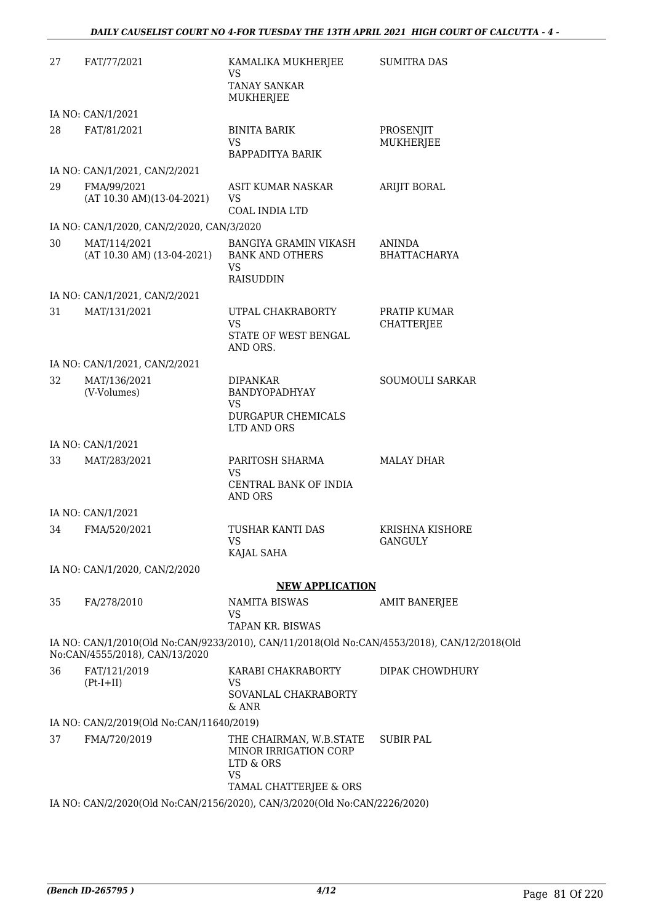| 27 | FAT/77/2021                                | KAMALIKA MUKHERJEE<br>VS                                                                            | <b>SUMITRA DAS</b>                |
|----|--------------------------------------------|-----------------------------------------------------------------------------------------------------|-----------------------------------|
|    |                                            | <b>TANAY SANKAR</b><br>MUKHERJEE                                                                    |                                   |
|    | IA NO: CAN/1/2021                          |                                                                                                     |                                   |
| 28 | FAT/81/2021                                | <b>BINITA BARIK</b><br>VS.<br>BAPPADITYA BARIK                                                      | PROSENJIT<br><b>MUKHERJEE</b>     |
|    | IA NO: CAN/1/2021, CAN/2/2021              |                                                                                                     |                                   |
| 29 | FMA/99/2021<br>(AT 10.30 AM)(13-04-2021)   | ASIT KUMAR NASKAR<br>VS<br><b>COAL INDIA LTD</b>                                                    | ARIJIT BORAL                      |
|    | IA NO: CAN/1/2020, CAN/2/2020, CAN/3/2020  |                                                                                                     |                                   |
| 30 | MAT/114/2021<br>(AT 10.30 AM) (13-04-2021) | BANGIYA GRAMIN VIKASH<br><b>BANK AND OTHERS</b><br>VS.<br><b>RAISUDDIN</b>                          | ANINDA<br><b>BHATTACHARYA</b>     |
|    | IA NO: CAN/1/2021, CAN/2/2021              |                                                                                                     |                                   |
| 31 | MAT/131/2021                               | UTPAL CHAKRABORTY<br>VS<br>STATE OF WEST BENGAL<br>AND ORS.                                         | PRATIP KUMAR<br><b>CHATTERJEE</b> |
|    | IA NO: CAN/1/2021, CAN/2/2021              |                                                                                                     |                                   |
| 32 | MAT/136/2021<br>(V-Volumes)                | DIPANKAR<br>BANDYOPADHYAY<br><b>VS</b><br>DURGAPUR CHEMICALS<br>LTD AND ORS                         | SOUMOULI SARKAR                   |
|    | IA NO: CAN/1/2021                          |                                                                                                     |                                   |
| 33 | MAT/283/2021                               | PARITOSH SHARMA<br>VS<br>CENTRAL BANK OF INDIA<br>AND ORS                                           | <b>MALAY DHAR</b>                 |
|    | IA NO: CAN/1/2021                          |                                                                                                     |                                   |
| 34 | FMA/520/2021                               | <b>TUSHAR KANTI DAS</b><br>VS.<br>KAJAL SAHA                                                        | <b>KRISHNA KISHORE</b><br>GANGULY |
|    | IA NO: CAN/1/2020, CAN/2/2020              |                                                                                                     |                                   |
|    |                                            | <b>NEW APPLICATION</b>                                                                              |                                   |
| 35 | FA/278/2010                                | <b>NAMITA BISWAS</b><br>VS<br>TAPAN KR. BISWAS                                                      | <b>AMIT BANERJEE</b>              |
|    | No:CAN/4555/2018), CAN/13/2020             | IA NO: CAN/1/2010(Old No:CAN/9233/2010), CAN/11/2018(Old No:CAN/4553/2018), CAN/12/2018(Old         |                                   |
| 36 | FAT/121/2019<br>$(Pt-I+II)$                | KARABI CHAKRABORTY<br>VS                                                                            | DIPAK CHOWDHURY                   |
|    |                                            | SOVANLAL CHAKRABORTY<br>$&$ ANR                                                                     |                                   |
|    | IA NO: CAN/2/2019(Old No:CAN/11640/2019)   |                                                                                                     |                                   |
| 37 | FMA/720/2019                               | THE CHAIRMAN, W.B.STATE<br>MINOR IRRIGATION CORP<br>LTD & ORS<br><b>VS</b>                          | <b>SUBIR PAL</b>                  |
|    |                                            | TAMAL CHATTERJEE & ORS<br>IA NO: CAN/2/2020(Old No:CAN/2156/2020), CAN/3/2020(Old No:CAN/2226/2020) |                                   |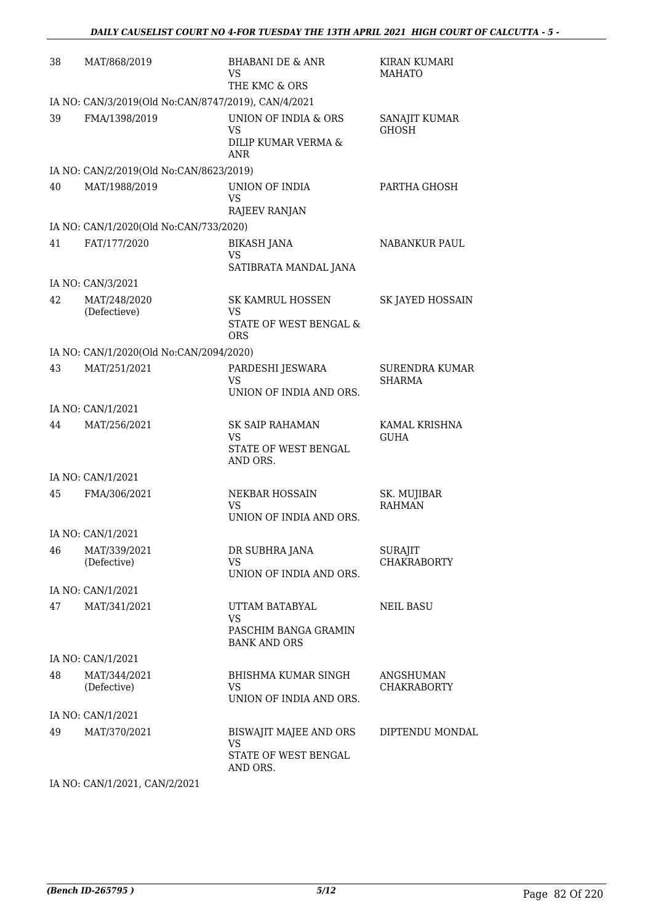| 38 | MAT/868/2019                                                                                                                                               | <b>BHABANI DE &amp; ANR</b><br>VS<br>THE KMC & ORS                         | <b>KIRAN KUMARI</b><br><b>MAHATO</b>   |
|----|------------------------------------------------------------------------------------------------------------------------------------------------------------|----------------------------------------------------------------------------|----------------------------------------|
|    | IA NO: CAN/3/2019(Old No:CAN/8747/2019), CAN/4/2021                                                                                                        |                                                                            |                                        |
| 39 | FMA/1398/2019                                                                                                                                              | UNION OF INDIA & ORS<br>VS<br>DILIP KUMAR VERMA &<br><b>ANR</b>            | SANAJIT KUMAR<br><b>GHOSH</b>          |
|    | IA NO: CAN/2/2019(Old No:CAN/8623/2019)                                                                                                                    |                                                                            |                                        |
| 40 | MAT/1988/2019                                                                                                                                              | UNION OF INDIA<br>VS<br><b>RAJEEV RANJAN</b>                               | PARTHA GHOSH                           |
|    | IA NO: CAN/1/2020(Old No:CAN/733/2020)                                                                                                                     |                                                                            |                                        |
| 41 | FAT/177/2020                                                                                                                                               | <b>BIKASH JANA</b><br><b>VS</b><br>SATIBRATA MANDAL JANA                   | <b>NABANKUR PAUL</b>                   |
|    | IA NO: CAN/3/2021                                                                                                                                          |                                                                            |                                        |
| 42 | MAT/248/2020<br>(Defectieve)                                                                                                                               | <b>SK KAMRUL HOSSEN</b><br>VS<br>STATE OF WEST BENGAL &<br><b>ORS</b>      | SK JAYED HOSSAIN                       |
|    | IA NO: CAN/1/2020(Old No:CAN/2094/2020)                                                                                                                    |                                                                            |                                        |
| 43 | MAT/251/2021                                                                                                                                               | PARDESHI JESWARA<br>VS<br>UNION OF INDIA AND ORS.                          | SURENDRA KUMAR<br><b>SHARMA</b>        |
|    | IA NO: CAN/1/2021                                                                                                                                          |                                                                            |                                        |
| 44 | MAT/256/2021                                                                                                                                               | <b>SK SAIP RAHAMAN</b><br>VS<br>STATE OF WEST BENGAL<br>AND ORS.           | KAMAL KRISHNA<br><b>GUHA</b>           |
|    | IA NO: CAN/1/2021                                                                                                                                          |                                                                            |                                        |
| 45 | FMA/306/2021                                                                                                                                               | <b>NEKBAR HOSSAIN</b><br>VS<br>UNION OF INDIA AND ORS.                     | SK. MUJIBAR<br><b>RAHMAN</b>           |
|    | IA NO: CAN/1/2021                                                                                                                                          |                                                                            |                                        |
| 46 | MAT/339/2021<br>(Defective)                                                                                                                                | DR SUBHRA JANA<br><b>VS</b><br>UNION OF INDIA AND ORS.                     | <b>SURAJIT</b><br><b>CHAKRABORTY</b>   |
|    | IA NO: CAN/1/2021                                                                                                                                          |                                                                            |                                        |
| 47 | MAT/341/2021                                                                                                                                               | UTTAM BATABYAL<br><b>VS</b><br>PASCHIM BANGA GRAMIN<br><b>BANK AND ORS</b> | <b>NEIL BASU</b>                       |
|    | IA NO: CAN/1/2021                                                                                                                                          |                                                                            |                                        |
| 48 | MAT/344/2021<br>(Defective)                                                                                                                                | BHISHMA KUMAR SINGH<br><b>VS</b><br>UNION OF INDIA AND ORS.                | <b>ANGSHUMAN</b><br><b>CHAKRABORTY</b> |
|    | IA NO: CAN/1/2021                                                                                                                                          |                                                                            |                                        |
| 49 | MAT/370/2021                                                                                                                                               | BISWAJIT MAJEE AND ORS<br>VS<br>STATE OF WEST BENGAL<br>AND ORS.           | DIPTENDU MONDAL                        |
|    | $\overline{10}$ $\overline{0}$ $\overline{11}$ $\overline{11}$ $\overline{10}$<br>$Q$ $\lambda$ $\lambda$ $\tau$ $\mu$ $\Omega$ $\Omega$ $\Omega$ $\Omega$ |                                                                            |                                        |

IA NO: CAN/1/2021, CAN/2/2021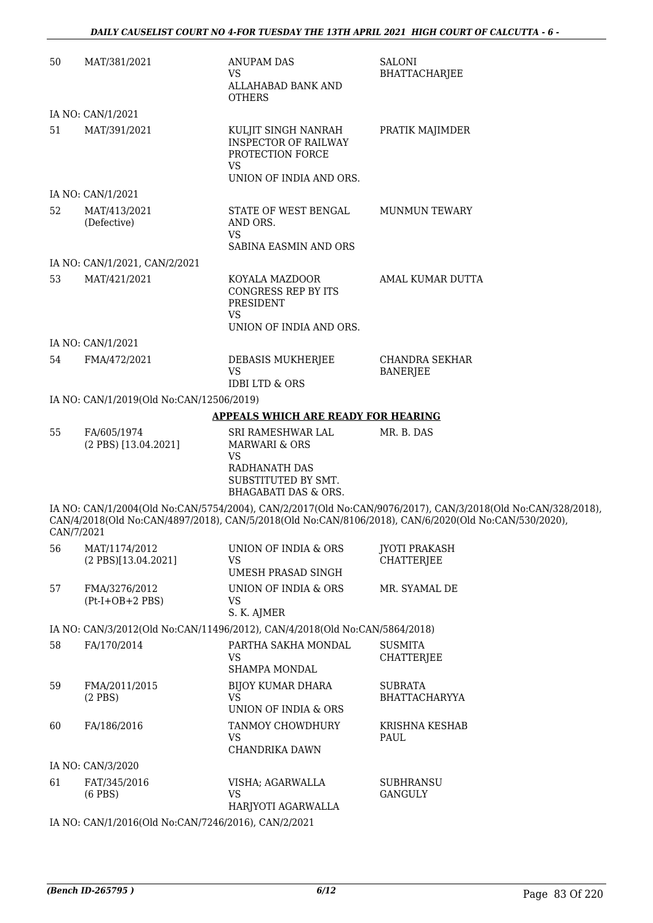| 50         | MAT/381/2021                                        | <b>ANUPAM DAS</b><br><b>VS</b><br>ALLAHABAD BANK AND<br><b>OTHERS</b>                                 | <b>SALONI</b><br><b>BHATTACHARJEE</b>                                                                                                                                                                               |
|------------|-----------------------------------------------------|-------------------------------------------------------------------------------------------------------|---------------------------------------------------------------------------------------------------------------------------------------------------------------------------------------------------------------------|
|            | IA NO: CAN/1/2021                                   |                                                                                                       |                                                                                                                                                                                                                     |
| 51         | MAT/391/2021                                        | KULJIT SINGH NANRAH<br><b>INSPECTOR OF RAILWAY</b><br>PROTECTION FORCE<br><b>VS</b>                   | PRATIK MAJIMDER                                                                                                                                                                                                     |
|            |                                                     | UNION OF INDIA AND ORS.                                                                               |                                                                                                                                                                                                                     |
|            | IA NO: CAN/1/2021                                   |                                                                                                       |                                                                                                                                                                                                                     |
| 52         | MAT/413/2021<br>(Defective)                         | STATE OF WEST BENGAL<br>AND ORS.<br><b>VS</b><br>SABINA EASMIN AND ORS                                | <b>MUNMUN TEWARY</b>                                                                                                                                                                                                |
|            | IA NO: CAN/1/2021, CAN/2/2021                       |                                                                                                       |                                                                                                                                                                                                                     |
| 53         | MAT/421/2021                                        | KOYALA MAZDOOR<br><b>CONGRESS REP BY ITS</b><br>PRESIDENT<br><b>VS</b><br>UNION OF INDIA AND ORS.     | AMAL KUMAR DUTTA                                                                                                                                                                                                    |
|            | IA NO: CAN/1/2021                                   |                                                                                                       |                                                                                                                                                                                                                     |
| 54         | FMA/472/2021                                        | DEBASIS MUKHERJEE<br><b>VS</b><br><b>IDBI LTD &amp; ORS</b>                                           | <b>CHANDRA SEKHAR</b><br><b>BANERJEE</b>                                                                                                                                                                            |
|            | IA NO: CAN/1/2019(Old No:CAN/12506/2019)            |                                                                                                       |                                                                                                                                                                                                                     |
|            |                                                     | <b>APPEALS WHICH ARE READY FOR HEARING</b>                                                            |                                                                                                                                                                                                                     |
| 55         | FA/605/1974                                         | <b>SRI RAMESHWAR LAL</b>                                                                              | MR. B. DAS                                                                                                                                                                                                          |
|            | (2 PBS) [13.04.2021]                                | MARWARI & ORS<br><b>VS</b><br>RADHANATH DAS<br>SUBSTITUTED BY SMT.<br><b>BHAGABATI DAS &amp; ORS.</b> |                                                                                                                                                                                                                     |
| CAN/7/2021 |                                                     |                                                                                                       | IA NO: CAN/1/2004(Old No:CAN/5754/2004), CAN/2/2017(Old No:CAN/9076/2017), CAN/3/2018(Old No:CAN/328/2018),<br>CAN/4/2018(Old No:CAN/4897/2018), CAN/5/2018(Old No:CAN/8106/2018), CAN/6/2020(Old No:CAN/530/2020), |
| 56         | MAT/1174/2012<br>(2 PBS)[13.04.2021]                | UNION OF INDIA & ORS<br><b>VS</b><br>UMESH PRASAD SINGH                                               | <b>JYOTI PRAKASH</b><br><b>CHATTERJEE</b>                                                                                                                                                                           |
| 57         | FMA/3276/2012<br>$(Pt-I+OB+2 PBS)$                  | UNION OF INDIA & ORS<br>VS<br>S. K. AJMER                                                             | MR. SYAMAL DE                                                                                                                                                                                                       |
|            |                                                     | IA NO: CAN/3/2012(Old No:CAN/11496/2012), CAN/4/2018(Old No:CAN/5864/2018)                            |                                                                                                                                                                                                                     |
| 58         | FA/170/2014                                         | PARTHA SAKHA MONDAL<br><b>VS</b><br>SHAMPA MONDAL                                                     | <b>SUSMITA</b><br><b>CHATTERJEE</b>                                                                                                                                                                                 |
| 59         | FMA/2011/2015<br>$(2$ PBS)                          | <b>BIJOY KUMAR DHARA</b><br><b>VS</b><br>UNION OF INDIA & ORS                                         | <b>SUBRATA</b><br><b>BHATTACHARYYA</b>                                                                                                                                                                              |
| 60         | FA/186/2016                                         | TANMOY CHOWDHURY<br><b>VS</b><br>CHANDRIKA DAWN                                                       | KRISHNA KESHAB<br>PAUL                                                                                                                                                                                              |
|            | IA NO: CAN/3/2020                                   |                                                                                                       |                                                                                                                                                                                                                     |
| 61         | FAT/345/2016<br>$(6$ PBS $)$                        | VISHA; AGARWALLA<br><b>VS</b><br>HARJYOTI AGARWALLA                                                   | <b>SUBHRANSU</b><br>GANGULY                                                                                                                                                                                         |
|            | IA NO: CAN/1/2016(Old No:CAN/7246/2016), CAN/2/2021 |                                                                                                       |                                                                                                                                                                                                                     |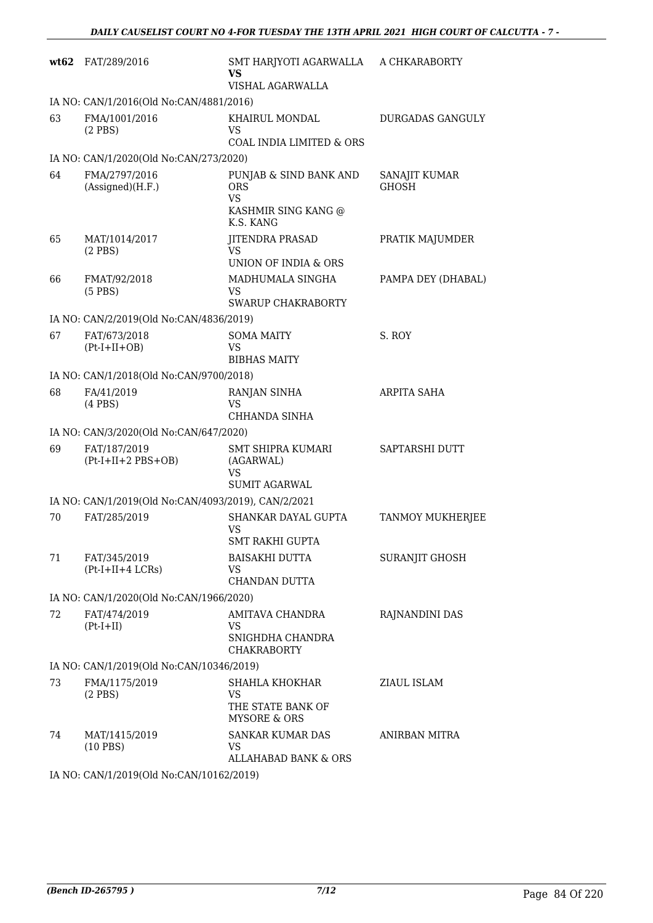| wt62 | FAT/289/2016                                                                | SMT HARJYOTI AGARWALLA<br>VS<br>VISHAL AGARWALLA                            | A CHKARABORTY                 |  |  |
|------|-----------------------------------------------------------------------------|-----------------------------------------------------------------------------|-------------------------------|--|--|
|      | IA NO: CAN/1/2016(Old No:CAN/4881/2016)                                     |                                                                             |                               |  |  |
| 63   | FMA/1001/2016<br>$(2$ PBS $)$                                               | KHAIRUL MONDAL<br>VS<br>COAL INDIA LIMITED & ORS                            | <b>DURGADAS GANGULY</b>       |  |  |
|      | IA NO: CAN/1/2020(Old No:CAN/273/2020)                                      |                                                                             |                               |  |  |
| 64   | FMA/2797/2016<br>(Assigned)(H.F.)                                           | PUNJAB & SIND BANK AND<br><b>ORS</b><br>VS                                  | SANAJIT KUMAR<br><b>GHOSH</b> |  |  |
|      |                                                                             | KASHMIR SING KANG @<br>K.S. KANG                                            |                               |  |  |
| 65   | MAT/1014/2017<br>$(2$ PBS)                                                  | <b>JITENDRA PRASAD</b><br><b>VS</b><br>UNION OF INDIA & ORS                 | PRATIK MAJUMDER               |  |  |
| 66   | FMAT/92/2018<br>$(5$ PBS)                                                   | MADHUMALA SINGHA<br>VS<br><b>SWARUP CHAKRABORTY</b>                         | PAMPA DEY (DHABAL)            |  |  |
|      | IA NO: CAN/2/2019(Old No:CAN/4836/2019)                                     |                                                                             |                               |  |  |
| 67   | FAT/673/2018<br>$(Pt-I+II+OB)$                                              | <b>SOMA MAITY</b><br><b>VS</b><br><b>BIBHAS MAITY</b>                       | S. ROY                        |  |  |
|      | IA NO: CAN/1/2018(Old No:CAN/9700/2018)                                     |                                                                             |                               |  |  |
| 68   | FA/41/2019<br>$(4$ PBS $)$                                                  | RANJAN SINHA<br>VS<br>CHHANDA SINHA                                         | <b>ARPITA SAHA</b>            |  |  |
|      | IA NO: CAN/3/2020(Old No:CAN/647/2020)                                      |                                                                             |                               |  |  |
| 69   | FAT/187/2019<br>$(Pt-I+II+2 PBS+OB)$                                        | SMT SHIPRA KUMARI<br>(AGARWAL)<br>VS<br><b>SUMIT AGARWAL</b>                | <b>SAPTARSHI DUTT</b>         |  |  |
|      | IA NO: CAN/1/2019(Old No:CAN/4093/2019), CAN/2/2021                         |                                                                             |                               |  |  |
| 70   | FAT/285/2019                                                                | SHANKAR DAYAL GUPTA<br><b>VS</b><br>SMT RAKHI GUPTA                         | <b>TANMOY MUKHERJEE</b>       |  |  |
| 71   | FAT/345/2019<br>$(Pt-I+II+4 LCRs)$                                          | BAISAKHI DUTTA<br>VS<br>CHANDAN DUTTA                                       | SURANJIT GHOSH                |  |  |
|      | IA NO: CAN/1/2020(Old No:CAN/1966/2020)                                     |                                                                             |                               |  |  |
| 72   | FAT/474/2019<br>$(Pt-I+II)$                                                 | AMITAVA CHANDRA<br>VS<br>SNIGHDHA CHANDRA<br><b>CHAKRABORTY</b>             | RAJNANDINI DAS                |  |  |
|      | IA NO: CAN/1/2019(Old No:CAN/10346/2019)                                    |                                                                             |                               |  |  |
| 73   | FMA/1175/2019<br>$(2$ PBS $)$                                               | SHAHLA KHOKHAR<br><b>VS</b><br>THE STATE BANK OF<br><b>MYSORE &amp; ORS</b> | ZIAUL ISLAM                   |  |  |
| 74   | MAT/1415/2019<br>$(10$ PBS)                                                 | <b>SANKAR KUMAR DAS</b><br>VS.<br><b>ALLAHABAD BANK &amp; ORS</b>           | ANIRBAN MITRA                 |  |  |
|      | $10010(011)$ $\overline{M_2}$ $0.1$ $\overline{M1401}$ $\overline{M201010}$ |                                                                             |                               |  |  |

IA NO: CAN/1/2019(Old No:CAN/10162/2019)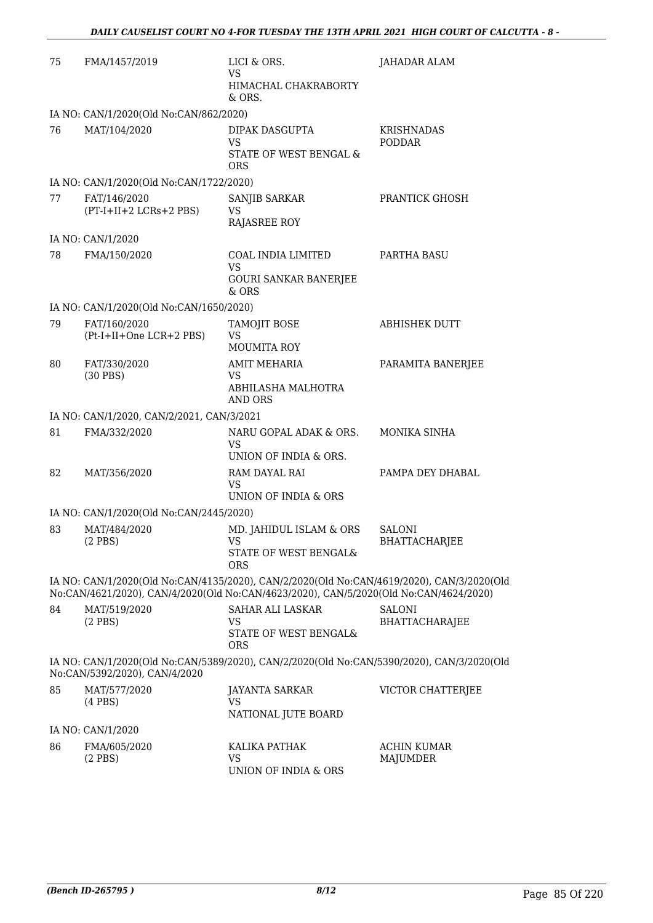| 75 | FMA/1457/2019                             | LICI & ORS.<br>VS<br>HIMACHAL CHAKRABORTY<br>& ORS.                                                                                                                                | JAHADAR ALAM                           |
|----|-------------------------------------------|------------------------------------------------------------------------------------------------------------------------------------------------------------------------------------|----------------------------------------|
|    | IA NO: CAN/1/2020(Old No:CAN/862/2020)    |                                                                                                                                                                                    |                                        |
| 76 | MAT/104/2020                              | DIPAK DASGUPTA<br>VS<br>STATE OF WEST BENGAL &<br>ORS                                                                                                                              | <b>KRISHNADAS</b><br><b>PODDAR</b>     |
|    | IA NO: CAN/1/2020(Old No:CAN/1722/2020)   |                                                                                                                                                                                    |                                        |
| 77 | FAT/146/2020<br>(PT-I+II+2 LCRs+2 PBS)    | SANJIB SARKAR<br>VS<br><b>RAJASREE ROY</b>                                                                                                                                         | PRANTICK GHOSH                         |
|    | IA NO: CAN/1/2020                         |                                                                                                                                                                                    |                                        |
| 78 | FMA/150/2020                              | COAL INDIA LIMITED<br><b>VS</b><br><b>GOURI SANKAR BANERJEE</b><br>& ORS                                                                                                           | PARTHA BASU                            |
|    | IA NO: CAN/1/2020(Old No:CAN/1650/2020)   |                                                                                                                                                                                    |                                        |
| 79 | FAT/160/2020<br>(Pt-I+II+One LCR+2 PBS)   | TAMOJIT BOSE<br>VS<br><b>MOUMITA ROY</b>                                                                                                                                           | <b>ABHISHEK DUTT</b>                   |
| 80 | FAT/330/2020<br>$(30$ PBS)                | <b>AMIT MEHARIA</b><br>VS<br>ABHILASHA MALHOTRA<br><b>AND ORS</b>                                                                                                                  | PARAMITA BANERJEE                      |
|    | IA NO: CAN/1/2020, CAN/2/2021, CAN/3/2021 |                                                                                                                                                                                    |                                        |
| 81 | FMA/332/2020                              | NARU GOPAL ADAK & ORS.<br>VS<br>UNION OF INDIA & ORS.                                                                                                                              | MONIKA SINHA                           |
| 82 | MAT/356/2020                              | RAM DAYAL RAI<br><b>VS</b><br>UNION OF INDIA & ORS                                                                                                                                 | PAMPA DEY DHABAL                       |
|    | IA NO: CAN/1/2020(Old No:CAN/2445/2020)   |                                                                                                                                                                                    |                                        |
| 83 | MAT/484/2020<br>$(2$ PBS)                 | MD. JAHIDUL ISLAM & ORS<br>VS –<br>STATE OF WEST BENGAL&<br><b>ORS</b>                                                                                                             | <b>SALONI</b><br>BHATTACHARJEE         |
|    |                                           | IA NO: CAN/1/2020(Old No:CAN/4135/2020), CAN/2/2020(Old No:CAN/4619/2020), CAN/3/2020(Old<br>No:CAN/4621/2020), CAN/4/2020(Old No:CAN/4623/2020), CAN/5/2020(Old No:CAN/4624/2020) |                                        |
| 84 | MAT/519/2020<br>$(2$ PBS $)$              | SAHAR ALI LASKAR<br><b>VS</b><br>STATE OF WEST BENGAL&<br><b>ORS</b>                                                                                                               | <b>SALONI</b><br><b>BHATTACHARAJEE</b> |
|    | No:CAN/5392/2020), CAN/4/2020             | IA NO: CAN/1/2020(Old No:CAN/5389/2020), CAN/2/2020(Old No:CAN/5390/2020), CAN/3/2020(Old                                                                                          |                                        |
| 85 | MAT/577/2020<br>$(4$ PBS $)$              | <b>JAYANTA SARKAR</b><br>VS<br>NATIONAL JUTE BOARD                                                                                                                                 | VICTOR CHATTERJEE                      |
|    | IA NO: CAN/1/2020                         |                                                                                                                                                                                    |                                        |
| 86 | FMA/605/2020<br>$(2$ PBS)                 | KALIKA PATHAK<br><b>VS</b><br>UNION OF INDIA & ORS                                                                                                                                 | <b>ACHIN KUMAR</b><br><b>MAJUMDER</b>  |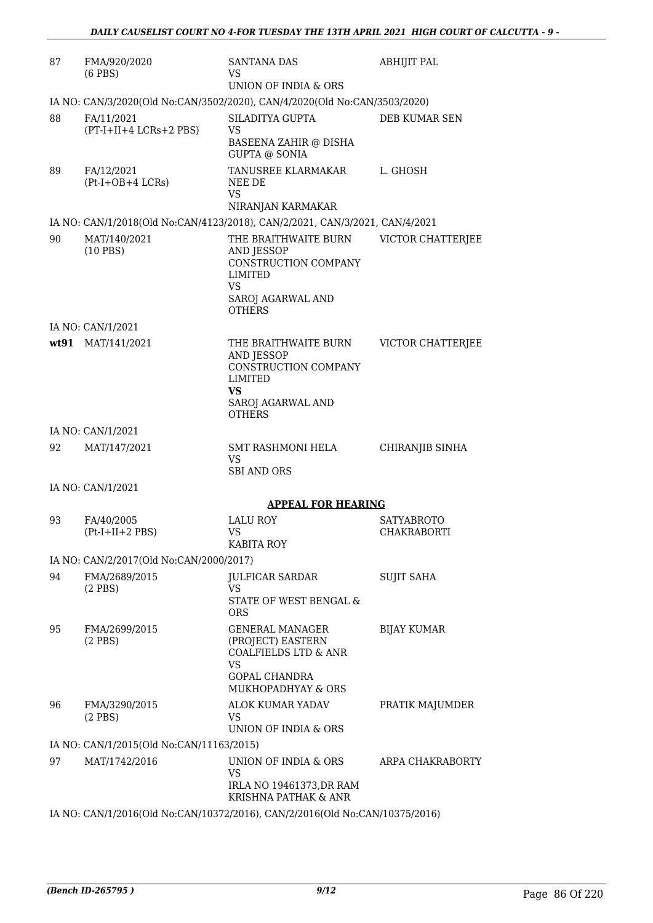| 87 | FMA/920/2020<br>$(6$ PBS $)$             | <b>SANTANA DAS</b><br>VS<br>UNION OF INDIA & ORS                                          | <b>ABHIJIT PAL</b> |
|----|------------------------------------------|-------------------------------------------------------------------------------------------|--------------------|
|    |                                          | IA NO: CAN/3/2020(Old No:CAN/3502/2020), CAN/4/2020(Old No:CAN/3503/2020)                 |                    |
| 88 | FA/11/2021                               | SILADITYA GUPTA                                                                           | DEB KUMAR SEN      |
|    | (PT-I+II+4 LCRs+2 PBS)                   | VS                                                                                        |                    |
|    |                                          | BASEENA ZAHIR @ DISHA<br><b>GUPTA @ SONIA</b>                                             |                    |
| 89 | FA/12/2021                               | TANUSREE KLARMAKAR                                                                        | L. GHOSH           |
|    | $(Pt-I+OB+4 LCRs)$                       | NEE DE<br><b>VS</b>                                                                       |                    |
|    |                                          | NIRANJAN KARMAKAR                                                                         |                    |
|    |                                          | IA NO: CAN/1/2018(Old No:CAN/4123/2018), CAN/2/2021, CAN/3/2021, CAN/4/2021               |                    |
| 90 | MAT/140/2021<br>$(10$ PBS)               | THE BRAITHWAITE BURN<br>AND JESSOP<br>CONSTRUCTION COMPANY<br><b>LIMITED</b><br><b>VS</b> | VICTOR CHATTERJEE  |
|    |                                          | SAROJ AGARWAL AND<br><b>OTHERS</b>                                                        |                    |
|    | IA NO: CAN/1/2021                        |                                                                                           |                    |
|    | wt91 MAT/141/2021                        | THE BRAITHWAITE BURN                                                                      | VICTOR CHATTERJEE  |
|    |                                          | AND JESSOP<br>CONSTRUCTION COMPANY                                                        |                    |
|    |                                          | <b>LIMITED</b>                                                                            |                    |
|    |                                          | VS                                                                                        |                    |
|    |                                          | SAROJ AGARWAL AND<br><b>OTHERS</b>                                                        |                    |
|    | IA NO: CAN/1/2021                        |                                                                                           |                    |
| 92 | MAT/147/2021                             | SMT RASHMONI HELA                                                                         | CHIRANJIB SINHA    |
|    |                                          | <b>VS</b><br><b>SBI AND ORS</b>                                                           |                    |
|    | IA NO: CAN/1/2021                        |                                                                                           |                    |
|    |                                          | <b>APPEAL FOR HEARING</b>                                                                 |                    |
| 93 | FA/40/2005                               | <b>LALU ROY</b>                                                                           | <b>SATYABROTO</b>  |
|    | $(Pt-I+II+2 PBS)$                        | <b>VS</b><br>KABITA ROY                                                                   | <b>CHAKRABORTI</b> |
|    | IA NO: CAN/2/2017(Old No:CAN/2000/2017)  |                                                                                           |                    |
| 94 | FMA/2689/2015                            | JULFICAR SARDAR                                                                           | <b>SUJIT SAHA</b>  |
|    | $(2$ PBS)                                | <b>VS</b>                                                                                 |                    |
|    |                                          | STATE OF WEST BENGAL &<br><b>ORS</b>                                                      |                    |
| 95 | FMA/2699/2015                            | <b>GENERAL MANAGER</b>                                                                    | <b>BIJAY KUMAR</b> |
|    | $(2$ PBS)                                | (PROJECT) EASTERN<br><b>COALFIELDS LTD &amp; ANR</b>                                      |                    |
|    |                                          | <b>VS</b>                                                                                 |                    |
|    |                                          | <b>GOPAL CHANDRA</b><br>MUKHOPADHYAY & ORS                                                |                    |
| 96 | FMA/3290/2015                            | ALOK KUMAR YADAV                                                                          | PRATIK MAJUMDER    |
|    | $(2$ PBS)                                | VS                                                                                        |                    |
|    |                                          | UNION OF INDIA & ORS                                                                      |                    |
| 97 | IA NO: CAN/1/2015(Old No:CAN/11163/2015) |                                                                                           |                    |
|    | MAT/1742/2016                            | UNION OF INDIA & ORS<br><b>VS</b>                                                         | ARPA CHAKRABORTY   |
|    |                                          | IRLA NO 19461373, DR RAM<br>KRISHNA PATHAK & ANR                                          |                    |
|    |                                          | IA NO: CAN/1/2016(Old No:CAN/10372/2016), CAN/2/2016(Old No:CAN/10375/2016)               |                    |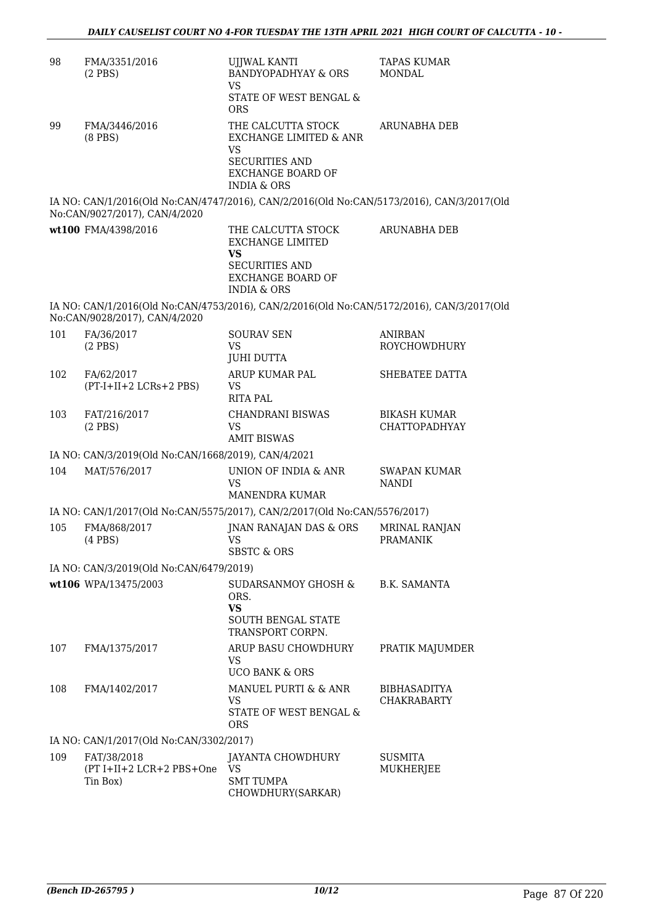| 98  | FMA/3351/2016<br>$(2$ PBS $)$                       | <b>UJJWAL KANTI</b><br><b>BANDYOPADHYAY &amp; ORS</b><br><b>VS</b><br>STATE OF WEST BENGAL &                                             | <b>TAPAS KUMAR</b><br>MONDAL                |
|-----|-----------------------------------------------------|------------------------------------------------------------------------------------------------------------------------------------------|---------------------------------------------|
|     |                                                     | <b>ORS</b>                                                                                                                               |                                             |
| 99  | FMA/3446/2016<br>$(8$ PBS $)$                       | THE CALCUTTA STOCK<br>EXCHANGE LIMITED & ANR<br><b>VS</b><br><b>SECURITIES AND</b><br><b>EXCHANGE BOARD OF</b><br><b>INDIA &amp; ORS</b> | ARUNABHA DEB                                |
|     | No:CAN/9027/2017), CAN/4/2020                       | IA NO: CAN/1/2016(Old No:CAN/4747/2016), CAN/2/2016(Old No:CAN/5173/2016), CAN/3/2017(Old                                                |                                             |
|     | wt100 FMA/4398/2016                                 | THE CALCUTTA STOCK<br><b>EXCHANGE LIMITED</b><br><b>VS</b>                                                                               | <b>ARUNABHA DEB</b>                         |
|     |                                                     | <b>SECURITIES AND</b><br><b>EXCHANGE BOARD OF</b><br><b>INDIA &amp; ORS</b>                                                              |                                             |
|     | No:CAN/9028/2017), CAN/4/2020                       | IA NO: CAN/1/2016(Old No:CAN/4753/2016), CAN/2/2016(Old No:CAN/5172/2016), CAN/3/2017(Old                                                |                                             |
| 101 | FA/36/2017<br>$(2$ PBS)                             | <b>SOURAV SEN</b><br><b>VS</b><br><b>JUHI DUTTA</b>                                                                                      | <b>ANIRBAN</b><br><b>ROYCHOWDHURY</b>       |
| 102 | FA/62/2017<br>(PT-I+II+2 LCRs+2 PBS)                | ARUP KUMAR PAL<br>VS.<br><b>RITA PAL</b>                                                                                                 | SHEBATEE DATTA                              |
| 103 | FAT/216/2017<br>$(2$ PBS $)$                        | <b>CHANDRANI BISWAS</b><br>VS.<br><b>AMIT BISWAS</b>                                                                                     | <b>BIKASH KUMAR</b><br><b>CHATTOPADHYAY</b> |
|     | IA NO: CAN/3/2019(Old No:CAN/1668/2019), CAN/4/2021 |                                                                                                                                          |                                             |
| 104 | MAT/576/2017                                        | UNION OF INDIA & ANR<br>VS<br><b>MANENDRA KUMAR</b>                                                                                      | <b>SWAPAN KUMAR</b><br><b>NANDI</b>         |
|     |                                                     | IA NO: CAN/1/2017(Old No:CAN/5575/2017), CAN/2/2017(Old No:CAN/5576/2017)                                                                |                                             |
| 105 | FMA/868/2017<br>$(4$ PBS $)$                        | JNAN RANAJAN DAS & ORS<br><b>VS</b><br>SBSTC & ORS                                                                                       | <b>MRINAL RANJAN</b><br><b>PRAMANIK</b>     |
|     | IA NO: CAN/3/2019(Old No:CAN/6479/2019)             |                                                                                                                                          |                                             |
|     | wt106 WPA/13475/2003                                | SUDARSANMOY GHOSH &<br>ORS.<br><b>VS</b><br><b>SOUTH BENGAL STATE</b><br>TRANSPORT CORPN.                                                | B.K. SAMANTA                                |
| 107 | FMA/1375/2017                                       | ARUP BASU CHOWDHURY<br>VS.<br><b>UCO BANK &amp; ORS</b>                                                                                  | PRATIK MAJUMDER                             |
| 108 | FMA/1402/2017                                       | MANUEL PURTI & & ANR<br>VS.<br>STATE OF WEST BENGAL &<br>ORS                                                                             | <b>BIBHASADITYA</b><br><b>CHAKRABARTY</b>   |
|     | IA NO: CAN/1/2017(Old No:CAN/3302/2017)             |                                                                                                                                          |                                             |
| 109 | FAT/38/2018<br>(PT I+II+2 LCR+2 PBS+One<br>Tin Box) | JAYANTA CHOWDHURY<br><b>VS</b><br><b>SMT TUMPA</b><br>CHOWDHURY(SARKAR)                                                                  | SUSMITA<br>MUKHERJEE                        |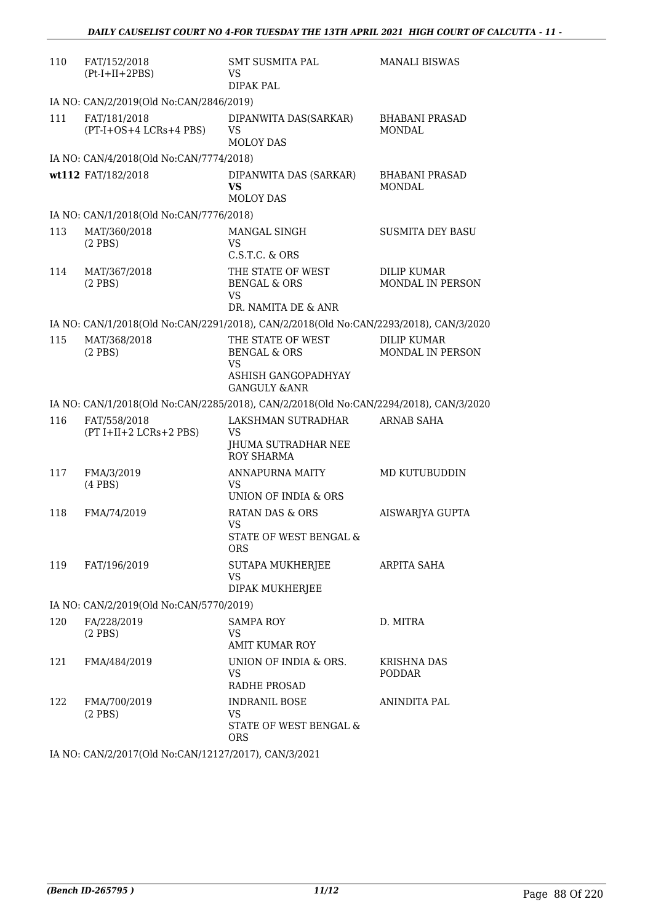| 110 | FAT/152/2018<br>$(Pt-I+II+2PBS)$         | <b>SMT SUSMITA PAL</b><br>VS<br><b>DIPAK PAL</b>                                      | <b>MANALI BISWAS</b>                   |
|-----|------------------------------------------|---------------------------------------------------------------------------------------|----------------------------------------|
|     | IA NO: CAN/2/2019(Old No:CAN/2846/2019)  |                                                                                       |                                        |
| 111 | FAT/181/2018<br>(PT-I+OS+4 LCRs+4 PBS)   | DIPANWITA DAS(SARKAR)<br>VS<br><b>MOLOY DAS</b>                                       | <b>BHABANI PRASAD</b><br><b>MONDAL</b> |
|     | IA NO: CAN/4/2018(Old No:CAN/7774/2018)  |                                                                                       |                                        |
|     | wt112 FAT/182/2018                       | DIPANWITA DAS (SARKAR)<br><b>VS</b><br><b>MOLOY DAS</b>                               | <b>BHABANI PRASAD</b><br>MONDAL        |
|     | IA NO: CAN/1/2018(Old No:CAN/7776/2018)  |                                                                                       |                                        |
| 113 | MAT/360/2018<br>$(2$ PBS $)$             | MANGAL SINGH<br><b>VS</b><br>C.S.T.C. & ORS                                           | <b>SUSMITA DEY BASU</b>                |
| 114 | MAT/367/2018<br>$(2$ PBS)                | THE STATE OF WEST<br><b>BENGAL &amp; ORS</b><br><b>VS</b>                             | <b>DILIP KUMAR</b><br>MONDAL IN PERSON |
|     |                                          | DR. NAMITA DE & ANR                                                                   |                                        |
|     |                                          | IA NO: CAN/1/2018(Old No:CAN/2291/2018), CAN/2/2018(Old No:CAN/2293/2018), CAN/3/2020 |                                        |
| 115 | MAT/368/2018<br>$(2$ PBS $)$             | THE STATE OF WEST<br><b>BENGAL &amp; ORS</b><br>VS                                    | <b>DILIP KUMAR</b><br>MONDAL IN PERSON |
|     |                                          | ASHISH GANGOPADHYAY<br><b>GANGULY &amp;ANR</b>                                        |                                        |
|     |                                          | IA NO: CAN/1/2018(Old No:CAN/2285/2018), CAN/2/2018(Old No:CAN/2294/2018), CAN/3/2020 |                                        |
| 116 | FAT/558/2018<br>$(PT I+II+2 LCRs+2 PBS)$ | LAKSHMAN SUTRADHAR<br><b>VS</b><br>JHUMA SUTRADHAR NEE<br><b>ROY SHARMA</b>           | <b>ARNAB SAHA</b>                      |
| 117 | FMA/3/2019<br>$(4$ PBS $)$               | ANNAPURNA MAITY<br>VS.<br>UNION OF INDIA & ORS                                        | MD KUTUBUDDIN                          |
| 118 | FMA/74/2019                              | <b>RATAN DAS &amp; ORS</b><br><b>VS</b><br>STATE OF WEST BENGAL &<br><b>ORS</b>       | AISWARJYA GUPTA                        |
| 119 | FAT/196/2019                             | SUTAPA MUKHERJEE<br><b>VS</b><br>DIPAK MUKHERJEE                                      | ARPITA SAHA                            |
|     | IA NO: CAN/2/2019(Old No:CAN/5770/2019)  |                                                                                       |                                        |
| 120 | FA/228/2019<br>$(2$ PBS $)$              | <b>SAMPA ROY</b><br>VS<br><b>AMIT KUMAR ROY</b>                                       | D. MITRA                               |
| 121 | FMA/484/2019                             | UNION OF INDIA & ORS.<br>VS<br>RADHE PROSAD                                           | KRISHNA DAS<br><b>PODDAR</b>           |
| 122 | FMA/700/2019<br>$(2$ PBS $)$             | <b>INDRANIL BOSE</b><br>VS.<br>STATE OF WEST BENGAL &<br><b>ORS</b>                   | ANINDITA PAL                           |

IA NO: CAN/2/2017(Old No:CAN/12127/2017), CAN/3/2021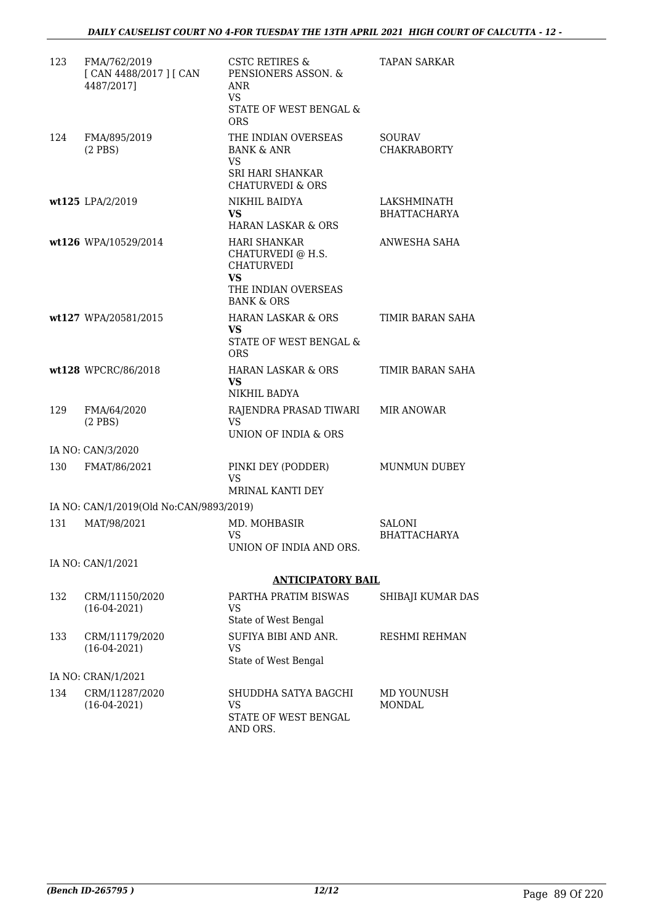| 123 | FMA/762/2019<br>[ CAN 4488/2017 ] [ CAN<br>4487/2017] | <b>CSTC RETIRES &amp;</b><br>PENSIONERS ASSON. &<br>ANR<br>VS.<br>STATE OF WEST BENGAL &<br><b>ORS</b> | <b>TAPAN SARKAR</b>                |
|-----|-------------------------------------------------------|--------------------------------------------------------------------------------------------------------|------------------------------------|
| 124 | FMA/895/2019<br>$(2$ PBS $)$                          | THE INDIAN OVERSEAS<br><b>BANK &amp; ANR</b><br><b>VS</b><br>SRI HARI SHANKAR                          | SOURAV<br><b>CHAKRABORTY</b>       |
|     | wt125 LPA/2/2019                                      | <b>CHATURVEDI &amp; ORS</b><br>NIKHIL BAIDYA<br><b>VS</b><br><b>HARAN LASKAR &amp; ORS</b>             | LAKSHMINATH<br><b>BHATTACHARYA</b> |
|     | wt126 WPA/10529/2014                                  | <b>HARI SHANKAR</b><br>CHATURVEDI @ H.S.<br><b>CHATURVEDI</b><br><b>VS</b><br>THE INDIAN OVERSEAS      | ANWESHA SAHA                       |
|     | wt127 WPA/20581/2015                                  | <b>BANK &amp; ORS</b><br><b>HARAN LASKAR &amp; ORS</b><br>VS<br>STATE OF WEST BENGAL &<br><b>ORS</b>   | TIMIR BARAN SAHA                   |
|     | wt128 WPCRC/86/2018                                   | <b>HARAN LASKAR &amp; ORS</b><br>VS.<br>NIKHIL BADYA                                                   | TIMIR BARAN SAHA                   |
| 129 | FMA/64/2020<br>$(2$ PBS $)$                           | RAJENDRA PRASAD TIWARI<br><b>VS</b><br>UNION OF INDIA & ORS                                            | <b>MIR ANOWAR</b>                  |
|     | IA NO: CAN/3/2020                                     |                                                                                                        |                                    |
| 130 | FMAT/86/2021                                          | PINKI DEY (PODDER)<br><b>VS</b><br>MRINAL KANTI DEY                                                    | MUNMUN DUBEY                       |
|     | IA NO: CAN/1/2019(Old No:CAN/9893/2019)               |                                                                                                        |                                    |
| 131 | MAT/98/2021                                           | MD. MOHBASIR<br><b>VS</b><br>UNION OF INDIA AND ORS.                                                   | SALONI<br><b>BHATTACHARYA</b>      |
|     | IA NO: CAN/1/2021                                     |                                                                                                        |                                    |
|     |                                                       | <b>ANTICIPATORY BAIL</b>                                                                               |                                    |
| 132 | CRM/11150/2020<br>$(16-04-2021)$                      | PARTHA PRATIM BISWAS<br><b>VS</b><br>State of West Bengal                                              | SHIBAJI KUMAR DAS                  |
| 133 | CRM/11179/2020<br>$(16-04-2021)$                      | SUFIYA BIBI AND ANR.<br><b>VS</b><br>State of West Bengal                                              | RESHMI REHMAN                      |
|     | IA NO: CRAN/1/2021                                    |                                                                                                        |                                    |
| 134 | CRM/11287/2020<br>$(16-04-2021)$                      | SHUDDHA SATYA BAGCHI<br><b>VS</b><br>STATE OF WEST BENGAL<br>AND ORS.                                  | MD YOUNUSH<br>MONDAL               |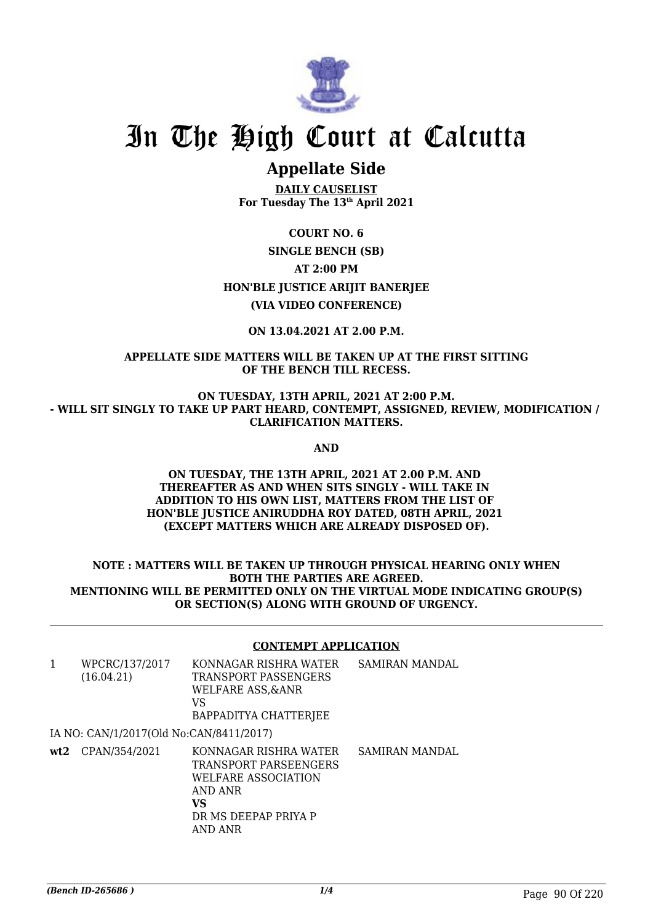

# **Appellate Side**

**DAILY CAUSELIST For Tuesday The 13th April 2021**

## **COURT NO. 6 SINGLE BENCH (SB) AT 2:00 PM HON'BLE JUSTICE ARIJIT BANERJEE (VIA VIDEO CONFERENCE)**

## **ON 13.04.2021 AT 2.00 P.M.**

**APPELLATE SIDE MATTERS WILL BE TAKEN UP AT THE FIRST SITTING OF THE BENCH TILL RECESS.**

**ON TUESDAY, 13TH APRIL, 2021 AT 2:00 P.M. - WILL SIT SINGLY TO TAKE UP PART HEARD, CONTEMPT, ASSIGNED, REVIEW, MODIFICATION / CLARIFICATION MATTERS.**

**AND**

#### **ON TUESDAY, THE 13TH APRIL, 2021 AT 2.00 P.M. AND THEREAFTER AS AND WHEN SITS SINGLY - WILL TAKE IN ADDITION TO HIS OWN LIST, MATTERS FROM THE LIST OF HON'BLE JUSTICE ANIRUDDHA ROY DATED, 08TH APRIL, 2021 (EXCEPT MATTERS WHICH ARE ALREADY DISPOSED OF).**

### **NOTE : MATTERS WILL BE TAKEN UP THROUGH PHYSICAL HEARING ONLY WHEN BOTH THE PARTIES ARE AGREED. MENTIONING WILL BE PERMITTED ONLY ON THE VIRTUAL MODE INDICATING GROUP(S) OR SECTION(S) ALONG WITH GROUND OF URGENCY.**

### **CONTEMPT APPLICATION**

| $\mathbf{1}$ | WPCRC/137/2017<br>(16.04.21)            | KONNAGAR RISHRA WATER<br>TRANSPORT PASSENGERS<br>WELFARE ASS, & ANR<br>VS<br>BAPPADITYA CHATTERJEE                        | SAMIRAN MANDAL |
|--------------|-----------------------------------------|---------------------------------------------------------------------------------------------------------------------------|----------------|
|              | IA NO: CAN/1/2017(Old No:CAN/8411/2017) |                                                                                                                           |                |
|              | $wt2$ CPAN/354/2021                     | KONNAGAR RISHRA WATER<br>TRANSPORT PARSEENGERS<br>WELFARE ASSOCIATION<br>AND ANR<br>VS<br>DR MS DEEPAP PRIYA P<br>AND ANR | SAMIRAN MANDAL |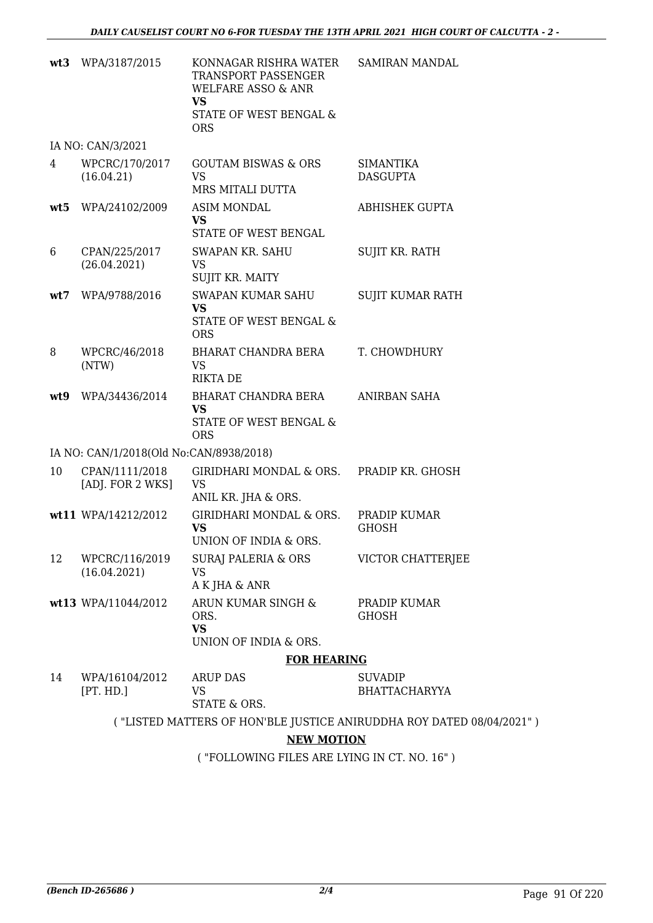|     | wt3 WPA/3187/2015                       | KONNAGAR RISHRA WATER<br>TRANSPORT PASSENGER<br><b>WELFARE ASSO &amp; ANR</b><br><b>VS</b><br>STATE OF WEST BENGAL &<br><b>ORS</b> | SAMIRAN MANDAL                                                       |
|-----|-----------------------------------------|------------------------------------------------------------------------------------------------------------------------------------|----------------------------------------------------------------------|
|     | IA NO: CAN/3/2021                       |                                                                                                                                    |                                                                      |
| 4   | WPCRC/170/2017<br>(16.04.21)            | <b>GOUTAM BISWAS &amp; ORS</b><br><b>VS</b><br>MRS MITALI DUTTA                                                                    | SIMANTIKA<br><b>DASGUPTA</b>                                         |
| wt5 | WPA/24102/2009                          | <b>ASIM MONDAL</b><br><b>VS</b><br>STATE OF WEST BENGAL                                                                            | <b>ABHISHEK GUPTA</b>                                                |
| 6   | CPAN/225/2017<br>(26.04.2021)           | <b>SWAPAN KR. SAHU</b><br>VS<br>SUJIT KR. MAITY                                                                                    | SUJIT KR. RATH                                                       |
| wt7 | WPA/9788/2016                           | <b>SWAPAN KUMAR SAHU</b><br><b>VS</b><br>STATE OF WEST BENGAL &<br><b>ORS</b>                                                      | <b>SUJIT KUMAR RATH</b>                                              |
| 8   | WPCRC/46/2018<br>(NTW)                  | BHARAT CHANDRA BERA<br><b>VS</b><br><b>RIKTA DE</b>                                                                                | T. CHOWDHURY                                                         |
| wt9 | WPA/34436/2014                          | BHARAT CHANDRA BERA<br><b>VS</b><br>STATE OF WEST BENGAL &<br><b>ORS</b>                                                           | <b>ANIRBAN SAHA</b>                                                  |
|     | IA NO: CAN/1/2018(Old No:CAN/8938/2018) |                                                                                                                                    |                                                                      |
| 10  | CPAN/1111/2018<br>[ADJ. FOR 2 WKS]      | GIRIDHARI MONDAL & ORS.<br><b>VS</b><br>ANIL KR. JHA & ORS.                                                                        | PRADIP KR. GHOSH                                                     |
|     | wt11 WPA/14212/2012                     | GIRIDHARI MONDAL & ORS.<br><b>VS</b><br>UNION OF INDIA & ORS.                                                                      | PRADIP KUMAR<br><b>GHOSH</b>                                         |
| 12  | WPCRC/116/2019<br>(16.04.2021)          | SURAJ PALERIA & ORS<br><b>VS</b><br>A K JHA & ANR                                                                                  | VICTOR CHATTERJEE                                                    |
|     | wt13 WPA/11044/2012                     | ARUN KUMAR SINGH &<br>ORS.<br><b>VS</b>                                                                                            | PRADIP KUMAR<br><b>GHOSH</b>                                         |
|     |                                         | UNION OF INDIA & ORS.                                                                                                              |                                                                      |
|     |                                         | <b>FOR HEARING</b>                                                                                                                 |                                                                      |
| 14  | WPA/16104/2012<br>[PT. HD.]             | <b>ARUP DAS</b><br><b>VS</b><br>STATE & ORS.                                                                                       | <b>SUVADIP</b><br><b>BHATTACHARYYA</b>                               |
|     |                                         |                                                                                                                                    | ("LISTED MATTERS OF HON'BLE JUSTICE ANIRUDDHA ROY DATED 08/04/2021") |
|     |                                         | <b>NEW MOTION</b>                                                                                                                  |                                                                      |

( "FOLLOWING FILES ARE LYING IN CT. NO. 16" )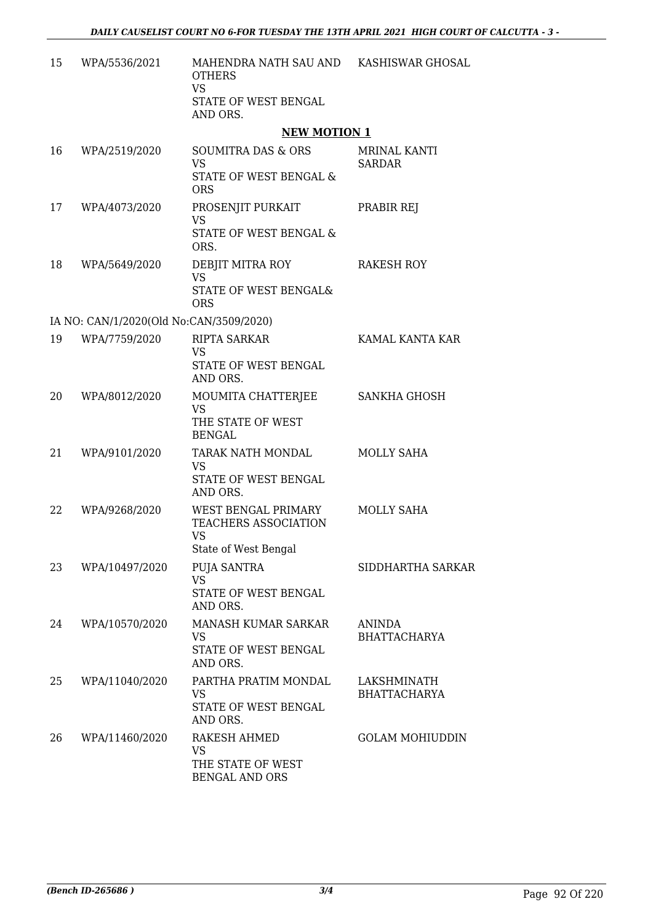| 15 | WPA/5536/2021                           | MAHENDRA NATH SAU AND KASHISWAR GHOSAL<br><b>OTHERS</b><br><b>VS</b><br>STATE OF WEST BENGAL<br>AND ORS. |                                      |
|----|-----------------------------------------|----------------------------------------------------------------------------------------------------------|--------------------------------------|
|    |                                         | <b>NEW MOTION 1</b>                                                                                      |                                      |
| 16 | WPA/2519/2020                           | SOUMITRA DAS & ORS<br><b>VS</b><br>STATE OF WEST BENGAL &<br><b>ORS</b>                                  | <b>MRINAL KANTI</b><br><b>SARDAR</b> |
| 17 | WPA/4073/2020                           | PROSENJIT PURKAIT<br><b>VS</b><br>STATE OF WEST BENGAL &<br>ORS.                                         | PRABIR REJ                           |
| 18 | WPA/5649/2020                           | DEBJIT MITRA ROY<br><b>VS</b><br>STATE OF WEST BENGAL&<br><b>ORS</b>                                     | <b>RAKESH ROY</b>                    |
|    | IA NO: CAN/1/2020(Old No:CAN/3509/2020) |                                                                                                          |                                      |
| 19 | WPA/7759/2020                           | <b>RIPTA SARKAR</b><br><b>VS</b><br>STATE OF WEST BENGAL<br>AND ORS.                                     | KAMAL KANTA KAR                      |
| 20 | WPA/8012/2020                           | MOUMITA CHATTERJEE<br><b>VS</b><br>THE STATE OF WEST<br><b>BENGAL</b>                                    | SANKHA GHOSH                         |
| 21 | WPA/9101/2020                           | TARAK NATH MONDAL<br><b>VS</b><br>STATE OF WEST BENGAL<br>AND ORS.                                       | MOLLY SAHA                           |
| 22 | WPA/9268/2020                           | WEST BENGAL PRIMARY<br>TEACHERS ASSOCIATION<br><b>VS</b><br>State of West Bengal                         | MOLLY SAHA                           |
| 23 | WPA/10497/2020                          | PUJA SANTRA<br><b>VS</b><br>STATE OF WEST BENGAL<br>AND ORS.                                             | SIDDHARTHA SARKAR                    |
| 24 | WPA/10570/2020                          | MANASH KUMAR SARKAR<br><b>VS</b><br>STATE OF WEST BENGAL<br>AND ORS.                                     | <b>ANINDA</b><br><b>BHATTACHARYA</b> |
| 25 | WPA/11040/2020                          | PARTHA PRATIM MONDAL<br><b>VS</b><br>STATE OF WEST BENGAL<br>AND ORS.                                    | LAKSHMINATH<br><b>BHATTACHARYA</b>   |
| 26 | WPA/11460/2020                          | RAKESH AHMED<br><b>VS</b><br>THE STATE OF WEST<br><b>BENGAL AND ORS</b>                                  | <b>GOLAM MOHIUDDIN</b>               |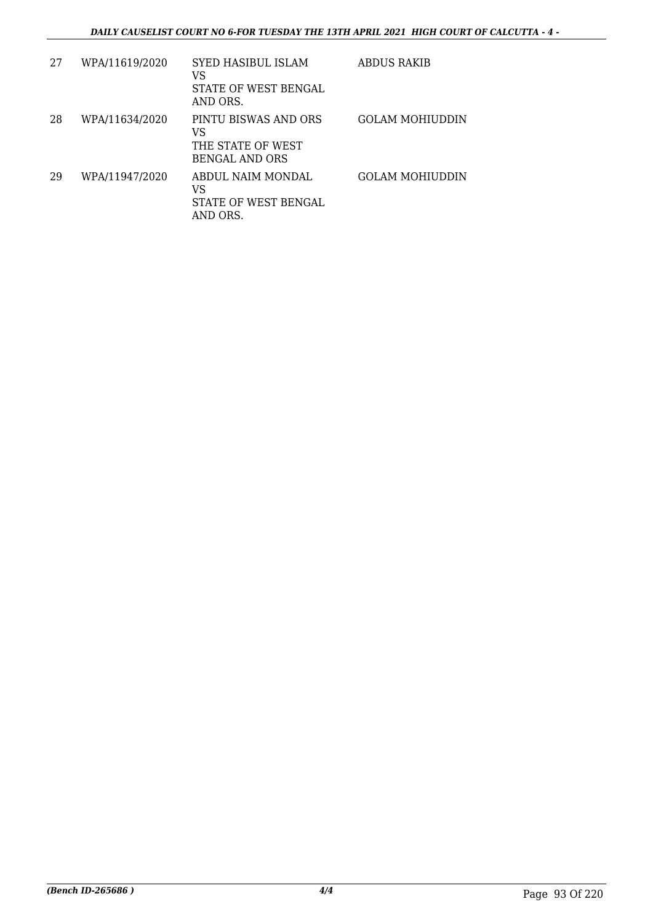| 27 | WPA/11619/2020 | <b>SYED HASIBUL ISLAM</b><br>VS<br>STATE OF WEST BENGAL<br>AND ORS. | ABDUS RAKIB     |
|----|----------------|---------------------------------------------------------------------|-----------------|
| 28 | WPA/11634/2020 | PINTU BISWAS AND ORS<br>VS<br>THE STATE OF WEST<br>BENGAL AND ORS   | GOLAM MOHIUDDIN |
| 29 | WPA/11947/2020 | ABDUL NAIM MONDAL<br>VS<br>STATE OF WEST BENGAL<br>AND ORS.         | GOLAM MOHIUDDIN |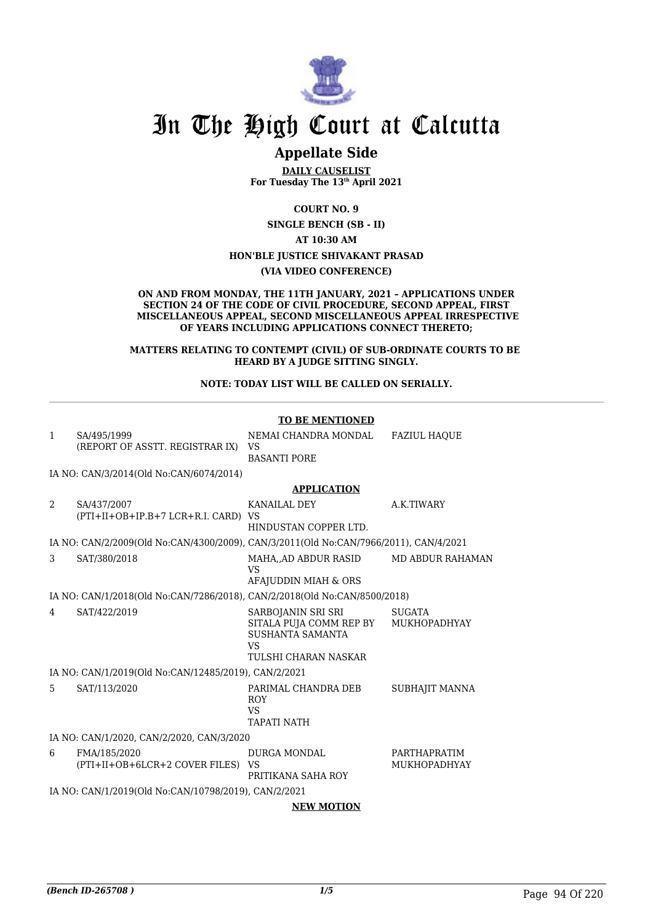

## **Appellate Side**

**DAILY CAUSELIST For Tuesday The 13th April 2021**

**COURT NO. 9**

**SINGLE BENCH (SB - II)**

**AT 10:30 AM**

#### **HON'BLE JUSTICE SHIVAKANT PRASAD**

**(VIA VIDEO CONFERENCE)**

#### **ON AND FROM MONDAY, THE 11TH JANUARY, 2021 – APPLICATIONS UNDER SECTION 24 OF THE CODE OF CIVIL PROCEDURE, SECOND APPEAL, FIRST MISCELLANEOUS APPEAL, SECOND MISCELLANEOUS APPEAL IRRESPECTIVE OF YEARS INCLUDING APPLICATIONS CONNECT THERETO;**

**MATTERS RELATING TO CONTEMPT (CIVIL) OF SUB-ORDINATE COURTS TO BE HEARD BY A JUDGE SITTING SINGLY.**

**NOTE: TODAY LIST WILL BE CALLED ON SERIALLY.**

|                                                                           |                                                                                       | <b>TO BE MENTIONED</b>                                                                                                     |                                     |
|---------------------------------------------------------------------------|---------------------------------------------------------------------------------------|----------------------------------------------------------------------------------------------------------------------------|-------------------------------------|
| 1                                                                         | SA/495/1999                                                                           | NEMAI CHANDRA MONDAL                                                                                                       | <b>FAZIUL HAQUE</b>                 |
|                                                                           | (REPORT OF ASSTT. REGISTRAR IX)                                                       | VS<br><b>BASANTI PORE</b>                                                                                                  |                                     |
|                                                                           |                                                                                       |                                                                                                                            |                                     |
|                                                                           | IA NO: CAN/3/2014(Old No:CAN/6074/2014)                                               |                                                                                                                            |                                     |
|                                                                           |                                                                                       | <b>APPLICATION</b>                                                                                                         |                                     |
| $\mathcal{L}$                                                             | SA/437/2007<br>(PTI+II+OB+IP.B+7 LCR+R.I. CARD) VS                                    | KANAILAL DEY                                                                                                               | A.K.TIWARY                          |
|                                                                           |                                                                                       | HINDUSTAN COPPER LTD.                                                                                                      |                                     |
|                                                                           | IA NO: CAN/2/2009(Old No:CAN/4300/2009), CAN/3/2011(Old No:CAN/7966/2011), CAN/4/2021 |                                                                                                                            |                                     |
| 3                                                                         | SAT/380/2018                                                                          | MAHA, AD ABDUR RASID<br>VS                                                                                                 | <b>MD ABDUR RAHAMAN</b>             |
|                                                                           |                                                                                       | AFAJUDDIN MIAH & ORS                                                                                                       |                                     |
| IA NO: CAN/1/2018(Old No:CAN/7286/2018), CAN/2/2018(Old No:CAN/8500/2018) |                                                                                       |                                                                                                                            |                                     |
| 4                                                                         | SAT/422/2019                                                                          | SARBOJANIN SRI SRI<br>SITALA PUJA COMM REP BY MUKHOPADHYAY<br><b>SUSHANTA SAMANTA</b><br><b>VS</b><br>TULSHI CHARAN NASKAR | SUGATA                              |
|                                                                           | IA NO: CAN/1/2019(Old No:CAN/12485/2019), CAN/2/2021                                  |                                                                                                                            |                                     |
| 5                                                                         | SAT/113/2020                                                                          | PARIMAL CHANDRA DEB<br><b>ROY</b><br>VS<br><b>TAPATI NATH</b>                                                              | SUBHAJIT MANNA                      |
|                                                                           | IA NO: CAN/1/2020, CAN/2/2020, CAN/3/2020                                             |                                                                                                                            |                                     |
| 6                                                                         | FMA/185/2020<br>(PTI+II+OB+6LCR+2 COVER FILES) VS                                     | <b>DURGA MONDAL</b><br>PRITIKANA SAHA ROY                                                                                  | PARTHAPRATIM<br><b>MUKHOPADHYAY</b> |
|                                                                           | IA NO: CAN/1/2019(Old No:CAN/10798/2019), CAN/2/2021                                  |                                                                                                                            |                                     |
|                                                                           |                                                                                       | <b>NEW MOTION</b>                                                                                                          |                                     |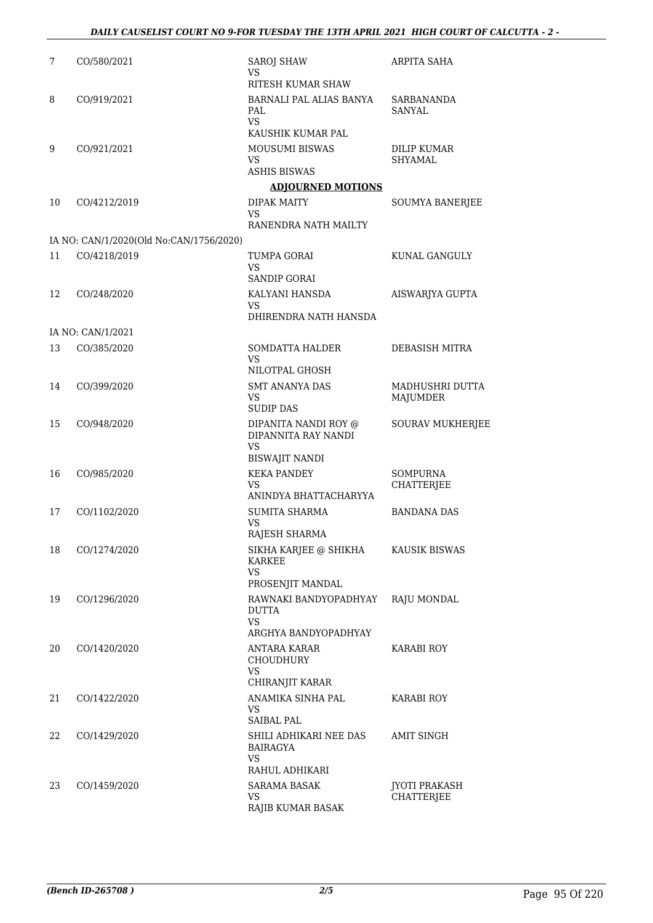| 7  | CO/580/2021                             | <b>SAROJ SHAW</b><br>VS                                          | ARPITA SAHA                          |
|----|-----------------------------------------|------------------------------------------------------------------|--------------------------------------|
|    |                                         | RITESH KUMAR SHAW                                                |                                      |
| 8  | CO/919/2021                             | BARNALI PAL ALIAS BANYA<br>PAL<br><b>VS</b><br>KAUSHIK KUMAR PAL | SARBANANDA<br>SANYAL                 |
| 9  | CO/921/2021                             | MOUSUMI BISWAS                                                   | <b>DILIP KUMAR</b>                   |
|    |                                         | <b>VS</b>                                                        | SHYAMAL                              |
|    |                                         | <b>ASHIS BISWAS</b>                                              |                                      |
|    |                                         | <b>ADJOURNED MOTIONS</b>                                         |                                      |
| 10 | CO/4212/2019                            | <b>DIPAK MAITY</b><br>VS                                         | SOUMYA BANERJEE                      |
|    |                                         | RANENDRA NATH MAILTY                                             |                                      |
|    | IA NO: CAN/1/2020(Old No:CAN/1756/2020) |                                                                  |                                      |
| 11 | CO/4218/2019                            | TUMPA GORAI<br>VS.<br><b>SANDIP GORAI</b>                        | KUNAL GANGULY                        |
| 12 | CO/248/2020                             | KALYANI HANSDA                                                   | AISWARJYA GUPTA                      |
|    |                                         | VS                                                               |                                      |
|    |                                         | DHIRENDRA NATH HANSDA                                            |                                      |
|    | IA NO: CAN/1/2021                       |                                                                  |                                      |
| 13 | CO/385/2020                             | <b>SOMDATTA HALDER</b><br>VS.                                    | DEBASISH MITRA                       |
|    |                                         | NILOTPAL GHOSH                                                   |                                      |
| 14 | CO/399/2020                             | <b>SMT ANANYA DAS</b><br>VS                                      | MADHUSHRI DUTTA<br>MAJUMDER          |
|    |                                         | <b>SUDIP DAS</b>                                                 |                                      |
| 15 | CO/948/2020                             | DIPANITA NANDI ROY @<br>DIPANNITA RAY NANDI                      | <b>SOURAV MUKHERJEE</b>              |
|    |                                         | VS<br><b>BISWAJIT NANDI</b>                                      |                                      |
| 16 | CO/985/2020                             | <b>KEKA PANDEY</b><br>VS                                         | <b>SOMPURNA</b><br><b>CHATTERJEE</b> |
|    |                                         | ANINDYA BHATTACHARYYA                                            |                                      |
| 17 | CO/1102/2020                            | SUMITA SHARMA<br><b>VS</b>                                       | <b>BANDANA DAS</b>                   |
|    |                                         | RAJESH SHARMA                                                    |                                      |
| 18 | CO/1274/2020                            | SIKHA KARJEE @ SHIKHA<br>KARKEE<br><b>VS</b>                     | KAUSIK BISWAS                        |
|    |                                         | PROSENJIT MANDAL                                                 |                                      |
| 19 | CO/1296/2020                            | RAWNAKI BANDYOPADHYAY<br><b>DUTTA</b>                            | <b>RAJU MONDAL</b>                   |
|    |                                         | <b>VS</b><br>ARGHYA BANDYOPADHYAY                                |                                      |
| 20 | CO/1420/2020                            | ANTARA KARAR<br>CHOUDHURY                                        | KARABI ROY                           |
|    |                                         | <b>VS</b><br>CHIRANJIT KARAR                                     |                                      |
| 21 | CO/1422/2020                            | ANAMIKA SINHA PAL                                                | <b>KARABI ROY</b>                    |
|    |                                         | VS.<br><b>SAIBAL PAL</b>                                         |                                      |
| 22 | CO/1429/2020                            | SHILI ADHIKARI NEE DAS<br>BAIRAGYA<br>VS.<br>RAHUL ADHIKARI      | AMIT SINGH                           |
| 23 | CO/1459/2020                            | <b>SARAMA BASAK</b>                                              | JYOTI PRAKASH                        |
|    |                                         | VS.<br>RAJIB KUMAR BASAK                                         | <b>CHATTERJEE</b>                    |
|    |                                         |                                                                  |                                      |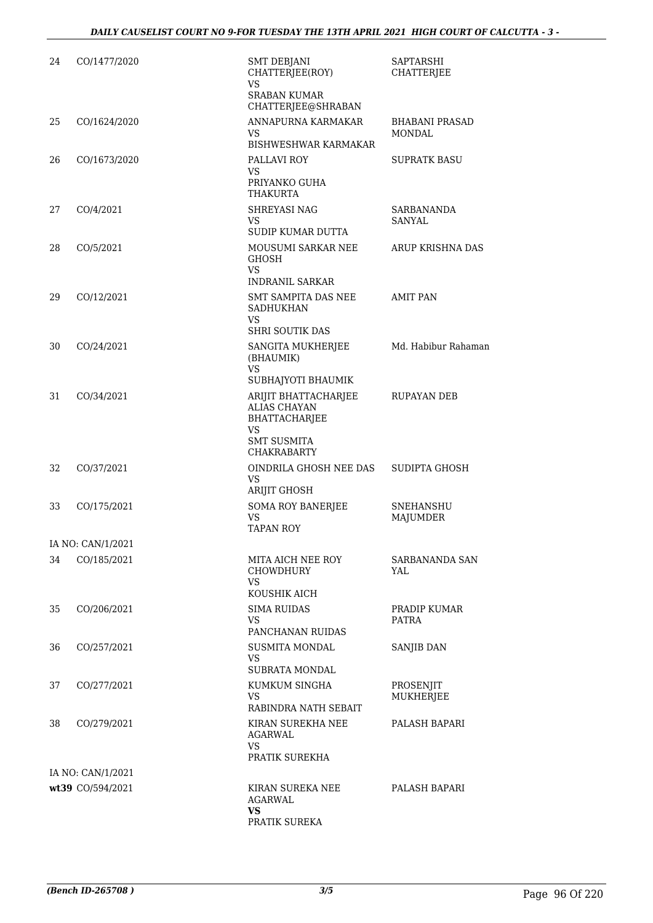| 24 | CO/1477/2020      | <b>SMT DEBJANI</b><br>CHATTERJEE(ROY)<br>VS      | SAPTARSHI<br><b>CHATTERJEE</b> |
|----|-------------------|--------------------------------------------------|--------------------------------|
|    |                   | <b>SRABAN KUMAR</b><br>CHATTERJEE@SHRABAN        |                                |
| 25 | CO/1624/2020      | ANNAPURNA KARMAKAR                               | <b>BHABANI PRASAD</b>          |
|    |                   | <b>VS</b><br><b>BISHWESHWAR KARMAKAR</b>         | MONDAL                         |
| 26 | CO/1673/2020      | PALLAVI ROY                                      | <b>SUPRATK BASU</b>            |
|    |                   | <b>VS</b><br>PRIYANKO GUHA<br><b>THAKURTA</b>    |                                |
| 27 | CO/4/2021         | SHREYASI NAG<br>VS.                              | SARBANANDA<br>SANYAL           |
| 28 | CO/5/2021         | SUDIP KUMAR DUTTA<br>MOUSUMI SARKAR NEE          | ARUP KRISHNA DAS               |
|    |                   | <b>GHOSH</b><br>VS.                              |                                |
| 29 | CO/12/2021        | <b>INDRANIL SARKAR</b><br>SMT SAMPITA DAS NEE    | <b>AMIT PAN</b>                |
|    |                   | <b>SADHUKHAN</b><br>VS<br><b>SHRI SOUTIK DAS</b> |                                |
| 30 | CO/24/2021        | SANGITA MUKHERJEE                                | Md. Habibur Rahaman            |
|    |                   | (BHAUMIK)<br>VS                                  |                                |
| 31 | CO/34/2021        | SUBHAJYOTI BHAUMIK<br>ARIJIT BHATTACHARJEE       | RUPAYAN DEB                    |
|    |                   | <b>ALIAS CHAYAN</b><br>BHATTACHARJEE<br>VS       |                                |
|    |                   | <b>SMT SUSMITA</b><br><b>CHAKRABARTY</b>         |                                |
| 32 | CO/37/2021        | OINDRILA GHOSH NEE DAS<br>VS<br>ARIJIT GHOSH     | SUDIPTA GHOSH                  |
| 33 | CO/175/2021       | <b>SOMA ROY BANERJEE</b>                         | <b>SNEHANSHU</b>               |
|    |                   | <b>VS</b><br><b>TAPAN ROY</b>                    | MAJUMDER                       |
|    | IA NO: CAN/1/2021 |                                                  |                                |
| 34 | CO/185/2021       | MITA AICH NEE ROY<br>CHOWDHURY<br>VS.            | SARBANANDA SAN<br>YAL          |
|    |                   | KOUSHIK AICH                                     |                                |
| 35 | CO/206/2021       | <b>SIMA RUIDAS</b><br>VS                         | PRADIP KUMAR<br><b>PATRA</b>   |
|    |                   | PANCHANAN RUIDAS                                 |                                |
| 36 | CO/257/2021       | <b>SUSMITA MONDAL</b><br>VS.                     | SANJIB DAN                     |
|    |                   | <b>SUBRATA MONDAL</b>                            |                                |
| 37 | CO/277/2021       | KUMKUM SINGHA                                    | PROSENJIT                      |
|    |                   | <b>VS</b><br>RABINDRA NATH SEBAIT                | MUKHERJEE                      |
| 38 | CO/279/2021       | KIRAN SUREKHA NEE<br>AGARWAL                     | PALASH BAPARI                  |
|    |                   | VS<br>PRATIK SUREKHA                             |                                |
|    | IA NO: CAN/1/2021 |                                                  |                                |
|    | wt39 CO/594/2021  | KIRAN SUREKA NEE<br><b>AGARWAL</b><br><b>VS</b>  | PALASH BAPARI                  |
|    |                   | PRATIK SUREKA                                    |                                |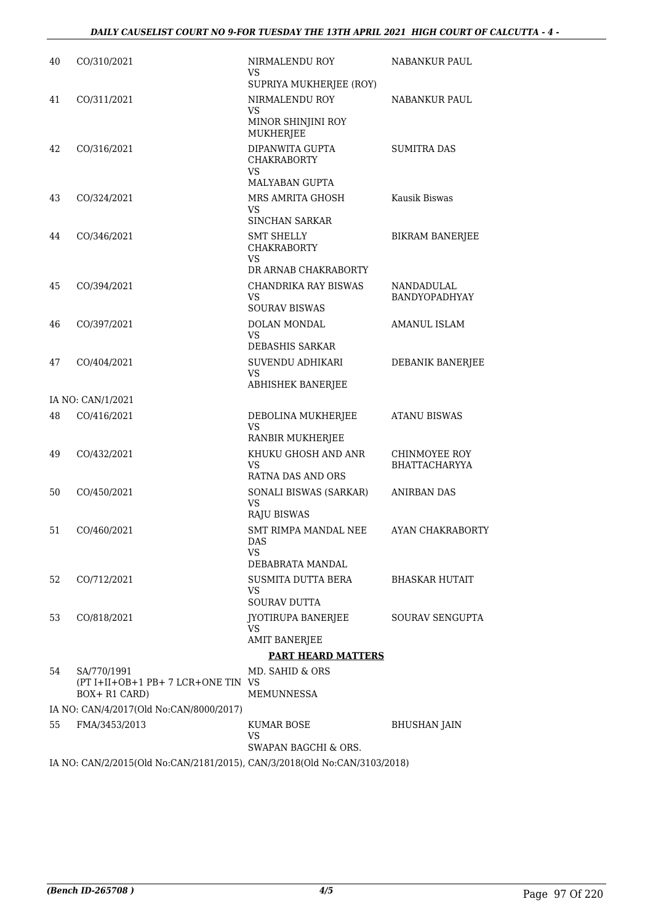| 40 | CO/310/2021                                                               | NIRMALENDU ROY<br>VS.<br>SUPRIYA MUKHERJEE (ROY)          | NABANKUR PAUL                         |
|----|---------------------------------------------------------------------------|-----------------------------------------------------------|---------------------------------------|
| 41 | CO/311/2021                                                               | NIRMALENDU ROY<br><b>VS</b>                               | <b>NABANKUR PAUL</b>                  |
|    |                                                                           | MINOR SHINJINI ROY<br><b>MUKHERJEE</b>                    |                                       |
| 42 | CO/316/2021                                                               | DIPANWITA GUPTA<br><b>CHAKRABORTY</b><br>VS.              | <b>SUMITRA DAS</b>                    |
|    |                                                                           | MALYABAN GUPTA                                            |                                       |
| 43 | CO/324/2021                                                               | MRS AMRITA GHOSH<br>VS<br><b>SINCHAN SARKAR</b>           | Kausik Biswas                         |
| 44 | CO/346/2021                                                               | <b>SMT SHELLY</b><br><b>CHAKRABORTY</b>                   | <b>BIKRAM BANERJEE</b>                |
|    |                                                                           | VS.                                                       |                                       |
|    |                                                                           | DR ARNAB CHAKRABORTY                                      | <b>NANDADULAL</b>                     |
| 45 | CO/394/2021                                                               | CHANDRIKA RAY BISWAS<br>VS.<br><b>SOURAV BISWAS</b>       | BANDYOPADHYAY                         |
| 46 | CO/397/2021                                                               | DOLAN MONDAL                                              | <b>AMANUL ISLAM</b>                   |
|    |                                                                           | VS<br>DEBASHIS SARKAR                                     |                                       |
| 47 | CO/404/2021                                                               | SUVENDU ADHIKARI                                          | DEBANIK BANERJEE                      |
|    |                                                                           | <b>VS</b><br>ABHISHEK BANERJEE                            |                                       |
|    | IA NO: CAN/1/2021                                                         |                                                           |                                       |
| 48 | CO/416/2021                                                               | DEBOLINA MUKHERJEE<br><b>VS</b><br>RANBIR MUKHERJEE       | <b>ATANU BISWAS</b>                   |
| 49 | CO/432/2021                                                               | KHUKU GHOSH AND ANR<br>VS.                                | CHINMOYEE ROY<br><b>BHATTACHARYYA</b> |
|    |                                                                           | RATNA DAS AND ORS                                         |                                       |
| 50 | CO/450/2021                                                               | SONALI BISWAS (SARKAR)<br><b>VS</b><br><b>RAJU BISWAS</b> | <b>ANIRBAN DAS</b>                    |
| 51 | CO/460/2021                                                               | SMT RIMPA MANDAL NEE<br><b>DAS</b><br>VS                  | AYAN CHAKRABORTY                      |
|    |                                                                           | DEBABRATA MANDAL                                          |                                       |
| 52 | CO/712/2021                                                               | SUSMITA DUTTA BERA<br>VS<br><b>SOURAV DUTTA</b>           | BHASKAR HUTAIT                        |
| 53 | CO/818/2021                                                               | JYOTIRUPA BANERJEE<br><b>VS</b>                           | SOURAV SENGUPTA                       |
|    |                                                                           | <b>AMIT BANERJEE</b>                                      |                                       |
|    |                                                                           | <b>PART HEARD MATTERS</b>                                 |                                       |
| 54 | SA/770/1991<br>(PT I+II+OB+1 PB+7 LCR+ONE TIN VS<br>BOX+R1 CARD)          | MD. SAHID & ORS<br><b>MEMUNNESSA</b>                      |                                       |
|    | IA NO: CAN/4/2017(Old No:CAN/8000/2017)                                   |                                                           |                                       |
| 55 | FMA/3453/2013                                                             | KUMAR BOSE<br>VS                                          | BHUSHAN JAIN                          |
|    |                                                                           | SWAPAN BAGCHI & ORS.                                      |                                       |
|    | IA NO: CAN/2/2015(Old No:CAN/2181/2015), CAN/3/2018(Old No:CAN/3103/2018) |                                                           |                                       |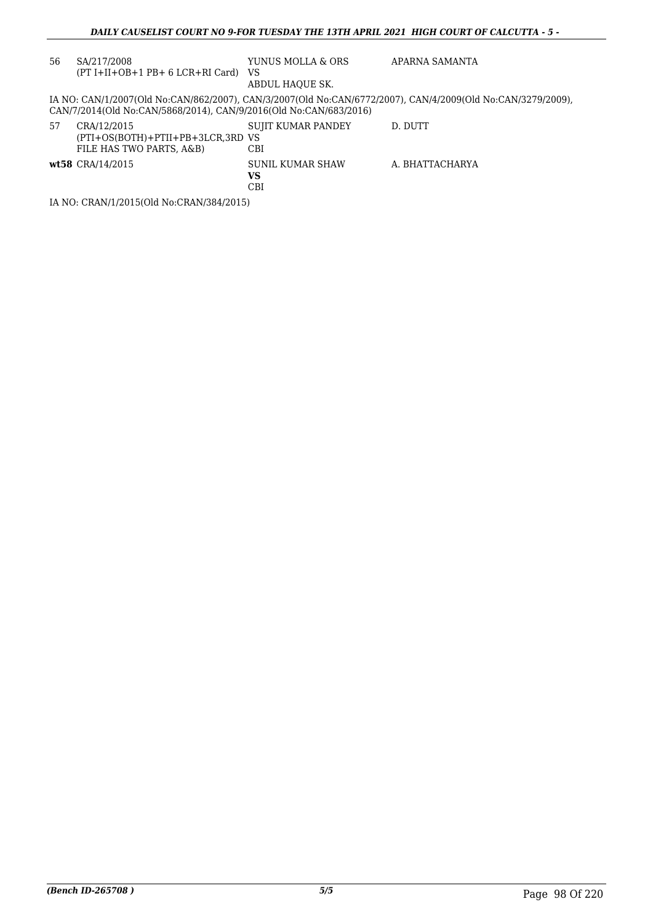| 56 | SA/217/2008<br>$(PT I+II+OB+1 PB+ 6 LCR+RI Card)$                            | YUNUS MOLLA & ORS<br>VS<br>ABDUL HAOUE SK. | APARNA SAMANTA                                                                                              |
|----|------------------------------------------------------------------------------|--------------------------------------------|-------------------------------------------------------------------------------------------------------------|
|    | CAN/7/2014(Old No:CAN/5868/2014), CAN/9/2016(Old No:CAN/683/2016)            |                                            | IA NO: CAN/1/2007(Old No:CAN/862/2007), CAN/3/2007(Old No:CAN/6772/2007), CAN/4/2009(Old No:CAN/3279/2009), |
| 57 | CRA/12/2015<br>(PTI+OS(BOTH)+PTII+PB+3LCR,3RD VS<br>FILE HAS TWO PARTS, A&B) | SUJIT KUMAR PANDEY<br>CBI                  | D. DUTT                                                                                                     |
|    | wt58 CRA/14/2015                                                             | SUNIL KUMAR SHAW<br>VS<br>CBI              | A. BHATTACHARYA                                                                                             |
|    | IA NO: CRAN/1/2015(Old No:CRAN/384/2015)                                     |                                            |                                                                                                             |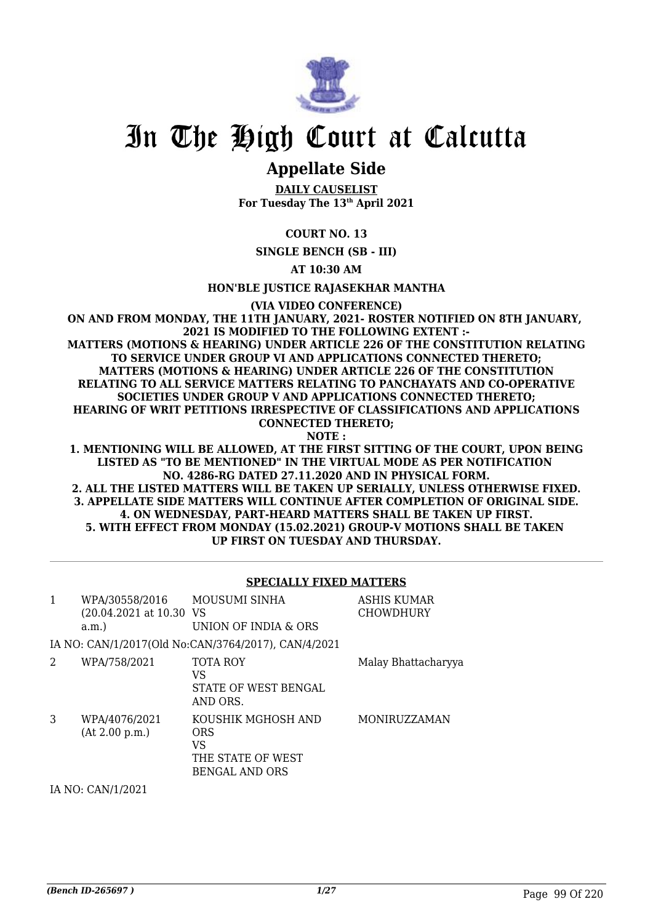

# **Appellate Side**

**DAILY CAUSELIST For Tuesday The 13th April 2021**

**COURT NO. 13**

**SINGLE BENCH (SB - III)**

**AT 10:30 AM**

**HON'BLE JUSTICE RAJASEKHAR MANTHA**

**(VIA VIDEO CONFERENCE)**

**ON AND FROM MONDAY, THE 11TH JANUARY, 2021- ROSTER NOTIFIED ON 8TH JANUARY, 2021 IS MODIFIED TO THE FOLLOWING EXTENT :- MATTERS (MOTIONS & HEARING) UNDER ARTICLE 226 OF THE CONSTITUTION RELATING TO SERVICE UNDER GROUP VI AND APPLICATIONS CONNECTED THERETO; MATTERS (MOTIONS & HEARING) UNDER ARTICLE 226 OF THE CONSTITUTION RELATING TO ALL SERVICE MATTERS RELATING TO PANCHAYATS AND CO-OPERATIVE SOCIETIES UNDER GROUP V AND APPLICATIONS CONNECTED THERETO; HEARING OF WRIT PETITIONS IRRESPECTIVE OF CLASSIFICATIONS AND APPLICATIONS CONNECTED THERETO; NOTE :**

**1. MENTIONING WILL BE ALLOWED, AT THE FIRST SITTING OF THE COURT, UPON BEING LISTED AS "TO BE MENTIONED" IN THE VIRTUAL MODE AS PER NOTIFICATION NO. 4286-RG DATED 27.11.2020 AND IN PHYSICAL FORM. 2. ALL THE LISTED MATTERS WILL BE TAKEN UP SERIALLY, UNLESS OTHERWISE FIXED. 3. APPELLATE SIDE MATTERS WILL CONTINUE AFTER COMPLETION OF ORIGINAL SIDE. 4. ON WEDNESDAY, PART-HEARD MATTERS SHALL BE TAKEN UP FIRST. 5. WITH EFFECT FROM MONDAY (15.02.2021) GROUP-V MOTIONS SHALL BE TAKEN UP FIRST ON TUESDAY AND THURSDAY.**

## **SPECIALLY FIXED MATTERS**

| $\mathbf{1}$ | WPA/30558/2016<br>(20.04.2021 at 10.30 VS<br>a.m. | <b>MOUSUMI SINHA</b><br>UNION OF INDIA & ORS                                  | ASHIS KUMAR<br><b>CHOWDHURY</b> |
|--------------|---------------------------------------------------|-------------------------------------------------------------------------------|---------------------------------|
|              |                                                   | IA NO: CAN/1/2017(Old No:CAN/3764/2017), CAN/4/2021                           |                                 |
| 2            | WPA/758/2021                                      | <b>TOTA ROY</b><br>VS<br>STATE OF WEST BENGAL<br>AND ORS.                     | Malay Bhattacharyya             |
| 3            | WPA/4076/2021<br>(At 2.00 p.m.)                   | KOUSHIK MGHOSH AND<br>ORS<br>VS<br>THE STATE OF WEST<br><b>BENGAL AND ORS</b> | MONIRUZZAMAN                    |

IA NO: CAN/1/2021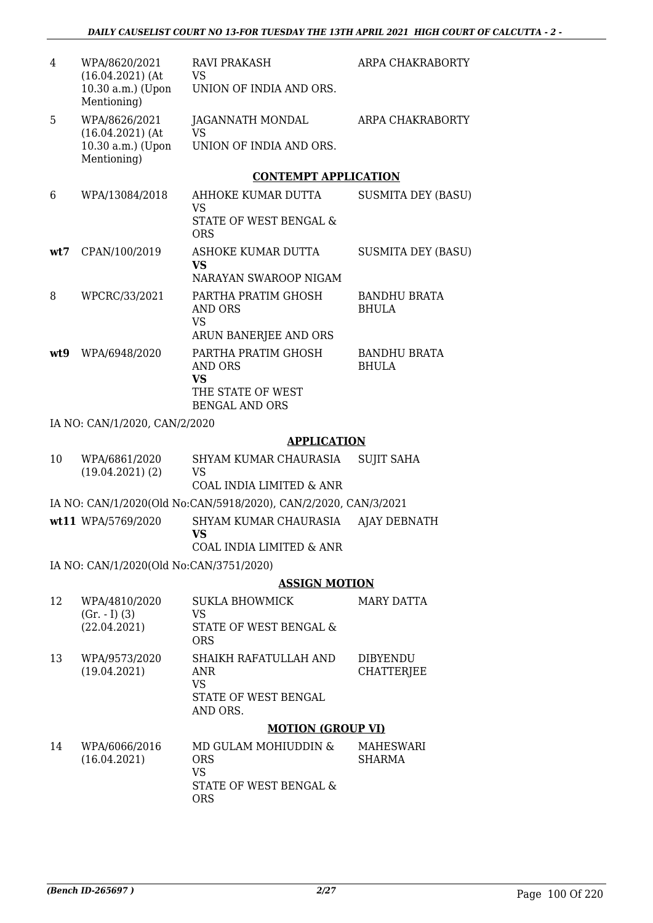| 4   | WPA/8620/2021<br>$(16.04.2021)$ (At     | RAVI PRAKASH<br><b>VS</b>                                       | ARPA CHAKRABORTY                    |
|-----|-----------------------------------------|-----------------------------------------------------------------|-------------------------------------|
|     | 10.30 a.m.) (Upon<br>Mentioning)        | UNION OF INDIA AND ORS.                                         |                                     |
| 5   | WPA/8626/2021<br>$(16.04.2021)$ (At     | JAGANNATH MONDAL<br><b>VS</b>                                   | ARPA CHAKRABORTY                    |
|     | 10.30 a.m.) (Upon<br>Mentioning)        | UNION OF INDIA AND ORS.                                         |                                     |
|     |                                         | <b>CONTEMPT APPLICATION</b>                                     |                                     |
| 6   | WPA/13084/2018                          | AHHOKE KUMAR DUTTA<br><b>VS</b>                                 | <b>SUSMITA DEY (BASU)</b>           |
|     |                                         | STATE OF WEST BENGAL &<br><b>ORS</b>                            |                                     |
| wt7 | CPAN/100/2019                           | ASHOKE KUMAR DUTTA                                              | <b>SUSMITA DEY (BASU)</b>           |
|     |                                         | VS<br>NARAYAN SWAROOP NIGAM                                     |                                     |
| 8   | WPCRC/33/2021                           | PARTHA PRATIM GHOSH<br>AND ORS                                  | <b>BANDHU BRATA</b><br><b>BHULA</b> |
|     |                                         | <b>VS</b>                                                       |                                     |
|     |                                         | ARUN BANERJEE AND ORS                                           |                                     |
| wt9 | WPA/6948/2020                           | PARTHA PRATIM GHOSH<br><b>AND ORS</b><br><b>VS</b>              | <b>BANDHU BRATA</b><br><b>BHULA</b> |
|     |                                         | THE STATE OF WEST<br><b>BENGAL AND ORS</b>                      |                                     |
|     | IA NO: CAN/1/2020, CAN/2/2020           |                                                                 |                                     |
|     |                                         | <b>APPLICATION</b>                                              |                                     |
| 10  | WPA/6861/2020                           | SHYAM KUMAR CHAURASIA                                           | <b>SUJIT SAHA</b>                   |
|     | (19.04.2021)(2)                         | VS<br>COAL INDIA LIMITED & ANR                                  |                                     |
|     |                                         | IA NO: CAN/1/2020(Old No:CAN/5918/2020), CAN/2/2020, CAN/3/2021 |                                     |
|     | wt11 WPA/5769/2020                      | SHYAM KUMAR CHAURASIA<br><b>VS</b>                              | AJAY DEBNATH                        |
|     |                                         | COAL INDIA LIMITED & ANR                                        |                                     |
|     | IA NO: CAN/1/2020(Old No:CAN/3751/2020) |                                                                 |                                     |
|     |                                         | <b>ASSIGN MOTION</b>                                            |                                     |
| 12  | WPA/4810/2020                           | <b>SUKLA BHOWMICK</b>                                           | <b>MARY DATTA</b>                   |
|     | $(Gr. - I) (3)$                         | <b>VS</b>                                                       |                                     |
|     | (22.04.2021)                            | STATE OF WEST BENGAL &<br><b>ORS</b>                            |                                     |
| 13  | WPA/9573/2020                           | SHAIKH RAFATULLAH AND                                           | <b>DIBYENDU</b>                     |
|     | (19.04.2021)                            | <b>ANR</b><br><b>VS</b>                                         | <b>CHATTERIEE</b>                   |
|     |                                         | STATE OF WEST BENGAL<br>AND ORS.                                |                                     |
|     |                                         | <b>MOTION (GROUP VI)</b>                                        |                                     |
| 14  | WPA/6066/2016                           | MD GULAM MOHIUDDIN &                                            | MAHESWARI                           |
|     | (16.04.2021)                            | <b>ORS</b><br><b>VS</b>                                         | SHARMA                              |
|     |                                         | STATE OF WEST BENGAL &                                          |                                     |

ORS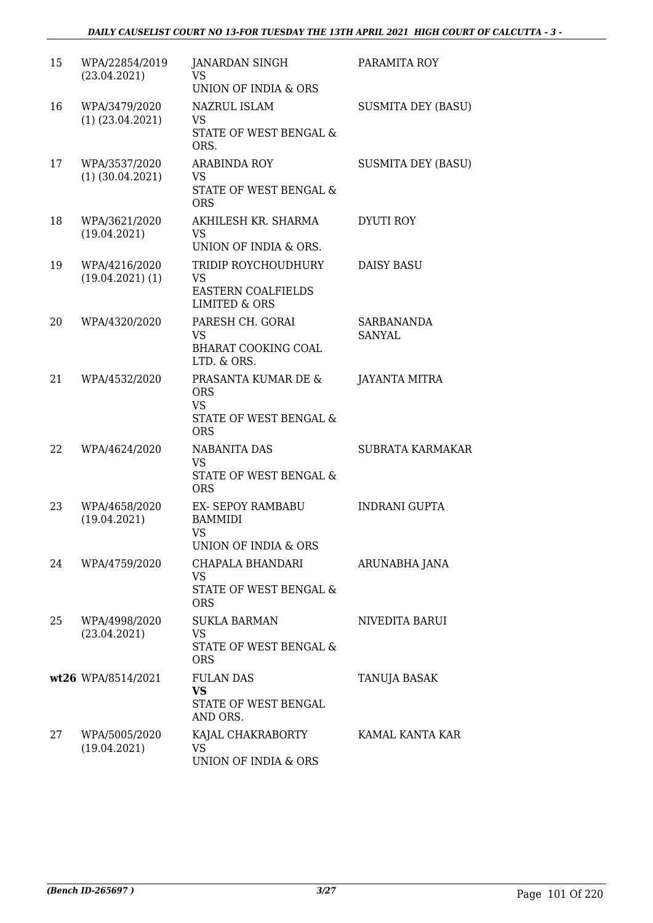| 15 | WPA/22854/2019<br>(23.04.2021)        | JANARDAN SINGH<br><b>VS</b><br>UNION OF INDIA & ORS                                       | PARAMITA ROY              |
|----|---------------------------------------|-------------------------------------------------------------------------------------------|---------------------------|
| 16 | WPA/3479/2020<br>$(1)$ $(23.04.2021)$ | NAZRUL ISLAM<br><b>VS</b><br><b>STATE OF WEST BENGAL &amp;</b><br>ORS.                    | <b>SUSMITA DEY (BASU)</b> |
| 17 | WPA/3537/2020<br>$(1)$ $(30.04.2021)$ | <b>ARABINDA ROY</b><br><b>VS</b><br>STATE OF WEST BENGAL &<br><b>ORS</b>                  | <b>SUSMITA DEY (BASU)</b> |
| 18 | WPA/3621/2020<br>(19.04.2021)         | AKHILESH KR. SHARMA<br>VS.<br>UNION OF INDIA & ORS.                                       | <b>DYUTI ROY</b>          |
| 19 | WPA/4216/2020<br>$(19.04.2021)$ $(1)$ | TRIDIP ROYCHOUDHURY<br><b>VS</b><br><b>EASTERN COALFIELDS</b><br><b>LIMITED &amp; ORS</b> | <b>DAISY BASU</b>         |
| 20 | WPA/4320/2020                         | PARESH CH. GORAI<br><b>VS</b><br><b>BHARAT COOKING COAL</b><br>LTD. & ORS.                | SARBANANDA<br>SANYAL      |
| 21 | WPA/4532/2020                         | PRASANTA KUMAR DE &<br><b>ORS</b><br><b>VS</b><br>STATE OF WEST BENGAL &<br><b>ORS</b>    | JAYANTA MITRA             |
| 22 | WPA/4624/2020                         | <b>NABANITA DAS</b><br><b>VS</b><br><b>STATE OF WEST BENGAL &amp;</b><br><b>ORS</b>       | <b>SUBRATA KARMAKAR</b>   |
| 23 | WPA/4658/2020<br>(19.04.2021)         | <b>EX- SEPOY RAMBABU</b><br><b>BAMMIDI</b><br><b>VS</b><br>UNION OF INDIA & ORS           | <b>INDRANI GUPTA</b>      |
| 24 | WPA/4759/2020                         | CHAPALA BHANDARI<br><b>VS</b><br>STATE OF WEST BENGAL &<br><b>ORS</b>                     | ARUNABHA JANA             |
| 25 | WPA/4998/2020<br>(23.04.2021)         | <b>SUKLA BARMAN</b><br>VS<br>STATE OF WEST BENGAL &<br><b>ORS</b>                         | NIVEDITA BARUI            |
|    | wt26 WPA/8514/2021                    | <b>FULAN DAS</b><br><b>VS</b><br>STATE OF WEST BENGAL<br>AND ORS.                         | <b>TANUJA BASAK</b>       |
| 27 | WPA/5005/2020<br>(19.04.2021)         | KAJAL CHAKRABORTY<br><b>VS</b><br>UNION OF INDIA & ORS                                    | KAMAL KANTA KAR           |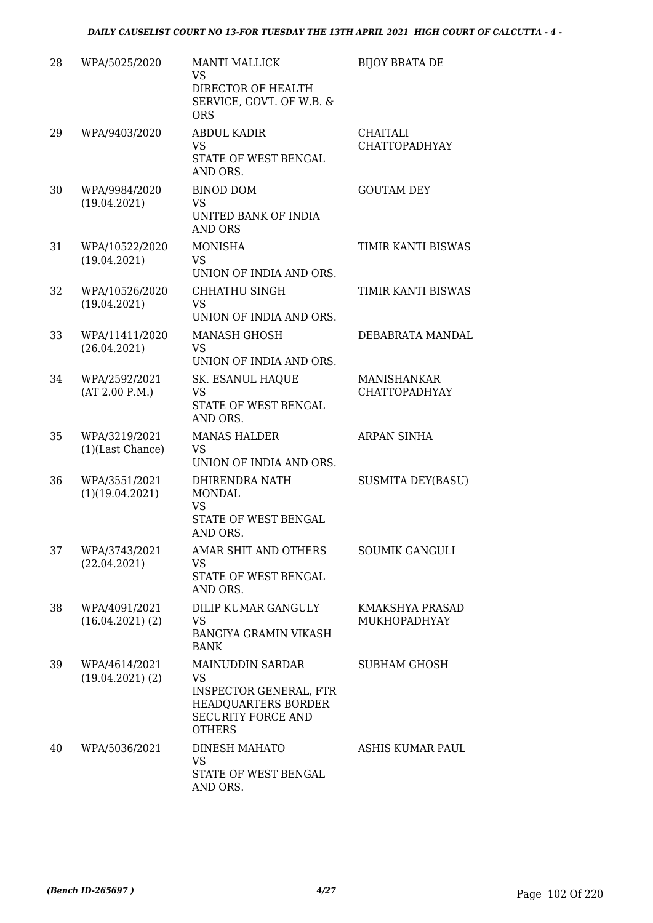| 28 | WPA/5025/2020                         | <b>MANTI MALLICK</b><br><b>VS</b><br>DIRECTOR OF HEALTH<br>SERVICE, GOVT. OF W.B. &<br><b>ORS</b>                                   | <b>BIJOY BRATA DE</b>                      |
|----|---------------------------------------|-------------------------------------------------------------------------------------------------------------------------------------|--------------------------------------------|
| 29 | WPA/9403/2020                         | <b>ABDUL KADIR</b><br><b>VS</b><br>STATE OF WEST BENGAL<br>AND ORS.                                                                 | CHAITALI<br><b>CHATTOPADHYAY</b>           |
| 30 | WPA/9984/2020<br>(19.04.2021)         | <b>BINOD DOM</b><br><b>VS</b><br>UNITED BANK OF INDIA<br><b>AND ORS</b>                                                             | <b>GOUTAM DEY</b>                          |
| 31 | WPA/10522/2020<br>(19.04.2021)        | <b>MONISHA</b><br><b>VS</b><br>UNION OF INDIA AND ORS.                                                                              | TIMIR KANTI BISWAS                         |
| 32 | WPA/10526/2020<br>(19.04.2021)        | <b>CHHATHU SINGH</b><br><b>VS</b><br>UNION OF INDIA AND ORS.                                                                        | TIMIR KANTI BISWAS                         |
| 33 | WPA/11411/2020<br>(26.04.2021)        | <b>MANASH GHOSH</b><br><b>VS</b><br>UNION OF INDIA AND ORS.                                                                         | DEBABRATA MANDAL                           |
| 34 | WPA/2592/2021<br>(AT 2.00 P.M.)       | SK. ESANUL HAQUE<br><b>VS</b><br>STATE OF WEST BENGAL<br>AND ORS.                                                                   | <b>MANISHANKAR</b><br><b>CHATTOPADHYAY</b> |
| 35 | WPA/3219/2021<br>(1)(Last Chance)     | <b>MANAS HALDER</b><br><b>VS</b><br>UNION OF INDIA AND ORS.                                                                         | ARPAN SINHA                                |
| 36 | WPA/3551/2021<br>(1)(19.04.2021)      | DHIRENDRA NATH<br>MONDAL<br><b>VS</b><br>STATE OF WEST BENGAL<br>AND ORS.                                                           | <b>SUSMITA DEY(BASU)</b>                   |
| 37 | WPA/3743/2021<br>(22.04.2021)         | AMAR SHIT AND OTHERS<br><b>VS</b><br>STATE OF WEST BENGAL<br>AND ORS.                                                               | SOUMIK GANGULI                             |
| 38 | WPA/4091/2021<br>$(16.04.2021)$ $(2)$ | DILIP KUMAR GANGULY<br><b>VS</b><br><b>BANGIYA GRAMIN VIKASH</b><br><b>BANK</b>                                                     | KMAKSHYA PRASAD<br>MUKHOPADHYAY            |
| 39 | WPA/4614/2021<br>(19.04.2021)(2)      | MAINUDDIN SARDAR<br><b>VS</b><br><b>INSPECTOR GENERAL, FTR</b><br>HEADQUARTERS BORDER<br><b>SECURITY FORCE AND</b><br><b>OTHERS</b> | <b>SUBHAM GHOSH</b>                        |
| 40 | WPA/5036/2021                         | <b>DINESH MAHATO</b><br><b>VS</b><br>STATE OF WEST BENGAL<br>AND ORS.                                                               | ASHIS KUMAR PAUL                           |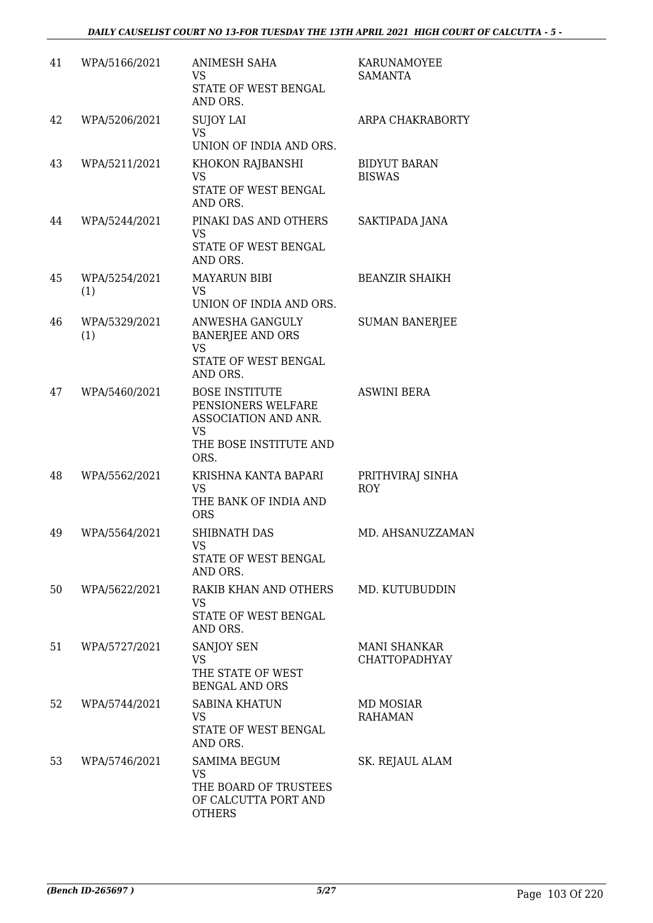| 41 | WPA/5166/2021        | <b>ANIMESH SAHA</b><br><b>VS</b><br>STATE OF WEST BENGAL<br>AND ORS.                                               | KARUNAMOYEE<br><b>SAMANTA</b>               |
|----|----------------------|--------------------------------------------------------------------------------------------------------------------|---------------------------------------------|
| 42 | WPA/5206/2021        | <b>SUJOY LAI</b><br><b>VS</b><br>UNION OF INDIA AND ORS.                                                           | ARPA CHAKRABORTY                            |
| 43 | WPA/5211/2021        | KHOKON RAJBANSHI<br><b>VS</b><br>STATE OF WEST BENGAL<br>AND ORS.                                                  | <b>BIDYUT BARAN</b><br><b>BISWAS</b>        |
| 44 | WPA/5244/2021        | PINAKI DAS AND OTHERS<br><b>VS</b><br>STATE OF WEST BENGAL<br>AND ORS.                                             | SAKTIPADA JANA                              |
| 45 | WPA/5254/2021<br>(1) | <b>MAYARUN BIBI</b><br><b>VS</b><br>UNION OF INDIA AND ORS.                                                        | <b>BEANZIR SHAIKH</b>                       |
| 46 | WPA/5329/2021<br>(1) | ANWESHA GANGULY<br><b>BANERJEE AND ORS</b><br><b>VS</b><br>STATE OF WEST BENGAL<br>AND ORS.                        | <b>SUMAN BANERJEE</b>                       |
| 47 | WPA/5460/2021        | <b>BOSE INSTITUTE</b><br>PENSIONERS WELFARE<br>ASSOCIATION AND ANR.<br><b>VS</b><br>THE BOSE INSTITUTE AND<br>ORS. | <b>ASWINI BERA</b>                          |
| 48 | WPA/5562/2021        | KRISHNA KANTA BAPARI<br><b>VS</b><br>THE BANK OF INDIA AND<br><b>ORS</b>                                           | PRITHVIRAJ SINHA<br><b>ROY</b>              |
| 49 | WPA/5564/2021        | <b>SHIBNATH DAS</b><br>VS<br>STATE OF WEST BENGAL<br>AND ORS.                                                      | MD. AHSANUZZAMAN                            |
| 50 | WPA/5622/2021        | RAKIB KHAN AND OTHERS<br><b>VS</b><br>STATE OF WEST BENGAL<br>AND ORS.                                             | MD. KUTUBUDDIN                              |
| 51 | WPA/5727/2021        | <b>SANJOY SEN</b><br><b>VS</b><br>THE STATE OF WEST<br><b>BENGAL AND ORS</b>                                       | <b>MANI SHANKAR</b><br><b>CHATTOPADHYAY</b> |
| 52 | WPA/5744/2021        | <b>SABINA KHATUN</b><br><b>VS</b><br>STATE OF WEST BENGAL<br>AND ORS.                                              | <b>MD MOSIAR</b><br><b>RAHAMAN</b>          |
| 53 | WPA/5746/2021        | <b>SAMIMA BEGUM</b><br><b>VS</b><br>THE BOARD OF TRUSTEES<br>OF CALCUTTA PORT AND<br><b>OTHERS</b>                 | SK. REJAUL ALAM                             |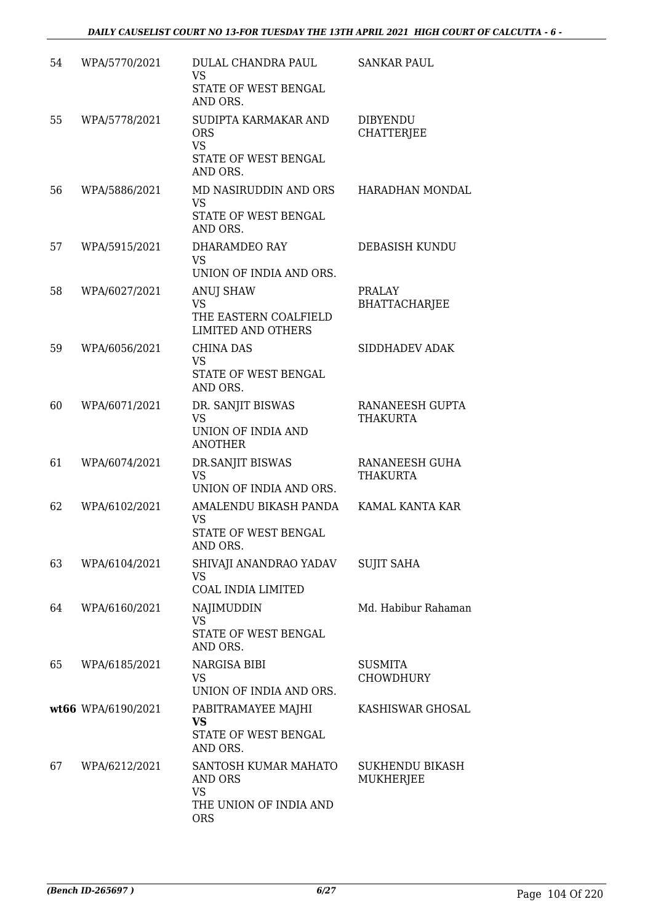| 54 | WPA/5770/2021      | DULAL CHANDRA PAUL<br><b>VS</b><br>STATE OF WEST BENGAL<br>AND ORS.                  | <b>SANKAR PAUL</b>                    |
|----|--------------------|--------------------------------------------------------------------------------------|---------------------------------------|
| 55 | WPA/5778/2021      | SUDIPTA KARMAKAR AND<br><b>ORS</b><br><b>VS</b><br>STATE OF WEST BENGAL<br>AND ORS.  | <b>DIBYENDU</b><br><b>CHATTERJEE</b>  |
| 56 | WPA/5886/2021      | MD NASIRUDDIN AND ORS<br><b>VS</b><br>STATE OF WEST BENGAL<br>AND ORS.               | HARADHAN MONDAL                       |
| 57 | WPA/5915/2021      | DHARAMDEO RAY<br><b>VS</b><br>UNION OF INDIA AND ORS.                                | DEBASISH KUNDU                        |
| 58 | WPA/6027/2021      | <b>ANUJ SHAW</b><br><b>VS</b><br>THE EASTERN COALFIELD<br><b>LIMITED AND OTHERS</b>  | <b>PRALAY</b><br><b>BHATTACHARJEE</b> |
| 59 | WPA/6056/2021      | <b>CHINA DAS</b><br><b>VS</b><br>STATE OF WEST BENGAL<br>AND ORS.                    | SIDDHADEV ADAK                        |
| 60 | WPA/6071/2021      | DR. SANJIT BISWAS<br><b>VS</b><br>UNION OF INDIA AND<br><b>ANOTHER</b>               | RANANEESH GUPTA<br>THAKURTA           |
| 61 | WPA/6074/2021      | DR.SANJIT BISWAS<br><b>VS</b><br>UNION OF INDIA AND ORS.                             | RANANEESH GUHA<br>THAKURTA            |
| 62 | WPA/6102/2021      | AMALENDU BIKASH PANDA<br><b>VS</b><br>STATE OF WEST BENGAL<br>AND ORS.               | KAMAL KANTA KAR                       |
| 63 | WPA/6104/2021      | SHIVAJI ANANDRAO YADAV<br><b>VS</b><br>COAL INDIA LIMITED                            | <b>SUJIT SAHA</b>                     |
| 64 | WPA/6160/2021      | NAJIMUDDIN<br><b>VS</b><br>STATE OF WEST BENGAL<br>AND ORS.                          | Md. Habibur Rahaman                   |
| 65 | WPA/6185/2021      | NARGISA BIBI<br>VS<br>UNION OF INDIA AND ORS.                                        | <b>SUSMITA</b><br><b>CHOWDHURY</b>    |
|    | wt66 WPA/6190/2021 | PABITRAMAYEE MAJHI<br><b>VS</b><br>STATE OF WEST BENGAL<br>AND ORS.                  | KASHISWAR GHOSAL                      |
| 67 | WPA/6212/2021      | SANTOSH KUMAR MAHATO<br>AND ORS<br><b>VS</b><br>THE UNION OF INDIA AND<br><b>ORS</b> | SUKHENDU BIKASH<br>MUKHERJEE          |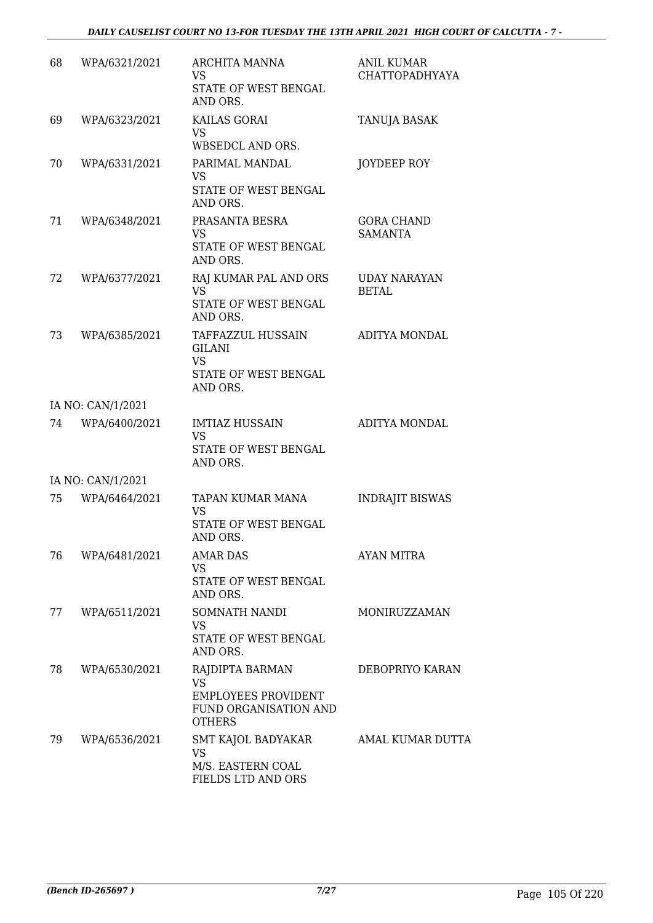| 68 | WPA/6321/2021     | ARCHITA MANNA<br>VS<br>STATE OF WEST BENGAL<br>AND ORS.                                              | <b>ANIL KUMAR</b><br><b>CHATTOPADHYAYA</b> |
|----|-------------------|------------------------------------------------------------------------------------------------------|--------------------------------------------|
| 69 | WPA/6323/2021     | KAILAS GORAI<br><b>VS</b><br>WBSEDCL AND ORS.                                                        | TANUJA BASAK                               |
| 70 | WPA/6331/2021     | PARIMAL MANDAL<br><b>VS</b><br>STATE OF WEST BENGAL<br>AND ORS.                                      | JOYDEEP ROY                                |
| 71 | WPA/6348/2021     | PRASANTA BESRA<br>VS<br>STATE OF WEST BENGAL<br>AND ORS.                                             | <b>GORA CHAND</b><br><b>SAMANTA</b>        |
| 72 | WPA/6377/2021     | RAJ KUMAR PAL AND ORS<br><b>VS</b><br>STATE OF WEST BENGAL<br>AND ORS.                               | <b>UDAY NARAYAN</b><br><b>BETAL</b>        |
| 73 | WPA/6385/2021     | TAFFAZZUL HUSSAIN<br>GILANI<br><b>VS</b><br>STATE OF WEST BENGAL<br>AND ORS.                         | ADITYA MONDAL                              |
|    | IA NO: CAN/1/2021 |                                                                                                      |                                            |
| 74 | WPA/6400/2021     | <b>IMTIAZ HUSSAIN</b><br>VS<br>STATE OF WEST BENGAL<br>AND ORS.                                      | ADITYA MONDAL                              |
|    | IA NO: CAN/1/2021 |                                                                                                      |                                            |
| 75 | WPA/6464/2021     | TAPAN KUMAR MANA<br>VS<br><b>STATE OF WEST BENGAL</b><br>AND ORS.                                    | <b>INDRAJIT BISWAS</b>                     |
| 76 | WPA/6481/2021     | <b>AMAR DAS</b><br><b>VS</b><br>STATE OF WEST BENGAL<br>AND ORS.                                     | <b>AYAN MITRA</b>                          |
| 77 | WPA/6511/2021     | SOMNATH NANDI<br><b>VS</b><br>STATE OF WEST BENGAL<br>AND ORS.                                       | MONIRUZZAMAN                               |
| 78 | WPA/6530/2021     | RAJDIPTA BARMAN<br><b>VS</b><br><b>EMPLOYEES PROVIDENT</b><br>FUND ORGANISATION AND<br><b>OTHERS</b> | DEBOPRIYO KARAN                            |
| 79 | WPA/6536/2021     | SMT KAJOL BADYAKAR<br>VS<br>M/S. EASTERN COAL<br>FIELDS LTD AND ORS                                  | AMAL KUMAR DUTTA                           |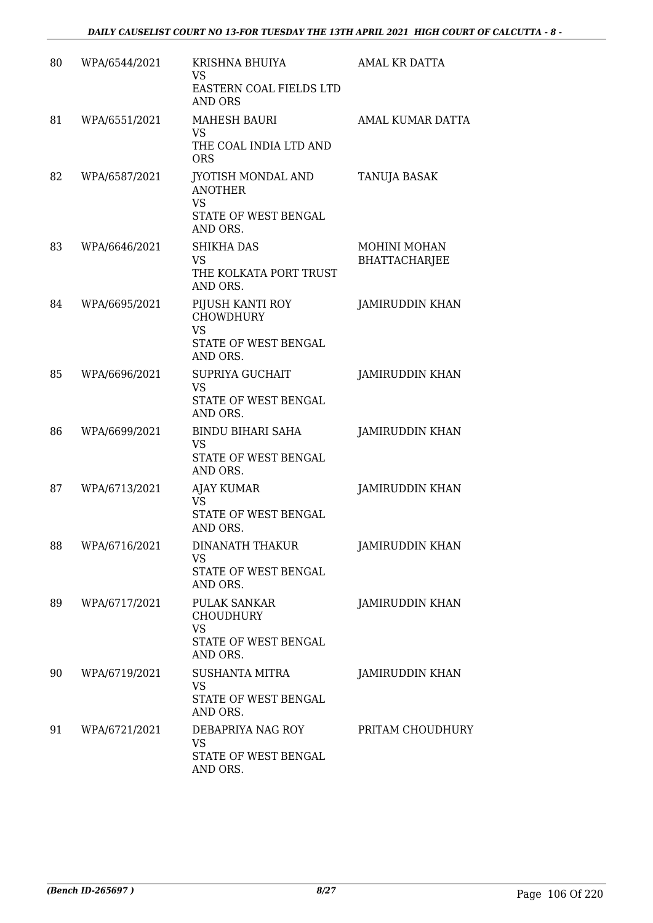| 80 | WPA/6544/2021 | KRISHNA BHUIYA<br><b>VS</b><br>EASTERN COAL FIELDS LTD<br><b>AND ORS</b>              | AMAL KR DATTA                               |
|----|---------------|---------------------------------------------------------------------------------------|---------------------------------------------|
| 81 | WPA/6551/2021 | <b>MAHESH BAURI</b><br><b>VS</b><br>THE COAL INDIA LTD AND<br><b>ORS</b>              | AMAL KUMAR DATTA                            |
| 82 | WPA/6587/2021 | JYOTISH MONDAL AND<br><b>ANOTHER</b><br><b>VS</b><br>STATE OF WEST BENGAL<br>AND ORS. | TANUJA BASAK                                |
| 83 | WPA/6646/2021 | <b>SHIKHA DAS</b><br><b>VS</b><br>THE KOLKATA PORT TRUST<br>AND ORS.                  | <b>MOHINI MOHAN</b><br><b>BHATTACHARJEE</b> |
| 84 | WPA/6695/2021 | PIJUSH KANTI ROY<br><b>CHOWDHURY</b><br><b>VS</b><br>STATE OF WEST BENGAL<br>AND ORS. | <b>JAMIRUDDIN KHAN</b>                      |
| 85 | WPA/6696/2021 | <b>SUPRIYA GUCHAIT</b><br><b>VS</b><br>STATE OF WEST BENGAL<br>AND ORS.               | JAMIRUDDIN KHAN                             |
| 86 | WPA/6699/2021 | <b>BINDU BIHARI SAHA</b><br><b>VS</b><br>STATE OF WEST BENGAL<br>AND ORS.             | <b>JAMIRUDDIN KHAN</b>                      |
| 87 | WPA/6713/2021 | <b>AJAY KUMAR</b><br><b>VS</b><br>STATE OF WEST BENGAL<br>AND ORS.                    | JAMIRUDDIN KHAN                             |
| 88 | WPA/6716/2021 | <b>DINANATH THAKUR</b><br>VS<br>STATE OF WEST BENGAL<br>AND ORS.                      | JAMIRUDDIN KHAN                             |
| 89 | WPA/6717/2021 | PULAK SANKAR<br><b>CHOUDHURY</b><br><b>VS</b><br>STATE OF WEST BENGAL<br>AND ORS.     | JAMIRUDDIN KHAN                             |
| 90 | WPA/6719/2021 | <b>SUSHANTA MITRA</b><br><b>VS</b><br>STATE OF WEST BENGAL<br>AND ORS.                | <b>JAMIRUDDIN KHAN</b>                      |
| 91 | WPA/6721/2021 | DEBAPRIYA NAG ROY<br><b>VS</b><br>STATE OF WEST BENGAL<br>AND ORS.                    | PRITAM CHOUDHURY                            |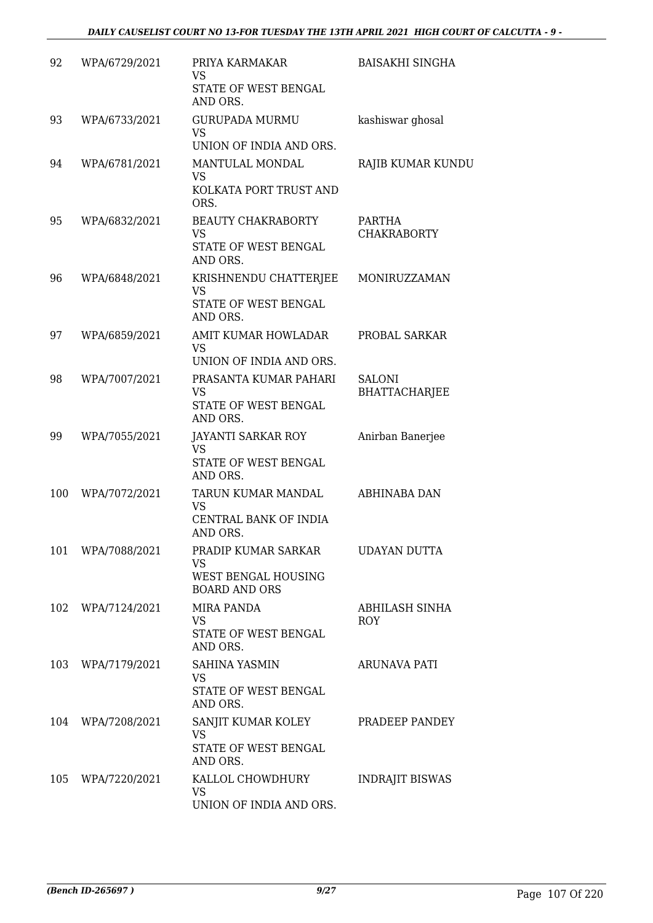| 92  | WPA/6729/2021 | PRIYA KARMAKAR<br><b>VS</b><br>STATE OF WEST BENGAL<br>AND ORS.                 | <b>BAISAKHI SINGHA</b>         |
|-----|---------------|---------------------------------------------------------------------------------|--------------------------------|
| 93  | WPA/6733/2021 | <b>GURUPADA MURMU</b><br><b>VS</b><br>UNION OF INDIA AND ORS.                   | kashiswar ghosal               |
| 94  | WPA/6781/2021 | MANTULAL MONDAL<br>VS<br>KOLKATA PORT TRUST AND<br>ORS.                         | RAJIB KUMAR KUNDU              |
| 95  | WPA/6832/2021 | <b>BEAUTY CHAKRABORTY</b><br><b>VS</b><br>STATE OF WEST BENGAL<br>AND ORS.      | PARTHA<br><b>CHAKRABORTY</b>   |
| 96  | WPA/6848/2021 | KRISHNENDU CHATTERJEE<br><b>VS</b><br>STATE OF WEST BENGAL<br>AND ORS.          | MONIRUZZAMAN                   |
| 97  | WPA/6859/2021 | AMIT KUMAR HOWLADAR<br><b>VS</b><br>UNION OF INDIA AND ORS.                     | PROBAL SARKAR                  |
| 98  | WPA/7007/2021 | PRASANTA KUMAR PAHARI<br><b>VS</b><br>STATE OF WEST BENGAL<br>AND ORS.          | SALONI<br><b>BHATTACHARJEE</b> |
| 99  | WPA/7055/2021 | JAYANTI SARKAR ROY<br><b>VS</b><br>STATE OF WEST BENGAL<br>AND ORS.             | Anirban Banerjee               |
| 100 | WPA/7072/2021 | TARUN KUMAR MANDAL<br><b>VS</b><br>CENTRAL BANK OF INDIA<br>AND ORS.            | ABHINABA DAN                   |
| 101 | WPA/7088/2021 | PRADIP KUMAR SARKAR<br><b>VS</b><br>WEST BENGAL HOUSING<br><b>BOARD AND ORS</b> | <b>UDAYAN DUTTA</b>            |
| 102 | WPA/7124/2021 | <b>MIRA PANDA</b><br><b>VS</b><br>STATE OF WEST BENGAL<br>AND ORS.              | ABHILASH SINHA<br><b>ROY</b>   |
| 103 | WPA/7179/2021 | <b>SAHINA YASMIN</b><br><b>VS</b><br>STATE OF WEST BENGAL<br>AND ORS.           | <b>ARUNAVA PATI</b>            |
| 104 | WPA/7208/2021 | SANJIT KUMAR KOLEY<br><b>VS</b><br>STATE OF WEST BENGAL<br>AND ORS.             | PRADEEP PANDEY                 |
| 105 | WPA/7220/2021 | KALLOL CHOWDHURY<br><b>VS</b><br>UNION OF INDIA AND ORS.                        | <b>INDRAJIT BISWAS</b>         |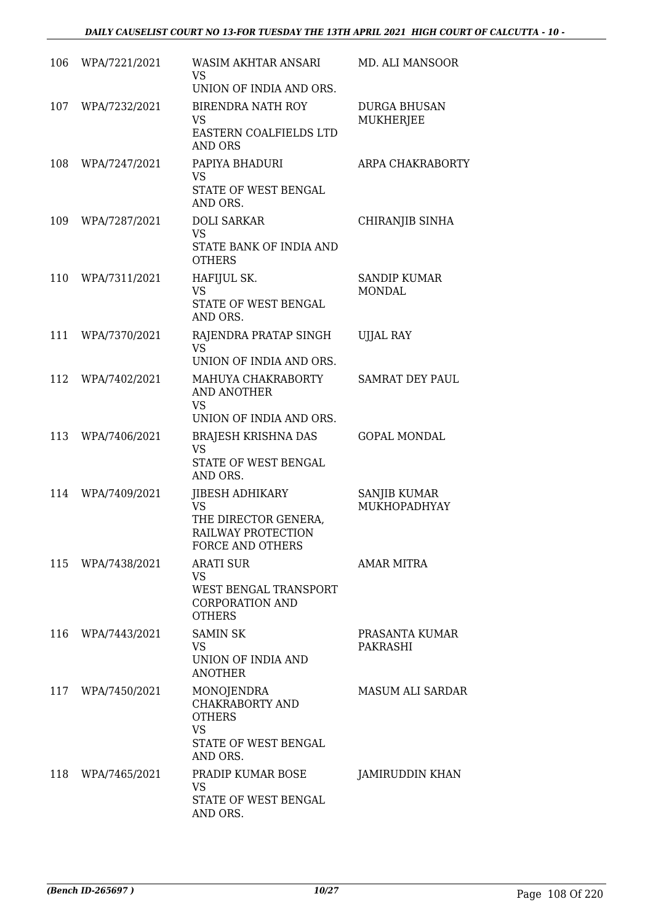| 106 | WPA/7221/2021     | WASIM AKHTAR ANSARI<br><b>VS</b><br>UNION OF INDIA AND ORS.                                                  | MD. ALI MANSOOR                         |
|-----|-------------------|--------------------------------------------------------------------------------------------------------------|-----------------------------------------|
| 107 | WPA/7232/2021     | <b>BIRENDRA NATH ROY</b><br><b>VS</b><br>EASTERN COALFIELDS LTD<br><b>AND ORS</b>                            | <b>DURGA BHUSAN</b><br><b>MUKHERJEE</b> |
| 108 | WPA/7247/2021     | PAPIYA BHADURI<br><b>VS</b><br>STATE OF WEST BENGAL<br>AND ORS.                                              | ARPA CHAKRABORTY                        |
| 109 | WPA/7287/2021     | <b>DOLI SARKAR</b><br>VS<br>STATE BANK OF INDIA AND<br><b>OTHERS</b>                                         | CHIRANJIB SINHA                         |
| 110 | WPA/7311/2021     | HAFIJUL SK.<br><b>VS</b><br>STATE OF WEST BENGAL<br>AND ORS.                                                 | <b>SANDIP KUMAR</b><br><b>MONDAL</b>    |
| 111 | WPA/7370/2021     | RAJENDRA PRATAP SINGH<br><b>VS</b><br>UNION OF INDIA AND ORS.                                                | <b>UJJAL RAY</b>                        |
| 112 | WPA/7402/2021     | MAHUYA CHAKRABORTY<br><b>AND ANOTHER</b><br><b>VS</b><br>UNION OF INDIA AND ORS.                             | <b>SAMRAT DEY PAUL</b>                  |
| 113 | WPA/7406/2021     | <b>BRAJESH KRISHNA DAS</b><br><b>VS</b><br>STATE OF WEST BENGAL<br>AND ORS.                                  | <b>GOPAL MONDAL</b>                     |
| 114 | WPA/7409/2021     | <b>JIBESH ADHIKARY</b><br><b>VS</b><br>THE DIRECTOR GENERA,<br>RAILWAY PROTECTION<br><b>FORCE AND OTHERS</b> | <b>SANJIB KUMAR</b><br>MUKHOPADHYAY     |
|     | 115 WPA/7438/2021 | <b>ARATI SUR</b><br><b>VS</b><br>WEST BENGAL TRANSPORT<br><b>CORPORATION AND</b><br><b>OTHERS</b>            | <b>AMAR MITRA</b>                       |
| 116 | WPA/7443/2021     | <b>SAMIN SK</b><br><b>VS</b><br>UNION OF INDIA AND<br><b>ANOTHER</b>                                         | PRASANTA KUMAR<br>PAKRASHI              |
| 117 | WPA/7450/2021     | MONOJENDRA<br>CHAKRABORTY AND<br><b>OTHERS</b><br><b>VS</b><br>STATE OF WEST BENGAL<br>AND ORS.              | <b>MASUM ALI SARDAR</b>                 |
| 118 | WPA/7465/2021     | PRADIP KUMAR BOSE<br><b>VS</b><br>STATE OF WEST BENGAL<br>AND ORS.                                           | JAMIRUDDIN KHAN                         |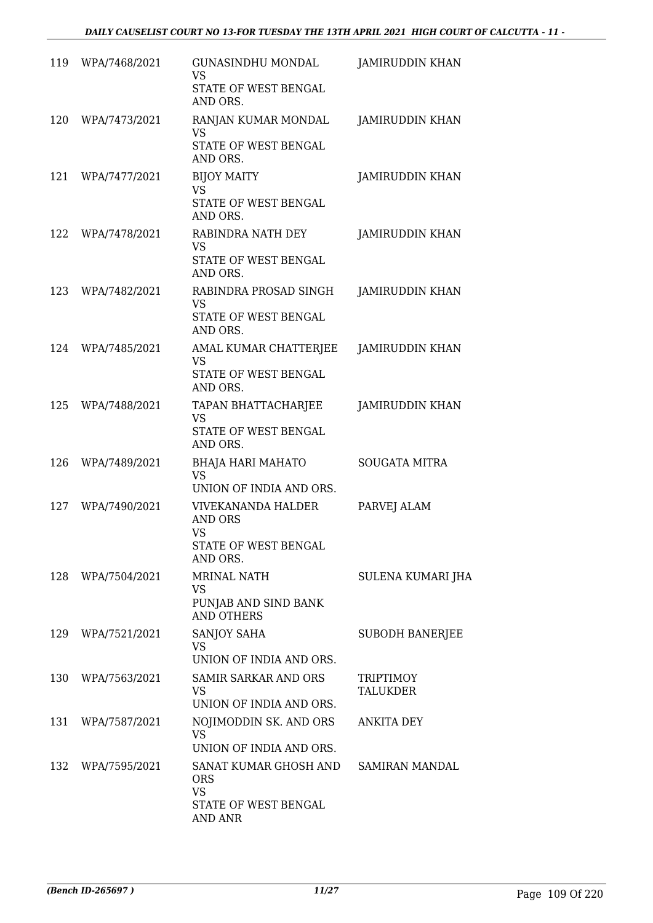| 119 | WPA/7468/2021     | <b>GUNASINDHU MONDAL</b><br><b>VS</b><br>STATE OF WEST BENGAL<br>AND ORS.             | JAMIRUDDIN KHAN              |
|-----|-------------------|---------------------------------------------------------------------------------------|------------------------------|
| 120 | WPA/7473/2021     | RANJAN KUMAR MONDAL<br><b>VS</b><br>STATE OF WEST BENGAL<br>AND ORS.                  | JAMIRUDDIN KHAN              |
| 121 | WPA/7477/2021     | <b>BIJOY MAITY</b><br>VS<br>STATE OF WEST BENGAL<br>AND ORS.                          | JAMIRUDDIN KHAN              |
| 122 | WPA/7478/2021     | RABINDRA NATH DEY<br>VS<br>STATE OF WEST BENGAL<br>AND ORS.                           | JAMIRUDDIN KHAN              |
| 123 | WPA/7482/2021     | RABINDRA PROSAD SINGH<br><b>VS</b><br>STATE OF WEST BENGAL<br>AND ORS.                | <b>JAMIRUDDIN KHAN</b>       |
| 124 | WPA/7485/2021     | AMAL KUMAR CHATTERJEE<br>VS<br>STATE OF WEST BENGAL<br>AND ORS.                       | JAMIRUDDIN KHAN              |
| 125 | WPA/7488/2021     | TAPAN BHATTACHARJEE<br>VS<br>STATE OF WEST BENGAL<br>AND ORS.                         | JAMIRUDDIN KHAN              |
| 126 | WPA/7489/2021     | <b>BHAJA HARI MAHATO</b><br><b>VS</b><br>UNION OF INDIA AND ORS.                      | <b>SOUGATA MITRA</b>         |
| 127 | WPA/7490/2021     | <b>VIVEKANANDA HALDER</b><br>AND ORS<br><b>VS</b><br>STATE OF WEST BENGAL<br>AND ORS. | PARVEJ ALAM                  |
|     | 128 WPA/7504/2021 | <b>MRINAL NATH</b><br><b>VS</b><br>PUNJAB AND SIND BANK<br><b>AND OTHERS</b>          | SULENA KUMARI JHA            |
|     | 129 WPA/7521/2021 | <b>SANJOY SAHA</b><br>VS.<br>UNION OF INDIA AND ORS.                                  | <b>SUBODH BANERJEE</b>       |
| 130 | WPA/7563/2021     | <b>SAMIR SARKAR AND ORS</b><br><b>VS</b><br>UNION OF INDIA AND ORS.                   | TRIPTIMOY<br><b>TALUKDER</b> |
| 131 | WPA/7587/2021     | NOJIMODDIN SK. AND ORS<br><b>VS</b><br>UNION OF INDIA AND ORS.                        | <b>ANKITA DEY</b>            |
|     | 132 WPA/7595/2021 | SANAT KUMAR GHOSH AND<br><b>ORS</b><br><b>VS</b><br>STATE OF WEST BENGAL<br>AND ANR   | SAMIRAN MANDAL               |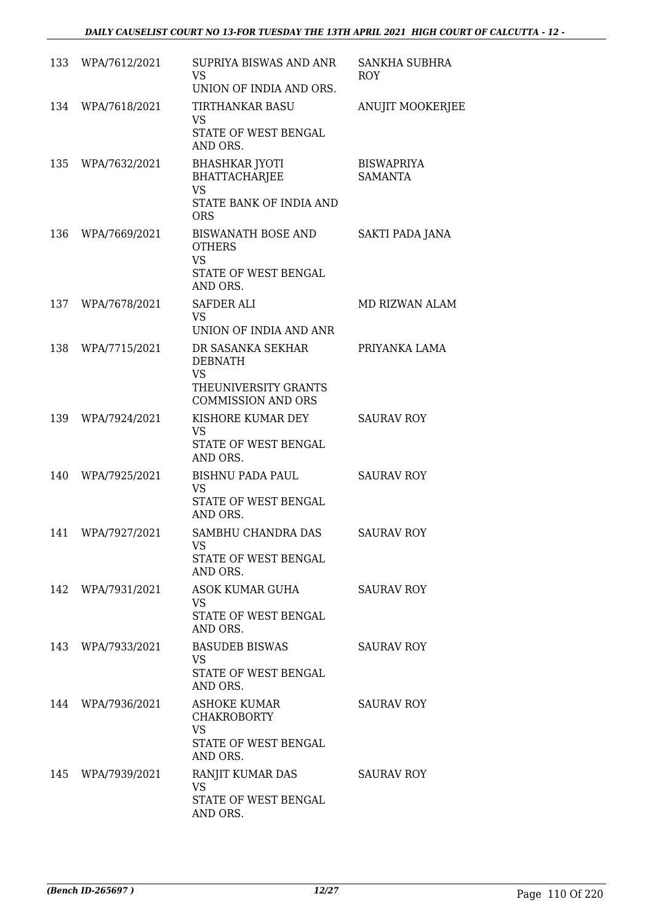|     | 133 WPA/7612/2021 | SUPRIYA BISWAS AND ANR<br><b>VS</b><br>UNION OF INDIA AND ORS.                                        | SANKHA SUBHRA<br><b>ROY</b>         |
|-----|-------------------|-------------------------------------------------------------------------------------------------------|-------------------------------------|
| 134 | WPA/7618/2021     | <b>TIRTHANKAR BASU</b><br><b>VS</b><br>STATE OF WEST BENGAL<br>AND ORS.                               | <b>ANUJIT MOOKERJEE</b>             |
| 135 | WPA/7632/2021     | <b>BHASHKAR JYOTI</b><br><b>BHATTACHARJEE</b><br><b>VS</b><br>STATE BANK OF INDIA AND<br><b>ORS</b>   | <b>BISWAPRIYA</b><br><b>SAMANTA</b> |
| 136 | WPA/7669/2021     | <b>BISWANATH BOSE AND</b><br><b>OTHERS</b><br><b>VS</b><br>STATE OF WEST BENGAL<br>AND ORS.           | SAKTI PADA JANA                     |
| 137 | WPA/7678/2021     | SAFDER ALI<br><b>VS</b><br>UNION OF INDIA AND ANR                                                     | MD RIZWAN ALAM                      |
| 138 | WPA/7715/2021     | DR SASANKA SEKHAR<br><b>DEBNATH</b><br><b>VS</b><br>THEUNIVERSITY GRANTS<br><b>COMMISSION AND ORS</b> | PRIYANKA LAMA                       |
| 139 | WPA/7924/2021     | KISHORE KUMAR DEY<br><b>VS</b><br>STATE OF WEST BENGAL<br>AND ORS.                                    | <b>SAURAV ROY</b>                   |
| 140 | WPA/7925/2021     | BISHNU PADA PAUL<br><b>VS</b><br>STATE OF WEST BENGAL<br>AND ORS.                                     | <b>SAURAV ROY</b>                   |
| 141 | WPA/7927/2021     | SAMBHU CHANDRA DAS<br>VS<br>STATE OF WEST BENGAL<br>AND ORS.                                          | <b>SAURAV ROY</b>                   |
|     | 142 WPA/7931/2021 | ASOK KUMAR GUHA<br>VS<br>STATE OF WEST BENGAL<br>AND ORS.                                             | <b>SAURAV ROY</b>                   |
|     | 143 WPA/7933/2021 | <b>BASUDEB BISWAS</b><br>VS<br>STATE OF WEST BENGAL<br>AND ORS.                                       | <b>SAURAV ROY</b>                   |
|     | 144 WPA/7936/2021 | ASHOKE KUMAR<br><b>CHAKROBORTY</b><br><b>VS</b><br>STATE OF WEST BENGAL<br>AND ORS.                   | <b>SAURAV ROY</b>                   |
| 145 | WPA/7939/2021     | RANJIT KUMAR DAS<br><b>VS</b><br>STATE OF WEST BENGAL<br>AND ORS.                                     | <b>SAURAV ROY</b>                   |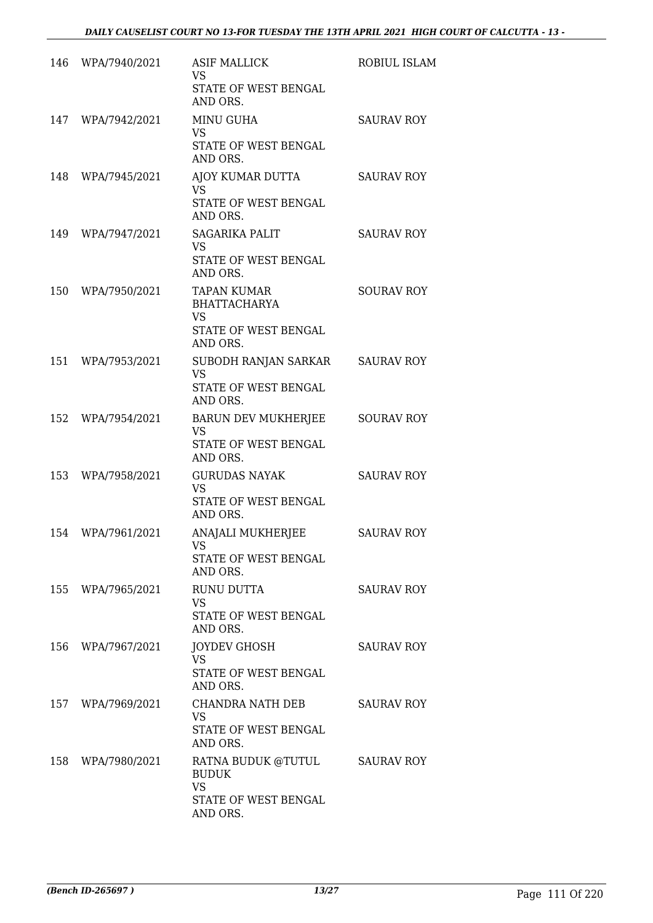| 146 | WPA/7940/2021     | <b>ASIF MALLICK</b><br>VS<br>STATE OF WEST BENGAL                                          | ROBIUL ISLAM      |
|-----|-------------------|--------------------------------------------------------------------------------------------|-------------------|
| 147 | WPA/7942/2021     | AND ORS.<br>MINU GUHA<br><b>VS</b><br>STATE OF WEST BENGAL                                 | <b>SAURAV ROY</b> |
| 148 | WPA/7945/2021     | AND ORS.<br>AJOY KUMAR DUTTA<br><b>VS</b><br>STATE OF WEST BENGAL                          | <b>SAURAV ROY</b> |
| 149 | WPA/7947/2021     | AND ORS.<br><b>SAGARIKA PALIT</b><br><b>VS</b><br>STATE OF WEST BENGAL<br>AND ORS.         | <b>SAURAV ROY</b> |
| 150 | WPA/7950/2021     | <b>TAPAN KUMAR</b><br><b>BHATTACHARYA</b><br><b>VS</b><br>STATE OF WEST BENGAL<br>AND ORS. | <b>SOURAV ROY</b> |
| 151 | WPA/7953/2021     | SUBODH RANJAN SARKAR<br><b>VS</b><br>STATE OF WEST BENGAL<br>AND ORS.                      | <b>SAURAV ROY</b> |
| 152 | WPA/7954/2021     | <b>BARUN DEV MUKHERJEE</b><br><b>VS</b><br>STATE OF WEST BENGAL<br>AND ORS.                | <b>SOURAV ROY</b> |
| 153 | WPA/7958/2021     | <b>GURUDAS NAYAK</b><br><b>VS</b><br>STATE OF WEST BENGAL<br>AND ORS.                      | <b>SAURAV ROY</b> |
|     | 154 WPA/7961/2021 | <b>ANAJALI MUKHERJEE</b><br>VS<br>STATE OF WEST BENGAL<br>AND ORS.                         | <b>SAURAV ROY</b> |
|     | 155 WPA/7965/2021 | RUNU DUTTA<br><b>VS</b><br>STATE OF WEST BENGAL<br>AND ORS.                                | <b>SAURAV ROY</b> |
|     | 156 WPA/7967/2021 | <b>JOYDEV GHOSH</b><br>VS<br>STATE OF WEST BENGAL<br>AND ORS.                              | <b>SAURAV ROY</b> |
|     | 157 WPA/7969/2021 | CHANDRA NATH DEB<br>VS.<br>STATE OF WEST BENGAL<br>AND ORS.                                | <b>SAURAV ROY</b> |
|     | 158 WPA/7980/2021 | RATNA BUDUK @TUTUL<br><b>BUDUK</b><br><b>VS</b><br>STATE OF WEST BENGAL<br>AND ORS.        | <b>SAURAV ROY</b> |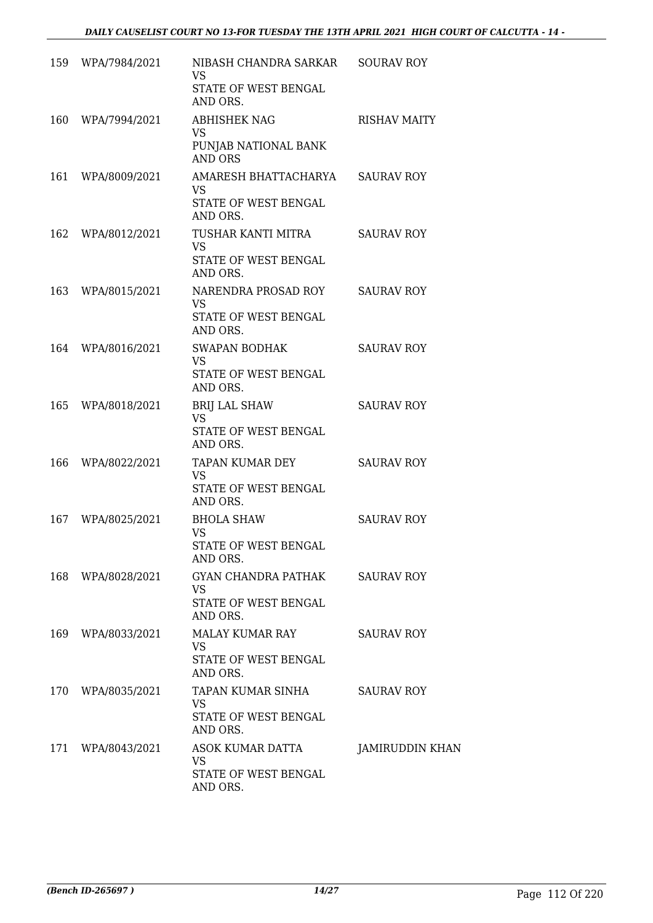|     | 159 WPA/7984/2021 | NIBASH CHANDRA SARKAR<br><b>VS</b><br>STATE OF WEST BENGAL<br>AND ORS.     | <b>SOURAV ROY</b>   |
|-----|-------------------|----------------------------------------------------------------------------|---------------------|
| 160 | WPA/7994/2021     | <b>ABHISHEK NAG</b><br><b>VS</b><br>PUNJAB NATIONAL BANK<br><b>AND ORS</b> | <b>RISHAV MAITY</b> |
| 161 | WPA/8009/2021     | AMARESH BHATTACHARYA SAURAV ROY<br>VS.<br>STATE OF WEST BENGAL<br>AND ORS. |                     |
|     | 162 WPA/8012/2021 | TUSHAR KANTI MITRA<br><b>VS</b><br>STATE OF WEST BENGAL<br>AND ORS.        | <b>SAURAV ROY</b>   |
| 163 | WPA/8015/2021     | NARENDRA PROSAD ROY<br><b>VS</b><br>STATE OF WEST BENGAL<br>AND ORS.       | <b>SAURAV ROY</b>   |
|     | 164 WPA/8016/2021 | <b>SWAPAN BODHAK</b><br><b>VS</b><br>STATE OF WEST BENGAL<br>AND ORS.      | <b>SAURAV ROY</b>   |
| 165 | WPA/8018/2021     | <b>BRIJ LAL SHAW</b><br><b>VS</b><br>STATE OF WEST BENGAL<br>AND ORS.      | <b>SAURAV ROY</b>   |
| 166 | WPA/8022/2021     | TAPAN KUMAR DEY<br><b>VS</b><br>STATE OF WEST BENGAL<br>AND ORS.           | <b>SAURAV ROY</b>   |
| 167 | WPA/8025/2021     | <b>BHOLA SHAW</b><br><b>VS</b><br>STATE OF WEST BENGAL<br>AND ORS.         | <b>SAURAV ROY</b>   |
| 168 | WPA/8028/2021     | GYAN CHANDRA PATHAK<br><b>VS</b><br>STATE OF WEST BENGAL<br>AND ORS.       | <b>SAURAV ROY</b>   |
|     | 169 WPA/8033/2021 | MALAY KUMAR RAY<br>VS.<br>STATE OF WEST BENGAL<br>AND ORS.                 | <b>SAURAV ROY</b>   |
|     | 170 WPA/8035/2021 | TAPAN KUMAR SINHA<br>VS<br>STATE OF WEST BENGAL<br>AND ORS.                | <b>SAURAV ROY</b>   |
| 171 | WPA/8043/2021     | ASOK KUMAR DATTA<br><b>VS</b><br>STATE OF WEST BENGAL<br>AND ORS.          | JAMIRUDDIN KHAN     |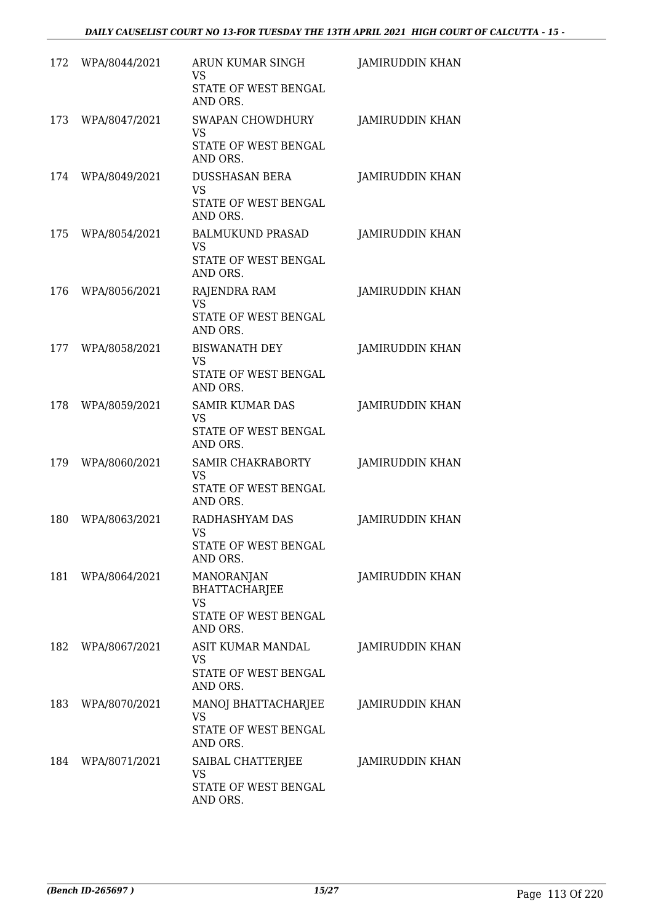| 172 | WPA/8044/2021     | ARUN KUMAR SINGH<br><b>VS</b><br>STATE OF WEST BENGAL<br>AND ORS.                   | <b>JAMIRUDDIN KHAN</b> |
|-----|-------------------|-------------------------------------------------------------------------------------|------------------------|
| 173 | WPA/8047/2021     | <b>SWAPAN CHOWDHURY</b><br><b>VS</b><br>STATE OF WEST BENGAL<br>AND ORS.            | <b>JAMIRUDDIN KHAN</b> |
| 174 | WPA/8049/2021     | <b>DUSSHASAN BERA</b><br><b>VS</b><br>STATE OF WEST BENGAL<br>AND ORS.              | <b>JAMIRUDDIN KHAN</b> |
| 175 | WPA/8054/2021     | <b>BALMUKUND PRASAD</b><br>VS<br>STATE OF WEST BENGAL<br>AND ORS.                   | JAMIRUDDIN KHAN        |
| 176 | WPA/8056/2021     | <b>RAJENDRA RAM</b><br><b>VS</b><br>STATE OF WEST BENGAL<br>AND ORS.                | JAMIRUDDIN KHAN        |
| 177 | WPA/8058/2021     | <b>BISWANATH DEY</b><br><b>VS</b><br>STATE OF WEST BENGAL<br>AND ORS.               | JAMIRUDDIN KHAN        |
| 178 | WPA/8059/2021     | <b>SAMIR KUMAR DAS</b><br><b>VS</b><br>STATE OF WEST BENGAL<br>AND ORS.             | JAMIRUDDIN KHAN        |
| 179 | WPA/8060/2021     | <b>SAMIR CHAKRABORTY</b><br>VS<br>STATE OF WEST BENGAL<br>AND ORS.                  | JAMIRUDDIN KHAN        |
| 180 | WPA/8063/2021     | RADHASHYAM DAS<br><b>VS</b><br>STATE OF WEST BENGAL<br>AND ORS.                     | JAMIRUDDIN KHAN        |
| 181 | WPA/8064/2021     | <b>MANORANJAN</b><br>BHATTACHARJEE<br><b>VS</b><br>STATE OF WEST BENGAL<br>AND ORS. | JAMIRUDDIN KHAN        |
|     | 182 WPA/8067/2021 | ASIT KUMAR MANDAL<br>VS<br>STATE OF WEST BENGAL<br>AND ORS.                         | JAMIRUDDIN KHAN        |
| 183 | WPA/8070/2021     | MANOJ BHATTACHARJEE<br><b>VS</b><br>STATE OF WEST BENGAL<br>AND ORS.                | JAMIRUDDIN KHAN        |
| 184 | WPA/8071/2021     | SAIBAL CHATTERJEE<br>VS<br>STATE OF WEST BENGAL<br>AND ORS.                         | JAMIRUDDIN KHAN        |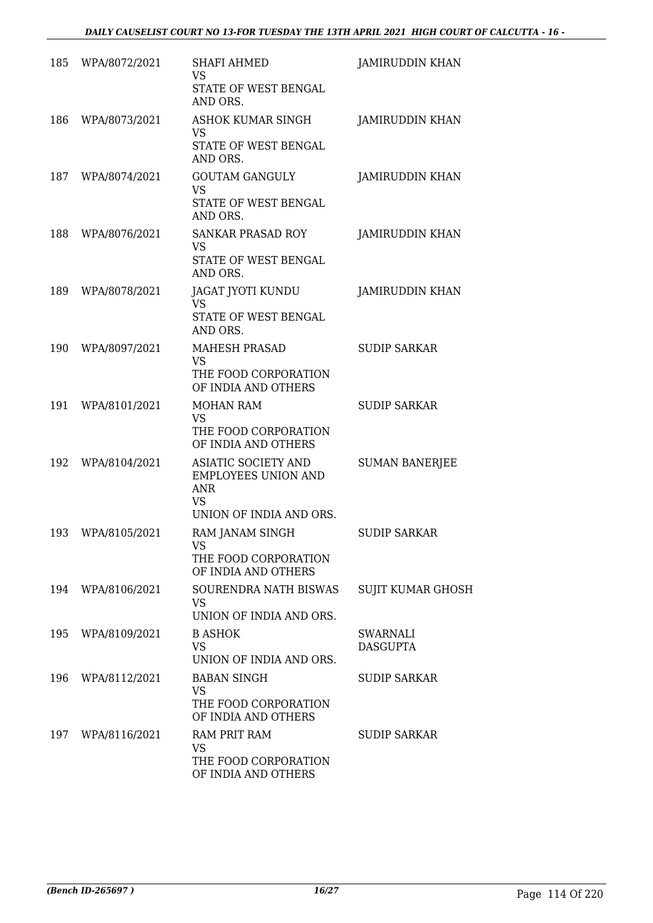| 185 | WPA/8072/2021 | <b>SHAFI AHMED</b><br>VS                                                            | JAMIRUDDIN KHAN          |
|-----|---------------|-------------------------------------------------------------------------------------|--------------------------|
|     |               | STATE OF WEST BENGAL<br>AND ORS.                                                    |                          |
| 186 | WPA/8073/2021 | <b>ASHOK KUMAR SINGH</b><br>VS<br>STATE OF WEST BENGAL                              | JAMIRUDDIN KHAN          |
|     |               | AND ORS.                                                                            |                          |
| 187 | WPA/8074/2021 | <b>GOUTAM GANGULY</b><br><b>VS</b>                                                  | JAMIRUDDIN KHAN          |
|     |               | STATE OF WEST BENGAL<br>AND ORS.                                                    |                          |
| 188 | WPA/8076/2021 | <b>SANKAR PRASAD ROY</b><br>VS                                                      | <b>JAMIRUDDIN KHAN</b>   |
|     |               | STATE OF WEST BENGAL<br>AND ORS.                                                    |                          |
| 189 | WPA/8078/2021 | JAGAT JYOTI KUNDU<br><b>VS</b>                                                      | JAMIRUDDIN KHAN          |
|     |               | STATE OF WEST BENGAL<br>AND ORS.                                                    |                          |
| 190 | WPA/8097/2021 | <b>MAHESH PRASAD</b><br>VS                                                          | <b>SUDIP SARKAR</b>      |
|     |               | THE FOOD CORPORATION<br>OF INDIA AND OTHERS                                         |                          |
| 191 | WPA/8101/2021 | <b>MOHAN RAM</b><br><b>VS</b>                                                       | <b>SUDIP SARKAR</b>      |
|     |               | THE FOOD CORPORATION<br>OF INDIA AND OTHERS                                         |                          |
| 192 | WPA/8104/2021 | <b>ASIATIC SOCIETY AND</b><br><b>EMPLOYEES UNION AND</b><br><b>ANR</b><br><b>VS</b> | <b>SUMAN BANERJEE</b>    |
|     |               | UNION OF INDIA AND ORS.                                                             |                          |
| 193 | WPA/8105/2021 | RAM JANAM SINGH<br><b>VS</b>                                                        | <b>SUDIP SARKAR</b>      |
|     |               | THE FOOD CORPORATION<br>OF INDIA AND OTHERS                                         |                          |
| 194 | WPA/8106/2021 | SOURENDRA NATH BISWAS<br><b>VS</b><br>UNION OF INDIA AND ORS.                       | <b>SUJIT KUMAR GHOSH</b> |
| 195 | WPA/8109/2021 | <b>B ASHOK</b>                                                                      | SWARNALI                 |
|     |               | <b>VS</b><br>UNION OF INDIA AND ORS.                                                | <b>DASGUPTA</b>          |
| 196 | WPA/8112/2021 | <b>BABAN SINGH</b><br><b>VS</b>                                                     | <b>SUDIP SARKAR</b>      |
|     |               | THE FOOD CORPORATION<br>OF INDIA AND OTHERS                                         |                          |
| 197 | WPA/8116/2021 | <b>RAM PRIT RAM</b><br>VS                                                           | <b>SUDIP SARKAR</b>      |
|     |               | THE FOOD CORPORATION<br>OF INDIA AND OTHERS                                         |                          |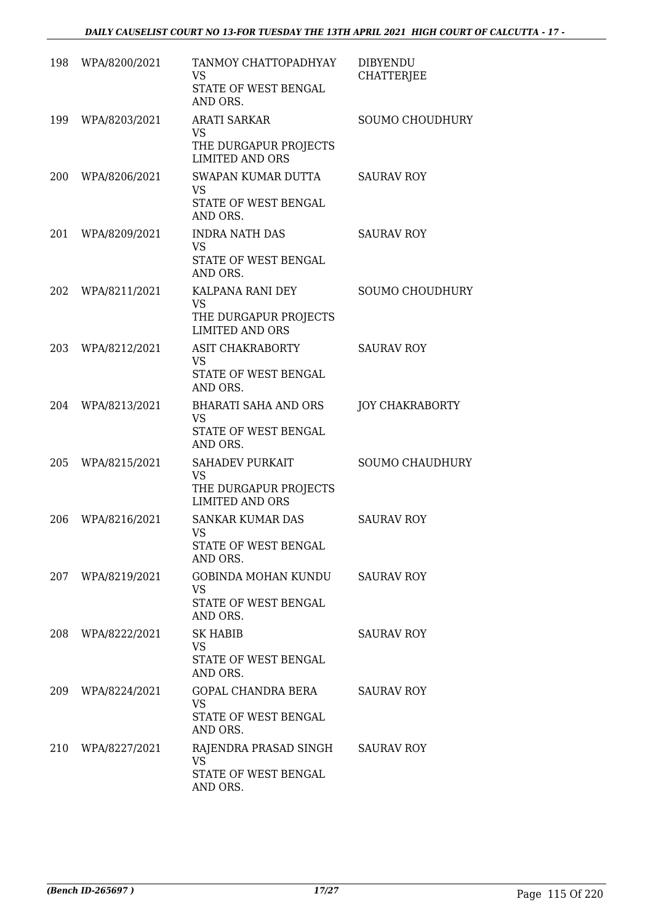| 198 | WPA/8200/2021     | TANMOY CHATTOPADHYAY<br>VS<br>STATE OF WEST BENGAL<br>AND ORS.                         | <b>DIBYENDU</b><br><b>CHATTERJEE</b> |
|-----|-------------------|----------------------------------------------------------------------------------------|--------------------------------------|
| 199 | WPA/8203/2021     | <b>ARATI SARKAR</b><br><b>VS</b><br>THE DURGAPUR PROJECTS<br><b>LIMITED AND ORS</b>    | <b>SOUMO CHOUDHURY</b>               |
| 200 | WPA/8206/2021     | SWAPAN KUMAR DUTTA<br><b>VS</b><br>STATE OF WEST BENGAL<br>AND ORS.                    | <b>SAURAV ROY</b>                    |
| 201 | WPA/8209/2021     | <b>INDRA NATH DAS</b><br><b>VS</b><br>STATE OF WEST BENGAL<br>AND ORS.                 | <b>SAURAV ROY</b>                    |
| 202 | WPA/8211/2021     | KALPANA RANI DEY<br><b>VS</b><br>THE DURGAPUR PROJECTS<br><b>LIMITED AND ORS</b>       | SOUMO CHOUDHURY                      |
| 203 | WPA/8212/2021     | <b>ASIT CHAKRABORTY</b><br><b>VS</b><br>STATE OF WEST BENGAL<br>AND ORS.               | <b>SAURAV ROY</b>                    |
| 204 | WPA/8213/2021     | <b>BHARATI SAHA AND ORS</b><br><b>VS</b><br>STATE OF WEST BENGAL<br>AND ORS.           | <b>JOY CHAKRABORTY</b>               |
| 205 | WPA/8215/2021     | <b>SAHADEV PURKAIT</b><br><b>VS</b><br>THE DURGAPUR PROJECTS<br><b>LIMITED AND ORS</b> | <b>SOUMO CHAUDHURY</b>               |
| 206 | WPA/8216/2021     | <b>SANKAR KUMAR DAS</b><br>VS<br>STATE OF WEST BENGAL<br>AND ORS.                      | <b>SAURAV ROY</b>                    |
|     | 207 WPA/8219/2021 | GOBINDA MOHAN KUNDU<br><b>VS</b><br>STATE OF WEST BENGAL<br>AND ORS.                   | <b>SAURAV ROY</b>                    |
| 208 | WPA/8222/2021     | SK HABIB<br><b>VS</b><br>STATE OF WEST BENGAL<br>AND ORS.                              | <b>SAURAV ROY</b>                    |
| 209 | WPA/8224/2021     | GOPAL CHANDRA BERA<br><b>VS</b><br>STATE OF WEST BENGAL<br>AND ORS.                    | <b>SAURAV ROY</b>                    |
| 210 | WPA/8227/2021     | RAJENDRA PRASAD SINGH<br>VS.<br>STATE OF WEST BENGAL<br>AND ORS.                       | <b>SAURAV ROY</b>                    |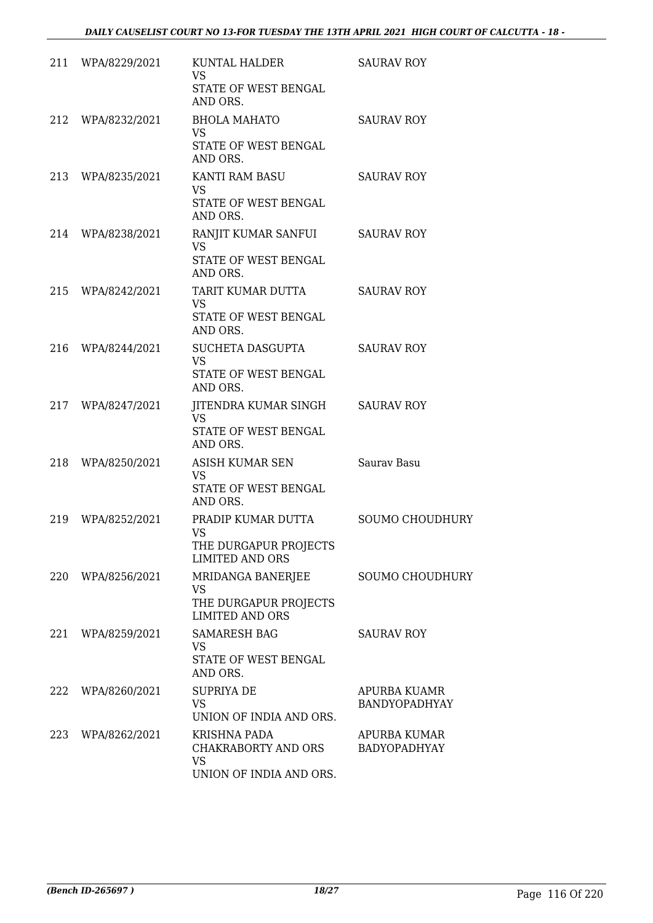|     | 211 WPA/8229/2021 | KUNTAL HALDER<br><b>VS</b><br>STATE OF WEST BENGAL<br>AND ORS.                     | <b>SAURAV ROY</b>                    |
|-----|-------------------|------------------------------------------------------------------------------------|--------------------------------------|
| 212 | WPA/8232/2021     | <b>BHOLA MAHATO</b><br><b>VS</b><br>STATE OF WEST BENGAL<br>AND ORS.               | <b>SAURAV ROY</b>                    |
|     | 213 WPA/8235/2021 | KANTI RAM BASU<br><b>VS</b><br>STATE OF WEST BENGAL<br>AND ORS.                    | <b>SAURAV ROY</b>                    |
| 214 | WPA/8238/2021     | RANJIT KUMAR SANFUI<br>VS<br>STATE OF WEST BENGAL<br>AND ORS.                      | <b>SAURAV ROY</b>                    |
| 215 | WPA/8242/2021     | TARIT KUMAR DUTTA<br><b>VS</b><br>STATE OF WEST BENGAL<br>AND ORS.                 | <b>SAURAV ROY</b>                    |
|     | 216 WPA/8244/2021 | SUCHETA DASGUPTA<br><b>VS</b><br>STATE OF WEST BENGAL<br>AND ORS.                  | <b>SAURAV ROY</b>                    |
| 217 | WPA/8247/2021     | JITENDRA KUMAR SINGH SAURAV ROY<br><b>VS</b><br>STATE OF WEST BENGAL<br>AND ORS.   |                                      |
| 218 | WPA/8250/2021     | ASISH KUMAR SEN<br>VS<br>STATE OF WEST BENGAL<br>AND ORS.                          | Saurav Basu                          |
| 219 | WPA/8252/2021     | PRADIP KUMAR DUTTA<br><b>VS</b><br>THE DURGAPUR PROJECTS<br><b>LIMITED AND ORS</b> | <b>SOUMO CHOUDHURY</b>               |
| 220 | WPA/8256/2021     | MRIDANGA BANERJEE<br><b>VS</b><br>THE DURGAPUR PROJECTS<br><b>LIMITED AND ORS</b>  | <b>SOUMO CHOUDHURY</b>               |
| 221 | WPA/8259/2021     | <b>SAMARESH BAG</b><br>VS<br>STATE OF WEST BENGAL<br>AND ORS.                      | <b>SAURAV ROY</b>                    |
| 222 | WPA/8260/2021     | <b>SUPRIYA DE</b><br>VS.<br>UNION OF INDIA AND ORS.                                | APURBA KUAMR<br><b>BANDYOPADHYAY</b> |
| 223 | WPA/8262/2021     | KRISHNA PADA<br>CHAKRABORTY AND ORS<br><b>VS</b><br>UNION OF INDIA AND ORS.        | APURBA KUMAR<br><b>BADYOPADHYAY</b>  |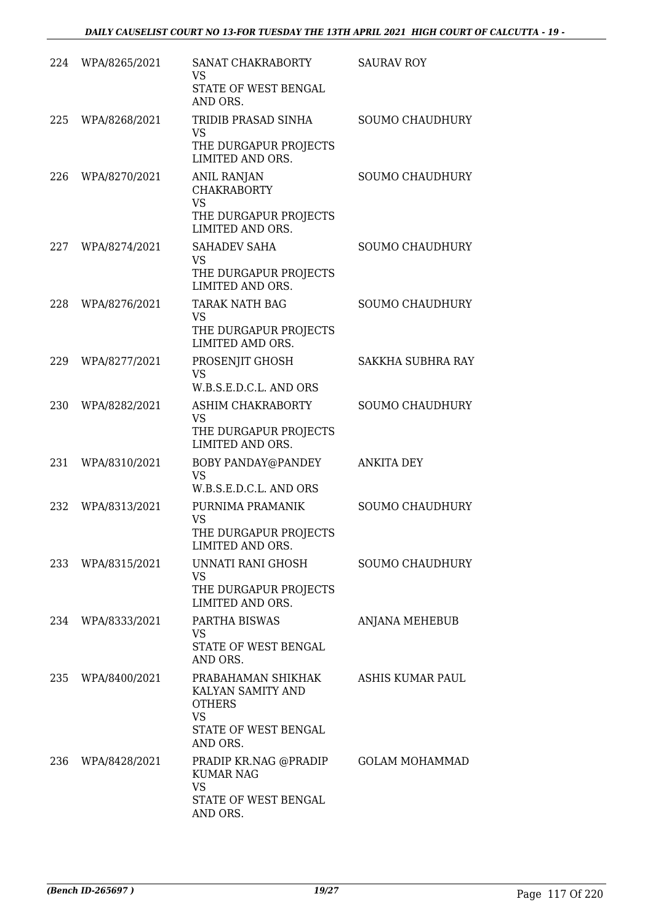| 224 | WPA/8265/2021 | SANAT CHAKRABORTY<br><b>VS</b><br>STATE OF WEST BENGAL<br>AND ORS.                                        | <b>SAURAV ROY</b>      |
|-----|---------------|-----------------------------------------------------------------------------------------------------------|------------------------|
| 225 | WPA/8268/2021 | TRIDIB PRASAD SINHA<br><b>VS</b><br>THE DURGAPUR PROJECTS<br>LIMITED AND ORS.                             | <b>SOUMO CHAUDHURY</b> |
| 226 | WPA/8270/2021 | <b>ANIL RANJAN</b><br><b>CHAKRABORTY</b><br><b>VS</b><br>THE DURGAPUR PROJECTS<br>LIMITED AND ORS.        | <b>SOUMO CHAUDHURY</b> |
| 227 | WPA/8274/2021 | SAHADEV SAHA<br><b>VS</b><br>THE DURGAPUR PROJECTS<br>LIMITED AND ORS.                                    | <b>SOUMO CHAUDHURY</b> |
| 228 | WPA/8276/2021 | <b>TARAK NATH BAG</b><br><b>VS</b><br>THE DURGAPUR PROJECTS<br>LIMITED AMD ORS.                           | <b>SOUMO CHAUDHURY</b> |
| 229 | WPA/8277/2021 | PROSENJIT GHOSH<br><b>VS</b><br>W.B.S.E.D.C.L. AND ORS                                                    | SAKKHA SUBHRA RAY      |
| 230 | WPA/8282/2021 | ASHIM CHAKRABORTY<br><b>VS</b><br>THE DURGAPUR PROJECTS<br>LIMITED AND ORS.                               | <b>SOUMO CHAUDHURY</b> |
| 231 | WPA/8310/2021 | BOBY PANDAY@PANDEY<br><b>VS</b><br>W.B.S.E.D.C.L. AND ORS                                                 | <b>ANKITA DEY</b>      |
| 232 | WPA/8313/2021 | PURNIMA PRAMANIK<br><b>VS</b><br>THE DURGAPUR PROJECTS<br>LIMITED AND ORS.                                | <b>SOUMO CHAUDHURY</b> |
| 233 | WPA/8315/2021 | UNNATI RANI GHOSH<br><b>VS</b><br>THE DURGAPUR PROJECTS<br>LIMITED AND ORS.                               | <b>SOUMO CHAUDHURY</b> |
| 234 | WPA/8333/2021 | PARTHA BISWAS<br><b>VS</b><br>STATE OF WEST BENGAL<br>AND ORS.                                            | <b>ANJANA MEHEBUB</b>  |
| 235 | WPA/8400/2021 | PRABAHAMAN SHIKHAK<br>KALYAN SAMITY AND<br><b>OTHERS</b><br><b>VS</b><br>STATE OF WEST BENGAL<br>AND ORS. | ASHIS KUMAR PAUL       |
| 236 | WPA/8428/2021 | PRADIP KR.NAG @PRADIP<br><b>KUMAR NAG</b><br><b>VS</b><br>STATE OF WEST BENGAL<br>AND ORS.                | <b>GOLAM MOHAMMAD</b>  |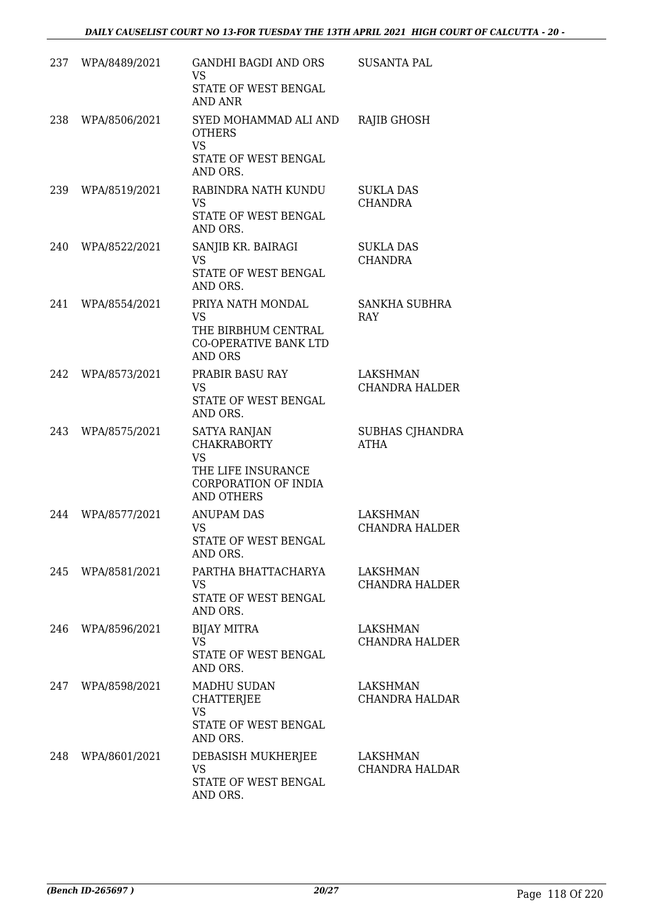|     | 237 WPA/8489/2021 | GANDHI BAGDI AND ORS<br>VS<br>STATE OF WEST BENGAL                              | <b>SUSANTA PAL</b>                    |
|-----|-------------------|---------------------------------------------------------------------------------|---------------------------------------|
| 238 | WPA/8506/2021     | <b>AND ANR</b><br>SYED MOHAMMAD ALI AND                                         | RAJIB GHOSH                           |
|     |                   | <b>OTHERS</b><br><b>VS</b><br>STATE OF WEST BENGAL<br>AND ORS.                  |                                       |
| 239 | WPA/8519/2021     | RABINDRA NATH KUNDU<br><b>VS</b><br>STATE OF WEST BENGAL<br>AND ORS.            | <b>SUKLA DAS</b><br><b>CHANDRA</b>    |
| 240 | WPA/8522/2021     | SANJIB KR. BAIRAGI<br><b>VS</b><br>STATE OF WEST BENGAL<br>AND ORS.             | <b>SUKLA DAS</b><br><b>CHANDRA</b>    |
| 241 | WPA/8554/2021     | PRIYA NATH MONDAL<br><b>VS</b>                                                  | <b>SANKHA SUBHRA</b><br><b>RAY</b>    |
|     |                   | THE BIRBHUM CENTRAL<br><b>CO-OPERATIVE BANK LTD</b><br><b>AND ORS</b>           |                                       |
| 242 | WPA/8573/2021     | PRABIR BASU RAY<br><b>VS</b><br>STATE OF WEST BENGAL<br>AND ORS.                | LAKSHMAN<br><b>CHANDRA HALDER</b>     |
| 243 | WPA/8575/2021     | <b>SATYA RANJAN</b><br><b>CHAKRABORTY</b><br><b>VS</b>                          | <b>SUBHAS CJHANDRA</b><br><b>ATHA</b> |
|     |                   | THE LIFE INSURANCE<br>CORPORATION OF INDIA<br><b>AND OTHERS</b>                 |                                       |
| 244 | WPA/8577/2021     | <b>ANUPAM DAS</b><br><b>VS</b><br>STATE OF WEST BENGAL<br>AND ORS.              | LAKSHMAN<br><b>CHANDRA HALDER</b>     |
|     | 245 WPA/8581/2021 | PARTHA BHATTACHARYA<br><b>VS</b><br>STATE OF WEST BENGAL<br>AND ORS.            | LAKSHMAN<br><b>CHANDRA HALDER</b>     |
|     | 246 WPA/8596/2021 | <b>BIJAY MITRA</b><br><b>VS</b><br>STATE OF WEST BENGAL<br>AND ORS.             | LAKSHMAN<br><b>CHANDRA HALDER</b>     |
|     | 247 WPA/8598/2021 | MADHU SUDAN<br>CHATTERJEE<br><b>VS</b><br>STATE OF WEST BENGAL                  | LAKSHMAN<br><b>CHANDRA HALDAR</b>     |
| 248 | WPA/8601/2021     | AND ORS.<br>DEBASISH MUKHERJEE<br><b>VS</b><br>STATE OF WEST BENGAL<br>AND ORS. | LAKSHMAN<br>CHANDRA HALDAR            |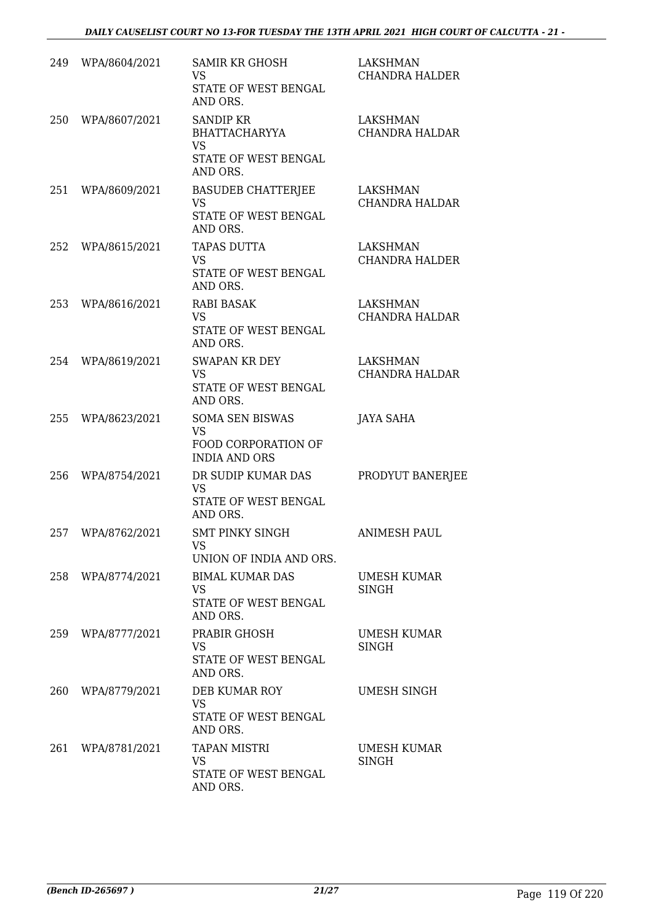| 249 | WPA/8604/2021 | <b>SAMIR KR GHOSH</b><br><b>VS</b><br>STATE OF WEST BENGAL<br>AND ORS.                    | <b>LAKSHMAN</b><br><b>CHANDRA HALDER</b> |
|-----|---------------|-------------------------------------------------------------------------------------------|------------------------------------------|
| 250 | WPA/8607/2021 | <b>SANDIP KR</b><br><b>BHATTACHARYYA</b><br><b>VS</b><br>STATE OF WEST BENGAL<br>AND ORS. | <b>LAKSHMAN</b><br><b>CHANDRA HALDAR</b> |
| 251 | WPA/8609/2021 | <b>BASUDEB CHATTERJEE</b><br><b>VS</b><br>STATE OF WEST BENGAL<br>AND ORS.                | <b>LAKSHMAN</b><br><b>CHANDRA HALDAR</b> |
| 252 | WPA/8615/2021 | <b>TAPAS DUTTA</b><br><b>VS</b><br>STATE OF WEST BENGAL<br>AND ORS.                       | LAKSHMAN<br><b>CHANDRA HALDER</b>        |
| 253 | WPA/8616/2021 | <b>RABI BASAK</b><br>VS.<br>STATE OF WEST BENGAL<br>AND ORS.                              | LAKSHMAN<br><b>CHANDRA HALDAR</b>        |
| 254 | WPA/8619/2021 | SWAPAN KR DEY<br><b>VS</b><br>STATE OF WEST BENGAL<br>AND ORS.                            | LAKSHMAN<br><b>CHANDRA HALDAR</b>        |
| 255 | WPA/8623/2021 | <b>SOMA SEN BISWAS</b><br><b>VS</b><br>FOOD CORPORATION OF<br><b>INDIA AND ORS</b>        | JAYA SAHA                                |
| 256 | WPA/8754/2021 | DR SUDIP KUMAR DAS<br><b>VS</b><br>STATE OF WEST BENGAL<br>AND ORS.                       | PRODYUT BANERJEE                         |
| 257 | WPA/8762/2021 | <b>SMT PINKY SINGH</b><br>VS<br>UNION OF INDIA AND ORS.                                   | <b>ANIMESH PAUL</b>                      |
| 258 | WPA/8774/2021 | <b>BIMAL KUMAR DAS</b><br><b>VS</b><br>STATE OF WEST BENGAL<br>AND ORS.                   | UMESH KUMAR<br>SINGH                     |
| 259 | WPA/8777/2021 | PRABIR GHOSH<br><b>VS</b><br>STATE OF WEST BENGAL<br>AND ORS.                             | <b>UMESH KUMAR</b><br>SINGH              |
| 260 | WPA/8779/2021 | DEB KUMAR ROY<br><b>VS</b><br>STATE OF WEST BENGAL<br>AND ORS.                            | UMESH SINGH                              |
| 261 | WPA/8781/2021 | TAPAN MISTRI<br><b>VS</b><br>STATE OF WEST BENGAL<br>AND ORS.                             | UMESH KUMAR<br>SINGH                     |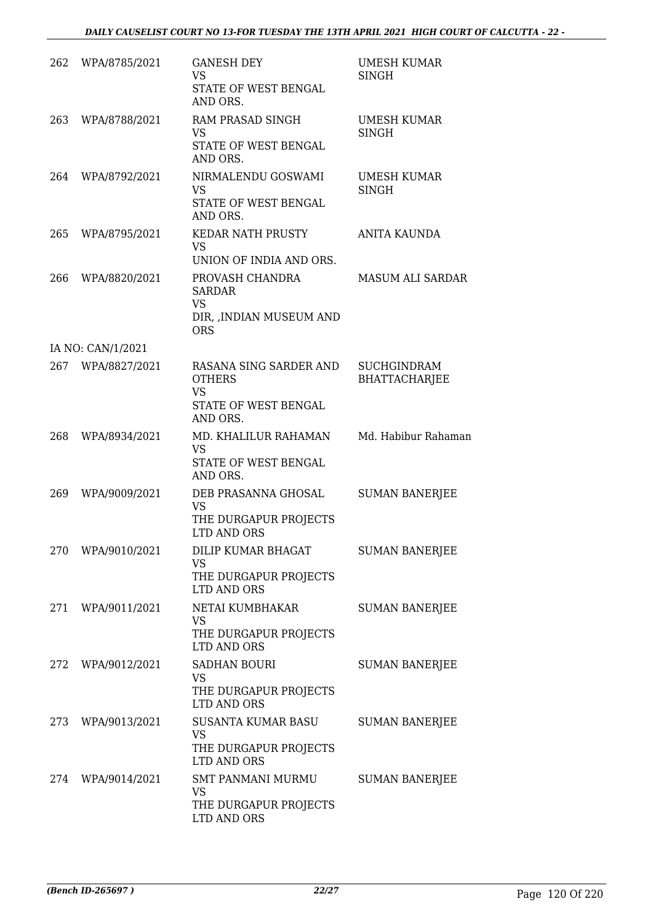| 262 | WPA/8785/2021     | <b>GANESH DEY</b><br>VS<br>STATE OF WEST BENGAL<br>AND ORS.                              | UMESH KUMAR<br>SINGH                       |
|-----|-------------------|------------------------------------------------------------------------------------------|--------------------------------------------|
| 263 | WPA/8788/2021     | RAM PRASAD SINGH<br><b>VS</b><br>STATE OF WEST BENGAL<br>AND ORS.                        | UMESH KUMAR<br><b>SINGH</b>                |
| 264 | WPA/8792/2021     | NIRMALENDU GOSWAMI<br><b>VS</b><br>STATE OF WEST BENGAL<br>AND ORS.                      | <b>UMESH KUMAR</b><br>SINGH                |
| 265 | WPA/8795/2021     | <b>KEDAR NATH PRUSTY</b><br>VS<br>UNION OF INDIA AND ORS.                                | ANITA KAUNDA                               |
| 266 | WPA/8820/2021     | PROVASH CHANDRA<br><b>SARDAR</b><br><b>VS</b><br>DIR, , INDIAN MUSEUM AND<br><b>ORS</b>  | <b>MASUM ALI SARDAR</b>                    |
|     | IA NO: CAN/1/2021 |                                                                                          |                                            |
| 267 | WPA/8827/2021     | RASANA SING SARDER AND<br><b>OTHERS</b><br><b>VS</b><br>STATE OF WEST BENGAL<br>AND ORS. | <b>SUCHGINDRAM</b><br><b>BHATTACHARJEE</b> |
| 268 | WPA/8934/2021     | MD. KHALILUR RAHAMAN<br><b>VS</b><br>STATE OF WEST BENGAL<br>AND ORS.                    | Md. Habibur Rahaman                        |
| 269 | WPA/9009/2021     | DEB PRASANNA GHOSAL<br><b>VS</b><br>THE DURGAPUR PROJECTS<br><b>LTD AND ORS</b>          | <b>SUMAN BANERJEE</b>                      |
|     | 270 WPA/9010/2021 | DILIP KUMAR BHAGAT<br><b>VS</b><br>THE DURGAPUR PROJECTS<br>LTD AND ORS                  | <b>SUMAN BANERJEE</b>                      |
|     | 271 WPA/9011/2021 | NETAI KUMBHAKAR<br>VS<br>THE DURGAPUR PROJECTS<br>LTD AND ORS                            | <b>SUMAN BANERJEE</b>                      |
| 272 | WPA/9012/2021     | <b>SADHAN BOURI</b><br><b>VS</b><br>THE DURGAPUR PROJECTS<br>LTD AND ORS                 | <b>SUMAN BANERJEE</b>                      |
|     | 273 WPA/9013/2021 | SUSANTA KUMAR BASU<br>VS<br>THE DURGAPUR PROJECTS<br>LTD AND ORS                         | <b>SUMAN BANERJEE</b>                      |
|     | 274 WPA/9014/2021 | SMT PANMANI MURMU<br><b>VS</b><br>THE DURGAPUR PROJECTS<br>LTD AND ORS                   | <b>SUMAN BANERJEE</b>                      |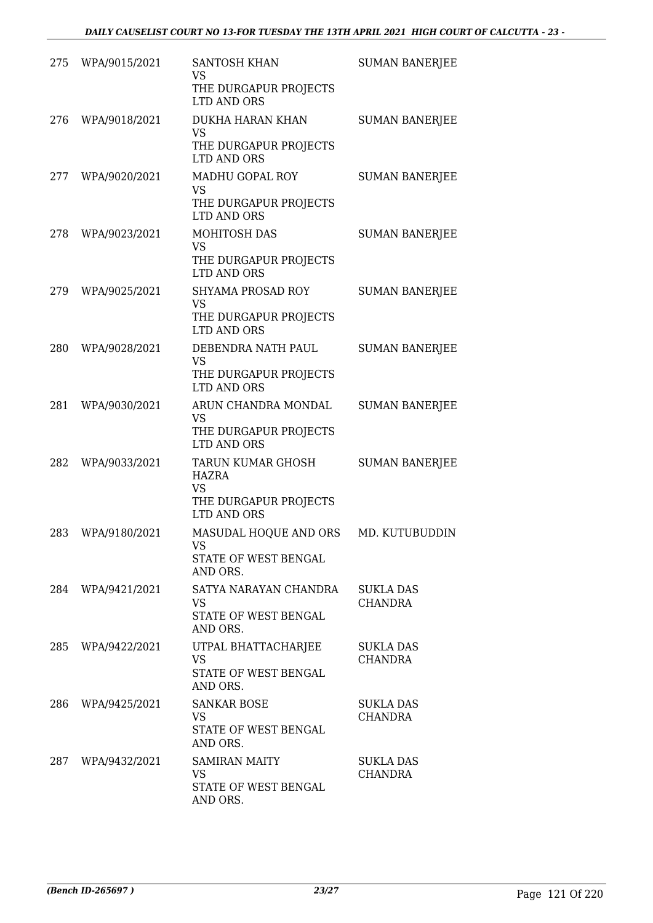| 275 | WPA/9015/2021     | <b>SANTOSH KHAN</b><br>VS                   | <b>SUMAN BANERJEE</b>              |
|-----|-------------------|---------------------------------------------|------------------------------------|
|     |                   | THE DURGAPUR PROJECTS<br>LTD AND ORS        |                                    |
| 276 | WPA/9018/2021     | DUKHA HARAN KHAN<br><b>VS</b>               | <b>SUMAN BANERJEE</b>              |
|     |                   | THE DURGAPUR PROJECTS<br>LTD AND ORS        |                                    |
| 277 | WPA/9020/2021     | MADHU GOPAL ROY<br>VS                       | <b>SUMAN BANERJEE</b>              |
|     |                   | THE DURGAPUR PROJECTS<br>LTD AND ORS        |                                    |
| 278 | WPA/9023/2021     | MOHITOSH DAS<br><b>VS</b>                   | <b>SUMAN BANERJEE</b>              |
|     |                   | THE DURGAPUR PROJECTS<br><b>LTD AND ORS</b> |                                    |
| 279 | WPA/9025/2021     | <b>SHYAMA PROSAD ROY</b><br><b>VS</b>       | <b>SUMAN BANERJEE</b>              |
|     |                   | THE DURGAPUR PROJECTS<br><b>LTD AND ORS</b> |                                    |
| 280 | WPA/9028/2021     | DEBENDRA NATH PAUL<br><b>VS</b>             | <b>SUMAN BANERJEE</b>              |
|     |                   | THE DURGAPUR PROJECTS<br>LTD AND ORS        |                                    |
| 281 | WPA/9030/2021     | ARUN CHANDRA MONDAL<br>VS                   | <b>SUMAN BANERJEE</b>              |
|     |                   | THE DURGAPUR PROJECTS<br>LTD AND ORS        |                                    |
| 282 | WPA/9033/2021     | TARUN KUMAR GHOSH<br>HAZRA<br><b>VS</b>     | <b>SUMAN BANERJEE</b>              |
|     |                   | THE DURGAPUR PROJECTS<br>LTD AND ORS        |                                    |
| 283 | WPA/9180/2021     | MASUDAL HOQUE AND ORS<br><b>VS</b>          | MD. KUTUBUDDIN                     |
|     |                   | STATE OF WEST BENGAL<br>AND ORS.            |                                    |
|     | 284 WPA/9421/2021 | SATYA NARAYAN CHANDRA<br>VS                 | <b>SUKLA DAS</b><br>CHANDRA        |
|     |                   | STATE OF WEST BENGAL<br>AND ORS.            |                                    |
| 285 | WPA/9422/2021     | UTPAL BHATTACHARJEE<br>VS                   | SUKLA DAS<br><b>CHANDRA</b>        |
|     |                   | STATE OF WEST BENGAL<br>AND ORS.            |                                    |
| 286 | WPA/9425/2021     | <b>SANKAR BOSE</b><br><b>VS</b>             | <b>SUKLA DAS</b><br><b>CHANDRA</b> |
|     |                   | STATE OF WEST BENGAL<br>AND ORS.            |                                    |
| 287 | WPA/9432/2021     | <b>SAMIRAN MAITY</b><br>VS                  | <b>SUKLA DAS</b><br>CHANDRA        |
|     |                   | STATE OF WEST BENGAL<br>AND ORS.            |                                    |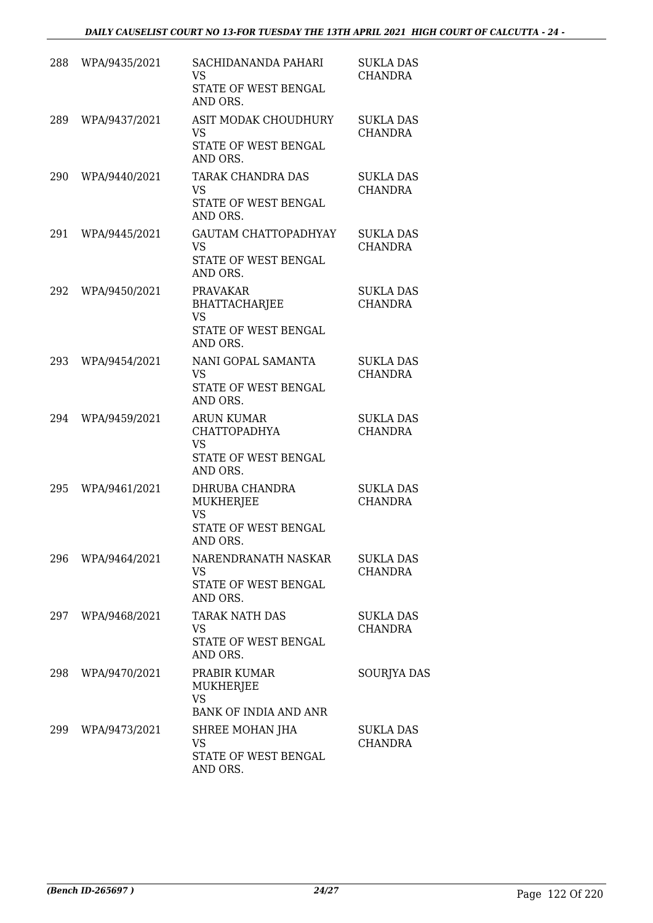| 288 | WPA/9435/2021     | SACHIDANANDA PAHARI<br>VS<br>STATE OF WEST BENGAL<br>AND ORS.                             | <b>SUKLA DAS</b><br><b>CHANDRA</b> |
|-----|-------------------|-------------------------------------------------------------------------------------------|------------------------------------|
| 289 | WPA/9437/2021     | ASIT MODAK CHOUDHURY<br><b>VS</b><br>STATE OF WEST BENGAL<br>AND ORS.                     | <b>SUKLA DAS</b><br><b>CHANDRA</b> |
| 290 | WPA/9440/2021     | TARAK CHANDRA DAS<br><b>VS</b><br>STATE OF WEST BENGAL<br>AND ORS.                        | <b>SUKLA DAS</b><br><b>CHANDRA</b> |
| 291 | WPA/9445/2021     | GAUTAM CHATTOPADHYAY<br>VS<br>STATE OF WEST BENGAL<br>AND ORS.                            | <b>SUKLA DAS</b><br><b>CHANDRA</b> |
| 292 | WPA/9450/2021     | <b>PRAVAKAR</b><br><b>BHATTACHARJEE</b><br><b>VS</b><br>STATE OF WEST BENGAL<br>AND ORS.  | <b>SUKLA DAS</b><br><b>CHANDRA</b> |
| 293 | WPA/9454/2021     | NANI GOPAL SAMANTA<br><b>VS</b><br>STATE OF WEST BENGAL<br>AND ORS.                       | <b>SUKLA DAS</b><br><b>CHANDRA</b> |
| 294 | WPA/9459/2021     | <b>ARUN KUMAR</b><br><b>CHATTOPADHYA</b><br><b>VS</b><br>STATE OF WEST BENGAL<br>AND ORS. | <b>SUKLA DAS</b><br><b>CHANDRA</b> |
| 295 | WPA/9461/2021     | DHRUBA CHANDRA<br>MUKHERJEE<br><b>VS</b><br>STATE OF WEST BENGAL<br>AND ORS.              | <b>SUKLA DAS</b><br><b>CHANDRA</b> |
| 296 | WPA/9464/2021     | NARENDRANATH NASKAR<br><b>VS</b><br>STATE OF WEST BENGAL<br>AND ORS.                      | SUKLA DAS<br><b>CHANDRA</b>        |
|     | 297 WPA/9468/2021 | TARAK NATH DAS<br><b>VS</b><br>STATE OF WEST BENGAL<br>AND ORS.                           | SUKLA DAS<br><b>CHANDRA</b>        |
| 298 | WPA/9470/2021     | PRABIR KUMAR<br><b>MUKHERJEE</b><br>VS<br>BANK OF INDIA AND ANR                           | <b>SOURIYA DAS</b>                 |
| 299 | WPA/9473/2021     | SHREE MOHAN JHA<br><b>VS</b><br>STATE OF WEST BENGAL<br>AND ORS.                          | SUKLA DAS<br><b>CHANDRA</b>        |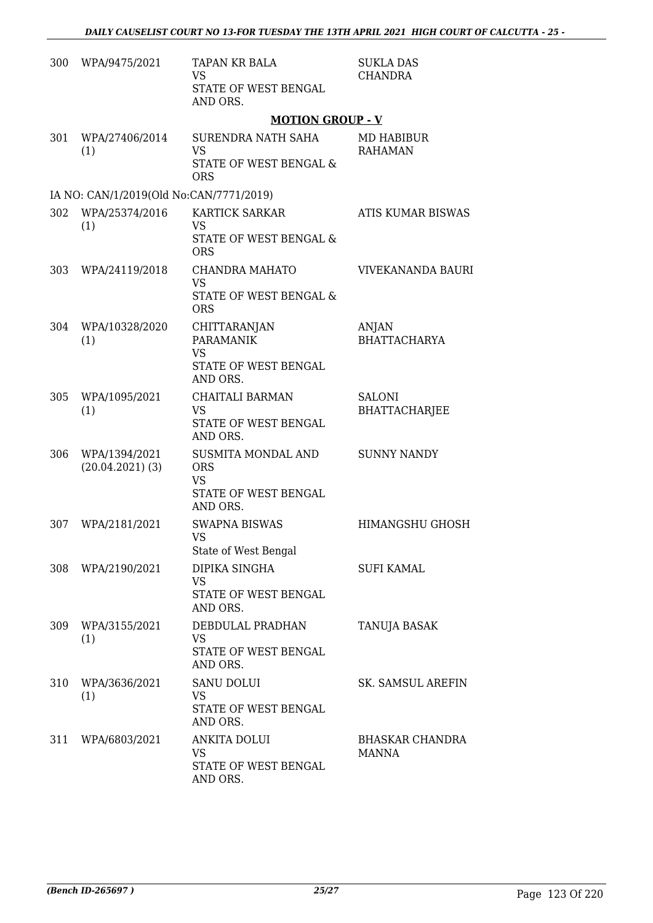| 300 | WPA/9475/2021                           | TAPAN KR BALA<br><b>VS</b><br>STATE OF WEST BENGAL<br>AND ORS.                     | <b>SUKLA DAS</b><br><b>CHANDRA</b>    |
|-----|-----------------------------------------|------------------------------------------------------------------------------------|---------------------------------------|
|     |                                         | <b>MOTION GROUP - V</b>                                                            |                                       |
| 301 | WPA/27406/2014<br>(1)                   | SURENDRA NATH SAHA<br><b>VS</b><br><b>STATE OF WEST BENGAL &amp;</b><br><b>ORS</b> | MD HABIBUR<br><b>RAHAMAN</b>          |
|     | IA NO: CAN/1/2019(Old No:CAN/7771/2019) |                                                                                    |                                       |
| 302 | WPA/25374/2016<br>(1)                   | <b>KARTICK SARKAR</b><br><b>VS</b><br>STATE OF WEST BENGAL &<br><b>ORS</b>         | <b>ATIS KUMAR BISWAS</b>              |
| 303 | WPA/24119/2018                          | CHANDRA MAHATO<br><b>VS</b><br><b>STATE OF WEST BENGAL &amp;</b><br><b>ORS</b>     | VIVEKANANDA BAURI                     |
| 304 | WPA/10328/2020<br>(1)                   | CHITTARANJAN<br><b>PARAMANIK</b><br><b>VS</b><br>STATE OF WEST BENGAL<br>AND ORS.  | ANJAN<br><b>BHATTACHARYA</b>          |
| 305 | WPA/1095/2021<br>(1)                    | CHAITALI BARMAN<br><b>VS</b><br>STATE OF WEST BENGAL<br>AND ORS.                   | <b>SALONI</b><br><b>BHATTACHARJEE</b> |
| 306 | WPA/1394/2021<br>$(20.04.2021)$ (3)     | SUSMITA MONDAL AND<br><b>ORS</b><br><b>VS</b><br>STATE OF WEST BENGAL<br>AND ORS.  | <b>SUNNY NANDY</b>                    |
| 307 | WPA/2181/2021                           | <b>SWAPNA BISWAS</b><br><b>VS</b><br>State of West Bengal                          | <b>HIMANGSHU GHOSH</b>                |
| 308 | WPA/2190/2021                           | DIPIKA SINGHA<br><b>VS</b><br>STATE OF WEST BENGAL<br>AND ORS.                     | <b>SUFI KAMAL</b>                     |
| 309 | WPA/3155/2021<br>(1)                    | DEBDULAL PRADHAN<br><b>VS</b><br>STATE OF WEST BENGAL<br>AND ORS.                  | TANUJA BASAK                          |
| 310 | WPA/3636/2021<br>(1)                    | <b>SANU DOLUI</b><br><b>VS</b><br>STATE OF WEST BENGAL<br>AND ORS.                 | SK. SAMSUL AREFIN                     |
| 311 | WPA/6803/2021                           | <b>ANKITA DOLUI</b><br><b>VS</b><br>STATE OF WEST BENGAL<br>AND ORS.               | <b>BHASKAR CHANDRA</b><br>MANNA       |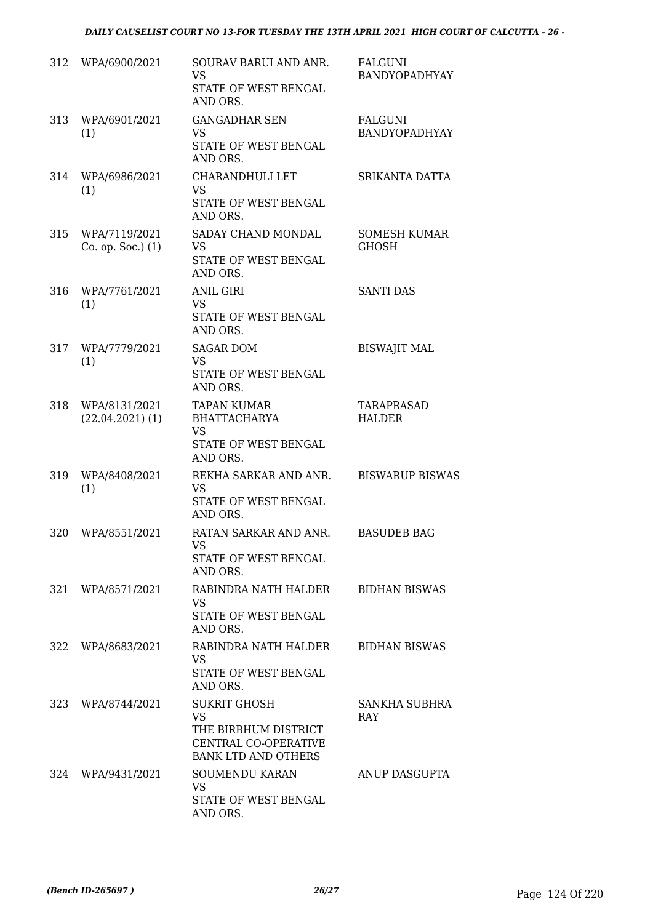| 312 | WPA/6900/2021                         | SOURAV BARUI AND ANR.<br><b>VS</b><br>STATE OF WEST BENGAL<br>AND ORS.                                         | FALGUNI<br><b>BANDYOPADHYAY</b>     |
|-----|---------------------------------------|----------------------------------------------------------------------------------------------------------------|-------------------------------------|
| 313 | WPA/6901/2021<br>(1)                  | <b>GANGADHAR SEN</b><br><b>VS</b><br>STATE OF WEST BENGAL<br>AND ORS.                                          | FALGUNI<br><b>BANDYOPADHYAY</b>     |
| 314 | WPA/6986/2021<br>(1)                  | CHARANDHULI LET<br><b>VS</b><br>STATE OF WEST BENGAL<br>AND ORS.                                               | SRIKANTA DATTA                      |
| 315 | WPA/7119/2021<br>Co. op. Soc.) (1)    | SADAY CHAND MONDAL<br><b>VS</b><br>STATE OF WEST BENGAL<br>AND ORS.                                            | <b>SOMESH KUMAR</b><br><b>GHOSH</b> |
| 316 | WPA/7761/2021<br>(1)                  | <b>ANIL GIRI</b><br><b>VS</b><br>STATE OF WEST BENGAL<br>AND ORS.                                              | <b>SANTI DAS</b>                    |
| 317 | WPA/7779/2021<br>(1)                  | <b>SAGAR DOM</b><br><b>VS</b><br>STATE OF WEST BENGAL<br>AND ORS.                                              | <b>BISWAJIT MAL</b>                 |
| 318 | WPA/8131/2021<br>$(22.04.2021)$ $(1)$ | <b>TAPAN KUMAR</b><br><b>BHATTACHARYA</b><br><b>VS</b><br>STATE OF WEST BENGAL<br>AND ORS.                     | TARAPRASAD<br><b>HALDER</b>         |
| 319 | WPA/8408/2021<br>(1)                  | REKHA SARKAR AND ANR.<br><b>VS</b><br>STATE OF WEST BENGAL<br>AND ORS.                                         | <b>BISWARUP BISWAS</b>              |
| 320 | WPA/8551/2021                         | RATAN SARKAR AND ANR.<br><b>VS</b><br>STATE OF WEST BENGAL<br>AND ORS.                                         | <b>BASUDEB BAG</b>                  |
|     | 321 WPA/8571/2021                     | RABINDRA NATH HALDER<br><b>VS</b><br>STATE OF WEST BENGAL<br>AND ORS.                                          | <b>BIDHAN BISWAS</b>                |
| 322 | WPA/8683/2021                         | RABINDRA NATH HALDER<br>VS<br>STATE OF WEST BENGAL<br>AND ORS.                                                 | <b>BIDHAN BISWAS</b>                |
| 323 | WPA/8744/2021                         | <b>SUKRIT GHOSH</b><br><b>VS</b><br>THE BIRBHUM DISTRICT<br>CENTRAL CO-OPERATIVE<br><b>BANK LTD AND OTHERS</b> | SANKHA SUBHRA<br><b>RAY</b>         |
| 324 | WPA/9431/2021                         | <b>SOUMENDU KARAN</b><br>VS.<br>STATE OF WEST BENGAL<br>AND ORS.                                               | ANUP DASGUPTA                       |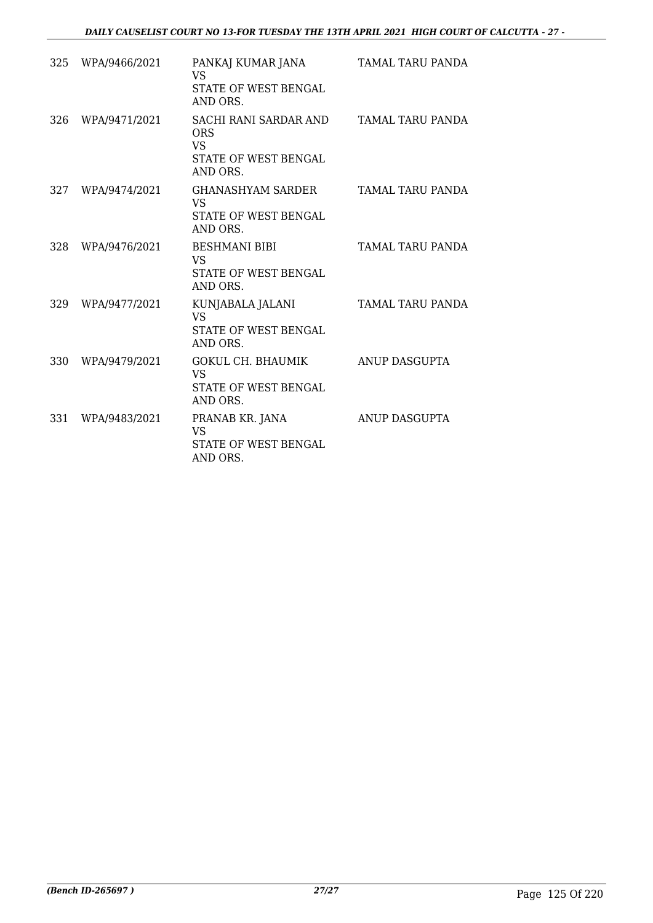| 325 | WPA/9466/2021 | PANKAJ KUMAR JANA<br><b>VS</b><br>STATE OF WEST BENGAL<br>AND ORS.                   | TAMAL TARU PANDA |
|-----|---------------|--------------------------------------------------------------------------------------|------------------|
| 326 | WPA/9471/2021 | SACHI RANI SARDAR AND<br><b>ORS</b><br><b>VS</b><br>STATE OF WEST BENGAL<br>AND ORS. | TAMAL TARU PANDA |
| 327 | WPA/9474/2021 | GHANASHYAM SARDER<br>VS<br><b>STATE OF WEST BENGAL</b><br>AND ORS.                   | TAMAL TARU PANDA |
| 328 | WPA/9476/2021 | <b>BESHMANI BIBI</b><br><b>VS</b><br><b>STATE OF WEST BENGAL</b><br>AND ORS.         | TAMAL TARU PANDA |
| 329 | WPA/9477/2021 | KUNJABALA JALANI<br><b>VS</b><br><b>STATE OF WEST BENGAL</b><br>AND ORS.             | TAMAL TARU PANDA |
| 330 | WPA/9479/2021 | GOKUL CH. BHAUMIK<br><b>VS</b><br>STATE OF WEST BENGAL<br>AND ORS.                   | ANUP DASGUPTA    |
| 331 | WPA/9483/2021 | PRANAB KR. JANA<br><b>VS</b><br>STATE OF WEST BENGAL<br>AND ORS.                     | ANUP DASGUPTA    |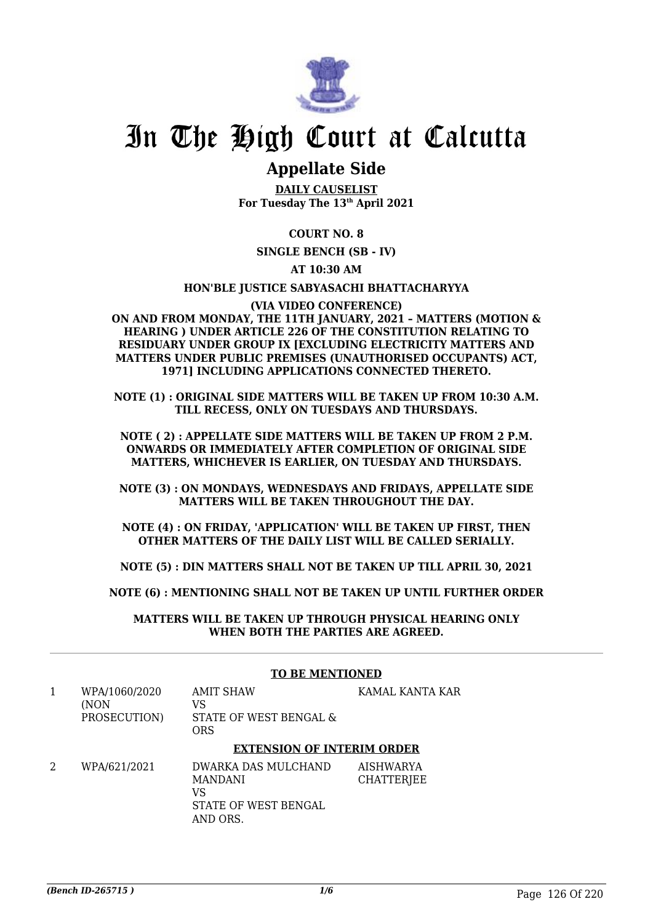

### **Appellate Side**

**DAILY CAUSELIST For Tuesday The 13th April 2021**

### **COURT NO. 8**

**SINGLE BENCH (SB - IV)**

### **AT 10:30 AM**

#### **HON'BLE JUSTICE SABYASACHI BHATTACHARYYA**

#### **(VIA VIDEO CONFERENCE) ON AND FROM MONDAY, THE 11TH JANUARY, 2021 – MATTERS (MOTION & HEARING ) UNDER ARTICLE 226 OF THE CONSTITUTION RELATING TO RESIDUARY UNDER GROUP IX [EXCLUDING ELECTRICITY MATTERS AND MATTERS UNDER PUBLIC PREMISES (UNAUTHORISED OCCUPANTS) ACT, 1971] INCLUDING APPLICATIONS CONNECTED THERETO.**

**NOTE (1) : ORIGINAL SIDE MATTERS WILL BE TAKEN UP FROM 10:30 A.M. TILL RECESS, ONLY ON TUESDAYS AND THURSDAYS.**

**NOTE ( 2) : APPELLATE SIDE MATTERS WILL BE TAKEN UP FROM 2 P.M. ONWARDS OR IMMEDIATELY AFTER COMPLETION OF ORIGINAL SIDE MATTERS, WHICHEVER IS EARLIER, ON TUESDAY AND THURSDAYS.**

**NOTE (3) : ON MONDAYS, WEDNESDAYS AND FRIDAYS, APPELLATE SIDE MATTERS WILL BE TAKEN THROUGHOUT THE DAY.**

**NOTE (4) : ON FRIDAY, 'APPLICATION' WILL BE TAKEN UP FIRST, THEN OTHER MATTERS OF THE DAILY LIST WILL BE CALLED SERIALLY.**

**NOTE (5) : DIN MATTERS SHALL NOT BE TAKEN UP TILL APRIL 30, 2021**

**NOTE (6) : MENTIONING SHALL NOT BE TAKEN UP UNTIL FURTHER ORDER**

**MATTERS WILL BE TAKEN UP THROUGH PHYSICAL HEARING ONLY WHEN BOTH THE PARTIES ARE AGREED.**

### **TO BE MENTIONED**

1 WPA/1060/2020 (NON PROSECUTION) AMIT SHAW VS STATE OF WEST BENGAL & **ORS** KAMAL KANTA KAR

### **EXTENSION OF INTERIM ORDER**

2 WPA/621/2021 DWARKA DAS MULCHAND MANDANI VS STATE OF WEST BENGAL AND ORS. AISHWARYA **CHATTERIEE**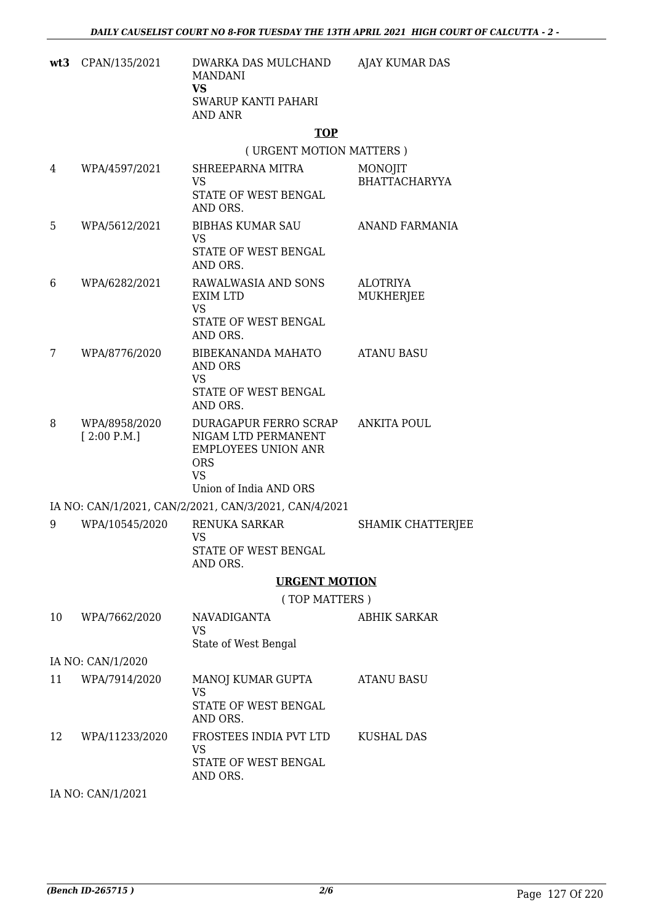| $wt3$ CPAN/135/2021 | DWARKA DAS MULCHAND<br>MANDANI<br>VS<br>SWARUP KANTI PAHARI<br>AND ANR | AJAY KUMAR DAS |
|---------------------|------------------------------------------------------------------------|----------------|
|                     |                                                                        |                |

### **TOP**

( URGENT MOTION MATTERS )

| 4  | WPA/4597/2021                | SHREEPARNA MITRA<br>VS<br>STATE OF WEST BENGAL<br>AND ORS.                                                                      | MONOJIT<br><b>BHATTACHARYYA</b> |
|----|------------------------------|---------------------------------------------------------------------------------------------------------------------------------|---------------------------------|
| 5  | WPA/5612/2021                | <b>BIBHAS KUMAR SAU</b><br><b>VS</b>                                                                                            | ANAND FARMANIA                  |
|    |                              | STATE OF WEST BENGAL<br>AND ORS.                                                                                                |                                 |
| 6  | WPA/6282/2021                | RAWALWASIA AND SONS<br><b>EXIM LTD</b><br><b>VS</b><br>STATE OF WEST BENGAL<br>AND ORS.                                         | <b>ALOTRIYA</b><br>MUKHERJEE    |
| 7  | WPA/8776/2020                | BIBEKANANDA MAHATO<br>AND ORS<br><b>VS</b><br>STATE OF WEST BENGAL<br>AND ORS.                                                  | <b>ATANU BASU</b>               |
| 8  | WPA/8958/2020<br>[2:00 P.M.] | DURAGAPUR FERRO SCRAP<br>NIGAM LTD PERMANENT<br><b>EMPLOYEES UNION ANR</b><br><b>ORS</b><br><b>VS</b><br>Union of India AND ORS | <b>ANKITA POUL</b>              |
|    |                              | IA NO: CAN/1/2021, CAN/2/2021, CAN/3/2021, CAN/4/2021                                                                           |                                 |
| 9  | WPA/10545/2020               | RENUKA SARKAR<br><b>VS</b><br>STATE OF WEST BENGAL<br>AND ORS.                                                                  | <b>SHAMIK CHATTERJEE</b>        |
|    |                              | <b>URGENT MOTION</b>                                                                                                            |                                 |
|    |                              | (TOP MATTERS)                                                                                                                   |                                 |
| 10 | WPA/7662/2020                | <b>NAVADIGANTA</b><br><b>VS</b><br>State of West Bengal                                                                         | <b>ABHIK SARKAR</b>             |
|    | IA NO: CAN/1/2020            |                                                                                                                                 |                                 |
| 11 | WPA/7914/2020                | MANOJ KUMAR GUPTA<br><b>VS</b><br>STATE OF WEST BENGAL<br>AND ORS.                                                              | <b>ATANU BASU</b>               |
| 12 | WPA/11233/2020               | FROSTEES INDIA PVT LTD<br><b>VS</b><br>STATE OF WEST BENGAL<br>AND ORS.                                                         | KUSHAL DAS                      |
|    | IA NO: CAN/1/2021            |                                                                                                                                 |                                 |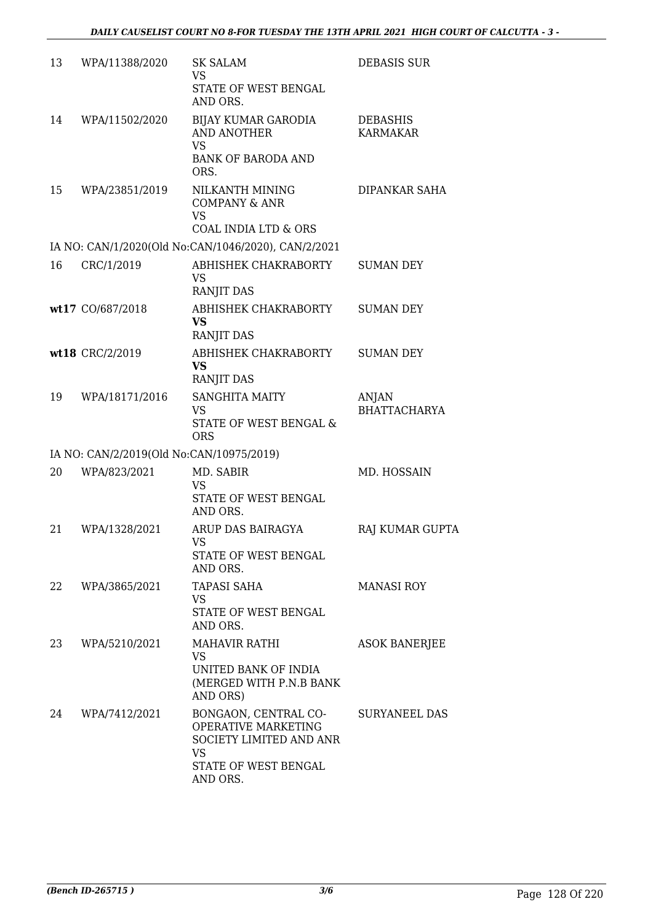| 13 | WPA/11388/2020                           | <b>SK SALAM</b><br>VS<br>STATE OF WEST BENGAL<br>AND ORS.                                                        | <b>DEBASIS SUR</b>                  |
|----|------------------------------------------|------------------------------------------------------------------------------------------------------------------|-------------------------------------|
| 14 | WPA/11502/2020                           | BIJAY KUMAR GARODIA<br>AND ANOTHER<br><b>VS</b><br><b>BANK OF BARODA AND</b><br>ORS.                             | <b>DEBASHIS</b><br><b>KARMAKAR</b>  |
| 15 | WPA/23851/2019                           | NILKANTH MINING<br><b>COMPANY &amp; ANR</b><br><b>VS</b><br>COAL INDIA LTD & ORS                                 | <b>DIPANKAR SAHA</b>                |
|    |                                          | IA NO: CAN/1/2020(Old No:CAN/1046/2020), CAN/2/2021                                                              |                                     |
| 16 | CRC/1/2019                               | ABHISHEK CHAKRABORTY<br>VS<br>RANJIT DAS                                                                         | <b>SUMAN DEY</b>                    |
|    | wt17 CO/687/2018                         | ABHISHEK CHAKRABORTY<br><b>VS</b><br><b>RANJIT DAS</b>                                                           | <b>SUMAN DEY</b>                    |
|    | wt18 CRC/2/2019                          | ABHISHEK CHAKRABORTY<br><b>VS</b><br><b>RANJIT DAS</b>                                                           | <b>SUMAN DEY</b>                    |
| 19 | WPA/18171/2016                           | <b>SANGHITA MAITY</b><br><b>VS</b><br>STATE OF WEST BENGAL &<br><b>ORS</b>                                       | <b>ANJAN</b><br><b>BHATTACHARYA</b> |
|    | IA NO: CAN/2/2019(Old No:CAN/10975/2019) |                                                                                                                  |                                     |
| 20 | WPA/823/2021                             | MD. SABIR<br><b>VS</b><br>STATE OF WEST BENGAL<br>AND ORS.                                                       | MD. HOSSAIN                         |
| 21 | WPA/1328/2021                            | ARUP DAS BAIRAGYA<br>VS<br>STATE OF WEST BENGAL<br>AND ORS.                                                      | RAJ KUMAR GUPTA                     |
| 22 | WPA/3865/2021                            | <b>TAPASI SAHA</b><br>VS<br>STATE OF WEST BENGAL<br>AND ORS.                                                     | <b>MANASI ROY</b>                   |
| 23 | WPA/5210/2021                            | <b>MAHAVIR RATHI</b><br>VS.<br>UNITED BANK OF INDIA<br>(MERGED WITH P.N.B BANK<br>AND ORS)                       | <b>ASOK BANERJEE</b>                |
| 24 | WPA/7412/2021                            | BONGAON, CENTRAL CO-<br>OPERATIVE MARKETING<br>SOCIETY LIMITED AND ANR<br>VS<br>STATE OF WEST BENGAL<br>AND ORS. | SURYANEEL DAS                       |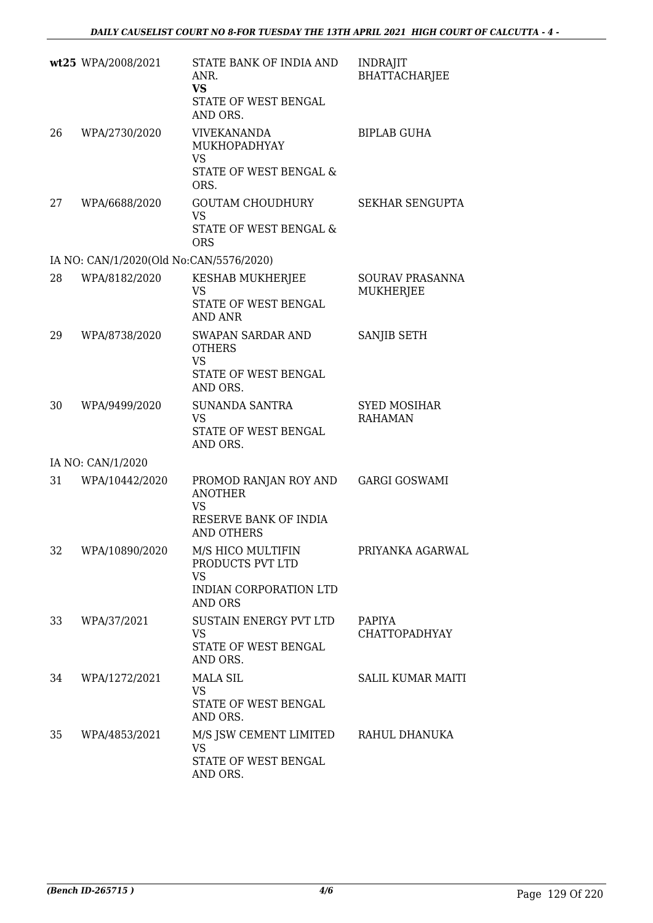|    | wt25 WPA/2008/2021                      | STATE BANK OF INDIA AND<br>ANR.<br><b>VS</b><br>STATE OF WEST BENGAL<br>AND ORS.                                    | <b>INDRAJIT</b><br>BHATTACHARJEE      |
|----|-----------------------------------------|---------------------------------------------------------------------------------------------------------------------|---------------------------------------|
| 26 | WPA/2730/2020                           | <b>VIVEKANANDA</b><br><b>MUKHOPADHYAY</b><br>VS<br>STATE OF WEST BENGAL &<br>ORS.                                   | <b>BIPLAB GUHA</b>                    |
| 27 | WPA/6688/2020                           | <b>GOUTAM CHOUDHURY</b><br><b>VS</b><br>STATE OF WEST BENGAL &<br><b>ORS</b>                                        | SEKHAR SENGUPTA                       |
|    | IA NO: CAN/1/2020(Old No:CAN/5576/2020) |                                                                                                                     |                                       |
| 28 | WPA/8182/2020                           | KESHAB MUKHERJEE<br><b>VS</b><br>STATE OF WEST BENGAL                                                               | SOURAV PRASANNA<br>MUKHERJEE          |
| 29 | WPA/8738/2020                           | <b>AND ANR</b><br><b>SWAPAN SARDAR AND</b><br><b>OTHERS</b><br><b>VS</b><br>STATE OF WEST BENGAL                    | <b>SANJIB SETH</b>                    |
| 30 | WPA/9499/2020                           | AND ORS.<br><b>SUNANDA SANTRA</b><br>VS<br>STATE OF WEST BENGAL<br>AND ORS.                                         | <b>SYED MOSIHAR</b><br><b>RAHAMAN</b> |
|    | IA NO: CAN/1/2020                       |                                                                                                                     |                                       |
| 31 | WPA/10442/2020                          | PROMOD RANJAN ROY AND<br><b>ANOTHER</b><br><b>VS</b><br>RESERVE BANK OF INDIA                                       | <b>GARGI GOSWAMI</b>                  |
| 32 | WPA/10890/2020                          | <b>AND OTHERS</b><br>M/S HICO MULTIFIN<br>PRODUCTS PVT LTD<br><b>VS</b><br>INDIAN CORPORATION LTD<br><b>AND ORS</b> | PRIYANKA AGARWAL                      |
| 33 | WPA/37/2021                             | SUSTAIN ENERGY PVT LTD<br>VS<br>STATE OF WEST BENGAL<br>AND ORS.                                                    | PAPIYA<br><b>CHATTOPADHYAY</b>        |
| 34 | WPA/1272/2021                           | <b>MALA SIL</b><br><b>VS</b><br>STATE OF WEST BENGAL<br>AND ORS.                                                    | <b>SALIL KUMAR MAITI</b>              |
| 35 | WPA/4853/2021                           | M/S JSW CEMENT LIMITED<br><b>VS</b><br>STATE OF WEST BENGAL<br>AND ORS.                                             | RAHUL DHANUKA                         |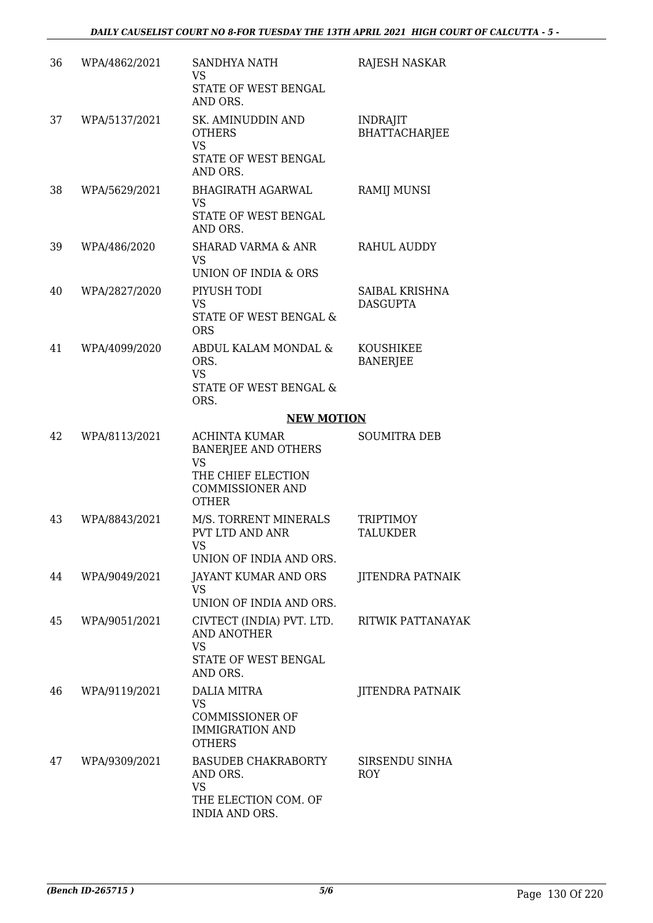| 36 | WPA/4862/2021 | <b>SANDHYA NATH</b><br><b>VS</b><br>STATE OF WEST BENGAL<br>AND ORS.                                                             | <b>RAJESH NASKAR</b>                    |
|----|---------------|----------------------------------------------------------------------------------------------------------------------------------|-----------------------------------------|
| 37 | WPA/5137/2021 | SK. AMINUDDIN AND<br><b>OTHERS</b><br><b>VS</b><br>STATE OF WEST BENGAL<br>AND ORS.                                              | <b>INDRAJIT</b><br><b>BHATTACHARJEE</b> |
| 38 | WPA/5629/2021 | <b>BHAGIRATH AGARWAL</b><br><b>VS</b><br>STATE OF WEST BENGAL<br>AND ORS.                                                        | RAMIJ MUNSI                             |
| 39 | WPA/486/2020  | SHARAD VARMA & ANR<br><b>VS</b><br>UNION OF INDIA & ORS                                                                          | RAHUL AUDDY                             |
| 40 | WPA/2827/2020 | PIYUSH TODI<br><b>VS</b><br>STATE OF WEST BENGAL &<br><b>ORS</b>                                                                 | SAIBAL KRISHNA<br><b>DASGUPTA</b>       |
| 41 | WPA/4099/2020 | ABDUL KALAM MONDAL &<br>ORS.<br><b>VS</b><br>STATE OF WEST BENGAL &<br>ORS.                                                      | KOUSHIKEE<br><b>BANERJEE</b>            |
|    |               | <b>NEW MOTION</b>                                                                                                                |                                         |
| 42 | WPA/8113/2021 | <b>ACHINTA KUMAR</b><br><b>BANERJEE AND OTHERS</b><br><b>VS</b><br>THE CHIEF ELECTION<br><b>COMMISSIONER AND</b><br><b>OTHER</b> | <b>SOUMITRA DEB</b>                     |
| 43 | WPA/8843/2021 | M/S. TORRENT MINERALS<br>PVT LTD AND ANR<br>VS<br>UNION OF INDIA AND ORS.                                                        | <b>TRIPTIMOY</b><br><b>TALUKDER</b>     |
| 44 | WPA/9049/2021 | JAYANT KUMAR AND ORS<br><b>VS</b><br>UNION OF INDIA AND ORS.                                                                     | <b>JITENDRA PATNAIK</b>                 |
| 45 | WPA/9051/2021 | CIVTECT (INDIA) PVT. LTD.<br><b>AND ANOTHER</b><br><b>VS</b><br>STATE OF WEST BENGAL<br>AND ORS.                                 | RITWIK PATTANAYAK                       |
| 46 | WPA/9119/2021 | DALIA MITRA<br>VS<br><b>COMMISSIONER OF</b><br><b>IMMIGRATION AND</b><br><b>OTHERS</b>                                           | <b>JITENDRA PATNAIK</b>                 |
| 47 | WPA/9309/2021 | <b>BASUDEB CHAKRABORTY</b><br>AND ORS.<br><b>VS</b><br>THE ELECTION COM. OF<br>INDIA AND ORS.                                    | SIRSENDU SINHA<br><b>ROY</b>            |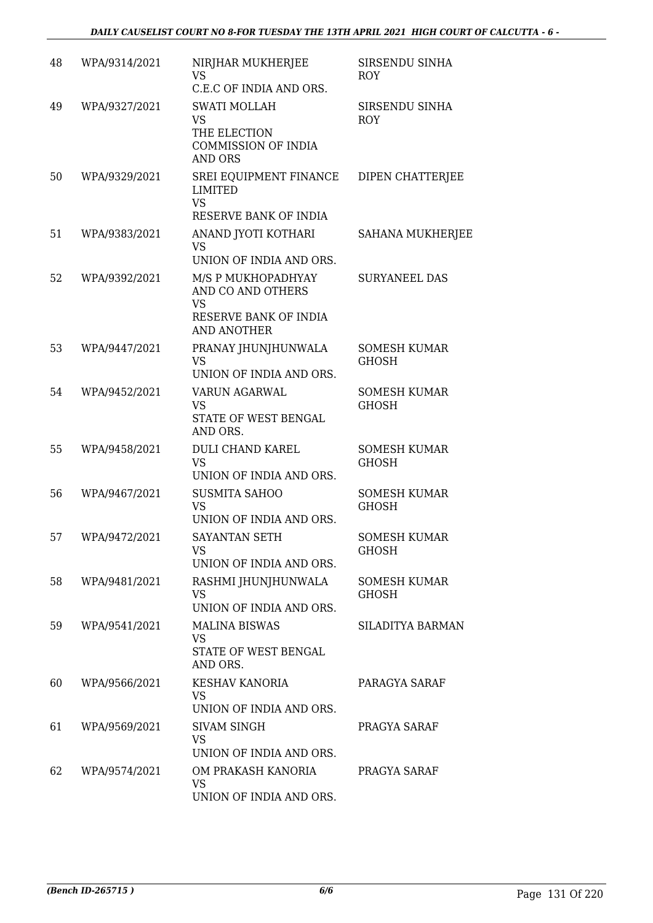| 48 | WPA/9314/2021 | NIRJHAR MUKHERJEE<br><b>VS</b><br>C.E.C OF INDIA AND ORS.                                           | SIRSENDU SINHA<br><b>ROY</b>        |
|----|---------------|-----------------------------------------------------------------------------------------------------|-------------------------------------|
| 49 | WPA/9327/2021 | <b>SWATI MOLLAH</b><br><b>VS</b><br>THE ELECTION<br><b>COMMISSION OF INDIA</b><br><b>AND ORS</b>    | SIRSENDU SINHA<br><b>ROY</b>        |
| 50 | WPA/9329/2021 | SREI EQUIPMENT FINANCE<br><b>LIMITED</b><br><b>VS</b><br>RESERVE BANK OF INDIA                      | DIPEN CHATTERJEE                    |
| 51 | WPA/9383/2021 | ANAND JYOTI KOTHARI<br><b>VS</b><br>UNION OF INDIA AND ORS.                                         | SAHANA MUKHERJEE                    |
| 52 | WPA/9392/2021 | M/S P MUKHOPADHYAY<br>AND CO AND OTHERS<br><b>VS</b><br>RESERVE BANK OF INDIA<br><b>AND ANOTHER</b> | <b>SURYANEEL DAS</b>                |
| 53 | WPA/9447/2021 | PRANAY JHUNJHUNWALA<br><b>VS</b><br>UNION OF INDIA AND ORS.                                         | <b>SOMESH KUMAR</b><br><b>GHOSH</b> |
| 54 | WPA/9452/2021 | VARUN AGARWAL<br><b>VS</b><br>STATE OF WEST BENGAL<br>AND ORS.                                      | <b>SOMESH KUMAR</b><br><b>GHOSH</b> |
| 55 | WPA/9458/2021 | <b>DULI CHAND KAREL</b><br><b>VS</b><br>UNION OF INDIA AND ORS.                                     | <b>SOMESH KUMAR</b><br><b>GHOSH</b> |
| 56 | WPA/9467/2021 | <b>SUSMITA SAHOO</b><br><b>VS</b><br>UNION OF INDIA AND ORS.                                        | <b>SOMESH KUMAR</b><br><b>GHOSH</b> |
| 57 | WPA/9472/2021 | <b>SAYANTAN SETH</b><br><b>VS</b><br>UNION OF INDIA AND ORS.                                        | <b>SOMESH KUMAR</b><br><b>GHOSH</b> |
| 58 | WPA/9481/2021 | RASHMI JHUNJHUNWALA<br><b>VS</b><br>UNION OF INDIA AND ORS.                                         | <b>SOMESH KUMAR</b><br><b>GHOSH</b> |
| 59 | WPA/9541/2021 | <b>MALINA BISWAS</b><br>VS<br>STATE OF WEST BENGAL<br>AND ORS.                                      | SILADITYA BARMAN                    |
| 60 | WPA/9566/2021 | <b>KESHAV KANORIA</b><br><b>VS</b><br>UNION OF INDIA AND ORS.                                       | PARAGYA SARAF                       |
| 61 | WPA/9569/2021 | SIVAM SINGH<br><b>VS</b><br>UNION OF INDIA AND ORS.                                                 | PRAGYA SARAF                        |
| 62 | WPA/9574/2021 | OM PRAKASH KANORIA<br><b>VS</b><br>UNION OF INDIA AND ORS.                                          | PRAGYA SARAF                        |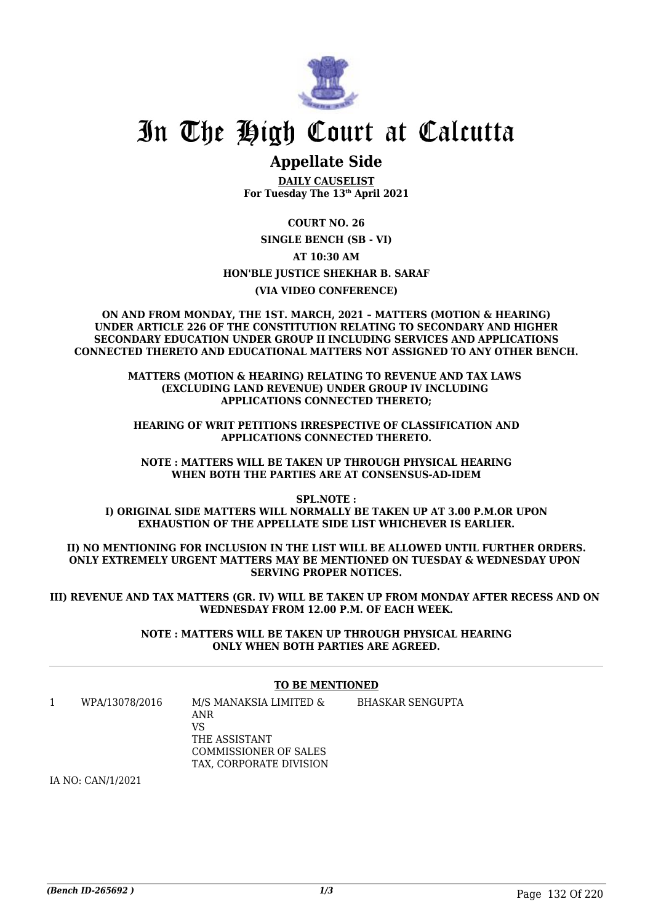

### **Appellate Side**

**DAILY CAUSELIST For Tuesday The 13th April 2021**

**COURT NO. 26 SINGLE BENCH (SB - VI) AT 10:30 AM HON'BLE JUSTICE SHEKHAR B. SARAF (VIA VIDEO CONFERENCE)**

**ON AND FROM MONDAY, THE 1ST. MARCH, 2021 – MATTERS (MOTION & HEARING) UNDER ARTICLE 226 OF THE CONSTITUTION RELATING TO SECONDARY AND HIGHER SECONDARY EDUCATION UNDER GROUP II INCLUDING SERVICES AND APPLICATIONS CONNECTED THERETO AND EDUCATIONAL MATTERS NOT ASSIGNED TO ANY OTHER BENCH.**

> **MATTERS (MOTION & HEARING) RELATING TO REVENUE AND TAX LAWS (EXCLUDING LAND REVENUE) UNDER GROUP IV INCLUDING APPLICATIONS CONNECTED THERETO;**

**HEARING OF WRIT PETITIONS IRRESPECTIVE OF CLASSIFICATION AND APPLICATIONS CONNECTED THERETO.**

**NOTE : MATTERS WILL BE TAKEN UP THROUGH PHYSICAL HEARING WHEN BOTH THE PARTIES ARE AT CONSENSUS-AD-IDEM**

**SPL.NOTE : I) ORIGINAL SIDE MATTERS WILL NORMALLY BE TAKEN UP AT 3.00 P.M.OR UPON EXHAUSTION OF THE APPELLATE SIDE LIST WHICHEVER IS EARLIER.**

**II) NO MENTIONING FOR INCLUSION IN THE LIST WILL BE ALLOWED UNTIL FURTHER ORDERS. ONLY EXTREMELY URGENT MATTERS MAY BE MENTIONED ON TUESDAY & WEDNESDAY UPON SERVING PROPER NOTICES.**

**III) REVENUE AND TAX MATTERS (GR. IV) WILL BE TAKEN UP FROM MONDAY AFTER RECESS AND ON WEDNESDAY FROM 12.00 P.M. OF EACH WEEK.**

> **NOTE : MATTERS WILL BE TAKEN UP THROUGH PHYSICAL HEARING ONLY WHEN BOTH PARTIES ARE AGREED.**

#### **TO BE MENTIONED**

1 WPA/13078/2016 M/S MANAKSIA LIMITED & ANR VS THE ASSISTANT COMMISSIONER OF SALES TAX, CORPORATE DIVISION BHASKAR SENGUPTA

IA NO: CAN/1/2021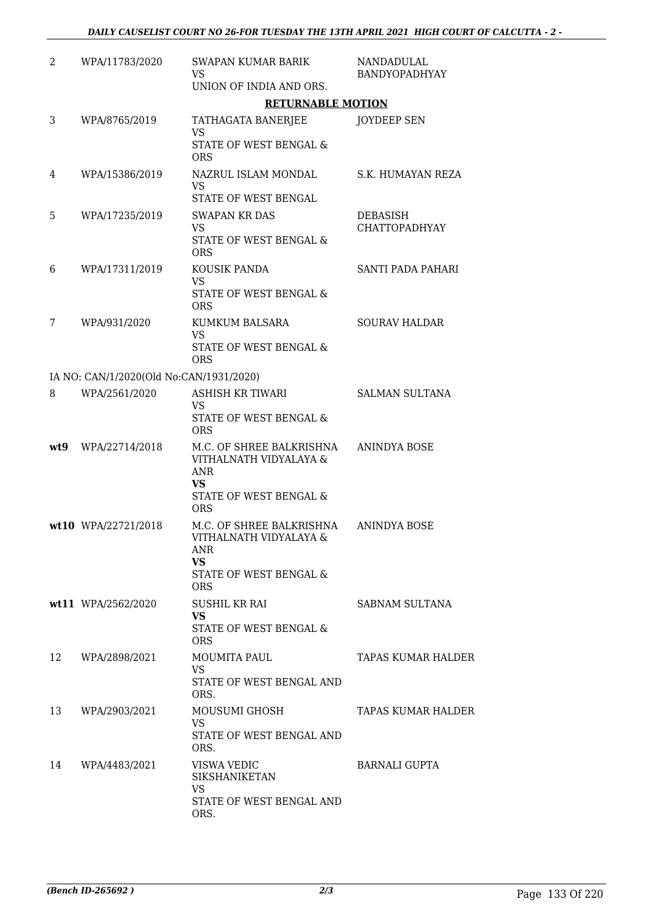| 2   | WPA/11783/2020                          | <b>SWAPAN KUMAR BARIK</b><br>VS<br>UNION OF INDIA AND ORS.                                       | NANDADULAL<br><b>BANDYOPADHYAY</b> |
|-----|-----------------------------------------|--------------------------------------------------------------------------------------------------|------------------------------------|
|     |                                         | <b>RETURNABLE MOTION</b>                                                                         |                                    |
| 3   | WPA/8765/2019                           | TATHAGATA BANERJEE<br>VS                                                                         | <b>JOYDEEP SEN</b>                 |
|     |                                         | STATE OF WEST BENGAL &<br><b>ORS</b>                                                             |                                    |
| 4   | WPA/15386/2019                          | NAZRUL ISLAM MONDAL<br><b>VS</b><br>STATE OF WEST BENGAL                                         | S.K. HUMAYAN REZA                  |
| 5.  | WPA/17235/2019                          | <b>SWAPAN KR DAS</b>                                                                             | DEBASISH                           |
|     |                                         | <b>VS</b><br>STATE OF WEST BENGAL &<br><b>ORS</b>                                                | <b>CHATTOPADHYAY</b>               |
| 6   | WPA/17311/2019                          | KOUSIK PANDA<br><b>VS</b>                                                                        | SANTI PADA PAHARI                  |
|     |                                         | STATE OF WEST BENGAL &<br><b>ORS</b>                                                             |                                    |
| 7   | WPA/931/2020                            | KUMKUM BALSARA                                                                                   | <b>SOURAV HALDAR</b>               |
|     |                                         | <b>VS</b><br>STATE OF WEST BENGAL &<br><b>ORS</b>                                                |                                    |
|     | IA NO: CAN/1/2020(Old No:CAN/1931/2020) |                                                                                                  |                                    |
| 8   | WPA/2561/2020                           | <b>ASHISH KR TIWARI</b><br><b>VS</b><br>STATE OF WEST BENGAL &                                   | <b>SALMAN SULTANA</b>              |
|     |                                         | <b>ORS</b>                                                                                       |                                    |
| wt9 | WPA/22714/2018                          | M.C. OF SHREE BALKRISHNA<br>VITHALNATH VIDYALAYA &<br><b>ANR</b>                                 | ANINDYA BOSE                       |
|     |                                         | <b>VS</b><br>STATE OF WEST BENGAL &<br><b>ORS</b>                                                |                                    |
|     | wt10 WPA/22721/2018                     | M.C. OF SHREE BALKRISHNA<br>VITHALNATH VIDYALAYA &<br>ANR<br><b>VS</b><br>STATE OF WEST BENGAL & | <b>ANINDYA BOSE</b>                |
|     |                                         | <b>ORS</b>                                                                                       |                                    |
|     | wt11 WPA/2562/2020                      | SUSHIL KR RAI<br><b>VS</b>                                                                       | SABNAM SULTANA                     |
|     |                                         | STATE OF WEST BENGAL &<br><b>ORS</b>                                                             |                                    |
| 12  | WPA/2898/2021                           | <b>MOUMITA PAUL</b><br><b>VS</b>                                                                 | <b>TAPAS KUMAR HALDER</b>          |
|     |                                         | STATE OF WEST BENGAL AND<br>ORS.                                                                 |                                    |
| 13  | WPA/2903/2021                           | MOUSUMI GHOSH<br><b>VS</b>                                                                       | <b>TAPAS KUMAR HALDER</b>          |
|     |                                         | STATE OF WEST BENGAL AND<br>ORS.                                                                 |                                    |
| 14  | WPA/4483/2021                           | VISWA VEDIC<br><b>SIKSHANIKETAN</b><br><b>VS</b>                                                 | <b>BARNALI GUPTA</b>               |
|     |                                         | STATE OF WEST BENGAL AND<br>ORS.                                                                 |                                    |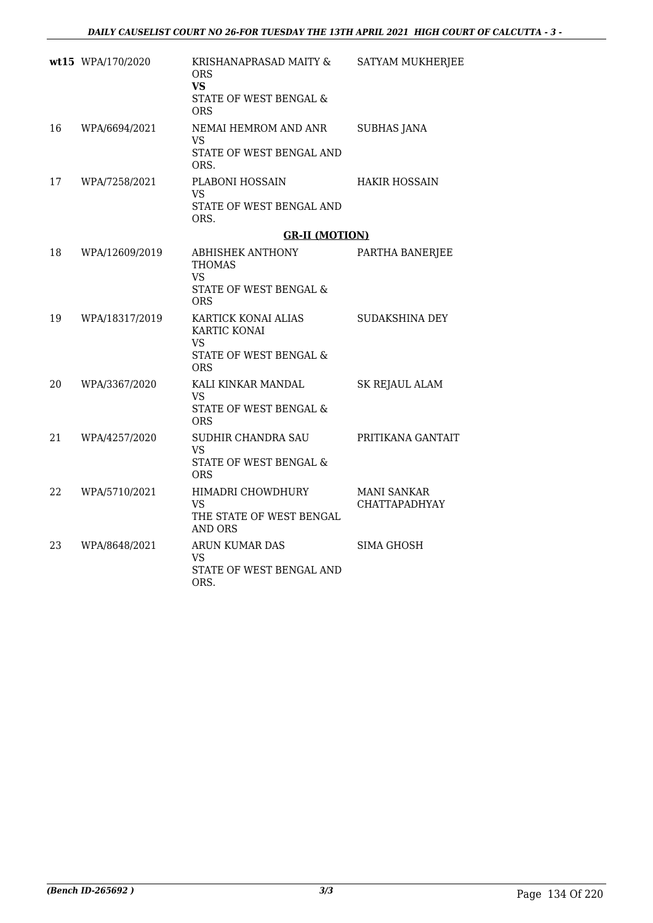|    | wt15 WPA/170/2020 | KRISHANAPRASAD MAITY &<br><b>ORS</b><br><b>VS</b><br>STATE OF WEST BENGAL &<br><b>ORS</b> | <b>SATYAM MUKHERJEE</b>             |
|----|-------------------|-------------------------------------------------------------------------------------------|-------------------------------------|
| 16 | WPA/6694/2021     | NEMAI HEMROM AND ANR<br><b>VS</b><br>STATE OF WEST BENGAL AND<br>ORS.                     | <b>SUBHAS JANA</b>                  |
| 17 | WPA/7258/2021     | PLABONI HOSSAIN<br>VS<br>STATE OF WEST BENGAL AND<br>ORS.                                 | <b>HAKIR HOSSAIN</b>                |
|    |                   | <b>GR-II (MOTION)</b>                                                                     |                                     |
| 18 | WPA/12609/2019    | ABHISHEK ANTHONY<br>THOMAS<br><b>VS</b><br>STATE OF WEST BENGAL &<br><b>ORS</b>           | PARTHA BANERJEE                     |
| 19 | WPA/18317/2019    | KARTICK KONAI ALIAS<br>KARTIC KONAI<br>VS.<br>STATE OF WEST BENGAL &<br><b>ORS</b>        | SUDAKSHINA DEY                      |
| 20 | WPA/3367/2020     | KALI KINKAR MANDAL<br>VS<br>STATE OF WEST BENGAL &<br><b>ORS</b>                          | SK REJAUL ALAM                      |
| 21 | WPA/4257/2020     | SUDHIR CHANDRA SAU<br>VS<br>STATE OF WEST BENGAL &<br><b>ORS</b>                          | PRITIKANA GANTAIT                   |
| 22 | WPA/5710/2021     | HIMADRI CHOWDHURY<br>VS<br>THE STATE OF WEST BENGAL<br><b>AND ORS</b>                     | MANI SANKAR<br><b>CHATTAPADHYAY</b> |
| 23 | WPA/8648/2021     | ARUN KUMAR DAS<br><b>VS</b><br>STATE OF WEST BENGAL AND<br>ORS.                           | <b>SIMA GHOSH</b>                   |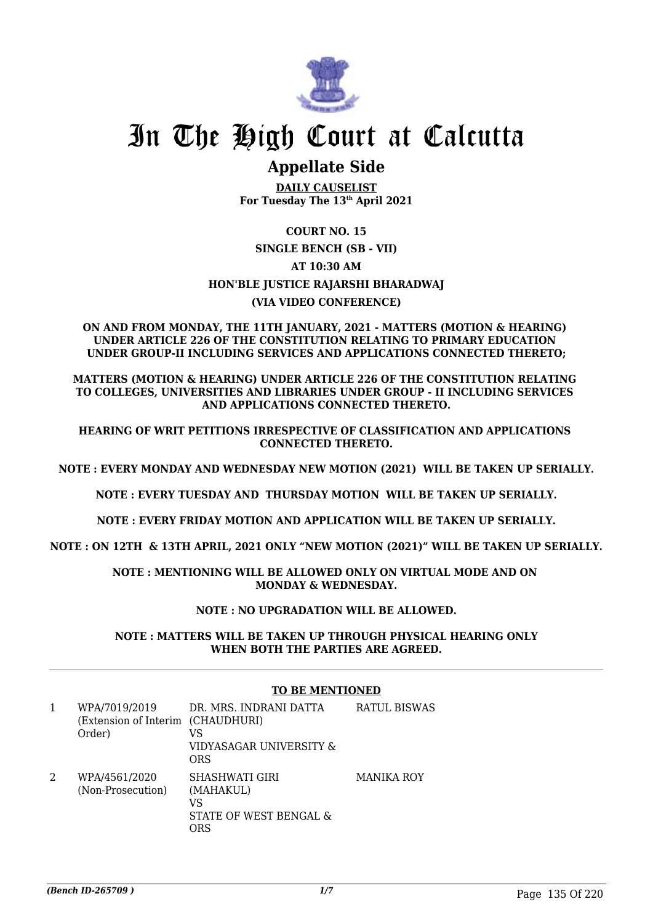

## **Appellate Side**

**DAILY CAUSELIST For Tuesday The 13th April 2021**

### **COURT NO. 15**

### **SINGLE BENCH (SB - VII) AT 10:30 AM HON'BLE JUSTICE RAJARSHI BHARADWAJ (VIA VIDEO CONFERENCE)**

#### **ON AND FROM MONDAY, THE 11TH JANUARY, 2021 - MATTERS (MOTION & HEARING) UNDER ARTICLE 226 OF THE CONSTITUTION RELATING TO PRIMARY EDUCATION UNDER GROUP-II INCLUDING SERVICES AND APPLICATIONS CONNECTED THERETO;**

**MATTERS (MOTION & HEARING) UNDER ARTICLE 226 OF THE CONSTITUTION RELATING TO COLLEGES, UNIVERSITIES AND LIBRARIES UNDER GROUP - II INCLUDING SERVICES AND APPLICATIONS CONNECTED THERETO.**

**HEARING OF WRIT PETITIONS IRRESPECTIVE OF CLASSIFICATION AND APPLICATIONS CONNECTED THERETO.**

**NOTE : EVERY MONDAY AND WEDNESDAY NEW MOTION (2021) WILL BE TAKEN UP SERIALLY.**

**NOTE : EVERY TUESDAY AND THURSDAY MOTION WILL BE TAKEN UP SERIALLY.**

**NOTE : EVERY FRIDAY MOTION AND APPLICATION WILL BE TAKEN UP SERIALLY.**

**NOTE : ON 12TH & 13TH APRIL, 2021 ONLY "NEW MOTION (2021)" WILL BE TAKEN UP SERIALLY.**

**NOTE : MENTIONING WILL BE ALLOWED ONLY ON VIRTUAL MODE AND ON MONDAY & WEDNESDAY.**

### **NOTE : NO UPGRADATION WILL BE ALLOWED.**

**NOTE : MATTERS WILL BE TAKEN UP THROUGH PHYSICAL HEARING ONLY WHEN BOTH THE PARTIES ARE AGREED.**

### **TO BE MENTIONED**

|   | WPA/7019/2019<br>(Extension of Interim (CHAUDHURI)<br>Order) | DR. MRS. INDRANI DATTA<br>VS<br>VIDYASAGAR UNIVERSITY &<br>ORS            | RATUL BISWAS |
|---|--------------------------------------------------------------|---------------------------------------------------------------------------|--------------|
| 2 | WPA/4561/2020<br>(Non-Prosecution)                           | <b>SHASHWATI GIRI</b><br>(MAHAKUL)<br>VS<br>STATE OF WEST BENGAL &<br>ORS | MANIKA ROY   |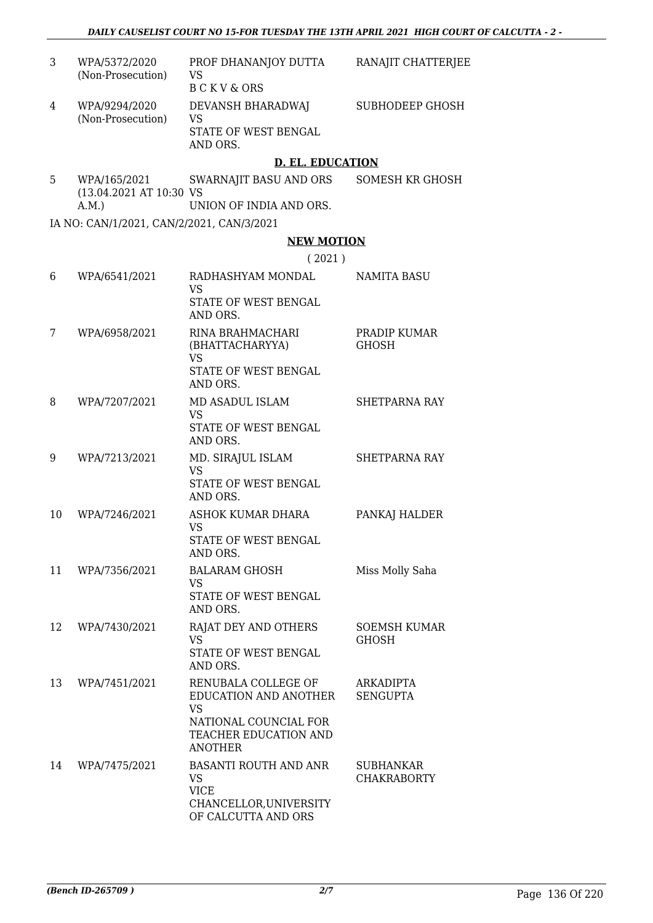| 3  | WPA/5372/2020<br>(Non-Prosecution)              | PROF DHANANJOY DUTTA<br><b>VS</b><br><b>BCKV&amp;ORS</b>                                    | RANAJIT CHATTERJEE                  |
|----|-------------------------------------------------|---------------------------------------------------------------------------------------------|-------------------------------------|
| 4  | WPA/9294/2020<br>(Non-Prosecution)              | DEVANSH BHARADWAJ<br><b>VS</b><br>STATE OF WEST BENGAL<br>AND ORS.                          | SUBHODEEP GHOSH                     |
|    |                                                 | <b>D. EL. EDUCATION</b>                                                                     |                                     |
| 5  | WPA/165/2021<br>(13.04.2021 AT 10:30 VS<br>A.M. | SWARNAJIT BASU AND ORS<br>UNION OF INDIA AND ORS.                                           | SOMESH KR GHOSH                     |
|    | IA NO: CAN/1/2021, CAN/2/2021, CAN/3/2021       |                                                                                             |                                     |
|    |                                                 | <b>NEW MOTION</b>                                                                           |                                     |
|    |                                                 | (2021)                                                                                      |                                     |
| 6  | WPA/6541/2021                                   | RADHASHYAM MONDAL<br><b>VS</b>                                                              | <b>NAMITA BASU</b>                  |
|    |                                                 | STATE OF WEST BENGAL<br>AND ORS.                                                            |                                     |
| 7  | WPA/6958/2021                                   | RINA BRAHMACHARI<br>(BHATTACHARYYA)<br><b>VS</b>                                            | PRADIP KUMAR<br><b>GHOSH</b>        |
|    |                                                 | STATE OF WEST BENGAL<br>AND ORS.                                                            |                                     |
| 8  | WPA/7207/2021                                   | MD ASADUL ISLAM<br><b>VS</b><br>STATE OF WEST BENGAL<br>AND ORS.                            | <b>SHETPARNA RAY</b>                |
| 9  | WPA/7213/2021                                   | MD. SIRAJUL ISLAM<br><b>VS</b><br>STATE OF WEST BENGAL<br>AND ORS.                          | <b>SHETPARNA RAY</b>                |
| 10 | WPA/7246/2021                                   | ASHOK KUMAR DHARA<br><b>VS</b><br>STATE OF WEST BENGAL<br>AND ORS.                          | PANKAJ HALDER                       |
| 11 | WPA/7356/2021                                   | <b>BALARAM GHOSH</b><br>VS<br>STATE OF WEST BENGAL<br>AND ORS.                              | Miss Molly Saha                     |
| 12 | WPA/7430/2021                                   | RAJAT DEY AND OTHERS<br><b>VS</b><br>STATE OF WEST BENGAL<br>AND ORS.                       | <b>SOEMSH KUMAR</b><br><b>GHOSH</b> |
| 13 | WPA/7451/2021                                   | RENUBALA COLLEGE OF<br>EDUCATION AND ANOTHER<br><b>VS</b>                                   | ARKADIPTA<br><b>SENGUPTA</b>        |
|    |                                                 | NATIONAL COUNCIAL FOR<br>TEACHER EDUCATION AND<br><b>ANOTHER</b>                            |                                     |
| 14 | WPA/7475/2021                                   | BASANTI ROUTH AND ANR<br>VS<br><b>VICE</b><br>CHANCELLOR, UNIVERSITY<br>OF CALCUTTA AND ORS | SUBHANKAR<br><b>CHAKRABORTY</b>     |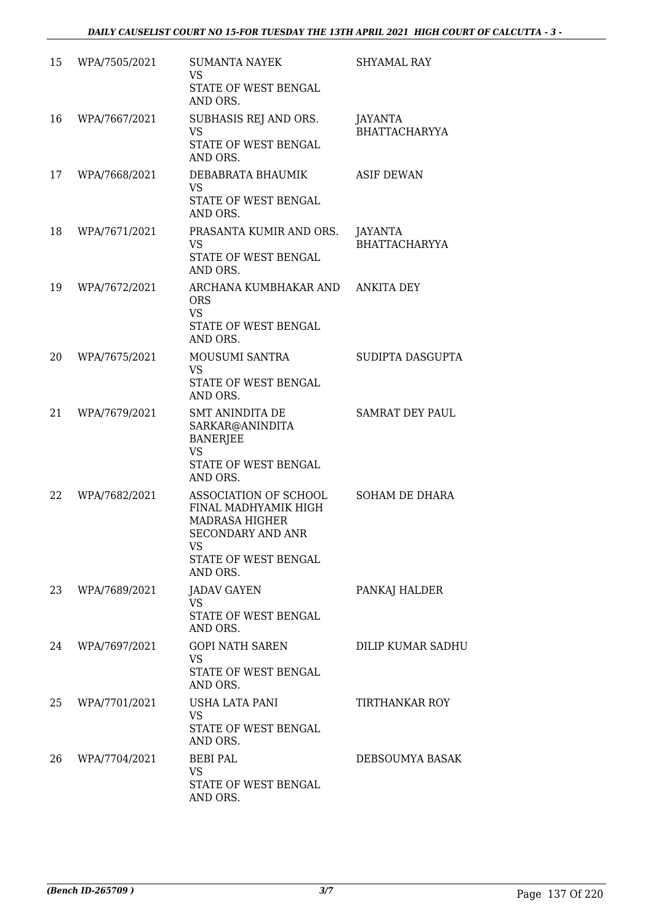| 15 | WPA/7505/2021 | <b>SUMANTA NAYEK</b><br>VS<br>STATE OF WEST BENGAL<br>AND ORS.                                                                                      | <b>SHYAMAL RAY</b>              |
|----|---------------|-----------------------------------------------------------------------------------------------------------------------------------------------------|---------------------------------|
| 16 | WPA/7667/2021 | SUBHASIS REJ AND ORS.<br><b>VS</b><br>STATE OF WEST BENGAL<br>AND ORS.                                                                              | JAYANTA<br><b>BHATTACHARYYA</b> |
| 17 | WPA/7668/2021 | DEBABRATA BHAUMIK<br><b>VS</b><br>STATE OF WEST BENGAL<br>AND ORS.                                                                                  | <b>ASIF DEWAN</b>               |
| 18 | WPA/7671/2021 | PRASANTA KUMIR AND ORS.<br><b>VS</b><br>STATE OF WEST BENGAL<br>AND ORS.                                                                            | JAYANTA<br><b>BHATTACHARYYA</b> |
| 19 | WPA/7672/2021 | ARCHANA KUMBHAKAR AND<br><b>ORS</b><br><b>VS</b><br>STATE OF WEST BENGAL<br>AND ORS.                                                                | <b>ANKITA DEY</b>               |
| 20 | WPA/7675/2021 | <b>MOUSUMI SANTRA</b><br><b>VS</b><br>STATE OF WEST BENGAL<br>AND ORS.                                                                              | SUDIPTA DASGUPTA                |
| 21 | WPA/7679/2021 | <b>SMT ANINDITA DE</b><br>SARKAR@ANINDITA<br><b>BANERJEE</b><br><b>VS</b><br>STATE OF WEST BENGAL<br>AND ORS.                                       | SAMRAT DEY PAUL                 |
| 22 | WPA/7682/2021 | ASSOCIATION OF SCHOOL<br>FINAL MADHYAMIK HIGH<br><b>MADRASA HIGHER</b><br><b>SECONDARY AND ANR</b><br><b>VS</b><br>STATE OF WEST BENGAL<br>AND ORS. | SOHAM DE DHARA                  |
| 23 | WPA/7689/2021 | <b>JADAV GAYEN</b><br>VS<br>STATE OF WEST BENGAL<br>AND ORS.                                                                                        | PANKAJ HALDER                   |
| 24 | WPA/7697/2021 | <b>GOPI NATH SAREN</b><br>VS<br>STATE OF WEST BENGAL<br>AND ORS.                                                                                    | DILIP KUMAR SADHU               |
| 25 | WPA/7701/2021 | USHA LATA PANI<br><b>VS</b><br>STATE OF WEST BENGAL<br>AND ORS.                                                                                     | <b>TIRTHANKAR ROY</b>           |
| 26 | WPA/7704/2021 | <b>BEBI PAL</b><br><b>VS</b><br>STATE OF WEST BENGAL<br>AND ORS.                                                                                    | DEBSOUMYA BASAK                 |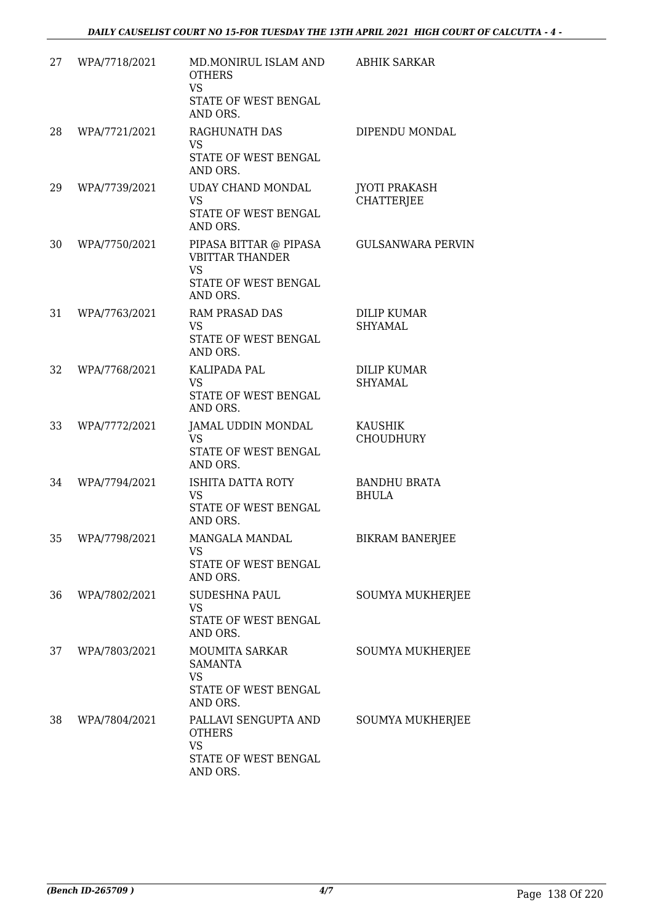| 27 | WPA/7718/2021 | MD.MONIRUL ISLAM AND<br><b>OTHERS</b><br><b>VS</b><br>STATE OF WEST BENGAL<br>AND ORS.            | <b>ABHIK SARKAR</b>                       |
|----|---------------|---------------------------------------------------------------------------------------------------|-------------------------------------------|
| 28 | WPA/7721/2021 | RAGHUNATH DAS<br><b>VS</b><br>STATE OF WEST BENGAL<br>AND ORS.                                    | DIPENDU MONDAL                            |
| 29 | WPA/7739/2021 | UDAY CHAND MONDAL<br><b>VS</b><br>STATE OF WEST BENGAL<br>AND ORS.                                | <b>JYOTI PRAKASH</b><br><b>CHATTERJEE</b> |
| 30 | WPA/7750/2021 | PIPASA BITTAR @ PIPASA<br><b>VBITTAR THANDER</b><br><b>VS</b><br>STATE OF WEST BENGAL<br>AND ORS. | <b>GULSANWARA PERVIN</b>                  |
| 31 | WPA/7763/2021 | RAM PRASAD DAS<br>VS<br>STATE OF WEST BENGAL<br>AND ORS.                                          | <b>DILIP KUMAR</b><br>SHYAMAL             |
| 32 | WPA/7768/2021 | KALIPADA PAL<br>VS.<br>STATE OF WEST BENGAL<br>AND ORS.                                           | <b>DILIP KUMAR</b><br>SHYAMAL             |
| 33 | WPA/7772/2021 | JAMAL UDDIN MONDAL<br><b>VS</b><br>STATE OF WEST BENGAL<br>AND ORS.                               | <b>KAUSHIK</b><br><b>CHOUDHURY</b>        |
| 34 | WPA/7794/2021 | ISHITA DATTA ROTY<br>VS.<br>STATE OF WEST BENGAL<br>AND ORS.                                      | <b>BANDHU BRATA</b><br><b>BHULA</b>       |
| 35 | WPA/7798/2021 | MANGALA MANDAL<br>VS<br>STATE OF WEST BENGAL<br>AND ORS.                                          | <b>BIKRAM BANERJEE</b>                    |
| 36 | WPA/7802/2021 | <b>SUDESHNA PAUL</b><br>VS<br>STATE OF WEST BENGAL<br>AND ORS.                                    | SOUMYA MUKHERJEE                          |
| 37 | WPA/7803/2021 | <b>MOUMITA SARKAR</b><br><b>SAMANTA</b><br>VS<br>STATE OF WEST BENGAL<br>AND ORS.                 | <b>SOUMYA MUKHERJEE</b>                   |
| 38 | WPA/7804/2021 | PALLAVI SENGUPTA AND<br><b>OTHERS</b><br><b>VS</b><br>STATE OF WEST BENGAL<br>AND ORS.            | SOUMYA MUKHERJEE                          |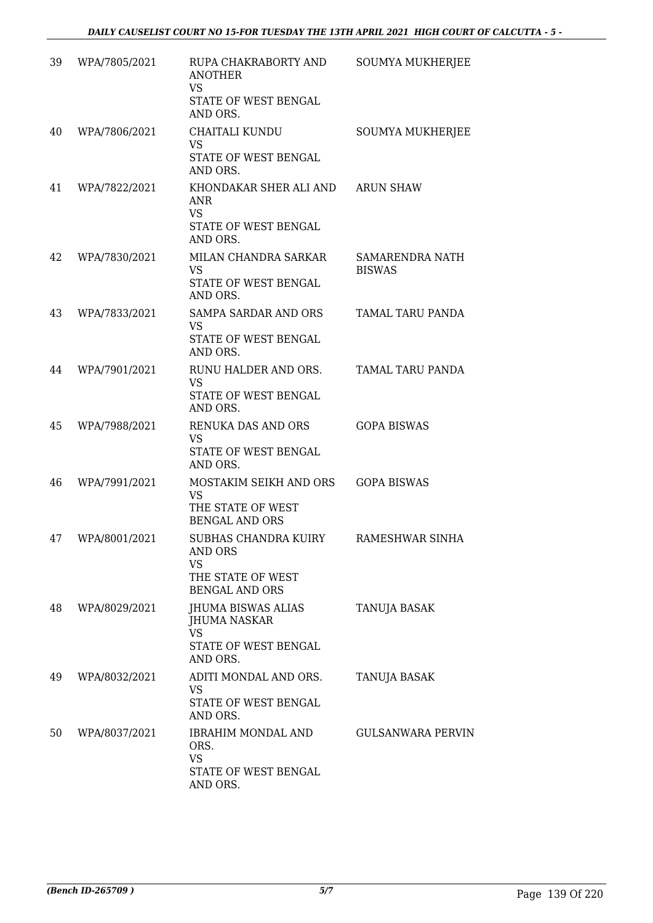| 39 | WPA/7805/2021 | RUPA CHAKRABORTY AND<br><b>ANOTHER</b><br><b>VS</b><br>STATE OF WEST BENGAL<br>AND ORS.    | SOUMYA MUKHERJEE                 |
|----|---------------|--------------------------------------------------------------------------------------------|----------------------------------|
| 40 | WPA/7806/2021 | CHAITALI KUNDU<br><b>VS</b><br>STATE OF WEST BENGAL<br>AND ORS.                            | SOUMYA MUKHERJEE                 |
| 41 | WPA/7822/2021 | KHONDAKAR SHER ALI AND<br>ANR<br><b>VS</b><br>STATE OF WEST BENGAL<br>AND ORS.             | <b>ARUN SHAW</b>                 |
| 42 | WPA/7830/2021 | MILAN CHANDRA SARKAR<br><b>VS</b><br>STATE OF WEST BENGAL<br>AND ORS.                      | SAMARENDRA NATH<br><b>BISWAS</b> |
| 43 | WPA/7833/2021 | <b>SAMPA SARDAR AND ORS</b><br>VS<br>STATE OF WEST BENGAL<br>AND ORS.                      | TAMAL TARU PANDA                 |
| 44 | WPA/7901/2021 | RUNU HALDER AND ORS.<br>VS<br>STATE OF WEST BENGAL<br>AND ORS.                             | TAMAL TARU PANDA                 |
| 45 | WPA/7988/2021 | RENUKA DAS AND ORS<br>VS<br>STATE OF WEST BENGAL<br>AND ORS.                               | <b>GOPA BISWAS</b>               |
| 46 | WPA/7991/2021 | MOSTAKIM SEIKH AND ORS<br><b>VS</b><br>THE STATE OF WEST<br><b>BENGAL AND ORS</b>          | <b>GOPA BISWAS</b>               |
| 47 | WPA/8001/2021 | SUBHAS CHANDRA KUIRY<br><b>AND ORS</b><br>VS<br>THE STATE OF WEST<br><b>BENGAL AND ORS</b> | RAMESHWAR SINHA                  |
| 48 | WPA/8029/2021 | JHUMA BISWAS ALIAS<br><b>JHUMA NASKAR</b><br><b>VS</b><br>STATE OF WEST BENGAL<br>AND ORS. | TANUJA BASAK                     |
| 49 | WPA/8032/2021 | ADITI MONDAL AND ORS.<br>VS<br>STATE OF WEST BENGAL<br>AND ORS.                            | TANUJA BASAK                     |
| 50 | WPA/8037/2021 | IBRAHIM MONDAL AND<br>ORS.<br>VS<br>STATE OF WEST BENGAL<br>AND ORS.                       | <b>GULSANWARA PERVIN</b>         |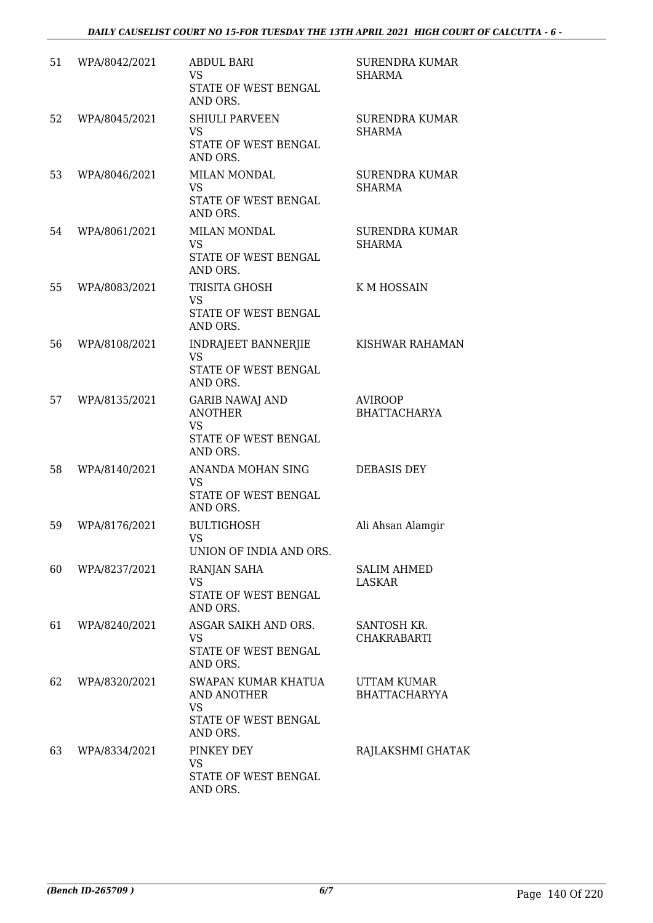| 51 | WPA/8042/2021 | <b>ABDUL BARI</b><br><b>VS</b><br>STATE OF WEST BENGAL<br>AND ORS.                         | <b>SURENDRA KUMAR</b><br>SHARMA            |
|----|---------------|--------------------------------------------------------------------------------------------|--------------------------------------------|
| 52 | WPA/8045/2021 | <b>SHIULI PARVEEN</b><br>VS<br>STATE OF WEST BENGAL<br>AND ORS.                            | <b>SURENDRA KUMAR</b><br><b>SHARMA</b>     |
| 53 | WPA/8046/2021 | <b>MILAN MONDAL</b><br><b>VS</b><br>STATE OF WEST BENGAL<br>AND ORS.                       | <b>SURENDRA KUMAR</b><br>SHARMA            |
| 54 | WPA/8061/2021 | <b>MILAN MONDAL</b><br><b>VS</b><br>STATE OF WEST BENGAL<br>AND ORS.                       | <b>SURENDRA KUMAR</b><br><b>SHARMA</b>     |
| 55 | WPA/8083/2021 | TRISITA GHOSH<br>VS<br>STATE OF WEST BENGAL<br>AND ORS.                                    | K M HOSSAIN                                |
| 56 | WPA/8108/2021 | <b>INDRAJEET BANNERJIE</b><br><b>VS</b><br>STATE OF WEST BENGAL<br>AND ORS.                | KISHWAR RAHAMAN                            |
| 57 | WPA/8135/2021 | <b>GARIB NAWAJ AND</b><br><b>ANOTHER</b><br><b>VS</b><br>STATE OF WEST BENGAL<br>AND ORS.  | <b>AVIROOP</b><br><b>BHATTACHARYA</b>      |
| 58 | WPA/8140/2021 | ANANDA MOHAN SING<br><b>VS</b><br>STATE OF WEST BENGAL<br>AND ORS.                         | DEBASIS DEY                                |
| 59 | WPA/8176/2021 | <b>BULTIGHOSH</b><br>VS<br>UNION OF INDIA AND ORS.                                         | Ali Ahsan Alamgir                          |
| 60 | WPA/8237/2021 | RANJAN SAHA<br><b>VS</b><br>STATE OF WEST BENGAL<br>AND ORS.                               | <b>SALIM AHMED</b><br>LASKAR               |
| 61 | WPA/8240/2021 | ASGAR SAIKH AND ORS.<br>VS<br>STATE OF WEST BENGAL<br>AND ORS.                             | SANTOSH KR.<br><b>CHAKRABARTI</b>          |
| 62 | WPA/8320/2021 | SWAPAN KUMAR KHATUA<br><b>AND ANOTHER</b><br><b>VS</b><br>STATE OF WEST BENGAL<br>AND ORS. | <b>UTTAM KUMAR</b><br><b>BHATTACHARYYA</b> |
| 63 | WPA/8334/2021 | PINKEY DEY<br>VS.<br>STATE OF WEST BENGAL<br>AND ORS.                                      | RAJLAKSHMI GHATAK                          |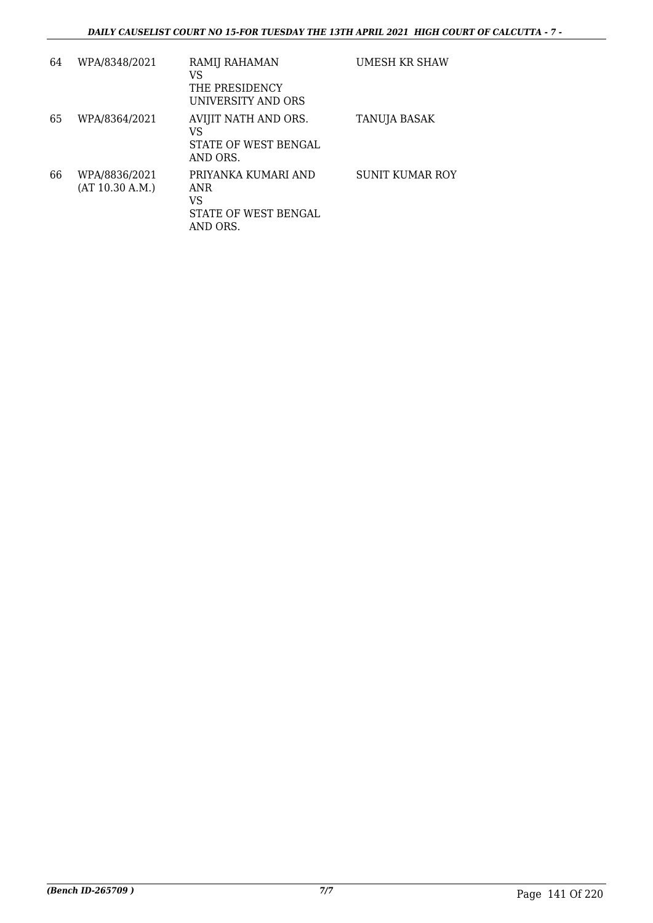| 64 | WPA/8348/2021                    | RAMIJ RAHAMAN<br>VS<br>THE PRESIDENCY<br>UNIVERSITY AND ORS          | UMESH KR SHAW          |
|----|----------------------------------|----------------------------------------------------------------------|------------------------|
| 65 | WPA/8364/2021                    | AVIJIT NATH AND ORS.<br>VS<br>STATE OF WEST BENGAL<br>AND ORS.       | TANUJA BASAK           |
| 66 | WPA/8836/2021<br>(AT 10.30 A.M.) | PRIYANKA KUMARI AND<br>ANR<br>VS<br>STATE OF WEST BENGAL<br>AND ORS. | <b>SUNIT KUMAR ROY</b> |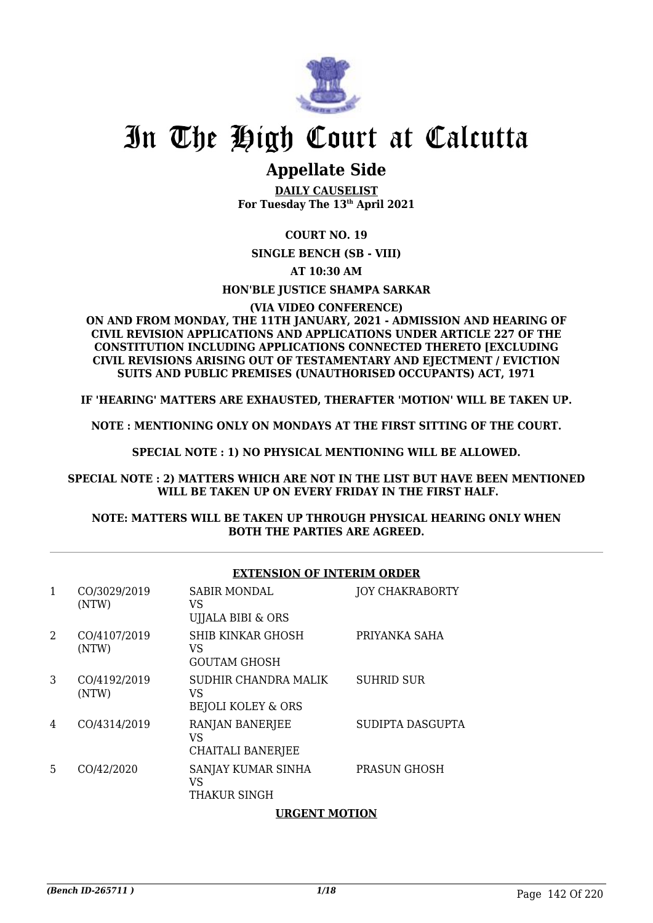

## **Appellate Side**

**DAILY CAUSELIST For Tuesday The 13th April 2021**

**COURT NO. 19**

**SINGLE BENCH (SB - VIII)**

**AT 10:30 AM**

**HON'BLE JUSTICE SHAMPA SARKAR**

**(VIA VIDEO CONFERENCE)**

**ON AND FROM MONDAY, THE 11TH JANUARY, 2021 - ADMISSION AND HEARING OF CIVIL REVISION APPLICATIONS AND APPLICATIONS UNDER ARTICLE 227 OF THE CONSTITUTION INCLUDING APPLICATIONS CONNECTED THERETO [EXCLUDING CIVIL REVISIONS ARISING OUT OF TESTAMENTARY AND EJECTMENT / EVICTION SUITS AND PUBLIC PREMISES (UNAUTHORISED OCCUPANTS) ACT, 1971**

**IF 'HEARING' MATTERS ARE EXHAUSTED, THERAFTER 'MOTION' WILL BE TAKEN UP.**

**NOTE : MENTIONING ONLY ON MONDAYS AT THE FIRST SITTING OF THE COURT.**

**SPECIAL NOTE : 1) NO PHYSICAL MENTIONING WILL BE ALLOWED.**

**SPECIAL NOTE : 2) MATTERS WHICH ARE NOT IN THE LIST BUT HAVE BEEN MENTIONED WILL BE TAKEN UP ON EVERY FRIDAY IN THE FIRST HALF.**

### **NOTE: MATTERS WILL BE TAKEN UP THROUGH PHYSICAL HEARING ONLY WHEN BOTH THE PARTIES ARE AGREED.**

| 1 | CO/3029/2019<br>(NTW) | <b>SABIR MONDAL</b><br>VS<br>UIJALA BIBI & ORS   | <b>JOY CHAKRABORTY</b> |
|---|-----------------------|--------------------------------------------------|------------------------|
| 2 | CO/4107/2019<br>(NTW) | SHIB KINKAR GHOSH<br>VS<br><b>GOUTAM GHOSH</b>   | PRIYANKA SAHA          |
| 3 | CO/4192/2019<br>(NTW) | SUDHIR CHANDRA MALIK<br>VS<br>BEJOLI KOLEY & ORS | <b>SUHRID SUR</b>      |
| 4 | CO/4314/2019          | RANJAN BANERJEE<br>VS<br>CHAITALI BANERJEE       | SUDIPTA DASGUPTA       |
| 5 | CO/42/2020            | SANJAY KUMAR SINHA<br>VS<br>THAKUR SINGH         | <b>PRASUN GHOSH</b>    |
|   |                       |                                                  |                        |

### **EXTENSION OF INTERIM ORDER**

### **URGENT MOTION**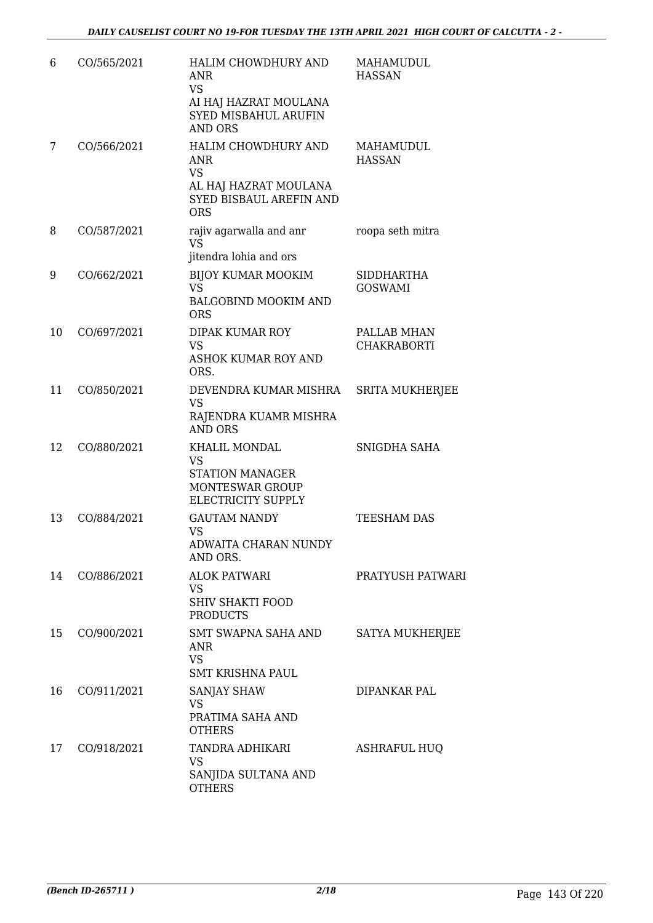| 6  | CO/565/2021 | HALIM CHOWDHURY AND<br><b>ANR</b><br><b>VS</b><br>AI HAJ HAZRAT MOULANA<br><b>SYED MISBAHUL ARUFIN</b><br><b>AND ORS</b> | MAHAMUDUL<br><b>HASSAN</b>          |
|----|-------------|--------------------------------------------------------------------------------------------------------------------------|-------------------------------------|
| 7  | CO/566/2021 | HALIM CHOWDHURY AND<br><b>ANR</b><br><b>VS</b><br>AL HAJ HAZRAT MOULANA<br><b>SYED BISBAUL AREFIN AND</b><br><b>ORS</b>  | MAHAMUDUL<br><b>HASSAN</b>          |
| 8  | CO/587/2021 | rajiv agarwalla and anr<br><b>VS</b><br>jitendra lohia and ors                                                           | roopa seth mitra                    |
| 9  | CO/662/2021 | <b>BIJOY KUMAR MOOKIM</b><br><b>VS</b><br><b>BALGOBIND MOOKIM AND</b><br><b>ORS</b>                                      | <b>SIDDHARTHA</b><br><b>GOSWAMI</b> |
| 10 | CO/697/2021 | <b>DIPAK KUMAR ROY</b><br><b>VS</b><br><b>ASHOK KUMAR ROY AND</b><br>ORS.                                                | PALLAB MHAN<br><b>CHAKRABORTI</b>   |
| 11 | CO/850/2021 | DEVENDRA KUMAR MISHRA<br><b>VS</b><br>RAJENDRA KUAMR MISHRA<br><b>AND ORS</b>                                            | <b>SRITA MUKHERJEE</b>              |
| 12 | CO/880/2021 | KHALIL MONDAL<br><b>VS</b><br><b>STATION MANAGER</b><br>MONTESWAR GROUP<br>ELECTRICITY SUPPLY                            | SNIGDHA SAHA                        |
| 13 | CO/884/2021 | <b>GAUTAM NANDY</b><br>VS<br>ADWAITA CHARAN NUNDY<br>AND ORS.                                                            | TEESHAM DAS                         |
| 14 | CO/886/2021 | <b>ALOK PATWARI</b><br><b>VS</b><br><b>SHIV SHAKTI FOOD</b><br><b>PRODUCTS</b>                                           | PRATYUSH PATWARI                    |
| 15 | CO/900/2021 | SMT SWAPNA SAHA AND<br><b>ANR</b><br><b>VS</b><br><b>SMT KRISHNA PAUL</b>                                                | SATYA MUKHERJEE                     |
| 16 | CO/911/2021 | <b>SANJAY SHAW</b><br><b>VS</b><br>PRATIMA SAHA AND<br><b>OTHERS</b>                                                     | DIPANKAR PAL                        |
| 17 | CO/918/2021 | TANDRA ADHIKARI<br><b>VS</b><br>SANJIDA SULTANA AND<br><b>OTHERS</b>                                                     | <b>ASHRAFUL HUQ</b>                 |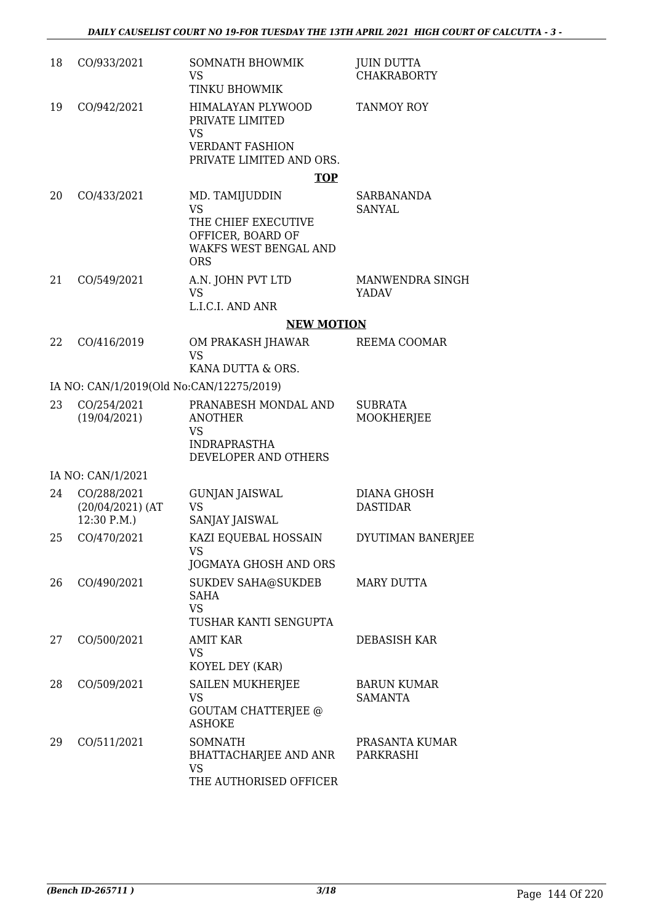| 18 | CO/933/2021                                      | SOMNATH BHOWMIK<br><b>VS</b><br>TINKU BHOWMIK                                                                         | <b>JUIN DUTTA</b><br><b>CHAKRABORTY</b> |
|----|--------------------------------------------------|-----------------------------------------------------------------------------------------------------------------------|-----------------------------------------|
| 19 | CO/942/2021                                      | HIMALAYAN PLYWOOD<br>PRIVATE LIMITED<br>VS<br><b>VERDANT FASHION</b><br>PRIVATE LIMITED AND ORS.                      | <b>TANMOY ROY</b>                       |
|    |                                                  | <b>TOP</b>                                                                                                            |                                         |
| 20 | CO/433/2021                                      | MD. TAMIJUDDIN<br><b>VS</b><br>THE CHIEF EXECUTIVE<br>OFFICER, BOARD OF<br><b>WAKFS WEST BENGAL AND</b><br><b>ORS</b> | <b>SARBANANDA</b><br><b>SANYAL</b>      |
| 21 | CO/549/2021                                      | A.N. JOHN PVT LTD<br><b>VS</b><br>L.I.C.I. AND ANR                                                                    | MANWENDRA SINGH<br><b>YADAV</b>         |
|    |                                                  | <b>NEW MOTION</b>                                                                                                     |                                         |
| 22 | CO/416/2019                                      | OM PRAKASH JHAWAR                                                                                                     | REEMA COOMAR                            |
|    |                                                  | <b>VS</b><br>KANA DUTTA & ORS.                                                                                        |                                         |
|    | IA NO: CAN/1/2019(Old No:CAN/12275/2019)         |                                                                                                                       |                                         |
| 23 | CO/254/2021<br>(19/04/2021)                      | PRANABESH MONDAL AND<br><b>ANOTHER</b><br>VS<br><b>INDRAPRASTHA</b><br>DEVELOPER AND OTHERS                           | <b>SUBRATA</b><br><b>MOOKHERJEE</b>     |
|    | IA NO: CAN/1/2021                                |                                                                                                                       |                                         |
| 24 | CO/288/2021<br>$(20/04/2021)$ (AT<br>12:30 P.M.) | <b>GUNJAN JAISWAL</b><br>VS<br>SANJAY JAISWAL                                                                         | DIANA GHOSH<br><b>DASTIDAR</b>          |
| 25 | CO/470/2021                                      | KAZI EQUEBAL HOSSAIN<br>VS<br>JOGMAYA GHOSH AND ORS                                                                   | DYUTIMAN BANERJEE                       |
| 26 | CO/490/2021                                      | <b>SUKDEV SAHA@SUKDEB</b><br>SAHA<br><b>VS</b><br>TUSHAR KANTI SENGUPTA                                               | <b>MARY DUTTA</b>                       |
| 27 | CO/500/2021                                      | <b>AMIT KAR</b><br>VS.<br>KOYEL DEY (KAR)                                                                             | DEBASISH KAR                            |
| 28 | CO/509/2021                                      | SAILEN MUKHERJEE<br>VS<br><b>GOUTAM CHATTERJEE @</b><br><b>ASHOKE</b>                                                 | <b>BARUN KUMAR</b><br>SAMANTA           |
| 29 | CO/511/2021                                      | <b>SOMNATH</b><br>BHATTACHARJEE AND ANR<br>VS<br>THE AUTHORISED OFFICER                                               | PRASANTA KUMAR<br>PARKRASHI             |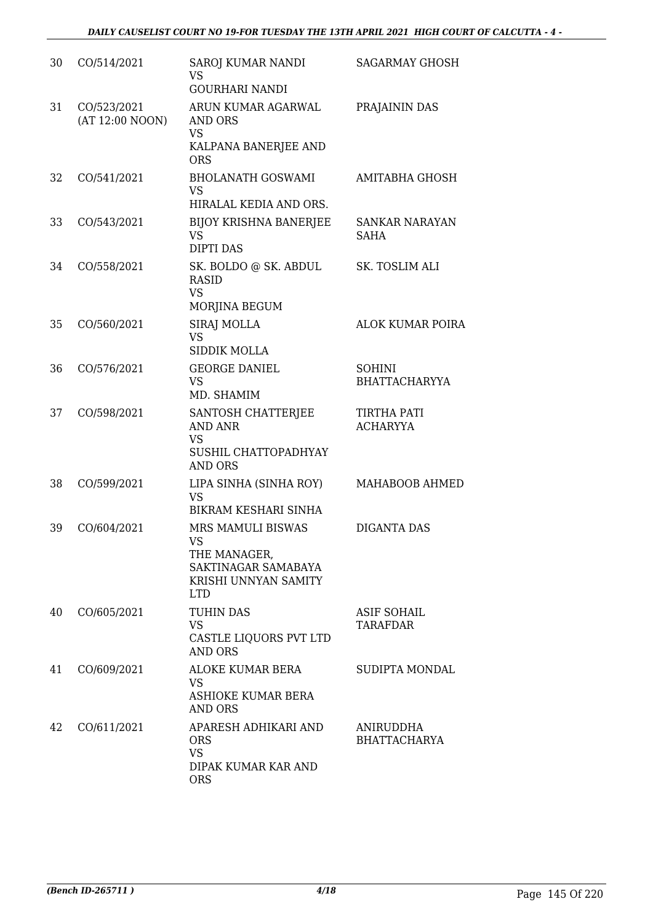| 30 | CO/514/2021                    | SAROJ KUMAR NANDI<br><b>VS</b><br><b>GOURHARI NANDI</b>                                              | <b>SAGARMAY GHOSH</b>                 |
|----|--------------------------------|------------------------------------------------------------------------------------------------------|---------------------------------------|
| 31 | CO/523/2021<br>(AT 12:00 NOON) | ARUN KUMAR AGARWAL<br><b>AND ORS</b><br><b>VS</b><br>KALPANA BANERJEE AND<br><b>ORS</b>              | PRAJAININ DAS                         |
| 32 | CO/541/2021                    | <b>BHOLANATH GOSWAMI</b><br><b>VS</b><br>HIRALAL KEDIA AND ORS.                                      | <b>AMITABHA GHOSH</b>                 |
| 33 | CO/543/2021                    | <b>BIJOY KRISHNA BANERJEE</b><br><b>VS</b><br><b>DIPTI DAS</b>                                       | <b>SANKAR NARAYAN</b><br>SAHA         |
| 34 | CO/558/2021                    | SK. BOLDO @ SK. ABDUL<br><b>RASID</b><br><b>VS</b><br>MORJINA BEGUM                                  | SK. TOSLIM ALI                        |
| 35 | CO/560/2021                    | <b>SIRAJ MOLLA</b><br><b>VS</b><br>SIDDIK MOLLA                                                      | <b>ALOK KUMAR POIRA</b>               |
| 36 | CO/576/2021                    | <b>GEORGE DANIEL</b><br><b>VS</b><br>MD. SHAMIM                                                      | <b>SOHINI</b><br><b>BHATTACHARYYA</b> |
| 37 | CO/598/2021                    | SANTOSH CHATTERJEE<br><b>AND ANR</b><br><b>VS</b><br>SUSHIL CHATTOPADHYAY<br><b>AND ORS</b>          | <b>TIRTHA PATI</b><br><b>ACHARYYA</b> |
| 38 | CO/599/2021                    | LIPA SINHA (SINHA ROY)<br><b>VS</b><br><b>BIKRAM KESHARI SINHA</b>                                   | MAHABOOB AHMED                        |
| 39 | CO/604/2021                    | MRS MAMULI BISWAS<br>VS<br>THE MANAGER,<br>SAKTINAGAR SAMABAYA<br>KRISHI UNNYAN SAMITY<br><b>LTD</b> | <b>DIGANTA DAS</b>                    |
| 40 | CO/605/2021                    | <b>TUHIN DAS</b><br><b>VS</b><br>CASTLE LIQUORS PVT LTD<br><b>AND ORS</b>                            | ASIF SOHAIL<br><b>TARAFDAR</b>        |
| 41 | CO/609/2021                    | ALOKE KUMAR BERA<br><b>VS</b><br>ASHIOKE KUMAR BERA<br><b>AND ORS</b>                                | SUDIPTA MONDAL                        |
| 42 | CO/611/2021                    | APARESH ADHIKARI AND<br><b>ORS</b><br><b>VS</b><br>DIPAK KUMAR KAR AND<br><b>ORS</b>                 | ANIRUDDHA<br><b>BHATTACHARYA</b>      |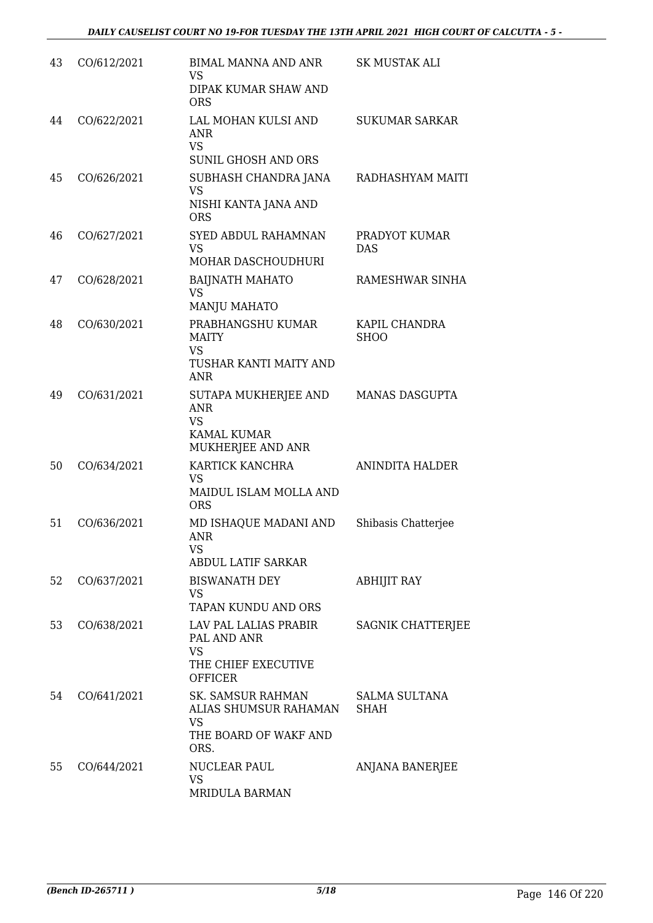| 43 | CO/612/2021 | BIMAL MANNA AND ANR<br>VS<br>DIPAK KUMAR SHAW AND<br><b>ORS</b>                            | SK MUSTAK ALI                |
|----|-------------|--------------------------------------------------------------------------------------------|------------------------------|
| 44 | CO/622/2021 | LAL MOHAN KULSI AND<br><b>ANR</b><br><b>VS</b><br><b>SUNIL GHOSH AND ORS</b>               | <b>SUKUMAR SARKAR</b>        |
| 45 | CO/626/2021 | SUBHASH CHANDRA JANA<br><b>VS</b><br>NISHI KANTA JANA AND<br><b>ORS</b>                    | RADHASHYAM MAITI             |
| 46 | CO/627/2021 | SYED ABDUL RAHAMNAN<br><b>VS</b><br>MOHAR DASCHOUDHURI                                     | PRADYOT KUMAR<br><b>DAS</b>  |
| 47 | CO/628/2021 | <b>BAIJNATH MAHATO</b><br><b>VS</b><br><b>MANJU MAHATO</b>                                 | RAMESHWAR SINHA              |
| 48 | CO/630/2021 | PRABHANGSHU KUMAR<br>MAITY<br><b>VS</b><br>TUSHAR KANTI MAITY AND<br><b>ANR</b>            | KAPIL CHANDRA<br><b>SHOO</b> |
| 49 | CO/631/2021 | SUTAPA MUKHERJEE AND<br><b>ANR</b><br><b>VS</b><br><b>KAMAL KUMAR</b><br>MUKHERJEE AND ANR | <b>MANAS DASGUPTA</b>        |
| 50 | CO/634/2021 | KARTICK KANCHRA<br><b>VS</b><br>MAIDUL ISLAM MOLLA AND<br><b>ORS</b>                       | ANINDITA HALDER              |
| 51 | CO/636/2021 | MD ISHAQUE MADANI AND<br><b>ANR</b><br>VS<br>ABDUL LATIF SARKAR                            | Shibasis Chatterjee          |
| 52 | CO/637/2021 | <b>BISWANATH DEY</b><br><b>VS</b><br>TAPAN KUNDU AND ORS                                   | <b>ABHIJIT RAY</b>           |
| 53 | CO/638/2021 | LAV PAL LALIAS PRABIR<br>PAL AND ANR<br><b>VS</b><br>THE CHIEF EXECUTIVE<br><b>OFFICER</b> | SAGNIK CHATTERJEE            |
| 54 | CO/641/2021 | SK. SAMSUR RAHMAN<br>ALIAS SHUMSUR RAHAMAN<br><b>VS</b><br>THE BOARD OF WAKF AND<br>ORS.   | <b>SALMA SULTANA</b><br>SHAH |
| 55 | CO/644/2021 | NUCLEAR PAUL<br>VS<br>MRIDULA BARMAN                                                       | ANJANA BANERJEE              |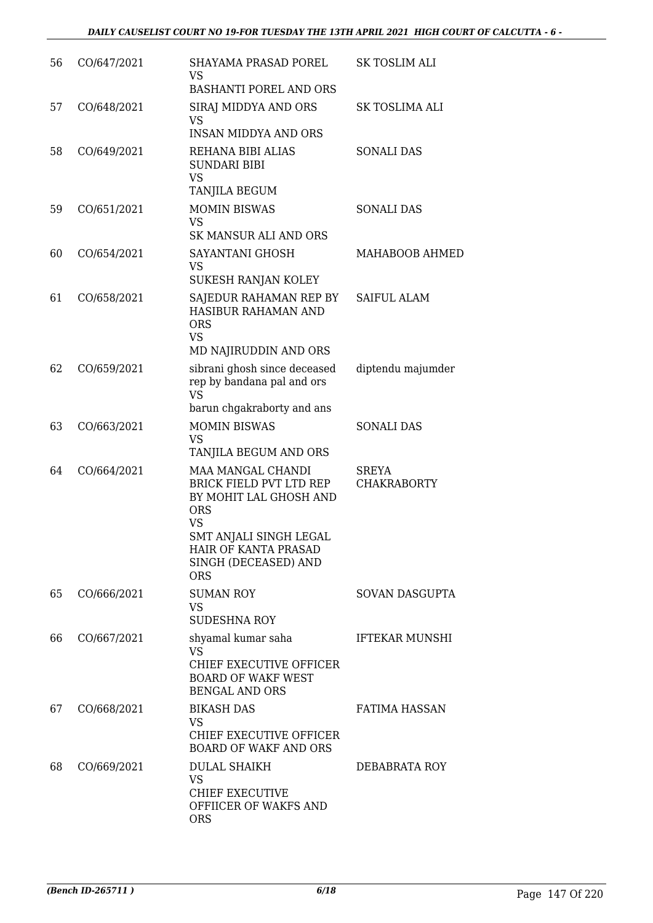| 56 | CO/647/2021 | SHAYAMA PRASAD POREL<br><b>VS</b><br><b>BASHANTI POREL AND ORS</b>                                                                                                                               | <b>SK TOSLIM ALI</b>               |
|----|-------------|--------------------------------------------------------------------------------------------------------------------------------------------------------------------------------------------------|------------------------------------|
| 57 | CO/648/2021 | SIRAJ MIDDYA AND ORS<br><b>VS</b><br><b>INSAN MIDDYA AND ORS</b>                                                                                                                                 | <b>SK TOSLIMA ALI</b>              |
| 58 | CO/649/2021 | REHANA BIBI ALIAS<br><b>SUNDARI BIBI</b><br><b>VS</b><br>TANJILA BEGUM                                                                                                                           | <b>SONALI DAS</b>                  |
| 59 | CO/651/2021 | <b>MOMIN BISWAS</b><br><b>VS</b><br><b>SK MANSUR ALI AND ORS</b>                                                                                                                                 | <b>SONALI DAS</b>                  |
| 60 | CO/654/2021 | SAYANTANI GHOSH<br><b>VS</b><br>SUKESH RANJAN KOLEY                                                                                                                                              | MAHABOOB AHMED                     |
| 61 | CO/658/2021 | SAJEDUR RAHAMAN REP BY<br><b>HASIBUR RAHAMAN AND</b><br><b>ORS</b><br><b>VS</b><br>MD NAJIRUDDIN AND ORS                                                                                         | <b>SAIFUL ALAM</b>                 |
| 62 | CO/659/2021 | sibrani ghosh since deceased<br>rep by bandana pal and ors<br><b>VS</b><br>barun chgakraborty and ans                                                                                            | diptendu majumder                  |
| 63 | CO/663/2021 | <b>MOMIN BISWAS</b><br><b>VS</b><br>TANJILA BEGUM AND ORS                                                                                                                                        | <b>SONALI DAS</b>                  |
| 64 | CO/664/2021 | MAA MANGAL CHANDI<br><b>BRICK FIELD PVT LTD REP</b><br>BY MOHIT LAL GHOSH AND<br><b>ORS</b><br><b>VS</b><br>SMT ANJALI SINGH LEGAL<br>HAIR OF KANTA PRASAD<br>SINGH (DECEASED) AND<br><b>ORS</b> | <b>SREYA</b><br><b>CHAKRABORTY</b> |
| 65 | CO/666/2021 | <b>SUMAN ROY</b><br><b>VS</b><br><b>SUDESHNA ROY</b>                                                                                                                                             | SOVAN DASGUPTA                     |
| 66 | CO/667/2021 | shyamal kumar saha<br><b>VS</b><br><b>CHIEF EXECUTIVE OFFICER</b><br><b>BOARD OF WAKF WEST</b><br><b>BENGAL AND ORS</b>                                                                          | <b>IFTEKAR MUNSHI</b>              |
| 67 | CO/668/2021 | <b>BIKASH DAS</b><br><b>VS</b><br>CHIEF EXECUTIVE OFFICER<br><b>BOARD OF WAKF AND ORS</b>                                                                                                        | <b>FATIMA HASSAN</b>               |
| 68 | CO/669/2021 | <b>DULAL SHAIKH</b><br><b>VS</b><br><b>CHIEF EXECUTIVE</b><br>OFFIICER OF WAKFS AND<br><b>ORS</b>                                                                                                | DEBABRATA ROY                      |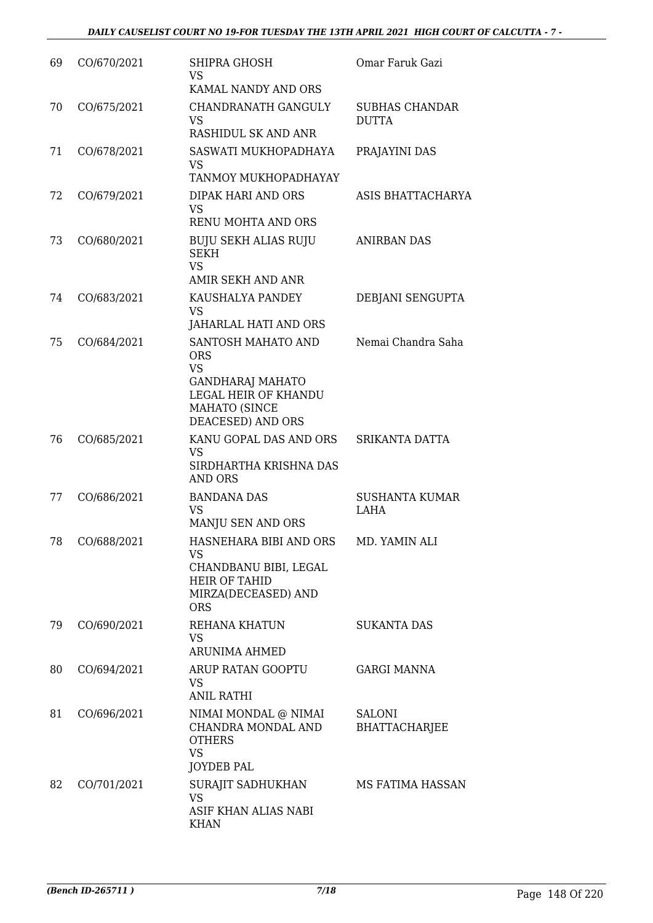| 69 | CO/670/2021 | SHIPRA GHOSH<br>VS<br>KAMAL NANDY AND ORS                                                                                                     | Omar Faruk Gazi                       |
|----|-------------|-----------------------------------------------------------------------------------------------------------------------------------------------|---------------------------------------|
| 70 | CO/675/2021 | CHANDRANATH GANGULY<br><b>VS</b><br><b>RASHIDUL SK AND ANR</b>                                                                                | <b>SUBHAS CHANDAR</b><br><b>DUTTA</b> |
| 71 | CO/678/2021 | SASWATI MUKHOPADHAYA<br><b>VS</b><br>TANMOY MUKHOPADHAYAY                                                                                     | PRAJAYINI DAS                         |
| 72 | CO/679/2021 | DIPAK HARI AND ORS<br><b>VS</b><br>RENU MOHTA AND ORS                                                                                         | ASIS BHATTACHARYA                     |
| 73 | CO/680/2021 | <b>BUJU SEKH ALIAS RUJU</b><br><b>SEKH</b><br><b>VS</b><br>AMIR SEKH AND ANR                                                                  | <b>ANIRBAN DAS</b>                    |
| 74 | CO/683/2021 | KAUSHALYA PANDEY<br><b>VS</b><br>JAHARLAL HATI AND ORS                                                                                        | DEBJANI SENGUPTA                      |
| 75 | CO/684/2021 | SANTOSH MAHATO AND<br><b>ORS</b><br><b>VS</b><br><b>GANDHARAJ MAHATO</b><br>LEGAL HEIR OF KHANDU<br><b>MAHATO (SINCE</b><br>DEACESED) AND ORS | Nemai Chandra Saha                    |
| 76 | CO/685/2021 | KANU GOPAL DAS AND ORS<br><b>VS</b><br>SIRDHARTHA KRISHNA DAS<br><b>AND ORS</b>                                                               | SRIKANTA DATTA                        |
| 77 | CO/686/2021 | <b>BANDANA DAS</b><br><b>VS</b><br>MANJU SEN AND ORS                                                                                          | <b>SUSHANTA KUMAR</b><br>LAHA         |
| 78 | CO/688/2021 | HASNEHARA BIBI AND ORS<br><b>VS</b><br>CHANDBANU BIBI, LEGAL<br><b>HEIR OF TAHID</b><br>MIRZA(DECEASED) AND<br><b>ORS</b>                     | MD. YAMIN ALI                         |
| 79 | CO/690/2021 | REHANA KHATUN<br><b>VS</b><br><b>ARUNIMA AHMED</b>                                                                                            | <b>SUKANTA DAS</b>                    |
| 80 | CO/694/2021 | ARUP RATAN GOOPTU<br>VS.<br><b>ANIL RATHI</b>                                                                                                 | <b>GARGI MANNA</b>                    |
| 81 | CO/696/2021 | NIMAI MONDAL @ NIMAI<br>CHANDRA MONDAL AND<br><b>OTHERS</b><br><b>VS</b><br><b>JOYDEB PAL</b>                                                 | <b>SALONI</b><br><b>BHATTACHARJEE</b> |
| 82 | CO/701/2021 | SURAJIT SADHUKHAN<br><b>VS</b><br>ASIF KHAN ALIAS NABI<br><b>KHAN</b>                                                                         | MS FATIMA HASSAN                      |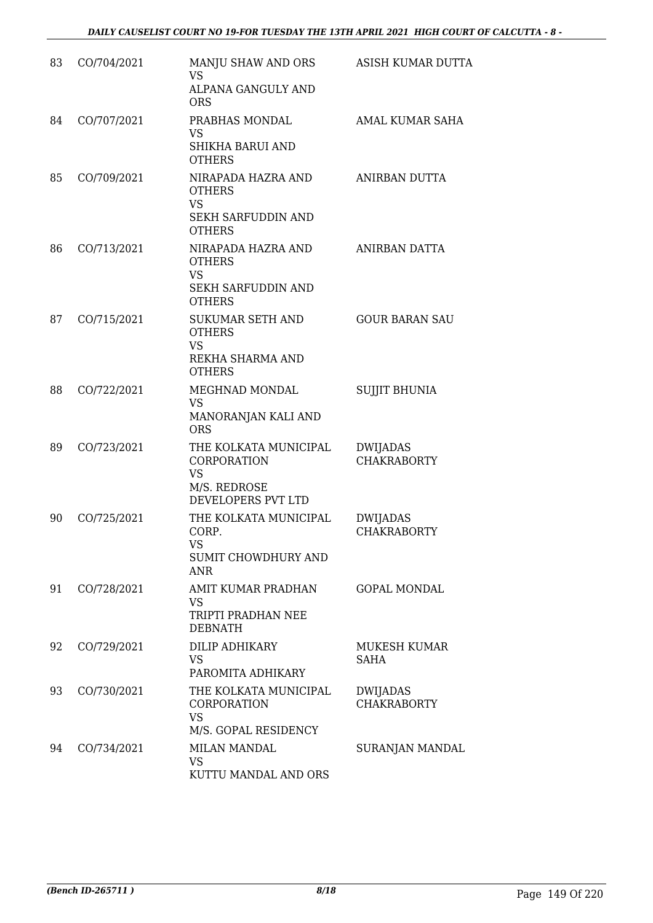| 83 | CO/704/2021 | MANJU SHAW AND ORS<br><b>VS</b><br>ALPANA GANGULY AND<br><b>ORS</b>                            | ASISH KUMAR DUTTA                     |
|----|-------------|------------------------------------------------------------------------------------------------|---------------------------------------|
| 84 | CO/707/2021 | PRABHAS MONDAL<br><b>VS</b><br>SHIKHA BARUI AND<br><b>OTHERS</b>                               | AMAL KUMAR SAHA                       |
| 85 | CO/709/2021 | NIRAPADA HAZRA AND<br><b>OTHERS</b><br><b>VS</b><br><b>SEKH SARFUDDIN AND</b><br><b>OTHERS</b> | ANIRBAN DUTTA                         |
| 86 | CO/713/2021 | NIRAPADA HAZRA AND<br><b>OTHERS</b><br><b>VS</b><br><b>SEKH SARFUDDIN AND</b><br><b>OTHERS</b> | ANIRBAN DATTA                         |
| 87 | CO/715/2021 | <b>SUKUMAR SETH AND</b><br><b>OTHERS</b><br><b>VS</b><br>REKHA SHARMA AND<br><b>OTHERS</b>     | <b>GOUR BARAN SAU</b>                 |
| 88 | CO/722/2021 | MEGHNAD MONDAL<br><b>VS</b><br>MANORANJAN KALI AND<br><b>ORS</b>                               | <b>SUJJIT BHUNIA</b>                  |
| 89 | CO/723/2021 | THE KOLKATA MUNICIPAL<br>CORPORATION<br><b>VS</b><br>M/S. REDROSE<br>DEVELOPERS PVT LTD        | <b>DWIJADAS</b><br><b>CHAKRABORTY</b> |
| 90 | CO/725/2021 | THE KOLKATA MUNICIPAL<br>CORP.<br><b>VS</b><br>SUMIT CHOWDHURY AND<br><b>ANR</b>               | <b>DWIJADAS</b><br><b>CHAKRABORTY</b> |
| 91 | CO/728/2021 | AMIT KUMAR PRADHAN<br><b>VS</b><br>TRIPTI PRADHAN NEE<br><b>DEBNATH</b>                        | <b>GOPAL MONDAL</b>                   |
| 92 | CO/729/2021 | <b>DILIP ADHIKARY</b><br><b>VS</b><br>PAROMITA ADHIKARY                                        | MUKESH KUMAR<br><b>SAHA</b>           |
| 93 | CO/730/2021 | THE KOLKATA MUNICIPAL<br><b>CORPORATION</b><br><b>VS</b><br>M/S. GOPAL RESIDENCY               | <b>DWIJADAS</b><br><b>CHAKRABORTY</b> |
| 94 | CO/734/2021 | <b>MILAN MANDAL</b><br><b>VS</b><br>KUTTU MANDAL AND ORS                                       | SURANJAN MANDAL                       |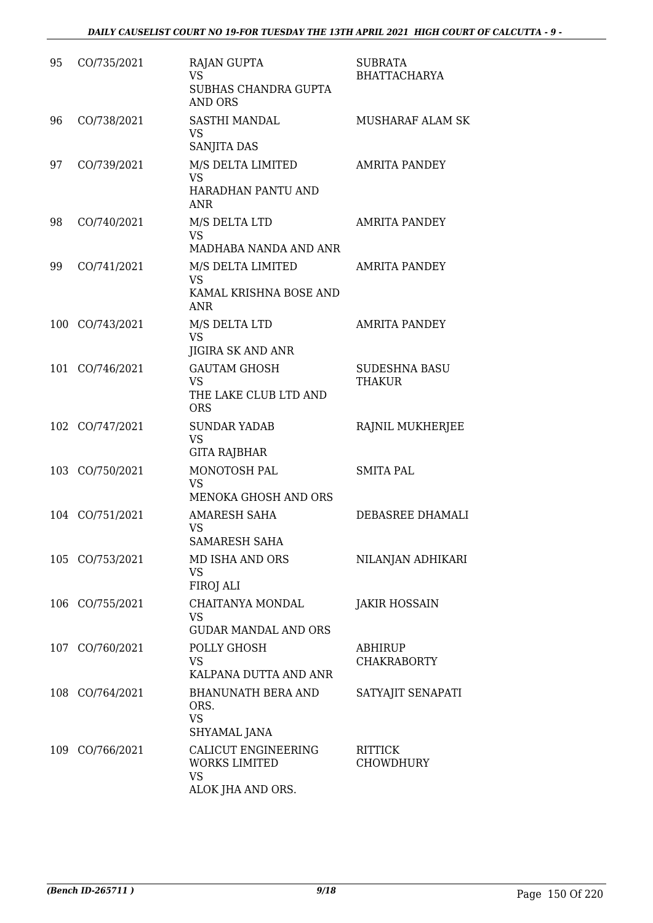| 95  | CO/735/2021     | <b>RAJAN GUPTA</b><br>VS.<br>SUBHAS CHANDRA GUPTA<br><b>AND ORS</b>     | <b>SUBRATA</b><br><b>BHATTACHARYA</b> |
|-----|-----------------|-------------------------------------------------------------------------|---------------------------------------|
| 96  | CO/738/2021     | SASTHI MANDAL<br><b>VS</b><br>SANJITA DAS                               | MUSHARAF ALAM SK                      |
| 97  | CO/739/2021     | M/S DELTA LIMITED<br><b>VS</b><br>HARADHAN PANTU AND<br><b>ANR</b>      | <b>AMRITA PANDEY</b>                  |
| 98  | CO/740/2021     | M/S DELTA LTD<br><b>VS</b><br>MADHABA NANDA AND ANR                     | <b>AMRITA PANDEY</b>                  |
| 99  | CO/741/2021     | M/S DELTA LIMITED<br><b>VS</b><br>KAMAL KRISHNA BOSE AND<br><b>ANR</b>  | <b>AMRITA PANDEY</b>                  |
|     | 100 CO/743/2021 | M/S DELTA LTD<br><b>VS</b><br>JIGIRA SK AND ANR                         | <b>AMRITA PANDEY</b>                  |
| 101 | CO/746/2021     | <b>GAUTAM GHOSH</b><br>VS.<br>THE LAKE CLUB LTD AND<br><b>ORS</b>       | <b>SUDESHNA BASU</b><br><b>THAKUR</b> |
|     | 102 CO/747/2021 | <b>SUNDAR YADAB</b><br><b>VS</b><br><b>GITA RAJBHAR</b>                 | RAJNIL MUKHERJEE                      |
|     | 103 CO/750/2021 | MONOTOSH PAL<br><b>VS</b><br>MENOKA GHOSH AND ORS                       | <b>SMITA PAL</b>                      |
|     | 104 CO/751/2021 | <b>AMARESH SAHA</b><br><b>VS</b><br>SAMARESH SAHA                       | DEBASREE DHAMALI                      |
|     | 105 CO/753/2021 | MD ISHA AND ORS<br><b>VS</b><br>FIROJ ALI                               | NILANJAN ADHIKARI                     |
|     | 106 CO/755/2021 | CHAITANYA MONDAL<br><b>VS</b><br><b>GUDAR MANDAL AND ORS</b>            | <b>JAKIR HOSSAIN</b>                  |
|     | 107 CO/760/2021 | POLLY GHOSH<br><b>VS</b><br>KALPANA DUTTA AND ANR                       | ABHIRUP<br><b>CHAKRABORTY</b>         |
|     | 108 CO/764/2021 | <b>BHANUNATH BERA AND</b><br>ORS.<br><b>VS</b><br>SHYAMAL JANA          | SATYAJIT SENAPATI                     |
|     | 109 CO/766/2021 | CALICUT ENGINEERING<br><b>WORKS LIMITED</b><br>VS.<br>ALOK JHA AND ORS. | <b>RITTICK</b><br><b>CHOWDHURY</b>    |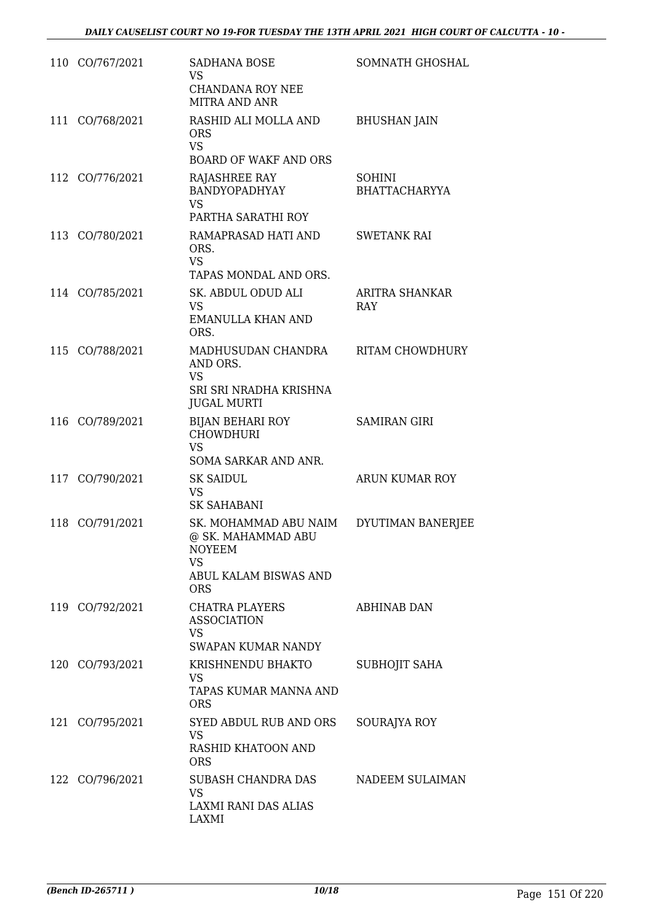|     | 110 CO/767/2021 | <b>SADHANA BOSE</b><br><b>VS</b><br><b>CHANDANA ROY NEE</b><br>MITRA AND ANR                                            | SOMNATH GHOSHAL                       |
|-----|-----------------|-------------------------------------------------------------------------------------------------------------------------|---------------------------------------|
| 111 | CO/768/2021     | RASHID ALI MOLLA AND<br><b>ORS</b><br><b>VS</b><br><b>BOARD OF WAKF AND ORS</b>                                         | <b>BHUSHAN JAIN</b>                   |
|     | 112 CO/776/2021 | <b>RAJASHREE RAY</b><br><b>BANDYOPADHYAY</b><br><b>VS</b><br>PARTHA SARATHI ROY                                         | <b>SOHINI</b><br><b>BHATTACHARYYA</b> |
|     | 113 CO/780/2021 | RAMAPRASAD HATI AND<br>ORS.<br><b>VS</b><br>TAPAS MONDAL AND ORS.                                                       | <b>SWETANK RAI</b>                    |
|     | 114 CO/785/2021 | SK. ABDUL ODUD ALI<br><b>VS</b><br><b>EMANULLA KHAN AND</b><br>ORS.                                                     | <b>ARITRA SHANKAR</b><br><b>RAY</b>   |
|     | 115 CO/788/2021 | MADHUSUDAN CHANDRA<br>AND ORS.<br><b>VS</b><br>SRI SRI NRADHA KRISHNA<br><b>JUGAL MURTI</b>                             | RITAM CHOWDHURY                       |
|     | 116 CO/789/2021 | <b>BIJAN BEHARI ROY</b><br><b>CHOWDHURI</b><br><b>VS</b><br>SOMA SARKAR AND ANR.                                        | <b>SAMIRAN GIRI</b>                   |
|     | 117 CO/790/2021 | <b>SK SAIDUL</b><br><b>VS</b><br><b>SK SAHABANI</b>                                                                     | <b>ARUN KUMAR ROY</b>                 |
|     | 118 CO/791/2021 | SK. MOHAMMAD ABU NAIM<br>@ SK. MAHAMMAD ABU<br><b>NOYEEM</b><br><b>VS</b><br><b>ABUL KALAM BISWAS AND</b><br><b>ORS</b> | DYUTIMAN BANERJEE                     |
|     | 119 CO/792/2021 | CHATRA PLAYERS<br><b>ASSOCIATION</b><br><b>VS</b><br>SWAPAN KUMAR NANDY                                                 | <b>ABHINAB DAN</b>                    |
|     | 120 CO/793/2021 | KRISHNENDU BHAKTO<br>VS<br>TAPAS KUMAR MANNA AND<br><b>ORS</b>                                                          | <b>SUBHOJIT SAHA</b>                  |
|     | 121 CO/795/2021 | SYED ABDUL RUB AND ORS<br><b>VS</b><br>RASHID KHATOON AND<br><b>ORS</b>                                                 | SOURAJYA ROY                          |
|     | 122 CO/796/2021 | SUBASH CHANDRA DAS<br><b>VS</b><br>LAXMI RANI DAS ALIAS<br><b>LAXMI</b>                                                 | NADEEM SULAIMAN                       |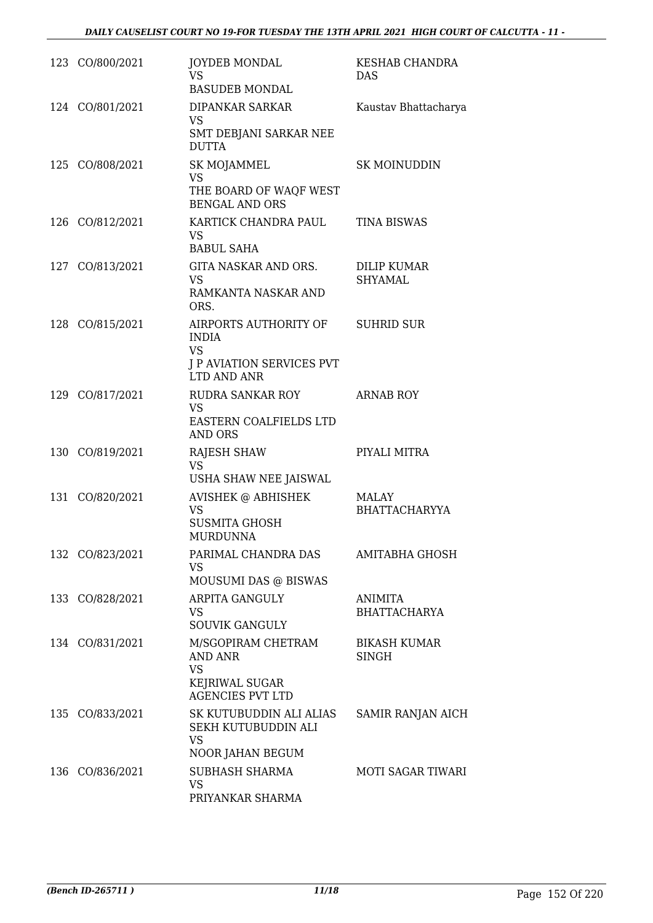| 123 CO/800/2021 | <b>JOYDEB MONDAL</b><br><b>VS</b><br><b>BASUDEB MONDAL</b>                                            | KESHAB CHANDRA<br>DAS.               |
|-----------------|-------------------------------------------------------------------------------------------------------|--------------------------------------|
| 124 CO/801/2021 | DIPANKAR SARKAR<br><b>VS</b><br>SMT DEBJANI SARKAR NEE<br><b>DUTTA</b>                                | Kaustav Bhattacharya                 |
| 125 CO/808/2021 | SK MOJAMMEL<br><b>VS</b><br>THE BOARD OF WAQF WEST<br><b>BENGAL AND ORS</b>                           | SK MOINUDDIN                         |
| 126 CO/812/2021 | KARTICK CHANDRA PAUL<br>VS<br><b>BABUL SAHA</b>                                                       | <b>TINA BISWAS</b>                   |
| 127 CO/813/2021 | GITA NASKAR AND ORS.<br><b>VS</b><br>RAMKANTA NASKAR AND<br>ORS.                                      | <b>DILIP KUMAR</b><br><b>SHYAMAL</b> |
| 128 CO/815/2021 | AIRPORTS AUTHORITY OF<br><b>INDIA</b><br><b>VS</b><br><b>J P AVIATION SERVICES PVT</b><br>LTD AND ANR | <b>SUHRID SUR</b>                    |
| 129 CO/817/2021 | RUDRA SANKAR ROY<br><b>VS</b><br>EASTERN COALFIELDS LTD<br><b>AND ORS</b>                             | <b>ARNAB ROY</b>                     |
| 130 CO/819/2021 | <b>RAJESH SHAW</b><br><b>VS</b><br>USHA SHAW NEE JAISWAL                                              | PIYALI MITRA                         |
| 131 CO/820/2021 | <b>AVISHEK @ ABHISHEK</b><br><b>VS</b><br><b>SUSMITA GHOSH</b><br><b>MURDUNNA</b>                     | <b>MALAY</b><br><b>BHATTACHARYYA</b> |
| 132 CO/823/2021 | PARIMAL CHANDRA DAS<br><b>VS</b><br>MOUSUMI DAS @ BISWAS                                              | AMITABHA GHOSH                       |
| 133 CO/828/2021 | <b>ARPITA GANGULY</b><br><b>VS</b><br><b>SOUVIK GANGULY</b>                                           | ANIMITA<br><b>BHATTACHARYA</b>       |
| 134 CO/831/2021 | M/SGOPIRAM CHETRAM<br><b>AND ANR</b><br><b>VS</b><br>KEJRIWAL SUGAR<br><b>AGENCIES PVT LTD</b>        | <b>BIKASH KUMAR</b><br><b>SINGH</b>  |
| 135 CO/833/2021 | SK KUTUBUDDIN ALI ALIAS<br>SEKH KUTUBUDDIN ALI<br><b>VS</b><br>NOOR JAHAN BEGUM                       | SAMIR RANJAN AICH                    |
| 136 CO/836/2021 | <b>SUBHASH SHARMA</b><br><b>VS</b><br>PRIYANKAR SHARMA                                                | <b>MOTI SAGAR TIWARI</b>             |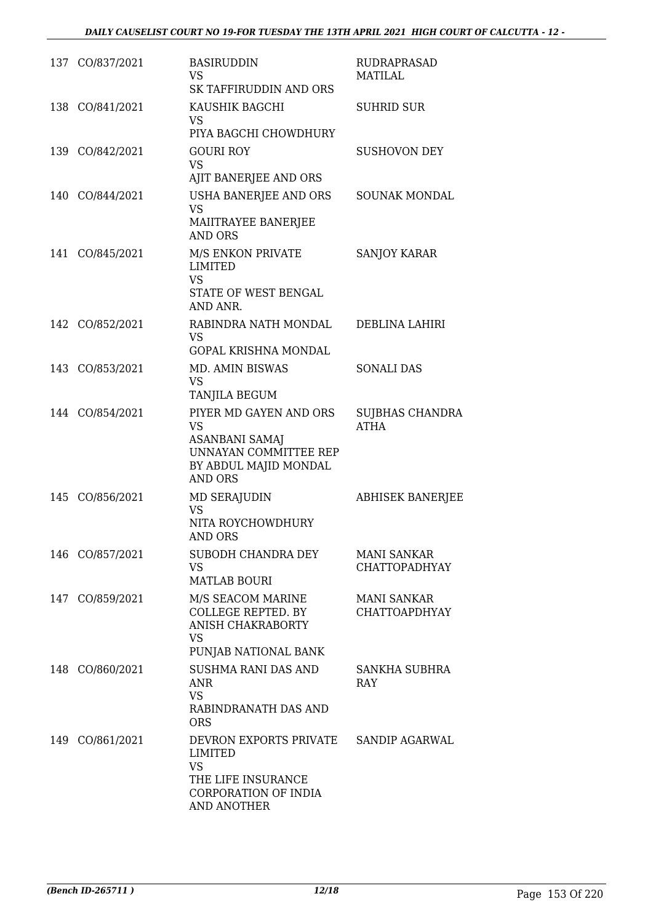|     | 137 CO/837/2021 | <b>BASIRUDDIN</b><br><b>VS</b><br>SK TAFFIRUDDIN AND ORS                                                                                | RUDRAPRASAD<br><b>MATILAL</b>              |
|-----|-----------------|-----------------------------------------------------------------------------------------------------------------------------------------|--------------------------------------------|
|     | 138 CO/841/2021 | KAUSHIK BAGCHI<br><b>VS</b><br>PIYA BAGCHI CHOWDHURY                                                                                    | <b>SUHRID SUR</b>                          |
|     | 139 CO/842/2021 | <b>GOURI ROY</b><br><b>VS</b><br>AJIT BANERJEE AND ORS                                                                                  | <b>SUSHOVON DEY</b>                        |
|     | 140 CO/844/2021 | USHA BANERJEE AND ORS<br><b>VS</b><br>MAIITRAYEE BANERJEE<br><b>AND ORS</b>                                                             | <b>SOUNAK MONDAL</b>                       |
|     | 141 CO/845/2021 | M/S ENKON PRIVATE<br><b>LIMITED</b><br><b>VS</b><br>STATE OF WEST BENGAL<br>AND ANR.                                                    | <b>SANJOY KARAR</b>                        |
|     | 142 CO/852/2021 | RABINDRA NATH MONDAL<br><b>VS</b><br><b>GOPAL KRISHNA MONDAL</b>                                                                        | DEBLINA LAHIRI                             |
|     | 143 CO/853/2021 | MD. AMIN BISWAS<br><b>VS</b><br>TANJILA BEGUM                                                                                           | <b>SONALI DAS</b>                          |
|     | 144 CO/854/2021 | PIYER MD GAYEN AND ORS<br><b>VS</b><br><b>ASANBANI SAMAJ</b><br><b>UNNAYAN COMMITTEE REP</b><br>BY ABDUL MAJID MONDAL<br><b>AND ORS</b> | SUJBHAS CHANDRA<br><b>ATHA</b>             |
|     | 145 CO/856/2021 | <b>MD SERAJUDIN</b><br><b>VS</b><br>NITA ROYCHOWDHURY<br><b>AND ORS</b>                                                                 | <b>ABHISEK BANERJEE</b>                    |
|     | 146 CO/857/2021 | SUBODH CHANDRA DEY<br><b>VS</b><br><b>MATLAB BOURI</b>                                                                                  | <b>MANI SANKAR</b><br><b>CHATTOPADHYAY</b> |
| 147 | CO/859/2021     | M/S SEACOM MARINE<br><b>COLLEGE REPTED. BY</b><br><b>ANISH CHAKRABORTY</b><br><b>VS</b><br>PUNJAB NATIONAL BANK                         | <b>MANI SANKAR</b><br><b>CHATTOAPDHYAY</b> |
|     | 148 CO/860/2021 | <b>SUSHMA RANI DAS AND</b><br><b>ANR</b><br><b>VS</b><br>RABINDRANATH DAS AND<br><b>ORS</b>                                             | SANKHA SUBHRA<br><b>RAY</b>                |
|     | 149 CO/861/2021 | DEVRON EXPORTS PRIVATE<br><b>LIMITED</b><br><b>VS</b><br>THE LIFE INSURANCE<br>CORPORATION OF INDIA<br><b>AND ANOTHER</b>               | <b>SANDIP AGARWAL</b>                      |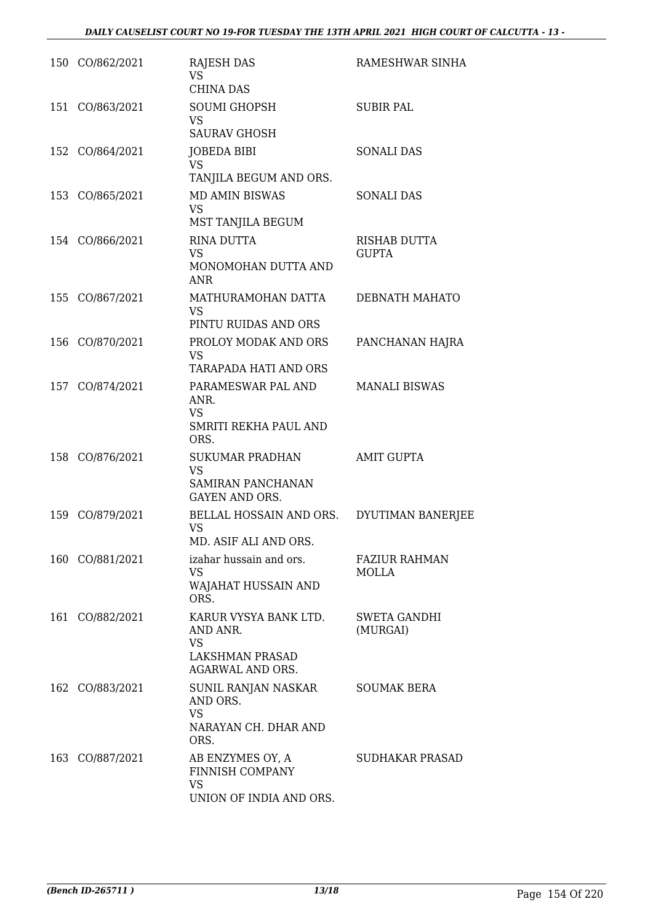| 150 CO/862/2021 | <b>RAJESH DAS</b><br>VS.<br><b>CHINA DAS</b>                                                 | RAMESHWAR SINHA                      |
|-----------------|----------------------------------------------------------------------------------------------|--------------------------------------|
| 151 CO/863/2021 | <b>SOUMI GHOPSH</b><br><b>VS</b><br><b>SAURAV GHOSH</b>                                      | <b>SUBIR PAL</b>                     |
| 152 CO/864/2021 | JOBEDA BIBI<br><b>VS</b><br>TANJILA BEGUM AND ORS.                                           | <b>SONALI DAS</b>                    |
| 153 CO/865/2021 | <b>MD AMIN BISWAS</b><br><b>VS</b><br>MST TANJILA BEGUM                                      | <b>SONALI DAS</b>                    |
| 154 CO/866/2021 | <b>RINA DUTTA</b><br><b>VS</b><br>MONOMOHAN DUTTA AND<br><b>ANR</b>                          | <b>RISHAB DUTTA</b><br><b>GUPTA</b>  |
| 155 CO/867/2021 | MATHURAMOHAN DATTA<br><b>VS</b><br>PINTU RUIDAS AND ORS                                      | DEBNATH MAHATO                       |
| 156 CO/870/2021 | PROLOY MODAK AND ORS<br>VS.<br><b>TARAPADA HATI AND ORS</b>                                  | PANCHANAN HAJRA                      |
| 157 CO/874/2021 | PARAMESWAR PAL AND<br>ANR.<br><b>VS</b><br>SMRITI REKHA PAUL AND<br>ORS.                     | <b>MANALI BISWAS</b>                 |
| 158 CO/876/2021 | SUKUMAR PRADHAN<br><b>VS</b><br>SAMIRAN PANCHANAN<br><b>GAYEN AND ORS.</b>                   | <b>AMIT GUPTA</b>                    |
| 159 CO/879/2021 | BELLAL HOSSAIN AND ORS.<br><b>VS</b><br>MD. ASIF ALI AND ORS.                                | DYUTIMAN BANERJEE                    |
| 160 CO/881/2021 | izahar hussain and ors.<br><b>VS</b><br>WAJAHAT HUSSAIN AND<br>ORS.                          | <b>FAZIUR RAHMAN</b><br><b>MOLLA</b> |
| 161 CO/882/2021 | KARUR VYSYA BANK LTD.<br>AND ANR.<br><b>VS</b><br>LAKSHMAN PRASAD<br><b>AGARWAL AND ORS.</b> | <b>SWETA GANDHI</b><br>(MURGAI)      |
| 162 CO/883/2021 | SUNIL RANJAN NASKAR<br>AND ORS.<br><b>VS</b><br>NARAYAN CH. DHAR AND<br>ORS.                 | <b>SOUMAK BERA</b>                   |
| 163 CO/887/2021 | AB ENZYMES OY, A<br>FINNISH COMPANY<br><b>VS</b><br>UNION OF INDIA AND ORS.                  | SUDHAKAR PRASAD                      |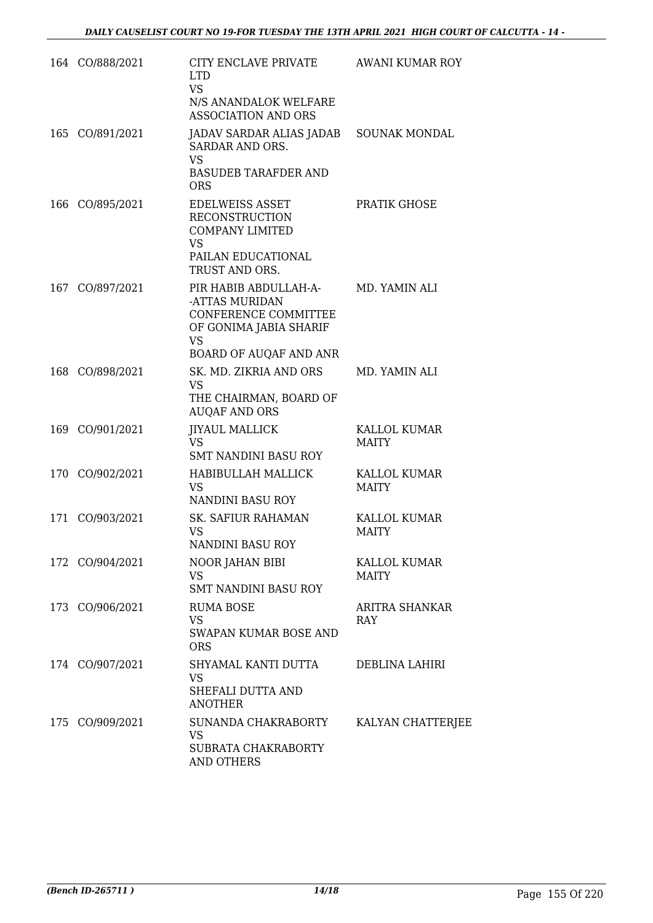|     | 164 CO/888/2021 | CITY ENCLAVE PRIVATE<br><b>LTD</b><br><b>VS</b><br>N/S ANANDALOK WELFARE<br><b>ASSOCIATION AND ORS</b>                                  | AWANI KUMAR ROY                     |
|-----|-----------------|-----------------------------------------------------------------------------------------------------------------------------------------|-------------------------------------|
|     | 165 CO/891/2021 | JADAV SARDAR ALIAS JADAB<br>SARDAR AND ORS.<br><b>VS</b><br><b>BASUDEB TARAFDER AND</b><br><b>ORS</b>                                   | <b>SOUNAK MONDAL</b>                |
|     | 166 CO/895/2021 | <b>EDELWEISS ASSET</b><br><b>RECONSTRUCTION</b><br><b>COMPANY LIMITED</b><br><b>VS</b><br>PAILAN EDUCATIONAL<br>TRUST AND ORS.          | PRATIK GHOSE                        |
|     | 167 CO/897/2021 | PIR HABIB ABDULLAH-A-<br>-ATTAS MURIDAN<br><b>CONFERENCE COMMITTEE</b><br>OF GONIMA JABIA SHARIF<br><b>VS</b><br>BOARD OF AUQAF AND ANR | MD. YAMIN ALI                       |
|     | 168 CO/898/2021 | SK. MD. ZIKRIA AND ORS<br><b>VS</b><br>THE CHAIRMAN, BOARD OF<br><b>AUQAF AND ORS</b>                                                   | MD. YAMIN ALI                       |
|     | 169 CO/901/2021 | <b>JIYAUL MALLICK</b><br><b>VS</b><br><b>SMT NANDINI BASU ROY</b>                                                                       | KALLOL KUMAR<br>MAITY               |
|     | 170 CO/902/2021 | HABIBULLAH MALLICK<br><b>VS</b><br>NANDINI BASU ROY                                                                                     | KALLOL KUMAR<br>MAITY               |
| 171 | CO/903/2021     | <b>SK. SAFIUR RAHAMAN</b><br>VS<br>NANDINI BASU ROY                                                                                     | <b>KALLOL KUMAR</b><br><b>MAITY</b> |
|     | 172 CO/904/2021 | NOOR JAHAN BIBI<br><b>VS</b><br>SMT NANDINI BASU ROY                                                                                    | KALLOL KUMAR<br><b>MAITY</b>        |
|     | 173 CO/906/2021 | <b>RUMA BOSE</b><br><b>VS</b><br>SWAPAN KUMAR BOSE AND<br><b>ORS</b>                                                                    | ARITRA SHANKAR<br>RAY               |
|     | 174 CO/907/2021 | SHYAMAL KANTI DUTTA<br><b>VS</b><br>SHEFALI DUTTA AND<br><b>ANOTHER</b>                                                                 | DEBLINA LAHIRI                      |
|     | 175 CO/909/2021 | SUNANDA CHAKRABORTY<br><b>VS</b><br>SUBRATA CHAKRABORTY<br>AND OTHERS                                                                   | KALYAN CHATTERJEE                   |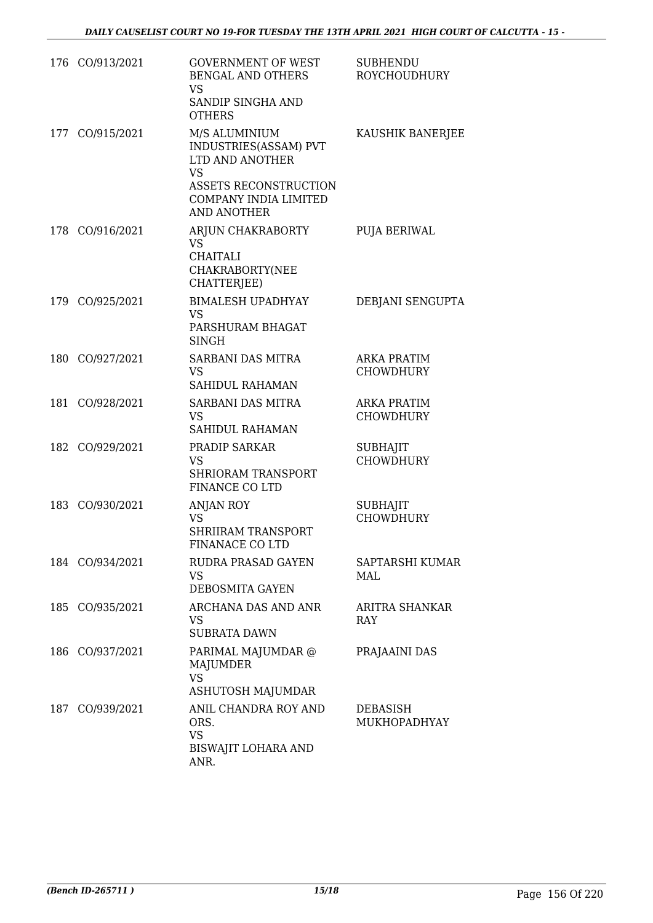|     | 176 CO/913/2021 | <b>GOVERNMENT OF WEST</b><br>BENGAL AND OTHERS<br><b>VS</b><br>SANDIP SINGHA AND<br><b>OTHERS</b>                                                     | <b>SUBHENDU</b><br><b>ROYCHOUDHURY</b> |
|-----|-----------------|-------------------------------------------------------------------------------------------------------------------------------------------------------|----------------------------------------|
| 177 | CO/915/2021     | M/S ALUMINIUM<br>INDUSTRIES(ASSAM) PVT<br>LTD AND ANOTHER<br><b>VS</b><br><b>ASSETS RECONSTRUCTION</b><br>COMPANY INDIA LIMITED<br><b>AND ANOTHER</b> | KAUSHIK BANERJEE                       |
|     | 178 CO/916/2021 | ARJUN CHAKRABORTY<br><b>VS</b><br><b>CHAITALI</b><br>CHAKRABORTY(NEE<br>CHATTERJEE)                                                                   | PUJA BERIWAL                           |
|     | 179 CO/925/2021 | <b>BIMALESH UPADHYAY</b><br><b>VS</b><br>PARSHURAM BHAGAT<br><b>SINGH</b>                                                                             | DEBJANI SENGUPTA                       |
|     | 180 CO/927/2021 | SARBANI DAS MITRA<br><b>VS</b><br>SAHIDUL RAHAMAN                                                                                                     | <b>ARKA PRATIM</b><br><b>CHOWDHURY</b> |
| 181 | CO/928/2021     | SARBANI DAS MITRA<br><b>VS</b><br><b>SAHIDUL RAHAMAN</b>                                                                                              | <b>ARKA PRATIM</b><br><b>CHOWDHURY</b> |
| 182 | CO/929/2021     | PRADIP SARKAR<br><b>VS</b><br><b>SHRIORAM TRANSPORT</b><br><b>FINANCE CO LTD</b>                                                                      | <b>SUBHAJIT</b><br><b>CHOWDHURY</b>    |
|     | 183 CO/930/2021 | ANJAN ROY<br><b>VS</b><br><b>SHRIIRAM TRANSPORT</b><br>FINANACE CO LTD                                                                                | <b>SUBHAJIT</b><br><b>CHOWDHURY</b>    |
|     | 184 CO/934/2021 | RUDRA PRASAD GAYEN<br><b>VS</b><br>DEBOSMITA GAYEN                                                                                                    | SAPTARSHI KUMAR<br>MAL                 |
| 185 | CO/935/2021     | ARCHANA DAS AND ANR<br>VS<br><b>SUBRATA DAWN</b>                                                                                                      | ARITRA SHANKAR<br><b>RAY</b>           |
|     | 186 CO/937/2021 | PARIMAL MAJUMDAR @<br><b>MAJUMDER</b><br><b>VS</b><br>ASHUTOSH MAJUMDAR                                                                               | PRAJAAINI DAS                          |
|     | 187 CO/939/2021 | ANIL CHANDRA ROY AND<br>ORS.<br><b>VS</b><br><b>BISWAJIT LOHARA AND</b><br>ANR.                                                                       | <b>DEBASISH</b><br>MUKHOPADHYAY        |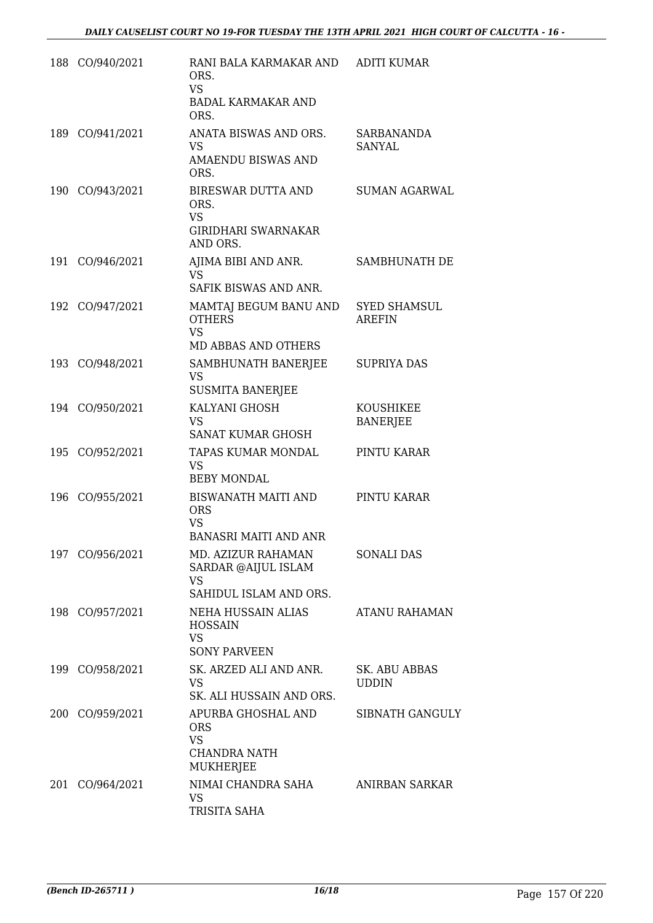| 188 CO/940/2021 | RANI BALA KARMAKAR AND<br>ORS.<br><b>VS</b><br><b>BADAL KARMAKAR AND</b><br>ORS.      | <b>ADITI KUMAR</b>                   |
|-----------------|---------------------------------------------------------------------------------------|--------------------------------------|
| 189 CO/941/2021 | ANATA BISWAS AND ORS.<br><b>VS</b><br><b>AMAENDU BISWAS AND</b><br>ORS.               | <b>SARBANANDA</b><br><b>SANYAL</b>   |
| 190 CO/943/2021 | BIRESWAR DUTTA AND<br>ORS.<br><b>VS</b><br><b>GIRIDHARI SWARNAKAR</b><br>AND ORS.     | <b>SUMAN AGARWAL</b>                 |
| 191 CO/946/2021 | AJIMA BIBI AND ANR.<br>VS.<br>SAFIK BISWAS AND ANR.                                   | SAMBHUNATH DE                        |
| 192 CO/947/2021 | MAMTAJ BEGUM BANU AND<br><b>OTHERS</b><br><b>VS</b><br><b>MD ABBAS AND OTHERS</b>     | <b>SYED SHAMSUL</b><br><b>AREFIN</b> |
| 193 CO/948/2021 | SAMBHUNATH BANERJEE<br>VS<br><b>SUSMITA BANERJEE</b>                                  | <b>SUPRIYA DAS</b>                   |
| 194 CO/950/2021 | KALYANI GHOSH<br>VS.<br><b>SANAT KUMAR GHOSH</b>                                      | <b>KOUSHIKEE</b><br><b>BANERJEE</b>  |
| 195 CO/952/2021 | TAPAS KUMAR MONDAL<br><b>VS</b><br><b>BEBY MONDAL</b>                                 | PINTU KARAR                          |
| 196 CO/955/2021 | <b>BISWANATH MAITI AND</b><br><b>ORS</b><br><b>VS</b><br><b>BANASRI MAITI AND ANR</b> | PINTU KARAR                          |
| 197 CO/956/2021 | MD. AZIZUR RAHAMAN<br>SARDAR @AIJUL ISLAM<br><b>VS</b><br>SAHIDUL ISLAM AND ORS.      | <b>SONALI DAS</b>                    |
| 198 CO/957/2021 | NEHA HUSSAIN ALIAS<br><b>HOSSAIN</b><br><b>VS</b><br><b>SONY PARVEEN</b>              | ATANU RAHAMAN                        |
| 199 CO/958/2021 | SK. ARZED ALI AND ANR.<br><b>VS</b><br>SK. ALI HUSSAIN AND ORS.                       | SK. ABU ABBAS<br><b>UDDIN</b>        |
| 200 CO/959/2021 | APURBA GHOSHAL AND<br><b>ORS</b><br><b>VS</b><br>CHANDRA NATH<br>MUKHERJEE            | SIBNATH GANGULY                      |
| 201 CO/964/2021 | NIMAI CHANDRA SAHA<br>VS.<br>TRISITA SAHA                                             | <b>ANIRBAN SARKAR</b>                |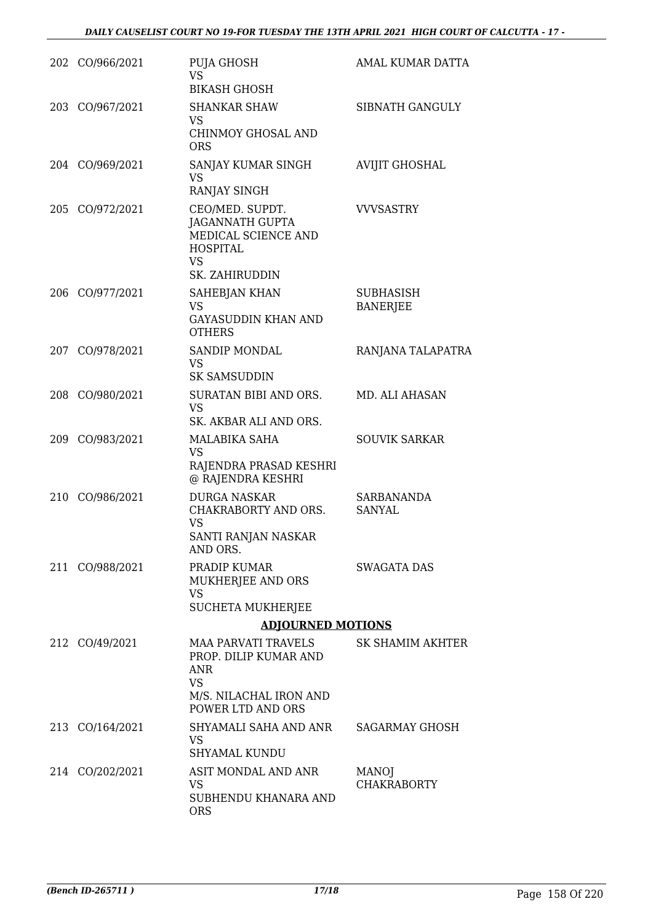| 202 CO/966/2021 | PUJA GHOSH<br>VS.<br><b>BIKASH GHOSH</b>                                                                                      | AMAL KUMAR DATTA                    |
|-----------------|-------------------------------------------------------------------------------------------------------------------------------|-------------------------------------|
| 203 CO/967/2021 | <b>SHANKAR SHAW</b><br><b>VS</b><br><b>CHINMOY GHOSAL AND</b><br><b>ORS</b>                                                   | SIBNATH GANGULY                     |
| 204 CO/969/2021 | SANJAY KUMAR SINGH<br><b>VS</b><br>RANJAY SINGH                                                                               | <b>AVIJIT GHOSHAL</b>               |
| 205 CO/972/2021 | CEO/MED. SUPDT.<br><b>JAGANNATH GUPTA</b><br>MEDICAL SCIENCE AND<br><b>HOSPITAL</b><br><b>VS</b><br>SK. ZAHIRUDDIN            | <b>VVVSASTRY</b>                    |
| 206 CO/977/2021 | <b>SAHEBJAN KHAN</b><br><b>VS</b><br><b>GAYASUDDIN KHAN AND</b><br><b>OTHERS</b>                                              | <b>SUBHASISH</b><br><b>BANERJEE</b> |
| 207 CO/978/2021 | SANDIP MONDAL<br>VS.<br><b>SK SAMSUDDIN</b>                                                                                   | RANJANA TALAPATRA                   |
| 208 CO/980/2021 | SURATAN BIBI AND ORS.<br><b>VS</b><br>SK. AKBAR ALI AND ORS.                                                                  | MD. ALI AHASAN                      |
| 209 CO/983/2021 | MALABIKA SAHA<br><b>VS</b><br>RAJENDRA PRASAD KESHRI<br>@ RAJENDRA KESHRI                                                     | <b>SOUVIK SARKAR</b>                |
| 210 CO/986/2021 | <b>DURGA NASKAR</b><br>CHAKRABORTY AND ORS.<br><b>VS</b><br>SANTI RANJAN NASKAR<br>AND ORS.                                   | <b>SARBANANDA</b><br><b>SANYAL</b>  |
| 211 CO/988/2021 | PRADIP KUMAR<br>MUKHERJEE AND ORS<br><b>VS</b><br><b>SUCHETA MUKHERJEE</b>                                                    | <b>SWAGATA DAS</b>                  |
|                 | <b>ADJOURNED MOTIONS</b>                                                                                                      |                                     |
| 212 CO/49/2021  | <b>MAA PARVATI TRAVELS</b><br>PROP. DILIP KUMAR AND<br><b>ANR</b><br><b>VS</b><br>M/S. NILACHAL IRON AND<br>POWER LTD AND ORS | SK SHAMIM AKHTER                    |
| 213 CO/164/2021 | SHYAMALI SAHA AND ANR<br>VS<br><b>SHYAMAL KUNDU</b>                                                                           | <b>SAGARMAY GHOSH</b>               |
| 214 CO/202/2021 | ASIT MONDAL AND ANR<br>VS.<br>SUBHENDU KHANARA AND<br><b>ORS</b>                                                              | MANOJ<br><b>CHAKRABORTY</b>         |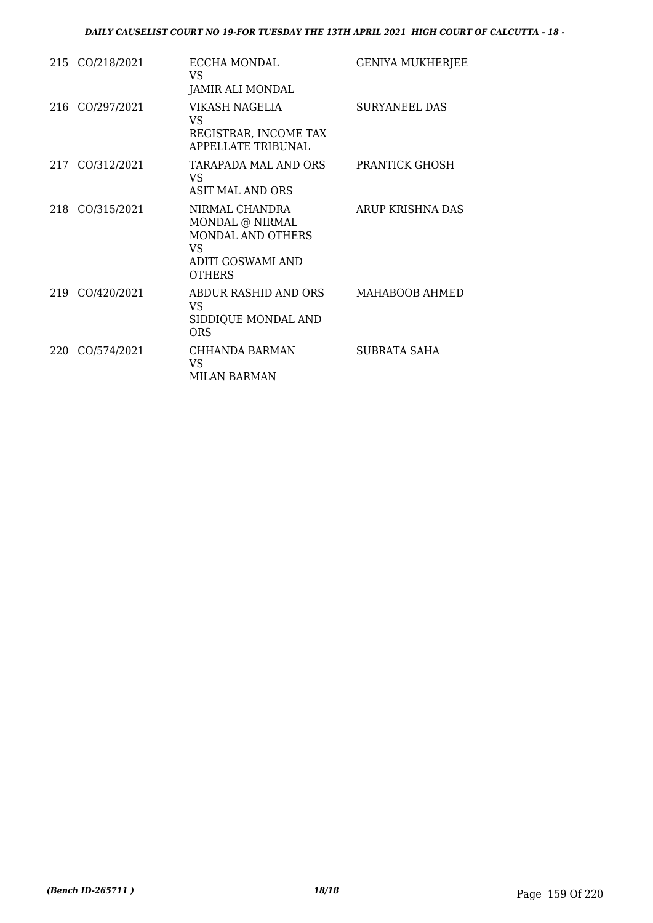|     | 215 CO/218/2021 | ECCHA MONDAL<br>VS.<br>JAMIR ALI MONDAL                                                                          | <b>GENIYA MUKHERJEE</b> |
|-----|-----------------|------------------------------------------------------------------------------------------------------------------|-------------------------|
|     | 216 CO/297/2021 | VIKASH NAGELIA<br>VS<br>REGISTRAR, INCOME TAX<br><b>APPELLATE TRIBUNAL</b>                                       | <b>SURYANEEL DAS</b>    |
|     | 217 CO/312/2021 | TARAPADA MAL AND ORS<br>VS.<br><b>ASIT MAL AND ORS</b>                                                           | PRANTICK GHOSH          |
|     | 218 CO/315/2021 | NIRMAL CHANDRA<br>MONDAL @ NIRMAL<br><b>MONDAL AND OTHERS</b><br>VS<br><b>ADITI GOSWAMI AND</b><br><b>OTHERS</b> | ARUP KRISHNA DAS        |
|     | 219 CO/420/2021 | ABDUR RASHID AND ORS<br>VS<br>SIDDIQUE MONDAL AND<br>ORS                                                         | MAHABOOB AHMED          |
| 220 | CO/574/2021     | CHHANDA BARMAN<br>VS.<br>MILAN BARMAN                                                                            | SUBRATA SAHA            |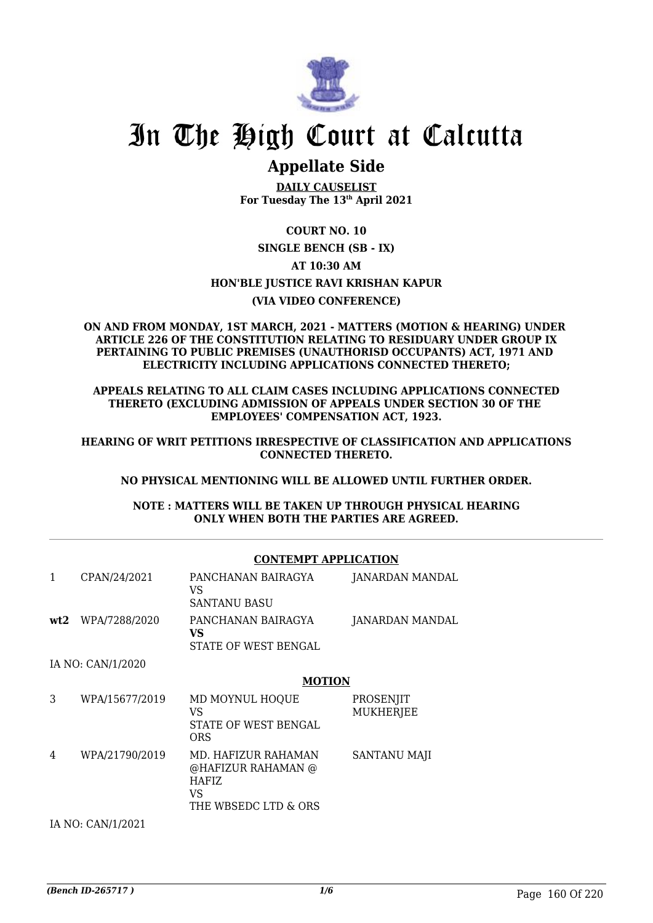

## **Appellate Side**

**DAILY CAUSELIST For Tuesday The 13th April 2021**

## **COURT NO. 10**

**SINGLE BENCH (SB - IX) AT 10:30 AM HON'BLE JUSTICE RAVI KRISHAN KAPUR (VIA VIDEO CONFERENCE)**

### **ON AND FROM MONDAY, 1ST MARCH, 2021 - MATTERS (MOTION & HEARING) UNDER ARTICLE 226 OF THE CONSTITUTION RELATING TO RESIDUARY UNDER GROUP IX PERTAINING TO PUBLIC PREMISES (UNAUTHORISD OCCUPANTS) ACT, 1971 AND ELECTRICITY INCLUDING APPLICATIONS CONNECTED THERETO;**

**APPEALS RELATING TO ALL CLAIM CASES INCLUDING APPLICATIONS CONNECTED THERETO (EXCLUDING ADMISSION OF APPEALS UNDER SECTION 30 OF THE EMPLOYEES' COMPENSATION ACT, 1923.**

**HEARING OF WRIT PETITIONS IRRESPECTIVE OF CLASSIFICATION AND APPLICATIONS CONNECTED THERETO.**

### **NO PHYSICAL MENTIONING WILL BE ALLOWED UNTIL FURTHER ORDER.**

**NOTE : MATTERS WILL BE TAKEN UP THROUGH PHYSICAL HEARING ONLY WHEN BOTH THE PARTIES ARE AGREED.**

### **CONTEMPT APPLICATION**

| 1 | CPAN/24/2021      | PANCHANAN BAIRAGYA<br>VS<br><b>SANTANU BASU</b>                                          | JANARDAN MANDAL               |  |
|---|-------------------|------------------------------------------------------------------------------------------|-------------------------------|--|
|   | wt2 WPA/7288/2020 | PANCHANAN BAIRAGYA<br>VS<br>STATE OF WEST BENGAL                                         | JANARDAN MANDAL               |  |
|   | IA NO: CAN/1/2020 |                                                                                          |                               |  |
|   |                   | <b>MOTION</b>                                                                            |                               |  |
| 3 | WPA/15677/2019    | MD MOYNUL HOQUE<br>VS<br>STATE OF WEST BENGAL<br>ORS                                     | PROSENJIT<br><b>MUKHERJEE</b> |  |
| 4 | WPA/21790/2019    | MD. HAFIZUR RAHAMAN<br>@HAFIZUR RAHAMAN @<br><b>HAFIZ</b><br>VS.<br>THE WBSEDC LTD & ORS | SANTANU MAJI                  |  |
|   | IA NO: CAN/1/2021 |                                                                                          |                               |  |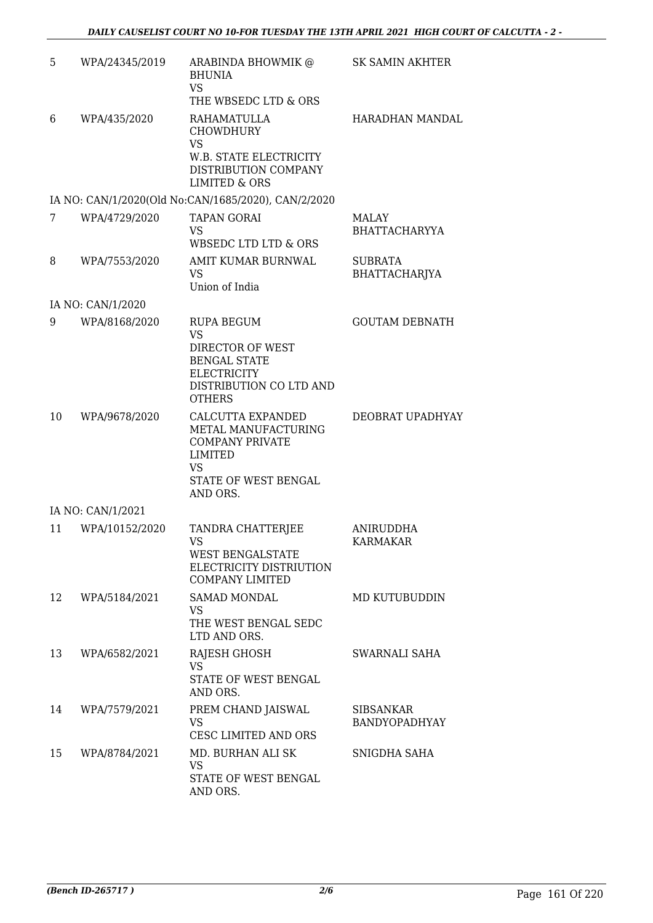| 5  | WPA/24345/2019    | ARABINDA BHOWMIK @<br><b>BHUNIA</b><br><b>VS</b><br>THE WBSEDC LTD & ORS                                                             | SK SAMIN AKHTER                 |
|----|-------------------|--------------------------------------------------------------------------------------------------------------------------------------|---------------------------------|
| 6  | WPA/435/2020      | RAHAMATULLA<br><b>CHOWDHURY</b><br><b>VS</b><br>W.B. STATE ELECTRICITY<br>DISTRIBUTION COMPANY<br><b>LIMITED &amp; ORS</b>           | <b>HARADHAN MANDAL</b>          |
|    |                   | IA NO: CAN/1/2020(Old No:CAN/1685/2020), CAN/2/2020                                                                                  |                                 |
| 7  | WPA/4729/2020     | <b>TAPAN GORAI</b><br>VS<br>WBSEDC LTD LTD & ORS                                                                                     | MALAY<br><b>BHATTACHARYYA</b>   |
| 8  | WPA/7553/2020     | AMIT KUMAR BURNWAL<br>VS<br>Union of India                                                                                           | <b>SUBRATA</b><br>BHATTACHARJYA |
|    | IA NO: CAN/1/2020 |                                                                                                                                      |                                 |
| 9  | WPA/8168/2020     | RUPA BEGUM<br><b>VS</b><br>DIRECTOR OF WEST<br><b>BENGAL STATE</b><br><b>ELECTRICITY</b><br>DISTRIBUTION CO LTD AND<br><b>OTHERS</b> | <b>GOUTAM DEBNATH</b>           |
| 10 | WPA/9678/2020     | CALCUTTA EXPANDED<br>METAL MANUFACTURING<br><b>COMPANY PRIVATE</b><br>LIMITED<br><b>VS</b><br>STATE OF WEST BENGAL<br>AND ORS.       | DEOBRAT UPADHYAY                |
|    | IA NO: CAN/1/2021 |                                                                                                                                      |                                 |
| 11 | WPA/10152/2020    | TANDRA CHATTERJEE<br>VS<br>WEST BENGALSTATE<br>ELECTRICITY DISTRIUTION<br><b>COMPANY LIMITED</b>                                     | ANIRUDDHA<br><b>KARMAKAR</b>    |
| 12 | WPA/5184/2021     | <b>SAMAD MONDAL</b><br>VS<br>THE WEST BENGAL SEDC<br>LTD AND ORS.                                                                    | MD KUTUBUDDIN                   |
| 13 | WPA/6582/2021     | RAJESH GHOSH<br><b>VS</b><br>STATE OF WEST BENGAL<br>AND ORS.                                                                        | SWARNALI SAHA                   |
| 14 | WPA/7579/2021     | PREM CHAND JAISWAL<br>VS<br>CESC LIMITED AND ORS                                                                                     | SIBSANKAR<br>BANDYOPADHYAY      |
| 15 | WPA/8784/2021     | MD. BURHAN ALI SK<br>VS<br>STATE OF WEST BENGAL<br>AND ORS.                                                                          | SNIGDHA SAHA                    |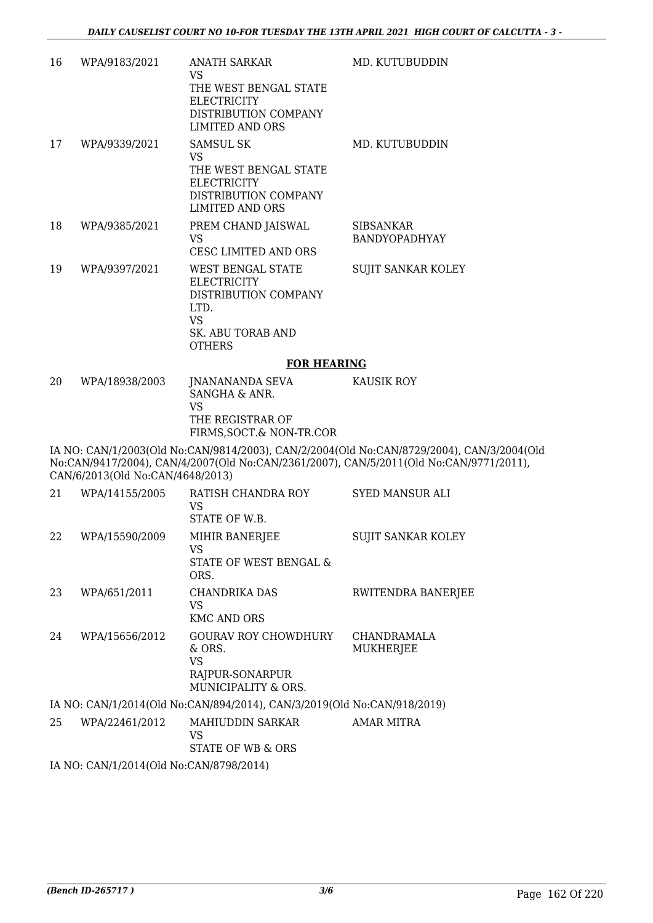| 16 | WPA/9183/2021  | <b>ANATH SARKAR</b><br>VS                                                                                                   | MD. KUTUBUDDIN                           |
|----|----------------|-----------------------------------------------------------------------------------------------------------------------------|------------------------------------------|
|    |                | THE WEST BENGAL STATE<br><b>ELECTRICITY</b><br>DISTRIBUTION COMPANY<br>LIMITED AND ORS                                      |                                          |
| 17 | WPA/9339/2021  | <b>SAMSUL SK</b><br>VS<br>THE WEST BENGAL STATE<br><b>ELECTRICITY</b><br>DISTRIBUTION COMPANY<br><b>LIMITED AND ORS</b>     | MD. KUTUBUDDIN                           |
| 18 | WPA/9385/2021  | PREM CHAND JAISWAL<br>VS<br>CESC LIMITED AND ORS                                                                            | <b>SIBSANKAR</b><br><b>BANDYOPADHYAY</b> |
| 19 | WPA/9397/2021  | <b>WEST BENGAL STATE</b><br>ELECTRICITY<br>DISTRIBUTION COMPANY<br>LTD.<br>VS.<br><b>SK. ABU TORAB AND</b><br><b>OTHERS</b> | <b>SUJIT SANKAR KOLEY</b>                |
|    |                | <b>FOR HEARING</b>                                                                                                          |                                          |
| 20 | WPA/18938/2003 | JNANANANDA SEVA                                                                                                             | KAUSIK ROY                               |

| wraiogooizuuj | JINAINAINAINDA SEVA     | NAUSIN RUI |
|---------------|-------------------------|------------|
|               | SANGHA & ANR.           |            |
|               | VS                      |            |
|               | THE REGISTRAR OF        |            |
|               | FIRMS.SOCT.& NON-TR.COR |            |
|               |                         |            |

IA NO: CAN/1/2003(Old No:CAN/9814/2003), CAN/2/2004(Old No:CAN/8729/2004), CAN/3/2004(Old No:CAN/9417/2004), CAN/4/2007(Old No:CAN/2361/2007), CAN/5/2011(Old No:CAN/9771/2011), CAN/6/2013(Old No:CAN/4648/2013)

| 21 | WPA/14155/2005                                 | RATISH CHANDRA ROY<br>VS<br>STATE OF W.B.                                                | SYED MANSUR ALI           |
|----|------------------------------------------------|------------------------------------------------------------------------------------------|---------------------------|
| 22 | WPA/15590/2009                                 | MIHIR BANERJEE<br>VS<br>STATE OF WEST BENGAL &<br>ORS.                                   | <b>SUJIT SANKAR KOLEY</b> |
| 23 | WPA/651/2011                                   | CHANDRIKA DAS<br>VS<br><b>KMC AND ORS</b>                                                | RWITENDRA BANERJEE        |
| 24 | WPA/15656/2012                                 | <b>GOURAV ROY CHOWDHURY</b><br>$\&$ ORS.<br>VS<br>RAJPUR-SONARPUR<br>MUNICIPALITY & ORS. | CHANDRAMALA<br>MUKHERJEE  |
|    |                                                | IA NO: CAN/1/2014(Old No:CAN/894/2014), CAN/3/2019(Old No:CAN/918/2019)                  |                           |
| 25 | WPA/22461/2012                                 | MAHIUDDIN SARKAR<br>VS<br>STATE OF WB & ORS                                              | AMAR MITRA                |
|    | IA NO. CANIJI (2014) (OLI No. CANI/9709) 2014) |                                                                                          |                           |

IA NO: CAN/1/2014(Old No:CAN/8798/2014)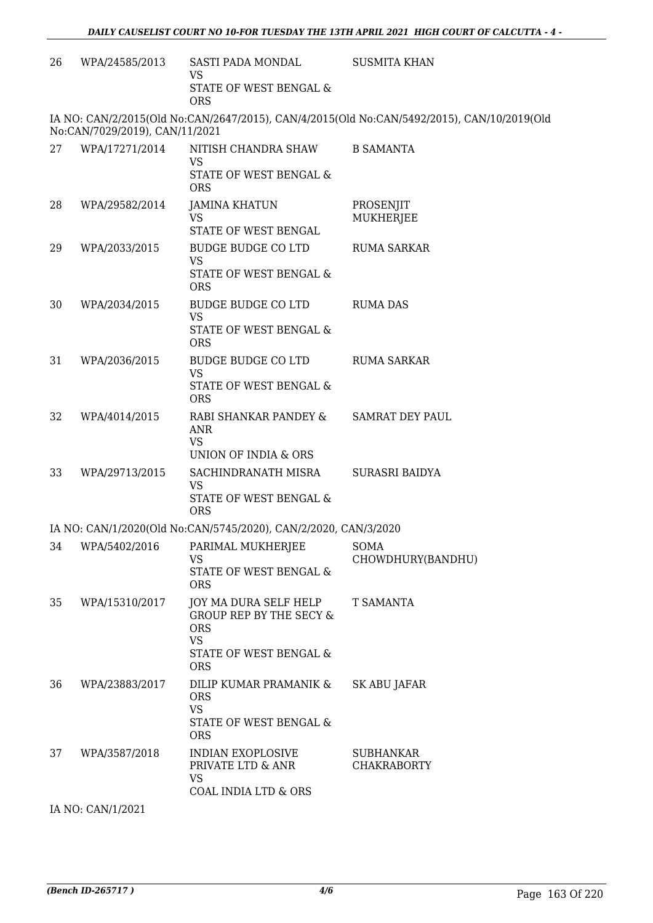| 26 | WPA/24585/2013                 | SASTI PADA MONDAL<br><b>VS</b><br><b>STATE OF WEST BENGAL &amp;</b><br><b>ORS</b>                                              | <b>SUSMITA KHAN</b>                                                                        |
|----|--------------------------------|--------------------------------------------------------------------------------------------------------------------------------|--------------------------------------------------------------------------------------------|
|    | No:CAN/7029/2019), CAN/11/2021 |                                                                                                                                | IA NO: CAN/2/2015(Old No:CAN/2647/2015), CAN/4/2015(Old No:CAN/5492/2015), CAN/10/2019(Old |
| 27 | WPA/17271/2014                 | NITISH CHANDRA SHAW<br><b>VS</b><br>STATE OF WEST BENGAL &<br><b>ORS</b>                                                       | <b>B SAMANTA</b>                                                                           |
| 28 | WPA/29582/2014                 | <b>JAMINA KHATUN</b><br><b>VS</b><br>STATE OF WEST BENGAL                                                                      | PROSENJIT<br>MUKHERJEE                                                                     |
| 29 | WPA/2033/2015                  | <b>BUDGE BUDGE CO LTD</b><br><b>VS</b><br>STATE OF WEST BENGAL &<br><b>ORS</b>                                                 | <b>RUMA SARKAR</b>                                                                         |
| 30 | WPA/2034/2015                  | <b>BUDGE BUDGE CO LTD</b><br><b>VS</b><br>STATE OF WEST BENGAL &<br><b>ORS</b>                                                 | <b>RUMA DAS</b>                                                                            |
| 31 | WPA/2036/2015                  | <b>BUDGE BUDGE CO LTD</b><br><b>VS</b><br>STATE OF WEST BENGAL &<br><b>ORS</b>                                                 | <b>RUMA SARKAR</b>                                                                         |
| 32 | WPA/4014/2015                  | RABI SHANKAR PANDEY &<br><b>ANR</b><br><b>VS</b><br>UNION OF INDIA & ORS                                                       | <b>SAMRAT DEY PAUL</b>                                                                     |
| 33 | WPA/29713/2015                 | SACHINDRANATH MISRA<br><b>VS</b><br>STATE OF WEST BENGAL &<br><b>ORS</b>                                                       | SURASRI BAIDYA                                                                             |
|    |                                | IA NO: CAN/1/2020(Old No:CAN/5745/2020), CAN/2/2020, CAN/3/2020                                                                |                                                                                            |
|    |                                | 34 WPA/5402/2016 PARIMAL MUKHERJEE<br>VS.<br>STATE OF WEST BENGAL &<br>ORS                                                     | SOMA<br>CHOWDHURY(BANDHU)                                                                  |
| 35 | WPA/15310/2017                 | JOY MA DURA SELF HELP<br><b>GROUP REP BY THE SECY &amp;</b><br><b>ORS</b><br><b>VS</b><br>STATE OF WEST BENGAL &<br><b>ORS</b> | T SAMANTA                                                                                  |
| 36 | WPA/23883/2017                 | DILIP KUMAR PRAMANIK &<br><b>ORS</b><br><b>VS</b><br>STATE OF WEST BENGAL &<br><b>ORS</b>                                      | <b>SK ABU JAFAR</b>                                                                        |
| 37 | WPA/3587/2018                  | <b>INDIAN EXOPLOSIVE</b><br>PRIVATE LTD & ANR<br><b>VS</b><br>COAL INDIA LTD & ORS                                             | <b>SUBHANKAR</b><br><b>CHAKRABORTY</b>                                                     |
|    | IA NO: CAN/1/2021              |                                                                                                                                |                                                                                            |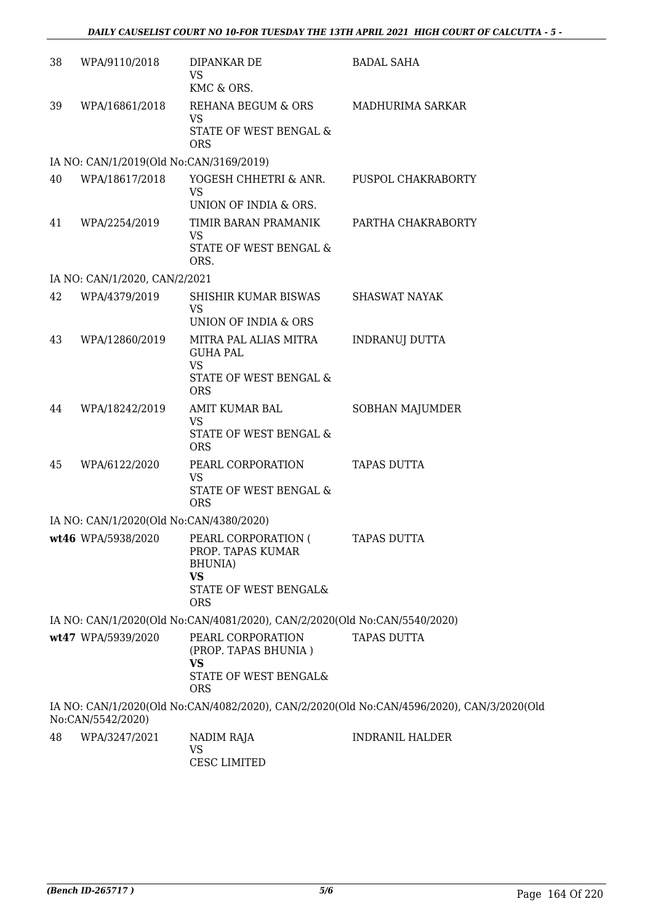| 38 | WPA/9110/2018                           | DIPANKAR DE<br><b>VS</b>                                                                    | <b>BADAL SAHA</b>                                                                         |
|----|-----------------------------------------|---------------------------------------------------------------------------------------------|-------------------------------------------------------------------------------------------|
|    |                                         | KMC & ORS.                                                                                  |                                                                                           |
| 39 | WPA/16861/2018                          | REHANA BEGUM & ORS<br><b>VS</b>                                                             | MADHURIMA SARKAR                                                                          |
|    |                                         | STATE OF WEST BENGAL &<br><b>ORS</b>                                                        |                                                                                           |
|    | IA NO: CAN/1/2019(Old No:CAN/3169/2019) |                                                                                             |                                                                                           |
| 40 | WPA/18617/2018                          | YOGESH CHHETRI & ANR.<br><b>VS</b>                                                          | PUSPOL CHAKRABORTY                                                                        |
|    |                                         | UNION OF INDIA & ORS.                                                                       |                                                                                           |
| 41 | WPA/2254/2019                           | TIMIR BARAN PRAMANIK<br><b>VS</b><br>STATE OF WEST BENGAL &<br>ORS.                         | PARTHA CHAKRABORTY                                                                        |
|    | IA NO: CAN/1/2020, CAN/2/2021           |                                                                                             |                                                                                           |
| 42 | WPA/4379/2019                           | SHISHIR KUMAR BISWAS<br>VS                                                                  | SHASWAT NAYAK                                                                             |
|    |                                         | UNION OF INDIA & ORS                                                                        |                                                                                           |
| 43 | WPA/12860/2019                          | MITRA PAL ALIAS MITRA<br><b>GUHA PAL</b><br><b>VS</b>                                       | <b>INDRANUJ DUTTA</b>                                                                     |
|    |                                         | STATE OF WEST BENGAL &<br><b>ORS</b>                                                        |                                                                                           |
| 44 | WPA/18242/2019                          | AMIT KUMAR BAL<br><b>VS</b>                                                                 | SOBHAN MAJUMDER                                                                           |
|    |                                         | STATE OF WEST BENGAL &<br><b>ORS</b>                                                        |                                                                                           |
| 45 | WPA/6122/2020                           | PEARL CORPORATION<br>VS<br>STATE OF WEST BENGAL &<br><b>ORS</b>                             | <b>TAPAS DUTTA</b>                                                                        |
|    | IA NO: CAN/1/2020(Old No:CAN/4380/2020) |                                                                                             |                                                                                           |
|    |                                         | wt46 WPA/5938/2020 PEARL CORPORATION (<br>PROP. TAPAS KUMAR<br><b>BHUNIA</b> )<br><b>VS</b> | <b>TAPAS DUTTA</b>                                                                        |
|    |                                         | STATE OF WEST BENGAL&<br><b>ORS</b>                                                         |                                                                                           |
|    |                                         | IA NO: CAN/1/2020(Old No:CAN/4081/2020), CAN/2/2020(Old No:CAN/5540/2020)                   |                                                                                           |
|    | wt47 WPA/5939/2020                      | PEARL CORPORATION                                                                           | <b>TAPAS DUTTA</b>                                                                        |
|    |                                         | (PROP. TAPAS BHUNIA)<br><b>VS</b>                                                           |                                                                                           |
|    |                                         | STATE OF WEST BENGAL&<br><b>ORS</b>                                                         |                                                                                           |
|    | No:CAN/5542/2020)                       |                                                                                             | IA NO: CAN/1/2020(Old No:CAN/4082/2020), CAN/2/2020(Old No:CAN/4596/2020), CAN/3/2020(Old |
| 48 | WPA/3247/2021                           | NADIM RAJA<br>VS<br><b>CESC LIMITED</b>                                                     | <b>INDRANIL HALDER</b>                                                                    |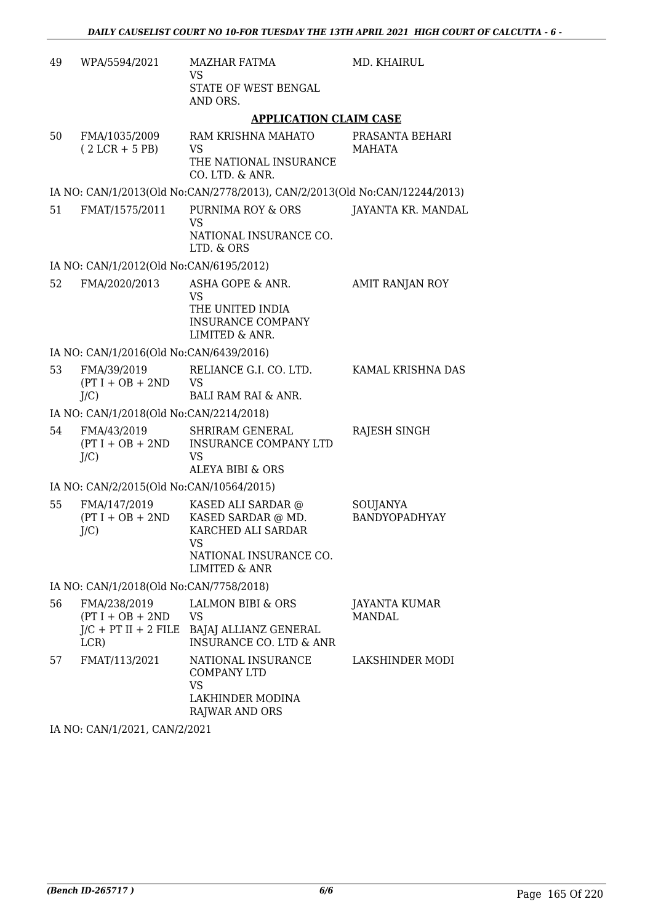| 49 | WPA/5594/2021                                                        | <b>MAZHAR FATMA</b><br>VS                                                                                       | MD. KHAIRUL                    |  |  |
|----|----------------------------------------------------------------------|-----------------------------------------------------------------------------------------------------------------|--------------------------------|--|--|
|    |                                                                      | STATE OF WEST BENGAL<br>AND ORS.                                                                                |                                |  |  |
|    |                                                                      | <b>APPLICATION CLAIM CASE</b>                                                                                   |                                |  |  |
| 50 | FMA/1035/2009<br>$(2 LCR + 5 PB)$                                    | RAM KRISHNA MAHATO<br>VS<br>THE NATIONAL INSURANCE<br>CO. LTD. & ANR.                                           | PRASANTA BEHARI<br>MAHATA      |  |  |
|    |                                                                      | IA NO: CAN/1/2013(Old No:CAN/2778/2013), CAN/2/2013(Old No:CAN/12244/2013)                                      |                                |  |  |
| 51 | FMAT/1575/2011                                                       | PURNIMA ROY & ORS<br>VS                                                                                         | JAYANTA KR. MANDAL             |  |  |
|    |                                                                      | NATIONAL INSURANCE CO.<br>LTD. & ORS                                                                            |                                |  |  |
|    | IA NO: CAN/1/2012(Old No:CAN/6195/2012)                              |                                                                                                                 |                                |  |  |
| 52 | FMA/2020/2013                                                        | ASHA GOPE & ANR.<br><b>VS</b>                                                                                   | <b>AMIT RANJAN ROY</b>         |  |  |
|    |                                                                      | THE UNITED INDIA<br><b>INSURANCE COMPANY</b><br>LIMITED & ANR.                                                  |                                |  |  |
|    | IA NO: CAN/1/2016(Old No:CAN/6439/2016)                              |                                                                                                                 |                                |  |  |
| 53 | FMA/39/2019<br>$(PT I + OB + 2ND$<br>$J/C$ )                         | RELIANCE G.I. CO. LTD.<br><b>VS</b><br>BALI RAM RAI & ANR.                                                      | KAMAL KRISHNA DAS              |  |  |
|    | IA NO: CAN/1/2018(Old No:CAN/2214/2018)                              |                                                                                                                 |                                |  |  |
| 54 | FMA/43/2019<br>$(PT I + OB + 2ND$<br>$J/C$ )                         | SHRIRAM GENERAL<br><b>INSURANCE COMPANY LTD</b><br>VS<br>ALEYA BIBI & ORS                                       | RAJESH SINGH                   |  |  |
|    | IA NO: CAN/2/2015(Old No:CAN/10564/2015)                             |                                                                                                                 |                                |  |  |
| 55 | FMA/147/2019<br>$(PT I + OB + 2ND$<br>$J/C$ )                        | KASED ALI SARDAR @<br>KASED SARDAR @ MD.<br>KARCHED ALI SARDAR<br>VS<br>NATIONAL INSURANCE CO.<br>LIMITED & ANR | SOUJANYA<br>BANDYOPADHYAY      |  |  |
|    | IA NO: CAN/1/2018(Old No:CAN/7758/2018)                              |                                                                                                                 |                                |  |  |
| 56 | FMA/238/2019<br>$(PT I + OB + 2ND$<br>$J/C$ + PT II + 2 FILE<br>LCR) | LALMON BIBI & ORS<br>VS<br>BAJAJ ALLIANZ GENERAL<br>INSURANCE CO. LTD & ANR                                     | JAYANTA KUMAR<br><b>MANDAL</b> |  |  |
| 57 | FMAT/113/2021                                                        | NATIONAL INSURANCE<br>COMPANY LTD<br>VS.<br>LAKHINDER MODINA<br>RAJWAR AND ORS                                  | LAKSHINDER MODI                |  |  |

IA NO: CAN/1/2021, CAN/2/2021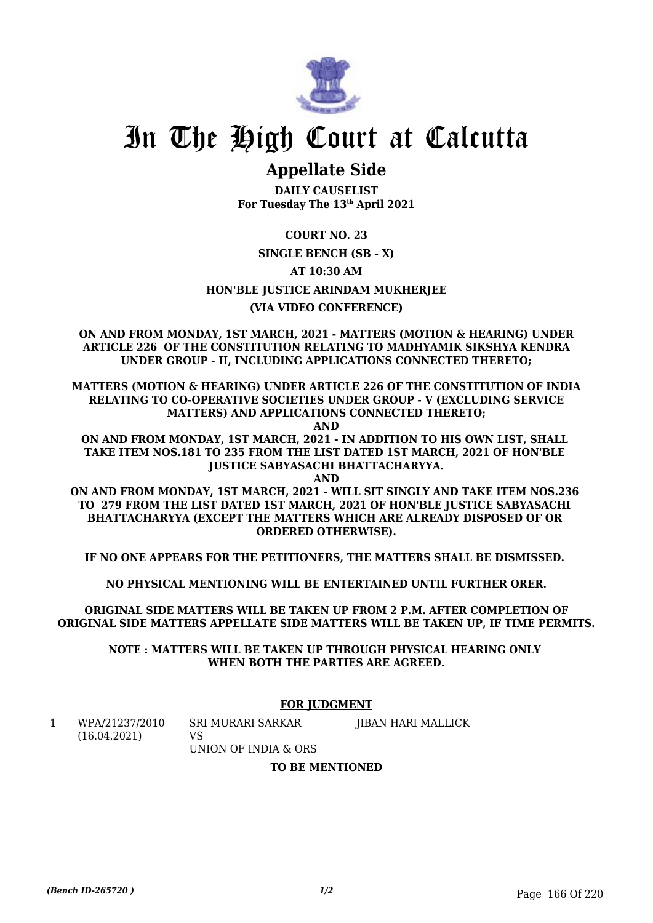

## **Appellate Side**

**DAILY CAUSELIST For Tuesday The 13th April 2021**

**COURT NO. 23**

## **SINGLE BENCH (SB - X)**

**AT 10:30 AM**

**HON'BLE JUSTICE ARINDAM MUKHERJEE**

## **(VIA VIDEO CONFERENCE)**

**ON AND FROM MONDAY, 1ST MARCH, 2021 - MATTERS (MOTION & HEARING) UNDER ARTICLE 226 OF THE CONSTITUTION RELATING TO MADHYAMIK SIKSHYA KENDRA UNDER GROUP - II, INCLUDING APPLICATIONS CONNECTED THERETO;**

**MATTERS (MOTION & HEARING) UNDER ARTICLE 226 OF THE CONSTITUTION OF INDIA RELATING TO CO-OPERATIVE SOCIETIES UNDER GROUP - V (EXCLUDING SERVICE MATTERS) AND APPLICATIONS CONNECTED THERETO;**

**AND**

**ON AND FROM MONDAY, 1ST MARCH, 2021 - IN ADDITION TO HIS OWN LIST, SHALL TAKE ITEM NOS.181 TO 235 FROM THE LIST DATED 1ST MARCH, 2021 OF HON'BLE JUSTICE SABYASACHI BHATTACHARYYA.**

**AND**

**ON AND FROM MONDAY, 1ST MARCH, 2021 - WILL SIT SINGLY AND TAKE ITEM NOS.236 TO 279 FROM THE LIST DATED 1ST MARCH, 2021 OF HON'BLE JUSTICE SABYASACHI BHATTACHARYYA (EXCEPT THE MATTERS WHICH ARE ALREADY DISPOSED OF OR ORDERED OTHERWISE).**

**IF NO ONE APPEARS FOR THE PETITIONERS, THE MATTERS SHALL BE DISMISSED.** 

**NO PHYSICAL MENTIONING WILL BE ENTERTAINED UNTIL FURTHER ORER.**

**ORIGINAL SIDE MATTERS WILL BE TAKEN UP FROM 2 P.M. AFTER COMPLETION OF ORIGINAL SIDE MATTERS APPELLATE SIDE MATTERS WILL BE TAKEN UP, IF TIME PERMITS.**

**NOTE : MATTERS WILL BE TAKEN UP THROUGH PHYSICAL HEARING ONLY WHEN BOTH THE PARTIES ARE AGREED.**

## **FOR JUDGMENT**

1 WPA/21237/2010 (16.04.2021) SRI MURARI SARKAR  $V<sup>Q</sup>$ JIBAN HARI MALLICK

UNION OF INDIA & ORS

**TO BE MENTIONED**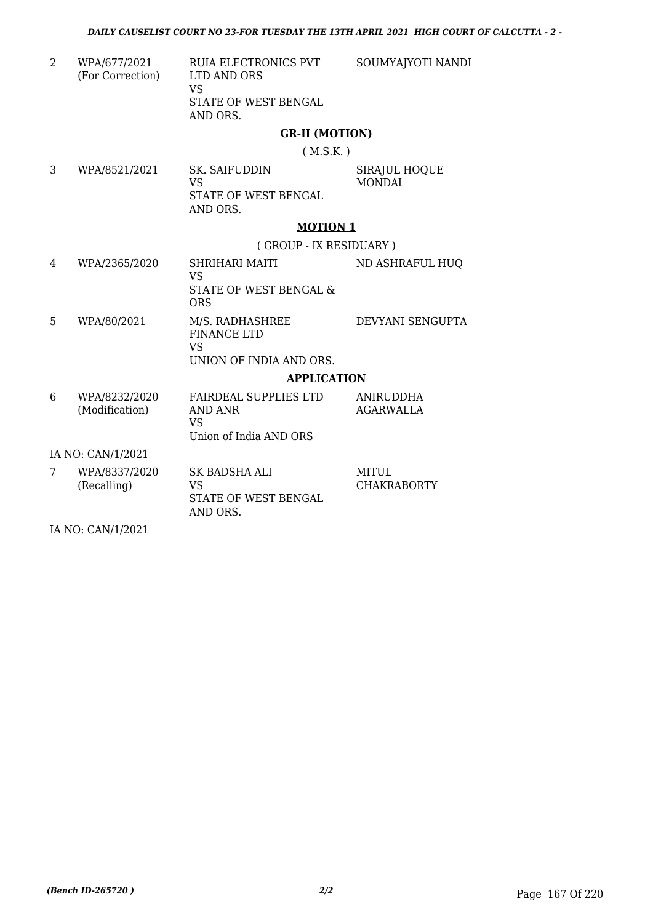SOUMYAJYOTI NANDI

2 WPA/677/2021 (For Correction) RUIA ELECTRONICS PVT LTD AND ORS VS STATE OF WEST BENGAL AND ORS.

## **GR-II (MOTION)**

( M.S.K. )

3 WPA/8521/2021 SK. SAIFUDDIN VS STATE OF WEST BENGAL AND ORS. SIRAJUL HOQUE MONDAL

## **MOTION 1**

( GROUP - IX RESIDUARY )

- 4 WPA/2365/2020 SHRIHARI MAITI VS STATE OF WEST BENGAL & ORS ND ASHRAFUL HUQ 5 WPA/80/2021 M/S. RADHASHREE FINANCE LTD VS UNION OF INDIA AND ORS. DEVYANI SENGUPTA **APPLICATION**
- 6 WPA/8232/2020 (Modification) FAIRDEAL SUPPLIES LTD AND ANR VS Union of India AND ORS ANIRUDDHA AGARWALLA

IA NO: CAN/1/2021

7 WPA/8337/2020 (Recalling) SK BADSHA ALI VS STATE OF WEST BENGAL AND ORS. MITUL. CHAKRABORTY

IA NO: CAN/1/2021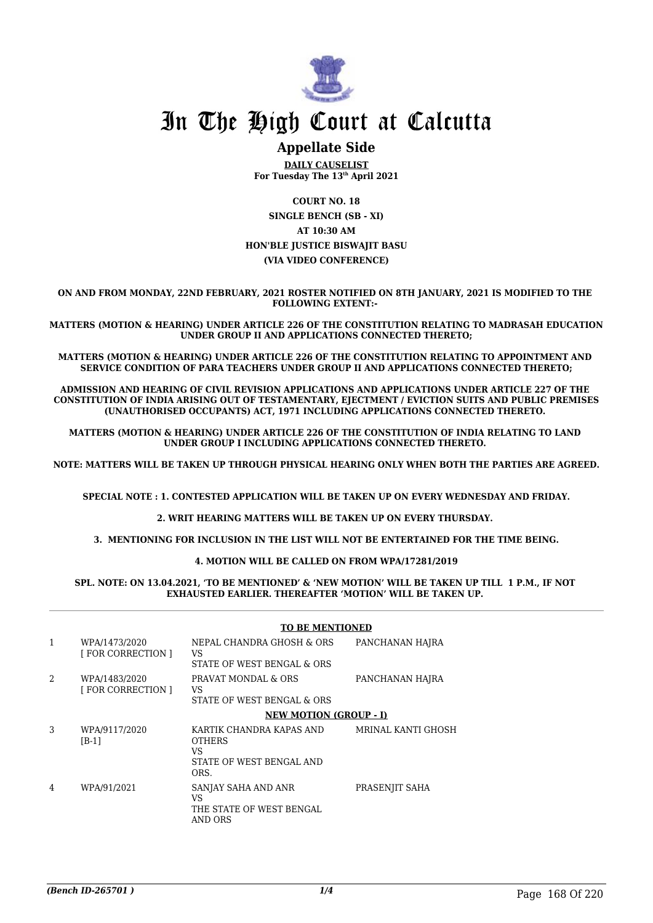

## **Appellate Side**

**DAILY CAUSELIST For Tuesday The 13th April 2021**

**COURT NO. 18 SINGLE BENCH (SB - XI) AT 10:30 AM HON'BLE JUSTICE BISWAJIT BASU (VIA VIDEO CONFERENCE)**

**ON AND FROM MONDAY, 22ND FEBRUARY, 2021 ROSTER NOTIFIED ON 8TH JANUARY, 2021 IS MODIFIED TO THE FOLLOWING EXTENT:-** 

**MATTERS (MOTION & HEARING) UNDER ARTICLE 226 OF THE CONSTITUTION RELATING TO MADRASAH EDUCATION UNDER GROUP II AND APPLICATIONS CONNECTED THERETO;**

**MATTERS (MOTION & HEARING) UNDER ARTICLE 226 OF THE CONSTITUTION RELATING TO APPOINTMENT AND SERVICE CONDITION OF PARA TEACHERS UNDER GROUP II AND APPLICATIONS CONNECTED THERETO;**

**ADMISSION AND HEARING OF CIVIL REVISION APPLICATIONS AND APPLICATIONS UNDER ARTICLE 227 OF THE CONSTITUTION OF INDIA ARISING OUT OF TESTAMENTARY, EJECTMENT / EVICTION SUITS AND PUBLIC PREMISES (UNAUTHORISED OCCUPANTS) ACT, 1971 INCLUDING APPLICATIONS CONNECTED THERETO.** 

**MATTERS (MOTION & HEARING) UNDER ARTICLE 226 OF THE CONSTITUTION OF INDIA RELATING TO LAND UNDER GROUP I INCLUDING APPLICATIONS CONNECTED THERETO.** 

**NOTE: MATTERS WILL BE TAKEN UP THROUGH PHYSICAL HEARING ONLY WHEN BOTH THE PARTIES ARE AGREED.**

**SPECIAL NOTE : 1. CONTESTED APPLICATION WILL BE TAKEN UP ON EVERY WEDNESDAY AND FRIDAY.**

**2. WRIT HEARING MATTERS WILL BE TAKEN UP ON EVERY THURSDAY.** 

**3. MENTIONING FOR INCLUSION IN THE LIST WILL NOT BE ENTERTAINED FOR THE TIME BEING.**

**4. MOTION WILL BE CALLED ON FROM WPA/17281/2019**

#### **SPL. NOTE: ON 13.04.2021, 'TO BE MENTIONED' & 'NEW MOTION' WILL BE TAKEN UP TILL 1 P.M., IF NOT EXHAUSTED EARLIER. THEREAFTER 'MOTION' WILL BE TAKEN UP.**

#### **TO BE MENTIONED**

|                | WPA/1473/2020<br><b>FOR CORRECTION 1</b> | NEPAL CHANDRA GHOSH & ORS<br>VS<br>STATE OF WEST BENGAL & ORS                       | PANCHANAN HAJRA    |
|----------------|------------------------------------------|-------------------------------------------------------------------------------------|--------------------|
| $\mathfrak{D}$ | WPA/1483/2020<br><b>FOR CORRECTION 1</b> | PRAVAT MONDAL & ORS<br>VS<br>STATE OF WEST BENGAL & ORS                             | PANCHANAN HAJRA    |
|                |                                          | <b>NEW MOTION (GROUP - I)</b>                                                       |                    |
| 3              | WPA/9117/2020<br>$[B-1]$                 | KARTIK CHANDRA KAPAS AND<br><b>OTHERS</b><br>VS<br>STATE OF WEST BENGAL AND<br>ORS. | MRINAL KANTI GHOSH |
| 4              | WPA/91/2021                              | SANJAY SAHA AND ANR<br>VS<br>THE STATE OF WEST BENGAL<br>AND ORS                    | PRASENJIT SAHA     |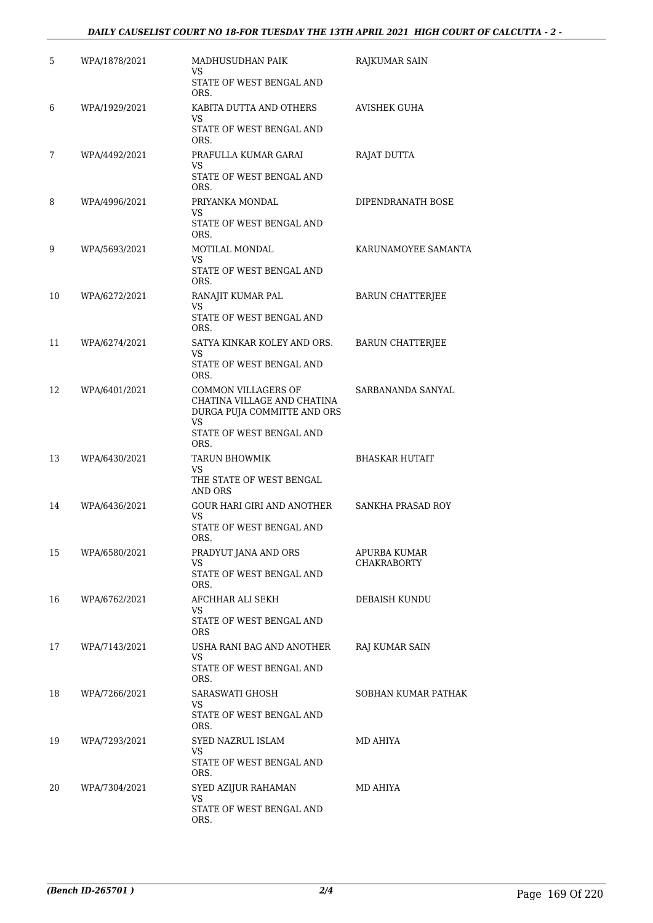## *DAILY CAUSELIST COURT NO 18-FOR TUESDAY THE 13TH APRIL 2021 HIGH COURT OF CALCUTTA - 2 -*

| 5  | WPA/1878/2021 | MADHUSUDHAN PAIK<br>VS                             | RAJKUMAR SAIN                             |
|----|---------------|----------------------------------------------------|-------------------------------------------|
|    |               | STATE OF WEST BENGAL AND<br>ORS.                   |                                           |
| 6  | WPA/1929/2021 | KABITA DUTTA AND OTHERS<br>VS                      | AVISHEK GUHA                              |
|    |               | STATE OF WEST BENGAL AND<br>ORS.                   |                                           |
| 7  | WPA/4492/2021 | PRAFULLA KUMAR GARAI<br>VS                         | RAJAT DUTTA                               |
|    |               | STATE OF WEST BENGAL AND<br>ORS.                   |                                           |
| 8  | WPA/4996/2021 | PRIYANKA MONDAL<br>VS                              | DIPENDRANATH BOSE                         |
|    |               | STATE OF WEST BENGAL AND<br>ORS.                   |                                           |
| 9  | WPA/5693/2021 | MOTILAL MONDAL<br>VS                               | KARUNAMOYEE SAMANTA                       |
|    |               | STATE OF WEST BENGAL AND<br>ORS.                   |                                           |
| 10 | WPA/6272/2021 | RANAJIT KUMAR PAL<br>VS                            | <b>BARUN CHATTERJEE</b>                   |
|    |               | STATE OF WEST BENGAL AND<br>ORS.                   |                                           |
| 11 | WPA/6274/2021 | SATYA KINKAR KOLEY AND ORS.<br>VS                  | <b>BARUN CHATTERJEE</b>                   |
|    |               | STATE OF WEST BENGAL AND<br>ORS.                   |                                           |
| 12 | WPA/6401/2021 | COMMON VILLAGERS OF<br>CHATINA VILLAGE AND CHATINA | SARBANANDA SANYAL                         |
|    |               | DURGA PUJA COMMITTE AND ORS<br><b>VS</b>           |                                           |
|    |               | STATE OF WEST BENGAL AND<br>ORS.                   |                                           |
| 13 | WPA/6430/2021 | <b>TARUN BHOWMIK</b><br>VS                         | <b>BHASKAR HUTAIT</b>                     |
|    |               | THE STATE OF WEST BENGAL<br>AND ORS                |                                           |
| 14 | WPA/6436/2021 | GOUR HARI GIRI AND ANOTHER<br>VS                   | <b>SANKHA PRASAD ROY</b>                  |
|    |               | STATE OF WEST BENGAL AND<br>ORS.                   |                                           |
| 15 | WPA/6580/2021 | PRADYUT JANA AND ORS<br>VS                         | <b>APURBA KUMAR</b><br><b>CHAKRABORTY</b> |
|    |               | STATE OF WEST BENGAL AND<br>ORS.                   |                                           |
| 16 | WPA/6762/2021 | AFCHHAR ALI SEKH<br>VS                             | DEBAISH KUNDU                             |
|    |               | STATE OF WEST BENGAL AND<br><b>ORS</b>             |                                           |
| 17 | WPA/7143/2021 | USHA RANI BAG AND ANOTHER<br>VS.                   | RAJ KUMAR SAIN                            |
|    |               | STATE OF WEST BENGAL AND<br>ORS.                   |                                           |
| 18 | WPA/7266/2021 | SARASWATI GHOSH<br>VS                              | SOBHAN KUMAR PATHAK                       |
|    |               | STATE OF WEST BENGAL AND<br>ORS.                   |                                           |
| 19 | WPA/7293/2021 | SYED NAZRUL ISLAM<br>VS                            | MD AHIYA                                  |
|    |               | STATE OF WEST BENGAL AND<br>ORS.                   |                                           |
| 20 | WPA/7304/2021 | SYED AZIJUR RAHAMAN<br>VS                          | MD AHIYA                                  |
|    |               | STATE OF WEST BENGAL AND<br>ORS.                   |                                           |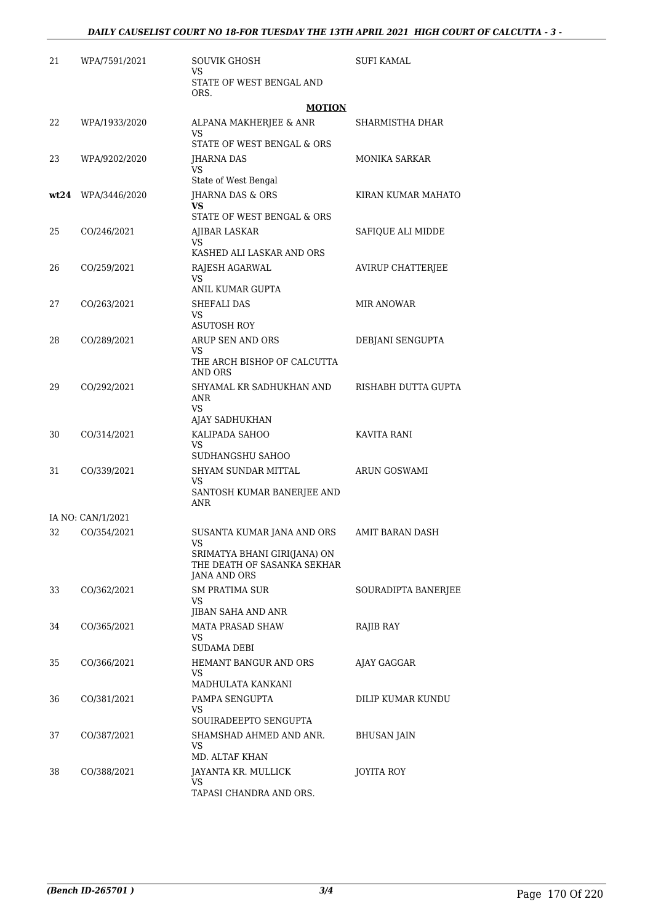| 21 | WPA/7591/2021      | SOUVIK GHOSH<br>VS                                                                       | SUFI KAMAL           |
|----|--------------------|------------------------------------------------------------------------------------------|----------------------|
|    |                    | STATE OF WEST BENGAL AND<br>ORS.                                                         |                      |
|    |                    | <b>MOTION</b>                                                                            |                      |
| 22 | WPA/1933/2020      | ALPANA MAKHERJEE & ANR<br>VS                                                             | SHARMISTHA DHAR      |
|    |                    | STATE OF WEST BENGAL & ORS                                                               |                      |
| 23 | WPA/9202/2020      | JHARNA DAS<br>VS                                                                         | <b>MONIKA SARKAR</b> |
|    |                    | State of West Bengal                                                                     |                      |
|    | wt24 WPA/3446/2020 | JHARNA DAS & ORS<br>VS                                                                   | KIRAN KUMAR MAHATO   |
|    |                    | STATE OF WEST BENGAL & ORS                                                               |                      |
| 25 | CO/246/2021        | AJIBAR LASKAR<br>VS<br>KASHED ALI LASKAR AND ORS                                         | SAFIQUE ALI MIDDE    |
| 26 | CO/259/2021        | RAJESH AGARWAL                                                                           | AVIRUP CHATTERJEE    |
|    |                    | VS<br>ANIL KUMAR GUPTA                                                                   |                      |
| 27 | CO/263/2021        | SHEFALI DAS                                                                              | <b>MIR ANOWAR</b>    |
|    |                    | VS                                                                                       |                      |
|    |                    | <b>ASUTOSH ROY</b>                                                                       |                      |
| 28 | CO/289/2021        | ARUP SEN AND ORS<br>VS                                                                   | DEBJANI SENGUPTA     |
|    |                    | THE ARCH BISHOP OF CALCUTTA<br>AND ORS                                                   |                      |
| 29 | CO/292/2021        | SHYAMAL KR SADHUKHAN AND                                                                 | RISHABH DUTTA GUPTA  |
|    |                    | ANR<br>VS                                                                                |                      |
|    |                    | AJAY SADHUKHAN                                                                           |                      |
| 30 | CO/314/2021        | KALIPADA SAHOO                                                                           | KAVITA RANI          |
|    |                    | VS<br>SUDHANGSHU SAHOO                                                                   |                      |
| 31 | CO/339/2021        | SHYAM SUNDAR MITTAL                                                                      | <b>ARUN GOSWAMI</b>  |
|    |                    | VS<br>SANTOSH KUMAR BANERJEE AND<br>ANR                                                  |                      |
|    | IA NO: CAN/1/2021  |                                                                                          |                      |
| 32 | CO/354/2021        | SUSANTA KUMAR JANA AND ORS                                                               | AMIT BARAN DASH      |
|    |                    | VS<br>SRIMATYA BHANI GIRI(JANA) ON<br>THE DEATH OF SASANKA SEKHAR<br><b>JANA AND ORS</b> |                      |
| 33 | CO/362/2021        | SM PRATIMA SUR                                                                           | SOURADIPTA BANERJEE  |
|    |                    | VS.<br>JIBAN SAHA AND ANR                                                                |                      |
| 34 | CO/365/2021        | <b>MATA PRASAD SHAW</b>                                                                  | RAJIB RAY            |
|    |                    | VS<br>SUDAMA DEBI                                                                        |                      |
| 35 | CO/366/2021        | HEMANT BANGUR AND ORS                                                                    | AJAY GAGGAR          |
|    |                    | VS<br>MADHULATA KANKANI                                                                  |                      |
| 36 | CO/381/2021        | PAMPA SENGUPTA                                                                           | DILIP KUMAR KUNDU    |
|    |                    | VS                                                                                       |                      |
|    |                    | SOUIRADEEPTO SENGUPTA                                                                    |                      |
| 37 | CO/387/2021        | SHAMSHAD AHMED AND ANR.<br>VS<br>MD. ALTAF KHAN                                          | <b>BHUSAN JAIN</b>   |
| 38 | CO/388/2021        | JAYANTA KR. MULLICK                                                                      | JOYITA ROY           |
|    |                    | VS                                                                                       |                      |
|    |                    | TAPASI CHANDRA AND ORS.                                                                  |                      |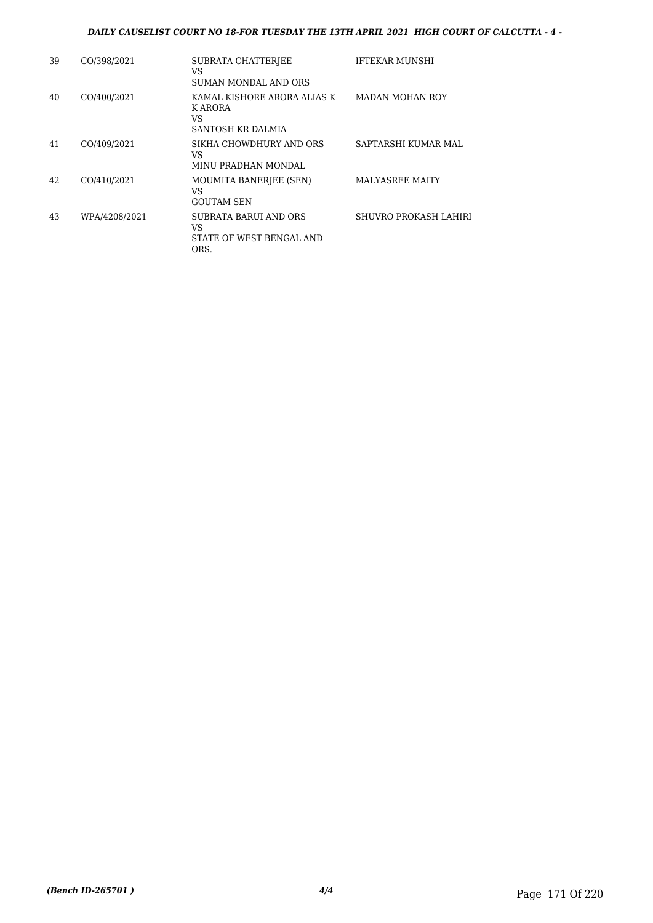## *DAILY CAUSELIST COURT NO 18-FOR TUESDAY THE 13TH APRIL 2021 HIGH COURT OF CALCUTTA - 4 -*

| 39 | CO/398/2021   | <b>SUBRATA CHATTERJEE</b><br>VS<br>SUMAN MONDAL AND ORS           | <b>IFTEKAR MUNSHI</b>  |
|----|---------------|-------------------------------------------------------------------|------------------------|
| 40 | CO/400/2021   | KAMAL KISHORE ARORA ALIAS K<br>K ARORA<br>VS<br>SANTOSH KR DALMIA | <b>MADAN MOHAN ROY</b> |
| 41 | CO/409/2021   | SIKHA CHOWDHURY AND ORS<br>VS<br>MINU PRADHAN MONDAL              | SAPTARSHI KUMAR MAL    |
| 42 | CO/410/2021   | MOUMITA BANERIEE (SEN)<br>VS<br><b>GOUTAM SEN</b>                 | <b>MALYASREE MAITY</b> |
| 43 | WPA/4208/2021 | SUBRATA BARUI AND ORS<br>VS<br>STATE OF WEST BENGAL AND<br>ORS.   | SHUVRO PROKASH LAHIRI  |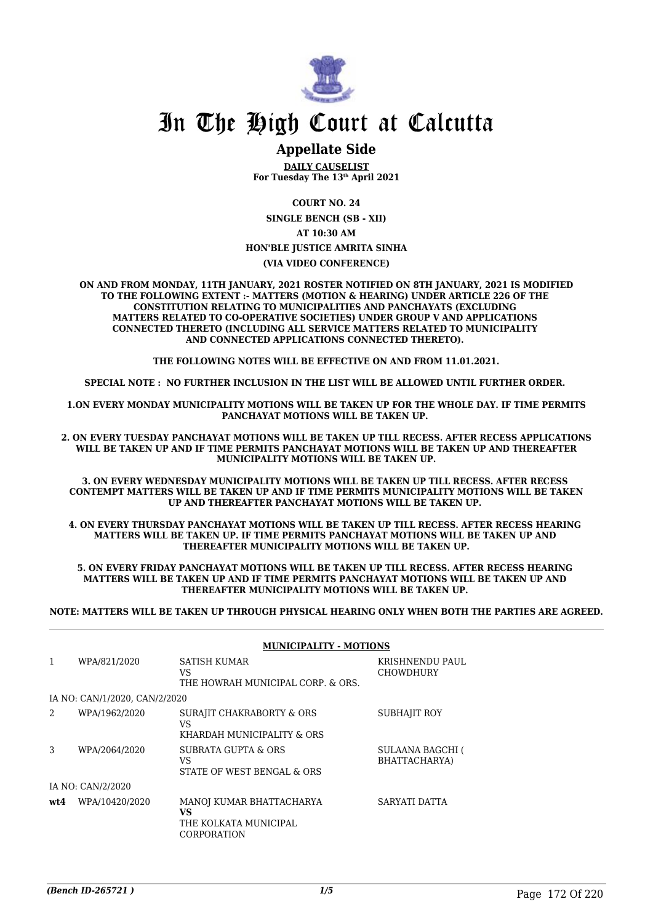

## **Appellate Side**

**DAILY CAUSELIST For Tuesday The 13th April 2021**

**COURT NO. 24**

**SINGLE BENCH (SB - XII) AT 10:30 AM HON'BLE JUSTICE AMRITA SINHA**

**(VIA VIDEO CONFERENCE)**

**ON AND FROM MONDAY, 11TH JANUARY, 2021 ROSTER NOTIFIED ON 8TH JANUARY, 2021 IS MODIFIED TO THE FOLLOWING EXTENT :- MATTERS (MOTION & HEARING) UNDER ARTICLE 226 OF THE CONSTITUTION RELATING TO MUNICIPALITIES AND PANCHAYATS (EXCLUDING MATTERS RELATED TO CO-OPERATIVE SOCIETIES) UNDER GROUP V AND APPLICATIONS CONNECTED THERETO (INCLUDING ALL SERVICE MATTERS RELATED TO MUNICIPALITY AND CONNECTED APPLICATIONS CONNECTED THERETO).** 

**THE FOLLOWING NOTES WILL BE EFFECTIVE ON AND FROM 11.01.2021.**

**SPECIAL NOTE : NO FURTHER INCLUSION IN THE LIST WILL BE ALLOWED UNTIL FURTHER ORDER.** 

**1.ON EVERY MONDAY MUNICIPALITY MOTIONS WILL BE TAKEN UP FOR THE WHOLE DAY. IF TIME PERMITS PANCHAYAT MOTIONS WILL BE TAKEN UP.** 

**2. ON EVERY TUESDAY PANCHAYAT MOTIONS WILL BE TAKEN UP TILL RECESS. AFTER RECESS APPLICATIONS WILL BE TAKEN UP AND IF TIME PERMITS PANCHAYAT MOTIONS WILL BE TAKEN UP AND THEREAFTER MUNICIPALITY MOTIONS WILL BE TAKEN UP.**

**3. ON EVERY WEDNESDAY MUNICIPALITY MOTIONS WILL BE TAKEN UP TILL RECESS. AFTER RECESS CONTEMPT MATTERS WILL BE TAKEN UP AND IF TIME PERMITS MUNICIPALITY MOTIONS WILL BE TAKEN UP AND THEREAFTER PANCHAYAT MOTIONS WILL BE TAKEN UP.** 

**4. ON EVERY THURSDAY PANCHAYAT MOTIONS WILL BE TAKEN UP TILL RECESS. AFTER RECESS HEARING MATTERS WILL BE TAKEN UP. IF TIME PERMITS PANCHAYAT MOTIONS WILL BE TAKEN UP AND THEREAFTER MUNICIPALITY MOTIONS WILL BE TAKEN UP.**

**5. ON EVERY FRIDAY PANCHAYAT MOTIONS WILL BE TAKEN UP TILL RECESS. AFTER RECESS HEARING MATTERS WILL BE TAKEN UP AND IF TIME PERMITS PANCHAYAT MOTIONS WILL BE TAKEN UP AND THEREAFTER MUNICIPALITY MOTIONS WILL BE TAKEN UP.** 

**NOTE: MATTERS WILL BE TAKEN UP THROUGH PHYSICAL HEARING ONLY WHEN BOTH THE PARTIES ARE AGREED.**

|                |                               | <b>MUNICIPALITY - MOTIONS</b>                                                 |                                     |
|----------------|-------------------------------|-------------------------------------------------------------------------------|-------------------------------------|
| 1              | WPA/821/2020                  | SATISH KUMAR<br>VS<br>THE HOWRAH MUNICIPAL CORP. & ORS.                       | KRISHNENDU PAUL<br><b>CHOWDHURY</b> |
|                | IA NO: CAN/1/2020, CAN/2/2020 |                                                                               |                                     |
| $\mathfrak{D}$ | WPA/1962/2020                 | SURAJIT CHAKRABORTY & ORS<br>VS<br>KHARDAH MUNICIPALITY & ORS                 | <b>SUBHAJIT ROY</b>                 |
| 3              | WPA/2064/2020                 | SUBRATA GUPTA & ORS<br>VS<br>STATE OF WEST BENGAL & ORS                       | SULAANA BAGCHI (<br>BHATTACHARYA)   |
|                | IA NO: CAN/2/2020             |                                                                               |                                     |
| wt4            | WPA/10420/2020                | MANOJ KUMAR BHATTACHARYA<br>VS<br>THE KOLKATA MUNICIPAL<br><b>CORPORATION</b> | SARYATI DATTA                       |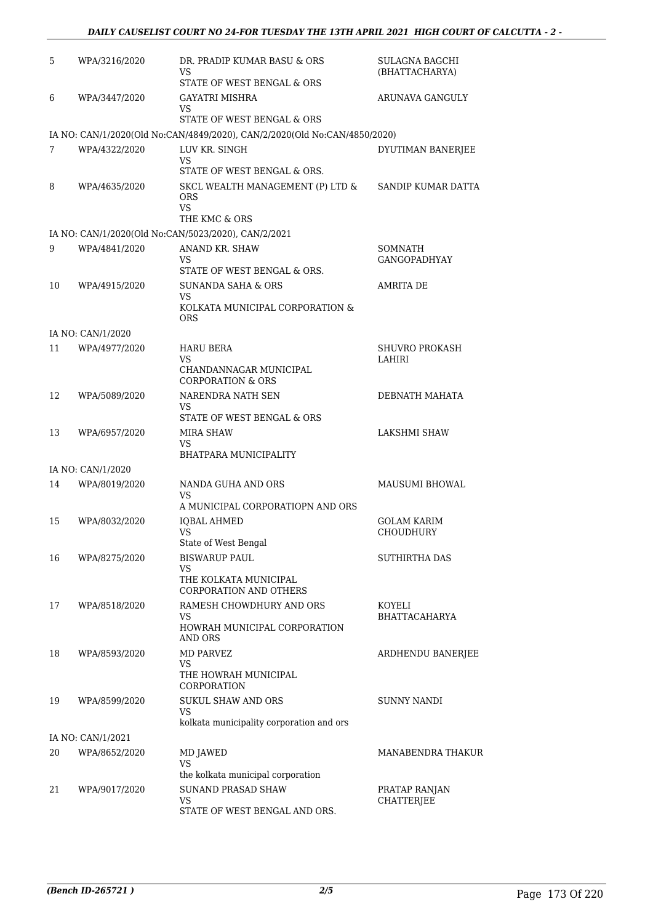## *DAILY CAUSELIST COURT NO 24-FOR TUESDAY THE 13TH APRIL 2021 HIGH COURT OF CALCUTTA - 2 -*

| 5  | WPA/3216/2020     | DR. PRADIP KUMAR BASU & ORS<br>VS<br>STATE OF WEST BENGAL & ORS                                         | <b>SULAGNA BAGCHI</b><br>(BHATTACHARYA) |
|----|-------------------|---------------------------------------------------------------------------------------------------------|-----------------------------------------|
| 6  | WPA/3447/2020     | GAYATRI MISHRA<br>VS                                                                                    | ARUNAVA GANGULY                         |
|    |                   | STATE OF WEST BENGAL & ORS<br>IA NO: CAN/1/2020(Old No:CAN/4849/2020), CAN/2/2020(Old No:CAN/4850/2020) |                                         |
| 7  | WPA/4322/2020     | LUV KR. SINGH                                                                                           | DYUTIMAN BANERJEE                       |
|    |                   | <b>VS</b><br>STATE OF WEST BENGAL & ORS.                                                                |                                         |
| 8  | WPA/4635/2020     | SKCL WEALTH MANAGEMENT (P) LTD &<br><b>ORS</b><br><b>VS</b>                                             | SANDIP KUMAR DATTA                      |
|    |                   | THE KMC & ORS                                                                                           |                                         |
|    |                   | IA NO: CAN/1/2020(Old No:CAN/5023/2020), CAN/2/2021                                                     |                                         |
| 9  | WPA/4841/2020     | ANAND KR. SHAW<br>VS                                                                                    | SOMNATH<br><b>GANGOPADHYAY</b>          |
|    |                   | STATE OF WEST BENGAL & ORS.<br><b>SUNANDA SAHA &amp; ORS</b>                                            |                                         |
| 10 | WPA/4915/2020     | VS.<br>KOLKATA MUNICIPAL CORPORATION &<br><b>ORS</b>                                                    | AMRITA DE                               |
|    | IA NO: CAN/1/2020 |                                                                                                         |                                         |
| 11 | WPA/4977/2020     | <b>HARU BERA</b><br>VS.                                                                                 | <b>SHUVRO PROKASH</b><br>LAHIRI         |
|    |                   | CHANDANNAGAR MUNICIPAL<br><b>CORPORATION &amp; ORS</b>                                                  |                                         |
| 12 | WPA/5089/2020     | NARENDRA NATH SEN<br>VS                                                                                 | DEBNATH MAHATA                          |
|    |                   | STATE OF WEST BENGAL & ORS                                                                              |                                         |
| 13 | WPA/6957/2020     | MIRA SHAW<br>VS<br>BHATPARA MUNICIPALITY                                                                | LAKSHMI SHAW                            |
|    | IA NO: CAN/1/2020 |                                                                                                         |                                         |
| 14 | WPA/8019/2020     | NANDA GUHA AND ORS                                                                                      | <b>MAUSUMI BHOWAL</b>                   |
|    |                   | VS<br>A MUNICIPAL CORPORATIOPN AND ORS                                                                  |                                         |
| 15 | WPA/8032/2020     | <b>IOBAL AHMED</b>                                                                                      | GOLAM KARIM                             |
|    |                   | VS<br>State of West Bengal                                                                              | <b>CHOUDHURY</b>                        |
| 16 | WPA/8275/2020     | <b>BISWARUP PAUL</b>                                                                                    | <b>SUTHIRTHA DAS</b>                    |
|    |                   | VS<br>THE KOLKATA MUNICIPAL<br>CORPORATION AND OTHERS                                                   |                                         |
| 17 | WPA/8518/2020     | RAMESH CHOWDHURY AND ORS                                                                                | KOYELI                                  |
|    |                   | VS<br>HOWRAH MUNICIPAL CORPORATION<br><b>AND ORS</b>                                                    | <b>BHATTACAHARYA</b>                    |
| 18 | WPA/8593/2020     | <b>MD PARVEZ</b><br>VS                                                                                  | ARDHENDU BANERJEE                       |
|    |                   | THE HOWRAH MUNICIPAL<br>CORPORATION                                                                     |                                         |
| 19 | WPA/8599/2020     | <b>SUKUL SHAW AND ORS</b><br>VS.                                                                        | SUNNY NANDI                             |
|    | IA NO: CAN/1/2021 | kolkata municipality corporation and ors                                                                |                                         |
| 20 | WPA/8652/2020     | MD JAWED                                                                                                | MANABENDRA THAKUR                       |
|    |                   | VS<br>the kolkata municipal corporation                                                                 |                                         |
| 21 | WPA/9017/2020     | SUNAND PRASAD SHAW                                                                                      | PRATAP RANJAN                           |
|    |                   | VS<br>STATE OF WEST BENGAL AND ORS.                                                                     | <b>CHATTERJEE</b>                       |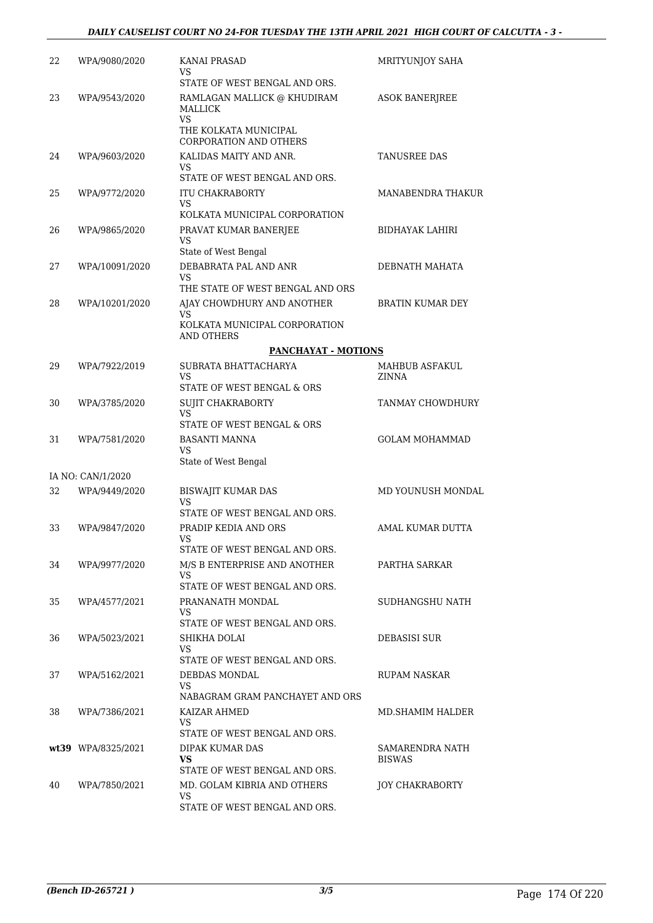| 22 | WPA/9080/2020      | KANAI PRASAD<br>VS                                                                  | MRITYUNJOY SAHA                  |
|----|--------------------|-------------------------------------------------------------------------------------|----------------------------------|
|    |                    | STATE OF WEST BENGAL AND ORS.                                                       |                                  |
| 23 | WPA/9543/2020      | RAMLAGAN MALLICK @ KHUDIRAM<br><b>MALLICK</b><br><b>VS</b><br>THE KOLKATA MUNICIPAL | <b>ASOK BANERJREE</b>            |
|    |                    | <b>CORPORATION AND OTHERS</b>                                                       |                                  |
| 24 | WPA/9603/2020      | KALIDAS MAITY AND ANR.<br>VS.<br>STATE OF WEST BENGAL AND ORS.                      | <b>TANUSREE DAS</b>              |
| 25 | WPA/9772/2020      | <b>ITU CHAKRABORTY</b>                                                              | MANABENDRA THAKUR                |
|    |                    | VS                                                                                  |                                  |
|    |                    | KOLKATA MUNICIPAL CORPORATION                                                       |                                  |
| 26 | WPA/9865/2020      | PRAVAT KUMAR BANERJEE<br>VS<br>State of West Bengal                                 | BIDHAYAK LAHIRI                  |
| 27 | WPA/10091/2020     | DEBABRATA PAL AND ANR                                                               | DEBNATH MAHATA                   |
|    |                    | <b>VS</b><br>THE STATE OF WEST BENGAL AND ORS                                       |                                  |
| 28 | WPA/10201/2020     | AJAY CHOWDHURY AND ANOTHER                                                          | <b>BRATIN KUMAR DEY</b>          |
|    |                    | <b>VS</b><br>KOLKATA MUNICIPAL CORPORATION                                          |                                  |
|    |                    | AND OTHERS                                                                          |                                  |
|    |                    | <b>PANCHAYAT - MOTIONS</b>                                                          |                                  |
| 29 | WPA/7922/2019      | SUBRATA BHATTACHARYA<br><b>VS</b>                                                   | MAHBUB ASFAKUL<br>ZINNA          |
|    |                    | STATE OF WEST BENGAL & ORS                                                          |                                  |
| 30 | WPA/3785/2020      | SUJIT CHAKRABORTY<br>VS                                                             | TANMAY CHOWDHURY                 |
|    |                    | STATE OF WEST BENGAL & ORS                                                          |                                  |
| 31 | WPA/7581/2020      | BASANTI MANNA<br>VS.                                                                | <b>GOLAM MOHAMMAD</b>            |
|    |                    | State of West Bengal                                                                |                                  |
|    | IA NO: CAN/1/2020  |                                                                                     |                                  |
| 32 | WPA/9449/2020      | <b>BISWAJIT KUMAR DAS</b><br>VS<br>STATE OF WEST BENGAL AND ORS.                    | MD YOUNUSH MONDAL                |
| 33 | WPA/9847/2020      | PRADIP KEDIA AND ORS                                                                | AMAL KUMAR DUTTA                 |
|    |                    | VS                                                                                  |                                  |
|    |                    | STATE OF WEST BENGAL AND ORS.                                                       |                                  |
| 34 | WPA/9977/2020      | M/S B ENTERPRISE AND ANOTHER<br>VS                                                  | PARTHA SARKAR                    |
|    |                    | STATE OF WEST BENGAL AND ORS.                                                       |                                  |
| 35 | WPA/4577/2021      | PRANANATH MONDAL<br>VS<br>STATE OF WEST BENGAL AND ORS.                             | SUDHANGSHU NATH                  |
|    |                    | SHIKHA DOLAI                                                                        | <b>DEBASISI SUR</b>              |
| 36 | WPA/5023/2021      | VS<br>STATE OF WEST BENGAL AND ORS.                                                 |                                  |
| 37 | WPA/5162/2021      | DEBDAS MONDAL<br>VS.                                                                | RUPAM NASKAR                     |
|    |                    | NABAGRAM GRAM PANCHAYET AND ORS                                                     |                                  |
| 38 | WPA/7386/2021      | KAIZAR AHMED<br>VS.                                                                 | MD.SHAMIM HALDER                 |
|    |                    | STATE OF WEST BENGAL AND ORS.                                                       |                                  |
|    | wt39 WPA/8325/2021 | DIPAK KUMAR DAS<br>VS                                                               | SAMARENDRA NATH<br><b>BISWAS</b> |
|    |                    | STATE OF WEST BENGAL AND ORS.                                                       |                                  |
| 40 | WPA/7850/2021      | MD. GOLAM KIBRIA AND OTHERS<br>VS.                                                  | <b>JOY CHAKRABORTY</b>           |
|    |                    | STATE OF WEST BENGAL AND ORS.                                                       |                                  |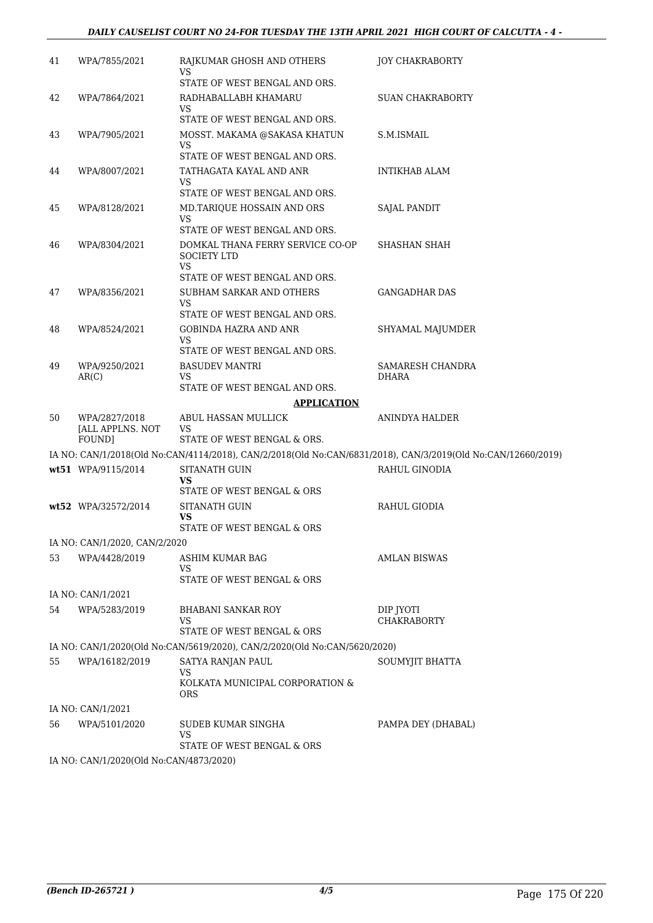## *DAILY CAUSELIST COURT NO 24-FOR TUESDAY THE 13TH APRIL 2021 HIGH COURT OF CALCUTTA - 4 -*

| 41 | WPA/7855/2021                               | RAJKUMAR GHOSH AND OTHERS<br>VS.                                                                             | <b>JOY CHAKRABORTY</b>           |
|----|---------------------------------------------|--------------------------------------------------------------------------------------------------------------|----------------------------------|
|    |                                             | STATE OF WEST BENGAL AND ORS.                                                                                |                                  |
| 42 | WPA/7864/2021                               | RADHABALLABH KHAMARU<br>VS                                                                                   | SUAN CHAKRABORTY                 |
|    |                                             | STATE OF WEST BENGAL AND ORS.                                                                                |                                  |
| 43 | WPA/7905/2021                               | MOSST. MAKAMA @SAKASA KHATUN<br>VS<br>STATE OF WEST BENGAL AND ORS.                                          | S.M.ISMAIL                       |
| 44 | WPA/8007/2021                               | TATHAGATA KAYAL AND ANR                                                                                      | INTIKHAB ALAM                    |
|    |                                             | VS.<br>STATE OF WEST BENGAL AND ORS.                                                                         |                                  |
| 45 | WPA/8128/2021                               | MD.TARIQUE HOSSAIN AND ORS<br>VS.<br>STATE OF WEST BENGAL AND ORS.                                           | SAJAL PANDIT                     |
| 46 | WPA/8304/2021                               | DOMKAL THANA FERRY SERVICE CO-OP<br><b>SOCIETY LTD</b>                                                       | SHASHAN SHAH                     |
|    |                                             | <b>VS</b><br>STATE OF WEST BENGAL AND ORS.                                                                   |                                  |
| 47 | WPA/8356/2021                               | SUBHAM SARKAR AND OTHERS                                                                                     | <b>GANGADHAR DAS</b>             |
|    |                                             | VS<br>STATE OF WEST BENGAL AND ORS.                                                                          |                                  |
| 48 | WPA/8524/2021                               | <b>GOBINDA HAZRA AND ANR</b>                                                                                 | SHYAMAL MAJUMDER                 |
|    |                                             | VS.<br>STATE OF WEST BENGAL AND ORS.                                                                         |                                  |
| 49 | WPA/9250/2021<br>AR(C)                      | <b>BASUDEV MANTRI</b><br>VS                                                                                  | SAMARESH CHANDRA<br><b>DHARA</b> |
|    |                                             | STATE OF WEST BENGAL AND ORS.                                                                                |                                  |
|    |                                             | <b>APPLICATION</b>                                                                                           |                                  |
| 50 | WPA/2827/2018<br>[ALL APPLNS, NOT<br>FOUND] | ABUL HASSAN MULLICK<br>VS<br>STATE OF WEST BENGAL & ORS.                                                     | ANINDYA HALDER                   |
|    |                                             | IA NO: CAN/1/2018(Old No:CAN/4114/2018), CAN/2/2018(Old No:CAN/6831/2018), CAN/3/2019(Old No:CAN/12660/2019) |                                  |
|    | wt51 WPA/9115/2014                          | <b>SITANATH GUIN</b>                                                                                         | RAHUL GINODIA                    |
|    |                                             | VS<br>STATE OF WEST BENGAL & ORS                                                                             |                                  |
|    | wt52 WPA/32572/2014                         | <b>SITANATH GUIN</b><br>VS                                                                                   | RAHUL GIODIA                     |
|    |                                             | STATE OF WEST BENGAL & ORS                                                                                   |                                  |
|    | IA NO: CAN/1/2020, CAN/2/2020               |                                                                                                              |                                  |
| 53 | WPA/4428/2019                               | ASHIM KUMAR BAG<br>VS                                                                                        | <b>AMLAN BISWAS</b>              |
|    |                                             | STATE OF WEST BENGAL & ORS                                                                                   |                                  |
|    | IA NO: CAN/1/2021                           |                                                                                                              |                                  |
| 54 | WPA/5283/2019                               | <b>BHABANI SANKAR ROY</b><br>VS<br>STATE OF WEST BENGAL & ORS                                                | DIP JYOTI<br><b>CHAKRABORTY</b>  |
|    |                                             | IA NO: CAN/1/2020(Old No:CAN/5619/2020), CAN/2/2020(Old No:CAN/5620/2020)                                    |                                  |
| 55 | WPA/16182/2019                              | SATYA RANJAN PAUL                                                                                            | SOUMYJIT BHATTA                  |
|    |                                             | <b>VS</b><br>KOLKATA MUNICIPAL CORPORATION &<br>ORS                                                          |                                  |
|    | IA NO: CAN/1/2021                           |                                                                                                              |                                  |
| 56 | WPA/5101/2020                               | SUDEB KUMAR SINGHA<br>VS                                                                                     | PAMPA DEY (DHABAL)               |
|    |                                             | STATE OF WEST BENGAL & ORS                                                                                   |                                  |
|    | IA NO: CAN/1/2020(Old No:CAN/4873/2020)     |                                                                                                              |                                  |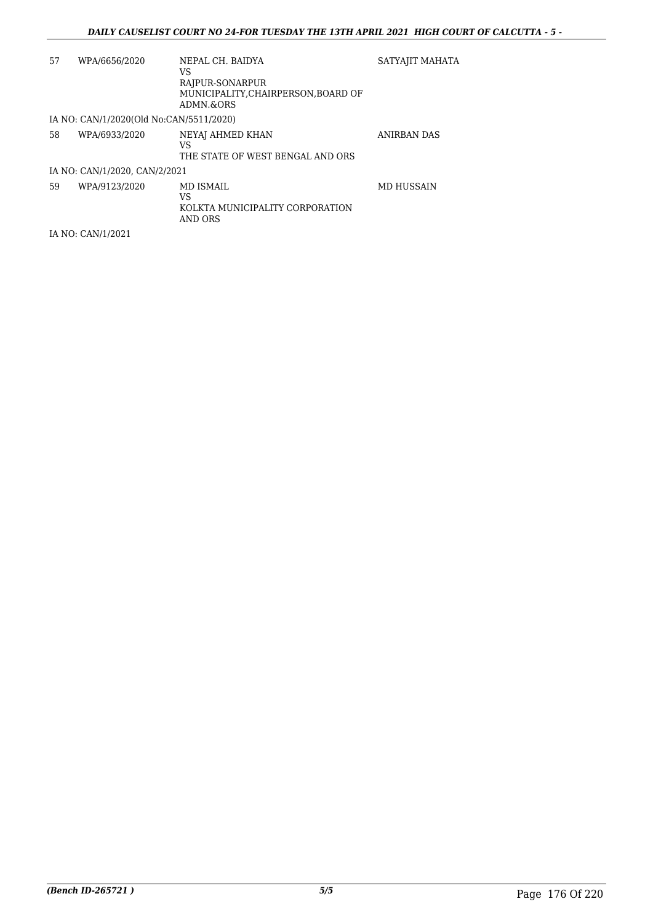| 57 | WPA/6656/2020                           | NEPAL CH. BAIDYA                                                     | SATYAJIT MAHATA    |
|----|-----------------------------------------|----------------------------------------------------------------------|--------------------|
|    |                                         | VS<br>RAJPUR-SONARPUR<br>MUNICIPALITY.CHAIRPERSON.BOARD OF           |                    |
|    |                                         | ADMN.&ORS                                                            |                    |
|    | IA NO: CAN/1/2020(Old No:CAN/5511/2020) |                                                                      |                    |
| 58 | WPA/6933/2020                           | NEYAJ AHMED KHAN<br>VS<br>THE STATE OF WEST BENGAL AND ORS           | <b>ANIRBAN DAS</b> |
|    | IA NO: CAN/1/2020, CAN/2/2021           |                                                                      |                    |
| 59 | WPA/9123/2020                           | <b>MD ISMAIL</b><br>VS<br>KOLKTA MUNICIPALITY CORPORATION<br>AND ORS | <b>MD HUSSAIN</b>  |

IA NO: CAN/1/2021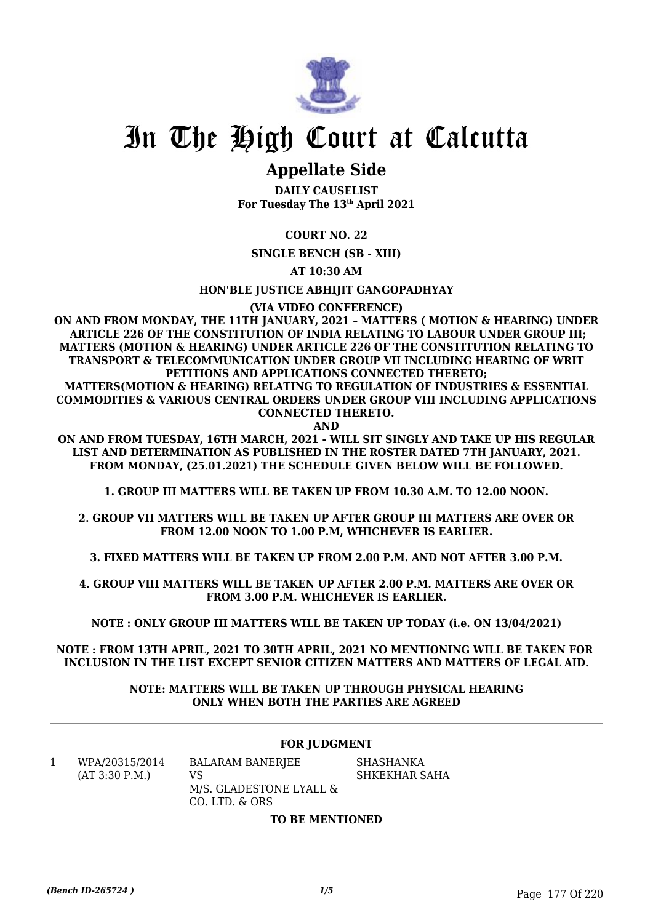

## **Appellate Side**

**DAILY CAUSELIST For Tuesday The 13th April 2021**

**COURT NO. 22**

**SINGLE BENCH (SB - XIII)**

**AT 10:30 AM**

**HON'BLE JUSTICE ABHIJIT GANGOPADHYAY**

**(VIA VIDEO CONFERENCE)**

**ON AND FROM MONDAY, THE 11TH JANUARY, 2021 – MATTERS ( MOTION & HEARING) UNDER ARTICLE 226 OF THE CONSTITUTION OF INDIA RELATING TO LABOUR UNDER GROUP III; MATTERS (MOTION & HEARING) UNDER ARTICLE 226 OF THE CONSTITUTION RELATING TO TRANSPORT & TELECOMMUNICATION UNDER GROUP VII INCLUDING HEARING OF WRIT PETITIONS AND APPLICATIONS CONNECTED THERETO;**

**MATTERS(MOTION & HEARING) RELATING TO REGULATION OF INDUSTRIES & ESSENTIAL COMMODITIES & VARIOUS CENTRAL ORDERS UNDER GROUP VIII INCLUDING APPLICATIONS CONNECTED THERETO.**

**AND**

**ON AND FROM TUESDAY, 16TH MARCH, 2021 - WILL SIT SINGLY AND TAKE UP HIS REGULAR LIST AND DETERMINATION AS PUBLISHED IN THE ROSTER DATED 7TH JANUARY, 2021. FROM MONDAY, (25.01.2021) THE SCHEDULE GIVEN BELOW WILL BE FOLLOWED.**

**1. GROUP III MATTERS WILL BE TAKEN UP FROM 10.30 A.M. TO 12.00 NOON.**

**2. GROUP VII MATTERS WILL BE TAKEN UP AFTER GROUP III MATTERS ARE OVER OR FROM 12.00 NOON TO 1.00 P.M, WHICHEVER IS EARLIER.**

**3. FIXED MATTERS WILL BE TAKEN UP FROM 2.00 P.M. AND NOT AFTER 3.00 P.M.**

**4. GROUP VIII MATTERS WILL BE TAKEN UP AFTER 2.00 P.M. MATTERS ARE OVER OR FROM 3.00 P.M. WHICHEVER IS EARLIER.**

**NOTE : ONLY GROUP III MATTERS WILL BE TAKEN UP TODAY (i.e. ON 13/04/2021)**

**NOTE : FROM 13TH APRIL, 2021 TO 30TH APRIL, 2021 NO MENTIONING WILL BE TAKEN FOR INCLUSION IN THE LIST EXCEPT SENIOR CITIZEN MATTERS AND MATTERS OF LEGAL AID.**

> **NOTE: MATTERS WILL BE TAKEN UP THROUGH PHYSICAL HEARING ONLY WHEN BOTH THE PARTIES ARE AGREED**

## **FOR JUDGMENT**

1 WPA/20315/2014 (AT 3:30 P.M.)

BALARAM BANERJEE VS M/S. GLADESTONE LYALL & CO. LTD. & ORS

SHASHANKA SHKEKHAR SAHA

### **TO BE MENTIONED**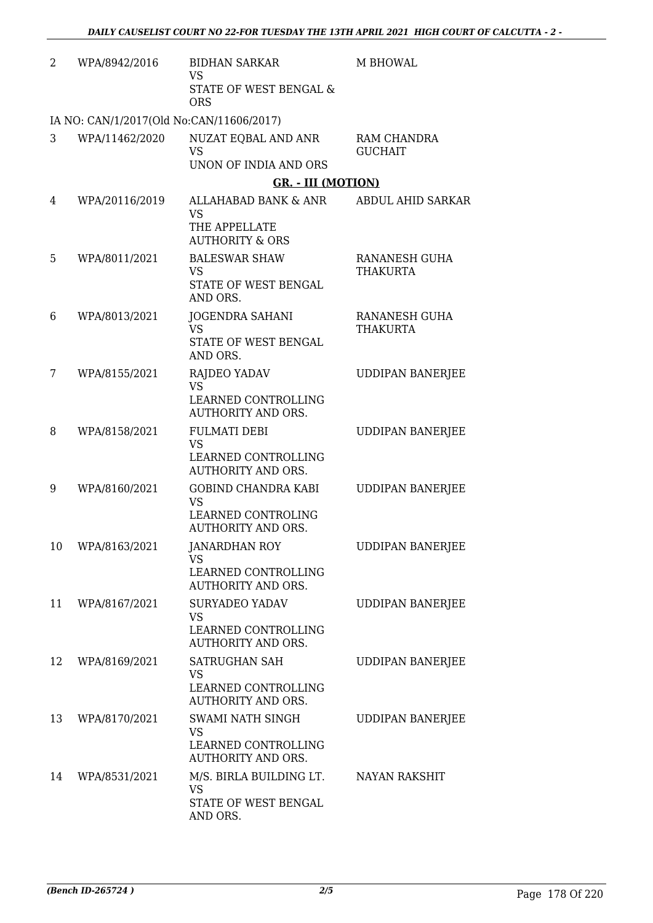| 2  | WPA/8942/2016                            | <b>BIDHAN SARKAR</b><br><b>VS</b><br>STATE OF WEST BENGAL &<br><b>ORS</b>                  | M BHOWAL                         |
|----|------------------------------------------|--------------------------------------------------------------------------------------------|----------------------------------|
|    | IA NO: CAN/1/2017(Old No:CAN/11606/2017) |                                                                                            |                                  |
| 3  | WPA/11462/2020                           | NUZAT EQBAL AND ANR<br><b>VS</b><br>UNON OF INDIA AND ORS                                  | RAM CHANDRA<br><b>GUCHAIT</b>    |
|    |                                          | <b>GR. - III (MOTION)</b>                                                                  |                                  |
| 4  | WPA/20116/2019                           | ALLAHABAD BANK & ANR<br><b>VS</b><br>THE APPELLATE<br><b>AUTHORITY &amp; ORS</b>           | ABDUL AHID SARKAR                |
| 5  | WPA/8011/2021                            | <b>BALESWAR SHAW</b><br><b>VS</b><br>STATE OF WEST BENGAL<br>AND ORS.                      | RANANESH GUHA<br><b>THAKURTA</b> |
| 6  | WPA/8013/2021                            | JOGENDRA SAHANI<br><b>VS</b><br>STATE OF WEST BENGAL<br>AND ORS.                           | RANANESH GUHA<br><b>THAKURTA</b> |
| 7  | WPA/8155/2021                            | RAJDEO YADAV<br><b>VS</b><br>LEARNED CONTROLLING<br><b>AUTHORITY AND ORS.</b>              | <b>UDDIPAN BANERJEE</b>          |
| 8  | WPA/8158/2021                            | <b>FULMATI DEBI</b><br><b>VS</b><br>LEARNED CONTROLLING<br><b>AUTHORITY AND ORS.</b>       | <b>UDDIPAN BANERJEE</b>          |
| 9  | WPA/8160/2021                            | <b>GOBIND CHANDRA KABI</b><br><b>VS</b><br>LEARNED CONTROLING<br><b>AUTHORITY AND ORS.</b> | <b>UDDIPAN BANERJEE</b>          |
| 10 | WPA/8163/2021                            | <b>JANARDHAN ROY</b><br>VS<br>LEARNED CONTROLLING<br><b>AUTHORITY AND ORS.</b>             | UDDIPAN BANERJEE                 |
| 11 | WPA/8167/2021                            | <b>SURYADEO YADAV</b><br><b>VS</b><br>LEARNED CONTROLLING<br><b>AUTHORITY AND ORS.</b>     | <b>UDDIPAN BANERJEE</b>          |
| 12 | WPA/8169/2021                            | SATRUGHAN SAH<br>VS<br>LEARNED CONTROLLING<br><b>AUTHORITY AND ORS.</b>                    | <b>UDDIPAN BANERJEE</b>          |
| 13 | WPA/8170/2021                            | SWAMI NATH SINGH<br><b>VS</b><br>LEARNED CONTROLLING<br><b>AUTHORITY AND ORS.</b>          | <b>UDDIPAN BANERJEE</b>          |
| 14 | WPA/8531/2021                            | M/S. BIRLA BUILDING LT.<br>VS<br>STATE OF WEST BENGAL<br>AND ORS.                          | <b>NAYAN RAKSHIT</b>             |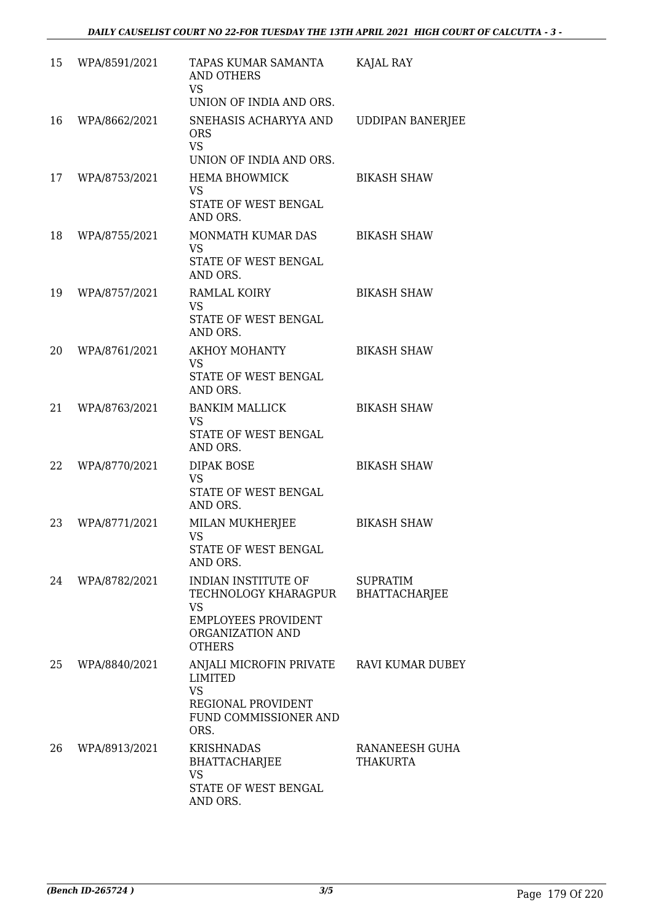| 15 | WPA/8591/2021 | TAPAS KUMAR SAMANTA<br>AND OTHERS<br><b>VS</b><br>UNION OF INDIA AND ORS.                                                   | KAJAL RAY                               |
|----|---------------|-----------------------------------------------------------------------------------------------------------------------------|-----------------------------------------|
| 16 | WPA/8662/2021 | SNEHASIS ACHARYYA AND<br><b>ORS</b><br><b>VS</b><br>UNION OF INDIA AND ORS.                                                 | <b>UDDIPAN BANERJEE</b>                 |
| 17 | WPA/8753/2021 | <b>HEMA BHOWMICK</b><br><b>VS</b><br>STATE OF WEST BENGAL<br>AND ORS.                                                       | <b>BIKASH SHAW</b>                      |
| 18 | WPA/8755/2021 | MONMATH KUMAR DAS<br><b>VS</b><br>STATE OF WEST BENGAL<br>AND ORS.                                                          | <b>BIKASH SHAW</b>                      |
| 19 | WPA/8757/2021 | RAMLAL KOIRY<br><b>VS</b><br>STATE OF WEST BENGAL<br>AND ORS.                                                               | <b>BIKASH SHAW</b>                      |
| 20 | WPA/8761/2021 | <b>AKHOY MOHANTY</b><br><b>VS</b><br>STATE OF WEST BENGAL<br>AND ORS.                                                       | <b>BIKASH SHAW</b>                      |
| 21 | WPA/8763/2021 | <b>BANKIM MALLICK</b><br><b>VS</b><br>STATE OF WEST BENGAL<br>AND ORS.                                                      | <b>BIKASH SHAW</b>                      |
| 22 | WPA/8770/2021 | <b>DIPAK BOSE</b><br><b>VS</b><br>STATE OF WEST BENGAL<br>AND ORS.                                                          | <b>BIKASH SHAW</b>                      |
| 23 | WPA/8771/2021 | MILAN MUKHERJEE<br><b>VS</b><br>STATE OF WEST BENGAL<br>AND ORS.                                                            | <b>BIKASH SHAW</b>                      |
| 24 | WPA/8782/2021 | INDIAN INSTITUTE OF<br>TECHNOLOGY KHARAGPUR<br><b>VS</b><br><b>EMPLOYEES PROVIDENT</b><br>ORGANIZATION AND<br><b>OTHERS</b> | <b>SUPRATIM</b><br><b>BHATTACHARJEE</b> |
| 25 | WPA/8840/2021 | ANJALI MICROFIN PRIVATE<br><b>LIMITED</b><br><b>VS</b><br>REGIONAL PROVIDENT<br>FUND COMMISSIONER AND<br>ORS.               | RAVI KUMAR DUBEY                        |
| 26 | WPA/8913/2021 | <b>KRISHNADAS</b><br><b>BHATTACHARJEE</b><br><b>VS</b><br>STATE OF WEST BENGAL<br>AND ORS.                                  | RANANEESH GUHA<br>THAKURTA              |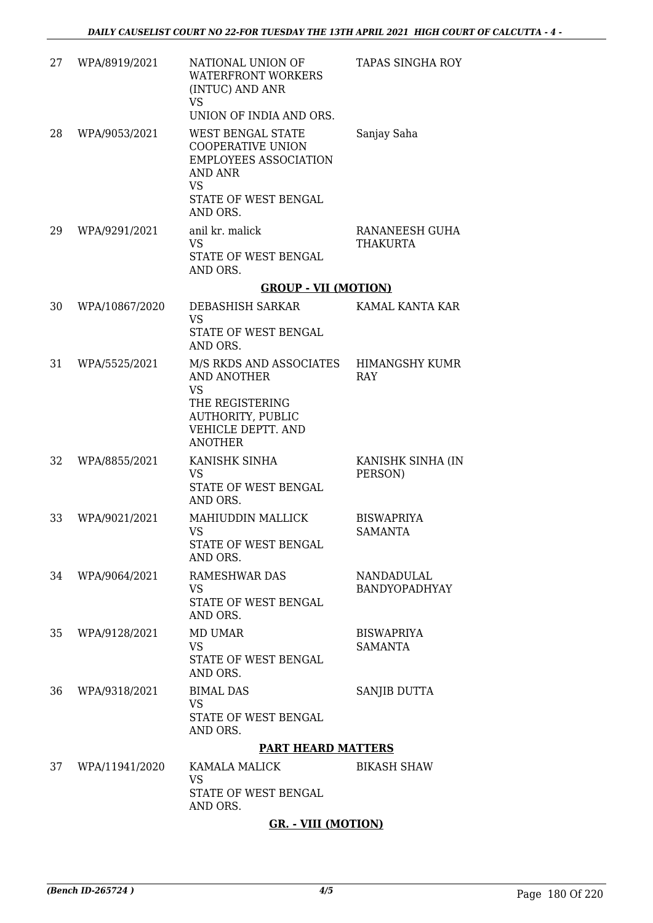| 27 | WPA/8919/2021  | NATIONAL UNION OF<br><b>WATERFRONT WORKERS</b><br>(INTUC) AND ANR<br><b>VS</b><br>UNION OF INDIA AND ORS.                                               | TAPAS SINGHA ROY                    |
|----|----------------|---------------------------------------------------------------------------------------------------------------------------------------------------------|-------------------------------------|
| 28 | WPA/9053/2021  | <b>WEST BENGAL STATE</b><br><b>COOPERATIVE UNION</b><br><b>EMPLOYEES ASSOCIATION</b><br><b>AND ANR</b><br><b>VS</b><br>STATE OF WEST BENGAL<br>AND ORS. | Sanjay Saha                         |
| 29 | WPA/9291/2021  | anil kr. malick<br><b>VS</b><br>STATE OF WEST BENGAL<br>AND ORS.                                                                                        | RANANEESH GUHA<br><b>THAKURTA</b>   |
|    |                | <b>GROUP - VII (MOTION)</b>                                                                                                                             |                                     |
| 30 | WPA/10867/2020 | <b>DEBASHISH SARKAR</b><br><b>VS</b><br>STATE OF WEST BENGAL<br>AND ORS.                                                                                | KAMAL KANTA KAR                     |
| 31 | WPA/5525/2021  | M/S RKDS AND ASSOCIATES<br><b>AND ANOTHER</b><br><b>VS</b><br>THE REGISTERING<br><b>AUTHORITY, PUBLIC</b><br>VEHICLE DEPTT. AND<br><b>ANOTHER</b>       | HIMANGSHY KUMR<br>RAY               |
| 32 | WPA/8855/2021  | KANISHK SINHA<br><b>VS</b><br>STATE OF WEST BENGAL<br>AND ORS.                                                                                          | KANISHK SINHA (IN<br>PERSON)        |
| 33 | WPA/9021/2021  | <b>MAHIUDDIN MALLICK</b><br><b>VS</b><br>STATE OF WEST BENGAL<br>AND ORS.                                                                               | <b>BISWAPRIYA</b><br><b>SAMANTA</b> |
| 34 | WPA/9064/2021  | <b>RAMESHWAR DAS</b><br><b>VS</b><br>STATE OF WEST BENGAL<br>AND ORS.                                                                                   | NANDADULAL<br><b>BANDYOPADHYAY</b>  |
| 35 | WPA/9128/2021  | <b>MD UMAR</b><br><b>VS</b><br>STATE OF WEST BENGAL<br>AND ORS.                                                                                         | <b>BISWAPRIYA</b><br><b>SAMANTA</b> |
| 36 | WPA/9318/2021  | <b>BIMAL DAS</b><br><b>VS</b><br>STATE OF WEST BENGAL<br>AND ORS.                                                                                       | SANJIB DUTTA                        |
|    |                | <b>PART HEARD MATTERS</b>                                                                                                                               |                                     |
| 37 | WPA/11941/2020 | KAMALA MALICK<br><b>VS</b><br>STATE OF WEST BENGAL<br>AND ORS.                                                                                          | <b>BIKASH SHAW</b>                  |

## **GR. - VIII (MOTION)**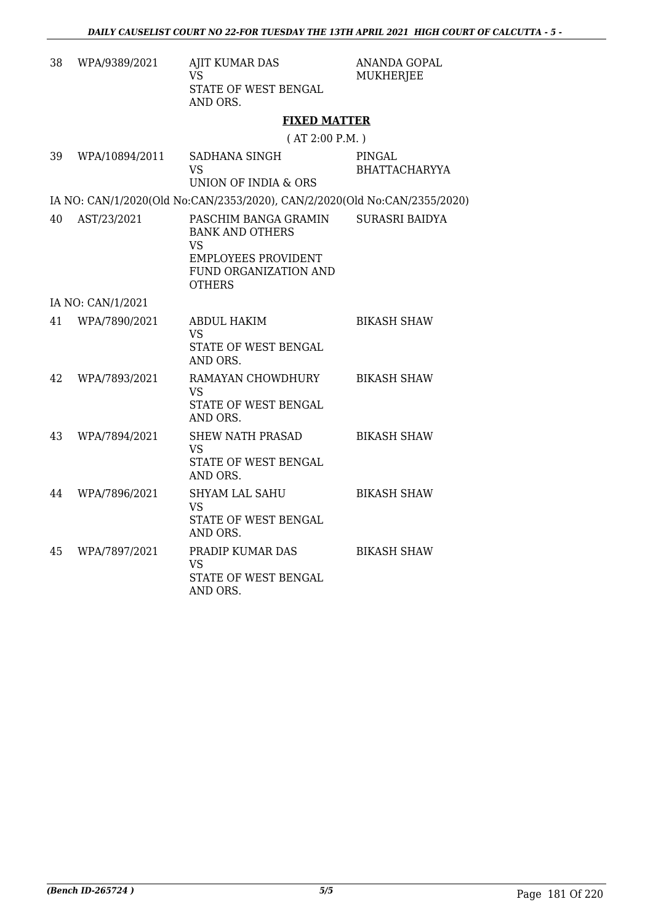| 38 | WPA/9389/2021     | AJIT KUMAR DAS<br>VS<br>STATE OF WEST BENGAL<br>AND ORS.                                                                     | ANANDA GOPAL<br><b>MUKHERJEE</b> |
|----|-------------------|------------------------------------------------------------------------------------------------------------------------------|----------------------------------|
|    |                   | <b>FIXED MATTER</b>                                                                                                          |                                  |
|    |                   | (AT 2:00 P.M.)                                                                                                               |                                  |
| 39 | WPA/10894/2011    | SADHANA SINGH<br>VS <sub>1</sub><br>UNION OF INDIA & ORS                                                                     | PINGAL<br>BHATTACHARYYA          |
|    |                   | IA NO: CAN/1/2020(Old No:CAN/2353/2020), CAN/2/2020(Old No:CAN/2355/2020)                                                    |                                  |
| 40 | AST/23/2021       | PASCHIM BANGA GRAMIN<br><b>BANK AND OTHERS</b><br>VS<br><b>EMPLOYEES PROVIDENT</b><br>FUND ORGANIZATION AND<br><b>OTHERS</b> | <b>SURASRI BAIDYA</b>            |
|    | IA NO: CAN/1/2021 |                                                                                                                              |                                  |
| 41 | WPA/7890/2021     | <b>ABDUL HAKIM</b><br>VS<br>STATE OF WEST BENGAL<br>AND ORS.                                                                 | <b>BIKASH SHAW</b>               |
| 42 | WPA/7893/2021     | RAMAYAN CHOWDHURY<br><b>VS</b><br>STATE OF WEST BENGAL<br>AND ORS.                                                           | <b>BIKASH SHAW</b>               |
| 43 | WPA/7894/2021     | <b>SHEW NATH PRASAD</b><br><b>VS</b><br>STATE OF WEST BENGAL<br>AND ORS.                                                     | <b>BIKASH SHAW</b>               |
| 44 | WPA/7896/2021     | <b>SHYAM LAL SAHU</b><br><b>VS</b><br>STATE OF WEST BENGAL<br>AND ORS.                                                       | <b>BIKASH SHAW</b>               |
| 45 | WPA/7897/2021     | PRADIP KUMAR DAS<br><b>VS</b><br>STATE OF WEST BENGAL<br>AND ORS.                                                            | <b>BIKASH SHAW</b>               |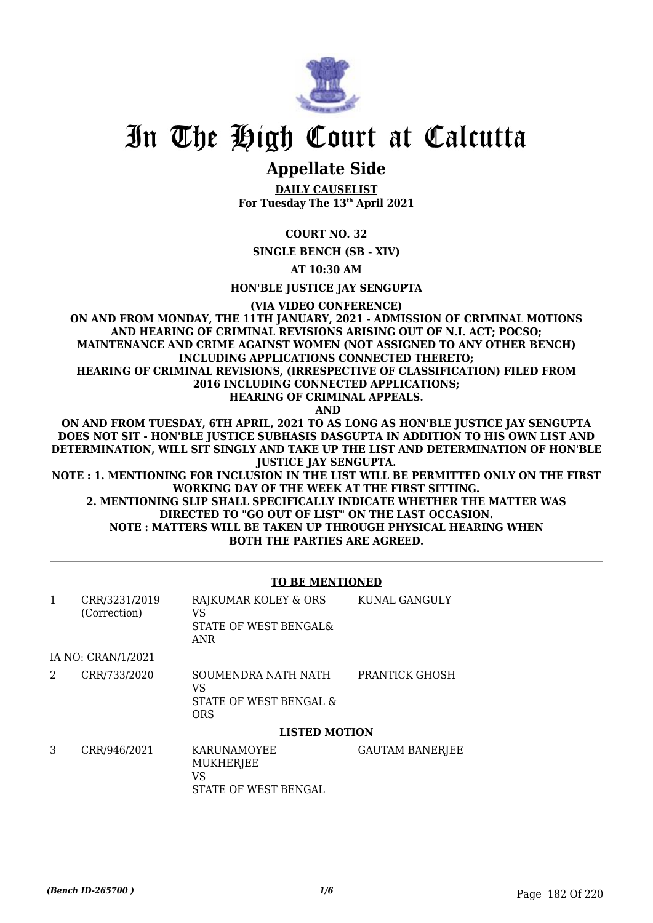

## **Appellate Side**

**DAILY CAUSELIST For Tuesday The 13th April 2021**

**COURT NO. 32**

**SINGLE BENCH (SB - XIV)**

**AT 10:30 AM**

**HON'BLE JUSTICE JAY SENGUPTA**

**(VIA VIDEO CONFERENCE)**

**ON AND FROM MONDAY, THE 11TH JANUARY, 2021 - ADMISSION OF CRIMINAL MOTIONS AND HEARING OF CRIMINAL REVISIONS ARISING OUT OF N.I. ACT; POCSO; MAINTENANCE AND CRIME AGAINST WOMEN (NOT ASSIGNED TO ANY OTHER BENCH) INCLUDING APPLICATIONS CONNECTED THERETO; HEARING OF CRIMINAL REVISIONS, (IRRESPECTIVE OF CLASSIFICATION) FILED FROM 2016 INCLUDING CONNECTED APPLICATIONS;**

**HEARING OF CRIMINAL APPEALS.**

 **AND**

**ON AND FROM TUESDAY, 6TH APRIL, 2021 TO AS LONG AS HON'BLE JUSTICE JAY SENGUPTA DOES NOT SIT - HON'BLE JUSTICE SUBHASIS DASGUPTA IN ADDITION TO HIS OWN LIST AND DETERMINATION, WILL SIT SINGLY AND TAKE UP THE LIST AND DETERMINATION OF HON'BLE JUSTICE JAY SENGUPTA.**

**NOTE : 1. MENTIONING FOR INCLUSION IN THE LIST WILL BE PERMITTED ONLY ON THE FIRST WORKING DAY OF THE WEEK AT THE FIRST SITTING.**

**2. MENTIONING SLIP SHALL SPECIFICALLY INDICATE WHETHER THE MATTER WAS DIRECTED TO "GO OUT OF LIST" ON THE LAST OCCASION. NOTE : MATTERS WILL BE TAKEN UP THROUGH PHYSICAL HEARING WHEN BOTH THE PARTIES ARE AGREED.**

### **TO BE MENTIONED**

|   | CRR/3231/2019<br>(Correction) | RAJKUMAR KOLEY & ORS<br>VS<br>STATE OF WEST BENGAL&<br><b>ANR</b> | KUNAL GANGULY          |
|---|-------------------------------|-------------------------------------------------------------------|------------------------|
|   | IA NO: CRAN/1/2021            |                                                                   |                        |
| 2 | CRR/733/2020                  | SOUMENDRA NATH NATH<br>VS<br>STATE OF WEST BENGAL &<br><b>ORS</b> | PRANTICK GHOSH         |
|   |                               | <b>LISTED MOTION</b>                                              |                        |
| 3 | CRR/946/2021                  | <b>KARUNAMOYEE</b><br>MUKHERJEE<br>VS<br>STATE OF WEST BENGAL     | <b>GAUTAM BANERJEE</b> |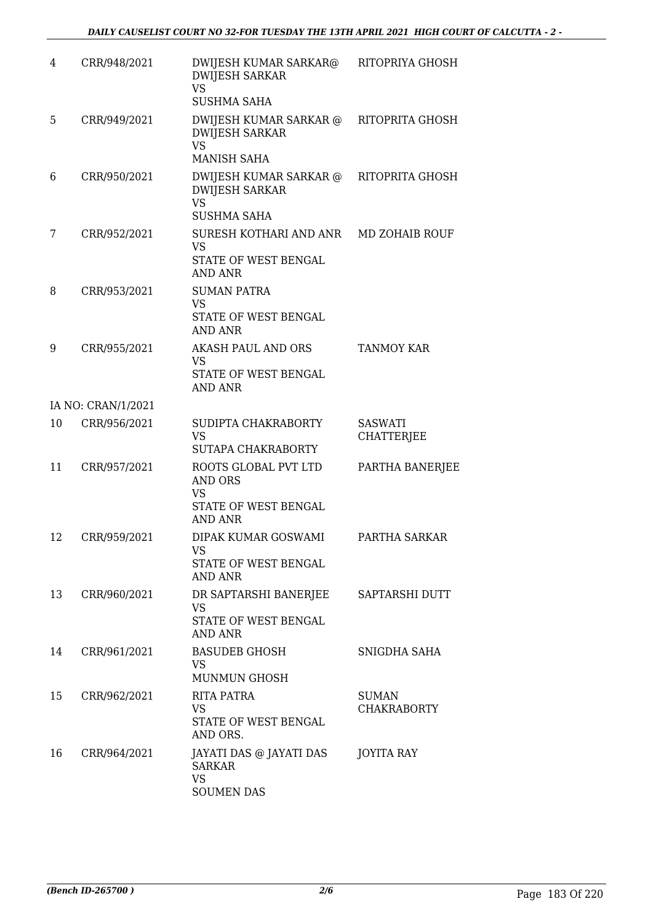| 4  | CRR/948/2021       | DWIJESH KUMAR SARKAR@<br><b>DWIJESH SARKAR</b><br><b>VS</b><br><b>SUSHMA SAHA</b>      | RITOPRIYA GHOSH                     |
|----|--------------------|----------------------------------------------------------------------------------------|-------------------------------------|
| 5  | CRR/949/2021       | DWIJESH KUMAR SARKAR @<br><b>DWIJESH SARKAR</b><br><b>VS</b><br><b>MANISH SAHA</b>     | RITOPRITA GHOSH                     |
| 6  | CRR/950/2021       | DWIJESH KUMAR SARKAR @<br><b>DWIJESH SARKAR</b><br><b>VS</b><br><b>SUSHMA SAHA</b>     | RITOPRITA GHOSH                     |
| 7  | CRR/952/2021       | SURESH KOTHARI AND ANR<br><b>VS</b><br>STATE OF WEST BENGAL<br><b>AND ANR</b>          | MD ZOHAIB ROUF                      |
| 8  | CRR/953/2021       | <b>SUMAN PATRA</b><br><b>VS</b><br>STATE OF WEST BENGAL<br><b>AND ANR</b>              |                                     |
| 9  | CRR/955/2021       | AKASH PAUL AND ORS<br>VS<br>STATE OF WEST BENGAL<br>AND ANR                            | <b>TANMOY KAR</b>                   |
|    | IA NO: CRAN/1/2021 |                                                                                        |                                     |
| 10 | CRR/956/2021       | SUDIPTA CHAKRABORTY<br><b>VS</b><br>SUTAPA CHAKRABORTY                                 | <b>SASWATI</b><br><b>CHATTERJEE</b> |
| 11 | CRR/957/2021       | ROOTS GLOBAL PVT LTD<br>AND ORS<br><b>VS</b><br>STATE OF WEST BENGAL<br><b>AND ANR</b> | PARTHA BANERJEE                     |
| 12 | CRR/959/2021       | DIPAK KUMAR GOSWAMI<br>VS<br>STATE OF WEST BENGAL<br><b>AND ANR</b>                    | PARTHA SARKAR                       |
| 13 | CRR/960/2021       | DR SAPTARSHI BANERJEE<br>VS<br>STATE OF WEST BENGAL<br><b>AND ANR</b>                  | SAPTARSHI DUTT                      |
| 14 | CRR/961/2021       | <b>BASUDEB GHOSH</b><br>VS.<br><b>MUNMUN GHOSH</b>                                     | SNIGDHA SAHA                        |
| 15 | CRR/962/2021       | RITA PATRA<br><b>VS</b><br>STATE OF WEST BENGAL<br>AND ORS.                            | <b>SUMAN</b><br><b>CHAKRABORTY</b>  |
| 16 | CRR/964/2021       | JAYATI DAS @ JAYATI DAS<br><b>SARKAR</b><br><b>VS</b><br><b>SOUMEN DAS</b>             | JOYITA RAY                          |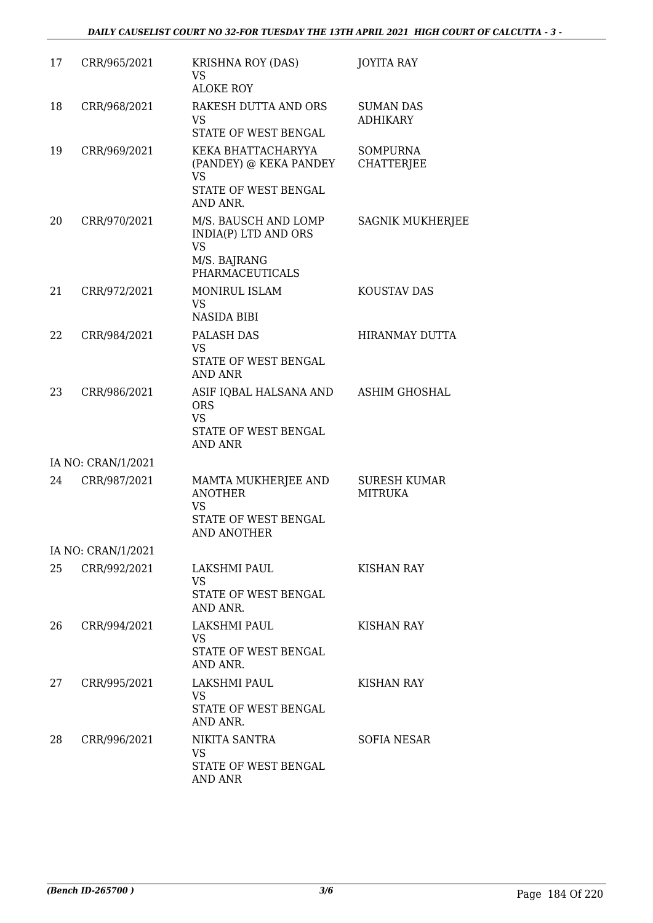| 17 | CRR/965/2021       | KRISHNA ROY (DAS)<br>VS<br><b>ALOKE ROY</b>                                                         | JOYITA RAY                            |
|----|--------------------|-----------------------------------------------------------------------------------------------------|---------------------------------------|
| 18 | CRR/968/2021       | RAKESH DUTTA AND ORS<br><b>VS</b><br>STATE OF WEST BENGAL                                           | <b>SUMAN DAS</b><br><b>ADHIKARY</b>   |
| 19 | CRR/969/2021       | KEKA BHATTACHARYYA<br>(PANDEY) @ KEKA PANDEY<br><b>VS</b><br>STATE OF WEST BENGAL<br>AND ANR.       | <b>SOMPURNA</b><br><b>CHATTERJEE</b>  |
| 20 | CRR/970/2021       | M/S. BAUSCH AND LOMP<br>INDIA(P) LTD AND ORS<br><b>VS</b><br>M/S. BAJRANG<br><b>PHARMACEUTICALS</b> | <b>SAGNIK MUKHERJEE</b>               |
| 21 | CRR/972/2021       | MONIRUL ISLAM<br><b>VS</b><br><b>NASIDA BIBI</b>                                                    | KOUSTAV DAS                           |
| 22 | CRR/984/2021       | PALASH DAS<br><b>VS</b><br>STATE OF WEST BENGAL<br><b>AND ANR</b>                                   | <b>HIRANMAY DUTTA</b>                 |
| 23 | CRR/986/2021       | ASIF IQBAL HALSANA AND<br><b>ORS</b><br><b>VS</b><br>STATE OF WEST BENGAL<br><b>AND ANR</b>         | <b>ASHIM GHOSHAL</b>                  |
|    | IA NO: CRAN/1/2021 |                                                                                                     |                                       |
| 24 | CRR/987/2021       | MAMTA MUKHERJEE AND<br><b>ANOTHER</b><br><b>VS</b><br>STATE OF WEST BENGAL<br><b>AND ANOTHER</b>    | <b>SURESH KUMAR</b><br><b>MITRUKA</b> |
|    | IA NO: CRAN/1/2021 |                                                                                                     |                                       |
| 25 | CRR/992/2021       | LAKSHMI PAUL<br><b>VS</b><br>STATE OF WEST BENGAL<br>AND ANR.                                       | KISHAN RAY                            |
| 26 | CRR/994/2021       | LAKSHMI PAUL<br><b>VS</b><br>STATE OF WEST BENGAL<br>AND ANR.                                       | KISHAN RAY                            |
| 27 | CRR/995/2021       | LAKSHMI PAUL<br><b>VS</b><br>STATE OF WEST BENGAL<br>AND ANR.                                       | KISHAN RAY                            |
| 28 | CRR/996/2021       | NIKITA SANTRA<br>VS<br>STATE OF WEST BENGAL<br>AND ANR                                              | <b>SOFIA NESAR</b>                    |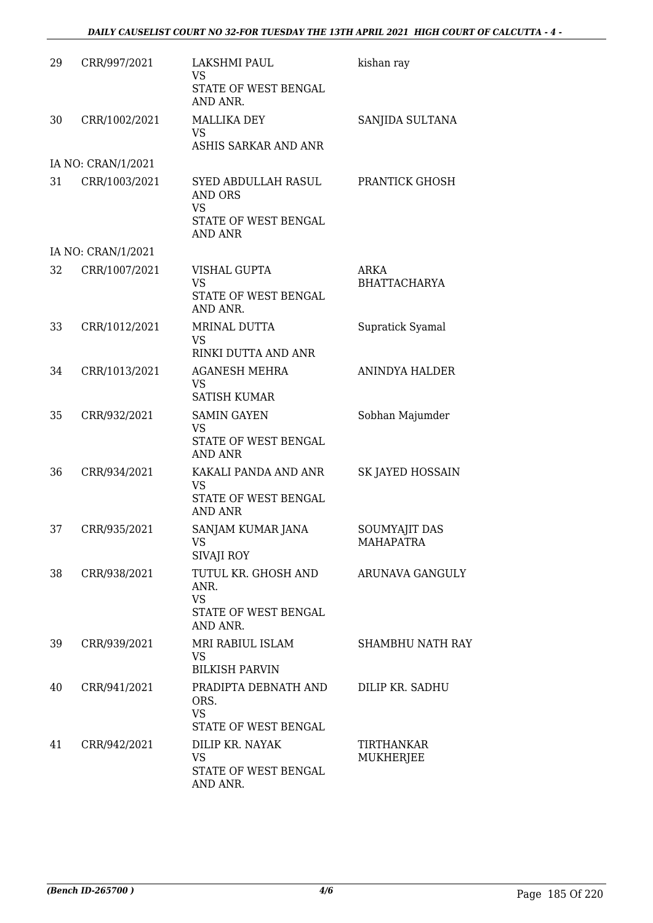| 29 | CRR/997/2021       | <b>LAKSHMI PAUL</b><br>VS<br>STATE OF WEST BENGAL<br>AND ANR.                         | kishan ray                        |
|----|--------------------|---------------------------------------------------------------------------------------|-----------------------------------|
| 30 | CRR/1002/2021      | <b>MALLIKA DEY</b><br><b>VS</b><br>ASHIS SARKAR AND ANR                               | SANJIDA SULTANA                   |
|    | IA NO: CRAN/1/2021 |                                                                                       |                                   |
| 31 | CRR/1003/2021      | SYED ABDULLAH RASUL<br>AND ORS<br><b>VS</b><br>STATE OF WEST BENGAL<br><b>AND ANR</b> | PRANTICK GHOSH                    |
|    | IA NO: CRAN/1/2021 |                                                                                       |                                   |
| 32 | CRR/1007/2021      | VISHAL GUPTA<br>VS<br>STATE OF WEST BENGAL<br>AND ANR.                                | ARKA<br><b>BHATTACHARYA</b>       |
| 33 | CRR/1012/2021      | MRINAL DUTTA<br><b>VS</b><br>RINKI DUTTA AND ANR                                      | Supratick Syamal                  |
| 34 | CRR/1013/2021      | <b>AGANESH MEHRA</b><br><b>VS</b><br><b>SATISH KUMAR</b>                              | <b>ANINDYA HALDER</b>             |
| 35 | CRR/932/2021       | <b>SAMIN GAYEN</b><br><b>VS</b><br>STATE OF WEST BENGAL<br><b>AND ANR</b>             | Sobhan Majumder                   |
| 36 | CRR/934/2021       | KAKALI PANDA AND ANR<br><b>VS</b><br>STATE OF WEST BENGAL<br><b>AND ANR</b>           | <b>SK JAYED HOSSAIN</b>           |
| 37 | CRR/935/2021       | SANJAM KUMAR JANA<br>VS FOR STRUMP.<br>SIVAJI ROY                                     | <b>SOUMYAJIT DAS</b><br>MAHAPATRA |
| 38 | CRR/938/2021       | TUTUL KR. GHOSH AND<br>ANR.<br><b>VS</b><br>STATE OF WEST BENGAL<br>AND ANR.          | ARUNAVA GANGULY                   |
| 39 | CRR/939/2021       | MRI RABIUL ISLAM<br><b>VS</b><br><b>BILKISH PARVIN</b>                                | <b>SHAMBHU NATH RAY</b>           |
| 40 | CRR/941/2021       | PRADIPTA DEBNATH AND<br>ORS.<br><b>VS</b><br>STATE OF WEST BENGAL                     | DILIP KR. SADHU                   |
| 41 | CRR/942/2021       | DILIP KR. NAYAK<br><b>VS</b><br>STATE OF WEST BENGAL<br>AND ANR.                      | TIRTHANKAR<br>MUKHERJEE           |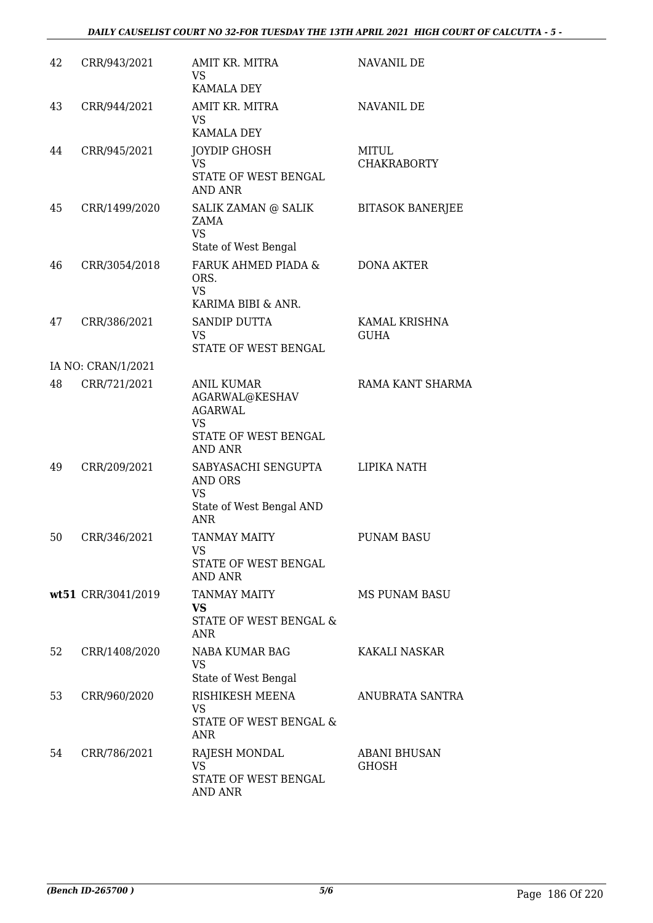## *DAILY CAUSELIST COURT NO 32-FOR TUESDAY THE 13TH APRIL 2021 HIGH COURT OF CALCUTTA - 5 -*

| 42 | CRR/943/2021       | AMIT KR. MITRA<br>VS<br><b>KAMALA DEY</b>                                                                    | NAVANIL DE                          |
|----|--------------------|--------------------------------------------------------------------------------------------------------------|-------------------------------------|
| 43 | CRR/944/2021       | AMIT KR. MITRA<br>VS<br><b>KAMALA DEY</b>                                                                    | NAVANIL DE                          |
| 44 | CRR/945/2021       | JOYDIP GHOSH<br><b>VS</b><br>STATE OF WEST BENGAL<br><b>AND ANR</b>                                          | MITUL<br><b>CHAKRABORTY</b>         |
| 45 | CRR/1499/2020      | SALIK ZAMAN @ SALIK<br>ZAMA<br><b>VS</b><br>State of West Bengal                                             | <b>BITASOK BANERJEE</b>             |
| 46 | CRR/3054/2018      | FARUK AHMED PIADA &<br>ORS.<br><b>VS</b><br>KARIMA BIBI & ANR.                                               | <b>DONA AKTER</b>                   |
| 47 | CRR/386/2021       | <b>SANDIP DUTTA</b><br><b>VS</b><br>STATE OF WEST BENGAL                                                     | KAMAL KRISHNA<br><b>GUHA</b>        |
|    | IA NO: CRAN/1/2021 |                                                                                                              |                                     |
| 48 | CRR/721/2021       | <b>ANIL KUMAR</b><br>AGARWAL@KESHAV<br><b>AGARWAL</b><br><b>VS</b><br>STATE OF WEST BENGAL<br><b>AND ANR</b> | RAMA KANT SHARMA                    |
| 49 | CRR/209/2021       | SABYASACHI SENGUPTA<br>AND ORS<br><b>VS</b><br>State of West Bengal AND<br><b>ANR</b>                        | LIPIKA NATH                         |
| 50 | CRR/346/2021       | TANMAY MAITY<br>VS<br>STATE OF WEST BENGAL<br><b>AND ANR</b>                                                 | PUNAM BASU                          |
|    | wt51 CRR/3041/2019 | <b>TANMAY MAITY</b><br>VS<br>STATE OF WEST BENGAL &<br>ANR                                                   | <b>MS PUNAM BASU</b>                |
| 52 | CRR/1408/2020      | NABA KUMAR BAG<br><b>VS</b><br>State of West Bengal                                                          | KAKALI NASKAR                       |
| 53 | CRR/960/2020       | RISHIKESH MEENA<br><b>VS</b><br>STATE OF WEST BENGAL &<br><b>ANR</b>                                         | ANUBRATA SANTRA                     |
| 54 | CRR/786/2021       | RAJESH MONDAL<br><b>VS</b><br>STATE OF WEST BENGAL<br>AND ANR                                                | <b>ABANI BHUSAN</b><br><b>GHOSH</b> |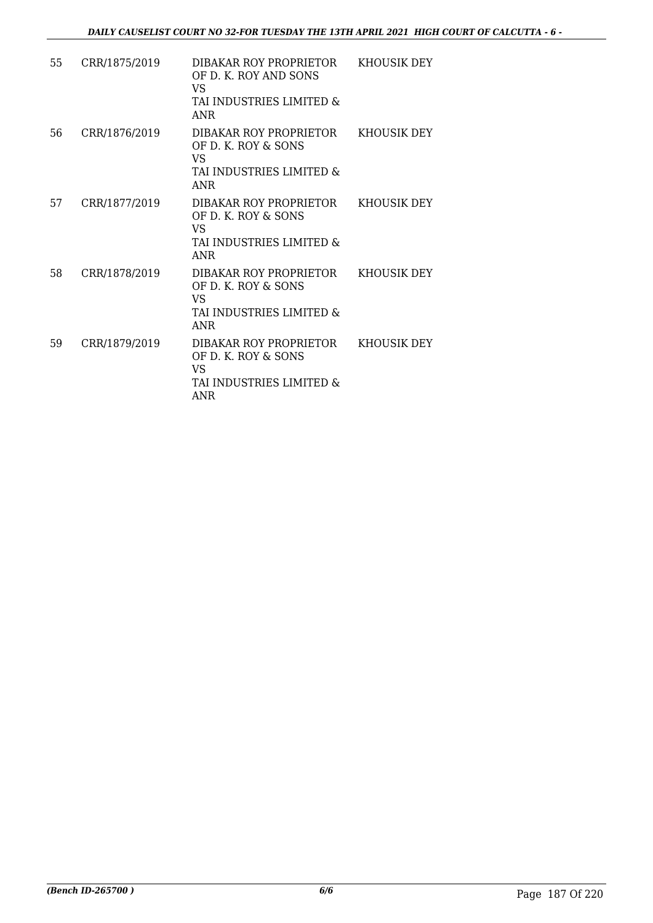| 55 | CRR/1875/2019 | DIBAKAR ROY PROPRIETOR<br>OF D. K. ROY AND SONS<br>VS<br>TAI INDUSTRIES LIMITED &<br><b>ANR</b> | KHOUSIK DEY |
|----|---------------|-------------------------------------------------------------------------------------------------|-------------|
| 56 | CRR/1876/2019 | DIBAKAR ROY PROPRIETOR<br>OF D. K. ROY & SONS<br>VS<br>TAI INDUSTRIES LIMITED &<br><b>ANR</b>   | KHOUSIK DEY |
| 57 | CRR/1877/2019 | DIBAKAR ROY PROPRIETOR<br>OF D. K. ROY & SONS<br>VS<br>TAI INDUSTRIES LIMITED &<br><b>ANR</b>   | KHOUSIK DEY |
| 58 | CRR/1878/2019 | DIBAKAR ROY PROPRIETOR<br>OF D. K. ROY & SONS<br>VS<br>TAI INDUSTRIES LIMITED &<br><b>ANR</b>   | KHOUSIK DEY |
| 59 | CRR/1879/2019 | DIBAKAR ROY PROPRIETOR<br>OF D. K. ROY & SONS<br>VS<br>TAI INDUSTRIES LIMITED &<br>ANR          | KHOUSIK DEY |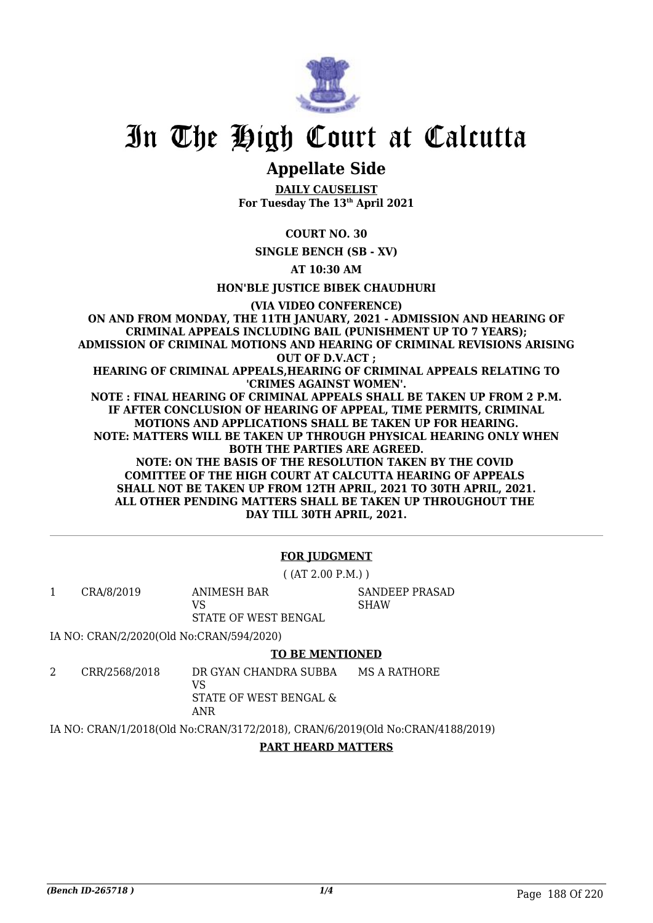

# **Appellate Side**

**DAILY CAUSELIST For Tuesday The 13th April 2021**

**COURT NO. 30**

**SINGLE BENCH (SB - XV)**

**AT 10:30 AM**

**HON'BLE JUSTICE BIBEK CHAUDHURI**

**(VIA VIDEO CONFERENCE) ON AND FROM MONDAY, THE 11TH JANUARY, 2021 - ADMISSION AND HEARING OF CRIMINAL APPEALS INCLUDING BAIL (PUNISHMENT UP TO 7 YEARS); ADMISSION OF CRIMINAL MOTIONS AND HEARING OF CRIMINAL REVISIONS ARISING OUT OF D.V.ACT ; HEARING OF CRIMINAL APPEALS,HEARING OF CRIMINAL APPEALS RELATING TO 'CRIMES AGAINST WOMEN'. NOTE : FINAL HEARING OF CRIMINAL APPEALS SHALL BE TAKEN UP FROM 2 P.M. IF AFTER CONCLUSION OF HEARING OF APPEAL, TIME PERMITS, CRIMINAL MOTIONS AND APPLICATIONS SHALL BE TAKEN UP FOR HEARING. NOTE: MATTERS WILL BE TAKEN UP THROUGH PHYSICAL HEARING ONLY WHEN BOTH THE PARTIES ARE AGREED. NOTE: ON THE BASIS OF THE RESOLUTION TAKEN BY THE COVID COMITTEE OF THE HIGH COURT AT CALCUTTA HEARING OF APPEALS SHALL NOT BE TAKEN UP FROM 12TH APRIL, 2021 TO 30TH APRIL, 2021. ALL OTHER PENDING MATTERS SHALL BE TAKEN UP THROUGHOUT THE DAY TILL 30TH APRIL, 2021.**

## **FOR JUDGMENT**

( (AT 2.00 P.M.) )

1 CRA/8/2019 ANIMESH BAR VS STATE OF WEST BENGAL

SANDEEP PRASAD SHAW

IA NO: CRAN/2/2020(Old No:CRAN/594/2020)

## **TO BE MENTIONED**

2 CRR/2568/2018 DR GYAN CHANDRA SUBBA VS MS A RATHORE

STATE OF WEST BENGAL & ANR

IA NO: CRAN/1/2018(Old No:CRAN/3172/2018), CRAN/6/2019(Old No:CRAN/4188/2019)

## **PART HEARD MATTERS**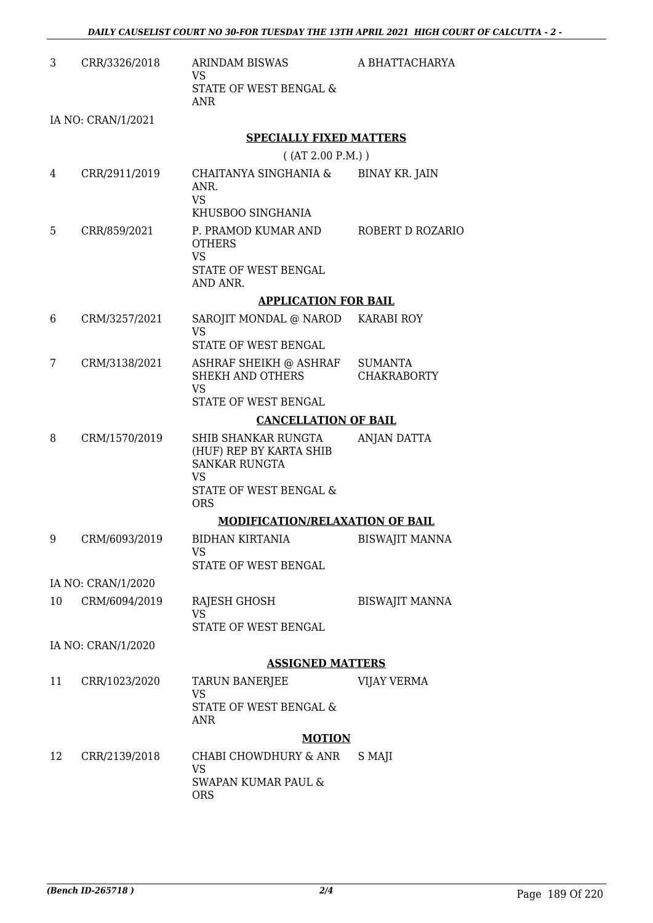A BHATTACHARYA

| 3.<br>CRR/3326/2018 | ARINDAM BISWAS<br>VS<br>STATE OF WEST BENGAL &<br>ANR |
|---------------------|-------------------------------------------------------|
|---------------------|-------------------------------------------------------|

IA NO: CRAN/1/2021

### **SPECIALLY FIXED MATTERS**

( (AT 2.00 P.M.) )

- 4 CRR/2911/2019 CHAITANYA SINGHANIA & ANR. VS KHUSBOO SINGHANIA BINAY KR. JAIN 5 CRR/859/2021 P. PRAMOD KUMAR AND **OTHERS** ROBERT D ROZARIO
	- VS STATE OF WEST BENGAL AND ANR.

### **APPLICATION FOR BAIL**

- 6 CRM/3257/2021 SAROJIT MONDAL @ NAROD VS STATE OF WEST BENGAL KARABI ROY 7 CRM/3138/2021 ASHRAF SHEIKH @ ASHRAF **SUMANTA**
- SHEKH AND OTHERS VS STATE OF WEST BENGAL **CHAKRABORTY**

### **CANCELLATION OF BAIL**

8 CRM/1570/2019 SHIB SHANKAR RUNGTA (HUF) REP BY KARTA SHIB SANKAR RUNGTA VS STATE OF WEST BENGAL & ORS ANJAN DATTA

### **MODIFICATION/RELAXATION OF BAIL**

- 9 CRM/6093/2019 BIDHAN KIRTANIA VS STATE OF WEST BENGAL BISWAJIT MANNA IA NO: CRAN/1/2020
- 10 CRM/6094/2019 RAJESH GHOSH VS STATE OF WEST BENGAL BISWAJIT MANNA

IA NO: CRAN/1/2020

### **ASSIGNED MATTERS**

11 CRR/1023/2020 TARUN BANERJEE VS STATE OF WEST BENGAL & ANR VIJAY VERMA

## **MOTION**

12 CRR/2139/2018 CHABI CHOWDHURY & ANR VS SWAPAN KUMAR PAUL & ORS S MAJI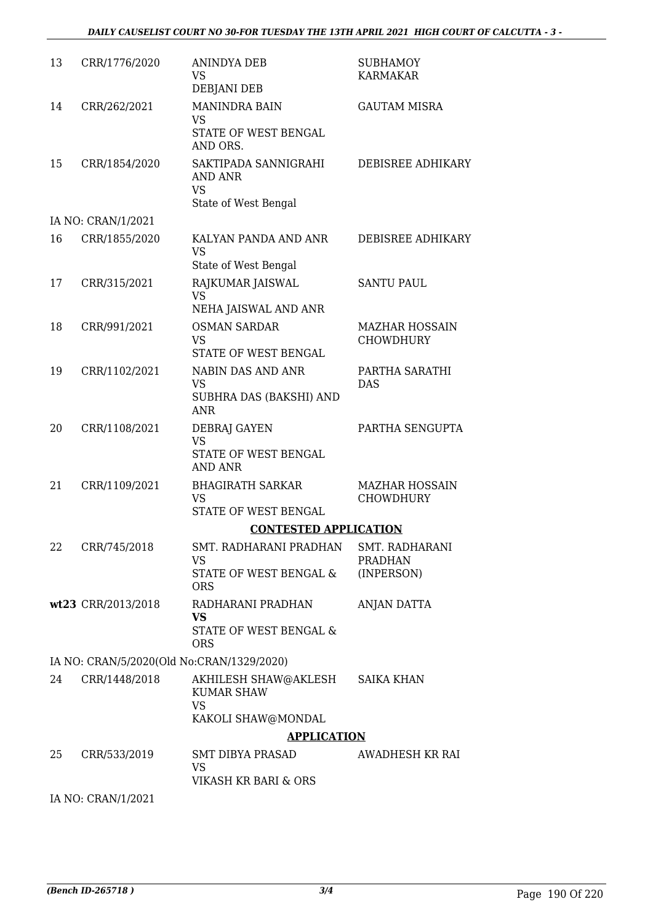## *DAILY CAUSELIST COURT NO 30-FOR TUESDAY THE 13TH APRIL 2021 HIGH COURT OF CALCUTTA - 3 -*

| 13 | CRR/1776/2020                             | ANINDYA DEB<br>VS<br>DEBJANI DEB                                        | <b>SUBHAMOY</b><br>KARMAKAR               |
|----|-------------------------------------------|-------------------------------------------------------------------------|-------------------------------------------|
| 14 | CRR/262/2021                              | <b>MANINDRA BAIN</b><br><b>VS</b><br>STATE OF WEST BENGAL<br>AND ORS.   | <b>GAUTAM MISRA</b>                       |
| 15 | CRR/1854/2020                             | SAKTIPADA SANNIGRAHI<br>AND ANR<br><b>VS</b><br>State of West Bengal    | DEBISREE ADHIKARY                         |
|    | IA NO: CRAN/1/2021                        |                                                                         |                                           |
| 16 | CRR/1855/2020                             | KALYAN PANDA AND ANR<br><b>VS</b>                                       | DEBISREE ADHIKARY                         |
|    |                                           | State of West Bengal                                                    |                                           |
| 17 | CRR/315/2021                              | RAJKUMAR JAISWAL<br><b>VS</b><br>NEHA JAISWAL AND ANR                   | <b>SANTU PAUL</b>                         |
| 18 | CRR/991/2021                              | <b>OSMAN SARDAR</b><br><b>VS</b>                                        | <b>MAZHAR HOSSAIN</b><br><b>CHOWDHURY</b> |
|    |                                           | <b>STATE OF WEST BENGAL</b>                                             |                                           |
| 19 | CRR/1102/2021                             | NABIN DAS AND ANR<br><b>VS</b><br>SUBHRA DAS (BAKSHI) AND<br><b>ANR</b> | PARTHA SARATHI<br><b>DAS</b>              |
| 20 | CRR/1108/2021                             | DEBRAJ GAYEN                                                            | PARTHA SENGUPTA                           |
|    |                                           | <b>VS</b><br>STATE OF WEST BENGAL<br><b>AND ANR</b>                     |                                           |
| 21 | CRR/1109/2021                             | <b>BHAGIRATH SARKAR</b><br><b>VS</b><br>STATE OF WEST BENGAL            | <b>MAZHAR HOSSAIN</b><br><b>CHOWDHURY</b> |
|    |                                           | <b>CONTESTED APPLICATION</b>                                            |                                           |
| 22 | CRR/745/2018                              | SMT. RADHARANI PRADHAN<br>VS                                            | SMT. RADHARANI<br><b>PRADHAN</b>          |
|    |                                           | STATE OF WEST BENGAL &<br><b>ORS</b>                                    | (INPERSON)                                |
|    | wt23 CRR/2013/2018                        | RADHARANI PRADHAN<br><b>VS</b><br>STATE OF WEST BENGAL &<br><b>ORS</b>  | <b>ANJAN DATTA</b>                        |
|    | IA NO: CRAN/5/2020(Old No:CRAN/1329/2020) |                                                                         |                                           |
| 24 | CRR/1448/2018                             | AKHILESH SHAW@AKLESH                                                    | <b>SAIKA KHAN</b>                         |
|    |                                           | <b>KUMAR SHAW</b><br><b>VS</b><br>KAKOLI SHAW@MONDAL                    |                                           |
|    |                                           | <b>APPLICATION</b>                                                      |                                           |
| 25 | CRR/533/2019                              | SMT DIBYA PRASAD<br><b>VS</b>                                           | AWADHESH KR RAI                           |
|    |                                           | VIKASH KR BARI & ORS                                                    |                                           |
|    | IA NO: CRAN/1/2021                        |                                                                         |                                           |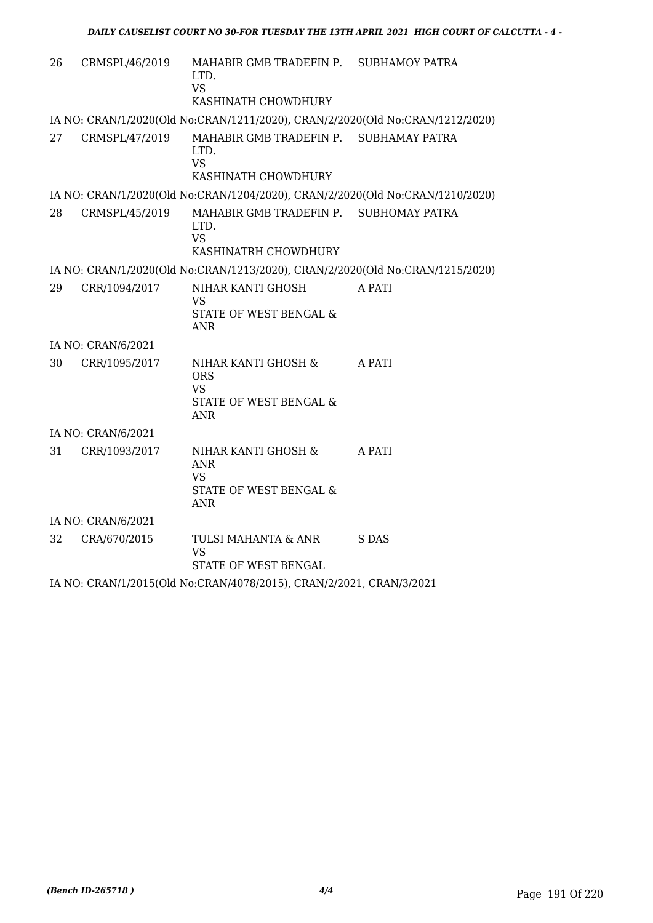| 26                                                                  | CRMSPL/46/2019     | MAHABIR GMB TRADEFIN P. SUBHAMOY PATRA<br>LTD.<br><b>VS</b><br>KASHINATH CHOWDHURY     |        |
|---------------------------------------------------------------------|--------------------|----------------------------------------------------------------------------------------|--------|
|                                                                     |                    | IA NO: CRAN/1/2020(Old No:CRAN/1211/2020), CRAN/2/2020(Old No:CRAN/1212/2020)          |        |
| 27                                                                  | CRMSPL/47/2019     | MAHABIR GMB TRADEFIN P. SUBHAMAY PATRA<br>LTD.<br><b>VS</b><br>KASHINATH CHOWDHURY     |        |
|                                                                     |                    | IA NO: CRAN/1/2020(Old No:CRAN/1204/2020), CRAN/2/2020(Old No:CRAN/1210/2020)          |        |
| 28                                                                  | CRMSPL/45/2019     | MAHABIR GMB TRADEFIN P. SUBHOMAY PATRA<br>LTD.<br><b>VS</b><br>KASHINATRH CHOWDHURY    |        |
|                                                                     |                    | IA NO: CRAN/1/2020(Old No:CRAN/1213/2020), CRAN/2/2020(Old No:CRAN/1215/2020)          |        |
| 29                                                                  | CRR/1094/2017      | NIHAR KANTI GHOSH<br><b>VS</b><br><b>STATE OF WEST BENGAL &amp;</b><br><b>ANR</b>      | A PATI |
|                                                                     | IA NO: CRAN/6/2021 |                                                                                        |        |
| 30                                                                  | CRR/1095/2017      | NIHAR KANTI GHOSH &<br><b>ORS</b><br><b>VS</b><br>STATE OF WEST BENGAL &<br><b>ANR</b> | A PATI |
|                                                                     | IA NO: CRAN/6/2021 |                                                                                        |        |
| 31                                                                  | CRR/1093/2017      | NIHAR KANTI GHOSH &<br><b>ANR</b><br><b>VS</b><br>STATE OF WEST BENGAL &<br><b>ANR</b> | A PATI |
|                                                                     | IA NO: CRAN/6/2021 |                                                                                        |        |
| 32                                                                  | CRA/670/2015       | TULSI MAHANTA & ANR<br><b>VS</b><br>STATE OF WEST BENGAL                               | S DAS  |
| IA NO: CRAN/1/2015(Old No:CRAN/4078/2015), CRAN/2/2021, CRAN/3/2021 |                    |                                                                                        |        |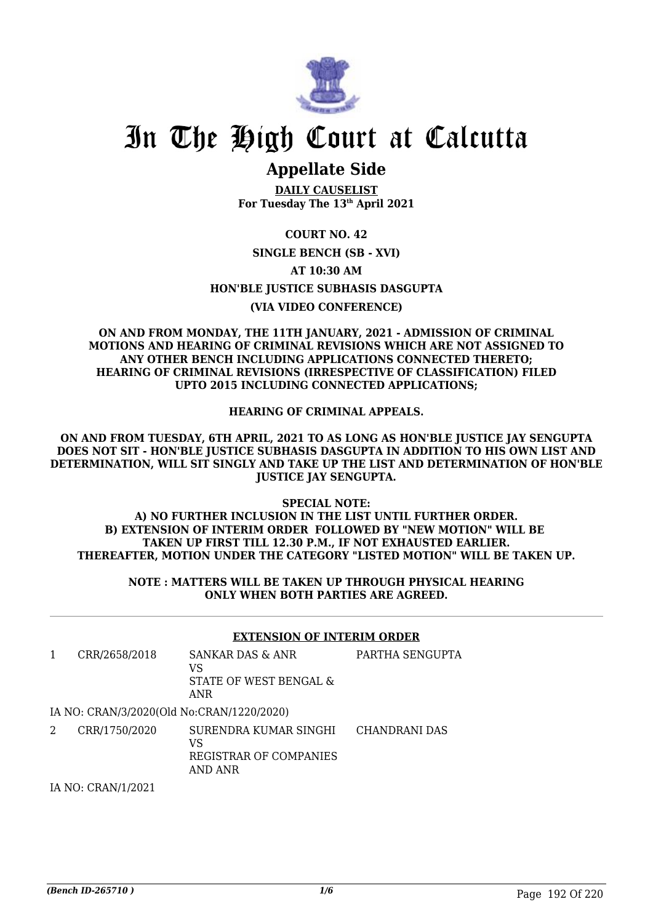

# **Appellate Side**

**DAILY CAUSELIST For Tuesday The 13th April 2021**

**COURT NO. 42 SINGLE BENCH (SB - XVI) AT 10:30 AM HON'BLE JUSTICE SUBHASIS DASGUPTA (VIA VIDEO CONFERENCE)**

**ON AND FROM MONDAY, THE 11TH JANUARY, 2021 - ADMISSION OF CRIMINAL MOTIONS AND HEARING OF CRIMINAL REVISIONS WHICH ARE NOT ASSIGNED TO ANY OTHER BENCH INCLUDING APPLICATIONS CONNECTED THERETO; HEARING OF CRIMINAL REVISIONS (IRRESPECTIVE OF CLASSIFICATION) FILED UPTO 2015 INCLUDING CONNECTED APPLICATIONS;**

**HEARING OF CRIMINAL APPEALS.**

**ON AND FROM TUESDAY, 6TH APRIL, 2021 TO AS LONG AS HON'BLE JUSTICE JAY SENGUPTA DOES NOT SIT - HON'BLE JUSTICE SUBHASIS DASGUPTA IN ADDITION TO HIS OWN LIST AND DETERMINATION, WILL SIT SINGLY AND TAKE UP THE LIST AND DETERMINATION OF HON'BLE JUSTICE JAY SENGUPTA.**

**SPECIAL NOTE: A) NO FURTHER INCLUSION IN THE LIST UNTIL FURTHER ORDER. B) EXTENSION OF INTERIM ORDER FOLLOWED BY "NEW MOTION" WILL BE TAKEN UP FIRST TILL 12.30 P.M., IF NOT EXHAUSTED EARLIER. THEREAFTER, MOTION UNDER THE CATEGORY "LISTED MOTION" WILL BE TAKEN UP.**

> **NOTE : MATTERS WILL BE TAKEN UP THROUGH PHYSICAL HEARING ONLY WHEN BOTH PARTIES ARE AGREED.**

## **EXTENSION OF INTERIM ORDER**

1 CRR/2658/2018 SANKAR DAS & ANR VS STATE OF WEST BENGAL & ANR PARTHA SENGUPTA

### IA NO: CRAN/3/2020(Old No:CRAN/1220/2020)

2 CRR/1750/2020 SURENDRA KUMAR SINGHI  $V<sub>S</sub>$ REGISTRAR OF COMPANIES AND ANR CHANDRANI DAS

IA NO: CRAN/1/2021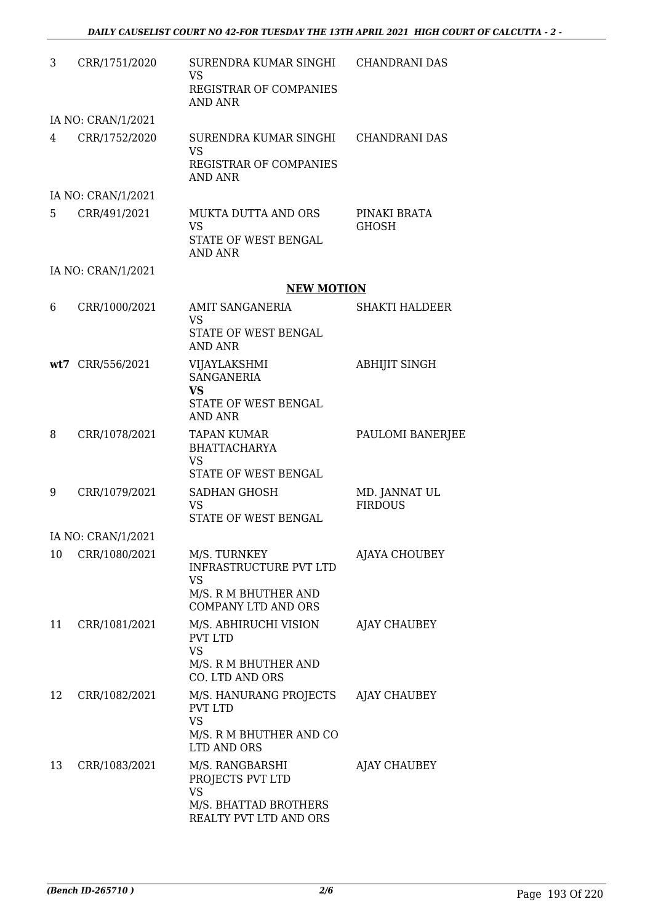| 3  | CRR/1751/2020      | SURENDRA KUMAR SINGHI<br><b>VS</b><br>REGISTRAR OF COMPANIES                                    | CHANDRANI DAS                   |
|----|--------------------|-------------------------------------------------------------------------------------------------|---------------------------------|
|    | IA NO: CRAN/1/2021 | <b>AND ANR</b>                                                                                  |                                 |
| 4  | CRR/1752/2020      | SURENDRA KUMAR SINGHI<br><b>VS</b><br><b>REGISTRAR OF COMPANIES</b><br><b>AND ANR</b>           | CHANDRANI DAS                   |
|    | IA NO: CRAN/1/2021 |                                                                                                 |                                 |
| 5  | CRR/491/2021       | <b>MUKTA DUTTA AND ORS</b><br><b>VS</b><br>STATE OF WEST BENGAL<br><b>AND ANR</b>               | PINAKI BRATA<br><b>GHOSH</b>    |
|    | IA NO: CRAN/1/2021 |                                                                                                 |                                 |
|    |                    | <b>NEW MOTION</b>                                                                               |                                 |
| 6  | CRR/1000/2021      | <b>AMIT SANGANERIA</b><br><b>VS</b><br>STATE OF WEST BENGAL<br><b>AND ANR</b>                   | <b>SHAKTI HALDEER</b>           |
|    | wt7 CRR/556/2021   | VIJAYLAKSHMI<br><b>SANGANERIA</b><br><b>VS</b>                                                  | <b>ABHIJIT SINGH</b>            |
|    |                    | STATE OF WEST BENGAL<br><b>AND ANR</b>                                                          |                                 |
| 8  | CRR/1078/2021      | <b>TAPAN KUMAR</b><br><b>BHATTACHARYA</b><br><b>VS</b><br>STATE OF WEST BENGAL                  | PAULOMI BANERJEE                |
| 9  | CRR/1079/2021      | SADHAN GHOSH<br><b>VS</b><br><b>STATE OF WEST BENGAL</b>                                        | MD. JANNAT UL<br><b>FIRDOUS</b> |
|    | IA NO: CRAN/1/2021 |                                                                                                 |                                 |
| 10 | CRR/1080/2021      | M/S. TURNKEY<br><b>INFRASTRUCTURE PVT LTD</b><br><b>VS</b><br>M/S. R M BHUTHER AND              | AJAYA CHOUBEY                   |
|    |                    | <b>COMPANY LTD AND ORS</b>                                                                      |                                 |
| 11 | CRR/1081/2021      | M/S. ABHIRUCHI VISION<br>PVT LTD<br><b>VS</b><br>M/S. R M BHUTHER AND<br>CO. LTD AND ORS        | AJAY CHAUBEY                    |
| 12 | CRR/1082/2021      | M/S. HANURANG PROJECTS<br><b>PVT LTD</b><br><b>VS</b><br>M/S. R M BHUTHER AND CO<br>LTD AND ORS | AJAY CHAUBEY                    |
| 13 | CRR/1083/2021      | M/S. RANGBARSHI<br>PROJECTS PVT LTD<br>VS<br>M/S. BHATTAD BROTHERS<br>REALTY PVT LTD AND ORS    | AJAY CHAUBEY                    |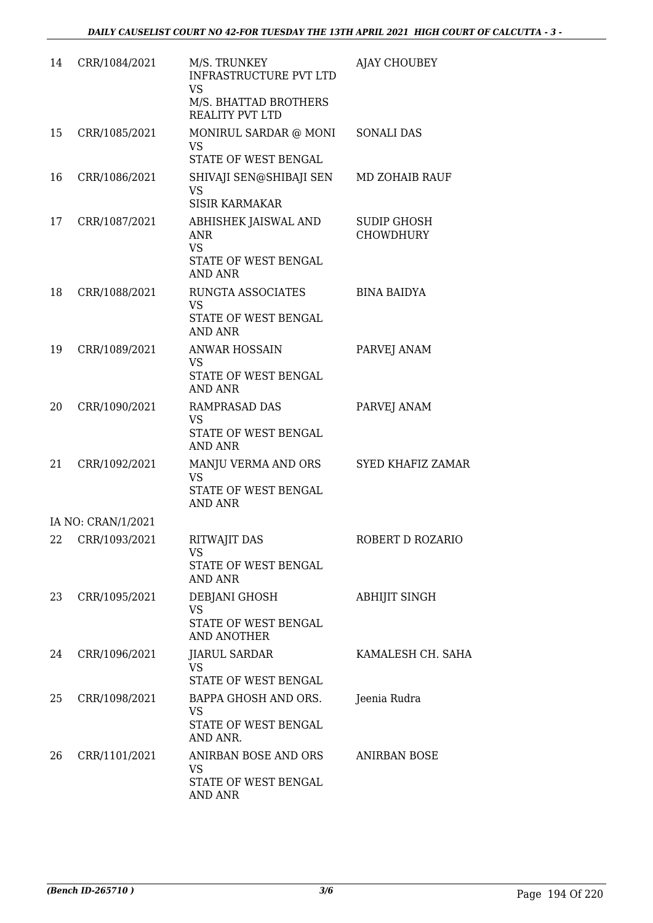| 14 | CRR/1084/2021      | M/S. TRUNKEY<br><b>INFRASTRUCTURE PVT LTD</b><br><b>VS</b><br>M/S. BHATTAD BROTHERS<br><b>REALITY PVT LTD</b> | AJAY CHOUBEY                           |
|----|--------------------|---------------------------------------------------------------------------------------------------------------|----------------------------------------|
| 15 | CRR/1085/2021      | MONIRUL SARDAR @ MONI<br><b>VS</b><br>STATE OF WEST BENGAL                                                    | <b>SONALI DAS</b>                      |
| 16 | CRR/1086/2021      | SHIVAJI SEN@SHIBAJI SEN<br><b>VS</b><br><b>SISIR KARMAKAR</b>                                                 | <b>MD ZOHAIB RAUF</b>                  |
| 17 | CRR/1087/2021      | ABHISHEK JAISWAL AND<br><b>ANR</b><br><b>VS</b><br>STATE OF WEST BENGAL<br><b>AND ANR</b>                     | <b>SUDIP GHOSH</b><br><b>CHOWDHURY</b> |
| 18 | CRR/1088/2021      | RUNGTA ASSOCIATES<br><b>VS</b><br>STATE OF WEST BENGAL<br><b>AND ANR</b>                                      | <b>BINA BAIDYA</b>                     |
| 19 | CRR/1089/2021      | <b>ANWAR HOSSAIN</b><br><b>VS</b><br>STATE OF WEST BENGAL<br><b>AND ANR</b>                                   | PARVEJ ANAM                            |
| 20 | CRR/1090/2021      | <b>RAMPRASAD DAS</b><br><b>VS</b><br>STATE OF WEST BENGAL<br><b>AND ANR</b>                                   | PARVEJ ANAM                            |
| 21 | CRR/1092/2021      | MANJU VERMA AND ORS<br><b>VS</b><br>STATE OF WEST BENGAL<br><b>AND ANR</b>                                    | SYED KHAFIZ ZAMAR                      |
|    | IA NO: CRAN/1/2021 |                                                                                                               |                                        |
|    | 22 CRR/1093/2021   | <b>RITWAJIT DAS</b><br>VS<br>STATE OF WEST BENGAL<br><b>AND ANR</b>                                           | ROBERT D ROZARIO                       |
|    | 23 CRR/1095/2021   | DEBJANI GHOSH<br><b>VS</b><br>STATE OF WEST BENGAL<br>AND ANOTHER                                             | <b>ABHIJIT SINGH</b>                   |
| 24 | CRR/1096/2021      | <b>JIARUL SARDAR</b><br><b>VS</b><br>STATE OF WEST BENGAL                                                     | KAMALESH CH. SAHA                      |
| 25 | CRR/1098/2021      | BAPPA GHOSH AND ORS.<br><b>VS</b><br>STATE OF WEST BENGAL<br>AND ANR.                                         | Jeenia Rudra                           |
| 26 | CRR/1101/2021      | ANIRBAN BOSE AND ORS<br><b>VS</b><br>STATE OF WEST BENGAL<br>AND ANR                                          | <b>ANIRBAN BOSE</b>                    |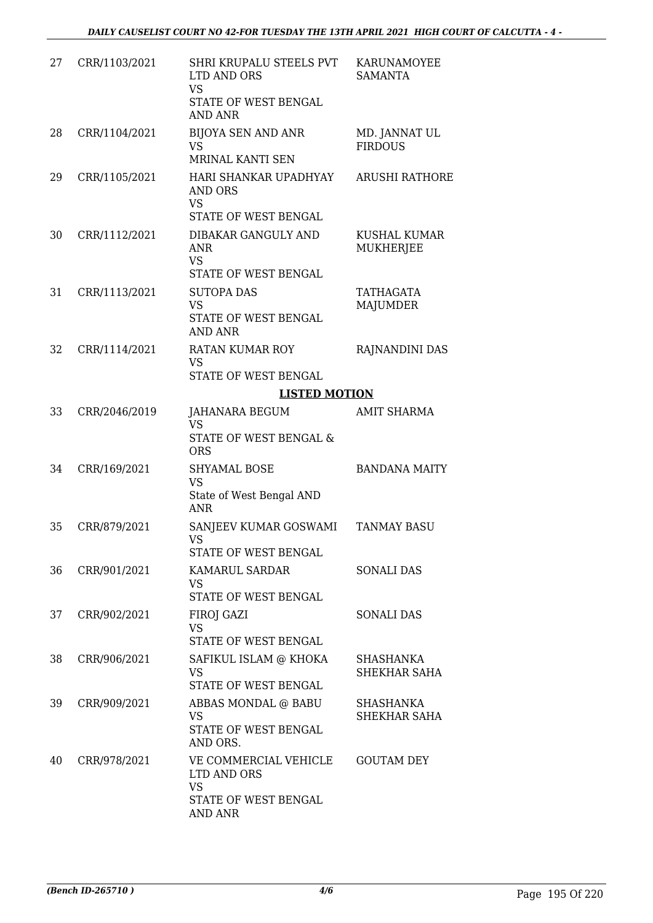| 27 | CRR/1103/2021 | SHRI KRUPALU STEELS PVT<br>LTD AND ORS<br><b>VS</b><br>STATE OF WEST BENGAL<br><b>AND ANR</b> | KARUNAMOYEE<br><b>SAMANTA</b>           |
|----|---------------|-----------------------------------------------------------------------------------------------|-----------------------------------------|
| 28 | CRR/1104/2021 | <b>BIJOYA SEN AND ANR</b><br><b>VS</b><br>MRINAL KANTI SEN                                    | MD. JANNAT UL<br><b>FIRDOUS</b>         |
| 29 | CRR/1105/2021 | HARI SHANKAR UPADHYAY<br><b>AND ORS</b><br><b>VS</b><br>STATE OF WEST BENGAL                  | <b>ARUSHI RATHORE</b>                   |
| 30 | CRR/1112/2021 | DIBAKAR GANGULY AND<br><b>ANR</b><br>VS<br>STATE OF WEST BENGAL                               | <b>KUSHAL KUMAR</b><br><b>MUKHERJEE</b> |
| 31 | CRR/1113/2021 | <b>SUTOPA DAS</b><br><b>VS</b><br>STATE OF WEST BENGAL<br><b>AND ANR</b>                      | <b>TATHAGATA</b><br><b>MAJUMDER</b>     |
| 32 | CRR/1114/2021 | <b>RATAN KUMAR ROY</b><br><b>VS</b><br>STATE OF WEST BENGAL                                   | RAJNANDINI DAS                          |
|    |               | <b>LISTED MOTION</b>                                                                          |                                         |
| 33 | CRR/2046/2019 | JAHANARA BEGUM<br><b>VS</b><br>STATE OF WEST BENGAL &<br><b>ORS</b>                           | <b>AMIT SHARMA</b>                      |
| 34 | CRR/169/2021  | <b>SHYAMAL BOSE</b><br><b>VS</b><br>State of West Bengal AND                                  | <b>BANDANA MAITY</b>                    |
| 35 | CRR/879/2021  | <b>ANR</b><br>SANJEEV KUMAR GOSWAMI<br>VS                                                     | <b>TANMAY BASU</b>                      |
|    |               | STATE OF WEST BENGAL                                                                          |                                         |
| 36 | CRR/901/2021  | KAMARUL SARDAR<br><b>VS</b><br>STATE OF WEST BENGAL                                           | <b>SONALI DAS</b>                       |
| 37 | CRR/902/2021  | FIROJ GAZI<br><b>VS</b><br>STATE OF WEST BENGAL                                               | <b>SONALI DAS</b>                       |
| 38 | CRR/906/2021  | SAFIKUL ISLAM @ KHOKA<br><b>VS</b><br>STATE OF WEST BENGAL                                    | <b>SHASHANKA</b><br><b>SHEKHAR SAHA</b> |
| 39 | CRR/909/2021  | ABBAS MONDAL @ BABU<br><b>VS</b><br>STATE OF WEST BENGAL<br>AND ORS.                          | SHASHANKA<br>SHEKHAR SAHA               |
| 40 | CRR/978/2021  | VE COMMERCIAL VEHICLE<br>LTD AND ORS<br><b>VS</b><br>STATE OF WEST BENGAL<br><b>AND ANR</b>   | <b>GOUTAM DEY</b>                       |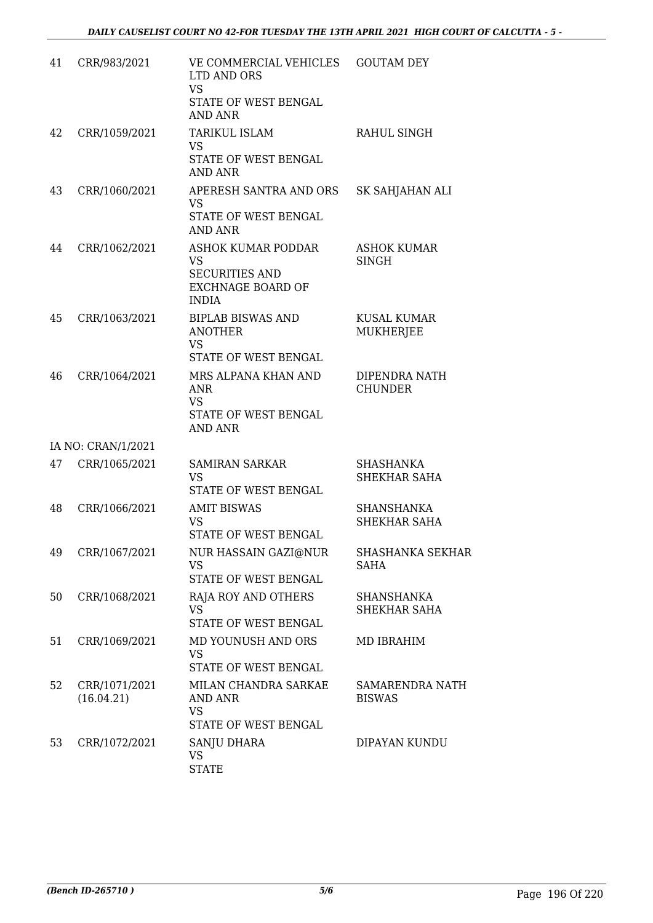| 41 | CRR/983/2021                | VE COMMERCIAL VEHICLES<br>LTD AND ORS<br><b>VS</b><br>STATE OF WEST BENGAL<br><b>AND ANR</b>         | <b>GOUTAM DEY</b>                        |
|----|-----------------------------|------------------------------------------------------------------------------------------------------|------------------------------------------|
| 42 | CRR/1059/2021               | TARIKUL ISLAM<br><b>VS</b><br>STATE OF WEST BENGAL<br><b>AND ANR</b>                                 | <b>RAHUL SINGH</b>                       |
| 43 | CRR/1060/2021               | APERESH SANTRA AND ORS<br><b>VS</b><br>STATE OF WEST BENGAL<br><b>AND ANR</b>                        | SK SAHJAHAN ALI                          |
| 44 | CRR/1062/2021               | ASHOK KUMAR PODDAR<br><b>VS</b><br><b>SECURITIES AND</b><br><b>EXCHNAGE BOARD OF</b><br><b>INDIA</b> | <b>ASHOK KUMAR</b><br><b>SINGH</b>       |
| 45 | CRR/1063/2021               | <b>BIPLAB BISWAS AND</b><br><b>ANOTHER</b><br><b>VS</b><br>STATE OF WEST BENGAL                      | <b>KUSAL KUMAR</b><br><b>MUKHERJEE</b>   |
| 46 | CRR/1064/2021               | MRS ALPANA KHAN AND<br><b>ANR</b><br><b>VS</b><br>STATE OF WEST BENGAL<br><b>AND ANR</b>             | DIPENDRA NATH<br><b>CHUNDER</b>          |
|    | IA NO: CRAN/1/2021          |                                                                                                      |                                          |
| 47 | CRR/1065/2021               | <b>SAMIRAN SARKAR</b><br><b>VS</b><br>STATE OF WEST BENGAL                                           | SHASHANKA<br>SHEKHAR SAHA                |
| 48 | CRR/1066/2021               | <b>AMIT BISWAS</b><br><b>VS</b><br><b>STATE OF WEST BENGAL</b>                                       | <b>SHANSHANKA</b><br><b>SHEKHAR SAHA</b> |
| 49 | CRR/1067/2021               | NUR HASSAIN GAZI@NUR<br><b>VS</b><br>STATE OF WEST BENGAL                                            | <b>SHASHANKA SEKHAR</b><br>SAHA          |
| 50 | CRR/1068/2021               | RAJA ROY AND OTHERS<br><b>VS</b><br>STATE OF WEST BENGAL                                             | SHANSHANKA<br><b>SHEKHAR SAHA</b>        |
| 51 | CRR/1069/2021               | MD YOUNUSH AND ORS<br><b>VS</b><br>STATE OF WEST BENGAL                                              | <b>MD IBRAHIM</b>                        |
| 52 | CRR/1071/2021<br>(16.04.21) | MILAN CHANDRA SARKAE<br>AND ANR<br><b>VS</b><br>STATE OF WEST BENGAL                                 | SAMARENDRA NATH<br><b>BISWAS</b>         |
| 53 | CRR/1072/2021               | SANJU DHARA<br><b>VS</b><br><b>STATE</b>                                                             | DIPAYAN KUNDU                            |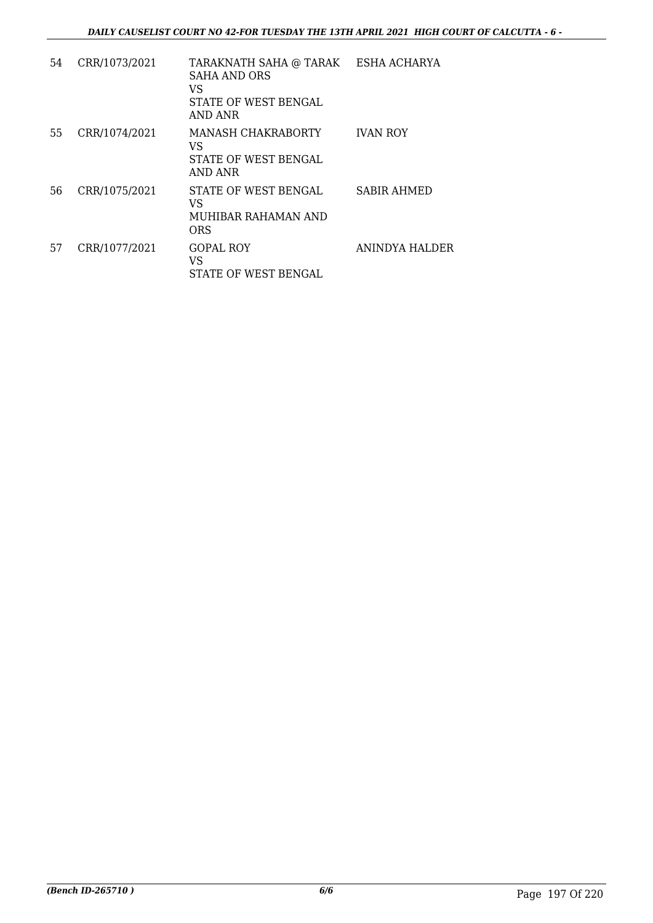| 54 | CRR/1073/2021 | TARAKNATH SAHA @ TARAK ESHA ACHARYA<br><b>SAHA AND ORS</b><br>VS<br>STATE OF WEST BENGAL<br>AND ANR |                    |
|----|---------------|-----------------------------------------------------------------------------------------------------|--------------------|
| 55 | CRR/1074/2021 | MANASH CHAKRABORTY<br>VS<br>STATE OF WEST BENGAL<br><b>AND ANR</b>                                  | <b>IVAN ROY</b>    |
| 56 | CRR/1075/2021 | STATE OF WEST BENGAL<br>VS<br>MUHIBAR RAHAMAN AND<br>ORS                                            | <b>SABIR AHMED</b> |
| 57 | CRR/1077/2021 | <b>GOPAL ROY</b><br>VS<br>STATE OF WEST BENGAL                                                      | ANINDYA HALDER     |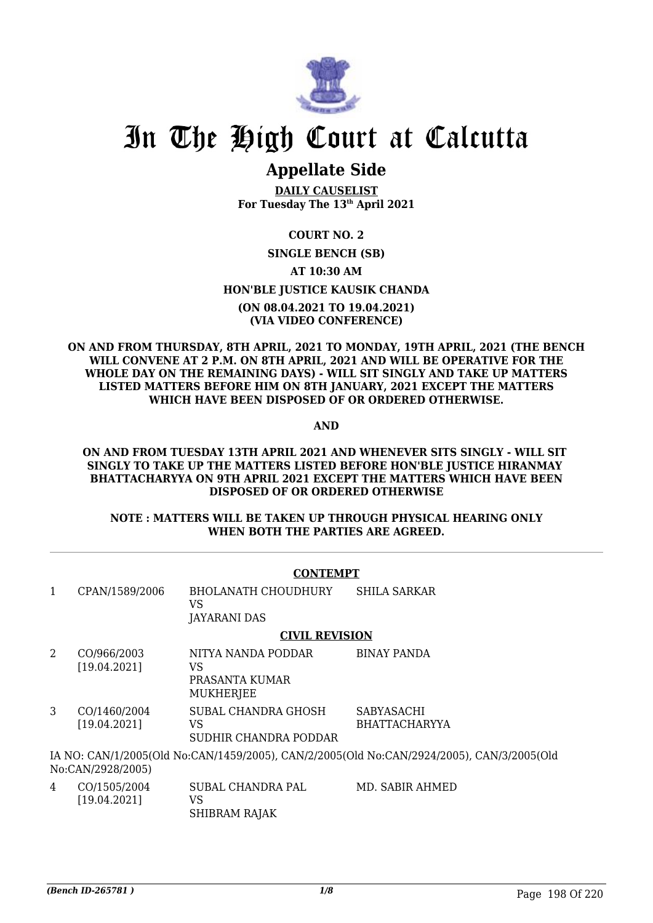

# **Appellate Side**

**DAILY CAUSELIST For Tuesday The 13th April 2021**

# **COURT NO. 2**

## **SINGLE BENCH (SB) AT 10:30 AM HON'BLE JUSTICE KAUSIK CHANDA (ON 08.04.2021 TO 19.04.2021) (VIA VIDEO CONFERENCE)**

### **ON AND FROM THURSDAY, 8TH APRIL, 2021 TO MONDAY, 19TH APRIL, 2021 (THE BENCH WILL CONVENE AT 2 P.M. ON 8TH APRIL, 2021 AND WILL BE OPERATIVE FOR THE WHOLE DAY ON THE REMAINING DAYS) - WILL SIT SINGLY AND TAKE UP MATTERS LISTED MATTERS BEFORE HIM ON 8TH JANUARY, 2021 EXCEPT THE MATTERS WHICH HAVE BEEN DISPOSED OF OR ORDERED OTHERWISE.**

**AND**

### **ON AND FROM TUESDAY 13TH APRIL 2021 AND WHENEVER SITS SINGLY - WILL SIT SINGLY TO TAKE UP THE MATTERS LISTED BEFORE HON'BLE JUSTICE HIRANMAY BHATTACHARYYA ON 9TH APRIL 2021 EXCEPT THE MATTERS WHICH HAVE BEEN DISPOSED OF OR ORDERED OTHERWISE**

## **NOTE : MATTERS WILL BE TAKEN UP THROUGH PHYSICAL HEARING ONLY WHEN BOTH THE PARTIES ARE AGREED.**

|   | <b>CONTEMPT</b>              |                                                                |                                                                                           |  |
|---|------------------------------|----------------------------------------------------------------|-------------------------------------------------------------------------------------------|--|
| 1 | CPAN/1589/2006               | <b>BHOLANATH CHOUDHURY</b><br>VS<br>JAYARANI DAS               | <b>SHILA SARKAR</b>                                                                       |  |
|   |                              | <b>CIVIL REVISION</b>                                          |                                                                                           |  |
| 2 | CO/966/2003<br>[19.04.2021]  | NITYA NANDA PODDAR<br>VS<br>PRASANTA KUMAR<br><b>MUKHERJEE</b> | <b>BINAY PANDA</b>                                                                        |  |
| 3 | CO/1460/2004<br>[19.04.2021] | SUBAL CHANDRA GHOSH<br>VS<br>SUDHIR CHANDRA PODDAR             | <b>SABYASACHI</b><br><b>BHATTACHARYYA</b>                                                 |  |
|   | No:CAN/2928/2005)            |                                                                | IA NO: CAN/1/2005(Old No:CAN/1459/2005), CAN/2/2005(Old No:CAN/2924/2005), CAN/3/2005(Old |  |
| 4 | CO/1505/2004<br>[19.04.2021] | SUBAL CHANDRA PAL<br>VS                                        | MD. SABIR AHMED                                                                           |  |

SHIBRAM RAJAK

*(Bench ID-265781 ) 1/8* Page 198 Of 220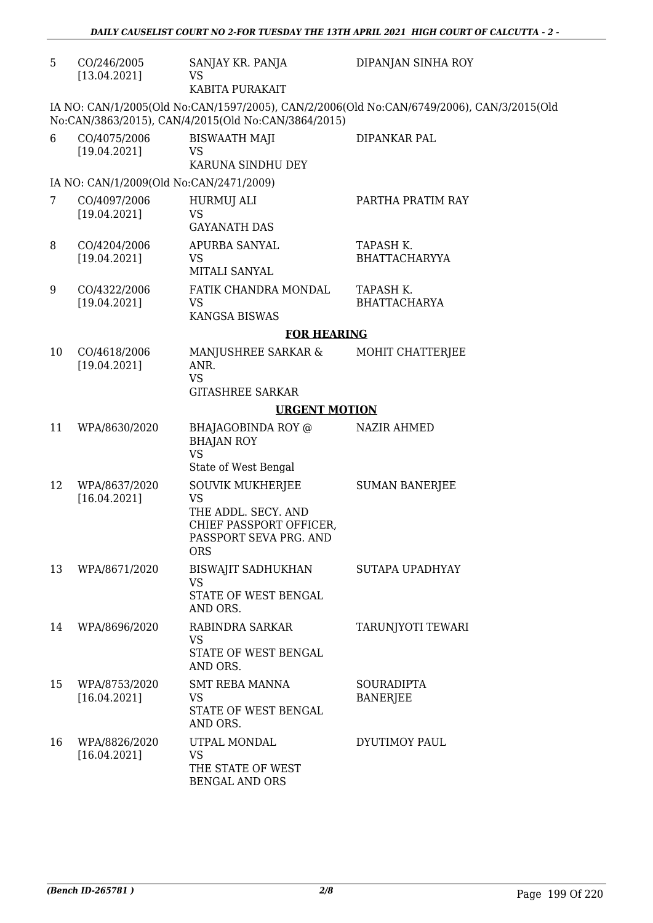| 5  | CO/246/2005<br>[13.04.2021]             | SANJAY KR. PANJA<br>VS                                                                                                         | DIPANJAN SINHA ROY                                                                        |
|----|-----------------------------------------|--------------------------------------------------------------------------------------------------------------------------------|-------------------------------------------------------------------------------------------|
|    |                                         | KABITA PURAKAIT                                                                                                                |                                                                                           |
|    |                                         | No:CAN/3863/2015), CAN/4/2015(Old No:CAN/3864/2015)                                                                            | IA NO: CAN/1/2005(Old No:CAN/1597/2005), CAN/2/2006(Old No:CAN/6749/2006), CAN/3/2015(Old |
| 6  | CO/4075/2006<br>[19.04.2021]            | <b>BISWAATH MAJI</b><br>VS<br>KARUNA SINDHU DEY                                                                                | DIPANKAR PAL                                                                              |
|    | IA NO: CAN/1/2009(Old No:CAN/2471/2009) |                                                                                                                                |                                                                                           |
| 7  | CO/4097/2006                            | HURMUJ ALI                                                                                                                     | PARTHA PRATIM RAY                                                                         |
|    | [19.04.2021]                            | <b>VS</b><br><b>GAYANATH DAS</b>                                                                                               |                                                                                           |
| 8  | CO/4204/2006<br>[19.04.2021]            | APURBA SANYAL<br>VS<br>MITALI SANYAL                                                                                           | TAPASH K.<br><b>BHATTACHARYYA</b>                                                         |
| 9  | CO/4322/2006<br>[19.04.2021]            | FATIK CHANDRA MONDAL<br><b>VS</b><br><b>KANGSA BISWAS</b>                                                                      | TAPASH K.<br><b>BHATTACHARYA</b>                                                          |
|    |                                         | <b>FOR HEARING</b>                                                                                                             |                                                                                           |
| 10 | CO/4618/2006<br>[19.04.2021]            | MANJUSHREE SARKAR &<br>ANR.<br><b>VS</b><br><b>GITASHREE SARKAR</b>                                                            | MOHIT CHATTERJEE                                                                          |
|    |                                         | <b>URGENT MOTION</b>                                                                                                           |                                                                                           |
| 11 | WPA/8630/2020                           | BHAJAGOBINDA ROY @<br><b>BHAJAN ROY</b><br><b>VS</b><br>State of West Bengal                                                   | <b>NAZIR AHMED</b>                                                                        |
| 12 | WPA/8637/2020<br>[16.04.2021]           | <b>SOUVIK MUKHERJEE</b><br><b>VS</b><br>THE ADDL. SECY. AND<br>CHIEF PASSPORT OFFICER,<br>PASSPORT SEVA PRG. AND<br><b>ORS</b> | <b>SUMAN BANERJEE</b>                                                                     |
| 13 | WPA/8671/2020                           | <b>BISWAJIT SADHUKHAN</b><br>VS<br>STATE OF WEST BENGAL<br>AND ORS.                                                            | SUTAPA UPADHYAY                                                                           |
| 14 | WPA/8696/2020                           | RABINDRA SARKAR<br><b>VS</b><br>STATE OF WEST BENGAL<br>AND ORS.                                                               | TARUNJYOTI TEWARI                                                                         |
| 15 | WPA/8753/2020<br>[16.04.2021]           | <b>SMT REBA MANNA</b><br>VS<br>STATE OF WEST BENGAL<br>AND ORS.                                                                | <b>SOURADIPTA</b><br><b>BANERJEE</b>                                                      |
| 16 | WPA/8826/2020<br>[16.04.2021]           | UTPAL MONDAL<br><b>VS</b><br>THE STATE OF WEST<br><b>BENGAL AND ORS</b>                                                        | DYUTIMOY PAUL                                                                             |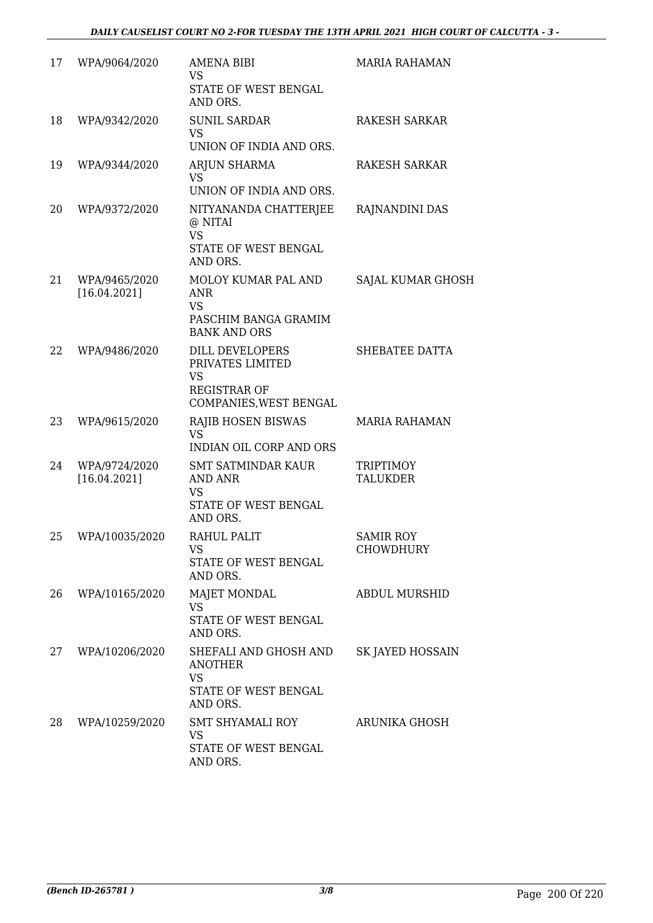| 17 | WPA/9064/2020                 | AMENA BIBI<br><b>VS</b><br>STATE OF WEST BENGAL<br>AND ORS.                                              | <b>MARIA RAHAMAN</b>                 |
|----|-------------------------------|----------------------------------------------------------------------------------------------------------|--------------------------------------|
| 18 | WPA/9342/2020                 | <b>SUNIL SARDAR</b><br><b>VS</b><br>UNION OF INDIA AND ORS.                                              | <b>RAKESH SARKAR</b>                 |
| 19 | WPA/9344/2020                 | ARJUN SHARMA<br><b>VS</b><br>UNION OF INDIA AND ORS.                                                     | <b>RAKESH SARKAR</b>                 |
| 20 | WPA/9372/2020                 | NITYANANDA CHATTERJEE<br>@ NITAI<br><b>VS</b><br>STATE OF WEST BENGAL<br>AND ORS.                        | RAJNANDINI DAS                       |
| 21 | WPA/9465/2020<br>[16.04.2021] | MOLOY KUMAR PAL AND<br><b>ANR</b><br><b>VS</b><br>PASCHIM BANGA GRAMIM<br><b>BANK AND ORS</b>            | SAJAL KUMAR GHOSH                    |
| 22 | WPA/9486/2020                 | <b>DILL DEVELOPERS</b><br>PRIVATES LIMITED<br><b>VS</b><br><b>REGISTRAR OF</b><br>COMPANIES, WEST BENGAL | SHEBATEE DATTA                       |
| 23 | WPA/9615/2020                 | RAJIB HOSEN BISWAS<br><b>VS</b><br><b>INDIAN OIL CORP AND ORS</b>                                        | <b>MARIA RAHAMAN</b>                 |
| 24 | WPA/9724/2020<br>[16.04.2021] | <b>SMT SATMINDAR KAUR</b><br><b>AND ANR</b><br>VS<br>STATE OF WEST BENGAL<br>AND ORS.                    | TRIPTIMOY<br><b>TALUKDER</b>         |
| 25 | WPA/10035/2020                | RAHUL PALIT<br>VS<br>STATE OF WEST BENGAL<br>AND ORS.                                                    | <b>SAMIR ROY</b><br><b>CHOWDHURY</b> |
| 26 | WPA/10165/2020                | <b>MAJET MONDAL</b><br><b>VS</b><br>STATE OF WEST BENGAL<br>AND ORS.                                     | <b>ABDUL MURSHID</b>                 |
| 27 | WPA/10206/2020                | SHEFALI AND GHOSH AND<br><b>ANOTHER</b><br>VS<br>STATE OF WEST BENGAL<br>AND ORS.                        | SK JAYED HOSSAIN                     |
| 28 | WPA/10259/2020                | SMT SHYAMALI ROY<br>VS<br>STATE OF WEST BENGAL<br>AND ORS.                                               | ARUNIKA GHOSH                        |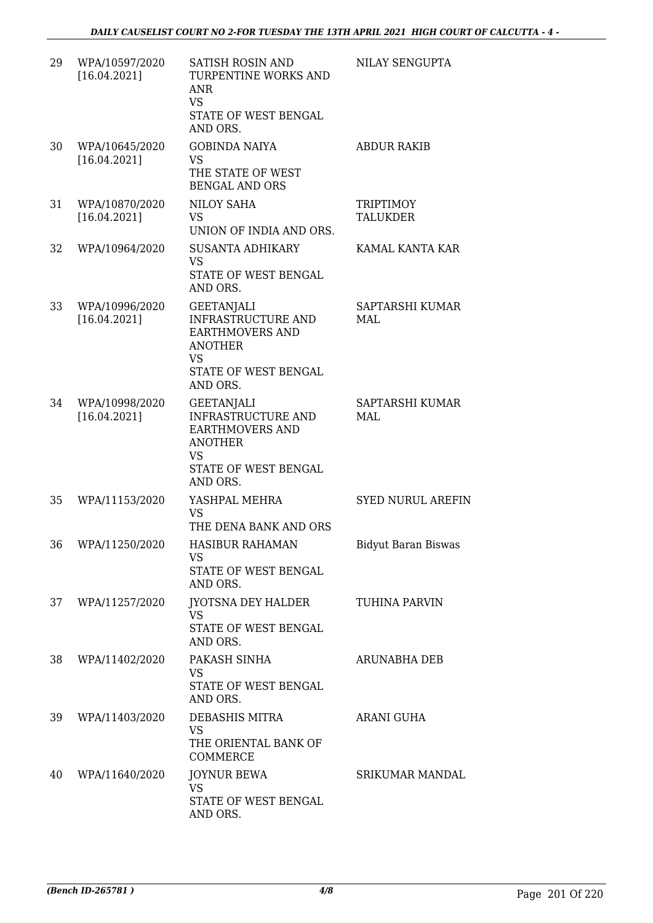| 29 | WPA/10597/2020<br>[16.04.2021] | <b>SATISH ROSIN AND</b><br>TURPENTINE WORKS AND<br>ANR<br><b>VS</b><br>STATE OF WEST BENGAL<br>AND ORS.                                     | NILAY SENGUPTA                |
|----|--------------------------------|---------------------------------------------------------------------------------------------------------------------------------------------|-------------------------------|
| 30 | WPA/10645/2020<br>[16.04.2021] | <b>GOBINDA NAIYA</b><br><b>VS</b><br>THE STATE OF WEST<br><b>BENGAL AND ORS</b>                                                             | <b>ABDUR RAKIB</b>            |
| 31 | WPA/10870/2020<br>[16.04.2021] | <b>NILOY SAHA</b><br><b>VS</b><br>UNION OF INDIA AND ORS.                                                                                   | TRIPTIMOY<br><b>TALUKDER</b>  |
| 32 | WPA/10964/2020                 | <b>SUSANTA ADHIKARY</b><br><b>VS</b><br>STATE OF WEST BENGAL<br>AND ORS.                                                                    | KAMAL KANTA KAR               |
| 33 | WPA/10996/2020<br>[16.04.2021] | <b>GEETANJALI</b><br><b>INFRASTRUCTURE AND</b><br><b>EARTHMOVERS AND</b><br><b>ANOTHER</b><br><b>VS</b><br>STATE OF WEST BENGAL<br>AND ORS. | SAPTARSHI KUMAR<br>MAL        |
| 34 | WPA/10998/2020<br>[16.04.2021] | <b>GEETANJALI</b><br>INFRASTRUCTURE AND<br><b>EARTHMOVERS AND</b><br><b>ANOTHER</b><br><b>VS</b><br>STATE OF WEST BENGAL<br>AND ORS.        | SAPTARSHI KUMAR<br><b>MAL</b> |
| 35 | WPA/11153/2020                 | YASHPAL MEHRA<br><b>VS</b><br>THE DENA BANK AND ORS                                                                                         | <b>SYED NURUL AREFIN</b>      |
| 36 | WPA/11250/2020                 | HASIBUR RAHAMAN<br>VS.<br>STATE OF WEST BENGAL<br>AND ORS.                                                                                  | Bidyut Baran Biswas           |
| 37 | WPA/11257/2020                 | JYOTSNA DEY HALDER<br>VS.<br>STATE OF WEST BENGAL<br>AND ORS.                                                                               | TUHINA PARVIN                 |
| 38 | WPA/11402/2020                 | PAKASH SINHA<br><b>VS</b><br>STATE OF WEST BENGAL<br>AND ORS.                                                                               | <b>ARUNABHA DEB</b>           |
| 39 | WPA/11403/2020                 | DEBASHIS MITRA<br>VS<br>THE ORIENTAL BANK OF<br><b>COMMERCE</b>                                                                             | ARANI GUHA                    |
| 40 | WPA/11640/2020                 | <b>JOYNUR BEWA</b><br><b>VS</b><br>STATE OF WEST BENGAL<br>AND ORS.                                                                         | <b>SRIKUMAR MANDAL</b>        |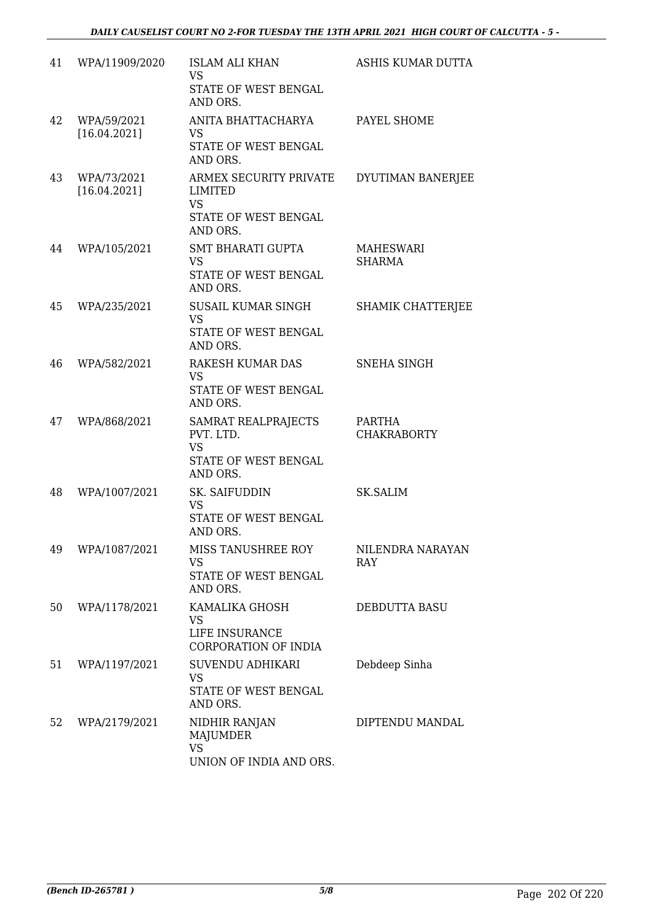| 41 | WPA/11909/2020              | <b>ISLAM ALI KHAN</b><br><b>VS</b><br>STATE OF WEST BENGAL<br>AND ORS.             | ASHIS KUMAR DUTTA                   |
|----|-----------------------------|------------------------------------------------------------------------------------|-------------------------------------|
| 42 | WPA/59/2021<br>[16.04.2021] | ANITA BHATTACHARYA<br>VS<br>STATE OF WEST BENGAL<br>AND ORS.                       | PAYEL SHOME                         |
| 43 | WPA/73/2021<br>[16.04.2021] | ARMEX SECURITY PRIVATE<br>LIMITED<br><b>VS</b><br>STATE OF WEST BENGAL<br>AND ORS. | DYUTIMAN BANERJEE                   |
| 44 | WPA/105/2021                | <b>SMT BHARATI GUPTA</b><br><b>VS</b><br>STATE OF WEST BENGAL<br>AND ORS.          | MAHESWARI<br><b>SHARMA</b>          |
| 45 | WPA/235/2021                | SUSAIL KUMAR SINGH<br><b>VS</b><br>STATE OF WEST BENGAL<br>AND ORS.                | SHAMIK CHATTERJEE                   |
| 46 | WPA/582/2021                | RAKESH KUMAR DAS<br><b>VS</b><br>STATE OF WEST BENGAL<br>AND ORS.                  | <b>SNEHA SINGH</b>                  |
| 47 | WPA/868/2021                | SAMRAT REALPRAJECTS<br>PVT. LTD.<br><b>VS</b><br>STATE OF WEST BENGAL<br>AND ORS.  | <b>PARTHA</b><br><b>CHAKRABORTY</b> |
| 48 | WPA/1007/2021               | SK. SAIFUDDIN<br><b>VS</b><br>STATE OF WEST BENGAL<br>AND ORS.                     | <b>SK.SALIM</b>                     |
| 49 | WPA/1087/2021               | MISS TANUSHREE ROY<br><b>VS</b><br>STATE OF WEST BENGAL<br>AND ORS.                | NILENDRA NARAYAN<br>RAY             |
| 50 | WPA/1178/2021               | KAMALIKA GHOSH<br>VS<br>LIFE INSURANCE<br>CORPORATION OF INDIA                     | DEBDUTTA BASU                       |
| 51 | WPA/1197/2021               | <b>SUVENDU ADHIKARI</b><br>VS<br>STATE OF WEST BENGAL<br>AND ORS.                  | Debdeep Sinha                       |
| 52 | WPA/2179/2021               | NIDHIR RANJAN<br>MAJUMDER<br><b>VS</b><br>UNION OF INDIA AND ORS.                  | DIPTENDU MANDAL                     |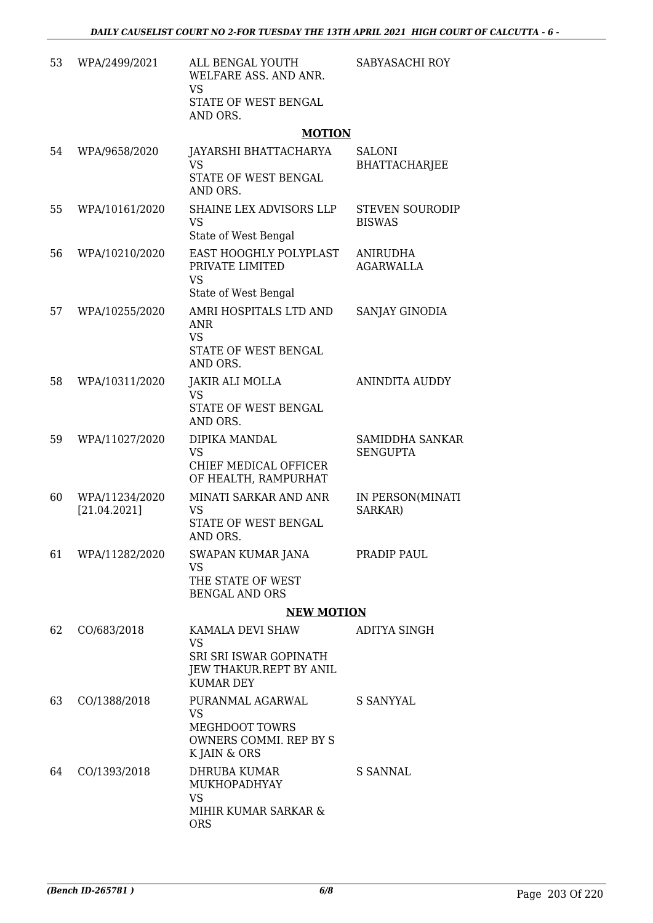| 53 | WPA/2499/2021                  | ALL BENGAL YOUTH<br>WELFARE ASS. AND ANR.<br><b>VS</b>                                                        | SABYASACHI ROY                          |
|----|--------------------------------|---------------------------------------------------------------------------------------------------------------|-----------------------------------------|
|    |                                | STATE OF WEST BENGAL<br>AND ORS.                                                                              |                                         |
|    |                                | <b>MOTION</b>                                                                                                 |                                         |
| 54 | WPA/9658/2020                  | JAYARSHI BHATTACHARYA<br><b>VS</b><br>STATE OF WEST BENGAL<br>AND ORS.                                        | <b>SALONI</b><br><b>BHATTACHARJEE</b>   |
| 55 | WPA/10161/2020                 | SHAINE LEX ADVISORS LLP<br><b>VS</b><br>State of West Bengal                                                  | <b>STEVEN SOURODIP</b><br><b>BISWAS</b> |
| 56 | WPA/10210/2020                 | EAST HOOGHLY POLYPLAST<br>PRIVATE LIMITED<br><b>VS</b>                                                        | <b>ANIRUDHA</b><br><b>AGARWALLA</b>     |
| 57 | WPA/10255/2020                 | State of West Bengal<br>AMRI HOSPITALS LTD AND<br><b>ANR</b><br><b>VS</b><br>STATE OF WEST BENGAL<br>AND ORS. | SANJAY GINODIA                          |
| 58 | WPA/10311/2020                 | <b>JAKIR ALI MOLLA</b><br><b>VS</b><br>STATE OF WEST BENGAL<br>AND ORS.                                       | <b>ANINDITA AUDDY</b>                   |
| 59 | WPA/11027/2020                 | DIPIKA MANDAL<br><b>VS</b><br>CHIEF MEDICAL OFFICER<br>OF HEALTH, RAMPURHAT                                   | SAMIDDHA SANKAR<br><b>SENGUPTA</b>      |
| 60 | WPA/11234/2020<br>[21.04.2021] | MINATI SARKAR AND ANR<br>VS<br>STATE OF WEST BENGAL<br>AND ORS.                                               | IN PERSON(MINATI<br>SARKAR)             |
| 61 | WPA/11282/2020                 | SWAPAN KUMAR JANA<br><b>VS</b><br>THE STATE OF WEST<br><b>BENGAL AND ORS</b>                                  | PRADIP PAUL                             |
|    |                                | <b>NEW MOTION</b>                                                                                             |                                         |
| 62 | CO/683/2018                    | KAMALA DEVI SHAW<br>VS<br>SRI SRI ISWAR GOPINATH<br>JEW THAKUR.REPT BY ANIL<br><b>KUMAR DEY</b>               | ADITYA SINGH                            |
| 63 | CO/1388/2018                   | PURANMAL AGARWAL<br><b>VS</b><br><b>MEGHDOOT TOWRS</b><br>OWNERS COMMI. REP BY S<br>K JAIN & ORS              | S SANYYAL                               |
| 64 | CO/1393/2018                   | DHRUBA KUMAR<br>MUKHOPADHYAY<br><b>VS</b><br>MIHIR KUMAR SARKAR &<br><b>ORS</b>                               | S SANNAL                                |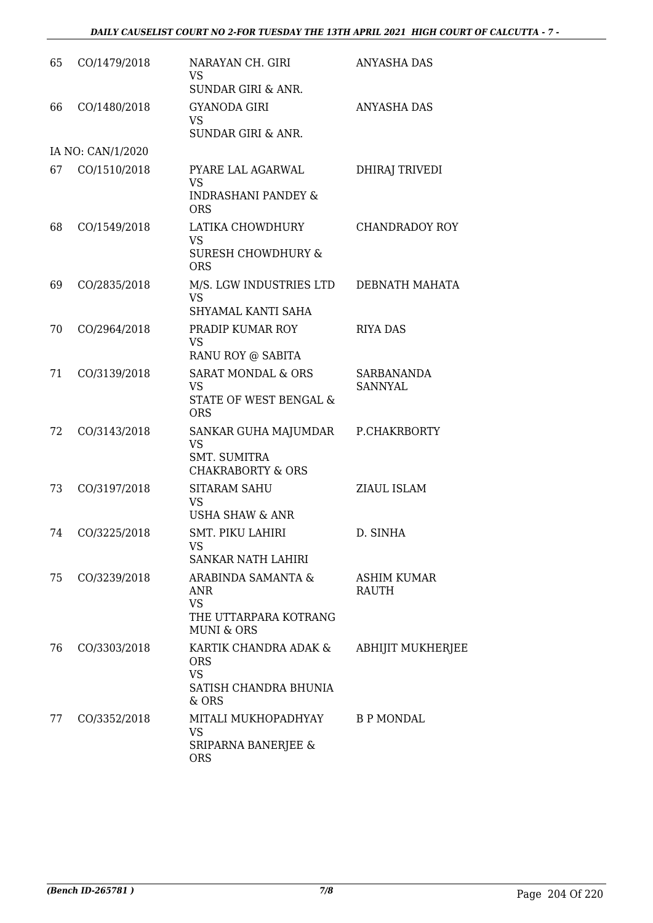| 65 | CO/1479/2018      | NARAYAN CH. GIRI<br><b>VS</b><br><b>SUNDAR GIRI &amp; ANR.</b>                           | <b>ANYASHA DAS</b>                 |
|----|-------------------|------------------------------------------------------------------------------------------|------------------------------------|
| 66 | CO/1480/2018      | <b>GYANODA GIRI</b><br><b>VS</b><br><b>SUNDAR GIRI &amp; ANR.</b>                        | <b>ANYASHA DAS</b>                 |
|    | IA NO: CAN/1/2020 |                                                                                          |                                    |
| 67 | CO/1510/2018      | PYARE LAL AGARWAL<br><b>VS</b><br><b>INDRASHANI PANDEY &amp;</b>                         | DHIRAJ TRIVEDI                     |
| 68 | CO/1549/2018      | <b>ORS</b><br>LATIKA CHOWDHURY<br><b>VS</b>                                              | CHANDRADOY ROY                     |
|    |                   | <b>SURESH CHOWDHURY &amp;</b><br><b>ORS</b>                                              |                                    |
| 69 | CO/2835/2018      | M/S. LGW INDUSTRIES LTD<br><b>VS</b>                                                     | DEBNATH MAHATA                     |
|    |                   | SHYAMAL KANTI SAHA                                                                       |                                    |
| 70 | CO/2964/2018      | PRADIP KUMAR ROY<br><b>VS</b><br>RANU ROY @ SABITA                                       | <b>RIYA DAS</b>                    |
| 71 | CO/3139/2018      | <b>SARAT MONDAL &amp; ORS</b><br><b>VS</b><br>STATE OF WEST BENGAL &<br><b>ORS</b>       | SARBANANDA<br><b>SANNYAL</b>       |
| 72 | CO/3143/2018      | SANKAR GUHA MAJUMDAR<br><b>VS</b><br><b>SMT. SUMITRA</b><br><b>CHAKRABORTY &amp; ORS</b> | P.CHAKRBORTY                       |
| 73 | CO/3197/2018      | <b>SITARAM SAHU</b><br><b>VS</b><br>USHA SHAW & ANR                                      | ZIAUL ISLAM                        |
| 74 | CO/3225/2018      | SMT. PIKU LAHIRI<br>VS<br><b>SANKAR NATH LAHIRI</b>                                      | D. SINHA                           |
| 75 | CO/3239/2018      | ARABINDA SAMANTA &<br>ANR<br><b>VS</b><br>THE UTTARPARA KOTRANG<br><b>MUNI &amp; ORS</b> | <b>ASHIM KUMAR</b><br><b>RAUTH</b> |
| 76 | CO/3303/2018      | KARTIK CHANDRA ADAK &<br><b>ORS</b><br><b>VS</b><br>SATISH CHANDRA BHUNIA                | <b>ABHIJIT MUKHERJEE</b>           |
| 77 | CO/3352/2018      | & ORS<br>MITALI MUKHOPADHYAY<br><b>VS</b><br>SRIPARNA BANERJEE &<br><b>ORS</b>           | <b>B P MONDAL</b>                  |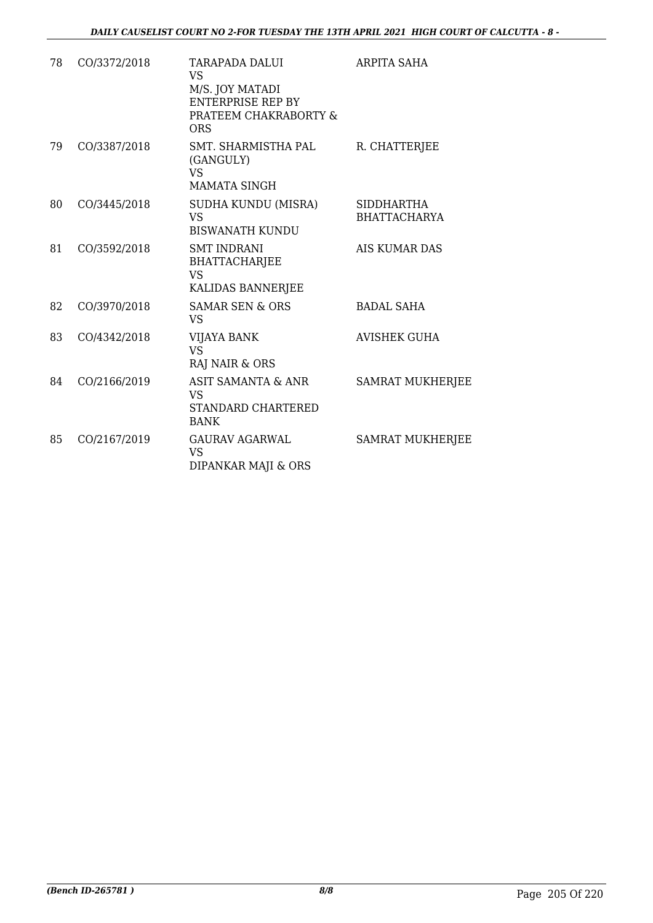| 78 | CO/3372/2018 | <b>TARAPADA DALUI</b><br><b>VS</b><br>M/S. JOY MATADI<br><b>ENTERPRISE REP BY</b><br>PRATEEM CHAKRABORTY &<br><b>ORS</b> | <b>ARPITA SAHA</b>                       |
|----|--------------|--------------------------------------------------------------------------------------------------------------------------|------------------------------------------|
| 79 | CO/3387/2018 | SMT. SHARMISTHA PAL<br>(GANGULY)<br><b>VS</b><br><b>MAMATA SINGH</b>                                                     | R. CHATTERJEE                            |
| 80 | CO/3445/2018 | SUDHA KUNDU (MISRA)<br><b>VS</b><br><b>BISWANATH KUNDU</b>                                                               | <b>SIDDHARTHA</b><br><b>BHATTACHARYA</b> |
| 81 | CO/3592/2018 | <b>SMT INDRANI</b><br>BHATTACHARJEE<br><b>VS</b><br>KALIDAS BANNERJEE                                                    | <b>AIS KUMAR DAS</b>                     |
| 82 | CO/3970/2018 | <b>SAMAR SEN &amp; ORS</b><br><b>VS</b>                                                                                  | <b>BADAL SAHA</b>                        |
| 83 | CO/4342/2018 | VIJAYA BANK<br><b>VS</b><br>RAJ NAIR & ORS                                                                               | <b>AVISHEK GUHA</b>                      |
| 84 | CO/2166/2019 | <b>ASIT SAMANTA &amp; ANR</b><br><b>VS</b><br><b>STANDARD CHARTERED</b><br><b>BANK</b>                                   | <b>SAMRAT MUKHERJEE</b>                  |
| 85 | CO/2167/2019 | <b>GAURAV AGARWAL</b><br>VS<br>DIPANKAR MAJI & ORS                                                                       | <b>SAMRAT MUKHERJEE</b>                  |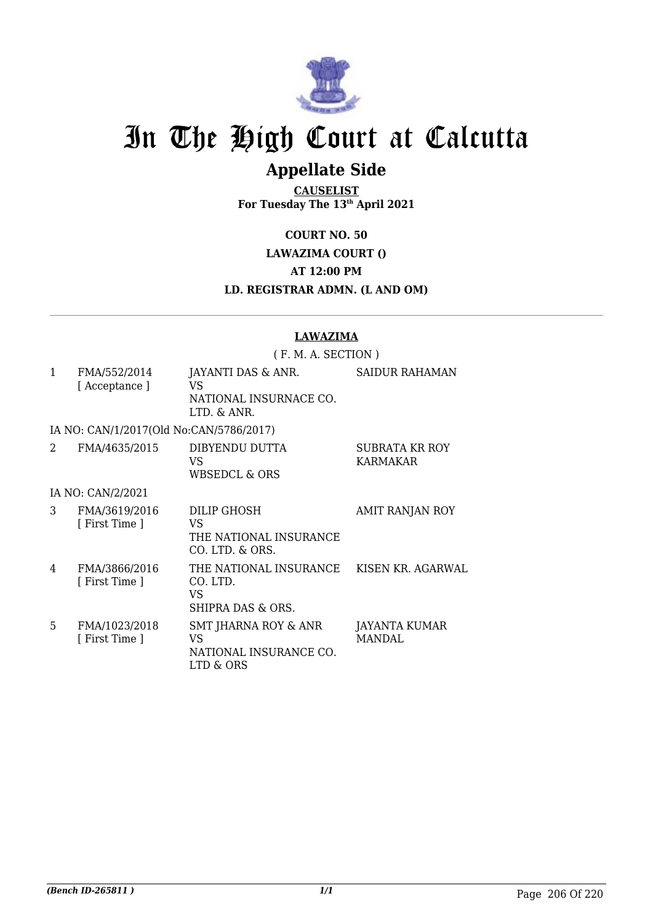

# **Appellate Side**

**CAUSELIST For Tuesday The 13th April 2021**

**COURT NO. 50**

**LAWAZIMA COURT ()**

**AT 12:00 PM**

**LD. REGISTRAR ADMN. (L AND OM)**

|              |                                         | <b>LAWAZIMA</b><br>(F. M. A. SECTION)                                  |                                       |  |
|--------------|-----------------------------------------|------------------------------------------------------------------------|---------------------------------------|--|
|              |                                         |                                                                        |                                       |  |
| $\mathbf{1}$ | FMA/552/2014<br>[Acceptance]            | JAYANTI DAS & ANR.<br>VS<br>NATIONAL INSURNACE CO.<br>$I.TD.$ & $ANR.$ | <b>SAIDUR RAHAMAN</b>                 |  |
|              | IA NO: CAN/1/2017(Old No:CAN/5786/2017) |                                                                        |                                       |  |
| 2            | FMA/4635/2015                           | DIBYENDU DUTTA<br>VS<br><b>WBSEDCL &amp; ORS</b>                       | SUBRATA KR ROY<br>KARMAKAR            |  |
|              | IA NO: CAN/2/2021                       |                                                                        |                                       |  |
| 3            | FMA/3619/2016<br>[ First Time ]         | <b>DILIP GHOSH</b><br>VS.<br>THE NATIONAL INSURANCE<br>CO. LTD. & ORS. | AMIT RANJAN ROY                       |  |
| 4            | FMA/3866/2016<br>[ First Time ]         | THE NATIONAL INSURANCE<br>CO. LTD.<br>VS<br>SHIPRA DAS & ORS.          | KISEN KR. AGARWAL                     |  |
| 5            | FMA/1023/2018<br>[ First Time ]         | SMT JHARNA ROY & ANR<br>VS<br>NATIONAL INSURANCE CO.<br>LTD & ORS      | <b>JAYANTA KUMAR</b><br><b>MANDAL</b> |  |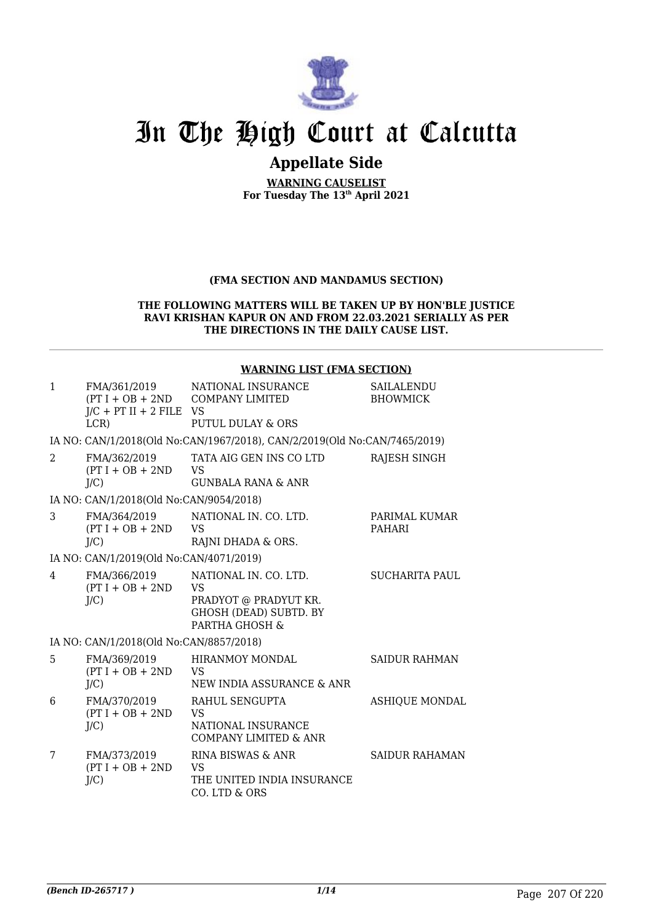

# **Appellate Side**

**WARNING CAUSELIST For Tuesday The 13th April 2021**

#### **(FMA SECTION AND MANDAMUS SECTION)**

#### **THE FOLLOWING MATTERS WILL BE TAKEN UP BY HON'BLE JUSTICE RAVI KRISHAN KAPUR ON AND FROM 22.03.2021 SERIALLY AS PER THE DIRECTIONS IN THE DAILY CAUSE LIST.**

#### **WARNING LIST (FMA SECTION)**

| $\mathbf{1}$  | FMA/361/2019<br>$J/C$ + PT II + 2 FILE VS<br>$LCR$ ) | NATIONAL INSURANCE<br>(PT I + OB + 2ND COMPANY LIMITED<br>PUTUL DULAY & ORS                                    | SAILALENDU<br><b>BHOWMICK</b>  |
|---------------|------------------------------------------------------|----------------------------------------------------------------------------------------------------------------|--------------------------------|
|               |                                                      | IA NO: CAN/1/2018(Old No:CAN/1967/2018), CAN/2/2019(Old No:CAN/7465/2019)                                      |                                |
| $\mathcal{L}$ | FMA/362/2019<br>$(PT I + OB + 2ND$<br>$J/C$ )        | TATA AIG GEN INS CO LTD<br><b>VS</b><br><b>GUNBALA RANA &amp; ANR</b>                                          | RAJESH SINGH                   |
|               | IA NO: CAN/1/2018(Old No:CAN/9054/2018)              |                                                                                                                |                                |
| 3             | FMA/364/2019<br>$(PT I + OB + 2ND$<br>$J/C$ )        | NATIONAL IN. CO. LTD.<br><b>VS</b><br>RAJNI DHADA & ORS.                                                       | PARIMAL KUMAR<br><b>PAHARI</b> |
|               | IA NO: CAN/1/2019(Old No:CAN/4071/2019)              |                                                                                                                |                                |
| 4             | FMA/366/2019<br>$(PT I + OB + 2ND$<br>$J/C$ )        | NATIONAL IN. CO. LTD.<br><b>VS</b><br>PRADYOT @ PRADYUT KR.<br><b>GHOSH (DEAD) SUBTD. BY</b><br>PARTHA GHOSH & | <b>SUCHARITA PAUL</b>          |
|               | IA NO: CAN/1/2018(Old No:CAN/8857/2018)              |                                                                                                                |                                |
| 5             | FMA/369/2019<br>$(PT I + OB + 2ND$<br>J/C            | HIRANMOY MONDAL<br><b>VS</b><br>NEW INDIA ASSURANCE & ANR                                                      | <b>SAIDUR RAHMAN</b>           |
| 6             | FMA/370/2019<br>$(PT I + OB + 2ND$<br>J/C            | RAHUL SENGUPTA<br><b>VS</b><br>NATIONAL INSURANCE<br><b>COMPANY LIMITED &amp; ANR</b>                          | <b>ASHIQUE MONDAL</b>          |
| 7             | FMA/373/2019<br>$(PT I + OB + 2ND$<br>$J/C$ )        | RINA BISWAS & ANR<br><b>VS</b><br>THE UNITED INDIA INSURANCE<br>CO. LTD & ORS                                  | <b>SAIDUR RAHAMAN</b>          |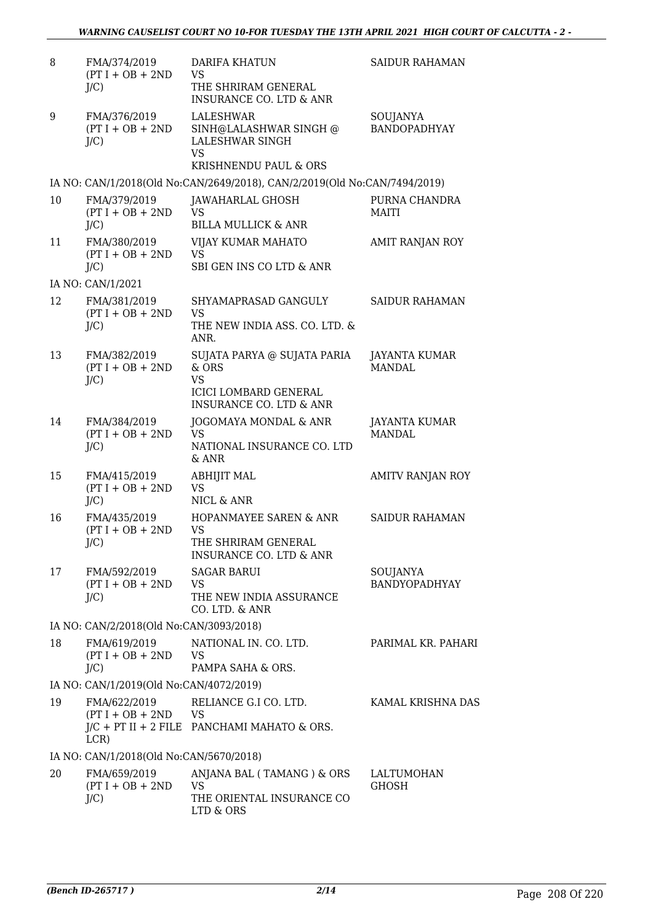| 8  | FMA/374/2019<br>$(PT I + OB + 2ND$<br>$J/C$ ) | <b>DARIFA KHATUN</b><br><b>VS</b><br>THE SHRIRAM GENERAL<br><b>INSURANCE CO. LTD &amp; ANR</b>                          | <b>SAIDUR RAHAMAN</b>            |
|----|-----------------------------------------------|-------------------------------------------------------------------------------------------------------------------------|----------------------------------|
| 9  | FMA/376/2019<br>$(PT I + OB + 2ND$<br>$J/C$ ) | LALESHWAR<br>SINH@LALASHWAR SINGH @<br>LALESHWAR SINGH<br><b>VS</b><br>KRISHNENDU PAUL & ORS                            | SOUJANYA<br><b>BANDOPADHYAY</b>  |
|    |                                               | IA NO: CAN/1/2018(Old No:CAN/2649/2018), CAN/2/2019(Old No:CAN/7494/2019)                                               |                                  |
| 10 | FMA/379/2019<br>$(PT I + OB + 2ND$<br>$J/C$ ) | <b>JAWAHARLAL GHOSH</b><br>VS<br><b>BILLA MULLICK &amp; ANR</b>                                                         | PURNA CHANDRA<br><b>MAITI</b>    |
| 11 | FMA/380/2019<br>$(PT I + OB + 2ND$<br>$J/C$ ) | VIJAY KUMAR MAHATO<br><b>VS</b><br>SBI GEN INS CO LTD & ANR                                                             | AMIT RANJAN ROY                  |
|    | IA NO: CAN/1/2021                             |                                                                                                                         |                                  |
| 12 | FMA/381/2019<br>$(PT I + OB + 2ND$<br>$J/C$ ) | SHYAMAPRASAD GANGULY<br><b>VS</b><br>THE NEW INDIA ASS. CO. LTD. &<br>ANR.                                              | SAIDUR RAHAMAN                   |
| 13 | FMA/382/2019<br>$(PT I + OB + 2ND$<br>$J/C$ ) | SUJATA PARYA @ SUJATA PARIA<br>& ORS<br><b>VS</b><br><b>ICICI LOMBARD GENERAL</b><br><b>INSURANCE CO. LTD &amp; ANR</b> | JAYANTA KUMAR<br><b>MANDAL</b>   |
| 14 | FMA/384/2019<br>$(PT I + OB + 2ND$<br>$J/C$ ) | JOGOMAYA MONDAL & ANR<br><b>VS</b><br>NATIONAL INSURANCE CO. LTD<br>& ANR                                               | JAYANTA KUMAR<br><b>MANDAL</b>   |
| 15 | FMA/415/2019<br>$(PT I + OB + 2ND$<br>$J/C$ ) | <b>ABHIJIT MAL</b><br><b>VS</b><br>NICL & ANR                                                                           | <b>AMITV RANJAN ROY</b>          |
| 16 | FMA/435/2019<br>$(PT I + OB + 2ND$<br>$J/C$ ) | HOPANMAYEE SAREN & ANR<br><b>VS</b><br>THE SHRIRAM GENERAL<br><b>INSURANCE CO. LTD &amp; ANR</b>                        | <b>SAIDUR RAHAMAN</b>            |
| 17 | FMA/592/2019<br>$(PT I + OB + 2ND$<br>$J/C$ ) | <b>SAGAR BARUI</b><br><b>VS</b><br>THE NEW INDIA ASSURANCE<br>CO. LTD. & ANR                                            | SOUJANYA<br><b>BANDYOPADHYAY</b> |
|    | IA NO: CAN/2/2018(Old No:CAN/3093/2018)       |                                                                                                                         |                                  |
| 18 | FMA/619/2019<br>$(PT I + OB + 2ND$<br>$J/C$ ) | NATIONAL IN. CO. LTD.<br><b>VS</b><br>PAMPA SAHA & ORS.                                                                 | PARIMAL KR. PAHARI               |
|    | IA NO: CAN/1/2019(Old No:CAN/4072/2019)       |                                                                                                                         |                                  |
| 19 | FMA/622/2019<br>$(PT I + OB + 2ND$ VS<br>LCR) | RELIANCE G.I CO. LTD.<br>$J/C$ + PT II + 2 FILE PANCHAMI MAHATO & ORS.                                                  | KAMAL KRISHNA DAS                |
|    | IA NO: CAN/1/2018(Old No:CAN/5670/2018)       |                                                                                                                         |                                  |
| 20 | FMA/659/2019<br>$(PT I + OB + 2ND$<br>$J/C$ ) | ANJANA BAL (TAMANG) & ORS<br><b>VS</b><br>THE ORIENTAL INSURANCE CO<br>LTD & ORS                                        | LALTUMOHAN<br><b>GHOSH</b>       |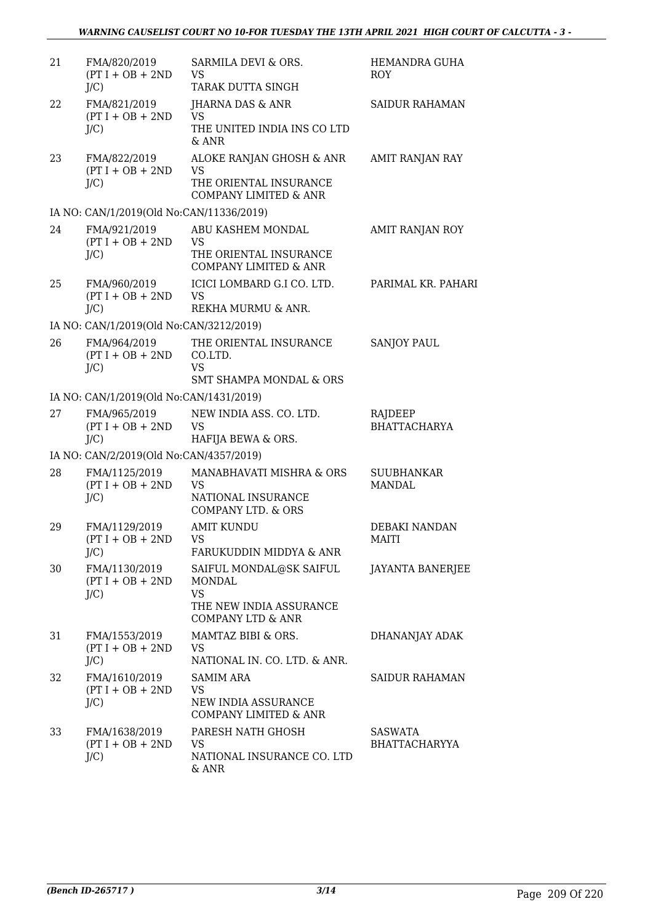| 21 | FMA/820/2019<br>$(PT I + OB + 2ND$<br>$J/C$ )  | SARMILA DEVI & ORS.<br><b>VS</b><br>TARAK DUTTA SINGH                                                     | HEMANDRA GUHA<br><b>ROY</b>            |
|----|------------------------------------------------|-----------------------------------------------------------------------------------------------------------|----------------------------------------|
| 22 | FMA/821/2019<br>$(PT I + OB + 2ND$<br>$J/C$ )  | JHARNA DAS & ANR<br><b>VS</b><br>THE UNITED INDIA INS CO LTD<br>& ANR                                     | <b>SAIDUR RAHAMAN</b>                  |
| 23 | FMA/822/2019<br>$(PT I + OB + 2ND$<br>$J/C$ )  | ALOKE RANJAN GHOSH & ANR<br><b>VS</b><br>THE ORIENTAL INSURANCE<br><b>COMPANY LIMITED &amp; ANR</b>       | AMIT RANJAN RAY                        |
|    | IA NO: CAN/1/2019(Old No:CAN/11336/2019)       |                                                                                                           |                                        |
| 24 | FMA/921/2019<br>$(PT I + OB + 2ND$<br>$J/C$ )  | ABU KASHEM MONDAL<br><b>VS</b><br>THE ORIENTAL INSURANCE<br><b>COMPANY LIMITED &amp; ANR</b>              | AMIT RANJAN ROY                        |
| 25 | FMA/960/2019<br>$(PT I + OB + 2ND$<br>$J/C$ )  | ICICI LOMBARD G.I CO. LTD.<br><b>VS</b><br>REKHA MURMU & ANR.                                             | PARIMAL KR. PAHARI                     |
|    | IA NO: CAN/1/2019(Old No:CAN/3212/2019)        |                                                                                                           |                                        |
| 26 | FMA/964/2019<br>$(PT I + OB + 2ND$<br>$J/C$ )  | THE ORIENTAL INSURANCE<br>CO.LTD.<br><b>VS</b>                                                            | <b>SANJOY PAUL</b>                     |
|    |                                                | <b>SMT SHAMPA MONDAL &amp; ORS</b>                                                                        |                                        |
|    | IA NO: CAN/1/2019(Old No:CAN/1431/2019)        |                                                                                                           |                                        |
| 27 | FMA/965/2019<br>$(PT I + OB + 2ND$<br>$J/C$ )  | NEW INDIA ASS. CO. LTD.<br><b>VS</b><br>HAFIJA BEWA & ORS.                                                | RAJDEEP<br><b>BHATTACHARYA</b>         |
|    | IA NO: CAN/2/2019(Old No:CAN/4357/2019)        |                                                                                                           |                                        |
| 28 | FMA/1125/2019<br>$(PT I + OB + 2ND$<br>$J/C$ ) | MANABHAVATI MISHRA & ORS<br><b>VS</b><br>NATIONAL INSURANCE<br><b>COMPANY LTD. &amp; ORS</b>              | <b>SUUBHANKAR</b><br><b>MANDAL</b>     |
| 29 | FMA/1129/2019<br>$(PT I + OB + 2ND$<br>$J/C$ ) | <b>AMIT KUNDU</b><br>VS.<br>FARUKUDDIN MIDDYA & ANR                                                       | DEBAKI NANDAN<br>MAITI                 |
| 30 | FMA/1130/2019<br>$(PT I + OB + 2ND$<br>$J/C$ ) | SAIFUL MONDAL@SK SAIFUL<br>MONDAL<br><b>VS</b><br>THE NEW INDIA ASSURANCE<br><b>COMPANY LTD &amp; ANR</b> | <b>JAYANTA BANERJEE</b>                |
| 31 | FMA/1553/2019<br>$(PT I + OB + 2ND$<br>$J/C$ ) | MAMTAZ BIBI & ORS.<br>VS<br>NATIONAL IN. CO. LTD. & ANR.                                                  | DHANANJAY ADAK                         |
| 32 | FMA/1610/2019<br>$(PT I + OB + 2ND$<br>$J/C$ ) | <b>SAMIM ARA</b><br>VS<br>NEW INDIA ASSURANCE<br>COMPANY LIMITED & ANR                                    | <b>SAIDUR RAHAMAN</b>                  |
| 33 | FMA/1638/2019<br>$(PT I + OB + 2ND$<br>$J/C$ ) | PARESH NATH GHOSH<br><b>VS</b><br>NATIONAL INSURANCE CO. LTD<br>& ANR                                     | <b>SASWATA</b><br><b>BHATTACHARYYA</b> |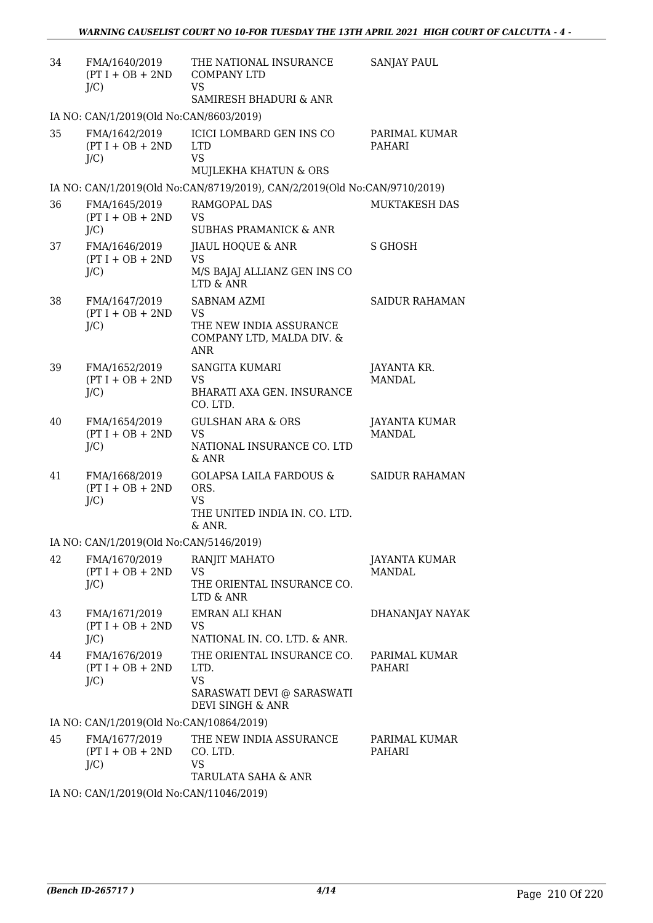| 34 | FMA/1640/2019<br>$(PT I + OB + 2ND$<br>$J/C$ ) | THE NATIONAL INSURANCE<br><b>COMPANY LTD</b><br><b>VS</b><br>SAMIRESH BHADURI & ANR                | <b>SANJAY PAUL</b>                    |
|----|------------------------------------------------|----------------------------------------------------------------------------------------------------|---------------------------------------|
|    | IA NO: CAN/1/2019(Old No:CAN/8603/2019)        |                                                                                                    |                                       |
| 35 | FMA/1642/2019<br>$(PT I + OB + 2ND$<br>$J/C$ ) | <b>ICICI LOMBARD GEN INS CO</b><br><b>LTD</b><br><b>VS</b><br>MUJLEKHA KHATUN & ORS                | PARIMAL KUMAR<br>PAHARI               |
|    |                                                | IA NO: CAN/1/2019(Old No:CAN/8719/2019), CAN/2/2019(Old No:CAN/9710/2019)                          |                                       |
| 36 | FMA/1645/2019<br>$(PT I + OB + 2ND$<br>$J/C$ ) | RAMGOPAL DAS<br><b>VS</b><br><b>SUBHAS PRAMANICK &amp; ANR</b>                                     | <b>MUKTAKESH DAS</b>                  |
| 37 | FMA/1646/2019<br>$(PT I + OB + 2ND$<br>$J/C$ ) | JIAUL HOQUE & ANR<br><b>VS</b><br>M/S BAJAJ ALLIANZ GEN INS CO<br>LTD & ANR                        | <b>S GHOSH</b>                        |
| 38 | FMA/1647/2019<br>$(PT I + OB + 2ND$<br>$J/C$ ) | SABNAM AZMI<br><b>VS</b><br>THE NEW INDIA ASSURANCE<br>COMPANY LTD, MALDA DIV. &<br><b>ANR</b>     | SAIDUR RAHAMAN                        |
| 39 | FMA/1652/2019<br>$(PT I + OB + 2ND$<br>$J/C$ ) | <b>SANGITA KUMARI</b><br>VS<br>BHARATI AXA GEN. INSURANCE<br>CO. LTD.                              | JAYANTA KR.<br><b>MANDAL</b>          |
| 40 | FMA/1654/2019<br>$(PT I + OB + 2ND$<br>$J/C$ ) | <b>GULSHAN ARA &amp; ORS</b><br><b>VS</b><br>NATIONAL INSURANCE CO. LTD<br>& ANR                   | JAYANTA KUMAR<br>MANDAL               |
| 41 | FMA/1668/2019<br>$(PT I + OB + 2ND$<br>$J/C$ ) | <b>GOLAPSA LAILA FARDOUS &amp;</b><br>ORS.<br><b>VS</b><br>THE UNITED INDIA IN. CO. LTD.<br>& ANR. | <b>SAIDUR RAHAMAN</b>                 |
|    | IA NO: CAN/1/2019(Old No:CAN/5146/2019)        |                                                                                                    |                                       |
| 42 | FMA/1670/2019<br>$(PT I + OB + 2ND$<br>$J/C$ ) | RANJIT MAHATO<br><b>VS</b><br>THE ORIENTAL INSURANCE CO.<br>LTD & ANR                              | <b>JAYANTA KUMAR</b><br><b>MANDAL</b> |
| 43 | FMA/1671/2019<br>$(PT I + OB + 2ND$<br>$J/C$ ) | <b>EMRAN ALI KHAN</b><br>VS.<br>NATIONAL IN. CO. LTD. & ANR.                                       | DHANANJAY NAYAK                       |
| 44 | FMA/1676/2019<br>$(PT I + OB + 2ND$<br>$J/C$ ) | THE ORIENTAL INSURANCE CO.<br>LTD.<br><b>VS</b><br>SARASWATI DEVI @ SARASWATI<br>DEVI SINGH & ANR  | PARIMAL KUMAR<br>PAHARI               |
|    | IA NO: CAN/1/2019(Old No:CAN/10864/2019)       |                                                                                                    |                                       |
| 45 | FMA/1677/2019<br>$(PT I + OB + 2ND$<br>$J/C$ ) | THE NEW INDIA ASSURANCE<br>CO. LTD.<br>VS.<br>TARULATA SAHA & ANR                                  | PARIMAL KUMAR<br>PAHARI               |
|    | IA NO: CAN/1/2019(Old No:CAN/11046/2019)       |                                                                                                    |                                       |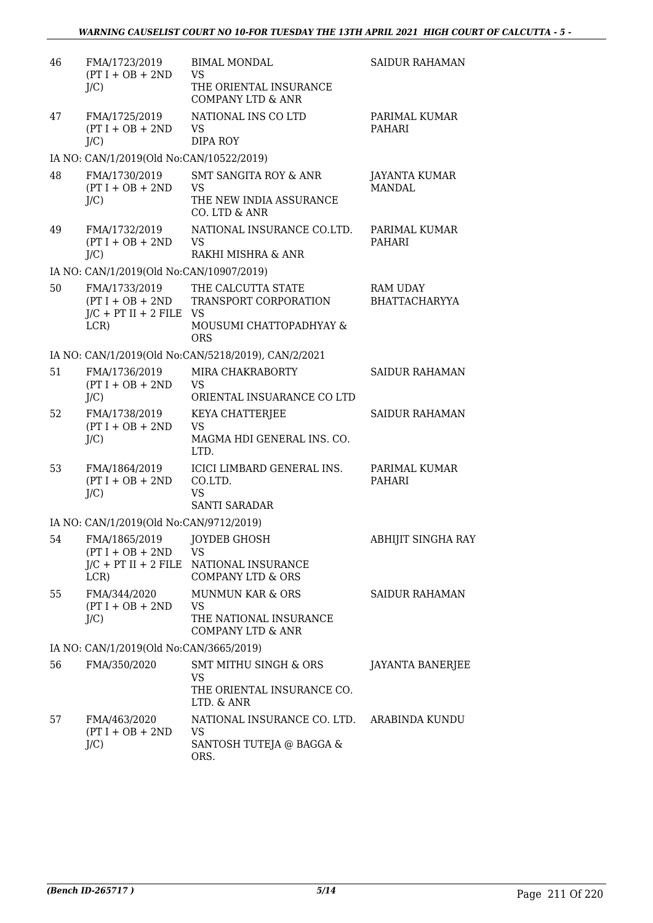| 46 | FMA/1723/2019<br>$(PT I + OB + 2ND$<br>$J/C$ )     | <b>BIMAL MONDAL</b><br><b>VS</b><br>THE ORIENTAL INSURANCE<br><b>COMPANY LTD &amp; ANR</b>            | <b>SAIDUR RAHAMAN</b>                   |
|----|----------------------------------------------------|-------------------------------------------------------------------------------------------------------|-----------------------------------------|
| 47 | FMA/1725/2019<br>$(PT I + OB + 2ND$<br>$J/C$ )     | NATIONAL INS CO LTD<br><b>VS</b><br><b>DIPA ROY</b>                                                   | PARIMAL KUMAR<br>PAHARI                 |
|    | IA NO: CAN/1/2019(Old No:CAN/10522/2019)           |                                                                                                       |                                         |
| 48 | FMA/1730/2019<br>$(PT I + OB + 2ND$<br>$J/C$ )     | SMT SANGITA ROY & ANR<br><b>VS</b><br>THE NEW INDIA ASSURANCE<br>CO. LTD & ANR                        | JAYANTA KUMAR<br><b>MANDAL</b>          |
| 49 | FMA/1732/2019<br>$(PT I + OB + 2ND$<br>$J/C$ )     | NATIONAL INSURANCE CO.LTD.<br><b>VS</b><br>RAKHI MISHRA & ANR                                         | PARIMAL KUMAR<br>PAHARI                 |
|    | IA NO: CAN/1/2019(Old No:CAN/10907/2019)           |                                                                                                       |                                         |
| 50 | FMA/1733/2019<br>$J/C$ + PT II + 2 FILE VS<br>LCR) | THE CALCUTTA STATE<br>(PT I + OB + 2ND TRANSPORT CORPORATION<br>MOUSUMI CHATTOPADHYAY &<br><b>ORS</b> | <b>RAM UDAY</b><br><b>BHATTACHARYYA</b> |
|    |                                                    | IA NO: CAN/1/2019(Old No:CAN/5218/2019), CAN/2/2021                                                   |                                         |
| 51 | FMA/1736/2019<br>$(PT I + OB + 2ND$<br>$J/C$ )     | MIRA CHAKRABORTY<br><b>VS</b><br>ORIENTAL INSUARANCE CO LTD                                           | <b>SAIDUR RAHAMAN</b>                   |
| 52 | FMA/1738/2019<br>$(PT I + OB + 2ND$<br>$J/C$ )     | KEYA CHATTERJEE<br><b>VS</b><br>MAGMA HDI GENERAL INS. CO.<br>LTD.                                    | <b>SAIDUR RAHAMAN</b>                   |
| 53 | FMA/1864/2019<br>$(PT I + OB + 2ND$<br>$J/C$ )     | ICICI LIMBARD GENERAL INS.<br>CO.LTD.<br><b>VS</b><br><b>SANTI SARADAR</b>                            | PARIMAL KUMAR<br>PAHARI                 |
|    | IA NO: CAN/1/2019(Old No:CAN/9712/2019)            |                                                                                                       |                                         |
| 54 | FMA/1865/2019<br>$(PT I + OB + 2ND$<br>LCR)        | JOYDEB GHOSH<br><b>VS</b><br>J/C + PT II + 2 FILE NATIONAL INSURANCE<br><b>COMPANY LTD &amp; ORS</b>  | ABHIJIT SINGHA RAY                      |
| 55 | FMA/344/2020<br>$(PT I + OB + 2ND$<br>$J/C$ )      | <b>MUNMUN KAR &amp; ORS</b><br><b>VS</b><br>THE NATIONAL INSURANCE<br><b>COMPANY LTD &amp; ANR</b>    | SAIDUR RAHAMAN                          |
|    | IA NO: CAN/1/2019(Old No:CAN/3665/2019)            |                                                                                                       |                                         |
| 56 | FMA/350/2020                                       | <b>SMT MITHU SINGH &amp; ORS</b><br><b>VS</b><br>THE ORIENTAL INSURANCE CO.<br>LTD. & ANR             | <b>JAYANTA BANERJEE</b>                 |
| 57 | FMA/463/2020<br>$(PT I + OB + 2ND$<br>$J/C$ )      | NATIONAL INSURANCE CO. LTD. ARABINDA KUNDU<br><b>VS</b><br>SANTOSH TUTEJA @ BAGGA &<br>ORS.           |                                         |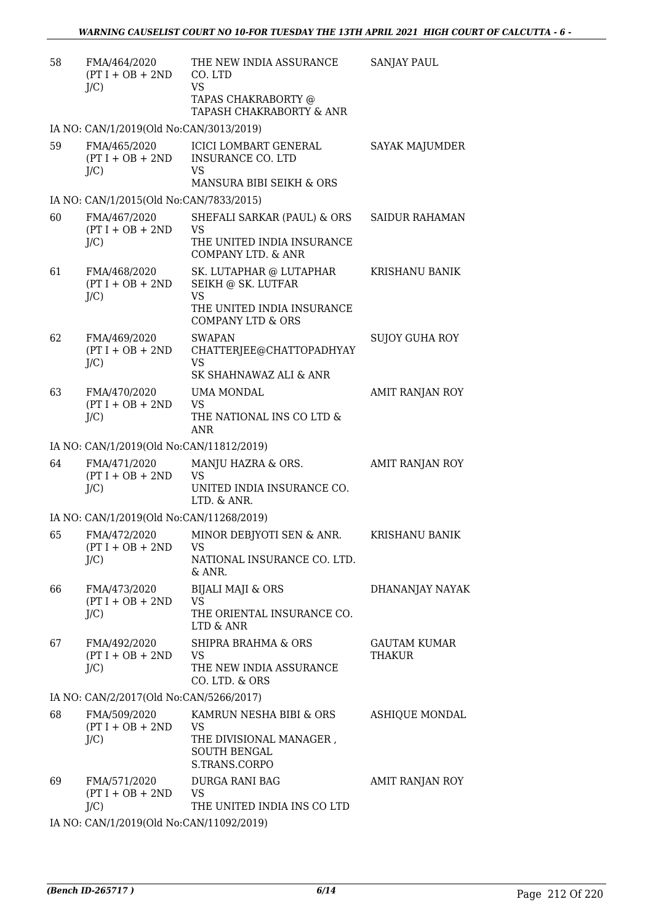| 58 | FMA/464/2020<br>$(PT I + OB + 2ND$<br>$J/C$ ) | THE NEW INDIA ASSURANCE<br>CO. LTD<br><b>VS</b><br>TAPAS CHAKRABORTY @<br>TAPASH CHAKRABORTY & ANR                       | <b>SANJAY PAUL</b>            |
|----|-----------------------------------------------|--------------------------------------------------------------------------------------------------------------------------|-------------------------------|
|    | IA NO: CAN/1/2019(Old No:CAN/3013/2019)       |                                                                                                                          |                               |
| 59 | FMA/465/2020<br>$(PT I + OB + 2ND$<br>$J/C$ ) | ICICI LOMBART GENERAL<br><b>INSURANCE CO. LTD</b><br>VS<br>MANSURA BIBI SEIKH & ORS                                      | <b>SAYAK MAJUMDER</b>         |
|    | IA NO: CAN/1/2015(Old No:CAN/7833/2015)       |                                                                                                                          |                               |
| 60 | FMA/467/2020<br>$(PT I + OB + 2ND$<br>$J/C$ ) | SHEFALI SARKAR (PAUL) & ORS<br><b>VS</b><br>THE UNITED INDIA INSURANCE<br>COMPANY LTD. & ANR                             | <b>SAIDUR RAHAMAN</b>         |
| 61 | FMA/468/2020<br>$(PT I + OB + 2ND$<br>$J/C$ ) | SK. LUTAPHAR @ LUTAPHAR<br>SEIKH @ SK. LUTFAR<br><b>VS</b><br>THE UNITED INDIA INSURANCE<br><b>COMPANY LTD &amp; ORS</b> | <b>KRISHANU BANIK</b>         |
| 62 | FMA/469/2020<br>$(PT I + OB + 2ND$<br>$J/C$ ) | <b>SWAPAN</b><br>CHATTERJEE@CHATTOPADHYAY<br><b>VS</b><br>SK SHAHNAWAZ ALI & ANR                                         | SUJOY GUHA ROY                |
| 63 | FMA/470/2020<br>$(PT I + OB + 2ND$<br>$J/C$ ) | UMA MONDAL<br><b>VS</b><br>THE NATIONAL INS CO LTD &<br><b>ANR</b>                                                       | AMIT RANJAN ROY               |
|    | IA NO: CAN/1/2019(Old No:CAN/11812/2019)      |                                                                                                                          |                               |
| 64 | FMA/471/2020<br>$(PT I + OB + 2ND$<br>$J/C$ ) | MANJU HAZRA & ORS.<br><b>VS</b><br>UNITED INDIA INSURANCE CO.<br>LTD. & ANR.                                             | AMIT RANJAN ROY               |
|    | IA NO: CAN/1/2019(Old No:CAN/11268/2019)      |                                                                                                                          |                               |
| 65 | FMA/472/2020<br>$(PT I + OB + 2ND$<br>$J/C$ ) | MINOR DEBJYOTI SEN & ANR.<br>VS<br>NATIONAL INSURANCE CO. LTD.<br>$&$ ANR.                                               | KRISHANU BANIK                |
| 66 | FMA/473/2020<br>$(PT I + OB + 2ND$<br>$J/C$ ) | <b>BIJALI MAJI &amp; ORS</b><br><b>VS</b><br>THE ORIENTAL INSURANCE CO.<br>LTD & ANR                                     | DHANANJAY NAYAK               |
| 67 | FMA/492/2020<br>$(PT I + OB + 2ND$<br>$J/C$ ) | SHIPRA BRAHMA & ORS<br><b>VS</b><br>THE NEW INDIA ASSURANCE<br>CO. LTD. & ORS                                            | <b>GAUTAM KUMAR</b><br>THAKUR |
|    | IA NO: CAN/2/2017(Old No:CAN/5266/2017)       |                                                                                                                          |                               |
| 68 | FMA/509/2020<br>$(PT I + OB + 2ND$<br>$J/C$ ) | KAMRUN NESHA BIBI & ORS<br><b>VS</b><br>THE DIVISIONAL MANAGER,<br><b>SOUTH BENGAL</b><br>S.TRANS.CORPO                  | ASHIQUE MONDAL                |
| 69 | FMA/571/2020<br>$(PT I + OB + 2ND$<br>$J/C$ ) | DURGA RANI BAG<br><b>VS</b><br>THE UNITED INDIA INS CO LTD                                                               | AMIT RANJAN ROY               |
|    |                                               | 0(01.1 M, 01111110000010)                                                                                                |                               |

IA NO: CAN/1/2019(Old No:CAN/11092/2019)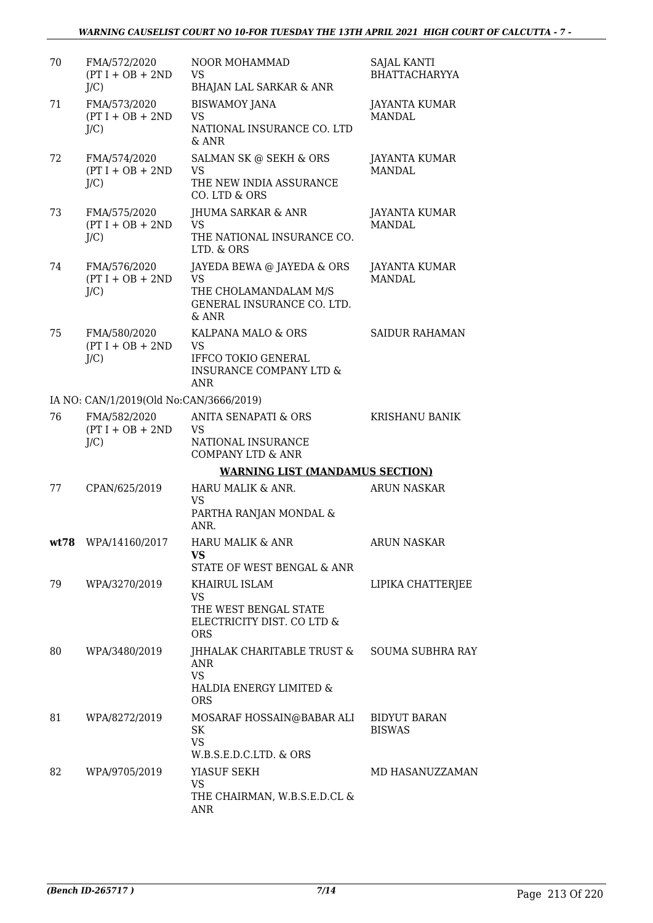| 70 | FMA/572/2020<br>$(PT I + OB + 2ND$<br>J/C     | <b>NOOR MOHAMMAD</b><br><b>VS</b><br><b>BHAJAN LAL SARKAR &amp; ANR</b>                                           | SAJAL KANTI<br><b>BHATTACHARYYA</b>  |
|----|-----------------------------------------------|-------------------------------------------------------------------------------------------------------------------|--------------------------------------|
| 71 | FMA/573/2020<br>$(PT I + OB + 2ND$<br>$J/C$ ) | <b>BISWAMOY JANA</b><br><b>VS</b><br>NATIONAL INSURANCE CO. LTD<br>& ANR                                          | JAYANTA KUMAR<br><b>MANDAL</b>       |
| 72 | FMA/574/2020<br>$(PT I + OB + 2ND$<br>$J/C$ ) | SALMAN SK @ SEKH & ORS<br><b>VS</b><br>THE NEW INDIA ASSURANCE<br>CO. LTD & ORS                                   | JAYANTA KUMAR<br>MANDAL.             |
| 73 | FMA/575/2020<br>$(PT I + OB + 2ND$<br>$J/C$ ) | JHUMA SARKAR & ANR<br><b>VS</b><br>THE NATIONAL INSURANCE CO.<br>LTD. & ORS                                       | JAYANTA KUMAR<br><b>MANDAL</b>       |
| 74 | FMA/576/2020<br>$(PT I + OB + 2ND$<br>$J/C$ ) | JAYEDA BEWA @ JAYEDA & ORS<br><b>VS</b><br>THE CHOLAMANDALAM M/S<br>GENERAL INSURANCE CO. LTD.<br>$&$ ANR         | JAYANTA KUMAR<br><b>MANDAL</b>       |
| 75 | FMA/580/2020<br>$(PT I + OB + 2ND$<br>$J/C$ ) | KALPANA MALO & ORS<br><b>VS</b><br><b>IFFCO TOKIO GENERAL</b><br><b>INSURANCE COMPANY LTD &amp;</b><br><b>ANR</b> | <b>SAIDUR RAHAMAN</b>                |
|    | IA NO: CAN/1/2019(Old No:CAN/3666/2019)       |                                                                                                                   |                                      |
| 76 | FMA/582/2020<br>$(PT I + OB + 2ND$<br>$J/C$ ) | <b>ANITA SENAPATI &amp; ORS</b><br><b>VS</b><br>NATIONAL INSURANCE<br><b>COMPANY LTD &amp; ANR</b>                | <b>KRISHANU BANIK</b>                |
|    |                                               | <b>WARNING LIST (MANDAMUS SECTION)</b>                                                                            |                                      |
| 77 | CPAN/625/2019                                 | HARU MALIK & ANR.<br><b>VS</b><br>PARTHA RANJAN MONDAL &<br>ANR.                                                  | <b>ARUN NASKAR</b>                   |
|    | wt78 WPA/14160/2017                           | HARU MALIK & ANR<br><b>VS</b><br>STATE OF WEST BENGAL & ANR                                                       | <b>ARUN NASKAR</b>                   |
| 79 | WPA/3270/2019                                 | KHAIRUL ISLAM<br><b>VS</b><br>THE WEST BENGAL STATE<br>ELECTRICITY DIST. CO LTD &<br><b>ORS</b>                   | LIPIKA CHATTERJEE                    |
| 80 | WPA/3480/2019                                 | JHHALAK CHARITABLE TRUST &<br>ANR<br><b>VS</b><br>HALDIA ENERGY LIMITED &<br><b>ORS</b>                           | <b>SOUMA SUBHRA RAY</b>              |
| 81 | WPA/8272/2019                                 | MOSARAF HOSSAIN@BABAR ALI<br>SK<br><b>VS</b><br>W.B.S.E.D.C.LTD. & ORS                                            | <b>BIDYUT BARAN</b><br><b>BISWAS</b> |
| 82 | WPA/9705/2019                                 | YIASUF SEKH<br><b>VS</b><br>THE CHAIRMAN, W.B.S.E.D.CL &<br>ANR                                                   | MD HASANUZZAMAN                      |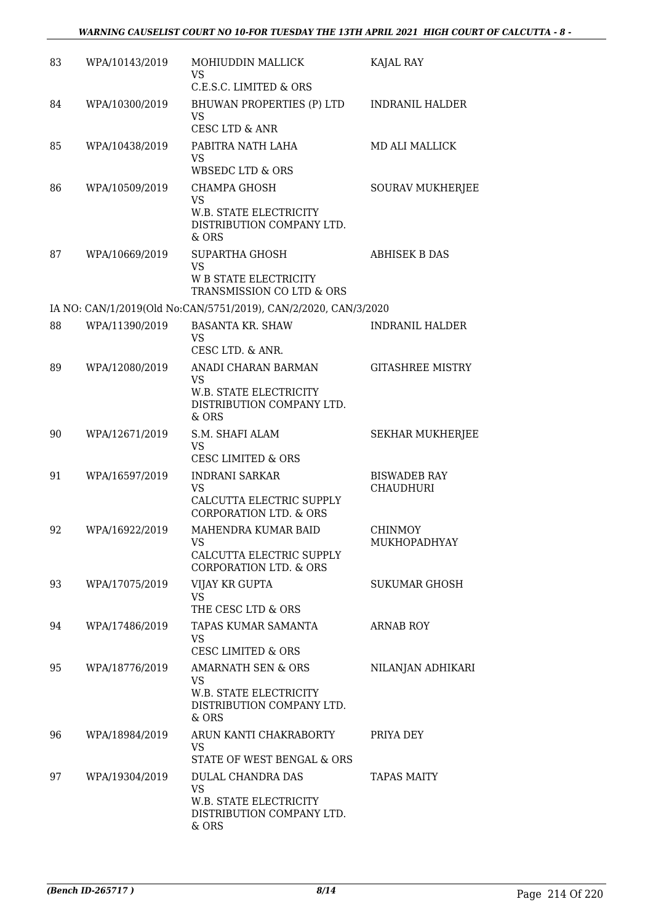| 83 | WPA/10143/2019 | MOHIUDDIN MALLICK<br><b>VS</b><br>C.E.S.C. LIMITED & ORS                                             | KAJAL RAY                               |
|----|----------------|------------------------------------------------------------------------------------------------------|-----------------------------------------|
| 84 | WPA/10300/2019 | BHUWAN PROPERTIES (P) LTD<br><b>VS</b><br>CESC LTD & ANR                                             | <b>INDRANIL HALDER</b>                  |
| 85 | WPA/10438/2019 | PABITRA NATH LAHA<br>VS<br>WBSEDC LTD & ORS                                                          | <b>MD ALI MALLICK</b>                   |
| 86 | WPA/10509/2019 | <b>CHAMPA GHOSH</b><br><b>VS</b><br>W.B. STATE ELECTRICITY<br>DISTRIBUTION COMPANY LTD.<br>$&$ ORS   | SOURAV MUKHERJEE                        |
| 87 | WPA/10669/2019 | SUPARTHA GHOSH<br><b>VS</b><br><b>W B STATE ELECTRICITY</b><br>TRANSMISSION CO LTD & ORS             | <b>ABHISEK B DAS</b>                    |
|    |                | IA NO: CAN/1/2019(Old No:CAN/5751/2019), CAN/2/2020, CAN/3/2020                                      |                                         |
| 88 | WPA/11390/2019 | <b>BASANTA KR. SHAW</b><br><b>VS</b><br>CESC LTD. & ANR.                                             | INDRANIL HALDER                         |
| 89 | WPA/12080/2019 | ANADI CHARAN BARMAN<br><b>VS</b><br>W.B. STATE ELECTRICITY<br>DISTRIBUTION COMPANY LTD.<br>& ORS     | <b>GITASHREE MISTRY</b>                 |
| 90 | WPA/12671/2019 | S.M. SHAFI ALAM<br><b>VS</b><br><b>CESC LIMITED &amp; ORS</b>                                        | <b>SEKHAR MUKHERJEE</b>                 |
| 91 | WPA/16597/2019 | <b>INDRANI SARKAR</b><br>VS<br>CALCUTTA ELECTRIC SUPPLY<br><b>CORPORATION LTD. &amp; ORS</b>         | <b>BISWADEB RAY</b><br><b>CHAUDHURI</b> |
| 92 | WPA/16922/2019 | MAHENDRA KUMAR BAID<br>VS.<br>CALCUTTA ELECTRIC SUPPLY<br><b>CORPORATION LTD. &amp; ORS</b>          | <b>CHINMOY</b><br>MUKHOPADHYAY          |
| 93 | WPA/17075/2019 | VIJAY KR GUPTA<br><b>VS</b><br>THE CESC LTD & ORS                                                    | SUKUMAR GHOSH                           |
| 94 | WPA/17486/2019 | TAPAS KUMAR SAMANTA<br><b>VS</b><br><b>CESC LIMITED &amp; ORS</b>                                    | <b>ARNAB ROY</b>                        |
| 95 | WPA/18776/2019 | <b>AMARNATH SEN &amp; ORS</b><br>VS.<br>W.B. STATE ELECTRICITY<br>DISTRIBUTION COMPANY LTD.<br>& ORS | NILANJAN ADHIKARI                       |
| 96 | WPA/18984/2019 | ARUN KANTI CHAKRABORTY<br><b>VS</b><br>STATE OF WEST BENGAL & ORS                                    | PRIYA DEY                               |
| 97 | WPA/19304/2019 | DULAL CHANDRA DAS<br><b>VS</b><br>W.B. STATE ELECTRICITY<br>DISTRIBUTION COMPANY LTD.<br>& ORS       | <b>TAPAS MAITY</b>                      |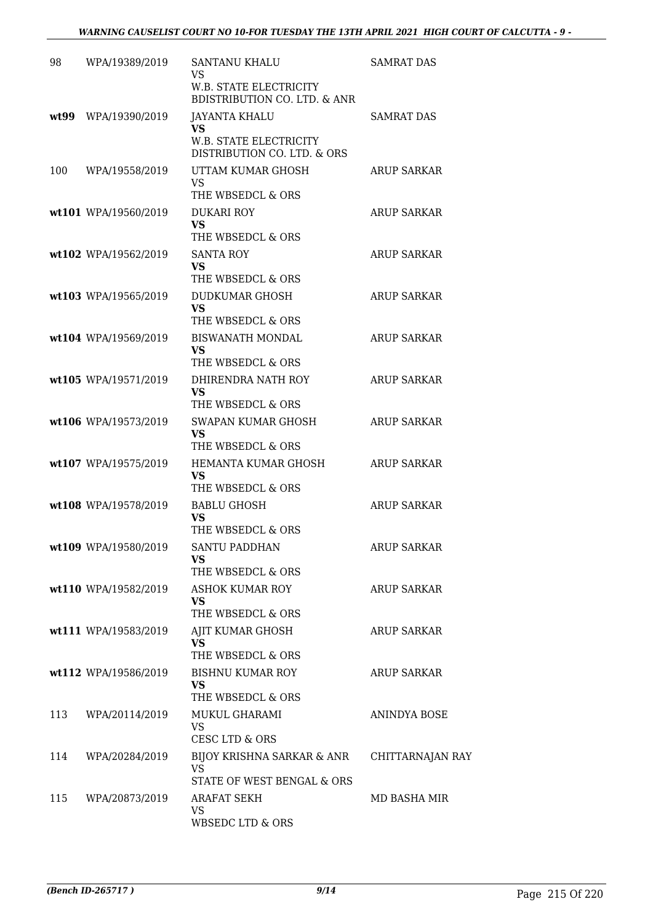| 98   | WPA/19389/2019       | SANTANU KHALU                                                            | <b>SAMRAT DAS</b>  |
|------|----------------------|--------------------------------------------------------------------------|--------------------|
|      |                      | VS.                                                                      |                    |
|      |                      | <b>W.B. STATE ELECTRICITY</b><br><b>BDISTRIBUTION CO. LTD. &amp; ANR</b> |                    |
| wt99 | WPA/19390/2019       | <b>JAYANTA KHALU</b><br><b>VS</b>                                        | <b>SAMRAT DAS</b>  |
|      |                      | <b>W.B. STATE ELECTRICITY</b><br>DISTRIBUTION CO. LTD. & ORS             |                    |
| 100  | WPA/19558/2019       | UTTAM KUMAR GHOSH                                                        | <b>ARUP SARKAR</b> |
|      |                      | <b>VS</b><br>THE WBSEDCL & ORS                                           |                    |
|      | wt101 WPA/19560/2019 | <b>DUKARI ROY</b>                                                        | <b>ARUP SARKAR</b> |
|      |                      | <b>VS</b><br>THE WBSEDCL & ORS                                           |                    |
|      | wt102 WPA/19562/2019 | <b>SANTA ROY</b>                                                         | <b>ARUP SARKAR</b> |
|      |                      | <b>VS</b>                                                                |                    |
|      |                      | THE WBSEDCL & ORS<br>DUDKUMAR GHOSH                                      | <b>ARUP SARKAR</b> |
|      | wt103 WPA/19565/2019 | <b>VS</b>                                                                |                    |
|      |                      | THE WBSEDCL & ORS                                                        |                    |
|      | wt104 WPA/19569/2019 | <b>BISWANATH MONDAL</b><br>VS                                            | <b>ARUP SARKAR</b> |
|      |                      | THE WBSEDCL & ORS                                                        |                    |
|      | wt105 WPA/19571/2019 | DHIRENDRA NATH ROY<br><b>VS</b>                                          | <b>ARUP SARKAR</b> |
|      |                      | THE WBSEDCL & ORS                                                        |                    |
|      | wt106 WPA/19573/2019 | SWAPAN KUMAR GHOSH                                                       | <b>ARUP SARKAR</b> |
|      |                      | <b>VS</b><br>THE WBSEDCL & ORS                                           |                    |
|      | wt107 WPA/19575/2019 | HEMANTA KUMAR GHOSH                                                      | <b>ARUP SARKAR</b> |
|      |                      | <b>VS</b><br>THE WBSEDCL & ORS                                           |                    |
|      | wt108 WPA/19578/2019 | <b>BABLU GHOSH</b>                                                       | <b>ARUP SARKAR</b> |
|      |                      | VS                                                                       |                    |
|      | wt109 WPA/19580/2019 | THE WBSEDCL & ORS<br><b>SANTU PADDHAN</b>                                | <b>ARUP SARKAR</b> |
|      |                      | VS                                                                       |                    |
|      |                      | THE WBSEDCL & ORS                                                        |                    |
|      | wt110 WPA/19582/2019 | <b>ASHOK KUMAR ROY</b><br><b>VS</b>                                      | <b>ARUP SARKAR</b> |
|      |                      | THE WBSEDCL & ORS                                                        |                    |
|      | wt111 WPA/19583/2019 | AJIT KUMAR GHOSH<br><b>VS</b>                                            | ARUP SARKAR        |
|      |                      | THE WBSEDCL & ORS                                                        |                    |
|      | wt112 WPA/19586/2019 | <b>BISHNU KUMAR ROY</b>                                                  | ARUP SARKAR        |
|      |                      | VS<br>THE WBSEDCL & ORS                                                  |                    |
| 113  | WPA/20114/2019       | MUKUL GHARAMI                                                            | ANINDYA BOSE       |
|      |                      | <b>VS</b><br>CESC LTD & ORS                                              |                    |
| 114  | WPA/20284/2019       | BIJOY KRISHNA SARKAR & ANR                                               | CHITTARNAJAN RAY   |
|      |                      | <b>VS</b><br>STATE OF WEST BENGAL & ORS                                  |                    |
| 115  | WPA/20873/2019       | ARAFAT SEKH                                                              | MD BASHA MIR       |
|      |                      | VS.                                                                      |                    |
|      |                      | WBSEDC LTD & ORS                                                         |                    |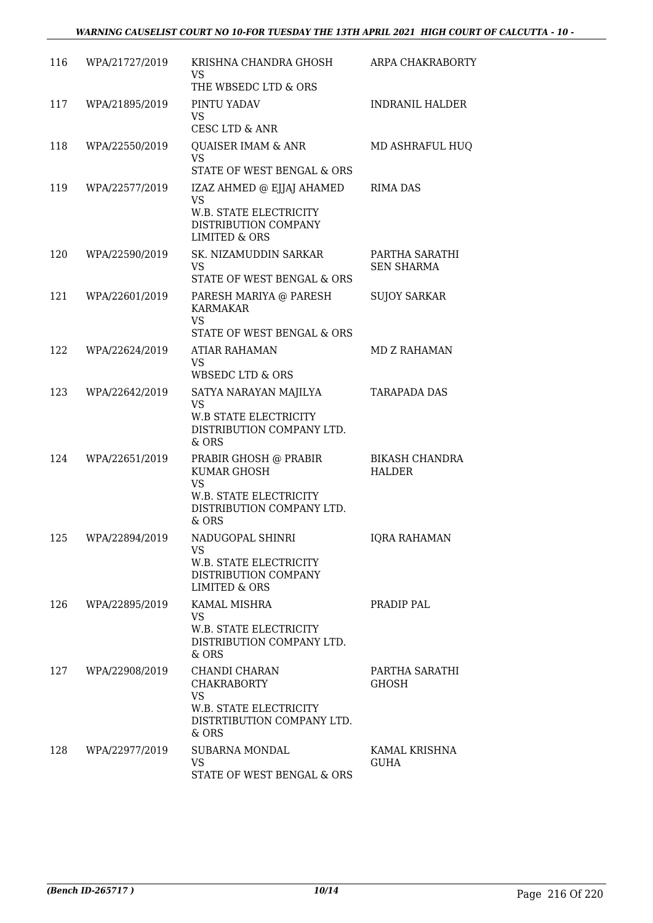| 116 | WPA/21727/2019 | KRISHNA CHANDRA GHOSH<br>VS<br>THE WBSEDC LTD & ORS                                                                  | ARPA CHAKRABORTY                       |
|-----|----------------|----------------------------------------------------------------------------------------------------------------------|----------------------------------------|
| 117 | WPA/21895/2019 | PINTU YADAV<br><b>VS</b><br>CESC LTD & ANR                                                                           | <b>INDRANIL HALDER</b>                 |
| 118 | WPA/22550/2019 | <b>QUAISER IMAM &amp; ANR</b><br><b>VS</b><br>STATE OF WEST BENGAL & ORS                                             | MD ASHRAFUL HUQ                        |
| 119 | WPA/22577/2019 | IZAZ AHMED @ EJJAJ AHAMED<br><b>VS</b><br>W.B. STATE ELECTRICITY<br>DISTRIBUTION COMPANY<br><b>LIMITED &amp; ORS</b> | <b>RIMA DAS</b>                        |
| 120 | WPA/22590/2019 | SK. NIZAMUDDIN SARKAR<br><b>VS</b><br>STATE OF WEST BENGAL & ORS                                                     | PARTHA SARATHI<br><b>SEN SHARMA</b>    |
| 121 | WPA/22601/2019 | PARESH MARIYA @ PARESH<br>KARMAKAR<br><b>VS</b><br>STATE OF WEST BENGAL & ORS                                        | <b>SUJOY SARKAR</b>                    |
| 122 | WPA/22624/2019 | ATIAR RAHAMAN<br><b>VS</b><br>WBSEDC LTD & ORS                                                                       | <b>MD Z RAHAMAN</b>                    |
| 123 | WPA/22642/2019 | SATYA NARAYAN MAJILYA<br><b>VS</b><br>W.B STATE ELECTRICITY<br>DISTRIBUTION COMPANY LTD.<br>& ORS                    | <b>TARAPADA DAS</b>                    |
| 124 | WPA/22651/2019 | PRABIR GHOSH @ PRABIR<br>KUMAR GHOSH<br><b>VS</b><br>W.B. STATE ELECTRICITY<br>DISTRIBUTION COMPANY LTD.<br>$&$ ORS  | <b>BIKASH CHANDRA</b><br><b>HALDER</b> |
| 125 | WPA/22894/2019 | NADUGOPAL SHINRI<br>VS<br>W.B. STATE ELECTRICITY<br>DISTRIBUTION COMPANY<br>LIMITED & ORS                            | <b>IQRA RAHAMAN</b>                    |
| 126 | WPA/22895/2019 | KAMAL MISHRA<br><b>VS</b><br>W.B. STATE ELECTRICITY<br>DISTRIBUTION COMPANY LTD.<br>& ORS                            | PRADIP PAL                             |
| 127 | WPA/22908/2019 | CHANDI CHARAN<br><b>CHAKRABORTY</b><br><b>VS</b><br>W.B. STATE ELECTRICITY<br>DISTRTIBUTION COMPANY LTD.<br>& ORS    | PARTHA SARATHI<br><b>GHOSH</b>         |
| 128 | WPA/22977/2019 | SUBARNA MONDAL<br>VS.<br>STATE OF WEST BENGAL & ORS                                                                  | KAMAL KRISHNA<br><b>GUHA</b>           |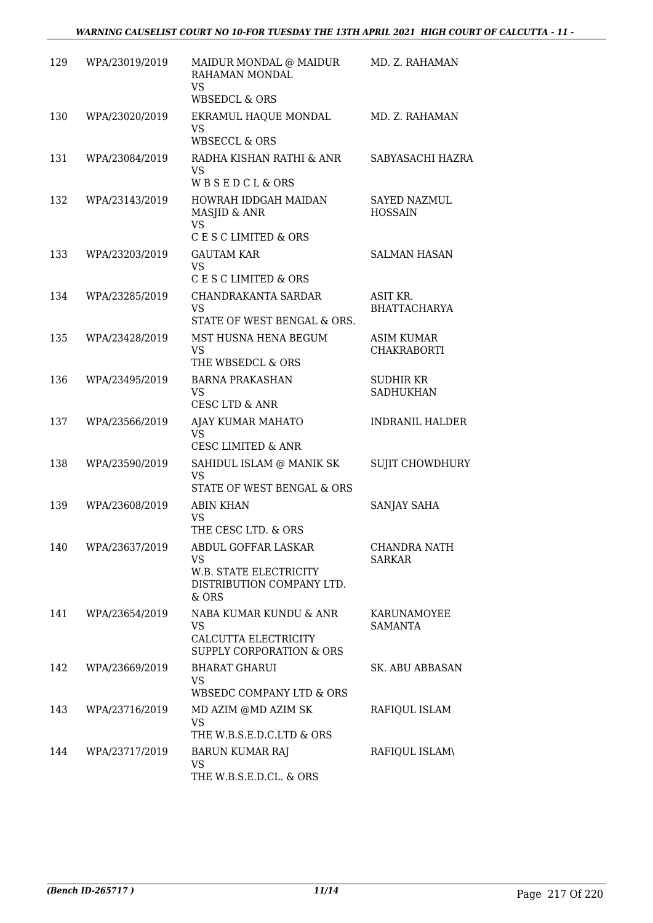| 129 | WPA/23019/2019 | MAIDUR MONDAL @ MAIDUR<br>RAHAMAN MONDAL<br><b>VS</b><br><b>WBSEDCL &amp; ORS</b>                       | MD. Z. RAHAMAN                          |
|-----|----------------|---------------------------------------------------------------------------------------------------------|-----------------------------------------|
| 130 | WPA/23020/2019 | EKRAMUL HAQUE MONDAL<br><b>VS</b><br><b>WBSECCL &amp; ORS</b>                                           | MD. Z. RAHAMAN                          |
| 131 | WPA/23084/2019 | RADHA KISHAN RATHI & ANR<br><b>VS</b><br>WBSEDCL&ORS                                                    | SABYASACHI HAZRA                        |
| 132 | WPA/23143/2019 | HOWRAH IDDGAH MAIDAN<br>MASJID & ANR<br><b>VS</b><br>C E S C LIMITED & ORS                              | <b>SAYED NAZMUL</b><br><b>HOSSAIN</b>   |
| 133 | WPA/23203/2019 | <b>GAUTAM KAR</b><br><b>VS</b><br>C E S C LIMITED & ORS                                                 | <b>SALMAN HASAN</b>                     |
| 134 | WPA/23285/2019 | CHANDRAKANTA SARDAR<br><b>VS</b><br>STATE OF WEST BENGAL & ORS.                                         | ASIT KR.<br><b>BHATTACHARYA</b>         |
| 135 | WPA/23428/2019 | MST HUSNA HENA BEGUM<br><b>VS</b><br>THE WBSEDCL & ORS                                                  | <b>ASIM KUMAR</b><br><b>CHAKRABORTI</b> |
| 136 | WPA/23495/2019 | <b>BARNA PRAKASHAN</b><br><b>VS</b><br>CESC LTD & ANR                                                   | SUDHIR KR<br><b>SADHUKHAN</b>           |
| 137 | WPA/23566/2019 | AJAY KUMAR MAHATO<br><b>VS</b><br><b>CESC LIMITED &amp; ANR</b>                                         | <b>INDRANIL HALDER</b>                  |
| 138 | WPA/23590/2019 | SAHIDUL ISLAM @ MANIK SK<br><b>VS</b><br>STATE OF WEST BENGAL & ORS                                     | SUJIT CHOWDHURY                         |
| 139 | WPA/23608/2019 | <b>ABIN KHAN</b><br><b>VS</b><br>THE CESC LTD. & ORS                                                    | SANJAY SAHA                             |
| 140 | WPA/23637/2019 | ABDUL GOFFAR LASKAR<br><b>VS</b><br><b>W.B. STATE ELECTRICITY</b><br>DISTRIBUTION COMPANY LTD.<br>& ORS | <b>CHANDRA NATH</b><br><b>SARKAR</b>    |
| 141 | WPA/23654/2019 | NABA KUMAR KUNDU & ANR<br>VS.<br>CALCUTTA ELECTRICITY<br>SUPPLY CORPORATION & ORS                       | KARUNAMOYEE<br><b>SAMANTA</b>           |
| 142 | WPA/23669/2019 | <b>BHARAT GHARUI</b><br>VS<br>WBSEDC COMPANY LTD & ORS                                                  | <b>SK. ABU ABBASAN</b>                  |
| 143 | WPA/23716/2019 | MD AZIM @MD AZIM SK<br><b>VS</b><br>THE W.B.S.E.D.C.LTD & ORS                                           | RAFIQUL ISLAM                           |
| 144 | WPA/23717/2019 | <b>BARUN KUMAR RAJ</b><br><b>VS</b><br>THE W.B.S.E.D.CL. & ORS                                          | RAFIQUL ISLAM\                          |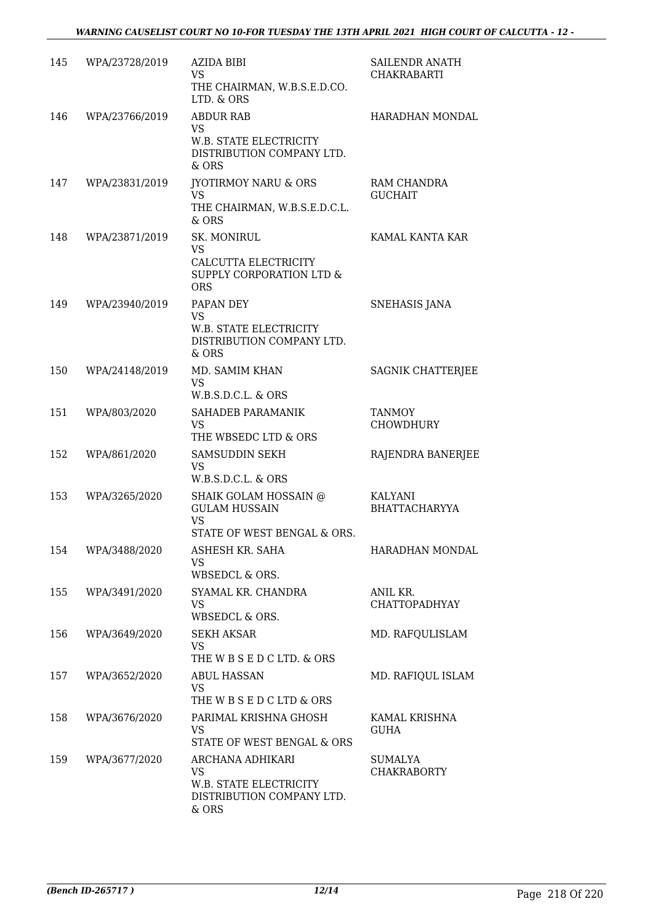| 145 | WPA/23728/2019 | <b>AZIDA BIBI</b><br><b>VS</b><br>THE CHAIRMAN, W.B.S.E.D.CO.<br>LTD. & ORS                     | SAILENDR ANATH<br><b>CHAKRABARTI</b> |
|-----|----------------|-------------------------------------------------------------------------------------------------|--------------------------------------|
| 146 | WPA/23766/2019 | <b>ABDUR RAB</b><br><b>VS</b><br>W.B. STATE ELECTRICITY<br>DISTRIBUTION COMPANY LTD.<br>& ORS   | HARADHAN MONDAL                      |
| 147 | WPA/23831/2019 | <b>IYOTIRMOY NARU &amp; ORS</b><br><b>VS</b><br>THE CHAIRMAN, W.B.S.E.D.C.L.<br>$&$ ORS         | RAM CHANDRA<br><b>GUCHAIT</b>        |
| 148 | WPA/23871/2019 | SK. MONIRUL<br>VS.<br>CALCUTTA ELECTRICITY<br>SUPPLY CORPORATION LTD &<br><b>ORS</b>            | KAMAL KANTA KAR                      |
| 149 | WPA/23940/2019 | PAPAN DEY<br><b>VS</b><br>W.B. STATE ELECTRICITY<br>DISTRIBUTION COMPANY LTD.<br>$&$ ORS        | <b>SNEHASIS JANA</b>                 |
| 150 | WPA/24148/2019 | MD. SAMIM KHAN<br><b>VS</b><br>W.B.S.D.C.L. & ORS                                               | <b>SAGNIK CHATTERJEE</b>             |
| 151 | WPA/803/2020   | SAHADEB PARAMANIK<br>VS.<br>THE WBSEDC LTD & ORS                                                | <b>TANMOY</b><br><b>CHOWDHURY</b>    |
| 152 | WPA/861/2020   | SAMSUDDIN SEKH<br>VS.<br>W.B.S.D.C.L. & ORS                                                     | RAJENDRA BANERJEE                    |
| 153 | WPA/3265/2020  | SHAIK GOLAM HOSSAIN @<br><b>GULAM HUSSAIN</b><br><b>VS</b><br>STATE OF WEST BENGAL & ORS.       | KALYANI<br><b>BHATTACHARYYA</b>      |
| 154 | WPA/3488/2020  | ASHESH KR. SAHA<br><b>VS</b><br>WBSEDCL & ORS.                                                  | HARADHAN MONDAL                      |
| 155 | WPA/3491/2020  | SYAMAL KR. CHANDRA<br>VS.<br>WBSEDCL & ORS.                                                     | ANIL KR.<br><b>CHATTOPADHYAY</b>     |
| 156 | WPA/3649/2020  | SEKH AKSAR<br><b>VS</b><br>THE W B S E D C LTD. & ORS                                           | MD. RAFQULISLAM                      |
| 157 | WPA/3652/2020  | <b>ABUL HASSAN</b><br><b>VS</b><br>THE W B S E D C LTD & ORS                                    | MD. RAFIQUL ISLAM                    |
| 158 | WPA/3676/2020  | PARIMAL KRISHNA GHOSH<br>VS.<br>STATE OF WEST BENGAL & ORS                                      | KAMAL KRISHNA<br>GUHA                |
| 159 | WPA/3677/2020  | ARCHANA ADHIKARI<br><b>VS</b><br>W.B. STATE ELECTRICITY<br>DISTRIBUTION COMPANY LTD.<br>$&$ ORS | SUMALYA<br><b>CHAKRABORTY</b>        |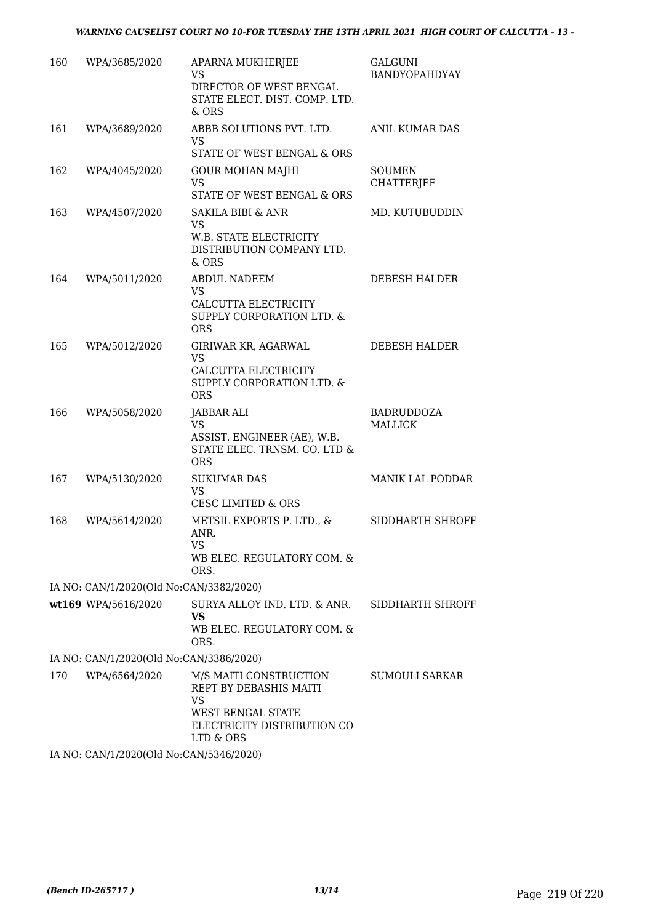| 160 | WPA/3685/2020                           | APARNA MUKHERJEE<br><b>VS</b><br>DIRECTOR OF WEST BENGAL<br>STATE ELECT. DIST. COMP. LTD.<br>$&$ ORS                    | <b>GALGUNI</b><br>BANDYOPAHDYAY     |
|-----|-----------------------------------------|-------------------------------------------------------------------------------------------------------------------------|-------------------------------------|
| 161 | WPA/3689/2020                           | ABBB SOLUTIONS PVT. LTD.<br><b>VS</b><br>STATE OF WEST BENGAL & ORS                                                     | ANIL KUMAR DAS                      |
| 162 | WPA/4045/2020                           | <b>GOUR MOHAN MAJHI</b><br><b>VS</b><br>STATE OF WEST BENGAL & ORS                                                      | <b>SOUMEN</b><br><b>CHATTERJEE</b>  |
| 163 | WPA/4507/2020                           | <b>SAKILA BIBI &amp; ANR</b><br><b>VS</b><br>W.B. STATE ELECTRICITY<br>DISTRIBUTION COMPANY LTD.<br>& ORS               | MD. KUTUBUDDIN                      |
| 164 | WPA/5011/2020                           | <b>ABDUL NADEEM</b><br><b>VS</b><br>CALCUTTA ELECTRICITY<br><b>SUPPLY CORPORATION LTD. &amp;</b><br><b>ORS</b>          | DEBESH HALDER                       |
| 165 | WPA/5012/2020                           | GIRIWAR KR, AGARWAL<br><b>VS</b><br>CALCUTTA ELECTRICITY<br><b>SUPPLY CORPORATION LTD. &amp;</b><br><b>ORS</b>          | DEBESH HALDER                       |
| 166 | WPA/5058/2020                           | JABBAR ALI<br><b>VS</b><br>ASSIST. ENGINEER (AE), W.B.<br>STATE ELEC. TRNSM. CO. LTD &<br><b>ORS</b>                    | <b>BADRUDDOZA</b><br><b>MALLICK</b> |
| 167 | WPA/5130/2020                           | <b>SUKUMAR DAS</b><br><b>VS</b><br><b>CESC LIMITED &amp; ORS</b>                                                        | <b>MANIK LAL PODDAR</b>             |
| 168 | WPA/5614/2020                           | METSIL EXPORTS P. LTD., &<br>ANR.<br>VS<br>WB ELEC. REGULATORY COM. &<br>ORS.                                           | SIDDHARTH SHROFF                    |
|     | IA NO: CAN/1/2020(Old No:CAN/3382/2020) |                                                                                                                         |                                     |
|     | wt169 WPA/5616/2020                     | SURYA ALLOY IND. LTD. & ANR.<br><b>VS</b><br>WB ELEC. REGULATORY COM. &<br>ORS.                                         | SIDDHARTH SHROFF                    |
|     | IA NO: CAN/1/2020(Old No:CAN/3386/2020) |                                                                                                                         |                                     |
| 170 | WPA/6564/2020                           | M/S MAITI CONSTRUCTION<br>REPT BY DEBASHIS MAITI<br>VS<br>WEST BENGAL STATE<br>ELECTRICITY DISTRIBUTION CO<br>LTD & ORS | <b>SUMOULI SARKAR</b>               |
|     | IA NO: CAN/1/2020(Old No:CAN/5346/2020) |                                                                                                                         |                                     |